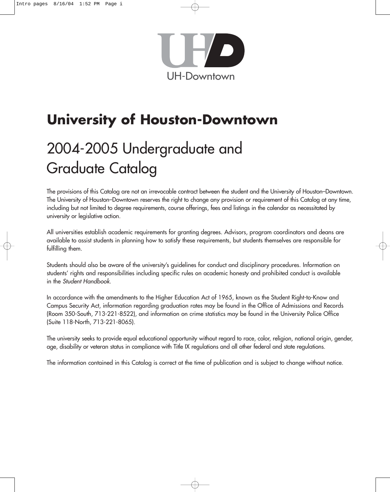

# **University of Houston-Downtown**

# 2004-2005 Undergraduate and Graduate Catalog

The provisions of this Catalog are not an irrevocable contract between the student and the University of Houston–Downtown. The University of Houston–Downtown reserves the right to change any provision or requirement of this Catalog at any time, including but not limited to degree requirements, course offerings, fees and listings in the calendar as necessitated by university or legislative action.

All universities establish academic requirements for granting degrees. Advisors, program coordinators and deans are available to assist students in planning how to satisfy these requirements, but students themselves are responsible for fulfilling them.

Students should also be aware of the university's guidelines for conduct and disciplinary procedures. Information on students' rights and responsibilities including specific rules on academic honesty and prohibited conduct is available in the *Student Handbook*.

In accordance with the amendments to the Higher Education Act of 1965, known as the Student Right-to-Know and Campus Security Act, information regarding graduation rates may be found in the Office of Admissions and Records (Room 350-South, 713-221-8522), and information on crime statistics may be found in the University Police Office (Suite 118-North, 713-221-8065).

The university seeks to provide equal educational opportunity without regard to race, color, religion, national origin, gender, age, disability or veteran status in compliance with Title IX regulations and all other federal and state regulations.

The information contained in this Catalog is correct at the time of publication and is subject to change without notice.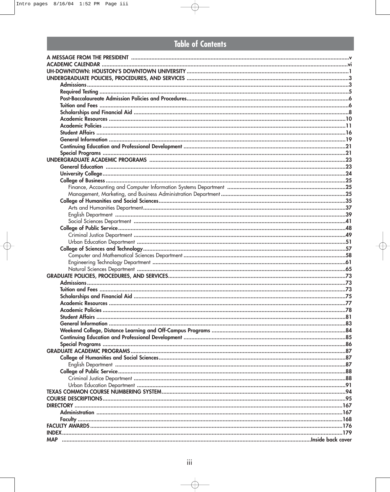## **Table of Contents**

| <b>DIRECTORY</b> |  |
|------------------|--|
|                  |  |
|                  |  |
|                  |  |
|                  |  |
| <b>MAP</b>       |  |
|                  |  |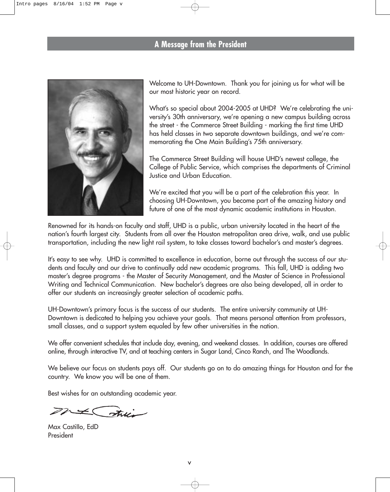### **A Message from the President**



Welcome to UH-Downtown. Thank you for joining us for what will be our most historic year on record.

What's so special about 2004-2005 at UHD? We're celebrating the university's 30th anniversary, we're opening a new campus building across the street - the Commerce Street Building - marking the first time UHD has held classes in two separate downtown buildings, and we're commemorating the One Main Building's 75th anniversary.

The Commerce Street Building will house UHD's newest college, the College of Public Service, which comprises the departments of Criminal Justice and Urban Education.

We're excited that you will be a part of the celebration this year. In choosing UH-Downtown, you become part of the amazing history and future of one of the most dynamic academic institutions in Houston.

Renowned for its hands-on faculty and staff, UHD is a public, urban university located in the heart of the nation's fourth largest city. Students from all over the Houston metropolitan area drive, walk, and use public transportation, including the new light rail system, to take classes toward bachelor's and master's degrees.

It's easy to see why. UHD is committed to excellence in education, borne out through the success of our students and faculty and our drive to continually add new academic programs. This fall, UHD is adding two master's degree programs - the Master of Security Management, and the Master of Science in Professional Writing and Technical Communication. New bachelor's degrees are also being developed, all in order to offer our students an increasingly greater selection of academic paths.

UH-Downtown's primary focus is the success of our students. The entire university community at UH-Downtown is dedicated to helping you achieve your goals. That means personal attention from professors, small classes, and a support system equaled by few other universities in the nation.

We offer convenient schedules that include day, evening, and weekend classes. In addition, courses are offered online, through interactive TV, and at teaching centers in Sugar Land, Cinco Ranch, and The Woodlands.

We believe our focus on students pays off. Our students go on to do amazing things for Houston and for the country. We know you will be one of them.

Best wishes for an outstanding academic year.

 $x\neq\bigcap\mathcal{F}$ 

Max Castillo, EdD President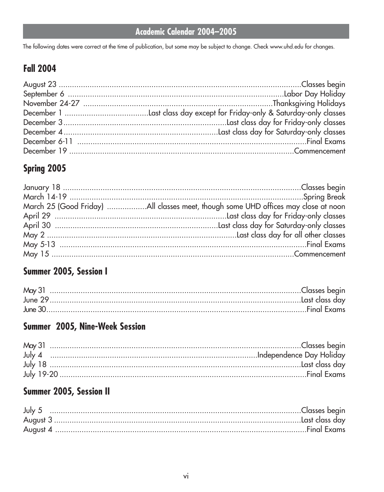## Academic Calendar 2004-2005

The following dates were correct at the time of publication, but some may be subject to change. Check www.uhd.edu for changes.

## **Fall 2004**

## Spring 2005

## Summer 2005, Session I

## Summer 2005, Nine-Week Session

## Summer 2005, Session II

| July $5$ |  |
|----------|--|
|          |  |
|          |  |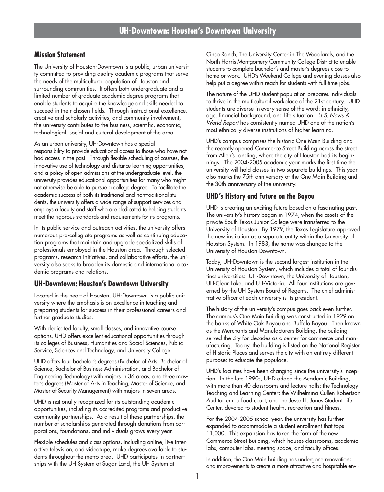### **Mission Statement**

The University of Houston-Downtown is a public, urban university committed to providing quality academic programs that serve the needs of the multicultural population of Houston and surrounding communities. It offers both undergraduate and a limited number of graduate academic degree programs that enable students to acquire the knowledge and skills needed to succeed in their chosen fields. Through instructional excellence, creative and scholarly activities, and community involvement, the university contributes to the business, scientific, economic, technological, social and cultural development of the area.

As an urban university, UH-Downtown has a special responsibility to provide educational access to those who have not had access in the past. Through flexible scheduling of courses, the innovative use of technology and distance learning opportunities, and a policy of open admissions at the undergraduate level, the university provides educational opportunities for many who might not otherwise be able to pursue a college degree. To facilitate the academic success of both its traditional and nontraditional students, the university offers a wide range of support services and employs a faculty and staff who are dedicated to helping students meet the rigorous standards and requirements for its programs.

In its public service and outreach activities, the university offers numerous pre-collegiate programs as well as continuing education programs that maintain and upgrade specialized skills of professionals employed in the Houston area. Through selected programs, research initiatives, and collaborative efforts, the university also seeks to broaden its domestic and international academic programs and relations.

#### **UH-Downtown: Houston's Downtown University**

Located in the heart of Houston, UH-Downtown is a public university where the emphasis is on excellence in teaching and preparing students for success in their professional careers and further graduate studies.

With dedicated faculty, small classes, and innovative course options, UHD offers excellent educational opportunities through its colleges of Business, Humanities and Social Sciences, Public Service, Sciences and Technology, and University College.

UHD offers four bachelor's degrees (Bachelor of Arts, Bachelor of Science, Bachelor of Business Administration, and Bachelor of Engineering Technology) with majors in 36 areas, and three master's degrees (Master of Arts in Teaching, Master of Science, and Master of Security Management) with majors in seven areas.

UHD is nationally recognized for its outstanding academic opportunities, including its accredited programs and productive community partnerships. As a result of these partnerships, the number of scholarships generated through donations from corporations, foundations, and individuals grows every year.

Flexible schedules and class options, including online, live interactive television, and videotape, make degrees available to students throughout the metro area. UHD participates in partnerships with the UH System at Sugar Land, the UH System at

Cinco Ranch, The University Center in The Woodlands, and the North Harris Montgomery Community College District to enable students to complete bachelor's and master's degrees close to home or work. UHD's Weekend College and evening classes also help put a degree within reach for students with full-time jobs.

The nature of the UHD student population prepares individuals to thrive in the multicultural workplace of the 21st century. UHD students are diverse in every sense of the word: in ethnicity, age, financial background, and life situation. *U.S. News & World Report* has consistently named UHD one of the nation's most ethnically diverse institutions of higher learning.

UHD's campus comprises the historic One Main Building and the recently opened Commerce Street Building across the street from Allen's Landing, where the city of Houston had its beginnings. The 2004-2005 academic year marks the first time the university will hold classes in two separate buildings. This year also marks the 75th anniversary of the One Main Building and the 30th anniversary of the university.

### **UHD's History and Future on the Bayou**

UHD is creating an exciting future based on a fascinating past. The university's history began in 1974, when the assets of the private South Texas Junior College were transferred to the University of Houston. By 1979, the Texas Legislature approved the new institution as a separate entity within the University of Houston System. In 1983, the name was changed to the University of Houston-Downtown.

Today, UH-Downtown is the second largest institution in the University of Houston System, which includes a total of four distinct universities: UH-Downtown, the University of Houston, UH-Clear Lake, and UH-Victoria. All four institutions are governed by the UH System Board of Regents. The chief administrative officer at each university is its president.

The history of the university's campus goes back even further. The campus's One Main Building was constructed in 1929 on the banks of White Oak Bayou and Buffalo Bayou. Then known as the Merchants and Manufacturers Building, the building served the city for decades as a center for commerce and manufacturing. Today, the building is listed on the National Register of Historic Places and serves the city with an entirely different purpose: to educate the populace.

UHD's facilities have been changing since the university's inception. In the late 1990s, UHD added the Academic Building, with more than 40 classrooms and lecture halls; the Technology Teaching and Learning Center; the Wilhelmina Cullen Robertson Auditorium; a food court; and the Jesse H. Jones Student Life Center, devoted to student health, recreation and fitness.

For the 2004-2005 school year, the university has further expanded to accommodate a student enrollment that tops 11,000. This expansion has taken the form of the new Commerce Street Building, which houses classrooms, academic labs, computer labs, meeting space, and faculty offices.

In addition, the One Main building has undergone renovations and improvements to create a more attractive and hospitable envi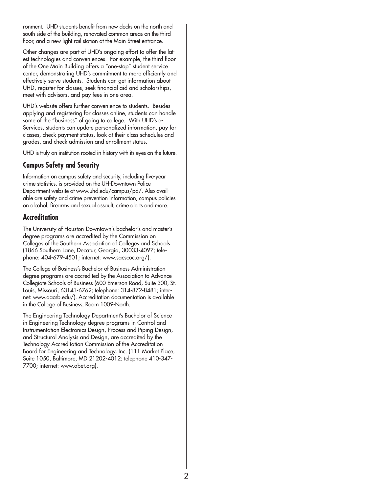ronment. UHD students benefit from new decks on the north and south side of the building, renovated common areas on the third floor, and a new light rail station at the Main Street entrance.

Other changes are part of UHD's ongoing effort to offer the latest technologies and conveniences. For example, the third floor of the One Main Building offers a "one-stop" student service center, demonstrating UHD's commitment to more efficiently and effectively serve students. Students can get information about UHD, register for classes, seek financial aid and scholarships, meet with advisors, and pay fees in one area.

UHD's website offers further convenience to students. Besides applying and registering for classes online, students can handle some of the "business" of going to college. With UHD's e-Services, students can update personalized information, pay for classes, check payment status, look at their class schedules and grades, and check admission and enrollment status.

UHD is truly an institution rooted in history with its eyes on the future.

### **Campus Safety and Security**

Information on campus safety and security, including five-year crime statistics, is provided on the UH-Downtown Police Department website at www.uhd.edu/campus/pd/. Also available are safety and crime prevention information, campus policies on alcohol, firearms and sexual assault, crime alerts and more.

#### **Accreditation**

The University of Houston-Downtown's bachelor's and master's degree programs are accredited by the Commission on Colleges of the Southern Association of Colleges and Schools (1866 Southern Lane, Decatur, Georgia, 30033-4097; telephone: 404-679-4501; internet: www.sacscoc.org/).

The College of Business's Bachelor of Business Administration degree programs are accredited by the Association to Advance Collegiate Schools of Business (600 Emerson Road, Suite 300, St. Louis, Missouri, 63141-6762; telephone: 314-872-8481; internet: www.aacsb.edu/). Accreditation documentation is available in the College of Business, Room 1009-North.

The Engineering Technology Department's Bachelor of Science in Engineering Technology degree programs in Control and Instrumentation Electronics Design, Process and Piping Design, and Structural Analysis and Design, are accredited by the Technology Accreditation Commission of the Accreditation Board for Engineering and Technology, Inc. (111 Market Place, Suite 1050, Baltimore, MD 21202-4012: telephone 410-347- 7700; internet: www.abet.org).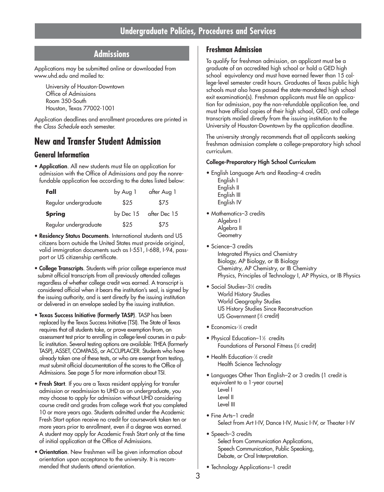## **Undergraduate Policies, Procedures and Services**

### **Admissions**

Applications may be submitted online or downloaded from www.uhd.edu and mailed to:

University of Houston-Downtown Office of Admissions Room 350-South Houston, Texas 77002-1001

Application deadlines and enrollment procedures are printed in the *Class Schedule* each semester.

### **New and Transfer Student Admission**

#### **General Information**

• **Application**. All new students must file an application for admission with the Office of Admissions and pay the nonrefundable application fee according to the dates listed below:

| Fall                  | by Aug 1  | after Aug 1  |
|-----------------------|-----------|--------------|
| Regular undergraduate | \$25      | \$75         |
| <b>Spring</b>         | by Dec 15 | after Dec 15 |
| Regular undergraduate | \$25      | \$75         |

- **Residency Status Documents**. International students and US citizens born outside the United States must provide original, valid immigration documents such as I-551, I-688, I-94, passport or US citizenship certificate.
- **College Transcripts**. Students with prior college experience must submit official transcripts from all previously attended colleges regardless of whether college credit was earned. A transcript is considered official when it bears the institution's seal, is signed by the issuing authority, and is sent directly by the issuing institution or delivered in an envelope sealed by the issuing institution.
- **Texas Success Initiative (formerly TASP)**. TASP has been replaced by the Texas Success Initiative (TSI). The State of Texas requires that all students take, or prove exemption from, an assessment test prior to enrolling in college-level courses in a public institution. Several testing options are available: THEA (formerly TASP), ASSET, COMPASS, or ACCUPLACER. Students who have already taken one of these tests, or who are exempt from testing, must submit official documentation of the scores to the Office of Admissions. See page 5 for more information about TSI.
- **Fresh Start**. If you are a Texas resident applying for transfer admission or readmission to UHD as an undergraduate, you may choose to apply for admission without UHD considering course credit and grades from college work that you completed 10 or more years ago. Students admitted under the Academic Fresh Start option receive no credit for coursework taken ten or more years prior to enrollment, even if a degree was earned. A student may apply for Academic Fresh Start only at the time of initial application at the Office of Admissions.
- **Orientation**. New freshmen will be given information about orientation upon acceptance to the university. It is recommended that students attend orientation.

### **Freshman Admission**

To qualify for freshman admission, an applicant must be a graduate of an accredited high school or hold a GED high school equivalency and must have earned fewer than 15 college-level semester credit hours. Graduates of Texas public high schools must also have passed the state-mandated high school exit examination(s). Freshman applicants must file an application for admission, pay the non-refundable application fee, and must have official copies of their high school, GED, and college transcripts mailed directly from the issuing institution to the University of Houston-Downtown by the application deadline.

The university strongly recommends that all applicants seeking freshman admission complete a college-preparatory high school curriculum.

#### **College-Preparatory High School Curriculum**

- English Language Arts and Reading–4 credits English I English II English III English IV
- Mathematics-3 credits Algebra I Algebra II **Geometry**
- Science–3 credits Integrated Physics and Chemistry Biology, AP Biology, or IB Biology Chemistry, AP Chemistry, or IB Chemistry Physics, Principles of Technology I, AP Physics, or IB Physics
- Social Studies–3½ credits World History Studies World Geography Studies US History Studies Since Reconstruction US Government (½ credit)
- Economics-1/<sub>2</sub> credit
- Physical Education–1½ credits Foundations of Personal Fitness (1 ⁄2 credit)
- Health Education-½ credit Health Science Technology
- Languages Other Than English–2 or 3 credits (1 credit is equivalent to a 1-year course) Level I Level II Level III
- Fine Arts–1 credit Select from Art I-IV, Dance I-IV, Music I-IV, or Theater I-IV
- Speech-3 credits Select from Communication Applications, Speech Communication, Public Speaking, Debate, or Oral Interpretation.
- Technology Applications–1 credit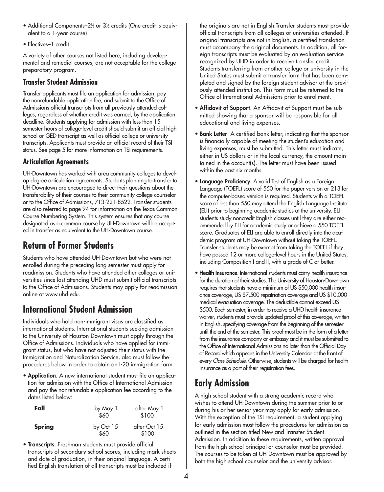- $\bullet$  Additional Components–2½ or 3½ credits (One credit is equivalent to a 1-year course)
- Electives–1 credit

A variety of other courses not listed here, including developmental and remedial courses, are not acceptable for the college preparatory program.

### **Transfer Student Admission**

Transfer applicants must file an application for admission, pay the nonrefundable application fee, and submit to the Office of Admissions official transcripts from all previously attended colleges, regardless of whether credit was earned, by the application deadline. Students applying for admission with less than 15 semester hours of college-level credit should submit an official high school or GED transcript as well as official college or university transcripts. Applicants must provide an official record of their TSI status. See page 5 for more information on TSI requirements.

### **Articulation Agreements**

UH-Downtown has worked with area community colleges to develop degree articulation agreements. Students planning to transfer to UH-Downtown are encouraged to direct their questions about the transferability of their courses to their community college counselor or to the Office of Admissions, 713-221-8522. Transfer students are also referred to page 94 for information on the Texas Common Course Numbering System. This system ensures that any course designated as a common course by UH-Downtown will be accepted in transfer as equivalent to the UH-Downtown course.

## **Return of Former Students**

Students who have attended UH-Downtown but who were not enrolled during the preceding long semester must apply for readmission. Students who have attended other colleges or universities since last attending UHD must submit official transcripts to the Office of Admissions. Students may apply for readmission online at www.uhd.edu.

## **International Student Admission**

Individuals who hold non-immigrant visas are classified as international students. International students seeking admission to the University of Houston-Downtown must apply through the Office of Admissions. Individuals who have applied for immigrant status, but who have not adjusted their status with the Immigration and Naturalization Service, also must follow the procedures below in order to obtain an I-20 immigration form.

• **Application**. A new international student must file an application for admission with the Office of International Admission and pay the nonrefundable application fee according to the dates listed below:

| Fall          | by May 1<br>\$60  | after May 1<br>\$100  |
|---------------|-------------------|-----------------------|
| <b>Spring</b> | by Oct 15<br>\$60 | after Oct 15<br>\$100 |

• **Transcripts**. Freshman students must provide official transcripts of secondary school scores, including mark sheets and date of graduation, in their original language. A certified English translation of all transcripts must be included if

the originals are not in English.Transfer students must provide official transcripts from all colleges or universities attended. If original transcripts are not in English, a certified translation must accompany the original documents. In addition, all foreign transcripts must be evaluated by an evaluation service recognized by UHD in order to receive transfer credit. Students transferring from another college or university in the United States must submit a transfer form that has been completed and signed by the foreign student advisor at the previously attended institution. This form must be returned to the Office of International Admissions prior to enrollment.

- **Affidavit of Support**. An Affidavit of Support must be submitted showing that a sponsor will be responsible for all educational and living expenses.
- **Bank Letter**. A certified bank letter, indicating that the sponsor is financially capable of meeting the student's education and living expenses, must be submitted. This letter must indicate, either in US dollars or in the local currency, the amount maintained in the account(s). The letter must have been issued within the past six months.
- **Language Proficiency**. A valid Test of English as a Foreign Language (TOEFL) score of 550 for the paper version or 213 for the computer-based version is required. Students with a TOEFL score of less than 550 may attend the English Language Institute (ELI) prior to beginning academic studies at the university. ELI students study noncredit English classes until they are either recommended by ELI for academic study or achieve a 550 TOEFL score. Graduates of ELI are able to enroll directly into the academic program at UH-Downtown without taking the TOEFL. Transfer students may be exempt from taking the TOEFL if they have passed 12 or more college-level hours in the United States, including Composition I and II, with a grade of C or better.
- **Health Insurance**. International students must carry health insurance for the duration of their studies. The University of Houston-Downtown requires that students have a minimum of US \$50,000 health insurance coverage, US \$7,500 repatriation coverage and US \$10,000 medical evacuation coverage. The deductible cannot exceed US \$500. Each semester, in order to receive a UHD health insurance waiver, students must provide updated proof of this coverage, written in English, specifying coverage from the beginning of the semester until the end of the semester. This proof must be in the form of a letter from the insurance company or embassy and it must be submitted to the Office of International Admissions no later than the Official Day of Record which appears in the University Calendar at the front of every *Class Schedule*. Otherwise, students will be charged for health insurance as a part of their registration fees.

## **Early Admission**

A high school student with a strong academic record who wishes to attend UH-Downtown during the summer prior to or during his or her senior year may apply for early admission. With the exception of the TSI requirement, a student applying for early admission must follow the procedures for admission as outlined in the section titled New and Transfer Student Admission. In addition to these requirements, written approval from the high school principal or counselor must be provided. The courses to be taken at UH-Downtown must be approved by both the high school counselor and the university advisor.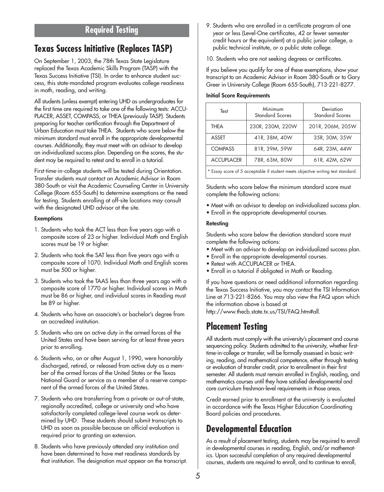### **Required Testing**

## **Texas Success Initiative (Replaces TASP)**

On September 1, 2003, the 78th Texas State Legislature replaced the Texas Academic Skills Program (TASP) with the Texas Success Initiative (TSI). In order to enhance student success, this state-mandated program evaluates college readiness in math, reading, and writing.

All students (unless exempt) entering UHD as undergraduates for the first time are required to take one of the following tests: ACCU-PLACER, ASSET, COMPASS, or THEA (previously TASP). Students preparing for teacher certification through the Department of Urban Education must take THEA. Students who score below the minimum standard must enroll in the appropriate developmental courses. Additionally, they must meet with an advisor to develop an individualized success plan. Depending on the scores, the student may be required to retest and to enroll in a tutorial.

First-time-in-college students will be tested during Orientation. Transfer students must contact an Academic Advisor in Room 380-South or visit the Academic Counseling Center in University College (Room 655-South) to determine exemptions or the need for testing. Students enrolling at off-site locations may consult with the designated UHD advisor at the site.

#### **Exemptions**

- 1. Students who took the ACT less than five years ago with a composite score of 23 or higher. Individual Math and English scores must be 19 or higher.
- 2. Students who took the SAT less than five years ago with a composite score of 1070. Individual Math and English scores must be 500 or higher.
- 3. Students who took the TAAS less than three years ago with a composite score of 1770 or higher. Individual scores in Math must be 86 or higher, and individual scores in Reading must be 89 or higher.
- 4. Students who have an associate's or bachelor's degree from an accredited institution.
- 5. Students who are on active duty in the armed forces of the United States and have been serving for at least three years prior to enrolling.
- 6. Students who, on or after August 1, 1990, were honorably discharged, retired, or released from active duty as a member of the armed forces of the United States or the Texas National Guard or service as a member of a reserve component of the armed forces of the United States.
- 7. Students who are transferring from a private or out-of-state, regionally accredited, college or university and who have satisfactorily completed college-level course work as determined by UHD. These students should submit transcripts to UHD as soon as possible because an official evaluation is required prior to granting an extension.
- 8. Students who have previously attended any institution and have been determined to have met readiness standards by that institution. The designation must appear on the transcript.

9. Students who are enrolled in a certificate program of one year or less (Level-One certificates, 42 or fewer semester credit hours or the equivalent) at a public junior college, a public technical institute, or a public state college.

10. Students who are not seeking degrees or certificates.

If you believe you qualify for one of these exemptions, show your transcript to an Academic Advisor in Room 380-South or to Gary Greer in University College (Room 655-South), 713-221-8277.

#### **Initial Score Requirements**

| Test              | Minimum<br><b>Standard Scores</b>                                                                                                                                                                                              | Deviation<br><b>Standard Scores</b> |
|-------------------|--------------------------------------------------------------------------------------------------------------------------------------------------------------------------------------------------------------------------------|-------------------------------------|
| THEA              | 230R, 230M, 220W                                                                                                                                                                                                               | 201R, 206M, 205W                    |
| ASSET             | 41R, 38M, 40W                                                                                                                                                                                                                  | 35R, 30M, 35W                       |
| <b>COMPASS</b>    | 81R, 39M, 59W                                                                                                                                                                                                                  | 64R, 23M, 44W                       |
| <b>ACCUPLACER</b> | 78R, 63M, 80W                                                                                                                                                                                                                  | 61R, 42M, 62W                       |
| $\mathbf{r}$      | the first contract of the contract of the contract of the contract of the contract of the contract of the contract of the contract of the contract of the contract of the contract of the contract of the contract of the cont |                                     |

Essay score of 5 acceptable if student meets objective writing test standard.

Students who score below the minimum standard score must complete the following actions:

- Meet with an advisor to develop an individualized success plan.
- Enroll in the appropriate developmental courses.

#### **Retesting**

Students who score below the deviation standard score must complete the following actions:

- Meet with an advisor to develop an individualized success plan.
- Enroll in the appropriate developmental courses.
- Retest with ACCUPLACER or THEA.
- Enroll in a tutorial if obligated in Math or Reading.

If you have questions or need additional information regarding the Texas Success Initiative, you may contact the TSI Information Line at 713-221-8266. You may also view the FAQ upon which the information above is based at

http://www.thecb.state.tx.us/TSI/FAQ.htm#all.

## **Placement Testing**

All students must comply with the university's placement and course sequencing policy. Students admitted to the university, whether firsttime-in-college or transfer, will be formally assessed in basic writing, reading, and mathematical competence, either through testing or evaluation of transfer credit, prior to enrollment in their first semester. All students must remain enrolled in English, reading, and mathematics courses until they have satisfied developmental and core curriculum freshman-level requirements in those areas.

Credit earned prior to enrollment at the university is evaluated in accordance with the Texas Higher Education Coordinating Board policies and procedures.

## **Developmental Education**

As a result of placement testing, students may be required to enroll in developmental courses in reading, English, and/or mathematics. Upon successful completion of any required developmental courses, students are required to enroll, and to continue to enroll,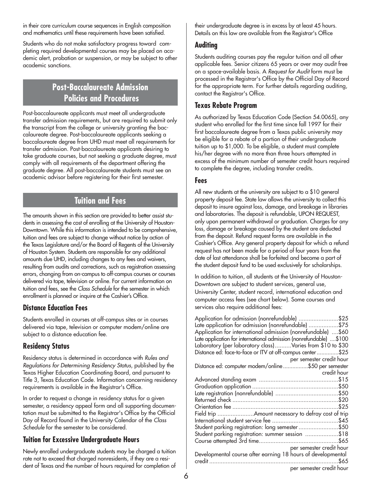in their core curriculum course sequences in English composition and mathematics until these requirements have been satisfied.

Students who do not make satisfactory progress toward completing required developmental courses may be placed on academic alert, probation or suspension, or may be subject to other academic sanctions.

## **Post-Baccalaureate Admission Policies and Procedures**

Post-baccalaureate applicants must meet all undergraduate transfer admission requirements, but are required to submit only the transcript from the college or university granting the baccalaureate degree. Post-baccalaureate applicants seeking a baccalaureate degree from UHD must meet all requirements for transfer admission. Post-baccalaureate applicants desiring to take graduate courses, but not seeking a graduate degree, must comply with all requirements of the department offering the graduate degree. All post-baccalaureate students must see an academic advisor before registering for their first semester.

## **Tuition and Fees**

The amounts shown in this section are provided to better assist students in assessing the cost of enrolling at the University of Houston-Downtown. While this information is intended to be comprehensive, tuition and fees are subject to change without notice by action of the Texas Legislature and/or the Board of Regents of the University of Houston System. Students are responsible for any additional amounts due UHD, including changes to any fees and waivers, resulting from audits and corrections, such as registration assessing errors, changing from on-campus to off-campus courses or courses delivered via tape, television or online. For current information on tuition and fees, see the *Class Schedule* for the semester in which enrollment is planned or inquire at the Cashier's Office.

### **Distance Education Fees**

Students enrolled in courses at off-campus sites or in courses delivered via tape, television or computer modem/online are subject to a distance education fee.

### **Residency Status**

Residency status is determined in accordance with *Rules and Regulations for Determining Residency Status*, published by the Texas Higher Education Coordinating Board, and pursuant to Title 3, Texas Education Code. Information concerning residency requirements is available in the Registrar's Office.

In order to request a change in residency status for a given semester, a residency appeal form and all supporting documentation must be submitted to the Registrar's Office by the Official Day of Record found in the University Calendar of the *Class Schedule* for the semester to be considered.

### **Tuition for Excessive Undergraduate Hours**

Newly enrolled undergraduate students may be charged a tuition rate not to exceed that charged nonresidents, if they are a resident of Texas and the number of hours required for completion of their undergraduate degree is in excess by at least 45 hours. Details on this law are available from the Registrar's Office

### **Auditing**

Students auditing courses pay the regular tuition and all other applicable fees. Senior citizens 65 years or over may audit free on a space-available basis. A *Request for Audit* form must be processed in the Registrar's Office by the Official Day of Record for the appropriate term. For further details regarding auditing, contact the Registrar's Office.

### **Texas Rebate Program**

As authorized by Texas Education Code (Section 54.0065), any student who enrolled for the first time since fall 1997 for their first baccalaureate degree from a Texas public university may be eligible for a rebate of a portion of their undergraduate tuition up to \$1,000. To be eligible, a student must complete his/her degree with no more than three hours attempted in excess of the minimum number of semester credit hours required to complete the degree, including transfer credits.

### **Fees**

All new students at the university are subject to a \$10 general property deposit fee. State law allows the university to collect this deposit to insure against loss, damage, and breakage in libraries and laboratories. The deposit is refundable, UPON REQUEST, only upon permanent withdrawal or graduation. Charges for any loss, damage or breakage caused by the student are deducted from the deposit. Refund request forms are available in the Cashier's Office. Any general property deposit for which a refund request has not been made for a period of four years from the date of last attendance shall be forfeited and become a part of the student deposit fund to be used exclusively for scholarships.

In addition to tuition, all students at the University of Houston-Downtown are subject to student services, general use, University Center, student record, international education and computer access fees (see chart below). Some courses and services also require additional fees:

| Application for admission (nonrefundable) \$25                     |
|--------------------------------------------------------------------|
| Late application for admission (nonrefundable) \$75                |
| Application for international admission (nonrefundable) \$60       |
| Late application for international admission (nonrefundable) \$100 |
| Laboratory (per laboratory class)Varies from \$10 to \$30          |
| Distance ed: face-to-face or ITV at off-campus center \$25         |
| per semester credit hour                                           |
| Distance ed: computer modem/online\$50 per semester                |
| credit hour                                                        |
|                                                                    |
|                                                                    |
|                                                                    |
|                                                                    |
|                                                                    |
|                                                                    |
|                                                                    |
| Student parking registration: long semester\$50                    |
| Student parking registration: summer session \$18                  |
|                                                                    |
| per semester credit hour                                           |
| Developmental course after earning 18 hours of developmental       |
|                                                                    |
| per semester credit hour                                           |
|                                                                    |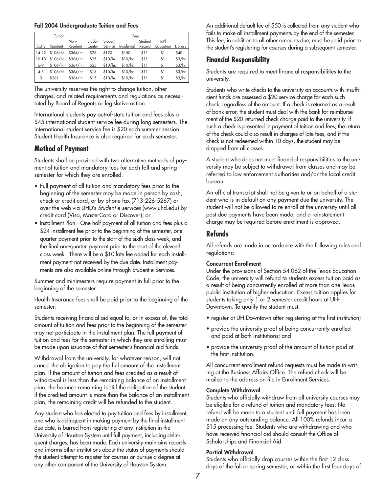#### **Fall 2004 Undergraduate Tuition and Fees**

|                        | Tuition  |                             |         |          | Fees       |         |           |           |
|------------------------|----------|-----------------------------|---------|----------|------------|---------|-----------|-----------|
|                        |          | Non-                        | Student | Student  |            | Student | Int       |           |
| <b>SCH<sub>s</sub></b> | Resident | Resident                    | Center  | Service  | Incidental | Record  | Education | Library   |
|                        |          | 14-22 \$106/hr. \$364/hr.   | \$25    | \$120    | \$150      | \$11    | \$1       | \$40      |
| $10-13$                |          | \$106/hr. \$364/hr. \$25    |         | \$10/hr. | \$10/hr.   | \$11    | \$1       | $$3/hr$ . |
| $6 - 9$                |          | $$106/hr.$ $$364/hr.$ $$25$ |         | \$10/hr. | \$10/hr.   | \$11    | \$1       | \$3/hr.   |
| $4 - 5$                |          | $$106/hr.$ $$364/hr.$       | \$15    | \$10/hr. | \$10/hr.   | \$11    | \$1       | \$3/hr.   |
| 3                      | \$261    | \$364/hr.                   | \$15    | \$10/hr. | \$10/hr.   | \$11    | \$1       | $$3/hr$ . |

The university reserves the right to change tuition, other charges, and related requirements and regulations as necessitated by Board of Regents or legislative action.

International students pay out-of-state tuition and fees plus a \$45 international student service fee during long semesters. The international student service fee is \$20 each summer session. Student Health Insurance is also required for each semester.

### **Method of Payment**

Students shall be provided with two alternative methods of payment of tuition and mandatory fees for each fall and spring semester for which they are enrolled.

- Full payment of all tuition and mandatory fees prior to the beginning of the semester may be made in person by cash, check or credit card, or by phone fax (713-226-5267) or over the web via UHD's *Student e-services* (www.uhd.edu) by credit card (Visa, MasterCard or Discover); or
- Installment Plan One-half payment of all tuition and fees plus a \$24 installment fee prior to the beginning of the semester, onequarter payment prior to the start of the sixth class week, and the final one-quarter payment prior to the start of the eleventh class week. There will be a \$10 late fee added for each installment payment not received by the due date. Installment payments are also available online through Student e-Services.

Summer and minimesters require payment in full prior to the beginning of the semester.

Health Insurance fees shall be paid prior to the beginning of the semester.

Students receiving financial aid equal to, or in excess of, the total amount of tuition and fees prior to the beginning of the semester may not participate in the installment plan. The full payment of tuition and fees for the semester in which they are enrolling must be made upon issuance of that semester's financial aid funds.

Withdrawal from the university, for whatever reason, will not cancel the obligation to pay the full amount of the installment plan. If the amount of tuition and fees credited as a result of withdrawal is less than the remaining balance of an installment plan, the balance remaining is still the obligation of the student. If the credited amount is more than the balance of an installment plan, the remaining credit will be refunded to the student.

Any student who has elected to pay tuition and fees by installment, and who is delinquent in making payment by the final installment due date, is barred from registering at any institution in the University of Houston System until full payment, including delinquent charges, has been made. Each university maintains records and informs other institutions about the status of payments should the student attempt to register for courses or pursue a degree at any other component of the University of Houston System.

An additional default fee of \$50 is collected from any student who fails to make all installment payments by the end of the semester. This fee, in addition to all other amounts due, must be paid prior to the student's registering for courses during a subsequent semester.

### **Financial Responsibility**

Students are required to meet financial responsibilities to the university.

Students who write checks to the university on accounts with insufficient funds are assessed a \$20 service charge for each such check, regardless of the amount. If a check is returned as a result of bank error, the student must deal with the bank for reimbursement of the \$20 returned check charge paid to the university. If such a check is presented in payment of tuition and fees, the return of the check could also result in charges of late fees, and if the check is not redeemed within 10 days, the student may be dropped from all classes.

A student who does not meet financial responsibilities to the university may be subject to withdrawal from classes and may be referred to law enforcement authorities and/or the local credit bureau.

An official transcript shall not be given to or on behalf of a student who is in default on any payment due the university. The student will not be allowed to re-enroll at the university until all past due payments have been made, and a reinstatement charge may be required before enrollment is approved.

### **Refunds**

All refunds are made in accordance with the following rules and regulations:

#### **Concurrent Enrollment**

Under the provisions of Section 54.062 of the Texas Education Code, the university will refund to students excess tuition paid as a result of being concurrently enrolled at more than one Texas public institution of higher education. Excess tuition applies for students taking only 1 or 2 semester credit hours at UH-Downtown. To qualify the student must:

- register at UH-Downtown after registering at the first institution;
- provide the university proof of being concurrently enrolled and paid at both institutions; and
- provide the university proof of the amount of tuition paid at the first institution.

All concurrent enrollment refund requests must be made in writing at the Business Affairs Office. The refund check will be mailed to the address on file in Enrollment Services.

#### **Complete Withdrawal**

Students who officially withdraw from all university courses may be eligible for a refund of tuition and mandatory fees. No refund will be made to a student until full payment has been made on any outstanding balance. All 100% refunds incur a \$15 processing fee. Students who are withdrawing and who have received financial aid should consult the Office of Scholarships and Financial Aid.

#### **Partial Withdrawal**

Students who officially drop courses within the first 12 class days of the fall or spring semester, or within the first four days of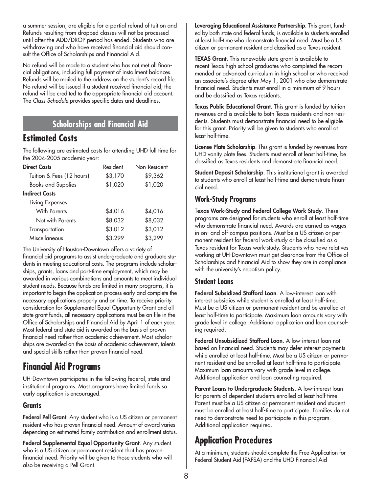a summer session, are eligible for a partial refund of tuition and Refunds resulting from dropped classes will not be processed until after the ADD/DROP period has ended. Students who are withdrawing and who have received financial aid should consult the Office of Scholarships and Financial Aid.

No refund will be made to a student who has not met all financial obligations, including full payment of installment balances. Refunds will be mailed to the address on the student's record file. No refund will be issued if a student received financial aid; the refund will be credited to the appropriate financial aid account. The *Class Schedule* provides specific dates and deadlines.

## **Scholarships and Financial Aid**

## **Estimated Costs**

The following are estimated costs for attending UHD full time for the 2004-2005 academic year:

| <b>Direct Costs</b>       | Resident | Non-Resident |
|---------------------------|----------|--------------|
| Tuition & Fees (12 hours) | \$3,170  | \$9,362      |
| <b>Books and Supplies</b> | \$1,020  | \$1,020      |
| <b>Indirect Costs</b>     |          |              |
| Living Expenses           |          |              |
| With Parents              | \$4,016  | \$4,016      |
| Not with Parents          | \$8,032  | \$8,032      |
| Transportation            | \$3,012  | \$3,012      |
| Miscellaneous             | \$3,299  | \$3,299      |

The University of Houston-Downtown offers a variety of financial aid programs to assist undergraduate and graduate students in meeting educational costs. The programs include scholarships, grants, loans and part-time employment, which may be awarded in various combinations and amounts to meet individual student needs. Because funds are limited in many programs, it is important to begin the application process early and complete the necessary applications properly and on time. To receive priority consideration for Supplemental Equal Opportunity Grant and all state grant funds, all necessary applications must be on file in the Office of Scholarships and Financial Aid by April 1 of each year. Most federal and state aid is awarded on the basis of proven financial need rather than academic achievement. Most scholarships are awarded on the basis of academic achievement, talents and special skills rather than proven financial need.

## **Financial Aid Programs**

UH-Downtown participates in the following federal, state and institutional programs. Most programs have limited funds so early application is encouraged.

### **Grants**

**Federal Pell Grant**. Any student who is a US citizen or permanent resident who has proven financial need. Amount of award varies depending on estimated family contribution and enrollment status.

**Federal Supplemental Equal Opportunity Grant**. Any student who is a US citizen or permanent resident that has proven financial need. Priority will be given to those students who will also be receiving a Pell Grant.

**Leveraging Educational Assistance Partnership**. This grant, funded by both state and federal funds, is available to students enrolled at least half-time who demonstrate financial need. Must be a US citizen or permanent resident and classified as a Texas resident.

**TEXAS Grant**. This renewable state grant is available to recent Texas high school graduates who completed the recommended or advanced curriculum in high school or who received an associate's degree after May 1, 2001 who also demonstrate financial need. Students must enroll in a minimum of 9 hours and be classified as Texas residents.

**Texas Public Educational Grant**. This grant is funded by tuition revenues and is available to both Texas residents and non-residents. Students must demonstrate financial need to be eligible for this grant. Priority will be given to students who enroll at least half-time.

**License Plate Scholarship**. This grant is funded by revenues from UHD vanity plate fees. Students must enroll at least half-time, be classified as Texas residents and demonstrate financial need.

**Student Deposit Scholarship**. This institutional grant is awarded to students who enroll at least half-time and demonstrate financial need.

### **Work-Study Programs**

T**exas Work-Study and Federal College Work Study**. These programs are designed for students who enroll at least half-time who demonstrate financial need. Awards are earned as wages in on- and off-campus positions. Must be a US citizen or permanent resident for federal work-study or be classified as a Texas resident for Texas work-study. Students who have relatives working at UH-Downtown must get clearance from the Office of Scholarships and Financial Aid to show they are in compliance with the university's nepotism policy.

### **Student Loans**

**Federal Subsidized Stafford Loan**. A low-interest loan with interest subsidies while student is enrolled at least half-time. Must be a US citizen or permanent resident and be enrolled at least half-time to participate. Maximum loan amounts vary with grade level in college. Additional application and loan counseling required.

**Federal Unsubsidized Stafford Loan**. A low-interest loan not based on financial need. Students may defer interest payments while enrolled at least half-time. Must be a US citizen or permanent resident and be enrolled at least half-time to participate. Maximum loan amounts vary with grade level in college. Additional application and loan counseling required.

**Parent Loans to Undergraduate Students**. A low-interest loan for parents of dependent students enrolled at least half-time. Parent must be a US citizen or permanent resident and student must be enrolled at least half-time to participate. Families do not need to demonstrate need to participate in this program. Additional application required.

## **Application Procedures**

At a minimum, students should complete the Free Application for Federal Student Aid (FAFSA) and the UHD Financial Aid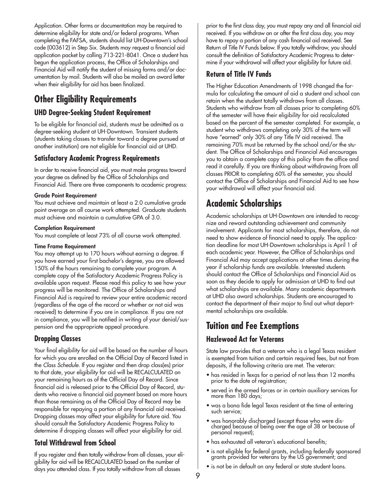Application. Other forms or documentation may be required to determine eligibility for state and/or federal programs. When completing the FAFSA, students should list UH-Downtown's school code (003612) in Step Six. Students may request a financial aid application packet by calling 713-221-8041. Once a student has begun the application process, the Office of Scholarships and Financial Aid will notify the student of missing forms and/or documentation by mail. Students will also be mailed an award letter when their eligibility for aid has been finalized.

## **Other Eligibility Requirements**

### **UHD Degree-Seeking Student Requirement**

To be eligible for financial aid, students must be admitted as a degree-seeking student at UH-Downtown. Transient students (students taking classes to transfer toward a degree pursued at another institution) are not eligible for financial aid at UHD.

### **Satisfactory Academic Progress Requirements**

In order to receive financial aid, you must make progress toward your degree as defined by the Office of Scholarships and Financial Aid. There are three components to academic progress:

#### **Grade Point Requirement**

You must achieve and maintain at least a 2.0 cumulative grade point average on all course work attempted. Graduate students must achieve and maintain a cumulative GPA of 3.0.

#### **Completion Requirement**

You must complete at least 73% of all course work attempted.

#### **Time Frame Requirement**

You may attempt up to 170 hours without earning a degree. If you have earned your first bachelor's degree, you are allowed 150% of the hours remaining to complete your program. A complete copy of the Satisfactory Academic Progress Policy is available upon request. Please read this policy to see how your progress will be monitored. The Office of Scholarships and Financial Aid is required to review your entire academic record (regardless of the age of the record or whether or not aid was received) to determine if you are in compliance. If you are not in compliance, you will be notified in writing of your denial/suspension and the appropriate appeal procedure.

### **Dropping Classes**

Your final eligibility for aid will be based on the number of hours for which you are enrolled on the Official Day of Record listed in the *Class Schedule*. If you register and then drop class(es) prior to that date, your eligibility for aid will be RECALCULATED on your remaining hours as of the Official Day of Record. Since financial aid is released prior to the Official Day of Record, students who receive a financial aid payment based on more hours than those remaining as of the Official Day of Record may be responsible for repaying a portion of any financial aid received. Dropping classes may affect your eligibility for future aid. You should consult the Satisfactory Academic Progress Policy to determine if dropping classes will affect your eligibility for aid.

### **Total Withdrawal from School**

If you register and then totally withdraw from all classes, your eligibility for aid will be RECALCULATED based on the number of days you attended class. If you totally withdraw from all classes

prior to the first class day, you must repay any and all financial aid received. If you withdraw on or after the first class day, you may have to repay a portion of any cash financial aid received. See Return of Title IV Funds below. If you totally withdraw, you should consult the definition of Satisfactory Academic Progress to determine if your withdrawal will affect your eligibility for future aid.

### **Return of Title IV Funds**

The Higher Education Amendments of 1998 changed the formula for calculating the amount of aid a student and school can retain when the student totally withdraws from all classes. Students who withdraw from all classes prior to completing 60% of the semester will have their eligibility for aid recalculated based on the percent of the semester completed. For example, a student who withdraws completing only 30% of the term will have "earned" only 30% of any Title IV aid received. The remaining 70% must be returned by the school and/or the student. The Office of Scholarships and Financial Aid encourages you to obtain a complete copy of this policy from the office and read it carefully. If you are thinking about withdrawing from all classes PRIOR to completing 60% of the semester, you should contact the Office of Scholarships and Financial Aid to see how your withdrawal will affect your financial aid.

## **Academic Scholarships**

Academic scholarships at UH-Downtown are intended to recognize and reward outstanding achievement and community involvement. Applicants for most scholarships, therefore, do not need to show evidence of financial need to apply. The application deadline for most UH-Downtown scholarships is April 1 of each academic year. However, the Office of Scholarships and Financial Aid may accept applications at other times during the year if scholarship funds are available. Interested students should contact the Office of Scholarships and Financial Aid as soon as they decide to apply for admission at UHD to find out what scholarships are available. Many academic departments at UHD also award scholarships. Students are encouraged to contact the department of their major to find out what departmental scholarships are available.

## **Tuition and Fee Exemptions**

### **Hazlewood Act for Veterans**

State law provides that a veteran who is a legal Texas resident is exempted from tuition and certain required fees, but not from deposits, if the following criteria are met. The veteran:

- has resided in Texas for a period of not less than 12 months prior to the date of registration;
- served in the armed forces or in certain auxiliary services for more than 180 days;
- was a bona fide legal Texas resident at the time of entering such service;
- was honorably discharged (except those who were discharged because of being over the age of 38 or because of personal request);
- has exhausted all veteran's educational benefits;
- is not eligible for federal grants, including federally sponsored grants provided for veterans by the US government; and
- is not be in default on any federal or state student loans.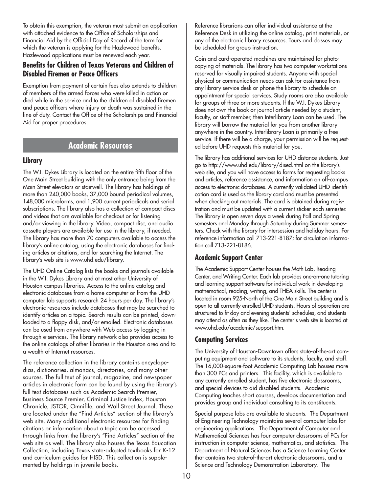To obtain this exemption, the veteran must submit an application with attached evidence to the Office of Scholarships and Financial Aid by the Official Day of Record of the term for which the veteran is applying for the Hazlewood benefits. Hazlewood applications must be renewed each year.

### **Benefits for Children of Texas Veterans and Children of Disabled Firemen or Peace Officers**

Exemption from payment of certain fees also extends to children of members of the armed forces who were killed in action or died while in the service and to the children of disabled firemen and peace officers where injury or death was sustained in the line of duty. Contact the Office of the Scholarships and Financial Aid for proper procedures.

### **Academic Resources**

### **Library**

The W.I. Dykes Library is located on the entire fifth floor of the One Main Street building with the only entrance being from the Main Street elevators or stairwell. The library has holdings of more than 240,000 books, 37,000 bound periodical volumes, 148,000 microforms, and 1,900 current periodicals and serial subscriptions. The library also has a collection of compact discs and videos that are available for checkout or for listening and/or viewing in the library. Video, compact disc, and audio cassette players are available for use in the library, if needed. The library has more than 70 computers available to access the library's online catalog, using the electronic databases for finding articles or citations, and for searching the Internet. The library's web site is www.uhd.edu/library.

The UHD Online Catalog lists the books and journals available in the W.I. Dykes Library and at most other University of Houston campus libraries. Access to the online catalog and electronic databases from a home computer or from the UHD computer lab supports research 24 hours per day. The library's electronic resources include databases that may be searched to identify articles on a topic. Search results can be printed, downloaded to a floppy disk, and/or emailed. Electronic databases can be used from anywhere with Web access by logging in through e-services. The library network also provides access to the online catalogs of other libraries in the Houston area and to a wealth of Internet resources.

The reference collection in the library contains encyclopedias, dictionaries, almanacs, directories, and many other sources. The full text of journal, magazine, and newspaper articles in electronic form can be found by using the library's full text databases such as Academic Search Premier, Business Source Premier, Criminal Justice Index, Houston Chronicle, JSTOR, Omnifile, and Wall Street Journal. These are located under the "Find Articles" section of the library's web site. Many additional electronic resources for finding citations or information about a topic can be accessed through links from the library's "Find Articles" section of the web site as well. The library also houses the Texas Education Collection, including Texas state-adopted textbooks for K-12 and curriculum guides for HISD. This collection is supplemented by holdings in juvenile books.

Reference librarians can offer individual assistance at the Reference Desk in utilizing the online catalog, print materials, or any of the electronic library resources. Tours and classes may be scheduled for group instruction.

Coin and card-operated machines are maintained for photocopying of materials. The library has two computer workstations reserved for visually impaired students. Anyone with special physical or communication needs can ask for assistance from any library service desk or phone the library to schedule an appointment for special services. Study rooms are also available for groups of three or more students. If the W.I. Dykes Library does not own the book or journal article needed by a student, faculty, or staff member, then Interlibrary Loan can be used. The library will borrow the material for you from another library anywhere in the country. Interlibrary Loan is primarily a free service. If there will be a charge, your permission will be requested before UHD requests this material for you.

The library has additional services for UHD distance students. Just go to http://www.uhd.edu/library/dised.html on the library's web site, and you will have access to forms for requesting books and articles, reference assistance, and information on off-campus access to electronic databases. A currently validated UHD identification card is used as the library card and must be presented when checking out materials. The card is obtained during registration and must be updated with a current sticker each semester. The library is open seven days a week during Fall and Spring semesters and Monday through Saturday during Summer semesters. Check with the library for intersession and holiday hours. For reference information call 713-221-8187; for circulation information call 713-221-8186.

### **Academic Support Center**

The Academic Support Center houses the Math Lab, Reading Center, and Writing Center. Each lab provides one-on-one tutoring and learning support software for individual work in developing mathematical, reading, writing, and THEA skills. The center is located in room 925-North of the One Main Street building and is open to all currently enrolled UHD students. Hours of operation are structured to fit day and evening students' schedules, and students may attend as often as they like. The center's web site is located at www.uhd.edu/academic/support.htm.

### **Computing Services**

The University of Houston-Downtown offers state-of-the-art computing equipment and software to its students, faculty, and staff. The 16,000-square-foot Academic Computing Lab houses more than 300 PCs and printers. This facility, which is available to any currently enrolled student, has five electronic classrooms, and special devices to aid disabled students. Academic Computing teaches short courses, develops documentation and provides group and individual consulting to its constituents.

Special purpose labs are available to students. The Department of Engineering Technology maintains several computer labs for engineering applications. The Department of Computer and Mathematical Sciences has four computer classrooms of PCs for instruction in computer science, mathematics, and statistics. The Department of Natural Sciences has a Science Learning Center that contains two state-of-the-art electronic classrooms, and a Science and Technology Demonstration Laboratory. The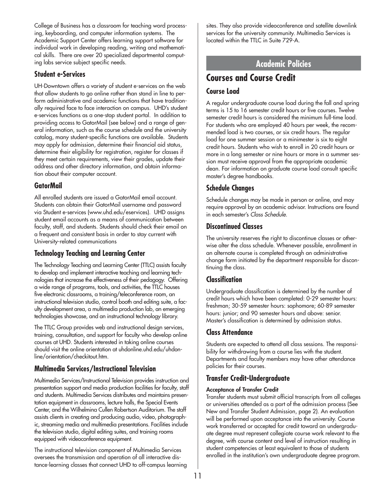College of Business has a classroom for teaching word processing, keyboarding, and computer information systems. The Academic Support Center offers learning support software for individual work in developing reading, writing and mathematical skills. There are over 20 specialized departmental computing labs service subject specific needs.

### **Student e-Services**

UH-Downtown offers a variety of student e-services on the web that allow students to go online rather than stand in line to perform administrative and academic functions that have traditionally required face to face interaction on campus. UHD's student e-services functions as a one-stop student portal. In addition to providing access to GatorMail (see below) and a range of general information, such as the course schedule and the university catalog, many student-specific functions are available. Students may apply for admission, determine their financial aid status, determine their eligibility for registration, register for classes if they meet certain requirements, view their grades, update their address and other directory information, and obtain information about their computer account.

### **GatorMail**

All enrolled students are issued a GatorMail email account. Students can obtain their GatorMail username and password via Student e-services (www.uhd.edu/eservices). UHD assigns student email accounts as a means of communication between faculty, staff, and students. Students should check their email on a frequent and consistent basis in order to stay current with University-related communications

### **Technology Teaching and Learning Center**

The Technology Teaching and Learning Center (TTLC) assists faculty to develop and implement interactive teaching and learning technologies that increase the effectiveness of their pedagogy. Offering a wide range of programs, tools, and activities, the TTLC houses five electronic classrooms, a training/teleconference room, an instructional television studio, control booth and editing suite, a faculty development area, a multimedia production lab, an emerging technologies showcase, and an instructional technology library.

The TTLC Group provides web and instructional design services, training, consultation, and support for faculty who develop online courses at UHD. Students interested in taking online courses should visit the online orientation at uhdonline.uhd.edu/uhdonline/orientation/checkitout.htm.

### **Multimedia Services/Instructional Television**

Multimedia Services/Instructional Television provides instruction and presentation support and media production facilities for faculty, staff and students. Multimedia Services distributes and maintains presentation equipment in classrooms, lecture halls, the Special Events Center, and the Wilhelmina Cullen Robertson Auditorium. The staff assists clients in creating and producing audio, video, photographic, streaming media and multimedia presentations. Facilities include the television studio, digital editing suites, and training rooms equipped with videoconference equipment.

The instructional television component of Multimedia Services oversees the transmission and operation of all interactive distance-learning classes that connect UHD to off-campus learning sites. They also provide videoconference and satellite downlink services for the university community. Multimedia Services is located within the TTLC in Suite 729-A.

### **Academic Policies**

## **Courses and Course Credit**

### **Course Load**

A regular undergraduate course load during the fall and spring terms is 15 to 16 semester credit hours or five courses. Twelve semester credit hours is considered the minimum full-time load. For students who are employed 40 hours per week, the recommended load is two courses, or six credit hours. The regular load for one summer session or a minimester is six to eight credit hours. Students who wish to enroll in 20 credit hours or more in a long semester or nine hours or more in a summer session must receive approval from the appropriate academic dean. For information on graduate course load consult specific master's degree handbooks.

### **Schedule Changes**

Schedule changes may be made in person or online, and may require approval by an academic advisor. Instructions are found in each semester's *Class Schedule*.

### **Discontinued Classes**

The university reserves the right to discontinue classes or otherwise alter the class schedule. Whenever possible, enrollment in an alternate course is completed through an administrative change form initiated by the department responsible for discontinuing the class.

### **Classification**

Undergraduate classification is determined by the number of credit hours which have been completed: 0-29 semester hours: freshman; 30-59 semester hours: sophomore; 60-89 semester hours: junior; and 90 semester hours and above: senior. Master's classification is determined by admission status.

### **Class Attendance**

Students are expected to attend all class sessions. The responsibility for withdrawing from a course lies with the student. Departments and faculty members may have other attendance policies for their courses.

### **Transfer Credit-Undergraduate**

#### **Acceptance of Transfer Credit**

Transfer students must submit official transcripts from all colleges or universities attended as a part of the admission process (See New and Transfer Student Admission, page 2). An evaluation will be performed upon acceptance into the university. Course work transferred or accepted for credit toward an undergraduate degree must represent collegiate course work relevant to the degree, with course content and level of instruction resulting in student competencies at least equivalent to those of students enrolled in the institution's own undergraduate degree program.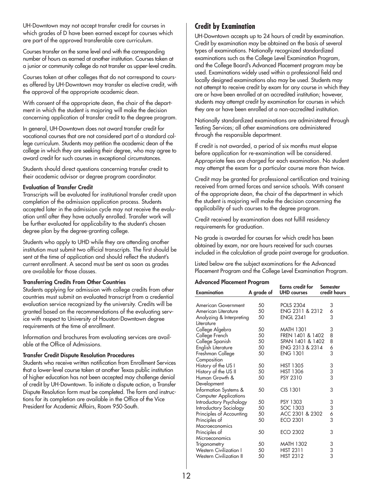UH-Downtown may not accept transfer credit for courses in which grades of D have been earned except for courses which are part of the approved transferable core curriculum.

Courses transfer on the same level and with the corresponding number of hours as earned at another institution. Courses taken at a junior or community college do not transfer as upper-level credits.

Courses taken at other colleges that do not correspond to courses offered by UH-Downtown may transfer as elective credit, with the approval of the appropriate academic dean.

With consent of the appropriate dean, the chair of the department in which the student is majoring will make the decision concerning application of transfer credit to the degree program.

In general, UH-Downtown does not award transfer credit for vocational courses that are not considered part of a standard college curriculum. Students may petition the academic dean of the college in which they are seeking their degree, who may agree to award credit for such courses in exceptional circumstances.

Students should direct questions concerning transfer credit to their academic advisor or degree program coordinator.

#### **Evaluation of Transfer Credit**

Transcripts will be evaluated for institutional transfer credit upon completion of the admission application process. Students accepted later in the admission cycle may not receive the evaluation until after they have actually enrolled. Transfer work will be further evaluated for applicability to the student's chosen degree plan by the degree-granting college.

Students who apply to UHD while they are attending another institution must submit two official transcripts. The first should be sent at the time of application and should reflect the student's current enrollment. A second must be sent as soon as grades are available for those classes.

#### **Transferring Credits From Other Countries**

Students applying for admission with college credits from other countries must submit an evaluated transcript from a credential evaluation service recognized by the university. Credits will be granted based on the recommendations of the evaluating service with respect to University of Houston-Downtown degree requirements at the time of enrollment.

Information and brochures from evaluating services are available at the Office of Admissions.

#### **Transfer Credit Dispute Resolution Procedures**

Students who receive written notification from Enrollment Services that a lower-level course taken at another Texas public institution of higher education has not been accepted may challenge denial of credit by UH-Downtown. To initiate a dispute action, a Transfer Dispute Resolution form must be completed. The form and instructions for its completion are available in the Office of the Vice President for Academic Affairs, Room 950-South.

### **Credit by Examination**

UH-Downtown accepts up to 24 hours of credit by examination. Credit by examination may be obtained on the basis of several types of examinations. Nationally recognized standardized examinations such as the College Level Examination Program, and the College Board's Advanced Placement program may be used. Examinations widely used within a professional field and locally designed examinations also may be used. Students may not attempt to receive credit by exam for any course in which they are or have been enrolled at an accredited institution; however, students may attempt credit by examination for courses in which they are or have been enrolled at a non-accredited institution.

Nationally standardized examinations are administered through Testing Services; all other examinations are administered through the responsible department.

If credit is not awarded, a period of six months must elapse before application for re-examination will be considered. Appropriate fees are charged for each examination. No student may attempt the exam for a particular course more than twice.

Credit may be granted for professional certification and training received from armed forces and service schools. With consent of the appropriate dean, the chair of the department in which the student is majoring will make the decision concerning the applicability of such courses to the degree program.

Credit received by examination does not fulfill residency requirements for graduation.

No grade is awarded for courses for which credit has been obtained by exam, nor are hours received for such courses included in the calculation of grade point average for graduation.

Listed below are the subject examinations for the Advanced Placement Program and the College Level Examination Program.

#### **Advanced Placement Program**

|                                |            | Earns credit for   | <b>Semester</b> |
|--------------------------------|------------|--------------------|-----------------|
| <b>Examination</b>             | A grade of | <b>UHD</b> courses | credit hours    |
|                                |            |                    |                 |
| American Government            | 50         | <b>POLS 2304</b>   | 3               |
| American Literature            | 50         | ENG 2311 & 2312    | 6<br>3          |
| Analyzing & Interpreting       | 50         | <b>ENGL 2341</b>   |                 |
| Literature                     |            |                    |                 |
| College Algebra                | 50         | <b>MATH 1301</b>   | 3               |
| College French                 | 50         | FREN 1401 & 1402   | 8               |
| College Spanish                | 50         | SPAN 1401 & 1402   | 8               |
| English Literature             | 50         | ENG 2313 & 2314    | 6               |
| Freshman College               | 50         | <b>ENG 1301</b>    | 3               |
| Composition                    |            |                    |                 |
| History of the US I            | 50         | <b>HIST 1305</b>   |                 |
| History of the US II           | 50         | <b>HIST 1306</b>   | 3<br>3<br>3     |
| Human Growth &                 | 50         | <b>PSY 2310</b>    |                 |
| Development                    |            |                    |                 |
| Information Systems &          | 50         | CIS 1301           | 3               |
| <b>Computer Applications</b>   |            |                    |                 |
| Introductory Psychology        | 50         | PSY 1303           |                 |
| Introductory Sociology         | 50         | SOC 1303           | 3363            |
| Principles of Accounting       | 50         | ACC 2301 & 2302    |                 |
| Principles of                  | 50         | ECO 2301           |                 |
| Macroeconomics                 |            |                    |                 |
| Principles of                  | 50         | ECO 2302           | 3               |
| Microeconomics                 |            |                    |                 |
| Trigonometry                   | 50         | <b>MATH 1302</b>   |                 |
| <b>Western Civilization I</b>  | 50         | <b>HIST 2311</b>   | 3<br>3<br>3     |
| <b>Western Civilization II</b> | 50         | <b>HIST 2312</b>   |                 |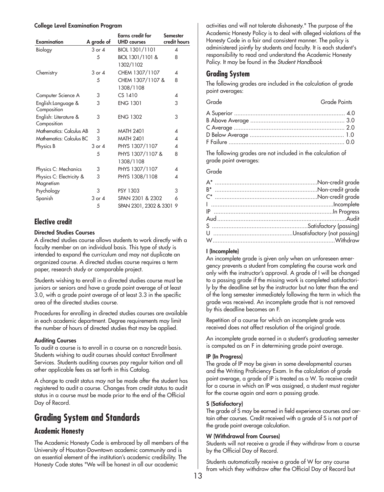#### **College Level Examination Program**

| <b>Examination</b>                    | A grade of | <b>Earns credit for</b><br><b>UHD</b> courses | <b>Semester</b><br>credit hours |
|---------------------------------------|------------|-----------------------------------------------|---------------------------------|
| Biology                               | 3 or 4     | BIOL 1301/1101                                | 4                               |
|                                       | 5          | BIOL 1301/1101 &                              | 8                               |
|                                       |            | 1302/1102                                     |                                 |
| Chemistry                             | 3 or 4     | CHEM 1307/1107                                | $\boldsymbol{\varDelta}$        |
|                                       | 5          | CHEM 1307/1107 &                              | 8                               |
|                                       |            | 1308/1108                                     |                                 |
| Computer Science A                    | 3          | $CS$ 1410                                     | 4                               |
| English:Language &<br>Composition     | 3          | <b>ENG 1301</b>                               | 3                               |
| English: Literature &<br>Composition  | 3          | <b>ENG 1302</b>                               | 3                               |
| Mathematics: Calculus AB              | 3          | <b>MATH 2401</b>                              | 4                               |
| Mathematics: Calculus BC              | 3          | <b>MATH 2401</b>                              | 4                               |
| Physics B                             | $3$ or $4$ | PHYS 1307/1107                                | 4                               |
|                                       | 5          | PHYS 1307/1107 &                              | 8                               |
|                                       |            | 1308/1108                                     |                                 |
| Physics C: Mechanics                  | 3          | PHYS 1307/1107                                | 4                               |
| Physics C: Electricity &<br>Magnetism | 3          | PHYS 1308/1108                                | 4                               |
| Psychology                            | 3          | PSY 1303                                      | 3                               |
| Spanish                               | $3$ or $4$ | SPAN 2301 & 2302                              | 6                               |
|                                       | 5          | SPAN 2301, 2302 & 3301                        | 9                               |

### **Elective credit**

#### **Directed Studies Courses**

A directed studies course allows students to work directly with a faculty member on an individual basis. This type of study is intended to expand the curriculum and may not duplicate an organized course. A directed studies course requires a term paper, research study or comparable project.

Students wishing to enroll in a directed studies course must be juniors or seniors and have a grade point average of at least 3.0, with a grade point average of at least 3.3 in the specific area of the directed studies course.

Procedures for enrolling in directed studies courses are available in each academic department. Degree requirements may limit the number of hours of directed studies that may be applied.

#### **Auditing Courses**

To audit a course is to enroll in a course on a noncredit basis. Students wishing to audit courses should contact Enrollment Services. Students auditing courses pay regular tuition and all other applicable fees as set forth in this Catalog.

A change to credit status may not be made after the student has registered to audit a course. Changes from credit status to audit status in a course must be made prior to the end of the Official Day of Record.

## **Grading System and Standards**

#### **Academic Honesty**

The Academic Honesty Code is embraced by all members of the University of Houston-Downtown academic community and is an essential element of the institution's academic credibility. The Honesty Code states "We will be honest in all our academic

activities and will not tolerate dishonesty." The purpose of the Academic Honesty Policy is to deal with alleged violations of the Honesty Code in a fair and consistent manner. The policy is administered jointly by students and faculty. It is each student's responsibility to read and understand the Academic Honesty Policy. It may be found in the *Student Handbook* 

### **Grading System**

The following grades are included in the calculation of grade point averages:

| Grade | Grade Points |
|-------|--------------|
|       |              |
|       |              |
|       |              |
|       |              |
|       |              |

The following grades are not included in the calculation of grade point averages:

#### Grade

#### **I (Incomplete)**

An incomplete grade is given only when an unforeseen emergency prevents a student from completing the course work and only with the instructor's approval. A grade of I will be changed to a passing grade if the missing work is completed satisfactorily by the deadline set by the instructor but no later than the end of the long semester immediately following the term in which the grade was received. An incomplete grade that is not removed by this deadline becomes an F.

Repetition of a course for which an incomplete grade was received does not affect resolution of the original grade.

An incomplete grade earned in a student's graduating semester is computed as an F in determining grade point average.

#### **IP (In Progress)**

The grade of IP may be given in some developmental courses and the Writing Proficiency Exam. In the calculation of grade point average, a grade of IP is treated as a W. To receive credit for a course in which an IP was assigned, a student must register for the course again and earn a passing grade.

#### **S (Satisfactory)**

The grade of S may be earned in field experience courses and certain other courses. Credit received with a grade of S is not part of the grade point average calculation.

#### **W (Withdrawal from Courses)**

Students will not receive a grade if they withdraw from a course by the Official Day of Record.

Students automatically receive a grade of W for any course from which they withdraw after the Official Day of Record but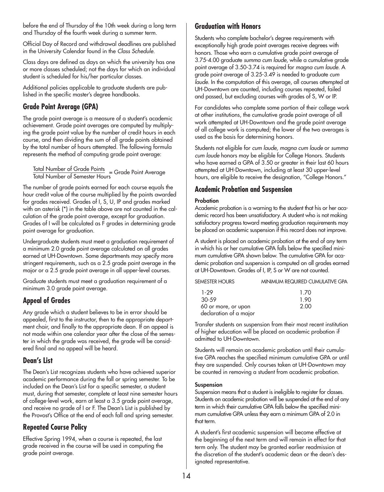before the end of Thursday of the 10th week during a long term and Thursday of the fourth week during a summer term.

Official Day of Record and withdrawal deadlines are published in the University Calendar found in the *Class Schedule*.

Class days are defined as days on which the university has one or more classes scheduled; not the days for which an individual student is scheduled for his/her particular classes.

Additional policies applicable to graduate students are published in the specific master's degree handbooks.

### **Grade Point Average (GPA)**

The grade point average is a measure of a student's academic achievement. Grade point averages are computed by multiplying the grade point value by the number of credit hours in each course, and then dividing the sum of all grade points obtained by the total number of hours attempted. The following formula represents the method of computing grade point average:

Total Number of Grade Points<br>Total Number of Semester Hours

The number of grade points earned for each course equals the hour credit value of the course multiplied by the points awarded for grades received. Grades of I, S, U, IP and grades marked with an asterisk (\*) in the table above are not counted in the calculation of the grade point average, except for graduation. Grades of I will be calculated as F grades in determining grade point average for graduation.

Undergraduate students must meet a graduation requirement of a minimum 2.0 grade point average calculated on all grades earned at UH-Downtown. Some departments may specify more stringent requirements, such as a 2.5 grade point average in the major or a 2.5 grade point average in all upper-level courses.

Graduate students must meet a graduation requirement of a minimum 3.0 grade point average.

### **Appeal of Grades**

Any grade which a student believes to be in error should be appealed, first to the instructor, then to the appropriate department chair, and finally to the appropriate dean. If an appeal is not made within one calendar year after the close of the semester in which the grade was received, the grade will be considered final and no appeal will be heard.

### **Dean's List**

The Dean's List recognizes students who have achieved superior academic performance during the fall or spring semester. To be included on the Dean's List for a specific semester, a student must, during that semester, complete at least nine semester hours of college-level work, earn at least a 3.5 grade point average, and receive no grade of I or F. The Dean's List is published by the Provost's Office at the end of each fall and spring semester.

### **Repeated Course Policy**

Effective Spring 1994, when a course is repeated, the last grade received in the course will be used in computing the grade point average.

### **Graduation with Honors**

Students who complete bachelor's degree requirements with exceptionally high grade point averages receive degrees with honors. Those who earn a cumulative grade point average of 3.75-4.00 graduate *summa cum laude*, while a cumulative grade point average of 3.50-3.74 is required for *magna cum laude*. A grade point average of 3.25-3.49 is needed to graduate *cum laude*. In the computation of this average, all courses attempted at UH-Downtown are counted, including courses repeated, failed and passed, but excluding courses with grades of S, W or IP.

For candidates who complete some portion of their college work at other institutions, the cumulative grade point average of all work attempted at UH-Downtown and the grade point average of all college work is computed; the lower of the two averages is used as the basis for determining honors.

Students not eligible for *cum laude, magna cum laude* or *summa cum laude* honors may be eligible for College Honors. Students who have earned a GPA of 3.50 or greater in their last 60 hours attempted at UH-Downtown, including at least 30 upper-level hours, are eligible to receive the designation, "College Honors."

### **Academic Probation and Suspension**

### **Probation**

Academic probation is a warning to the student that his or her academic record has been unsatisfactory. A student who is not making satisfactory progress toward meeting graduation requirements may be placed on academic suspension if this record does not improve.

A student is placed on academic probation at the end of any term in which his or her cumulative GPA falls below the specified minimum cumulative GPA shown below. The cumulative GPA for academic probation and suspension is computed on all grades earned at UH-Downtown. Grades of I, IP, S or W are not counted.

| <b>SEMESTER HOURS</b>  | MINIMUM REQUIRED CUMULATIVE GPA |
|------------------------|---------------------------------|
| 1-29                   | 1.70                            |
| $30-59$                | 1.90                            |
| 60 or more, or upon    | 2.00                            |
| declaration of a major |                                 |

Transfer students on suspension from their most recent institution of higher education will be placed on academic probation if admitted to UH-Downtown.

Students will remain on academic probation until their cumulative GPA reaches the specified minimum cumulative GPA or until they are suspended. Only courses taken at UH-Downtown may be counted in removing a student from academic probation.

#### **Suspension**

Suspension means that a student is ineligible to register for classes. Students on academic probation will be suspended at the end of any term in which their cumulative GPA falls below the specified minimum cumulative GPA unless they earn a minimum GPA of 2.0 in that term.

A student's first academic suspension will become effective at the beginning of the next term and will remain in effect for that term only. The student may be granted earlier readmission at the discretion of the student's academic dean or the dean's designated representative.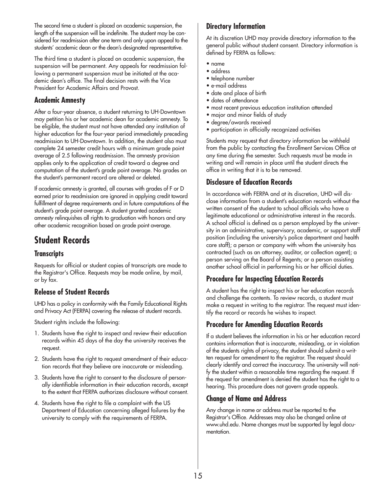The second time a student is placed on academic suspension, the length of the suspension will be indefinite. The student may be considered for readmission after one term and only upon appeal to the students' academic dean or the dean's designated representative.

The third time a student is placed on academic suspension, the suspension will be permanent. Any appeals for readmission following a permanent suspension must be initiated at the academic dean's office. The final decision rests with the Vice President for Academic Affairs and Provost.

### **Academic Amnesty**

After a four-year absence, a student returning to UH-Downtown may petition his or her academic dean for academic amnesty. To be eligible, the student must not have attended any institution of higher education for the four-year period immediately preceding readmission to UH-Downtown. In addition, the student also must complete 24 semester credit hours with a minimum grade point average of 2.5 following readmission. The amnesty provision applies only to the application of credit toward a degree and computation of the student's grade point average. No grades on the student's permanent record are altered or deleted.

If academic amnesty is granted, all courses with grades of F or D earned prior to readmission are ignored in applying credit toward fulfillment of degree requirements and in future computations of the student's grade point average. A student granted academic amnesty relinquishes all rights to graduation with honors and any other academic recognition based on grade point average.

## **Student Records**

### **Transcripts**

Requests for official or student copies of transcripts are made to the Registrar's Office. Requests may be made online, by mail, or by fax.

### **Release of Student Records**

UHD has a policy in conformity with the Family Educational Rights and Privacy Act (FERPA) covering the release of student records.

Student rights include the following:

- 1. Students have the right to inspect and review their education records within 45 days of the day the university receives the request.
- 2. Students have the right to request amendment of their education records that they believe are inaccurate or misleading.
- 3. Students have the right to consent to the disclosure of personally identifiable information in their education records, except to the extent that FERPA authorizes disclosure without consent.
- 4. Students have the right to file a complaint with the US Department of Education concerning alleged failures by the university to comply with the requirements of FERPA.

### **Directory Information**

At its discretion UHD may provide directory information to the general public without student consent. Directory information is defined by FERPA as follows:

- name
- address
- telephone number
- e-mail address
- date and place of birth
- dates of attendance
- most recent previous education institution attended
- major and minor fields of study
- degree/awards received
- participation in officially recognized activities

Students may request that directory information be withheld from the public by contacting the Enrollment Services Office at any time during the semester. Such requests must be made in writing and will remain in place until the student directs the office in writing that it is to be removed.

### **Disclosure of Education Records**

In accordance with FERPA and at its discretion, UHD will disclose information from a student's education records without the written consent of the student to school officials who have a legitimate educational or administrative interest in the records. A school official is defined as a person employed by the university in an administrative, supervisory, academic, or support staff position (including the university's police department and health care staff); a person or company with whom the university has contracted (such as an attorney, auditor, or collection agent); a person serving on the Board of Regents; or a person assisting another school official in performing his or her official duties.

### **Procedure for Inspecting Education Records**

A student has the right to inspect his or her education records and challenge the contents. To review records, a student must make a request in writing to the registrar. The request must identify the record or records he wishes to inspect.

### **Procedure for Amending Education Records**

If a student believes the information in his or her education record contains information that is inaccurate, misleading, or in violation of the students rights of privacy, the student should submit a written request for amendment to the registrar. The request should clearly identify and correct the inaccuracy. The university will notify the student within a reasonable time regarding the request. If the request for amendment is denied the student has the right to a hearing. This procedure does not govern grade appeals.

### **Change of Name and Address**

Any change in name or address must be reported to the Registrar's Office. Addresses may also be changed online at www.uhd.edu. Name changes must be supported by legal documentation.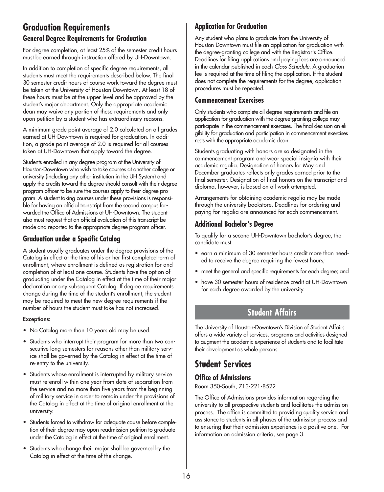## **Graduation Requirements General Degree Requirements for Graduation**

For degree completion, at least 25% of the semester credit hours must be earned through instruction offered by UH-Downtown.

In addition to completion of specific degree requirements, all students must meet the requirements described below. The final 30 semester credit hours of course work toward the degree must be taken at the University of Houston-Downtown. At least 18 of these hours must be at the upper level and be approved by the student's major department. Only the appropriate academic dean may waive any portion of these requirements and only upon petition by a student who has extraordinary reasons.

A minimum grade point average of 2.0 calculated on all grades earned at UH-Downtown is required for graduation. In addition, a grade point average of 2.0 is required for all courses taken at UH-Downtown that apply toward the degree.

Students enrolled in any degree program at the University of Houston-Downtown who wish to take courses at another college or university (including any other institution in the UH System) and apply the credits toward the degree should consult with their degree program officer to be sure the courses apply to their degree program. A student taking courses under these provisions is responsible for having an official transcript from the second campus forwarded the Office of Admissions at UH-Downtown. The student also must request that an official evaluation of this transcript be made and reported to the appropriate degree program officer.

### **Graduation under a Specific Catalog**

A student usually graduates under the degree provisions of the Catalog in effect at the time of his or her first completed term of enrollment; where enrollment is defined as registration for and completion of at least one course. Students have the option of graduating under the Catalog in effect at the time of their major declaration or any subsequent Catalog. If degree requirements change during the time of the student's enrollment, the student may be required to meet the new degree requirements if the number of hours the student must take has not increased.

#### **Exceptions:**

- No Catalog more than 10 years old may be used.
- Students who interrupt their program for more than two consecutive long semesters for reasons other than military service shall be governed by the Catalog in effect at the time of re-entry to the university.
- Students whose enrollment is interrupted by military service must re-enroll within one year from date of separation from the service and no more than five years from the beginning of military service in order to remain under the provisions of the Catalog in effect at the time of original enrollment at the university.
- Students forced to withdraw for adequate cause before completion of their degree may upon readmission petition to graduate under the Catalog in effect at the time of original enrollment.
- Students who change their major shall be governed by the Catalog in effect at the time of the change.

### **Application for Graduation**

Any student who plans to graduate from the University of Houston-Downtown must file an application for graduation with the degree-granting college and with the Registrar's Office. Deadlines for filing applications and paying fees are announced in the calendar published in each *Class Schedule*. A graduation fee is required at the time of filing the application. If the student does not complete the requirements for the degree, application procedures must be repeated.

### **Commencement Exercises**

Only students who complete all degree requirements and file an application for graduation with the degree-granting college may participate in the commencement exercises. The final decision on eligibility for graduation and participation in commencement exercises rests with the appropriate academic dean.

Students graduating with honors are so designated in the commencement program and wear special insignia with their academic regalia. Designation of honors for May and December graduates reflects only grades earned prior to the final semester. Designation of final honors on the transcript and diploma, however, is based on all work attempted.

Arrangements for obtaining academic regalia may be made through the university bookstore. Deadlines for ordering and paying for regalia are announced for each commencement.

### **Additional Bachelor's Degree**

To qualify for a second UH-Downtown bachelor's degree, the candidate must:

- earn a minimum of 30 semester hours credit more than needed to receive the degree requiring the fewest hours;
- meet the general and specific requirements for each degree; and
- have 30 semester hours of residence credit at UH-Downtown for each degree awarded by the university.

## **Student Affairs**

The University of Houston-Downtown's Division of Student Affairs offers a wide variety of services, programs and activities designed to augment the academic experience of students and to facilitate their development as whole persons.

## **Student Services**

### **Office of Admissions**

Room 350-South, 713-221-8522

The Office of Admissions provides information regarding the university to all prospective students and facilitates the admission process. The office is committed to providing quality service and assistance to students in all phases of the admission process and to ensuring that their admission experience is a positive one. For information on admission criteria, see page 3.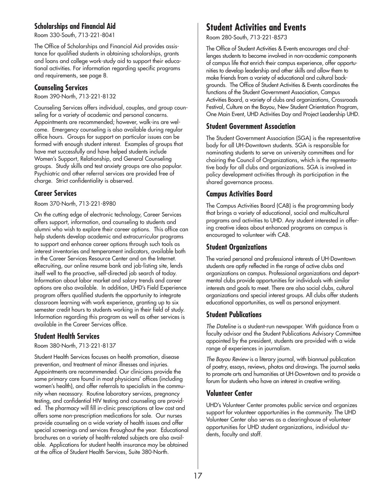### **Scholarships and Financial Aid**

Room 330-South, 713-221-8041

The Office of Scholarships and Financial Aid provides assistance for qualified students in obtaining scholarships, grants and loans and college work-study aid to support their educational activities. For information regarding specific programs and requirements, see page 8.

### **Counseling Services**

Room 390-North, 713-221-8132

Counseling Services offers individual, couples, and group counseling for a variety of academic and personal concerns. Appointments are recommended; however, walk-ins are welcome. Emergency counseling is also available during regular office hours. Groups for support on particular issues can be formed with enough student interest. Examples of groups that have met successfully and have helped students include Women's Support, Relationship, and General Counseling groups. Study skills and test anxiety groups are also popular. Psychiatric and other referral services are provided free of charge. Strict confidentiality is observed.

### **Career Services**

Room 370-North, 713-221-8980

On the cutting edge of electronic technology, Career Services offers support, information, and counseling to students and alumni who wish to explore their career options. This office can help students develop academic and extracurricular programs to support and enhance career options through such tools as interest inventories and temperament indicators, available both in the Career Services Resource Center and on the Internet. eRecruiting, our online resume bank and job-listing site, lends itself well to the proactive, self-directed job search of today. Information about labor market and salary trends and career options are also available. In addition, UHD's Field Experience program offers qualified students the opportunity to integrate classroom learning with work experience, granting up to six semester credit hours to students working in their field of study. Information regarding this program as well as other services is available in the Career Services office.

### **Student Health Services**

Room 380-North, 713-221-8137

Student Health Services focuses on health promotion, disease prevention, and treatment of minor illnesses and injuries. Appointments are recommmended. Our clinicians provide the same primary care found in most physicians' offices (including women's health), and offer referrals to specialists in the community when necessary. Routine laboratory services, pregnancy testing, and confidential HIV testing and counseling are provided. The pharmacy will fill in-clinic prescriptions at low cost and offers some non-prescription medications for sale. Our nurses provide counseling on a wide variety of health issues and offer special screenings and services throughout the year. Educational brochures on a variety of health-related subjects are also available. Applications for student health insurance may be obtained at the office of Student Health Services, Suite 380-North.

## **Student Activities and Events**

Room 280-South, 713-221-8573

The Office of Student Activities & Events encourages and challenges students to become involved in non-academic components of campus life that enrich their campus experience, offer opportunities to develop leadership and other skills and allow them to make friends from a variety of educational and cultural backgrounds. The Office of Student Activities & Events coordinates the functions of the Student Government Association, Campus Activities Board, a variety of clubs and organizations, Crossroads Festival, Culture on the Bayou, New Student Orientation Program, One Main Event, UHD Activities Day and Project Leadership UHD.

### **Student Government Association**

The Student Government Association (SGA) is the representative body for all UH-Downtown students. SGA is responsible for nominating students to serve on university committees and for chairing the Council of Organizations, which is the representative body for all clubs and organizations. SGA is involved in policy development activities through its participation in the shared governance process.

### **Campus Activities Board**

The Campus Activities Board (CAB) is the programming body that brings a variety of educational, social and multicultural programs and activities to UHD. Any student interested in offering creative ideas about enhanced programs on campus is encouraged to volunteer with CAB.

### **Student Organizations**

The varied personal and professional interests of UH-Downtown students are aptly reflected in the range of active clubs and organizations on campus. Professional organizations and departmental clubs provide opportunities for individuals with similar interests and goals to meet. There are also social clubs, cultural organizations and special interest groups. All clubs offer students educational opportunities, as well as personal enjoyment.

### **Student Publications**

*The Dateline* is a student-run newspaper. With guidance from a faculty advisor and the Student Publications Advisory Committee appointed by the president, students are provided with a wide range of experiences in journalism.

*The Bayou Review* is a literary journal, with biannual publication of poetry, essays, reviews, photos and drawings. The journal seeks to promote arts and humanities at UH-Downtown and to provide a forum for students who have an interest in creative writing.

### **Volunteer Center**

UHD's Volunteer Center promotes public service and organizes support for volunteer opportunities in the community. The UHD Volunteer Center also serves as a clearinghouse of volunteer opportunities for UHD student organizations, individual students, faculty and staff.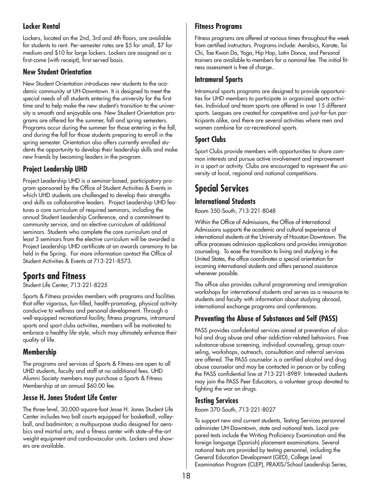### **Locker Rental**

Lockers, located on the 2nd, 3rd and 4th floors, are available for students to rent. Per-semester rates are \$5 for small, \$7 for medium and \$10 for large lockers. Lockers are assigned on a first-come (with receipt), first-served basis.

### **New Student Orientation**

New Student Orientation introduces new students to the academic community at UH-Downtown. It is designed to meet the special needs of all students entering the university for the first time and to help make the new student's transition to the university a smooth and enjoyable one. New Student Orientation programs are offered for the summer, fall and spring semesters. Programs occur during the summer for those entering in the fall, and during the fall for those students preparing to enroll in the spring semester. Orientation also offers currently enrolled students the opportunity to develop their leadership skills and make new friends by becoming leaders in the program.

### **Project Leadership UHD**

Project Leadership UHD is a seminar-based, participatory program sponsored by the Office of Student Activities & Events in which UHD students are challenged to develop their strengths and skills as collaborative leaders. Project Leadership UHD features a core curriculum of required seminars, including the annual Student Leadership Conference, and a commitment to community service, and an elective curriculum of additional seminars. Students who complete the core curriculum and at least 3 seminars from the elective curriculum will be awarded a Project Leadership UHD certificate at an awards ceremony to be held in the Spring. For more information contact the Office of Student Activities & Events at 713-221-8573.

## **Sports and Fitness**

Student Life Center, 713-221-8225

Sports & Fitness provides members with programs and facilities that offer vigorous, fun-filled, health-promoting, physical activity conducive to wellness and personal development. Through a well-equipped recreational facility, fitness programs, intramural sports and sport clubs activities, members will be motivated to embrace a healthy life-style, which may ultimately enhance their quality of life.

### **Membership**

The programs and services of Sports & Fitness are open to all UHD students, faculty and staff at no additional fees. UHD Alumni Society members may purchase a Sports & Fitness Membership at an annual \$60.00 fee.

### **Jesse H. Jones Student Life Center**

The three-level, 30,000-square-foot Jesse H. Jones Student Life Center includes two ball courts equipped for basketball, volleyball, and badminton; a multipurpose studio designed for aerobics and martial arts; and a fitness center with state-of-the-art weight equipment and cardiovascular units. Lockers and showers are available.

### **Fitness Programs**

Fitness programs are offered at various times throughout the week from certified instructors. Programs include: Aerobics, Karate, Tai Chi, Tae Kwon Do, Yoga, Hip Hop, Latin Dance, and Personal trainers are available to members for a nominal fee. The initial fitness assessment is free of charge..

### **Intramural Sports**

Intramural sports programs are designed to provide opportunities for UHD members to participate in organized sports activities. Individual and team sports are offered in over 15 different sports. Leagues are created for competitive and just-for-fun participants alike, and there are several activities where men and women combine for co-recreational sports.

### **Sport Clubs**

Sport Clubs provide members with opportunities to share common interests and pursue active involvement and improvement in a sport or activity. Clubs are encouraged to represent the university at local, regional and national competitions.

## **Special Services**

### **International Students**

Room 350-South, 713-221-8048

Within the Office of Admissions, the Office of International Admissions supports the academic and cultural experience of international students at the University of Houston-Downtown. The office processes admission applications and provides immigration counseling. To ease the transition to living and studying in the United States, the office coordinates a special orientation for incoming international students and offers personal assistance whenever possible.

The office also provides cultural programming and immigration workshops for international students and serves as a resource to students and faculty with information about studying abroad, international exchange programs and conferences.

### **Preventing the Abuse of Substances and Self (PASS)**

PASS provides confidential services aimed at prevention of alcohol and drug abuse and other addiction-related behaviors. Free substance-abuse screening, individual counseling, group counseling, workshops, outreach, consultation and referral services are offered. The PASS counselor is a certified alcohol and drug abuse counselor and may be contacted in person or by calling the PASS confidential line at 713-221-8989. Interested students may join the PASS Peer Educators, a volunteer group devoted to fighting the war on drugs.

### **Testing Services**

Room 370-South, 713-221-8027

To support new and current students, Testing Services personnel administer UH-Downtown, state and national tests. Local prepared tests include the Writing Proficiency Examination and the foreign language (Spanish) placement examinations. Several national tests are provided by testing personnel, including the General Education Development (GED), College Level Examination Program (CLEP), PRAXIS/School Leadership Series,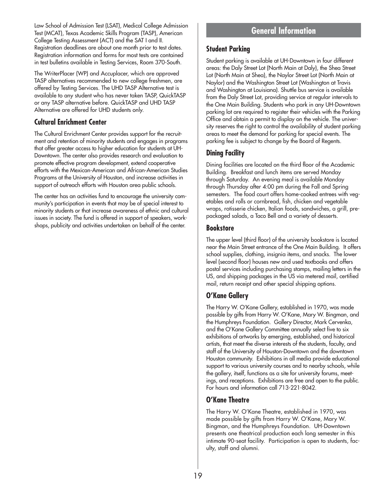Law School of Admission Test (LSAT), Medical College Admission Test (MCAT), Texas Academic Skills Program (TASP), American College Testing Assessment (ACT) and the SAT I and II. Registration deadlines are about one month prior to test dates. Registration information and forms for most tests are contained in test bulletins available in Testing Services, Room 370-South.

The WriterPlacer (WP) and Accuplacer, which are approved TASP alternatives recommended to new college freshmen, are offered by Testing Services. The UHD TASP Alternative test is available to any student who has never taken TASP, QuickTASP or any TASP alternative before. QuickTASP and UHD TASP Alternative are offered for UHD students only.

### **Cultural Enrichment Center**

The Cultural Enrichment Center provides support for the recruitment and retention of minority students and engages in programs that offer greater access to higher education for students at UH-Downtown. The center also provides research and evaluation to promote effective program development, extend cooperative efforts with the Mexican-American and African-American Studies Programs at the University of Houston, and increase activities in support of outreach efforts with Houston area public schools.

The center has an activities fund to encourage the university community's participation in events that may be of special interest to minority students or that increase awareness of ethnic and cultural issues in society. The fund is offered in support of speakers, workshops, publicity and activities undertaken on behalf of the center.

## **General Information**

### **Student Parking**

Student parking is available at UH-Downtown in four different areas: the Daly Street Lot (North Main at Daly), the Shea Street Lot (North Main at Shea), the Naylor Street Lot (North Main at Naylor) and the Washington Street Lot (Washington at Travis and Washington at Louisiana). Shuttle bus service is available from the Daly Street Lot, providing service at regular intervals to the One Main Building. Students who park in any UH-Downtown parking lot are required to register their vehicles with the Parking Office and obtain a permit to display on the vehicle. The university reserves the right to control the availability of student parking areas to meet the demand for parking for special events. The parking fee is subject to change by the Board of Regents.

### **Dining Facility**

Dining facilities are located on the third floor of the Academic Building. Breakfast and lunch items are served Monday through Saturday. An evening meal is available Monday through Thursday after 4:00 pm during the Fall and Spring semesters. The food court offers home-cooked entrees with vegetables and rolls or cornbread, fish, chicken and vegetable wraps, rotisserie chicken, Italian foods, sandwiches, a grill, prepackaged salads, a Taco Bell and a variety of desserts.

### **Bookstore**

The upper level (third floor) of the university bookstore is located near the Main Street entrance of the One Main Building. It offers school supplies, clothing, insignia items, and snacks. The lower level (second floor) houses new and used textbooks and offers postal services including purchasing stamps, mailing letters in the US, and shipping packages in the US via metered mail, certified mail, return receipt and other special shipping options.

### **O'Kane Gallery**

The Harry W. O'Kane Gallery, established in 1970, was made possible by gifts from Harry W. O'Kane, Mary W. Bingman, and the Humphreys Foundation. Gallery Director, Mark Cervenka, and the O'Kane Gallery Committee annually select five to six exhibitions of artworks by emerging, established, and historical artists, that meet the diverse interests of the students, faculty, and staff of the University of Houston-Downtown and the downtown Houston community. Exhibitions in all media provide educational support to various university courses and to nearby schools, while the gallery, itself, functions as a site for university forums, meetings, and receptions. Exhibitions are free and open to the public. For hours and information call 713-221-8042.

### **O'Kane Theatre**

The Harry W. O'Kane Theatre, established in 1970, was made possible by gifts from Harry W. O'Kane, Mary W. Bingman, and the Humphreys Foundation. UH-Downtown presents one theatrical production each long semester in this intimate 90-seat facility. Participation is open to students, faculty, staff and alumni.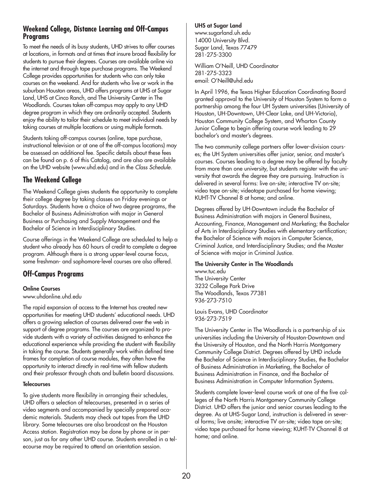### **Weekend College, Distance Learning and Off-Campus Programs**

To meet the needs of its busy students, UHD strives to offer courses at locations, in formats and at times that insure broad flexibility for students to pursue their degrees. Courses are available online via the internet and through tape purchase programs. The Weekend College provides opportunities for students who can only take courses on the weekend. And for students who live or work in the suburban Houston areas, UHD offers programs at UHS at Sugar Land, UHS at Cinco Ranch, and The University Center in The Woodlands. Courses taken off-campus may apply to any UHD degree program in which they are ordinarily accepted. Students enjoy the ability to tailor their schedule to meet individual needs by taking courses at multiple locations or using multiple formats.

Students taking off-campus courses (online, tape purchase, instructional television or at one of the off-campus locations) may be assessed an additional fee. Specific details about these fees can be found on p. 6 of this Catalog, and are also are available on the UHD website (www.uhd.edu) and in the *Class Schedule*.

### **The Weekend College**

The Weekend College gives students the opportunity to complete their college degree by taking classes on Friday evenings or Saturdays. Students have a choice of two degree programs, the Bachelor of Business Administration with major in General Business or Purchasing and Supply Management and the Bachelor of Science in Interdisciplinary Studies.

Course offerings in the Weekend College are scheduled to help a student who already has 60 hours of credit to complete a degree program. Although there is a strong upper-level course focus, some freshman- and sophomore-level courses are also offered.

### **Off-Campus Programs**

#### **Online Courses**

www.uhdonline.uhd.edu

The rapid expansion of access to the Internet has created new opportunities for meeting UHD students' educational needs. UHD offers a growing selection of courses delivered over the web in support of degree programs. The courses are organized to provide students with a variety of activities designed to enhance the educational experience while providing the student with flexibility in taking the course. Students generally work within defined time frames for completion of course modules, they often have the opportunity to interact directly in real-time with fellow students and their professor through chats and bulletin board discussions.

#### **Telecourses**

To give students more flexibility in arranging their schedules, UHD offers a selection of telecourses, presented in a series of video segments and accompanied by specially prepared academic materials. Students may check out tapes from the UHD library. Some telecourses are also broadcast on the Houston Access station. Registration may be done by phone or in person, just as for any other UHD course. Students enrolled in a telecourse may be required to attend an orientation session.

#### **UHS at Sugar Land**

www.sugarland.uh.edu 14000 University Blvd. Sugar Land, Texas 77479 281-275-3300

William O'Neill, UHD Coordinator 281-275-3323 email: O'Neill@uhd.edu

In April 1996, the Texas Higher Education Coordinating Board granted approval to the University of Houston System to form a partnership among the four UH System universities (University of Houston, UH-Downtown, UH-Clear Lake, and UH-Victoria), Houston Community College System, and Wharton County Junior College to begin offering course work leading to 29 bachelor's and master's degrees.

The two community college partners offer lower-division courses; the UH System universities offer junior, senior, and master's courses. Courses leading to a degree may be offered by faculty from more than one university, but students register with the university that awards the degree they are pursuing. Instruction is delivered in several forms: live on-site; interactive TV on-site; video tape on-site; videotape purchased for home viewing; KUHT-TV Channel 8 at home; and online.

Degrees offered by UH-Downtown include the Bachelor of Business Administration with majors in General Business, Accounting, Finance, Management and Marketing; the Bachelor of Arts in Interdisciplinary Studies with elementary certification; the Bachelor of Science with majors in Computer Science, Criminal Justice, and Interdisciplinary Studies; and the Master of Science with major in Criminal Justice.

#### **The University Center in The Woodlands**

www.tuc.edu The University Center 3232 College Park Drive The Woodlands, Texas 77381 936-273-7510

Louis Evans, UHD Coordinator 936-273-7519

The University Center in The Woodlands is a partnership of six universities including the University of Houston-Downtown and the University of Houston, and the North Harris Montgomery Community College District. Degrees offered by UHD include the Bachelor of Science in Interdisciplinary Studies, the Bachelor of Business Administration in Marketing, the Bachelor of Business Administration in Finance, and the Bachelor of Business Administration in Computer Information Systems.

Students complete lower-level course work at one of the five colleges of the North Harris Montgomery Community College District. UHD offers the junior and senior courses leading to the degree. As at UHS-Sugar Land, instruction is delivered in several forms; live onsite; interactive TV on-site; video tape on-site; video tape purchased for home viewing; KUHT-TV Channel 8 at home; and online.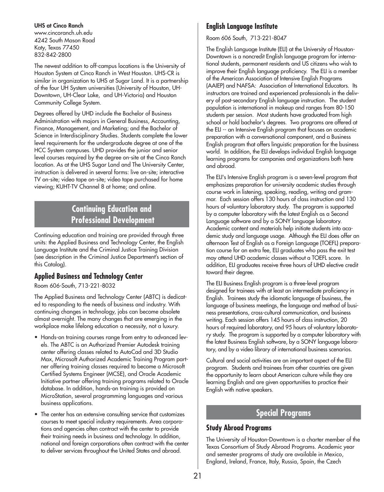#### **UHS at Cinco Ranch**

www.cincoranch.uh.edu 4242 South Mason Road Katy, Texas 77450 832-842-2800

The newest addition to off-campus locations is the University of Houston System at Cinco Ranch in West Houston. UHS-CR is similar in organization to UHS at Sugar Land. It is a partnership of the four UH System universities (University of Houston, UH-Downtown, UH-Clear Lake, and UH-Victoria) and Houston Community College System.

Degrees offered by UHD include the Bachelor of Business Administration with majors in General Business, Accounting, Finance, Management, and Marketing; and the Bachelor of Science in Interdisciplinary Studies. Students complete the lower level requirements for the undergraduate degree at one of the HCC System campuses. UHD provides the junior and senior level courses required by the degree on-site at the Cinco Ranch location. As at the UHS Sugar Land and The University Center, instruction is delivered in several forms: live on-site; interactive TV on-site; video tape on-site; video tape purchased for home viewing; KUHT-TV Channel 8 at home; and online.

## **Continuing Education and Professional Development**

Continuing education and training are provided through three units: the Applied Business and Technology Center, the English Language Institute and the Criminal Justice Training Division (see description in the Criminal Justice Department's section of this Catalog).

### **Applied Business and Technology Center**

Room 606-South, 713-221-8032

The Applied Business and Technology Center (ABTC) is dedicated to responding to the needs of business and industry. With continuing changes in technology, jobs can become obsolete almost overnight. The many changes that are emerging in the workplace make lifelong education a necessity, not a luxury.

- Hands-on training courses range from entry to advanced levels. The ABTC is an Authorized Premier Autodesk training center offering classes related to AutoCad and 3D Studio Max, Microsoft Authorized Academic Training Program partner offering training classes required to become a Microsoft Certified Systems Engineer (MCSE), and Oracle Academic Initiative partner offering training programs related to Oracle database. In addition, hands-on training is provided on MicroStation, several programming languages and various business applications.
- The center has an extensive consulting service that customizes courses to meet special industry requirements. Area corporations and agencies often contract with the center to provide their training needs in business and technology. In addition, national and foreign corporations often contract with the center to deliver services throughout the United States and abroad.

### **English Language Institute**

Room 606 South, 713-221-8047

The English Language Institute (ELI) at the University of Houston-Downtown is a noncredit English language program for international students, permanent residents and US citizens who wish to improve their English language proficiency. The ELI is a member of the American Association of Intensive English Programs (AAIEP) and NAFSA: Association of International Educators. Its instructors are trained and experienced professionals in the delivery of post-secondary English language instruction. The student population is international in makeup and ranges from 80-150 students per session. Most students have graduated from high school or hold bachelor's degrees. Two programs are offered at the ELI -- an Intensive English program that focuses on academic preparation with a conversational component, and a Business English program that offers linguistic preparation for the business world. In addition, the ELI develops individual English language learning programs for companies and organizations both here and abroad.

The ELI's Intensive English program is a seven-level program that emphasizes preparation for university academic studies through course work in listening, speaking, reading, writing and grammar. Each session offers 130 hours of class instruction and 130 hours of voluntary laboratory study. The program is supported by a computer laboratory with the latest English as a Second Language software and by a SONY language laboratory. Academic content and materials help initiate students into academic study and language usage. Although the ELI does offer an afternoon Test of English as a Foreign Language (TOEFL) preparation course for an extra fee, ELI graduates who pass the exit test may attend UHD academic classes without a TOEFL score. In addition, ELI graduates receive three hours of UHD elective credit toward their degree.

The ELI Business English program is a three-level program designed for trainees with at least an intermediate proficiency in English. Trainees study the idiomatic language of business, the language of business meetings, the language and method of business presentations, cross-cultural communication, and business writing. Each session offers 145 hours of class instruction, 20 hours of required laboratory, and 95 hours of voluntary laboratory study. The program is supported by a computer laboratory with the latest Business English software, by a SONY language laboratory, and by a video library of international business scenarios.

Cultural and social activities are an important aspect of the ELI program. Students and trainees from other countries are given the opportunity to learn about American culture while they are learning English and are given opportunities to practice their English with native speakers.

### **Special Programs**

### **Study Abroad Programs**

The University of Houston-Downtown is a charter member of the Texas Consortium of Study Abroad Programs. Academic year and semester programs of study are available in Mexico, England, Ireland, France, Italy, Russia, Spain, the Czech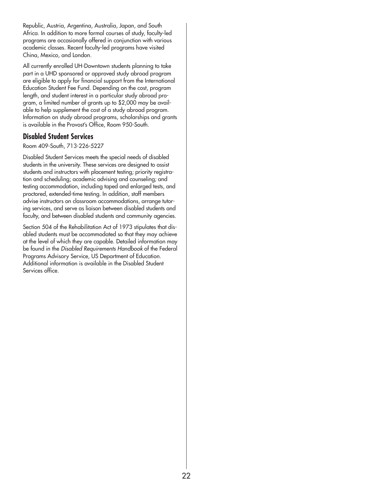Republic, Austria, Argentina, Australia, Japan, and South Africa. In addition to more formal courses of study, faculty-led programs are occasionally offered in conjunction with various academic classes. Recent faculty-led programs have visited China, Mexico, and London.

All currently enrolled UH-Downtown students planning to take part in a UHD sponsored or approved study abroad program are eligible to apply for financial support from the International Education Student Fee Fund. Depending on the cost, program length, and student interest in a particular study abroad program, a limited number of grants up to \$2,000 may be available to help supplement the cost of a study abroad program. Information on study abroad programs, scholarships and grants is available in the Provost's Office, Room 950-South.

### **Disabled Student Services**

Room 409-South, 713-226-5227

Disabled Student Services meets the special needs of disabled students in the university. These services are designed to assist students and instructors with placement testing; priority registration and scheduling; academic advising and counseling; and testing accommodation, including taped and enlarged tests, and proctored, extended-time testing. In addition, staff members advise instructors on classroom accommodations, arrange tutoring services, and serve as liaison between disabled students and faculty, and between disabled students and community agencies.

Section 504 of the Rehabilitation Act of 1973 stipulates that disabled students must be accommodated so that they may achieve at the level of which they are capable. Detailed information may be found in the *Disabled Requirements Handbook* of the Federal Programs Advisory Service, US Department of Education. Additional information is available in the Disabled Student Services office.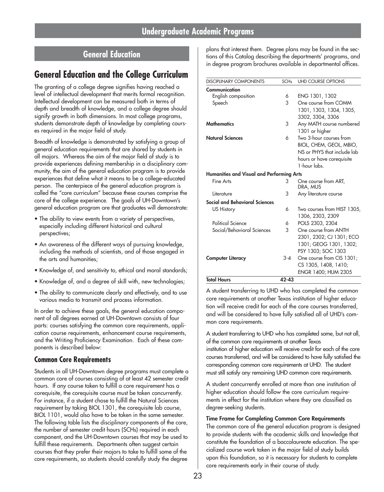## **General Education**

## **General Education and the College Curriculum**

The granting of a college degree signifies having reached a level of intellectual development that merits formal recognition. Intellectual development can be measured both in terms of depth and breadth of knowledge, and a college degree should signify growth in both dimensions. In most college programs, students demonstrate depth of knowledge by completing courses required in the major field of study.

Breadth of knowledge is demonstrated by satisfying a group of general education requirements that are shared by students in all majors. Whereas the aim of the major field of study is to provide experiences defining membership in a disciplinary community, the aim of the general education program is to provide experiences that define what it means to be a college-educated person. The centerpiece of the general education program is called the "core curriculum" because these courses comprise the core of the college experience. The goals of UH-Downtown's general education program are that graduates will demonstrate:

- The ability to view events from a variety of perspectives, especially including different historical and cultural perspectives;
- An awareness of the different ways of pursuing knowledge, including the methods of scientists, and of those engaged in the arts and humanities;
- Knowledge of, and sensitivity to, ethical and moral standards;
- Knowledge of, and a degree of skill with, new technologies;
- The ability to communicate clearly and effectively, and to use various media to transmit and process information.

In order to achieve these goals, the general education component of all degrees earned at UH-Downtown consists of four parts: courses satisfying the common core requirements, application course requirements, enhancement course requirements, and the Writing Proficiency Examination. Each of these components is described below:

### **Common Core Requirements**

Students in all UH-Downtown degree programs must complete a common core of courses consisting of at least 42 semester credit hours. If any course taken to fulfill a core requirement has a corequisite, the corequisite course must be taken concurrently. For instance, if a student chose to fulfill the Natural Sciences requirement by taking BIOL 1301, the corequisite lab course, BIOL 1101, would also have to be taken in the same semester. The following table lists the disciplinary components of the core, the number of semester credit hours (SCHs) required in each component, and the UH-Downtown courses that may be used to fulfill these requirements. Departments often suggest certain courses that they prefer their majors to take to fulfill some of the core requirements, so students should carefully study the degree

plans that interest them. Degree plans may be found in the sections of this Catalog describing the departments' programs, and in degree program brochures available in departmental offices.

| <b>DISCIPLINARY COMPONENTS</b>                   | <b>SCHs</b> | <b>UHD COURSE OPTIONS</b>        |
|--------------------------------------------------|-------------|----------------------------------|
| Communication                                    |             |                                  |
| English composition                              | 6           | ENG 1301, 1302                   |
| Speech                                           | 3           | One course from COMM             |
|                                                  |             | 1301, 1303, 1304, 1305,          |
|                                                  |             | 3302, 3304, 3306                 |
| <b>Mathematics</b>                               | 3           | Any MATH course numbered         |
|                                                  |             | 1301 or higher                   |
| <b>Natural Sciences</b>                          | 6           | Two 3-hour courses from          |
|                                                  |             | BIOL, CHEM, GEOL, MBIO,          |
|                                                  |             | NS or PHYS that include lab      |
|                                                  |             | hours or have corequisite        |
|                                                  |             | 1-hour labs                      |
| <b>Humanities and Visual and Performing Arts</b> |             |                                  |
| Fine Arts                                        | 3           | One course from ART,<br>DRA, MUS |
| Literature                                       | 3           | Any literature course            |
| Social and Behavioral Sciences                   |             |                                  |
| US History                                       | 6           | Two courses from HIST 1305,      |
|                                                  |             | 1306, 2303, 2309                 |
| Political Science                                | 6           | POLS 2303, 2304                  |
| Social/Behavioral Sciences                       | 3           | One course from ANTH             |
|                                                  |             | 2301, 2302; CJ 1301; ECO         |
|                                                  |             | 1301; GEOG 1301, 1302;           |
|                                                  |             | PSY 1303; SOC 1303               |
| <b>Computer Literacy</b>                         | $3 - 4$     | One course from CIS 1301;        |
|                                                  |             | CS 1305, 1408, 1410;             |
|                                                  |             | ENGR 1400; HUM 2305              |
| <b>Total Hours</b>                               | $42 - 43$   |                                  |

A student transferring to UHD who has completed the common core requirements at another Texas institution of higher education will receive credit for each of the core courses transferred, and will be considered to have fully satisfied all of UHD's common core requirements.

A student transferring to UHD who has completed some, but not all, of the common core requirements at another Texas

institution of higher education will receive credit for each of the core courses transferred, and will be considered to have fully satisfied the corresponding common core requirements at UHD. The student must still satisfy any remaining UHD common core requirements.

A student concurrently enrolled at more than one institution of higher education should follow the core curriculum requirements in effect for the institution where they are classified as degree-seeking students.

#### **Time Frame for Completing Common Core Requirements**

The common core of the general education program is designed to provide students with the academic skills and knowledge that constitute the foundation of a baccalaureate education. The specialized course work taken in the major field of study builds upon this foundation, so it is necessary for students to complete core requirements early in their course of study.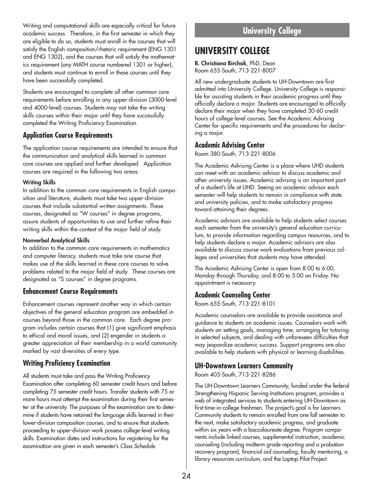Writing and computational skills are especially critical for future academic success. Therefore, in the first semester in which they are eligible to do so, students must enroll in the courses that will satisfy the English composition/rhetoric requirement (ENG 1301 and ENG 1302), and the courses that will satisfy the mathematics requirement (any MATH course numbered 1301 or higher), and students must continue to enroll in these courses until they have been successfully completed.

Students are encouraged to complete all other common core requirements before enrolling in any upper-division (3000-level and 4000-level) courses. Students may not take the writing skills courses within their major until they have successfully completed the Writing Proficiency Examination.

### **Application Course Requirements**

The application course requirements are intended to ensure that the communication and analytical skills learned in common core courses are applied and further developed. Application courses are required in the following two areas:

#### **Writing Skills**

In addition to the common core requirements in English composition and literature, students must take two upper-division courses that include substantial written assignments. These courses, designated as "W courses" in degree programs, assure students of opportunities to use and further refine their writing skills within the context of the major field of study.

#### **Nonverbal Analytical Skills**

In addition to the common core requirements in mathematics and computer literacy, students must take one course that makes use of the skills learned in these core courses to solve problems related to the major field of study. These courses are designated as "S courses" in degree programs.

### **Enhancement Course Requirements**

Enhancement courses represent another way in which certain objectives of the general education program are embedded in courses beyond those in the common core. Each degree program includes certain courses that (1) give significant emphasis to ethical and moral issues, and (2) engender in students a greater appreciation of their membership in a world community marked by vast diversities of every type.

### **Writing Proficiency Examination**

All students must take and pass the Writing Proficiency Examination after completing 60 semester credit hours and before completing 75 semester credit hours. Transfer students with 75 or more hours must attempt the examination during their first semester at the university. The purposes of the examination are to determine if students have retained the language skills learned in their lower-division composition courses, and to ensure that students proceeding to upper-division work possess college-level writing skills. Examination dates and instructions for registering for the examination are given in each semester's *Class Schedule*.

## **University College**

## **UNIVERSITY COLLEGE**

**B. Christiana Birchak**, PhD, Dean Room 655-South, 713-221-8007

All new undergraduate students to UH-Downtown are first admitted into University College. University College is responsible for assisting students in their academic progress until they officially declare a major. Students are encouraged to officially declare their major when they have completed 30-60 credit hours of college-level courses. See the Academic Advising Center for specific requirements and the procedures for declaring a major.

### **Academic Advising Center**

Room 380-South, 713-221-8006

The Academic Advising Center is a place where UHD students can meet with an academic advisor to discuss academic and other university issues. Academic advising is an important part of a student's life at UHD. Seeing an academic advisor each semester will help students to remain in compliance with state and university policies, and to make satisfactory progress toward attaining their degrees.

Academic advisors are available to help students select courses each semester from the university's general education curriculum, to provide information regarding campus resources, and to help students declare a major. Academic advisors are also available to discuss course work evaluations from previous colleges and universities that students may have attended.

The Academic Advising Center is open from 8:00 to 6:00, Monday through Thursday, and 8:00 to 5:00 on Friday. No appointment is necessary.

### **Academic Counseling Center**

Room 655-South, 713-221-8101

Academic counselors are available to provide assistance and guidance to students on academic issues. Counselors work with students on setting goals, managing time, arranging for tutoring in selected subjects, and dealing with unforeseen difficulties that may jeopardize academic success. Support programs are also available to help students with physical or learning disabilities.

### **UH-Downtown Learners Community**

Room 405-South, 713-221-8286

The UH-Downtown Learners Community, funded under the federal Strengthening Hispanic Serving Institutions program, provides a web of integrated services to students entering UH-Downtown as first-time-in-college freshmen. The project's goal is for Learners Community students to remain enrolled from one fall semester to the next, make satisfactory academic progress, and graduate within six years with a baccalaureate degree. Program components include linked courses, supplemental instruction, academic counseling (including midterm grade reporting and a probation recovery program), financial aid counseling, faculty mentoring, a library resources curriculum, and the Laptop Pilot Project.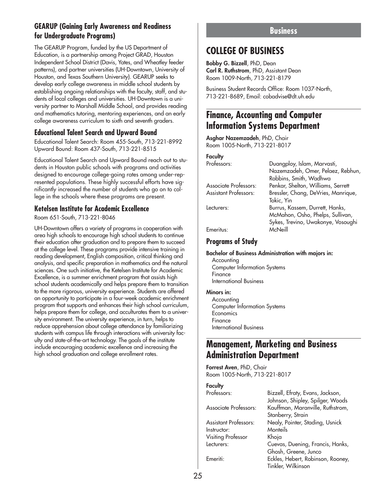### **GEARUP (Gaining Early Awareness and Readiness for Undergraduate Programs)**

The GEARUP Program, funded by the US Department of Education, is a partnership among Project GRAD, Houston Independent School District (Davis, Yates, and Wheatley feeder patterns), and partner universities (UH-Downtown, University of Houston, and Texas Southern University). GEARUP seeks to develop early college awareness in middle school students by establishing ongoing relationships with the faculty, staff, and students of local colleges and universities. UH-Downtown is a university partner to Marshall Middle School, and provides reading and mathematics tutoring, mentoring experiences, and an early college awareness curriculum to sixth and seventh graders.

### **Educational Talent Search and Upward Bound**

Educational Talent Search: Room 455-South, 713-221-8992 Upward Bound: Room 437-South, 713-221-8515

Educational Talent Search and Upward Bound reach out to students in Houston public schools with programs and activities designed to encourage college-going rates among under-represented populations. These highly successful efforts have significantly increased the number of students who go on to college in the schools where these programs are present.

### **Ketelsen Institute for Academic Excellence**

Room 651-South, 713-221-8046

UH-Downtown offers a variety of programs in cooperation with area high schools to encourage high school students to continue their education after graduation and to prepare them to succeed at the college level. These programs provide intensive training in reading development, English composition, critical thinking and analysis, and specific preparation in mathematics and the natural sciences. One such initiative, the Ketelsen Institute for Academic Excellence, is a summer enrichment program that assists high school students academically and helps prepare them to transition to the more rigorous, university experience. Students are offered an opportunity to participate in a four-week academic enrichment program that supports and enhances their high school curriculum, helps prepare them for college, and acculturates them to a university environment. The university experience, in turn, helps to reduce apprehension about college attendance by familiarizing students with campus life through interactions with university faculty and state-of-the-art technology. The goals of the institute include encouraging academic excellence and increasing the high school graduation and college enrollment rates.

### **Business**

## **COLLEGE OF BUSINESS**

**Bobby G. Bizzell**, PhD, Dean **Carl R. Ruthstrom**, PhD, Assistant Dean Room 1009-North, 713-221-8179

Business Student Records Office: Room 1037-North, 713-221-8689, Email: cobadvise@dt.uh.edu

## **Finance, Accounting and Computer Information Systems Department**

**Asghar Nazemzadeh**, PhD, Chair Room 1005-North, 713-221-8017

#### **Faculty**

Professors: Duangploy, Islam, Marvasti,

|                              | Robbins, Smith, Wadhwa                                              |
|------------------------------|---------------------------------------------------------------------|
| Associate Professors:        | Penkar, Shelton, Williams, Serrett                                  |
| <b>Assistant Professors:</b> | Bressler, Chang, DeVries, Manrique,                                 |
|                              | Tokic, Yin                                                          |
| Lecturers:                   | Burrus, Kassem, Durrett, Hanks,<br>McMahon, Osho, Phelps, Sullivan, |
|                              | Sykes, Trevino, Uwakonye, Vosoughi                                  |
| Emeritus:                    | McNeill                                                             |
|                              |                                                                     |

Nazemzadeh, Omer, Pelaez, Rebhun,

### **Programs of Study**

#### **Bachelor of Business Administration with majors in:**

Accounting Computer Information Systems Finance International Business

#### **Minors in:**

**Accounting** Computer Information Systems **Economics** Finance International Business

### **Management, Marketing and Business Administration Department**

**Forrest Aven**, PhD, Chair Room 1005-North, 713-221-8017

#### **Faculty**

| Professors:                  | Bizzell, Efraty, Evans, Jackson,<br>Johnson, Shipley, Spilger, Woods |
|------------------------------|----------------------------------------------------------------------|
| <b>Associate Professors:</b> | Kauffman, Maranville, Ruthstrom,<br>Stanberry, Strain                |
| <b>Assistant Professors:</b> | Nealy, Pointer, Stading, Usnick                                      |
| Instructor:                  | Monteils                                                             |
| <b>Visiting Professor</b>    | Khoja                                                                |
| Lecturers:                   | Cuevas, Duening, Francis, Hanks,                                     |
|                              | Ghosh, Greene, Junco                                                 |
| Emeriti:                     | Eckles, Hebert, Robinson, Rooney,                                    |
|                              | Tinkler, Wilkinson                                                   |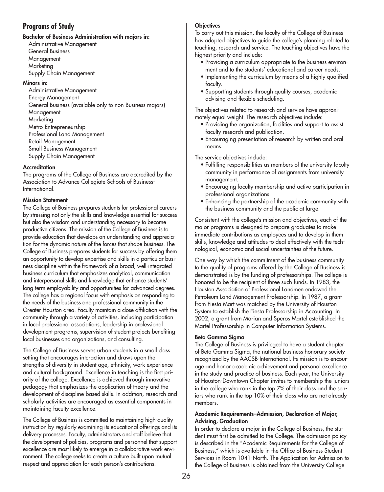### **Programs of Study**

#### **Bachelor of Business Administration with majors in:**

Administrative Management General Business Management Marketing Supply Chain Management

#### **Minors in:**

Administrative Management Energy Management General Business (available only to non-Business majors) Management Marketing Metro-Entrepreneurship Professional Land Management Retail Management Small Business Management Supply Chain Management

#### **Accreditation**

The programs of the College of Business are accredited by the Association to Advance Collegiate Schools of Business-International.

#### **Mission Statement**

The College of Business prepares students for professional careers by stressing not only the skills and knowledge essential for success but also the wisdom and understanding necessary to become productive citizens. The mission of the College of Business is to provide education that develops an understanding and appreciation for the dynamic nature of the forces that shape business. The College of Business prepares students for success by offering them an opportunity to develop expertise and skills in a particular business discipline within the framework of a broad, well-integrated business curriculum that emphasizes analytical, communication and interpersonal skills and knowledge that enhance students' long-term employability and opportunities for advanced degrees. The college has a regional focus with emphasis on responding to the needs of the business and professional community in the Greater Houston area. Faculty maintain a close affiliation with the community through a variety of activities, including participation in local professional associations, leadership in professional development programs, supervision of student projects benefiting local businesses and organizations, and consulting.

The College of Business serves urban students in a small class setting that encourages interaction and draws upon the strengths of diversity in student age, ethnicity, work experience and cultural background. Excellence in teaching is the first priority of the college. Excellence is achieved through innovative pedagogy that emphasizes the application of theory and the development of discipline-based skills. In addition, research and scholarly activities are encouraged as essential components in maintaining faculty excellence.

The College of Business is committed to maintaining high-quality instruction by regularly examining its educational offerings and its delivery processes. Faculty, administrators and staff believe that the development of policies, programs and personnel that support excellence are most likely to emerge in a collaborative work environment. The college seeks to create a culture built upon mutual respect and appreciation for each person's contributions.

#### **Objectives**

To carry out this mission, the faculty of the College of Business has adopted objectives to guide the college's planning related to teaching, research and service. The teaching objectives have the highest priority and include:

- Providing a curriculum appropriate to the business environment and to the students' educational and career needs.
- Implementing the curriculum by means of a highly qualified faculty.
- Supporting students through quality courses, academic advising and flexible scheduling.

The objectives related to research and service have approximately equal weight. The research objectives include:

- Providing the organization, facilities and support to assist faculty research and publication.
- Encouraging presentation of research by written and oral means.

The service objectives include:

- Fulfilling responsibilities as members of the university faculty community in performance of assignments from university management.
- Encouraging faculty membership and active participation in professional organizations.
- Enhancing the partnership of the academic community with the business community and the public at large.

Consistent with the college's mission and objectives, each of the major programs is designed to prepare graduates to make immediate contributions as employees and to develop in them skills, knowledge and attitudes to deal effectively with the technological, economic and social uncertainties of the future.

One way by which the commitment of the business community to the quality of programs offered by the College of Business is demonstrated is by the funding of professorships. The college is honored to be the recipient of three such funds. In 1983, the Houston Association of Professional Landmen endowed the Petroleum Land Management Professorship. In 1987, a grant from Fiesta Mart was matched by the University of Houston System to establish the Fiesta Professorship in Accounting. In 2002, a grant from Marian and Speros Martel established the Martel Professorship in Computer Information Systems.

#### **Beta Gamma Sigma**

The College of Business is privileged to have a student chapter of Beta Gamma Sigma, the national business honorary society recognized by the AACSB-International. Its mission is to encourage and honor academic achievement and personal excellence in the study and practice of business. Each year, the University of Houston-Downtown Chapter invites to membership the juniors in the college who rank in the top 7% of their class and the seniors who rank in the top 10% of their class who are not already members.

#### **Academic Requirements–Admission, Declaration of Major, Advising, Graduation**

In order to declare a major in the College of Business, the student must first be admitted to the College. The admission policy is described in the "Academic Requirements for the College of Business," which is available in the Office of Business Student Services in Room 1041-North. The Application for Admission to the College of Business is obtained from the University College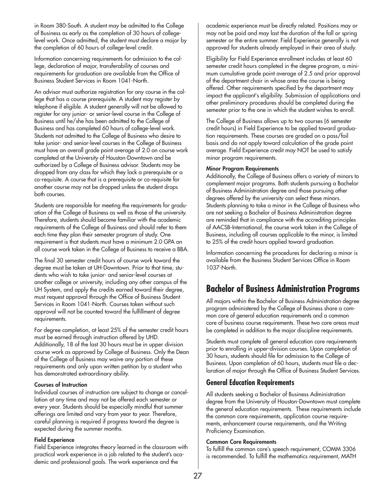in Room 380-South. A student may be admitted to the College of Business as early as the completion of 30 hours of collegelevel work. Once admitted, the student must declare a major by the completion of 60 hours of college-level credit.

Information concerning requirements for admission to the college, declaration of major, transferability of courses and requirements for graduation are available from the Office of Business Student Services in Room 1041-North.

An advisor must authorize registration for any course in the college that has a course prerequisite. A student may register by telephone if eligible. A student generally will not be allowed to register for any junior- or senior-level course in the College of Business until he/she has been admitted to the College of Business and has completed 60 hours of college-level work. Students not admitted to the College of Business who desire to take junior- and senior-level courses in the College of Business must have an overall grade point average of 2.0 on course work completed at the University of Houston-Downtown and be authorized by a College of Business advisor. Students may be dropped from any class for which they lack a prerequisite or a co-requisite. A course that is a prerequisite or co-requisite for another course may not be dropped unless the student drops both courses.

Students are responsible for meeting the requirements for graduation of the College of Business as well as those of the university. Therefore, students should become familiar with the academic requirements of the College of Business and should refer to them each time they plan their semester program of study. One requirement is that students must have a minimum 2.0 GPA on all course work taken in the College of Business to receive a BBA.

The final 30 semester credit hours of course work toward the degree must be taken at UH-Downtown. Prior to that time, students who wish to take junior- and senior-level courses at another college or university, including any other campus of the UH System, and apply the credits earned toward their degree, must request approval through the Office of Business Student Services in Room 1041-North. Courses taken without such approval will not be counted toward the fulfillment of degree requirements.

For degree completion, at least 25% of the semester credit hours must be earned through instruction offered by UHD. Additionally, 18 of the last 30 hours must be in upper division course work as approved by College of Business. Only the Dean of the College of Business may waive any portion of these requirements and only upon written petition by a student who has demonstrated extraordinary ability.

#### **Courses of Instruction**

Individual courses of instruction are subject to change or cancellation at any time and may not be offered each semester or every year. Students should be especially mindful that summer offerings are limited and vary from year to year. Therefore, careful planning is required if progress toward the degree is expected during the summer months.

#### **Field Experience**

Field Experience integrates theory learned in the classroom with practical work experience in a job related to the student's academic and professional goals. The work experience and the

academic experience must be directly related. Positions may or may not be paid and may last the duration of the fall or spring semester or the entire summer. Field Experience generally is not approved for students already employed in their area of study.

Eligibility for Field Experience enrollment includes at least 60 semester credit hours completed in the degree program, a minimum cumulative grade point average of 2.5 and prior approval of the department chair in whose area the course is being offered. Other requirements specified by the department may impact the applicant's eligibility. Submission of applications and other preliminary procedures should be completed during the semester prior to the one in which the student wishes to enroll.

The College of Business allows up to two courses (6 semester credit hours) in Field Experience to be applied toward graduation requirements. These courses are graded on a pass/fail basis and do not apply toward calculation of the grade point average. Field Experience credit may NOT be used to satisfy minor program requirements.

#### **Minor Program Requirements**

Additionally, the College of Business offers a variety of minors to complement major programs. Both students pursuing a Bachelor of Business Administration degree and those pursuing other degrees offered by the university can select these minors. Students planning to take a minor in the College of Business who are not seeking a Bachelor of Business Administration degree are reminded that in compliance with the accrediting principles of AACSB-International, the course work taken in the College of Business, including all courses applicable to the minor, is limited to 25% of the credit hours applied toward graduation.

Information concerning the procedures for declaring a minor is available from the Business Student Services Office in Room 1037-North.

## **Bachelor of Business Administration Programs**

All majors within the Bachelor of Business Administration degree program administered by the College of Business share a common core of general education requirements and a common core of business course requirements. These two core areas must be completed in addition to the major discipline requirements.

Students must complete all general education core requirements prior to enrolling in upper-division courses. Upon completion of 30 hours, students should file for admission to the College of Business. Upon completion of 60 hours, students must file a declaration of major through the Office of Business Student Services.

### **General Education Requirements**

All students seeking a Bachelor of Business Administration degree from the University of Houston-Downtown must complete the general education requirements. These requirements include the common core requirements, application course requirements, enhancement course requirements, and the Writing Proficiency Examination.

#### **Common Core Requirements**

To fulfill the common core's speech requirement, COMM 3306 is recommended. To fulfill the mathematics requirement, MATH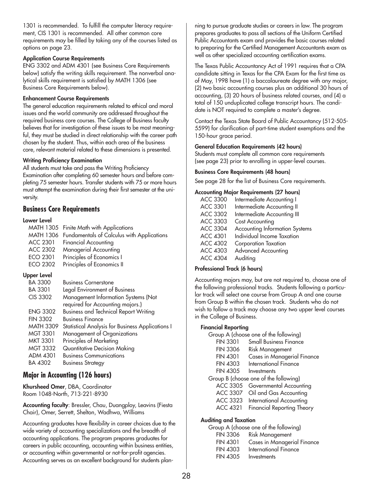1301 is recommended. To fulfill the computer literacy requirement, CIS 1301 is recommended. All other common core requirements may be filled by taking any of the courses listed as options on page 23.

#### **Application Course Requirements**

ENG 3302 and ADM 4301 (see Business Core Requirements below) satisfy the writing skills requirement. The nonverbal analytical skills requirement is satisfied by MATH 1306 (see Business Core Requirements below).

#### **Enhancement Course Requirements**

The general education requirements related to ethical and moral issues and the world community are addressed throughout the required business core courses. The College of Business faculty believes that for investigation of these issues to be most meaningful, they must be studied in direct relationship with the career path chosen by the student. Thus, within each area of the business core, relevant material related to these dimensions is presented.

#### **Writing Proficiency Examination**

All students must take and pass the Writing Proficiency Examination after completing 60 semester hours and before completing 75 semester hours. Transfer students with 75 or more hours must attempt the examination during their first semester at the university.

### **Business Core Requirements**

#### **Lower Level**

| <b>MATH 1305</b> | Finite Math with Applications                    |
|------------------|--------------------------------------------------|
| MATH 1306        | Fundamentals of Calculus with Applications       |
| ACC 2301         | <b>Financial Accounting</b>                      |
| ACC 2302         | Managerial Accounting                            |
| ECO 2301         | Principles of Economics I                        |
| ECO 2302         | Principles of Economics II                       |
| Upper Level      |                                                  |
| <b>BA 3300</b>   | <b>Business Cornerstone</b>                      |
| BA 3301          | Legal Environment of Business                    |
| CIS 3302         | Management Information Systems (Not              |
|                  | required for Accounting majors.)                 |
| <b>ENG 3302</b>  | <b>Business and Technical Report Writing</b>     |
| <b>FIN 3302</b>  | <b>Business Finance</b>                          |
| <b>MATH 3309</b> | Statistical Analysis for Business Applications I |
| <b>MGT 3301</b>  | Management of Organizations                      |
| MKT 3301         | Principles of Marketing                          |

- MGT 3332 Quantitative Decision Making ADM 4301 Business Communications
- BA 4302 Business Strategy

### **Major in Accounting (126 hours)**

**Khursheed Omer**, DBA, Coordinator Room 1048-North, 713-221-8930

**Accounting faculty**: Bressler, Chau, Duangploy, Leavins (Fiesta Chair), Omer, Serrett, Shelton, Wadhwa, Williams

Accounting graduates have flexibility in career choices due to the wide variety of accounting specializations and the breadth of accounting applications. The program prepares graduates for careers in public accounting, accounting within business entities, or accounting within governmental or not-for-profit agencies. Accounting serves as an excellent background for students planning to pursue graduate studies or careers in law. The program prepares graduates to pass all sections of the Uniform Certified Public Accountants exam and provides the basic courses related to preparing for the Certified Management Accountants exam as well as other specialized accounting certification exams.

The Texas Public Accountancy Act of 1991 requires that a CPA candidate sitting in Texas for the CPA Exam for the first time as of May, 1998 have (1) a baccalaureate degree with any major, (2) two basic accounting courses plus an additional 30 hours of accounting, (3) 20 hours of business related courses, and (4) a total of 150 unduplicated college transcript hours. The candidate is NOT required to complete a master's degree.

Contact the Texas State Board of Public Accountancy (512-505- 5599) for clarification of part-time student exemptions and the 150-hour grace period.

#### **General Education Requirements (42 hours)**

Students must complete all common core requirements (see page 23) prior to enrolling in upper-level courses.

#### **Business Core Requirements (48 hours)**

See page 28 for the list of Business Core requirements.

#### **Accounting Major Requirements (27 hours)**

| <b>ACC 3300</b> | Intermediate Accounting I             |
|-----------------|---------------------------------------|
| <b>ACC 3301</b> | Intermediate Accounting II            |
| ACC 3302        | Intermediate Accounting III           |
| ACC 3303        | Cost Accounting                       |
| <b>ACC 3304</b> | <b>Accounting Information Systems</b> |
| <b>ACC 4301</b> | Individual Income Taxation            |
| <b>ACC 4302</b> | Corporation Taxation                  |
| <b>ACC 4303</b> | <b>Advanced Accounting</b>            |
| <b>ACC 4304</b> | Auditing                              |

#### **Professional Track (6 hours)**

Accounting majors may, but are not required to, choose one of the following professional tracks. Students following a particular track will select one course from Group A and one course from Group B within the chosen track. Students who do not wish to follow a track may choose any two upper level courses in the College of Business.

#### **Financial Reporting**

| nanciai keporting |                                       |
|-------------------|---------------------------------------|
|                   | Group A (choose one of the following) |
| <b>FIN 3301</b>   | <b>Small Business Finance</b>         |
| <b>FIN 3306</b>   | <b>Risk Management</b>                |
| <b>FIN 4301</b>   | Cases in Managerial Finance           |
| <b>FIN 4303</b>   | <b>International Finance</b>          |
| FIN 4305          | Investments                           |
|                   | Group B (choose one of the following) |
| ACC 3305          | Governmental Accounting               |
| <b>ACC 3307</b>   | Oil and Gas Accounting                |
| ACC 3323          | International Accounting              |
| ACC 4321          | <b>Financial Reporting Theory</b>     |
|                   |                                       |

#### **Auditing and Taxation**

|                 | Group A (choose one of the following) |
|-----------------|---------------------------------------|
| <b>FIN 3306</b> | <b>Risk Management</b>                |
| <b>FIN 4301</b> | Cases in Managerial Finance           |
| <b>FIN 4303</b> | International Finance                 |
| <b>FIN 4305</b> | Investments                           |
|                 |                                       |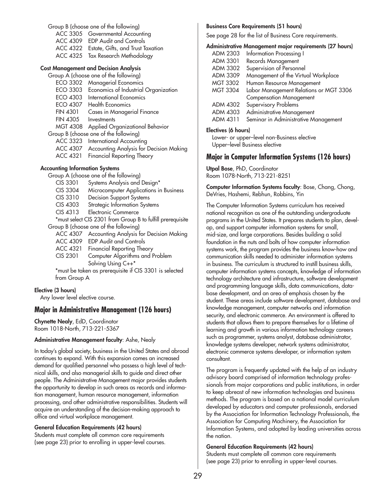Group B (choose one of the following) ACC 3305 Governmental Accounting ACC 4309 EDP Audit and Controls ACC 4322 Estate, Gifts, and Trust Taxation ACC 4325 Tax Research Methodology

#### **Cost Management and Decision Analysis**

Group A (choose one of the following)

ECO 3302 Managerial Economics ECO 3303 Economics of Industrial Organization ECO 4303 International Economics ECO 4307 Health Economics FIN 4301 Cases in Managerial Finance FIN 4305 Investments MGT 4308 Applied Organizational Behavior Group B (choose one of the following) ACC 3323 International Accounting ACC 4307 Accounting Analysis for Decision Making ACC 4321 Financial Reporting Theory

#### **Accounting Information Systems**

Group A (choose one of the following)

- CIS 3301 Systems Analysis and Design\*
- CIS 3304 Microcomputer Applications in Business
- CIS 3310 Decision Support Systems
- CIS 4303 Strategic Information Systems
- CIS 4313 Electronic Commerce

\*must select CIS 2301 from Group B to fulfill prerequisite Group B (choose one of the following)

- ACC 4307 Accounting Analysis for Decision Making
- ACC 4309 EDP Audit and Controls
- ACC 4321 Financial Reporting Theory
- CIS 2301 Computer Algorithms and Problem Solving Using C++\*

\*must be taken as prerequisite if CIS 3301 is selected from Group A

#### **Elective (3 hours)**

Any lower level elective course.

#### **Major in Administrative Management (126 hours)**

**Chynette Nealy**, EdD, Coordinator Room 1018-North, 713-221-5367

#### **Administrative Management faculty**: Ashe, Nealy

In today's global society, business in the United States and abroad continues to expand. With this expansion comes an increased demand for qualified personnel who possess a high level of technical skills, and also managerial skills to guide and direct other people. The Administrative Management major provides students the opportunity to develop in such areas as records and information management, human resource management, information processing, and other administrative responsibilities. Students will acquire an understanding of the decision-making approach to office and virtual workplace management.

#### **General Education Requirements (42 hours)**

Students must complete all common core requirements (see page 23) prior to enrolling in upper-level courses.

#### **Business Core Requirements (51 hours)**

See page 28 for the list of Business Core requirements.

#### **Administrative Management major requirements (27 hours)**

| ADM 2303        | <b>Information Processing I</b>        |
|-----------------|----------------------------------------|
| ADM 3301        | Records Management                     |
| ADM 3302        | Supervision of Personnel               |
| ADM 3309        | Management of the Virtual Workplace    |
| <b>MGT 3302</b> | Human Resource Management              |
| <b>MGT 3304</b> | Labor Management Relations or MGT 3306 |
|                 | <b>Compensation Management</b>         |
| ADM 4302        | Supervisory Problems                   |
| ADM 4303        | Administrative Management              |
| ADM 4311        | Seminar in Administrative Management   |
|                 |                                        |

#### **Electives (6 hours)**

Lower- or upper–level non-Business elective Upper–level Business elective

#### **Major in Computer Information Systems (126 hours)**

**Utpal Bose**, PhD, Coordinator Room 1078-North, 713-221-8251

**Computer Information Systems faculty**: Bose, Chang, Chong, DeVries, Hashemi, Rebhun, Robbins, Yin

The Computer Information Systems curriculum has received national recognition as one of the outstanding undergraduate programs in the United States. It prepares students to plan, develop, and support computer information systems for small, mid-size, and large corporations. Besides building a solid foundation in the nuts and bolts of how computer information systems work, the program provides the business know-how and communication skills needed to administer information systems in business. The curriculum is structured to instill business skills, computer information systems concepts, knowledge of information technology architecture and infrastructure, software development and programming language skills, data communications, database development, and an area of emphasis chosen by the student. These areas include software development, database and knowledge management, computer networks and information security, and electronic commerce. An environment is offered to students that allows them to prepare themselves for a lifetime of learning and growth in various information technology careers such as programmer, systems analyst, database administrator, knowledge systems developer, network systems administrator, electronic commerce systems developer, or information system consultant.

The program is frequently updated with the help of an industry advisory board comprised of information technology professionals from major corporations and public institutions, in order to keep abreast of new information technologies and business methods. The program is based on a national model curriculum developed by educators and computer professionals, endorsed by the Association for Information Technology Professionals, the Association for Computing Machinery, the Association for Information Systems, and adopted by leading universities across the nation.

#### **General Education Requirements (42 hours)**

Students must complete all common core requirements (see page 23) prior to enrolling in upper-level courses.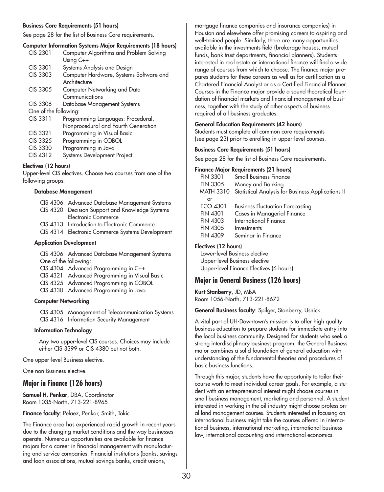#### **Business Core Requirements (51 hours)**

See page 28 for the list of Business Core requirements.

#### **Computer Information Systems Major Requirements (18 hours)**

| CIS 2301              | Computer Algorithms and Problem Solving                 |  |
|-----------------------|---------------------------------------------------------|--|
|                       | Using $C++$                                             |  |
| CIS 3301              | Systems Analysis and Design                             |  |
| CIS 3303              | Computer Hardware, Systems Software and<br>Architecture |  |
| CIS 3305              | Computer Networking and Data                            |  |
|                       | Communications                                          |  |
| CIS 3306              | Database Management Systems                             |  |
| One of the following: |                                                         |  |
| CIS 3311              | Programming Languages: Procedural,                      |  |
|                       | Nonprocedural and Fourth Generation                     |  |
| CIS 3321              | Programming in Visual Basic                             |  |
| CIS 3325              | Programming in COBOL                                    |  |
| CIS 3330              | Programming in Java                                     |  |
| CIS 4312              | Systems Development Project                             |  |
|                       |                                                         |  |

#### **Electives (12 hours)**

Upper-level CIS electives. Choose two courses from one of the following groups:

#### **Database Management**

|  | CIS 4306 Advanced Database Management Systems                                                                                                                                                                                             |
|--|-------------------------------------------------------------------------------------------------------------------------------------------------------------------------------------------------------------------------------------------|
|  | CIS 4320 Decision Support and Knowledge Systems                                                                                                                                                                                           |
|  | Electronic Commerce                                                                                                                                                                                                                       |
|  | CIS 4313 Introduction to Electronic Commerce                                                                                                                                                                                              |
|  | $C(C_1 \cup C_2)$ $C_2 \cup C_3$ $C_4 \cup C_5$ $C_6$ $C_7$ $C_8$ $C_9$ $C_1$ $C_2$ $C_3$ $C_4$ $C_5$ $C_7$ $C_8$ $C_9$ $C_9$ $C_1$ $C_2$ $C_3$ $C_3$ $C_4$ $C_7$ $C_8$ $C_9$ $C_9$ $C_1$ $C_2$ $C_3$ $C_4$ $C_7$ $C_8$ $C_9$ $C_9$ $C_9$ |

CIS 4314 Electronic Commerce Systems Development

#### **Application Development**

CIS 4306 Advanced Database Management Systems One of the following: CIS 4304 Advanced Programming in C++

- CIS 4321 Advanced Programming in Visual Basic
- CIS 4325 Advanced Programming in COBOL
- CIS 4330 Advanced Programming in Java

#### **Computer Networking**

CIS 4305 Management of Telecommunication Systems CIS 4316 Information Security Management

#### **Information Technology**

Any two upper-level CIS courses. Choices may include either CIS 3399 or CIS 4380 but not both.

One upper-level Business elective.

One non-Business elective.

#### **Major in Finance (126 hours)**

**Samuel H. Penkar**, DBA, Coordinator Room 1035-North, 713-221-8965

**Finance faculty**: Pelaez, Penkar, Smith, Tokic

The Finance area has experienced rapid growth in recent years due to the changing market conditions and the way businesses operate. Numerous opportunities are available for finance majors for a career in financial management with manufacturing and service companies. Financial institutions (banks, savings and loan associations, mutual savings banks, credit unions,

mortgage finance companies and insurance companies) in Houston and elsewhere offer promising careers to aspiring and well-trained people. Similarly, there are many opportunities available in the investments field (brokerage houses, mutual funds, bank trust departments, financial planners). Students interested in real estate or international finance will find a wide range of courses from which to choose. The finance major prepares students for these careers as well as for certification as a Chartered Financial Analyst or as a Certified Financial Planner. Courses in the Finance major provide a sound theoretical foundation of financial markets and financial management of business, together with the study of other aspects of business required of all business graduates.

#### **General Education Requirements (42 hours)**

Students must complete all common core requirements (see page 23) prior to enrolling in upper-level courses.

#### **Business Core Requirements (51 hours)**

See page 28 for the list of Business Core requirements.

#### **Finance Major Requirements (21 hours)**

| <b>FIN 3301</b> | <b>Small Business Finance</b>                     |
|-----------------|---------------------------------------------------|
| <b>FIN 3305</b> | Money and Banking                                 |
| MATH 3310       | Statistical Analysis for Business Applications II |
| or              |                                                   |
| ECO 4301        | <b>Business Fluctuation Forecasting</b>           |
| <b>FIN 4301</b> | Cases in Managerial Finance                       |
| <b>FIN 4303</b> | International Finance                             |
| <b>FIN 4305</b> | Investments                                       |
| <b>FIN 4309</b> | Seminar in Finance                                |
|                 |                                                   |

#### **Electives (12 hours)**

Lower-level Business elective Upper-level Business elective Upper-level Finance Electives (6 hours)

#### **Major in General Business (126 hours)**

**Kurt Stanberry**, JD, MBA Room 1056-North, 713-221-8672

#### **General Business faculty**: Spilger, Stanberry, Usnick

A vital part of UH-Downtown's mission is to offer high quality business education to prepare students for immediate entry into the local business community. Designed for students who seek a strong interdisciplinary business program, the General Business major combines a solid foundation of general education with understanding of the fundamental theories and procedures of basic business functions.

Through this major, students have the opportunity to tailor their course work to meet individual career goals. For example, a student with an entrepreneurial interest might choose courses in small business management, marketing and personnel. A student interested in working in the oil industry might choose professional land management courses. Students interested in focusing on international business might take the courses offered in international business, international marketing, international business law, international accounting and international economics.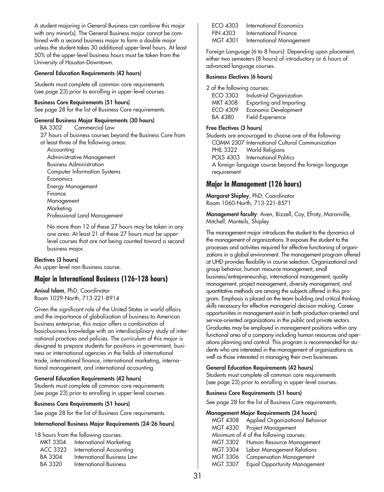A student majoring in General Business can combine this major with any minor(s). The General Business major cannot be combined with a second business major to form a double major unless the student takes 30 additional upper-level hours. At least 50% of the upper-level business hours must be taken from the University of Houston-Downtown.

#### **General Education Requirements (42 hours)**

Students must complete all common core requirements (see page 23) prior to enrolling in upper-level courses.

**Business Core Requirements (51 hours)** See page 28 for the list of Business Core requirements.

#### **General Business Major Requirements (30 hours)**

BA 3302 Commercial Law 27 hours of business courses beyond the Business Core from at least three of the following areas: Accounting Administrative Management Business Administration Computer Information Systems **Economics** Energy Management Finance Management Marketing Professional Land Management

No more than 12 of these 27 hours may be taken in any one area. At least 21 of these 27 hours must be upperlevel courses that are not being counted toward a second business major.

#### **Electives (3 hours)**

An upper-level non-Business course.

#### **Major in International Business (126-128 hours)**

**Anisul Islam**, PhD, Coordinator Room 1029-North, 713-221-8914

Given the significant role of the United States in world affairs and the importance of globalization of business to American business enterprise, this major offers a combination of basicbusiness knowledge with an interdisciplinary study of international practices and policies. The curriculum of this major is designed to prepare students for positions in government, business or international agencies in the fields of international trade, international finance, international marketing, international management, and international accounting.

#### **General Education Requirements (42 hours)**

Students must complete all common core requirements (see page 23) prior to enrolling in upper-level courses.

#### **Business Core Requirements (51 hours)**

See page 28 for the list of Business Core requirements.

#### **International Business Major Requirements (24-26 hours)**

18 hours from the following courses:

| <b>MKT 3304</b> | <b>International Marketing</b> |
|-----------------|--------------------------------|
| ACC 3323        | International Accounting       |
| BA 3304         | International Business Law     |
| BA 3320         | <b>International Business</b>  |

| ECO 4303        | International Economics  |
|-----------------|--------------------------|
| <b>FIN 4303</b> | International Finance    |
| <b>MGT 4301</b> | International Management |

Foreign Language (6 to 8 hours): Depending upon placement, either two semesters (8 hours) of introductory or 6 hours of advanced language courses.

#### **Business Electives (6 hours)**

2 of the following courses:

| ECO 3303        | Industrial Organization |
|-----------------|-------------------------|
| <b>MKT 4308</b> | Exporting and Importing |
| ECO 4309        | Economic Development    |
| BA 4380         | Field Experience        |

#### **Free Electives (3 hours)**

Students are encouraged to choose one of the following: COMM 2307 International Cultural Communication PHIL 3322 World Religions POLS 4303 International Politics A foreign language course beyond the foreign language requirement

#### **Major In Management (126 hours)**

**Margaret Shipley**, PhD, Coordinator Room 1060-North, 713-221-8571

**Management faculty**: Aven, Bizzell, Coy, Efraty, Maranville, Mitchell, Monteils, Shipley

The management major introduces the student to the dynamics of the management of organizations. It exposes the student to the processes and activities required for effective functioning of organizations in a global environment. The management program offered at UHD provides flexibility in course selection. Organizational and group behavior, human resource management, small business/entrepreneurship, international management, quality management, project management, diversity management, and quantitative methods are among the subjects offered in this program. Emphasis is placed on the team building and critical thinking skills necessary for effective managerial decision making. Career opportunities in management exist in both production-oriented and service-oriented organizations in the public and private sectors. Graduates may be employed in management positions within any functional area of a company including human resources and operations planning and control. This program is recommended for students who are interested in the management of organizations as well as those interested in managing their own businesses.

#### **General Education Requirements (42 hours)**

Students must complete all common core requirements (see page 23) prior to enrolling in upper-level courses.

#### **Business Core Requirements (51 hours)**

See page 28 for the list of Business Core requirements.

#### **Management Major Requirements (24 hours)**

| <b>MGT 4308</b> | Applied Organizational Behavior        |
|-----------------|----------------------------------------|
| <b>MGT 4330</b> | Project Management                     |
|                 | Minimum of 4 of the following courses: |
| MGT 3302        | Human Resource Management              |
| <b>MGT 3304</b> | Labor Management Relations             |
| <b>MGT 3306</b> | <b>Compensation Management</b>         |
| <b>MGT 3307</b> | <b>Equal Opportunity Management</b>    |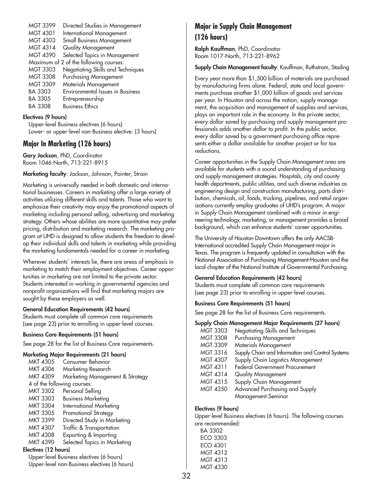| <b>MGT 3399</b> | Directed Studies in Management          |
|-----------------|-----------------------------------------|
| <b>MGT 4301</b> | <b>International Management</b>         |
| MGT 4303        | <b>Small Business Management</b>        |
| MGT 4314        | Quality Management                      |
| MGT 4390        | Selected Topics in Management           |
|                 | Maximum of 2 of the following courses:  |
| <b>MGT 3303</b> | Negotiating Skills and Techniques       |
| <b>MGT 3308</b> | Purchasing Management                   |
| <b>MGT 3309</b> | Materials Management                    |
| <b>BA 3303</b>  | <b>Environmental Issues in Business</b> |
| <b>BA 3305</b>  | Entrepreneurship                        |
| <b>BA 3308</b>  | <b>Business Ethics</b>                  |
|                 |                                         |

#### **Electives (9 hours)**

Upper-level Business electives (6 hours) Lower- or upper-level non-Business elective: (3 hours)

### **Major In Marketing (126 hours)**

**Gary Jackson**, PhD, Coordinator Room 1046-North, 713-221-8915

**Marketing faculty**: Jackson, Johnson, Pointer, Strain

Marketing is universally needed in both domestic and international businesses. Careers in marketing offer a large variety of activities utilizing different skills and talents. Those who want to emphasize their creativity may enjoy the promotional aspects of marketing including personal selling, advertising and marketing strategy. Others whose abilities are more quantitative may prefer pricing, distribution and marketing research. The marketing program at UHD is designed to allow students the freedom to develop their individual skills and talents in marketing while providing the marketing fundamentals needed for a career in marketing.

Wherever students' interests lie, there are areas of emphasis in marketing to match their employment objectives. Career opportunities in marketing are not limited to the private sector. Students interested in working in governmental agencies and nonprofit organizations will find that marketing majors are sought by these employers as well.

#### **General Education Requirements (42 hours)**

Students must complete all common core requirements (see page 23) prior to enrolling in upper-level courses.

#### **Business Core Requirements (51 hours)**

See page 28 for the list of Business Core requirements.

#### **Marketing Major Requirements (21 hours)**

| MKT 4305                    | <b>Consumer Behavior</b>                 |
|-----------------------------|------------------------------------------|
| <b>MKT 4306</b>             | Marketing Research                       |
| MKT 4309                    | Marketing Management & Strategy          |
| 4 of the following courses: |                                          |
| <b>MKT 3302</b>             | Personal Selling                         |
| <b>MKT 3303</b>             | <b>Business Marketing</b>                |
| <b>MKT 3304</b>             | <b>International Marketing</b>           |
| <b>MKT 3305</b>             | Promotional Strategy                     |
| MKT 3399                    | Directed Study in Marketing              |
| MKT 4307                    | Traffic & Transportation                 |
| <b>MKT 4308</b>             | Exporting & Importing                    |
| MKT 4390                    | Selected Topics in Marketing             |
| Electives (12 hours)        |                                          |
|                             | Upper-level Business electives (6 hours) |
|                             |                                          |

Upper-level non-Business electives (6 hours)

### **Major in Supply Chain Management (126 hours)**

**Ralph Kauffman**, PhD, Coordinator Room 1017-North, 713-221-8962

#### **Supply Chain Management faculty**: Kauffman, Ruthstrom, Stading

Every year more than \$1,500 billion of materials are purchased by manufacturing firms alone. Federal, state and local governments purchase another \$1,000 billion of goods and services per year. In Houston and across the nation, supply management, the acquisition and management of supplies and services, plays an important role in the economy. In the private sector, every dollar saved by purchasing and supply management professionals adds another dollar to profit. In the public sector, every dollar saved by a government purchasing office represents either a dollar available for another project or for tax reductions.

Career opportunities in the Supply Chain Management area are available for students with a sound understanding of purchasing and supply management strategies. Hospitals, city and county health departments, public utilities, and such diverse industries as engineering design and construction manufacturing, parts distribution, chemicals, oil, foods, trucking, pipelines, and retail organizations currently employ graduates of UHD's program. A major in Supply Chain Management combined with a minor in engineering technology, marketing, or management provides a broad background, which can enhance students' career opportunities.

The University of Houston-Downtown offers the only AACSB-International accredited Supply Chain Management major in Texas. The program is frequently updated in consultation with the National Association of Purchasing Management-Houston and the local chapter of the National Institute of Governmental Purchasing.

#### **General Education Requirements (42 hours)**

Students must complete all common core requirements (see page 23) prior to enrolling in upper-level courses.

#### **Business Core Requirements (51 hours)**

See page 28 for the list of Business Core requirements.

#### **Supply Chain Management Major Requirements (27 hours)**

| <b>MGT 3303</b> | Negotiating Skills and Techniques                |
|-----------------|--------------------------------------------------|
| <b>MGT 3308</b> | Purchasing Management                            |
| <b>MGT 3309</b> | Materials Management                             |
| MGT 3316        | Supply Chain and Information and Control Systems |
| MGT 4307        | Supply Chain Logistics Management                |
| MGT 4311        | <b>Federal Government Procurement</b>            |
| MGT 4314        | Quality Management                               |
| MGT 4315        | Supply Chain Management                          |
| <b>MGT 4350</b> | Advanced Purchasing and Supply                   |
|                 | Management Seminar                               |

#### **Electives (9 hours)**

Upper-level Business electives (6 hours). The following courses are recommended:

BA 3302 ECO 3303 ECO 4301 MGT 4312 MGT 4313 MGT 4330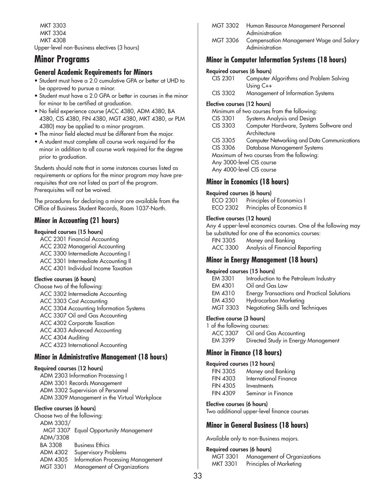MKT 3303 MKT 3304 MKT 4308 Upper-level non-Business electives (3 hours)

# **Minor Programs**

## **General Academic Requirements for Minors**

- Student must have a 2.0 cumulative GPA or better at UHD to be approved to pursue a minor.
- Student must have a 2.0 GPA or better in courses in the minor for minor to be certified at graduation.
- No field experience course (ACC 4380, ADM 4380, BA 4380, CIS 4380, FIN 4380, MGT 4380, MKT 4380, or PLM 4380) may be applied to a minor program.
- The minor field elected must be different from the major.
- A student must complete all course work required for the minor in addition to all course work required for the degree prior to graduation.

Students should note that in some instances courses listed as requirements or options for the minor program may have prerequisites that are not listed as part of the program. Prerequisites will not be waived.

The procedures for declaring a minor are available from the Office of Business Student Records, Room 1037-North.

## **Minor in Accounting (21 hours)**

### **Required courses (15 hours)**

ACC 2301 Financial Accounting ACC 2302 Managerial Accounting ACC 3300 Intermediate Accounting I ACC 3301 Intermediate Accounting II ACC 4301 Individual Income Taxation

## **Elective courses (6 hours)**

Choose two of the following: ACC 3302 Intermediate Accounting ACC 3303 Cost Accounting ACC 3304 Accounting Information Systems ACC 3307 Oil and Gas Accounting ACC 4302 Corporate Taxation ACC 4303 Advanced Accounting ACC 4304 Auditing ACC 4323 International Accounting

## **Minor in Administrative Management (18 hours)**

## **Required courses (12 hours)**

ADM 2303 Information Processing I ADM 3301 Records Management ADM 3302 Supervision of Personnel ADM 3309 Management in the Virtual Workplace

### **Elective courses (6 hours)**

Choose two of the following: ADM 3303/ MGT 3307 Equal Opportunity Management ADM/3308 BA 3308 Business Ethics ADM 4302 Supervisory Problems ADM 4305 Information Processing Management MGT 3301 Management of Organizations

|            |                |  | MGT 3302 Human Resource Management Personnel |  |
|------------|----------------|--|----------------------------------------------|--|
|            | Administration |  |                                              |  |
| $\sqrt{2}$ |                |  | . 1.1                                        |  |

MGT 3306 Compensation Management Wage and Salary Administration

## **Minor in Computer Information Systems (18 hours)**

## **Required courses (6 hours)**

| CIS 2301                    | Computer Algorithms and Problem Solving     |
|-----------------------------|---------------------------------------------|
|                             | Using $C++$                                 |
| CIS 3302                    | Management of Information Systems           |
| Elective courses (12 hours) |                                             |
|                             | Minimum of two courses from the following:  |
| CIS 3301                    | Systems Analysis and Design                 |
| CIS 3303                    | Computer Hardware, Systems Software and     |
|                             | Architecture                                |
| CIS 3305                    | Computer Networking and Data Communications |
| CIS 3306                    | Database Management Systems                 |
|                             | Maximum of two courses from the following:  |
|                             | Any 3000-level CIS course                   |
|                             | Any 4000-level CIS course                   |

## **Minor in Economics (18 hours)**

### **Required courses (6 hours)**

ECO 2301 Principles of Economics I ECO 2302 Principles of Economics II

## **Elective courses (12 hours)**

Any 4 upper-level economics courses. One of the following may be substituted for one of the economics courses:

| <b>FIN 3305</b> | Money and Banking               |
|-----------------|---------------------------------|
| ACC 3300        | Analysis of Financial Reporting |

## **Minor in Energy Management (18 hours)**

### **Required courses (15 hours)**

| EM 3301  | Introduction to the Petroleum Industry             |
|----------|----------------------------------------------------|
| EM 4301  | Oil and Gas Law                                    |
| EM 4310  | <b>Energy Transactions and Practical Solutions</b> |
| EM 4350  | Hydrocarbon Marketing                              |
| MGT 3303 | Negotiating Skills and Techniques                  |
|          |                                                    |

## **Elective course (3 hours)**

| 1 of the following courses: |                                     |
|-----------------------------|-------------------------------------|
|                             | ACC 3307 Oil and Gas Accounting     |
| EM 3399                     | Directed Study in Energy Management |

## **Minor in Finance (18 hours)**

| <b>Required courses (12 hours)</b> |                       |  |  |
|------------------------------------|-----------------------|--|--|
| <b>FIN 3305</b>                    | Money and Banking     |  |  |
| <b>FIN 4303</b>                    | International Finance |  |  |
| <b>FIN 4305</b>                    | Investments           |  |  |
| <b>FIN 4309</b>                    | Seminar in Finance    |  |  |

### **Elective courses (6 hours)**

Two additional upper-level finance courses

## **Minor in General Business (18 hours)**

Available only to non-Business majors.

## **Required courses (6 hours)**

MGT 3301 Management of Organizations MKT 3301 Principles of Marketing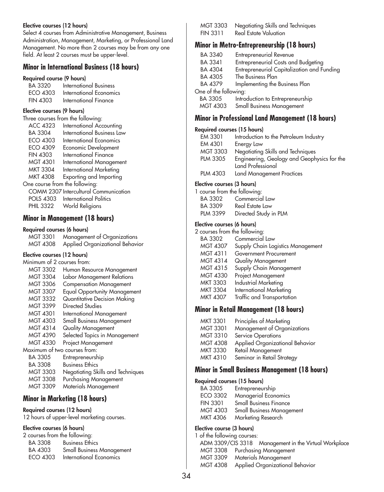### **Elective courses (12 hours)**

Select 4 courses from Administrative Management, Business Administration, Management, Marketing, or Professional Land Management. No more than 2 courses may be from any one field. At least 2 courses must be upper-level.

## **Minor in International Business (18 hours)**

#### **Required course (9 hours)**

| BA 3320         | <b>International Business</b> |
|-----------------|-------------------------------|
| ECO 4303        | International Economics       |
| <b>FIN 4303</b> | International Finance         |

#### **Elective courses (9 hours)**

|                                | Three courses from the following:            |
|--------------------------------|----------------------------------------------|
| ACC 4323                       | International Accounting                     |
| BA 3304                        | <b>International Business Law</b>            |
| ECO 4303                       | International Economics                      |
| <b>ECO 4309</b>                | Economic Development                         |
| <b>FIN 4303</b>                | <b>International Finance</b>                 |
| <b>MGT 4301</b>                | <b>International Management</b>              |
| MKT 3304                       | <b>International Marketing</b>               |
| <b>MKT 4308</b>                | Exporting and Importing                      |
| One course from the following: |                                              |
|                                | <b>COMM 2307 Intercultural Communication</b> |
| <b>POLS 4303</b>               | International Politics                       |
| <b>PHIL 3322</b>               | World Religions                              |
|                                |                                              |

## **Minor in Management (18 hours)**

### **Required courses (6 hours)**

| <b>MGT 3301</b> | Management of Organizations     |
|-----------------|---------------------------------|
| <b>MGT 4308</b> | Applied Organizational Behavior |

### **Elective courses (12 hours)**

| Minimum of 2 courses from: |                                     |
|----------------------------|-------------------------------------|
| MGT 3302                   | Human Resource Management           |
| MGT 3304                   | Labor Management Relations          |
| MGT 3306                   | <b>Compensation Management</b>      |
| MGT 3307                   | <b>Equal Opportunity Management</b> |
| MGT 3332                   | <b>Quantitative Decision Making</b> |
| <b>MGT 3399</b>            | Directed Studies                    |
| MGT 4301                   | International Management            |
| MGT 4303                   | <b>Small Business Management</b>    |
| MGT 4314                   | Quality Management                  |
| MGT 4390                   | Selected Topics in Management       |
| MGT 4330                   | Project Management                  |
|                            | Maximum of two courses from:        |
| BA 3305                    | Entrepreneurship                    |
| BA 3308                    | <b>Business Ethics</b>              |
| MGT 3303                   | Negotiating Skills and Techniques   |
| MGT 3308                   | Purchasing Management               |
| MGT 3309                   | Materials Management                |

## **Minor in Marketing (18 hours)**

## **Required courses (12 hours)**

12 hours of upper-level marketing courses.

## **Elective courses (6 hours)**

| 2 courses from the following: |                                  |
|-------------------------------|----------------------------------|
| BA 3308                       | <b>Business Ethics</b>           |
| BA 4303                       | <b>Small Business Management</b> |
| ECO 4303                      | International Economics          |
|                               |                                  |

| <b>MGT 3303</b> | Negotiating Skills and Techniques |
|-----------------|-----------------------------------|
| <b>FIN 3311</b> | Real Estate Valuation             |

## **Minor in Metro-Entrepreneurship (18 hours)**

| BA 3340               | Entrepreneurial Revenue                    |  |
|-----------------------|--------------------------------------------|--|
| BA 3341               | Entrepreneurial Costs and Budgeting        |  |
| BA 4304               | Entrepreneurial Capitalization and Funding |  |
| BA 4305               | The Business Plan                          |  |
| BA 4379               | Implementing the Business Plan             |  |
| One of the following: |                                            |  |
| BA 3305               | Introduction to Entrepreneurship           |  |
| MGT 4303              | Small Business Management                  |  |
|                       |                                            |  |

## **Minor in Professional Land Management (18 hours)**

## **Required courses (15 hours)**

| EM 3301         | Introduction to the Petroleum Industry      |
|-----------------|---------------------------------------------|
| EM 4301         | Energy Law                                  |
| <b>MGT 3303</b> | Negotiating Skills and Techniques           |
| <b>PLM 3305</b> | Engineering, Geology and Geophysics for the |
|                 | Land Professional                           |
| <b>PLM 4303</b> | Land Management Practices                   |

## **Elective courses (3 hours)**

|          | 1 course from the following: |
|----------|------------------------------|
| BA 3302  | Commercial Law               |
| BA 3309  | Real Estate Law              |
| PLM 3399 | Directed Study in PLM        |

### **Elective courses (6 hours)**

| 2 courses from the following: |                                   |  |
|-------------------------------|-----------------------------------|--|
| BA 3302                       | Commercial Law                    |  |
| <b>MGT 4307</b>               | Supply Chain Logistics Management |  |
| MGT 4311                      | Government Procurement            |  |
| MGT 4314                      | Quality Management                |  |
| MGT 4315                      | Supply Chain Management           |  |
| <b>MGT 4330</b>               | Project Management                |  |
| <b>MKT 3303</b>               | <b>Industrial Marketing</b>       |  |
| <b>MKT 3304</b>               | <b>International Marketing</b>    |  |
| <b>MKT 4307</b>               | Traffic and Transportation        |  |
|                               |                                   |  |

## **Minor in Retail Management (18 hours)**

| <b>MKT 3301</b> | Principles of Marketing         |
|-----------------|---------------------------------|
| <b>MGT 3301</b> | Management of Organizations     |
| <b>MGT 3310</b> | Service Operations              |
| <b>MGT 4308</b> | Applied Organizational Behavior |
| <b>MKT 3330</b> | Retail Management               |
| <b>MKT 4310</b> | Seminar in Retail Strategy      |
|                 |                                 |

## **Minor in Small Business Management (18 hours)**

### **Required courses (15 hours)**

| BA 3305         | Entrepreneurship                 |
|-----------------|----------------------------------|
| ECO 3302        | Managerial Economics             |
| <b>FIN 3301</b> | <b>Small Business Finance</b>    |
| MGT 4303        | <b>Small Business Management</b> |
| MKT 4306        | Marketing Research               |

## **Elective course (3 hours)**

1 of the following courses: ADM 3309/CIS 3318 Management in the Virtual Workplace MGT 3308 Purchasing Management MGT 3309 Materials Management MGT 4308 Applied Organizational Behavior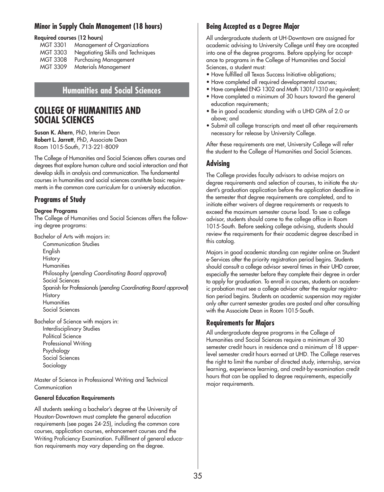## **Minor in Supply Chain Management (18 hours)**

## **Required courses (12 hours)**

| Management of Organizations       |
|-----------------------------------|
| Negotiating Skills and Techniques |
| Purchasing Management             |
| Materials Management              |
|                                   |

## **Humanities and Social Sciences**

# **COLLEGE OF HUMANITIES AND SOCIAL SCIENCES**

**Susan K. Ahern**, PhD, Interim Dean **Robert L. Jarrett**, PhD, Associate Dean Room 1015-South, 713-221-8009

The College of Humanities and Social Sciences offers courses and degrees that explore human culture and social interaction and that develop skills in analysis and communication. The fundamental courses in humanities and social sciences constitute basic requirements in the common core curriculum for a university education.

## **Programs of Study**

### **Degree Programs**

The College of Humanities and Social Sciences offers the following degree programs:

Bachelor of Arts with majors in:

Communication Studies English **History Humanities** Philosophy (*pending Coordinating Board approval*) Social Sciences Spanish for Professionals (*pending Coordinating Board approval*) History **Humanities** Social Sciences

Bachelor of Science with majors in: Interdisciplinary Studies Political Science Professional Writing Psychology Social Sciences Sociology

Master of Science in Professional Writing and Technical Communication

### **General Education Requirements**

All students seeking a bachelor's degree at the University of Houston-Downtown must complete the general education requirements (see pages 24-25), including the common core courses, application courses, enhancement courses and the Writing Proficiency Examination. Fulfillment of general education requirements may vary depending on the degree.

## **Being Accepted as a Degree Major**

All undergraduate students at UH-Downtown are assigned for academic advising to University College until they are accepted into one of the degree programs. Before applying for acceptance to programs in the College of Humanities and Social Sciences, a student must:

- Have fulfilled all Texas Success Initiative obligations;
- Have completed all required developmental courses;
- Have completed ENG 1302 and Math 1301/1310 or equivalent;
- Have completed a minimum of 30 hours toward the general education requirements;
- Be in good academic standing with a UHD GPA of 2.0 or above; and
- Submit all college transcripts and meet all other requirements necessary for release by University College.

After these requirements are met, University College will refer the student to the College of Humanities and Social Sciences.

## **Advising**

The College provides faculty advisors to advise majors on degree requirements and selection of courses, to initiate the student's graduation application before the application deadline in the semester that degree requirements are completed, and to initiate either waivers of degree requirements or requests to exceed the maximum semester course load. To see a college advisor, students should come to the college office in Room 1015-South. Before seeking college advising, students should review the requirements for their academic degree described in this catalog.

Majors in good academic standing can register online on Student e-Services after the priority registration period begins. Students should consult a college advisor several times in their UHD career, especially the semester before they complete their degree in order to apply for graduation. To enroll in courses, students on academic probation must see a college advisor after the regular registration period begins. Students on academic suspension may register only after current semester grades are posted and after consulting with the Associate Dean in Room 1015-South.

## **Requirements for Majors**

All undergraduate degree programs in the College of Humanities and Social Sciences require a minimum of 30 semester credit hours in residence and a minimum of 18 upperlevel semester credit hours earned at UHD. The College reserves the right to limit the number of directed study, internship, service learning, experience learning, and credit-by-examination credit hours that can be applied to degree requirements, especially major requirements.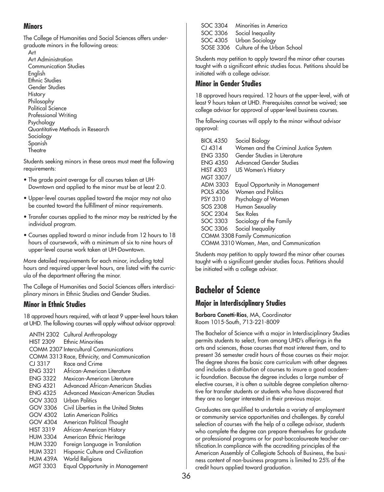## **Minors**

The College of Humanities and Social Sciences offers undergraduate minors in the following areas:

Art Art Administration Communication Studies English Ethnic Studies Gender Studies **History** Philosophy Political Science Professional Writing Psychology Quantitative Methods in Research Sociology Spanish **Theatre** 

Students seeking minors in these areas must meet the following requirements:

- The grade point average for all courses taken at UH-Downtown and applied to the minor must be at least 2.0.
- Upper-level courses applied toward the major may not also be counted toward the fulfillment of minor requirements.
- Transfer courses applied to the minor may be restricted by the individual program.
- Courses applied toward a minor include from 12 hours to 18 hours of coursework, with a minimum of six to nine hours of upper-level course work taken at UH-Downtown.

More detailed requirements for each minor, including total hours and required upper-level hours, are listed with the curricula of the department offering the minor.

The College of Humanities and Social Sciences offers interdisciplinary minors in Ethnic Studies and Gender Studies.

## **Minor in Ethnic Studies**

18 approved hours required, with at least 9 upper-level hours taken at UHD. The following courses will apply without advisor approval:

ANTH 2302 Cultural Anthropology HIST 2309 Ethnic Minorities COMM 2307 Intercultural Communications COMM 3313 Race, Ethnicity, and Communication CJ 3317 Race and Crime ENG 3321 African-American Literature<br>ENG 3322 Mexican-American Literatur Mexican-American Literature ENG 4321 Advanced African-American Studies ENG 4325 Advanced Mexican-American Studies GOV 3303 Urban Politics GOV 3306 Civil Liberties in the United States GOV 4302 Latin American Politics GOV 4304 American Political Thought HIST 3319 African-American History HUM 3304 American Ethnic Heritage HUM 3320 Foreign Language in Translation HUM 3321 Hispanic Culture and Civilization HUM 439A World Religions MGT 3303 Equal Opportunity in Management

SOC 3304 Minorities in America SOC 3306 Social Inequality SOC 4305 Urban Sociology SOSE 3306 Culture of the Urban School

Students may petition to apply toward the minor other courses taught with a significant ethnic studies focus. Petitions should be initiated with a college advisor.

## **Minor in Gender Studies**

18 approved hours required. 12 hours at the upper-level, with at least 9 hours taken at UHD. Prerequisites cannot be waived; see college advisor for approval of upper-level business courses.

The following courses will apply to the minor without advisor approval:

| <b>BIOL 4350</b> | Social Biology                          |
|------------------|-----------------------------------------|
| $CI$ 4314        | Women and the Criminal Justice System   |
| <b>ENG 3350</b>  | Gender Studies in Literature            |
| <b>ENG 4350</b>  | <b>Advanced Gender Studies</b>          |
| <b>HIST 4303</b> | US Women's History                      |
| MGT 3307/        |                                         |
| ADM 3303         | Equal Opportunity in Management         |
| <b>POLS 4306</b> | Women and Politics                      |
| <b>PSY 3310</b>  | Psychology of Women                     |
| SOS 2308         | Human Sexuality                         |
| <b>SOC 2304</b>  | Sex Roles                               |
| SOC 3303         | Sociology of the Family                 |
| SOC 3306         | Social Inequality                       |
|                  | <b>COMM 3308 Family Communication</b>   |
|                  | COMM 3310 Women, Men, and Communication |

Students may petition to apply toward the minor other courses taught with a significant gender studies focus. Petitions should be initiated with a college advisor.

# **Bachelor of Science**

## **Major in Interdisciplinary Studies**

**Barbara Canetti-Rios**, MA, Coordinator Room 1015-South, 713-221-8009

The Bachelor of Science with a major in Interdisciplinary Studies permits students to select, from among UHD's offerings in the arts and sciences, those courses that most interest them, and to present 36 semester credit hours of those courses as their major. The degree shares the basic core curriculum with other degrees and includes a distribution of courses to insure a good academic foundation. Because the degree includes a large number of elective courses, it is often a suitable degree completion alternative for transfer students or students who have discovered that they are no longer interested in their previous major.

Graduates are qualified to undertake a variety of employment or community service opportunities and challenges. By careful selection of courses with the help of a college advisor, students who complete the degree can prepare themselves for graduate or professional programs or for post-baccalaureate teacher certification.In compliance with the accrediting principles of the American Assembly of Collegiate Schools of Business, the business content of non-business programs is limited to 25% of the credit hours applied toward graduation.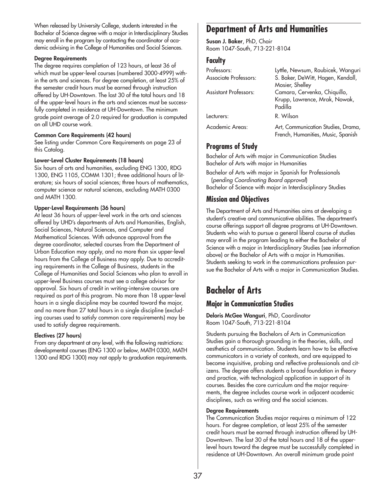When released by University College, students interested in the Bachelor of Science degree with a major in Interdisciplinary Studies may enroll in the program by contacting the coordinator of academic advising in the College of Humanities and Social Sciences.

### **Degree Requirements**

The degree requires completion of 123 hours, at least 36 of which must be upper-level courses (numbered 3000-4999) within the arts and sciences. For degree completion, at least 25% of the semester credit hours must be earned through instruction offered by UH-Downtown. The last 30 of the total hours and 18 of the upper-level hours in the arts and sciences must be successfully completed in residence at UH-Downtown. The minimum grade point average of 2.0 required for graduation is computed on all UHD course work.

## **Common Core Requirements (42 hours)**

See listing under Common Core Requirements on page 23 of this Catalog.

## **Lower-Level Cluster Requirements (18 hours)**

Six hours of arts and humanities, excluding ENG 1300, RDG 1300, ENG 1105, COMM 1301; three additional hours of literature; six hours of social sciences; three hours of mathematics, computer science or natural sciences, excluding MATH 0300 and MATH 1300.

## **Upper-Level Requirements (36 hours)**

At least 36 hours of upper-level work in the arts and sciences offered by UHD's departments of Arts and Humanities, English, Social Sciences, Natural Sciences, and Computer and Mathematical Sciences. With advance approval from the degree coordinator, selected courses from the Department of Urban Education may apply, and no more than six upper-level hours from the College of Business may apply. Due to accrediting requirements in the College of Business, students in the College of Humanities and Social Sciences who plan to enroll in upper-level Business courses must see a college advisor for approval. Six hours of credit in writing-intensive courses are required as part of this program. No more than 18 upper-level hours in a single discipline may be counted toward the major, and no more than 27 total hours in a single discipline (excluding courses used to satisfy common core requirements) may be used to satisfy degree requirements.

## **Electives (27 hours)**

From any department at any level, with the following restrictions: developmental courses (ENG 1300 or below, MATH 0300, MATH 1300 and RDG 1300) may not apply to graduation requirements.

# **Department of Arts and Humanities**

**Susan J. Baker**, PhD, Chair Room 1047-South, 713-221-8104

## **Faculty**

| Professors:                  | Lyttle, Newsum, Roubicek, Wanguri                                        |
|------------------------------|--------------------------------------------------------------------------|
| <b>Associate Professors:</b> | S. Baker, DeWitt, Hagen, Kendall,                                        |
|                              | Mosier, Shelley                                                          |
| <b>Assistant Professors:</b> | Camara, Cervenka, Chiquillo,                                             |
|                              | Krupp, Lawrence, Mrak, Nowak,                                            |
|                              | Padilla                                                                  |
| Lecturers:                   | R. Wilson                                                                |
| Academic Areas:              | Art, Communication Studies, Drama,<br>French, Humanities, Music, Spanish |

# **Programs of Study**

Bachelor of Arts with major in Communication Studies Bachelor of Arts with major in Humanities

Bachelor of Arts with major in Spanish for Professionals (*pending Coordinating Board approval*) Bachelor of Science with major in Interdisciplinary Studies

# **Mission and Objectives**

The Department of Arts and Humanities aims at developing a student's creative and communicative abilities. The department's course offerings support all degree programs at UH-Downtown. Students who wish to pursue a general liberal course of studies may enroll in the program leading to either the Bachelor of Science with a major in Interdisciplinary Studies (see information above) or the Bachelor of Arts with a major in Humanities. Students seeking to work in the communications profession pursue the Bachelor of Arts with a major in Communication Studies.

# **Bachelor of Arts**

## **Major in Communication Studies**

**Deloris McGee Wanguri**, PhD, Coordinator Room 1047-South, 713-221-8104

Students pursuing the Bachelors of Arts in Communication Studies gain a thorough grounding in the theories, skills, and aesthetics of communication. Students learn how to be effective communicators in a variety of contexts, and are equipped to become inquisitive, probing and reflective professionals and citizens. The degree offers students a broad foundation in theory and practice, with technological application in support of its courses. Besides the core curriculum and the major requirements, the degree includes course work in adjacent academic disciplines, such as writing and the social sciences.

## **Degree Requirements**

The Communication Studies major requires a minimum of 122 hours. For degree completion, at least 25% of the semester credit hours must be earned through instruction offered by UH-Downtown. The last 30 of the total hours and 18 of the upperlevel hours toward the degree must be successfully completed in residence at UH-Downtown. An overall minimum grade point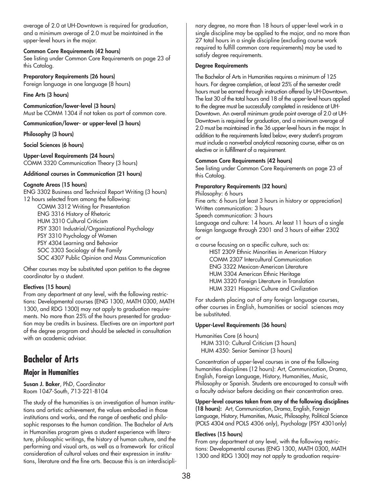average of 2.0 at UH-Downtown is required for graduation, and a minimum average of 2.0 must be maintained in the upper-level hours in the major.

### **Common Core Requirements (42 hours)**

See listing under Common Core Requirements on page 23 of this Catalog.

**Preparatory Requirements (26 hours)** Foreign language in one language (8 hours)

### **Fine Arts (3 hours)**

**Communication/lower-level (3 hours)** Must be COMM 1304 if not taken as part of common core.

**Communication/lower- or upper-level (3 hours)**

### **Philosophy (3 hours)**

**Social Sciences (6 hours)**

**Upper-Level Requirements (24 hours)** COMM 3320 Communication Theory (3 hours)

### **Additional courses in Communication (21 hours)**

### **Cognate Areas (15 hours)**

ENG 3302 Business and Technical Report Writing (3 hours) 12 hours selected from among the following: COMM 3312 Writing for Presentation ENG 3316 History of Rhetoric HUM 3310 Cultural Criticism PSY 3301 Industrial/Organizational Psychology PSY 3310 Psychology of Women PSY 4304 Learning and Behavior SOC 3303 Sociology of the Family SOC 4307 Public Opinion and Mass Communication

Other courses may be substituted upon petition to the degree coordinator by a student.

## **Electives (15 hours)**

From any department at any level, with the following restrictions: Developmental courses (ENG 1300, MATH 0300, MATH 1300, and RDG 1300) may not apply to graduation requirements. No more than 25% of the hours presented for graduation may be credits in business. Electives are an important part of the degree program and should be selected in consultation with an academic advisor.

# **Bachelor of Arts**

## **Major in Humanities**

**Susan J. Baker**, PhD, Coordinator Room 1047-South, 713-221-8104

The study of the humanities is an investigation of human institutions and artistic achievement, the values embodied in those institutions and works, and the range of aesthetic and philosophic responses to the human condition. The Bachelor of Arts in Humanities program gives a student experience with literature, philosophic writings, the history of human culture, and the performing and visual arts, as well as a framework for critical consideration of cultural values and their expression in institutions, literature and the fine arts. Because this is an interdisciplinary degree, no more than 18 hours of upper-level work in a single discipline may be applied to the major, and no more than 27 total hours in a single discipline (excluding course work required to fulfill common core requirements) may be used to satisfy degree requirements.

### **Degree Requirements**

The Bachelor of Arts in Humanities requires a minimum of 125 hours. For degree completion, at least 25% of the semester credit hours must be earned through instruction offered by UH-Downtown. The last 30 of the total hours and 18 of the upper-level hours applied to the degree must be successfully completed in residence at UH-Downtown. An overall minimum grade point average of 2.0 at UH-Downtown is required for graduation, and a minimum average of 2.0 must be maintained in the 36 upper-level hours in the major. In addition to the requirements listed below, every student's program must include a nonverbal analytical reasoning course, either as an elective or in fulfillment of a requirement.

## **Common Core Requirements (42 hours)**

See listing under Common Core Requirements on page 23 of this Catalog.

### **Preparatory Requirements (32 hours)**

Philosophy: 6 hours Fine arts: 6 hours (at least 3 hours in history or appreciation) Written communication: 3 hours Speech communication: 3 hours Language and culture: 14 hours. At least 11 hours of a single foreign language through 2301 and 3 hours of either 2302 *or*

a course focusing on a specific culture, such as: HIST 2309 Ethnic Minorities in American History COMM 2307 Intercultural Communication ENG 3322 Mexican-American Literature HUM 3304 American Ethnic Heritage HUM 3320 Foreign Literature in Translation HUM 3321 Hispanic Culture and Civilization

For students placing out of any foreign language courses, other courses in English, humanities or social sciences may be substituted.

## **Upper-Level Requirements (36 hours)**

Humanities Core (6 hours) HUM 3310: Cultural Criticism (3 hours) HUM 4350: Senior Seminar (3 hours)

Concentration of upper-level courses in one of the following humanities disciplines (12 hours): Art, Communication, Drama, English, Foreign Language, History, Humanities, Music, Philosophy or Spanish. Students are encouraged to consult with a faculty advisor before deciding on their concentration area.

**Upper-level courses taken from any of the following disciplines (18 hours):** Art, Communication, Drama, English, Foreign Language, History, Humanities, Music, Philosophy, Political Science (POLS 4304 and POLS 4306 only), Psychology (PSY 4301only)

## **Electives (15 hours)**

From any department at any level, with the following restrictions: Developmental courses (ENG 1300, MATH 0300, MATH 1300 and RDG 1300) may not apply to graduation require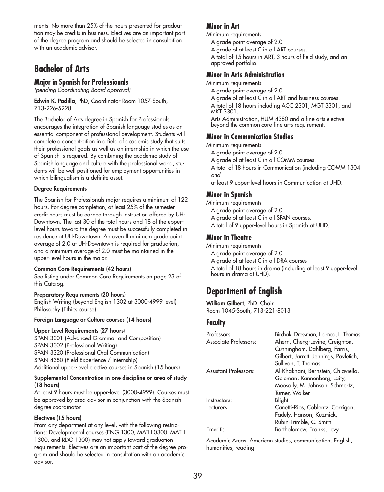ments. No more than 25% of the hours presented for graduation may be credits in business. Electives are an important part of the degree program and should be selected in consultation with an academic advisor.

# **Bachelor of Arts**

## **Major in Spanish for Professionals**

*(pending Coordinating Board approval)*

**Edwin K. Padilla**, PhD, Coordinator Room 1057-South, 713-226-5228

The Bachelor of Arts degree in Spanish for Professionals encourages the integration of Spanish language studies as an essential component of professional development. Students will complete a concentration in a field of academic study that suits their professional goals as well as an internship in which the use of Spanish is required. By combining the academic study of Spanish language and culture with the professional world, students will be well positioned for employment opportunities in which bilingualism is a definite asset.

## **Degree Requirements**

The Spanish for Professionals major requires a minimum of 122 hours. For degree completion, at least 25% of the semester credit hours must be earned through instruction offered by UH-Downtown. The last 30 of the total hours and 18 of the upperlevel hours toward the degree must be successfully completed in residence at UH-Downtown. An overall minimum grade point average of 2.0 at UH-Downtown is required for graduation, and a minimum average of 2.0 must be maintained in the upper-level hours in the major.

## **Common Core Requirements (42 hours)**

See listing under Common Core Requirements on page 23 of this Catalog.

## **Preparatory Requirements (20 hours)**

English Writing (beyond English 1302 at 3000-4999 level) Philosophy (Ethics course)

## **Foreign Language or Culture courses (14 hours)**

## **Upper Level Requirements (27 hours)**

SPAN 3301 (Advanced Grammar and Composition) SPAN 3302 (Professional Writing) SPAN 3320 (Professional Oral Communication) SPAN 4380 (Field Experience / Internship) Additional upper-level elective courses in Spanish (15 hours)

### **Supplemental Concentration in one discipline or area of study (18 hours)**

At least 9 hours must be upper-level (3000-4999). Courses must be approved by area advisor in conjunction with the Spanish degree coordinator.

## **Electives (15 hours)**

From any department at any level, with the following restrictions: Developmental courses (ENG 1300, MATH 0300, MATH 1300, and RDG 1300) may not apply toward graduation requirements. Electives are an important part of the degree program and should be selected in consultation with an academic advisor.

## **Minor in Art**

Minimum requirements:

- A grade point average of 2.0.
- A grade of at least C in all ART courses.
- A total of 15 hours in ART, 3 hours of field study, and an approved portfolio.

## **Minor in Arts Administration**

Minimum requirements:

A grade point average of 2.0.

A grade of at least C in all ART and business courses.

A total of 18 hours including ACC 2301, MGT 3301, and MKT 3301.

Arts Administration, HUM 4380 and a fine arts elective beyond the common core fine arts requirement.

## **Minor in Communication Studies**

Minimum requirements:

- A grade point average of 2.0.
- A grade of at least C in all COMM courses.
- A total of 18 hours in Communication (including COMM 1304 *and*
- at least 9 upper-level hours in Communication at UHD.

## **Minor in Spanish**

- Minimum requirements:
	- A grade point average of 2.0.
	- A grade of at least C in all SPAN courses.
	- A total of 9 upper-level hours in Spanish at UHD.

## **Minor in Theatre**

- Minimum requirements:
	- A grade point average of 2.0.
	- A grade of at least C in all DRA courses
	- A total of 18 hours in drama (including at least 9 upper-level hours in drama at UHD).

# **Department of English**

**William Gilbert**, PhD, Chair Room 1045-South, 713-221-8013

## **Faculty**

| Professors:                  | Birchak, Dressman, Harned, L. Thomas   |
|------------------------------|----------------------------------------|
| Associate Professors:        | Ahern, Cheng-Levine, Creighton,        |
|                              | Cunningham, Dahlberg, Farris,          |
|                              | Gilbert, Jarrett, Jennings, Pavletich, |
|                              | Sullivan, T. Thomas                    |
| <b>Assistant Professors:</b> | Al-Khakhani, Bernstein, Chiaviello,    |
|                              | Goleman, Kannenberg, Laity,            |
|                              | Moosally, M. Johnson, Schmertz,        |
|                              | Turner, Walker                         |
| Instructors:                 | Blight                                 |
| Lecturers:                   | Canetti-Rios, Coblentz, Corrigan,      |
|                              | Fadely, Hanson, Kuzmick,               |
|                              | Rubin-Trimble, C. Smith                |
| Emeriti:                     | Bartholomew, Franks, Levy              |

Academic Areas: American studies, communication, English, humanities, reading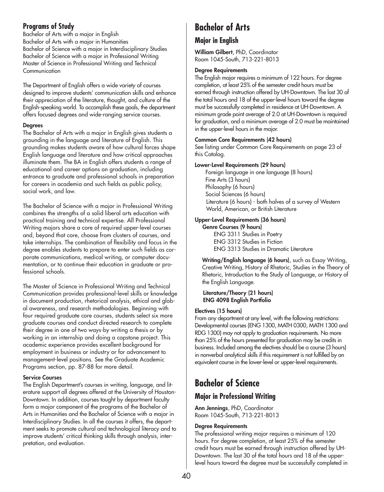## **Programs of Study**

Bachelor of Arts with a major in English Bachelor of Arts with a major in Humanities Bachelor of Science with a major in Interdisciplinary Studies Bachelor of Science with a major in Professional Writing Master of Science in Professional Writing and Technical **Communication** 

The Department of English offers a wide variety of courses designed to improve students' communication skills and enhance their appreciation of the literature, thought, and culture of the English-speaking world. To accomplish these goals, the department offers focused degrees and wide-ranging service courses.

## **Degrees**

The Bachelor of Arts with a major in English gives students a grounding in the language and literature of English. This grounding makes students aware of how cultural forces shape English language and literature and how critical approaches illuminate them. The BA in English offers students a range of educational and career options on graduation, including entrance to graduate and professional schools in preparation for careers in academia and such fields as public policy, social work, and law.

The Bachelor of Science with a major in Professional Writing combines the strengths of a solid liberal arts education with practical training and technical expertise. All Professional Writing majors share a core of required upper-level courses and, beyond that core, choose from clusters of courses, and take internships. The combination of flexibility and focus in the degree enables students to prepare to enter such fields as corporate communications, medical writing, or computer documentation, or to continue their education in graduate or professional schools.

The Master of Science in Professional Writing and Technical Communication provides professional-level skills or knowledge in document production, rhetorical analysis, ethical and global awareness, and research methodologies. Beginning with four required graduate core courses, students select six more graduate courses and conduct directed research to complete their degree in one of two ways-by writing a thesis or by working in an internship and doing a capstone project. This academic experience provides excellent background for employment in business or industry or for advancement to management-level positions. See the Graduate Academic Programs section, pp. 87-88 for more detail.

## **Service Courses**

The English Department's courses in writing, language, and literature support all degrees offered at the University of Houston-Downtown. In addition, courses taught by department faculty form a major component of the programs of the Bachelor of Arts in Humanities and the Bachelor of Science with a major in Interdisciplinary Studies. In all the courses it offers, the department seeks to promote cultural and technological literacy and to improve students' critical thinking skills through analysis, interpretation, and evaluation.

# **Bachelor of Arts**

## **Major in English**

**William Gilbert**, PhD, Coordinator Room 1045-South, 713-221-8013

## **Degree Requirements**

The English major requires a minimum of 122 hours. For degree completion, at least 25% of the semester credit hours must be earned through instruction offered by UH-Downtown. The last 30 of the total hours and 18 of the upper-level hours toward the degree must be successfully completed in residence at UH-Downtown. A minimum grade point average of 2.0 at UH-Downtown is required for graduation, and a minimum average of 2.0 must be maintained in the upper-level hours in the major.

## **Common Core Requirements (42 hours)**

See listing under Common Core Requirements on page 23 of this Catalog.

## **Lower-Level Requirements (29 hours)**

Foreign language in one language (8 hours) Fine Arts (3 hours) Philosophy (6 hours) Social Sciences (6 hours) Literature (6 hours) - both halves of a survey of Western World, American, or British Literature

## **Upper-Level Requirements (36 hours)**

**Genre Courses (9 hours)** ENG 3311 Studies in Poetry ENG 3312 Studies in Fiction ENG 3313 Studies in Dramatic Literature

**Writing/English language (6 hours)**, such as Essay Writing, Creative Writing, History of Rhetoric, Studies in the Theory of Rhetoric, Introduction to the Study of Language, or History of the English Language.

### **Literature/Theory (21 hours) ENG 4098 English Portfolio**

## **Electives (15 hours)**

From any department at any level, with the following restrictions: Developmental courses (ENG 1300, MATH 0300, MATH 1300 and RDG 1300) may not apply to graduation requirements. No more than 25% of the hours presented for graduation may be credits in business. Included among the electives should be a course (3 hours) in nonverbal analytical skills if this requirement is not fulfilled by an equivalent course in the lower-level or upper-level requirements.

# **Bachelor of Science**

# **Major in Professional Writing**

**Ann Jennings**, PhD, Coordinator Room 1045-South, 713-221-8013

## **Degree Requirements**

The professional writing major requires a minimum of 120 hours. For degree completion, at least 25% of the semester credit hours must be earned through instruction offered by UH-Downtown. The last 30 of the total hours and 18 of the upperlevel hours toward the degree must be successfully completed in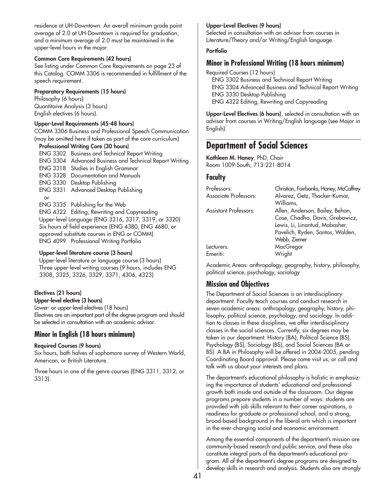residence at UH-Downtown. An overall minimum grade point average of 2.0 at UH-Downtown is required for graduation, and a minimum average of 2.0 must be maintained in the upper-level hours in the major.

#### **Common Core Requirements (42 hours)**

See listing under Common Core Requirements on page 23 of this Catalog. COMM 3306 is recommended in fulfillment of the speech requirement.

#### **Preparatory Requirements (15 hours)**

Philosophy (6 hours) Quantitaive Analysis (3 hours) English electives (6 hours).

### **Upper-Level Requirements (45-48 hours)**

COMM 3306 Business and Professional Speech Communication (may be omitted here if taken as part of the core curriculum)

#### **Professional Writing Core (30 hours)**

ENG 3302 Business and Technical Report Writing ENG 3304 Advanced Business and Technical Report Writing ENG 3318 Studies in English Grammar ENG 3328 Documentation and Manuals ENG 3330 Desktop Publishing ENG 3331 Advanced Desktop Publishing or ENG 3335 Publishing for the Web ENG 4322 Editing, Rewriting and Copyreading Upper-level Language (ENG 3316, 3317, 3319, or 3320) Six hours of field experience (ENG 4380, ENG 4680, or approved substitute courses in ENG or COMM) ENG 4099 Professional Writing Portfolio

#### **Upper-level literature course (3 hours)**

Upper-level literature or language course (3 hours) Three upper-level writing courses (9 hours, includes ENG 3308, 3325, 3326, 3329, 3371, 4306, 4323)

#### **Electives (21 hours) Upper-level elective (3 hours)**

Lower- or upper-level electives (18 hours) Electives are an important part of the degree program and should be selected in consultation with an academic advisor.

## **Minor in English (18 hours minimum)**

### **Required Courses (9 hours)**

Six hours, both halves of sophomore survey of Western World, American, or British Literature.

Three hours in one of the genre courses (ENG 3311, 3312, or 3313).

#### **Upper-Level Electives (9 hours)**

Selected in consultation with an advisor from courses in Literature/Theory and/or Writing/English language.

### **Portfolio**

## **Minor in Professional Writing (18 hours minimum)**

Required Courses (12 hours) ENG 3302 Business and Technical Report Writing ENG 3304 Advanced Business and Technical Report Writing ENG 3330 Desktop Publishing ENG 4322 Editing, Rewriting and Copyreading

**Upper-Level Electives (6 hours)**, selected in consultation with an advisor from courses in Writing/English language (see Major in English).

# **Department of Social Sciences**

**Kathleen M. Haney**, PhD, Chair Room 1009-South, 713-221-8014

## **Faculty**

| Professors:           | Christian, Fairbanks, Haney, McCaffrey |
|-----------------------|----------------------------------------|
| Associate Professors: | Alvarez, Getz, Thacker-Kumar,          |
|                       | Williams,                              |
| Assistant Professors: | Allen, Anderson, Bailey, Behan,        |
|                       | Case, Chadha, Davis, Grebowicz,        |
|                       | Lewis, Li, Linantud, Mobasher,         |
|                       | Pavelich, Ryden, Santos, Walden,       |
|                       | Webb, Ziemer                           |
| Lecturers:            | MacGregor                              |
| Emeriti:              | Wright                                 |
|                       |                                        |

Academic Areas: anthropology, geography, history, philosophy, political science, psychology, sociology

## **Mission and Objectives**

The Department of Social Sciences is an interdisciplinary department. Faculty teach courses and conduct research in seven academic areas: anthropology, geography, history, philosophy, political science, psychology, and sociology. In addition to classes in these disciplines, we offer interdisciplinary classes in the social sciences. Currently, six degrees may be taken in our department: History (BA), Political Science (BS), Psychology (BS), Sociology (BS), and Social Sciences (BA or BS). A BA in Philosophy will be offered in 2004-2005, pending Coordinating Board approval. Please come visit us, or call and talk with us about your interests and plans.

The department's educational philosophy is holistic in emphasizing the importance of students' educational and professional growth both inside and outside of the classroom. Our degree programs prepare students in a number of ways: students are provided with job skills relevant to their career aspirations, a readiness for graduate or professional school, and a strong, broad-based background in the liberal arts which is important in the ever-changing social and economic environment.

Among the essential components of the department's mission are community-based research and public service, and these also constitute integral parts of the department's educational program. All of the department's degree programs are designed to develop skills in research and analysis. Students also are strongly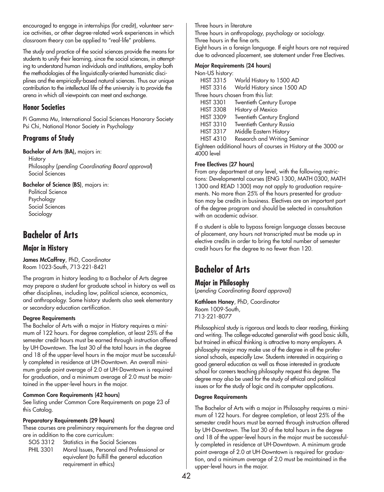encouraged to engage in internships (for credit), volunteer service activities, or other degree-related work experiences in which classroom theory can be applied to "real-life" problems.

The study and practice of the social sciences provide the means for students to unify their learning, since the social sciences, in attempting to understand human individuals and institutions, employ both the methodologies of the linguistically-oriented humanistic disciplines and the empirically-based natural sciences. Thus our unique contribution to the intellectual life of the university is to provide the arena in which all viewpoints can meet and exchange.

## **Honor Societies**

Pi Gamma Mu, International Social Sciences Honorary Society Psi Chi, National Honor Society in Psychology

# **Programs of Study**

**Bachelor of Arts (BA),** majors in:

**History** Philosophy (*pending Coordinating Board approval*) Social Sciences

**Bachelor of Science (BS)**, majors in:

Political Science Psychology Social Sciences Sociology

# **Bachelor of Arts**

## **Major in History**

**James McCaffrey**, PhD, Coordinator Room 1023-South, 713-221-8421

The program in history leading to a Bachelor of Arts degree may prepare a student for graduate school in history as well as other disciplines, including law, political science, economics, and anthropology. Some history students also seek elementary or secondary education certification.

## **Degree Requirements**

The Bachelor of Arts with a major in History requires a minimum of 122 hours. For degree completion, at least 25% of the semester credit hours must be earned through instruction offered by UH-Downtown. The last 30 of the total hours in the degree and 18 of the upper-level hours in the major must be successfully completed in residence at UH-Downtown. An overall minimum grade point average of 2.0 at UH-Downtown is required for graduation, and a minimum average of 2.0 must be maintained in the upper-level hours in the major.

## **Common Core Requirements (42 hours)**

See listing under Common Core Requirements on page 23 of this Catalog.

## **Preparatory Requirements (29 hours)**

These courses are preliminary requirements for the degree and are in addition to the core curriculum:

SOS 3312 Statistics in the Social Sciences

PHIL 3301 Moral Issues, Personal and Professional or equivalent (to fulfill the general education requirement in ethics)

Three hours in literature

Three hours in anthropology, psychology or sociology.

Three hours in the fine arts.

Eight hours in a foreign language. If eight hours are not required due to advanced placement, see statement under Free Electives.

## **Major Requirements (24 hours)**

|                  | $m$ upi negunemenis (27 novis)        |
|------------------|---------------------------------------|
| Non-US history:  |                                       |
|                  | HIST 3315 World History to 1500 AD    |
|                  | HIST 3316 World History since 1500 AD |
|                  | Three hours chosen from this list:    |
| <b>HIST 3301</b> | Twentieth Century Europe              |
| <b>HIST 3308</b> | History of Mexico                     |
| <b>HIST 3309</b> | Twentieth Century England             |
| <b>HIST 3310</b> | Twentieth Century Russia              |
| <b>HIST 3317</b> | Middle Eastern History                |
|                  |                                       |

HIST 4310 Research and Writing Seminar

Eighteen additional hours of courses in History at the 3000 or 4000 level

## **Free Electives (27 hours)**

From any department at any level, with the following restrictions: Developmental courses (ENG 1300, MATH 0300, MATH 1300 and READ 1300) may not apply to graduation requirements. No more than 25% of the hours presented for graduation may be credits in business. Electives are an important part of the degree program and should be selected in consultation with an academic advisor.

If a student is able to bypass foreign language classes because of placement, any hours not transcripted must be made up in elective credits in order to bring the total number of semester credit hours for the degree to no fewer than 120.

# **Bachelor of Arts**

**Major in Philosophy**  (*pending Coordinating Board approval)*

**Kathleen Haney**, PhD, Coordinator Room 1009-South, 713-221-8077

Philosophical study is rigorous and leads to clear reading, thinking and writing. The college-educated generalist with good basic skills, but trained in ethical thinking is attractive to many employers. A philosophy major may make use of the degree in all the professional schools, especially Law. Students interested in acquiring a good general education as well as those interested in graduate school for careers teaching philosophy request this degree. The degree may also be used for the study of ethical and political issues or for the study of logic and its computer applications.

## **Degree Requirements**

The Bachelor of Arts with a major in Philosophy requires a minimum of 122 hours. For degree completion, at least 25% of the semester credit hours must be earned through instruction offered by UH-Downtown. The last 30 of the total hours in the degree and 18 of the upper-level hours in the major must be successfully completed in residence at UH-Downtown. A minimum grade point average of 2.0 at UH-Downtown is required for graduation, and a minimum average of 2.0 must be maintained in the upper-level hours in the major.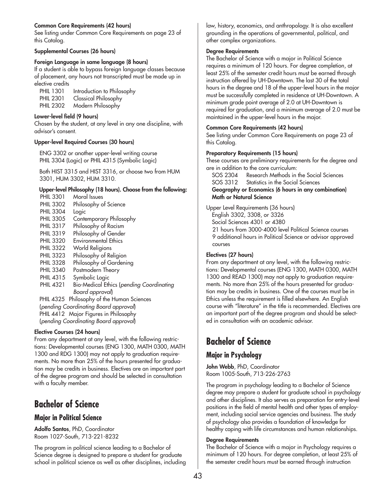## **Common Core Requirements (42 hours)**

See listing under Common Core Requirements on page 23 of this Catalog.

### **Supplemental Courses (26 hours)**

### **Foreign Language in same language (8 hours)**

If a student is able to bypass foreign language classes because of placement, any hours not transcripted must be made up in elective credits

| <b>PHIL 1301</b> | Introduction to Philosophy  |
|------------------|-----------------------------|
| <b>PHIL 2301</b> | <b>Classical Philosophy</b> |
| <b>PHIL 2302</b> | Modern Philosophy           |

### **Lower-level field (9 hours)**

Chosen by the student, at any level in any one discipline, with advisor's consent.

### **Upper-level Required Courses (30 hours)**

ENG 3302 or another upper-level writing course PHIL 3304 (Logic) or PHIL 4315 (Symbolic Logic)

Both HIST 3315 and HIST 3316, or choose two from HUM 3301, HUM 3302, HUM 3310.

### **Upper-level Philosophy (18 hours). Choose from the following:**

PHIL 3301 Moral Issues PHIL 3302 Philosophy of Science PHIL 3304 Logic PHIL 3305 Contemporary Philosophy PHIL 3317 Philosophy of Racism PHIL 3319 Philosophy of Gender PHIL 3320 Environmental Ethics PHIL 3322 World Religions PHIL 3323 Philosophy of Religion PHIL 3328 Philosophy of Gardening PHIL 3340 Postmodern Theory PHIL 4315 Symbolic Logic PHIL 4321 Bio-Medical Ethics (*pending Coordinating Board approval*) PHIL 4325 Philosophy of the Human Sciences (*pending Coordinating Board approval*) PHIL 4412 Major Figures in Philosophy (*pending Coordinating Board approval*)

## **Elective Courses (24 hours)**

From any department at any level, with the following restrictions: Developmental courses (ENG 1300, MATH 0300, MATH 1300 and RDG 1300) may not apply to graduation requirements. No more than 25% of the hours presented for graduation may be credits in business. Electives are an important part of the degree program and should be selected in consultation with a faculty member.

# **Bachelor of Science**

## **Major in Political Science**

**Adolfo Santos**, PhD, Coordinator Room 1027-South, 713-221-8232

The program in political science leading to a Bachelor of Science degree is designed to prepare a student for graduate school in political science as well as other disciplines, including law, history, economics, and anthropology. It is also excellent grounding in the operations of governmental, political, and other complex organizations.

### **Degree Requirements**

The Bachelor of Science with a major in Political Science requires a minimum of 120 hours. For degree completion, at least 25% of the semester credit hours must be earned through instruction offered by UH-Downtown. The last 30 of the total hours in the degree and 18 of the upper-level hours in the major must be successfully completed in residence at UH-Downtown. A minimum grade point average of 2.0 at UH-Downtown is required for graduation, and a minimum average of 2.0 must be maintained in the upper-level hours in the major.

### **Common Core Requirements (42 hours)**

See listing under Common Core Requirements on page 23 of this Catalog.

### **Preparatory Requirements (15 hours)**

These courses are preliminary requirements for the degree and are in addition to the core curriculum:

SOS 2304 Research Methods in the Social Sciences SOS 3312 Statistics in the Social Sciences **Geography or Economics (6 hours in any combination) Math or Natural Science**

Upper Level Requirements (36 hours) English 3302, 3308, or 3326 Social Sciences 4301 or 4380 21 hours from 3000-4000 level Political Science courses 9 additional hours in Political Science or advisor approved courses

## **Electives (27 hours)**

From any department at any level, with the following restrictions: Developmental courses (ENG 1300, MATH 0300, MATH 1300 and READ 1300) may not apply to graduation requirements. No more than 25% of the hours presented for graduation may be credits in business. One of the courses must be in Ethics unless the requirement is filled elsewhere. An English course with "literature" in the title is recommended. Electives are an important part of the degree program and should be selected in consultation with an academic advisor.

# **Bachelor of Science**

## **Major in Psychology**

**John Webb**, PhD, Coordinator Room 1005-South, 713-226-2763

The program in psychology leading to a Bachelor of Science degree may prepare a student for graduate school in psychology and other disciplines. It also serves as preparation for entry-level positions in the field of mental health and other types of employment, including social service agencies and business. The study of psychology also provides a foundation of knowledge for healthy coping with life circumstances and human relationships.

## **Degree Requirements**

The Bachelor of Science with a major in Psychology requires a minimum of 120 hours. For degree completion, at least 25% of the semester credit hours must be earned through instruction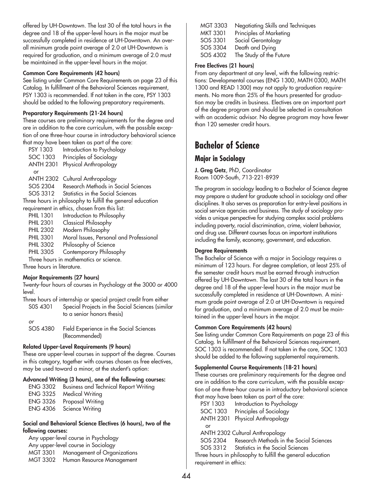offered by UH-Downtown. The last 30 of the total hours in the degree and 18 of the upper-level hours in the major must be successfully completed in residence at UH-Downtown. An overall minimum grade point average of 2.0 at UH-Downtown is required for graduation, and a minimum average of 2.0 must be maintained in the upper-level hours in the major.

### **Common Core Requirements (42 hours)**

See listing under Common Core Requirements on page 23 of this Catalog. In fulfillment of the Behavioral Sciences requirement, PSY 1303 is recommended. If not taken in the core, PSY 1303 should be added to the following preparatory requirements.

### **Preparatory Requirements (21-24 hours)**

These courses are preliminary requirements for the degree and are in addition to the core curriculum, with the possible exception of one three-hour course in introductory behavioral science that may have been taken as part of the core:

PSY 1303 Introduction to Psychology SOC 1303 Principles of Sociology ANTH 2301 Physical Anthropology or ANTH 2302 Cultural Anthropology SOS 2304 Research Methods in Social Sciences SOS 3312 Statistics in the Social Sciences Three hours in philosophy to fulfill the general education requirement in ethics, chosen from this list:

PHIL 1301 Introduction to Philosophy PHIL 2301 Classical Philosophy PHIL 2302 Modern Philosophy PHIL 3301 Moral Issues, Personal and Professional PHIL 3302 Philosophy of Science PHIL 3305 Contemporary Philosophy

Three hours in mathematics or science. Three hours in literature.

### **Major Requirements (27 hours)**

Twenty-four hours of courses in Psychology at the 3000 or 4000 level.

Three hours of internship or special project credit from either

S0S 4301 Special Projects in the Social Sciences (similar to a senior honors thesis)

*or*

SOS 4380 Field Experience in the Social Sciences (Recommended)

## **Related Upper-Level Requirements (9 hours)**

These are upper-level courses in support of the degree. Courses in this category, together with courses chosen as free electives, may be used toward a minor, at the student's option:

### **Advanced Writing (3 hours), one of the following courses:**

| <b>ENG 3302</b> | <b>Business and Technical Report Writing</b> |
|-----------------|----------------------------------------------|
| ENG 3325        | Medical Writing                              |
|                 | ENG 3326 Proposal Writing                    |
|                 | ENG 4306 Science Writing                     |

### **Social and Behavioral Science Electives (6 hours), two of the following courses:**

Any upper-level course in Psychology Any upper-level course in Sociology MGT 3301 Management of Organizations MGT 3302 Human Resource Management

| MGT 3303 | Negotiating Skills and Techniques |
|----------|-----------------------------------|
| MKT 3301 | Principles of Marketing           |
| SOS 3301 | Social Gerontology                |
| SOS 3304 | Death and Dying                   |
| SOS 4302 | The Study of the Future           |
|          |                                   |

### **Free Electives (21 hours)**

From any department at any level, with the following restrictions: Developmental courses (ENG 1300, MATH 0300, MATH 1300 and READ 1300) may not apply to graduation requirements. No more than 25% of the hours presented for graduation may be credits in business. Electives are an important part of the degree program and should be selected in consultation with an academic advisor. No degree program may have fewer than 120 semester credit hours.

# **Bachelor of Science**

## **Major in Sociology**

**J. Greg Getz**, PhD, Coordinator Room 1009-South, 713-221-8939

The program in sociology leading to a Bachelor of Science degree may prepare a student for graduate school in sociology and other disciplines. It also serves as preparation for entry-level positions in social service agencies and business. The study of sociology provides a unique perspective for studying complex social problems including poverty, racial discrimination, crime, violent behavior, and drug use. Different courses focus on important institutions including the family, economy, government, and education.

### **Degree Requirements**

The Bachelor of Science with a major in Sociology requires a minimum of 123 hours. For degree completion, at least 25% of the semester credit hours must be earned through instruction offered by UH-Downtown. The last 30 of the total hours in the degree and 18 of the upper-level hours in the major must be successfully completed in residence at UH-Downtown. A minimum grade point average of 2.0 at UH-Downtown is required for graduation, and a minimum average of 2.0 must be maintained in the upper-level hours in the major.

### **Common Core Requirements (42 hours)**

See listing under Common Core Requirements on page 23 of this Catalog. In fulfillment of the Behavioral Sciences requirement, SOC 1303 is recommended. If not taken in the core, SOC 1303 should be added to the following supplemental requirements.

## **Supplemental Course Requirements (18-21 hours)**

These courses are preliminary requirements for the degree and are in addition to the core curriculum, with the possible exception of one three-hour course in introductory behavioral science that may have been taken as part of the core:

PSY 1303 Introduction to Psychology SOC 1303 Principles of Sociology ANTH 2301 Physical Anthropology or

ANTH 2302 Cultural Anthropology

SOS 2304 Research Methods in the Social Sciences

SOS 3312 Statistics in the Social Sciences

Three hours in philosophy to fulfill the general education requirement in ethics: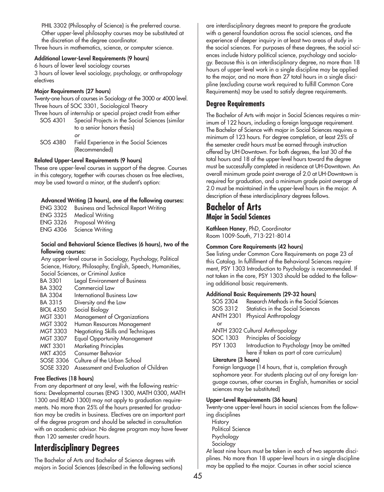PHIL 3302 (Philosophy of Science) is the preferred course. Other upper-level philosophy courses may be substituted at the discretion of the degree coordinator.

Three hours in mathematics, science, or computer science.

#### **Additional Lower-Level Requirements (9 hours)**

6 hours of lower level sociology courses 3 hours of lower level sociology, psychology, or anthropology electives

### **Major Requirements (27 hours)**

Twenty-one hours of courses in Sociology at the 3000 or 4000 level. Three hours of SOC 3301, Sociological Theory Three hours of internship or special project credit from either

SOS 4301 Special Projects in the Social Sciences (similar to a senior honors thesis) *or*

SOS 4380 Field Experience in the Social Sciences (Recommended)

### **Related Upper-Level Requirements (9 hours)**

These are upper-level courses in support of the degree. Courses in this category, together with courses chosen as free electives, may be used toward a minor, at the student's option:

### **Advanced Writing (3 hours), one of the following courses:**

ENG 3302 Business and Technical Report Writing Medical Writing ENG 3326 Proposal Writing ENG 4306 Science Writing

### **Social and Behavioral Science Electives (6 hours), two of the following courses:**

Any upper-level course in Sociology, Psychology, Political Science, History, Philosophy, English, Speech, Humanities, Social Sciences, or Criminal Justice

| BA 3301          | Legal Environment of Business         |
|------------------|---------------------------------------|
| BA 3302          | Commercial Law                        |
| <b>BA 3304</b>   | International Business Law            |
| BA 3315          | Diversity and the Law                 |
| <b>BIOL 4350</b> | Social Biology                        |
| MGT 3301         | Management of Organizations           |
| MGT 3302         | Human Resources Management            |
| <b>MGT 3303</b>  | Negotiating Skills and Techniques     |
| <b>MGT 3307</b>  | <b>Equal Opportunity Management</b>   |
| <b>MKT 3301</b>  | <b>Marketing Principles</b>           |
| <b>MKT 4305</b>  | <b>Consumer Behavior</b>              |
| SOSE 3306        | Culture of the Urban School           |
| SOSE 3320        | Assessment and Evaluation of Children |

## **Free Electives (18 hours)**

From any department at any level, with the following restrictions: Developmental courses (ENG 1300, MATH 0300, MATH 1300 and READ 1300) may not apply to graduation requirements. No more than 25% of the hours presented for graduation may be credits in business. Electives are an important part of the degree program and should be selected in consultation with an academic advisor. No degree program may have fewer than 120 semester credit hours.

# **Interdisciplinary Degrees**

The Bachelor of Arts and Bachelor of Science degrees with majors in Social Sciences (described in the following sections) are interdisciplinary degrees meant to prepare the graduate with a general foundation across the social sciences, and the experience of deeper inquiry in at least two areas of study in the social sciences. For purposes of these degrees, the social sciences include history political science, psychology and sociology. Because this is an interdisciplinary degree, no more than 18 hours of upper-level work in a single discipline may be applied to the major, and no more than 27 total hours in a single discipline (excluding course work required to fulfill Common Core Requirements) may be used to satisfy degree requirements.

## **Degree Requirements**

The Bachelor of Arts with major in Social Sciences requires a minimum of 122 hours, including a foreign language requirement. The Bachelor of Science with major in Social Sciences requires a minimum of 123 hours. For degree completion, at least 25% of the semester credit hours must be earned through instruction offered by UH-Downtown. For both degrees, the last 30 of the total hours and 18 of the upper-level hours toward the degree must be successfully completed in residence at UH-Downtown. An overall minimum grade point average of 2.0 at UH-Downtown is required for graduation, and a minimum grade point average of 2.0 must be maintained in the upper-level hours in the major. A description of these interdisciplinary degrees follows.

# **Bachelor of Arts Major in Social Sciences**

**Kathleen Haney**, PhD, Coordinator Room 1009-South, 713-221-8014

## **Common Core Requirements (42 hours)**

See listing under Common Core Requirements on page 23 of this Catalog. In fulfillment of the Behavioral Sciences requirement, PSY 1303 Introduction to Psychology is recommended. If not taken in the core, PSY 1303 should be added to the following additional basic requirements.

### **Additional Basic Requirements (29-32 hours)**

| SOS 2304                        | Research Methods in the Social Sciences    |  |
|---------------------------------|--------------------------------------------|--|
| SOS 3312                        | Statistics in the Social Sciences          |  |
| <b>ANTH 2301</b>                | Physical Anthropology                      |  |
| or                              |                                            |  |
| ANTH 2302 Cultural Anthropology |                                            |  |
| SOC 1303                        | Principles of Sociology                    |  |
| PSY 1303                        | Introduction to Psychology (may be omitted |  |
|                                 | here if taken as part of core curriculum)  |  |
| Literature (3 hours)            |                                            |  |

Foreign language (14 hours, that is, completion through sophomore year. For students placing out of any foreign language courses, other courses in English, humanities or social sciences may be substituted)

### **Upper-Level Requirements (36 hours)**

Twenty-one upper-level hours in social sciences from the following disciplines

**History** Political Science Psychology Sociology

At least nine hours must be taken in each of two separate disciplines. No more than 18 upper-level hours in a single discipline may be applied to the major. Courses in other social science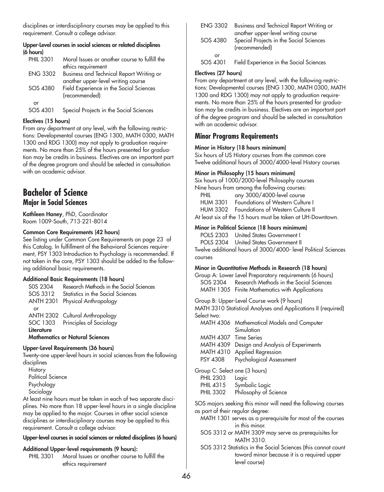disciplines or interdisciplinary courses may be applied to this requirement. Consult a college advisor.

### **Upper-Level courses in social sciences or related disciplines (6 hours)**

| <b>PHIL 3301</b> | Moral Issues or another course to fulfill the |
|------------------|-----------------------------------------------|
|                  | ethics requirement                            |
| <b>ENG 3302</b>  | Business and Technical Report Writing or      |
|                  | another upper-level writing course            |
| SOS 4380         | Field Experience in the Social Sciences       |
|                  | (recommended)                                 |
| or               |                                               |
| SOS 4301         | Special Projects in the Social Sciences       |

## **Electives (15 hours)**

From any department at any level, with the following restrictions: Developmental courses (ENG 1300, MATH 0300, MATH 1300 and RDG 1300) may not apply to graduation requirements. No more than 25% of the hours presented for graduation may be credits in business. Electives are an important part of the degree program and should be selected in consultation with an academic advisor.

# **Bachelor of Science Major in Social Sciences**

**Kathleen Haney**, PhD, Coordinator Room 1009-South, 713-221-8014

### **Common Core Requirements (42 hours)**

See listing under Common Core Requirements on page 23 of this Catalog. In fulfillment of the Behavioral Sciences requirement, PSY 1303 Introduction to Psychology is recommended. If not taken in the core, PSY 1303 should be added to the following additional basic requirements.

## **Additional Basic Requirements (18 hours)**

| SOS 2304                               | Research Methods in the Social Sciences |  |
|----------------------------------------|-----------------------------------------|--|
| SOS 3312                               | Statistics in the Social Sciences       |  |
| <b>ANTH 2301</b>                       | Physical Anthropology                   |  |
| or                                     |                                         |  |
|                                        | ANTH 2302 Cultural Anthropology         |  |
|                                        | SOC 1303 Principles of Sociology        |  |
| Literature                             |                                         |  |
| <b>Mathematics or Natural Sciences</b> |                                         |  |

### **Upper-Level Requirements (36 hours)**

Twenty-one upper-level hours in social sciences from the following disciplines

**History** Political Science Psychology Sociology

At least nine hours must be taken in each of two separate disciplines. No more than 18 upper-level hours in a single discipline may be applied to the major. Courses in other social science disciplines or interdisciplinary courses may be applied to this requirement. Consult a college advisor.

## **Upper-level courses in social sciences or related disciplines (6 hours)**

## **Additional Upper-level requirements (9 hours):**

PHIL 3301 Moral Issues or another course to fulfill the ethics requirement

| <b>ENG 3302</b> | Business and Technical Report Writing or<br>another upper-level writing course |
|-----------------|--------------------------------------------------------------------------------|
| SOS 4380        | Special Projects in the Social Sciences<br>(recommended)                       |
| or<br>SOS 4301  | Field Experience in the Social Sciences                                        |

## **Electives (27 hours)**

From any department at any level, with the following restrictions: Developmental courses (ENG 1300, MATH 0300, MATH 1300 and RDG 1300) may not apply to graduation requirements. No more than 25% of the hours presented for graduation may be credits in business. Electives are an important part of the degree program and should be selected in consultation with an academic advisor.

## **Minor Programs Requirements**

### **Minor in History (18 hours minimum)**

Six hours of US History courses from the common core Twelve additional hours of 3000/4000-level History courses

### **Minor in Philosophy (15 hours minimum)**

Six hours of 1000/2000-level Philosophy courses Nine hours from among the following courses:

| PHIL            | any 3000/4000-level course                                 |
|-----------------|------------------------------------------------------------|
| <b>HUM 3301</b> | Foundations of Western Culture I                           |
|                 | HUM 3302 Foundations of Western Culture II                 |
|                 | At least six of the 15 hours must be taken at UH-Downtown. |

## **Minor in Political Science (18 hours minimum)**

POLS 2303 United States Government I POLS 2304 United States Government II Twelve additional hours of 3000/4000- level Political Sciences courses

## **Minor in Quantitative Methods in Research (18 hours)**

Group A: Lower Level Preparatory requirements (6 hours) SOS 2304 Research Methods in the Social Sciences MATH 1305 Finite Mathematics with Applications

Group B: Upper-Level Course work (9 hours) MATH 3310 Statistical Analyses and Applications II (required) Select two:

- MATH 4306 Mathematical Models and Computer Simulation MATH 4307 Time Series
- MATH 4309 Design and Analysis of Experiments
- MATH 4310 Applied Regression
- PSY 4308 Psychological Assessment

Group C: Select one (3 hours)

- PHIL 2303 Logic
- PHIL 4315 Symbolic Logic
- PHIL 3302 Philosophy of Science

SOS majors seeking this minor will need the following courses as part of their regular degree:

- MATH 1301 serves as a prerequisite for most of the courses in this minor.
- SOS 3312 or MATH 3309 may serve as prerequisites for MATH 3310.
- SOS 3312 Statistics in the Social Sciences (this cannot count toward minor because it is a required upper level course)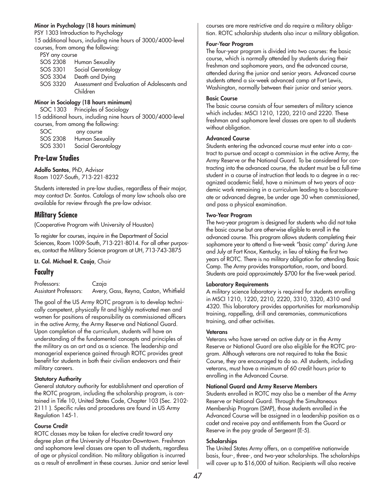### **Minor in Psychology (18 hours minimum)**

PSY 1303 Introduction to Psychology 15 additional hours, including nine hours of 3000/4000-level courses, from among the following:

| PSY any course                                           |  |  |
|----------------------------------------------------------|--|--|
| SOS 2308 Human Sexuality                                 |  |  |
| Social Gerontology                                       |  |  |
| Death and Dying                                          |  |  |
| Assessment and Evaluation of Adolescents and<br>Children |  |  |
|                                                          |  |  |

## **Minor in Sociology (18 hours minimum)**

SOC 1303 Principles of Sociology 15 additional hours, including nine hours of 3000/4000-level courses, from among the following:

| SOC.     | any course         |
|----------|--------------------|
| SOS 2308 | Human Sexuality    |
| SOS 3301 | Social Gerontology |

## **Pre-Law Studies**

**Adolfo Santos**, PhD, Advisor Room 1027-South, 713-221-8232

Students interested in pre-law studies, regardless of their major, may contact Dr. Santos. Catalogs of many law schools also are available for review through the pre-law advisor.

## **Military Science**

(Cooperative Program with University of Houston)

To register for courses, inquire in the Department of Social Sciences, Room 1009-South, 713-221-8014. For all other purposes, contact the Military Science program at UH, 713-743-3875

## **Lt. Col. Michael R. Czaja**, Chair

## **Faculty**

Professors: Czaja<br>Assistant Professors: Avery, Avery, Gass, Reyna, Caston, Whitfield

The goal of the US Army ROTC program is to develop technically competent, physically fit and highly motivated men and women for positions of responsibility as commissioned officers in the active Army, the Army Reserve and National Guard. Upon completion of the curriculum, students will have an understanding of the fundamental concepts and principles of the military as an art and as a science. The leadership and managerial experience gained through ROTC provides great benefit for students in both their civilian endeavors and their military careers.

## **Statutory Authority**

General statutory authority for establishment and operation of the ROTC program, including the scholarship program, is contained in Title 10, United States Code, Chapter 103 (Sec. 2102- 2111 ). Specific rules and procedures are found in US Army Regulation 145-1.

## **Course Credit**

ROTC classes may be taken for elective credit toward any degree plan at the University of Houston-Downtown. Freshman and sophomore level classes are open to all students, regardless of age or physical condition. No military obligation is incurred as a result of enrollment in these courses. Junior and senior level courses are more restrictive and do require a military obligation. ROTC scholarship students also incur a military obligation.

### **Four-Year Program**

The four-year program is divided into two courses: the basic course, which is normally attended by students during their freshman and sophomore years, and the advanced course, attended during the junior and senior years. Advanced course students attend a six-week advanced camp at Fort Lewis, Washington, normally between their junior and senior years.

### **Basic Course**

The basic course consists of four semesters of military science which includes: MSCI 1210, 1220, 2210 and 2220. These freshman and sophomore level classes are open to all students without obligation.

### **Advanced Course**

Students entering the advanced course must enter into a contract to pursue and accept a commission in the active Army, the Army Reserve or the National Guard. To be considered for contracting into the advanced course, the student must be a full-time student in a course of instruction that leads to a degree in a recognized academic field, have a minimum of two years of academic work remaining in a curriculum leading to a baccalaureate or advanced degree, be under age 30 when commissioned, and pass a physical examination.

### **Two-Year Program**

The two-year program is designed for students who did not take the basic course but are otherwise eligible to enroll in the advanced course. This program allows students completing their sophomore year to attend a five-week "basic camp" during June and July at Fort Knox, Kentucky, in lieu of taking the first two years of ROTC. There is no military obligation for attending Basic Camp. The Army provides transportation, room, and board. Students are paid approximately \$700 for the five-week period.

## **Laboratory Requirements**

A military science laboratory is required for students enrolling in MSCI 1210, 1220, 2210, 2220, 3310, 3320, 4310 and 4320. This laboratory provides opportunities for marksmanship training, rappelling, drill and ceremonies, communications training, and other activities.

### **Veterans**

Veterans who have served on active duty or in the Army Reserve or National Guard are also eligible for the ROTC program. Although veterans are not required to take the Basic Course, they are encouraged to do so. All students, including veterans, must have a minimum of 60 credit hours prior to enrolling in the Advanced Course.

### **National Guard and Army Reserve Members**

Students enrolled in ROTC may also be a member of the Army Reserve or National Guard. Through the Simultaneous Membership Program (SMP), those students enrolled in the Advanced Course will be assigned in a leadership position as a cadet and receive pay and entitlements from the Guard or Reserve in the pay grade of Sergeant (E-5).

### **Scholarships**

The United States Army offers, on a competitive nationwide basis, four-, three-, and two-year scholarships. The scholarships will cover up to \$16,000 of tuition. Recipients will also receive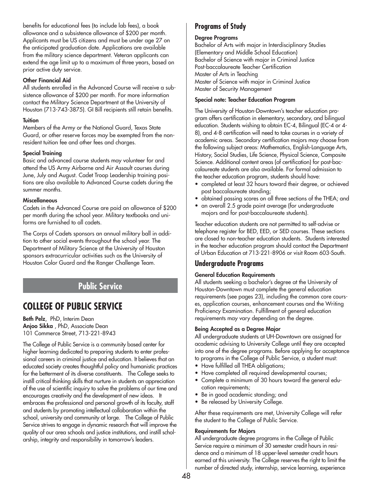benefits for educational fees (to include lab fees), a book allowance and a subsistence allowance of \$200 per month. Applicants must be US citizens and must be under age 27 on the anticipated graduation date. Applications are available from the military science department. Veteran applicants can extend the age limit up to a maximum of three years, based on prior active duty service.

### **Other Financial Aid**

All students enrolled in the Advanced Course will receive a subsistence allowance of \$200 per month. For more information contact the Military Science Department at the University of Houston (713-743-3875). GI Bill recipients still retain benefits.

### **Tuition**

Members of the Army or the National Guard, Texas State Guard, or other reserve forces may be exempted from the nonresident tuition fee and other fees and charges.

## **Special Training**

Basic and advanced course students may volunteer for and attend the US Army Airborne and Air Assault courses during June, July and August. Cadet Troop Leadership training positions are also available to Advanced Course cadets during the summer months.

### **Miscellaneous**

Cadets in the Advanced Course are paid an allowance of \$200 per month during the school year. Military textbooks and uniforms are furnished to all cadets.

The Corps of Cadets sponsors an annual military ball in addition to other social events throughout the school year. The Department of Military Science at the University of Houston sponsors extracurricular activities such as the University of Houston Color Guard and the Ranger Challenge Team.

# **Public Service**

# **COLLEGE OF PUBLIC SERVICE**

**Beth Pelz**, PhD, Interim Dean **Anjoo Sikka** , PhD, Associate Dean 101 Commerce Street, 713-221-8943

The College of Public Service is a community based center for higher learning dedicated to preparing students to enter professional careers in criminal justice and education. It believes that an educated society creates thoughtful policy and humanistic practices for the betterment of its diverse constituents. The College seeks to instill critical thinking skills that nurture in students an appreciation of the use of scientific inquiry to solve the problems of our time and encourages creativity and the development of new ideas. It embraces the professional and personal growth of its faculty, staff and students by promoting intellectual collaboration within the school, university and community at large. The College of Public Service strives to engage in dynamic research that will improve the quality of our area schools and justice institutions, and instill scholarship, integrity and responsibility in tomorrow's leaders.

## **Programs of Study**

### **Degree Programs**

Bachelor of Arts with major in Interdisciplinary Studies (Elementary and Middle School Education) Bachelor of Science with major in Criminal Justice Post-baccalaureate Teacher Certification Master of Arts in Teaching Master of Science with major in Criminal Justice Master of Security Management

### **Special note: Teacher Education Program**

The University of Houston-Downtown's teacher education program offers certification in elementary, secondary, and bilingual education. Students wishing to obtain EC-4, Bilingual (EC-4 or 4- 8), and 4-8 certification will need to take courses in a variety of academic areas. Secondary certification majors may choose from the following subject areas: Mathematics, English-Language Arts, History, Social Studies, Life Science, Physical Science, Composite Science. Additional content areas (of certification) for post-baccalaureate students are also available. For formal admission to the teacher education program, students should have:

- completed at least 32 hours toward their degree, or achieved post baccalaureate standing;
- obtained passing scores on all three sections of the THEA; and
- an overall 2.5 grade point average (for undergraduate majors and for post-baccalaureate students).

Teacher education students are not permitted to self-advise or telephone register for BED, EED, or SED courses. These sections are closed to non-teacher education students. Students interested in the teacher education program should contact the Department of Urban Education at 713-221-8906 or visit Room 603-South.

## **Undergraduate Programs**

## **General Education Requirements**

All students seeking a bachelor's degree at the University of Houston-Downtown must complete the general education requirements (see pages 23), including the common core courses, application courses, enhancement courses and the Writing Proficiency Examination. Fulfillment of general education requirements may vary depending on the degree.

## **Being Accepted as a Degree Major**

All undergraduate students at UH-Downtown are assigned for academic advising to University College until they are accepted into one of the degree programs. Before applying for acceptance to programs in the College of Public Service, a student must:

- Have fulfilled all THEA obligations;
- Have completed all required developmental courses;
- Complete a minimum of 30 hours toward the general education requirements;
- Be in good academic standing; and
- Be released by University College.

After these requirements are met, University College will refer the student to the College of Public Service.

## **Requirements for Majors**

All undergraduate degree programs in the College of Public Service require a minimum of 30 semester credit hours in residence and a minimum of 18 upper-level semester credit hours earned at this university. The College reserves the right to limit the number of directed study, internship, service learning, experience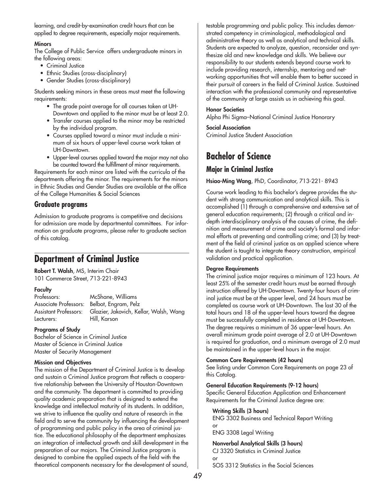learning, and credit-by-examination credit hours that can be applied to degree requirements, especially major requirements.

### **Minors**

The College of Public Service offers undergraduate minors in the following areas:

- Criminal Justice
- Ethnic Studies (cross-disciplinary)
- Gender Studies (cross-disciplinary)

Students seeking minors in these areas must meet the following requirements:

- The grade point average for all courses taken at UH-Downtown and applied to the minor must be at least 2.0.
- Transfer courses applied to the minor may be restricted by the individual program.
- Courses applied toward a minor must include a minimum of six hours of upper-level course work taken at UH-Downtown.
- Upper-level courses applied toward the major may not also be counted toward the fulfillment of minor requirements.

Requirements for each minor are listed with the curricula of the departments offering the minor. The requirements for the minors in Ethnic Studies and Gender Studies are available at the office of the College Humanities & Social Sciences

## **Graduate programs**

Admission to graduate programs is competitive and decisions for admission are made by departmental committees. For information on graduate programs, please refer to graduate section of this catalog.

# **Department of Criminal Justice**

**Robert T. Walsh**, MS, Interim Chair 101 Commerce Street, 713-221-8943

## **Faculty**

Professors: McShane, Williams Associate Professors: Belbot, Engram, Pelz Lecturers: Hill, Karson

Assistant Professors: Glazier, Jakovich, Kellar, Walsh, Wang

## **Programs of Study**

Bachelor of Science in Criminal Justice Master of Science in Criminal Justice Master of Security Management

## **Mission and Objectives**

The mission of the Department of Criminal Justice is to develop and sustain a Criminal Justice program that reflects a cooperative relationship between the University of Houston-Downtown and the community. The department is committed to providing quality academic preparation that is designed to extend the knowledge and intellectual maturity of its students. In addition, we strive to influence the quality and nature of research in the field and to serve the community by influencing the development of programming and public policy in the area of criminal justice. The educational philosophy of the department emphasizes an integration of intellectual growth and skill development in the preparation of our majors. The Criminal Justice program is designed to combine the applied aspects of the field with the theoretical components necessary for the development of sound,

testable programming and public policy. This includes demonstrated competency in criminological, methodological and administrative theory as well as analytical and technical skills. Students are expected to analyze, question, reconsider and synthesize old and new knowledge and skills. We believe our responsibility to our students extends beyond course work to include providing research, internship, mentoring and networking opportunities that will enable them to better succeed in their pursuit of careers in the field of Criminal Justice. Sustained interaction with the professional community and representative of the community at large assists us in achieving this goal.

### **Honor Societies**

Alpha Phi Sigma–National Criminal Justice Honorary

### **Social Association**

Criminal Justice Student Association

# **Bachelor of Science**

## **Major in Criminal Justice**

**Hsiao-Ming Wang**, PhD, Coordinator, 713-221- 8943

Course work leading to this bachelor's degree provides the student with strong communication and analytical skills. This is accomplished (1) through a comprehensive and extensive set of general education requirements; (2) through a critical and indepth interdisciplinary analysis of the causes of crime, the definition and measurement of crime and society's formal and informal efforts at preventing and controlling crime; and (3) by treatment of the field of criminal justice as an applied science where the student is taught to integrate theory construction, empirical validation and practical application.

### **Degree Requirements**

The criminal justice major requires a minimum of 123 hours. At least 25% of the semester credit hours must be earned through instruction offered by UH-Downtown. Twenty-four hours of criminal justice must be at the upper level, and 24 hours must be completed as course work at UH-Downtown. The last 30 of the total hours and 18 of the upper-level hours toward the degree must be successfully completed in residence at UH-Downtown. The degree requires a minimum of 36 upper-level hours. An overall minimum grade point average of 2.0 at UH-Downtown is required for graduation, and a minimum average of 2.0 must be maintained in the upper-level hours in the major.

## **Common Core Requirements (42 hours)**

See listing under Common Core Requirements on page 23 of this Catalog.

### **General Education Requirements (9-12 hours)**

Specific General Education Application and Enhancement Requirements for the Criminal Justice degree are:

### **Writing Skills (3 hours)**

ENG 3302 Business and Technical Report Writing or ENG 3308 Legal Writing

## **Nonverbal Analytical Skills (3 hours)**

CJ 3320 Statistics in Criminal Justice or SOS 3312 Statistics in the Social Sciences

49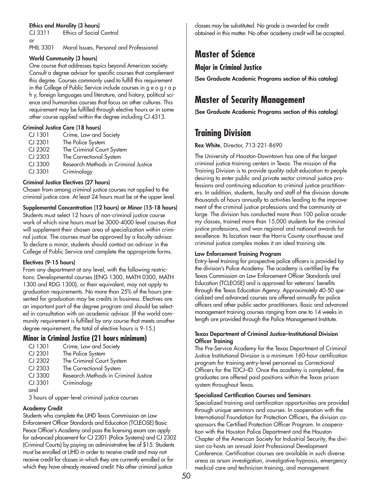## **Ethics and Morality (3 hours)**

CJ 3311 Ethics of Social Control or

PHIL 3301 Moral Issues, Personal and Professional

## **World Community (3 hours)**

One course that addresses topics beyond American society. Consult a degree advisor for specific courses that complement this degree. Courses commonly used to fulfill this requirement in the College of Public Service include courses in g e o g r a p h y, foreign languages and literature, and history, political science and humanities courses that focus on other cultures. This requirement may be fulfilled through elective hours or in some other course applied within the degree including CJ 4313.

## **Criminal Justice Core (18 hours)**

| CJ 1301 | Crime, Law and Society               |
|---------|--------------------------------------|
| CJ 2301 | The Police System                    |
| CJ 2302 | The Criminal Court System            |
| CJ 2303 | The Correctional System              |
| CJ 3300 | Research Methods in Criminal Justice |
| CJ 3301 | Criminology                          |

## **Criminal Justice Electives (27 hours)**

Chosen from among criminal justice courses not applied to the criminal justice core. At least 24 hours must be at the upper level.

**Supplemental Concentration (12 hours) or Minor (15-18 hours)**  Students must select 12 hours of non-criminal justice course work of which nine hours must be 3000-4000 level courses that will supplement their chosen area of specialization within criminal justice. The courses must be approved by a faculty advisor. To declare a minor, students should contact an advisor in the College of Public Service and complete the appropriate forms.

## **Electives (9-15 hours)**

From any department at any level, with the following restrictions: Developmental courses (ENG 1300, MATH 0300, MATH 1300 and RDG 1300), or their equivalent, may not apply to graduation requirements. No more than 25% of the hours presented for graduation may be credits in business. Electives are an important part of the degree program and should be selected in consultation with an academic advisor. (If the world community requirement is fulfilled by any course that meets another degree requirement, the total of elective hours is 9-15.)

## **Minor in Criminal Justice (21 hours minimum)**

| $CI$ 1301                                       | Crime, Law and Society               |  |
|-------------------------------------------------|--------------------------------------|--|
| CJ 2301                                         | The Police System                    |  |
| CJ 2302                                         | The Criminal Court System            |  |
| CJ 2303                                         | The Correctional System              |  |
| CJ 3300                                         | Research Methods in Criminal Justice |  |
| CJ 3301                                         | Criminology                          |  |
| and                                             |                                      |  |
| 3 hours of upper-level criminal justice courses |                                      |  |
|                                                 |                                      |  |

## **Academy Credit**

Students who complete the UHD Texas Commission on Law Enforcement Officer Standards and Education (TCLEOSE) Basic Peace Officer's Academy and pass the licensing exam can apply for advanced placement for CJ 2301 (Police Systems) and CJ 2302 (Criminal Courts) by paying an administrative fee of \$15. Students must be enrolled at UHD in order to receive credit and may not receive credit for classes in which they are currently enrolled or for which they have already received credit. No other criminal justice

classes may be substituted. No grade is awarded for credit obtained in this matter. No other academy credit will be accepted.

# **Master of Science**

## **Major in Criminal Justice**

**(See Graduate Academic Programs section of this catalog)**

# **Master of Security Management**

**(See Graduate Academic Programs section of this catalog)** 

# **Training Division**

## **Rex White**, Director, 713-221-8690

The University of Houston-Downtown has one of the largest criminal justice training centers in Texas. The mission of the Training Division is to provide quality adult education to people desiring to enter public and private sector criminal justice professions and continuing education to criminal justice practitioners. In addition, students, faculty and staff of the division donate thousands of hours annually to activities leading to the improvement of the criminal justice professions and the community at large. The division has conducted more than 100 police academy classes, trained more than 15,000 students for the criminal justice professions, and won regional and national awards for excellence. Its location near the Harris County courthouse and criminal justice complex makes it an ideal training site.

## **Law Enforcement Training Program**

Entry-level training for prospective police officers is provided by the division's Police Academy. The academy is certified by the Texas Commission on Law Enforcement Officer Standards and Education (TCLEOSE) and is approved for veterans' benefits through the Texas Education Agency. Approximately 40-50 specialized and advanced courses are offered annually for police officers and other public sector practitioners. Basic and advanced management training courses ranging from one to 14 weeks in length are provided through the Police Management Institute.

### **Texas Department of Criminal Justice–Institutional Division Officer Training**

The Pre-Service Academy for the Texas Department of Criminal Justice Institutional Division is a minimum 160-hour certification program for training entry-level personnel as Correctional Officers for the TDCJ–ID. Once the academy is completed, the graduates are offered paid positions within the Texas prison system throughout Texas.

## **Specialized Certification Courses and Seminars**

Specialized training and certification opportunities are provided through unique seminars and courses. In cooperation with the International Foundation for Protection Officers, the division cosponsors the Certified Protection Officer Program. In cooperation with the Houston Police Department and the Houston Chapter of the American Society for Industrial Security, the division co-hosts an annual Joint Professional Development Conference. Certification courses are available in such diverse areas as arson investigation, investigative hypnosis, emergency medical care and technician training, and management.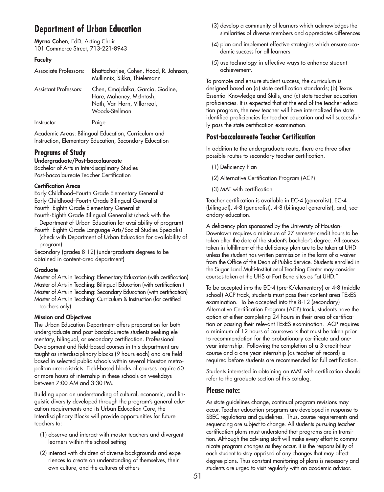# **Department of Urban Education**

**Myrna Cohen**, EdD, Acting Chair 101 Commerce Street, 713-221-8943

## **Faculty**

| Associate Professors:        | Bhattacharjee, Cohen, Hood, R. Johnson,<br>Mullinnix, Sikka, Thielemann                                       |
|------------------------------|---------------------------------------------------------------------------------------------------------------|
| <b>Assistant Professors:</b> | Chen, Cmajdalka, Garcia, Godine,<br>Hare, Mahoney, McIntosh,<br>Nath, Van Horn, Villarreal,<br>Woods-Stellman |
| Instructor:                  | Paige                                                                                                         |

Academic Areas: Bilingual Education, Curriculum and Instruction, Elementary Education, Secondary Education

## **Programs of Study**

## **Undergraduate/Post-baccalaureate**

Bachelor of Arts in Interdisciplinary Studies Post-baccalaureate Teacher Certification

### **Certification Areas**

Early Childhood–Fourth Grade Elementary Generalist Early Childhood–Fourth Grade Bilingual Generalist Fourth–Eighth Grade Elementary Generalist

Fourth-Eighth Grade Bilingual Generalist (check with the Department of Urban Education for availability of program)

Fourth–Eighth Grade Language Arts/Social Studies Specialist (check with Department of Urban Education for availability of program)

Secondary (grades 8-12) (undergraduate degrees to be obtained in content-area department)

## **Graduate**

Master of Arts in Teaching: Elementary Education (with certification) Master of Arts in Teaching: Bilingual Education (with certification ) Master of Arts in Teaching: Secondary Education (with certification) Master of Arts in Teaching: Curriculum & Instruction (for certified teachers only)

## **Mission and Objectives**

The Urban Education Department offers preparation for both undergraduate and post-baccalaureate students seeking elementary, bilingual, or secondary certification. Professional Development and field-based courses in this department are taught as interdisciplinary blocks (9 hours each) and are fieldbased in selected public schools within several Houston metropolitan area districts. Field-based blocks of courses require 60 or more hours of internship in these schools on weekdays between 7:00 AM and 3:30 PM.

Building upon an understanding of cultural, economic, and linguistic diversity developed through the program's general education requirements and its Urban Education Core, the Interdisciplinary Blocks will provide opportunities for future teachers to:

- (1) observe and interact with master teachers and divergent learners within the school setting
- (2) interact with children of diverse backgrounds and experiences to create an understanding of themselves, their own culture, and the cultures of others
- (3) develop a community of learners which acknowledges the similarities of diverse members and appreciates differences
- (4) plan and implement effective strategies which ensure academic success for all learners
- (5) use technology in effective ways to enhance student achievement.

To promote and ensure student success, the curriculum is designed based on (a) state certification standards; (b) Texas Essential Knowledge and Skills, and (c) state teacher education proficiencies. It is expected that at the end of the teacher education program, the new teacher will have internalized the state identified proficiencies for teacher education and will successfully pass the state certification examination.

## **Post-baccalaureate Teacher Certification**

In addition to the undergraduate route, there are three other possible routes to secondary teacher certification.

(1) Deficiency Plan

- (2) Alternative Certification Program (ACP)
- (3) MAT with certification

Teacher certification is available in EC-4 (generalist), EC-4 (bilingual), 4-8 (generalist), 4-8 (bilingual generalist), and, secondary education.

A deficiency plan sponsored by the University of Houston-Downtown requires a minimum of 27 semester credit hours to be taken after the date of the student's bachelor's degree. All courses taken in fulfillment of the deficiency plan are to be taken at UHD unless the student has written permission in the form of a waiver from the Office of the Dean of Public Service. Students enrolled in the Sugar Land Multi-Institutional Teaching Center may consider courses taken at the UHS at Fort Bend sites as "at UHD."

To be accepted into the EC-4 (pre-K/elementary) or 4-8 (middle school) ACP track, students must pass their content area TExES examination. To be accepted into the 8-12 (secondary) Alternative Certification Program (ACP) track, students have the option of either completing 24 hours in their area of certification or passing their relevant TExES examination. ACP requires a minimum of 12 hours of coursework that must be taken prior to recommendation for the probationary certificate and oneyear internship. Following the completion of a 3-credit-hour course and a one-year internship (as teacher-of-record) is required before students are recommended for full certification.

Students interested in obtaining an MAT with certification should refer to the graduate section of this catalog.

## **Please note:**

As state guidelines change, continual program revisions may occur. Teacher education programs are developed in response to SBEC regulations and guidelines. Thus, course requirements and sequencing are subject to change. All students pursuing teacher certification plans must understand that programs are in transition. Although the advising staff will make every effort to communicate program changes as they occur, it is the responsibility of each student to stay apprised of any changes that may affect degree plans. Thus constant monitoring of plans is necessary and students are urged to visit regularly with an academic advisor.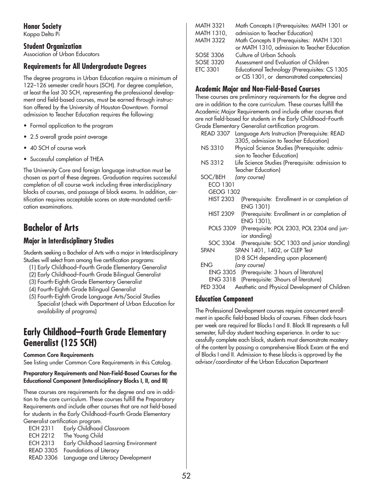**Honor Society**

Kappa Delta Pi

## **Student Organization**

Association of Urban Educators

## **Requirements for All Undergraduate Degrees**

The degree programs in Urban Education require a minimum of 122–126 semester credit hours (SCH). For degree completion, at least the last 30 SCH, representing the professional development and field-based courses, must be earned through instruction offered by the University of Houston-Downtown. Formal admission to Teacher Education requires the following:

- Formal application to the program
- 2.5 overall grade point average
- 40 SCH of course work
- Successful completion of THEA

The University Core and foreign language instruction must be chosen as part of these degrees. Graduation requires successful completion of all course work including three interdisciplinary blocks of courses, and passage of block exams. In addition, certification requires acceptable scores on state-mandated certification examinations.

# **Bachelor of Arts**

## **Major in Interdisciplinary Studies**

Students seeking a Bachelor of Arts with a major in Interdisciplinary Studies will select from among five certification programs:

- (1) Early Childhood–Fourth Grade Elementary Generalist
- (2) Early Childhood–Fourth Grade Bilingual Generalist
- (3) Fourth-Eighth Grade Elementary Generalist
- (4) Fourth-Eighth Grade Bilingual Generalist
- (5) Fourth-Eighth Grade Language Arts/Social Studies Specialist (check with Department of Urban Education for availability of programs)

# **Early Childhood–Fourth Grade Elementary Generalist (125 SCH)**

## **Common Core Requirements**

See listing under Common Core Requirements in this Catalog.

### **Preparatory Requirements and Non-Field-Based Courses for the Educational Component (Interdisciplinary Blocks I, II, and III)**

These courses are requirements for the degree and are in addition to the core curriculum. These courses fulfill the Preparatory Requirements and include other courses that are not field-based for students in the Early Childhood–Fourth Grade Elementary Generalist certification program.

| <b>ECH 2311</b>  | Early Childhood Classroom                   |
|------------------|---------------------------------------------|
| <b>ECH 2212</b>  | The Young Child                             |
| <b>ECH 2313</b>  | Early Childhood Learning Environment        |
| <b>READ 3305</b> | Foundations of Literacy                     |
|                  | READ 3306 Language and Literacy Development |
|                  |                                             |

| <b>MATH 3321</b>  | Math Concepts I (Prerequisites: MATH 1301 or   |
|-------------------|------------------------------------------------|
| <b>MATH 1310,</b> | admission to Teacher Education)                |
| <b>MATH 3322</b>  | Math Concepts II (Prerequisites: MATH 1301     |
|                   | or MATH 1310, admission to Teacher Education   |
| SOSE 3306         | Culture of Urban Schools                       |
| SOSE 3320         | Assessment and Evaluation of Children          |
| <b>ETC 3301</b>   | Educational Technology (Prerequisites: CS 1305 |
|                   | or CIS 1301, or demonstrated competencies)     |

## **Academic Major and Non-Field-Based Courses**

These courses are preliminary requirements for the degree and are in addition to the core curriculum. These courses fulfill the Academic Major Requirements and include other courses that are not field-based for students in the Early Childhood–Fourth Grade Elementary Generalist certification program.

| READ 3307        | Language Arts Instruction (Prerequisite: READ<br>3305, admission to Teacher Education) |
|------------------|----------------------------------------------------------------------------------------|
| <b>NS 3310</b>   | Physical Science Studies (Prerequisite: admis-                                         |
|                  | sion to Teacher Education)                                                             |
| NS 3312          | Life Science Studies (Prerequisite: admission to                                       |
|                  | Teacher Education)                                                                     |
| SOC/BEH          | (any course)                                                                           |
| ECO 1301         |                                                                                        |
| <b>GEOG 1302</b> |                                                                                        |
| <b>HIST 2303</b> | (Prerequisite: Enrollment in or completion of                                          |
|                  | ENG 1301)                                                                              |
| <b>HIST 2309</b> | (Prerequisite: Enrollment in or completion of                                          |
|                  | ENG 1301),                                                                             |
| POLS 3309        | (Prerequisite: POL 2303, POL 2304 and jun-                                             |
|                  | ior standing)                                                                          |
| SOC 3304         | (Prerequisite: SOC 1303 and junior standing)                                           |
| <b>SPAN</b>      | SPAN 1401, 1402, or CLEP Test                                                          |
|                  | (0-8 SCH depending upon placement)                                                     |
| <b>ENG</b>       | (any course)                                                                           |
|                  | ENG 3305 (Prerequisite: 3 hours of literature)                                         |
|                  | ENG 3318 (Prerequisite: 3 hours of literature)                                         |
| PED 3304         | Aesthetic and Physical Development of Children                                         |

## **Education Component**

The Professional Development courses require concurrent enrollment in specific field-based blocks of courses. Fifteen clock-hours per week are required for Blocks I and II. Block III represents a full semester, full-day student teaching experience. In order to successfully complete each block, students must demonstrate mastery of the content by passing a comprehensive Block Exam at the end of Blocks I and II. Admission to these blocks is approved by the advisor/coordinator of the Urban Education Department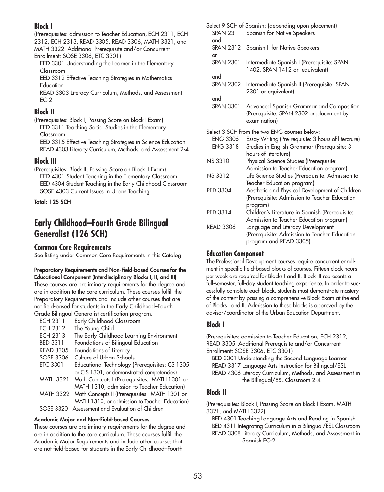## **Block I**

(Prerequisites: admission to Teacher Education, ECH 2311, ECH 2312, ECH 2313, READ 3305, READ 3306, MATH 3321, and MATH 3322. Additional Prerequisite and/or Concurrent Enrollment: SOSE 3306, ETC 3301)

EED 3301 Understanding the Learner in the Elementary Classroom

EED 3312 Effective Teaching Strategies in Mathematics **Education** 

READ 3303 Literacy Curriculum, Methods, and Assessment EC-2

## **Block II**

(Prerequisites: Block I, Passing Score on Block I Exam) EED 3311 Teaching Social Studies in the Elementary Classroom

EED 3315 Effective Teaching Strategies in Science Education READ 4303 Literacy Curriculum, Methods, and Assessment 2-4

## **Block III**

(Prerequisites: Block II, Passing Score on Block II Exam) EED 4301 Student Teaching in the Elementary Classroom EED 4304 Student Teaching in the Early Childhood Classroom SOSE 4303 Current Issues in Urban Teaching

**Total: 125 SCH** 

# **Early Childhood–Fourth Grade Bilingual Generalist (126 SCH)**

## **Common Core Requirements**

See listing under Common Core Requirements in this Catalog.

### **Preparatory Requirements and Non-Field-based Courses for the Educational Component (Interdisciplinary Blocks I, II, and III)**

These courses are preliminary requirements for the degree and are in addition to the core curriculum. These courses fulfill the Preparatory Requirements and include other courses that are not field-based for students in the Early Childhood–Fourth Grade Bilingual Generalist certification program.

| <b>ECH 2311</b>  | Early Childhood Classroom                               |
|------------------|---------------------------------------------------------|
| <b>ECH 2312</b>  | The Young Child                                         |
| <b>ECH 2313</b>  | The Early Childhood Learning Environment                |
| <b>BED 3311</b>  | Foundations of Bilingual Education                      |
| <b>READ 3305</b> | Foundations of Literacy                                 |
| SOSE 3306        | Culture of Urban Schools                                |
| <b>ETC 3301</b>  | Educational Technology (Prerequisites: CS 1305          |
|                  | or CIS 1301, or demonstrated competencies)              |
| <b>MATH 3321</b> | Math Concepts I (Prerequisites: MATH 1301 or            |
|                  | MATH 1310, admission to Teacher Education)              |
|                  | MATH 3322 Math Concepts II (Prerequisites: MATH 1301 or |
|                  | MATH 1310, or admission to Teacher Education)           |
| SOSE 3320        | Assessment and Evaluation of Children                   |

## **Academic Major and Non-Field-based Courses**

These courses are preliminary requirements for the degree and are in addition to the core curriculum. These courses fulfill the Academic Major Requirements and include other courses that are not field-based for students in the Early Childhood–Fourth

|                         | Select 9 SCH of Spanish: (depending upon placement)                                                  |
|-------------------------|------------------------------------------------------------------------------------------------------|
| <b>SPAN 2311</b><br>and | Spanish for Native Speakers                                                                          |
| <b>SPAN 2312</b>        | Spanish II for Native Speakers                                                                       |
| or<br><b>SPAN 2301</b>  | Intermediate Spanish I (Prerequisite: SPAN<br>1402, SPAN 1412 or equivalent)                         |
| and                     |                                                                                                      |
| <b>SPAN 2302</b>        | Intermediate Spanish II (Prerequisite: SPAN<br>2301 or equivalent)                                   |
| and                     |                                                                                                      |
| <b>SPAN 3301</b>        | Advanced Spanish Grammar and Composition<br>(Prerequisite: SPAN 2302 or placement by<br>examination) |
|                         | Select 3 SCH from the two ENG courses below:                                                         |
| <b>ENG 3305</b>         | Essay Writing (Pre-requisite: 3 hours of literature)                                                 |
| <b>ENG 3318</b>         | Studies in English Grammar (Prerequisite: 3<br>hours of literature)                                  |
| <b>NS 3310</b>          | Physical Science Studies (Prerequisite:                                                              |
|                         | Admission to Teacher Education program)                                                              |
| <b>NS 3312</b>          | Life Science Studies (Prerequisite: Admission to<br>Teacher Education program)                       |
| PED 3304                | Aesthetic and Physical Development of Children<br>(Prerequisite: Admission to Teacher Education      |
|                         | program)                                                                                             |
| PED 3314                | Children's Literature in Spanish (Prerequisite:<br>Admission to Teacher Education program)           |
| <b>READ 3306</b>        | Language and Literacy Development                                                                    |
|                         | (Prerequisite: Admission to Teacher Education<br>program and READ 3305)                              |

## **Education Component**

The Professional Development courses require concurrent enrollment in specific field-based blocks of courses. Fifteen clock hours per week are required for Blocks I and II. Block III represents a full-semester, full-day student teaching experience. In order to successfully complete each block, students must demonstrate mastery of the content by passing a comprehensive Block Exam at the end of Blocks I and II. Admission to these blocks is approved by the advisor/coordinator of the Urban Education Department.

## **Block I**

(Prerequisites: admission to Teacher Education, ECH 2312, READ 3305. Additional Prerequisite and/or Concurrent Enrollment: SOSE 3306, ETC 3301)

BED 3301 Understanding the Second Language Learner READ 3317 Language Arts Instruction for Bilingual/ESL READ 4306 Literacy Curriculum, Methods, and Assessment in the Bilingual/ESL Classroom 2-4

# **Block II**

(Prerequisites: Block I, Passing Score on Block I Exam, MATH 3321, and MATH 3322)

BED 4301 Teaching Language Arts and Reading in Spanish BED 4311 Integrating Curriculum in a Bilingual/ESL Classroom READ 3308 Literacy Curriculum, Methods, and Assessment in Spanish EC-2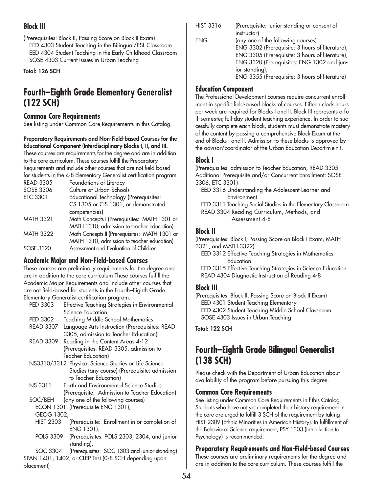# **Block III**

(Prerequisites: Block II, Passing Score on Block II Exam) EED 4303 Student Teaching in the Bilingual/ESL Classroom EED 4304 Student Teaching in the Early Childhood Classroom SOSE 4303 Current Issues in Urban Teaching

**Total: 126 SCH** 

# **Fourth–Eighth Grade Elementary Generalist (122 SCH)**

## **Common Core Requirements**

See listing under Common Core Requirements in this Catalog.

**Preparatory Requirements and Non-Field-based Courses for the Educational Component (Interdisciplinary Blocks I, II, and III.**

These courses are requirements for the degree and are in addition to the core curriculum. These courses fulfill the Preparatory Requirements and include other courses that are not field-based for students in the 4-8 Elementary Generalist certification program.

| <b>READ 3305</b> | Foundations of Literacy                       |
|------------------|-----------------------------------------------|
| SOSE 3306        | Culture of Urban Schools                      |
| <b>ETC 3301</b>  | <b>Educational Technology (Prerequisites:</b> |
|                  | CS 1305 or CIS 1301, or demonstrated          |
|                  | competencies)                                 |
| <b>MATH 3321</b> | Math Concepts I (Prerequisites: MATH 1301 or  |
|                  | MATH 1310, admission to teacher education)    |
| <b>MATH 3322</b> | Math Concepts II (Prerequisites: MATH 1301 or |
|                  | MATH 1310, admission to teacher education)    |
| <b>SOSE 3320</b> | Assessment and Evaluation of Children         |
|                  |                                               |

## **Academic Major and Non-Field-based Courses**

These courses are preliminary requirements for the degree and are in addition to the core curriculum These courses fulfill the Academic Major Requirements and include other courses that are not field-based for students in the Fourth–Eighth Grade Elementary Generalist certification program.

| PED 3303         | Effective Teaching Strategies in Environmental       |
|------------------|------------------------------------------------------|
|                  | Science Education                                    |
| PED 3302         | Teaching Middle School Mathematics                   |
| <b>READ 3307</b> | Language Arts Instruction (Prerequisites: READ       |
|                  | 3305, admission to Teacher Education)                |
| <b>READ 3309</b> | Reading in the Content Areas 4-12                    |
|                  | (Prerequisites: READ 3305, admission to              |
|                  | <b>Teacher Education)</b>                            |
|                  | NS3310/3312 Physical Science Studies or Life Science |
|                  | Studies (any course) (Prerequisite: admission        |
|                  | to Teacher Education)                                |
| <b>NS 3311</b>   | Earth and Environmental Science Studies              |
|                  | (Prerequisite: Admission to Teacher Education)       |
| SOC/BEH          | (any one of the following courses)                   |

```
ECON 1301 (Prerequisite ENG 1301), 
GEOG 1302,
```
- HIST 2303 (Prerequisite: Enrollment in or completion of ENG 1301).
- POLS 3309 (Prerequisites: POLS 2303, 2304, and junior standing),

SOC 3304 (Prerequisites: SOC 1303 and junior standing) SPAN 1401, 1402, or CLEP Test (0-8 SCH depending upon placement)

| (Prerequisite: junior standing or consent of    |
|-------------------------------------------------|
|                                                 |
| (any one of the following courses)              |
| ENG 3302 (Prerequisite: 3 hours of literature), |
| ENG 3305 (Prerequisite: 3 hours of literature), |
| ENG 3320 (Prerequisites: ENG 1302 and jun-      |
|                                                 |
| ENG 3355 (Prerequisite: 3 hours of literature)  |
|                                                 |

## **Education Component**

The Professional Development courses require concurrent enrollment in specific field-based blocks of courses. Fifteen clock hours per week are required for Blocks I and II. Block III represents a fu ll-semester, full-day student teaching experience. In order to successfully complete each block, students must demonstrate mastery of the content by passing a comprehensive Block Exam at the end of Blocks I and II. Admission to these blocks is approved by the advisor/coordinator of the Urban Education Depart m e n t .

## **Block I**

(Prerequisites: admission to Teacher Education, READ 3305. Additional Prerequisite and/or Concurrent Enrollment: SOSE 3306, ETC 3301)

EED 3316 Understanding the Adolescent Learner and Environment

EED 3311 Teaching Social Studies in the Elementary Classroom

READ 3304 Reading Curriculum, Methods, and Assessment 4-8

## **Block II**

(Prerequisites: Block I, Passing Score on Block I Exam, MATH 3321, and MATH 3322)

EED 3312 Effective Teaching Strategies in Mathematics **Education** 

EED 3315 Effective Teaching Strategies in Science Education READ 4304 Diagnostic Instruction of Reading 4-8

## **Block III**

(Prerequisites: Block II, Passing Score on Block II Exam) EED 4301 Student Teaching Elementary EED 4302 Student Teaching Middle School Classroom SOSE 4303 Issues in Urban Teaching

## **Total: 122 SCH**

# **Fourth–Eighth Grade Bilingual Generalist (138 SCH)**

Please check with the Department of Urban Education about availability of the program before pursuing this degree.

## **Common Core Requirements**

See listing under Common Core Requirements in f this Catalog. Students who have not yet completed their history requirement in the core are urged to fulfill 3 SCH of the requirement by taking HIST 2309 (Ethnic Minorities in American History). In fulfillment of the Behavioral Science requirement, PSY 1303 (Introduction to Psychology) is recommended.

## **Preparatory Requirements and Non-Field-based Courses**

These courses are preliminary requirements for the degree and are in addition to the core curriculum. These courses fulfill the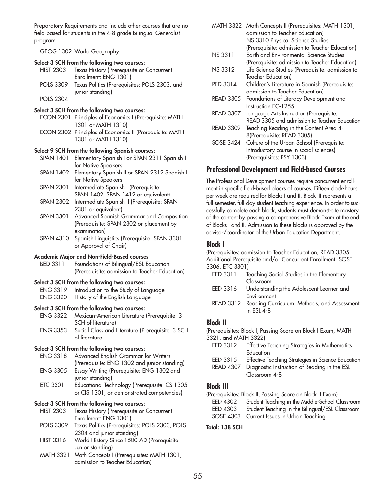Preparatory Requirements and include other courses that are no field-based for students in the 4-8 grade Bilingual Generalist program.

GEOG 1302 World Geography

#### **Select 3 SCH from the following two courses:**

| <b>HIST 2303</b> | Texas History (Prerequisite or Concurrent     |
|------------------|-----------------------------------------------|
|                  | Enrollment: ENG 1301)                         |
| <b>POLS 3309</b> | Texas Politics (Prerequisites: POLS 2303, and |
|                  | junior standing)                              |

POLS 2304

### **Select 3 SCH from the following two courses:**

- ECON 2301 Principles of Economics I (Prerequisite: MATH 1301 or MATH 1310)
- ECON 2302 Principles of Economics II (Prerequisite: MATH 1301 or MATH 1310)

### **Select 9 SCH from the following Spanish courses:**

- SPAN 1401 Elementary Spanish I or SPAN 2311 Spanish I for Native Speakers
- SPAN 1402 Elementary Spanish II or SPAN 2312 Spanish II for Native Speakers
- SPAN 2301 Intermediate Spanish I (Prerequisite: SPAN 1402, SPAN 1412 or equivalent)
- SPAN 2302 Intermediate Spanish II (Prerequisite: SPAN 2301 or equivalent)
- SPAN 3301 Advanced Spanish Grammar and Composition (Prerequisite: SPAN 2302 or placement by examination)
- SPAN 4310 Spanish Linguistics (Prerequisite: SPAN 3301 or Approval of Chair)

### **Academic Major and Non-Field-Based courses**

BED 3311 Foundations of Bilingual/ESL Education (Prerequisite: admission to Teacher Education)

### **Select 3 SCH from the following two courses:**

- ENG 3319 Introduction to the Study of Language
- ENG 3320 History of the English Language

## **Select 3 SCH from the following two courses:**

ENG 3322 Mexican-American Literature (Prerequisite: 3 SCH of literature) ENG 3353 Social Class and Literature (Prerequisite: 3 SCH of literature

## **Select 3 SCH from the following two courses:**

- ENG 3318 Advanced English Grammar for Writers (Prerequisite: ENG 1302 and junior standing)
- ENG 3305 Essay Writing (Prerequisite: ENG 1302 and junior standing)
- ETC 3301 Educational Technology (Prerequisite: CS 1305 or CIS 1301, or demonstrated competencies)

## **Select 3 SCH from the following two courses:**

- HIST 2303 Texas History (Prerequisite or Concurrent Enrollment: ENG 1301)
- POLS 3309 Texas Politics (Prerequisites: POLS 2303, POLS 2304 and junior standing)
- HIST 3316 World History Since 1500 AD (Prerequisite: Junior standing)
- MATH 3321 Math Concepts I (Prerequisites: MATH 1301, admission to Teacher Education)

|                  | MATH 3322 Math Concepts II (Prerequisites: MATH 1301, |
|------------------|-------------------------------------------------------|
|                  | admission to Teacher Education)                       |
|                  | NS 3310 Physical Science Studies                      |
|                  | (Prerequisite: admission to Teacher Education)        |
| <b>NS 3311</b>   | Earth and Environmental Science Studies               |
|                  | (Prerequisite: admission to Teacher Education)        |
| <b>NS 3312</b>   | Life Science Studies (Prerequisite: admission to      |
|                  | Teacher Education)                                    |
| PED 3314         | Children's Literature in Spanish (Prerequisite:       |
|                  | admission to Teacher Education)                       |
| <b>READ 3305</b> | Foundations of Literacy Development and               |
|                  | Instruction EC-1255                                   |
| <b>READ 3307</b> | Language Arts Instruction (Prerequisite:              |
|                  | READ 3305 and admission to Teacher Education          |
| <b>READ 3309</b> | Teaching Reading in the Content Area 4-               |
|                  | 8(Prerequisite: READ 3305)                            |
| <b>SOSE 3424</b> | Culture of the Urban School (Prerequisite:            |
|                  | Introductory course in social sciences)               |
|                  | (Prerequisites: PSY 1303)                             |

## **Professional Development and Field-based Courses**

The Professional Development courses require concurrent enrollment in specific field-based blocks of courses. Fifteen clock-hours per week are required for Blocks I and II. Block III represents a full-semester, full-day student teaching experience. In order to successfully complete each block, students must demonstrate mastery of the content by passing a comprehensive Block Exam at the end of Blocks I and II. Admission to these blocks is approved by the advisor/coordinator of the Urban Education Department.

## **Block I**

(Prerequisites: admission to Teacher Education, READ 3305. Additional Prerequisite and/or Concurrent Enrollment: SOSE 3306, ETC 3301)

- EED 3311 Teaching Social Studies in the Elementary Classroom
- EED 3316 Understanding the Adolescent Learner and Environment
- READ 3312 Reading Curriculum, Methods, and Assessment in ESL 4-8

## **Block II**

```
(Prerequisites: Block I, Passing Score on Block I Exam, MATH
3321, and MATH 3322)
```

| EED 3312        | Effective Teaching Strategies in Mathematics       |
|-----------------|----------------------------------------------------|
|                 | Education                                          |
| <b>EED 2215</b> | Effective Teaching Strategies in Science Education |

- EED 3315 Effective Teaching Strategies in Science Education
- READ 4307 Diagnostic Instruction of Reading in the ESL Classroom 4-8

## **Block III**

(Prerequisites: Block II, Passing Score on Block II Exam)

| EED 4302 | Student Teaching in the Middle-School Classroom          |
|----------|----------------------------------------------------------|
|          | EED 4303 Student Teaching in the Bilingual/ESL Classroom |
|          | SOSE 4303 Current Issues in Urban Teaching               |

## **Total: 138 SCH**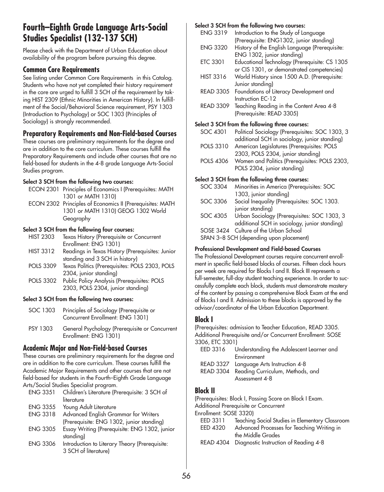# **Fourth–Eighth Grade Language Arts-Social Studies Specialist (132-137 SCH)**

Please check with the Department of Urban Education about availability of the program before pursuing this degree.

## **Common Core Requirements**

See listing under Common Core Requirements in this Catalog. Students who have not yet completed their history requirement in the core are urged to fulfill 3 SCH of the requirement by taking HIST 2309 (Ethnic Minorities in American History). In fulfillment of the Social/Behavioral Science requirement, PSY 1303 (Introduction to Psychology) or SOC 1303 (Principles of Sociology) is strongly recommended.

## **Preparatory Requirements and Non-Field-based Courses**

These courses are preliminary requirements for the degree and are in addition to the core curriculum. These courses fulfill the Preparatory Requirements and include other courses that are no field-based for students in the 4-8 grade Language Arts-Social Studies program.

## **Select 3 SCH from the following two courses:**

- ECON 2301 Principles of Economics I (Prerequisites: MATH 1301 or MATH 1310)
- ECON 2302 Principles of Economics II (Prerequisites: MATH 1301 or MATH 1310) GEOG 1302 World Geography

## **Select 3 SCH from the following four courses:**

| <b>HIST 2303</b> | Texas History (Prerequisite or Concurrent        |
|------------------|--------------------------------------------------|
|                  | Enrollment: ENG 1301)                            |
| <b>HIST 3312</b> | Readings in Texas History (Prerequisites: Junior |
|                  | standing and 3 SCH in history)                   |
| POLS 3309        | Texas Politics (Prerequisites: POLS 2303, POLS   |
|                  | 2304, junior standing)                           |
| <b>POLS 3302</b> | Public Policy Analysis (Prerequisites: POLS      |
|                  | 2303, POLS 2304, junior standing)                |
|                  |                                                  |

## **Select 3 SCH from the following two courses:**

- SOC 1303 Principles of Sociology (Prerequisite or Concurrent Enrollment: ENG 1301)
- PSY 1303 General Psychology (Prerequisite or Concurrent Enrollment: ENG 1301)

## **Academic Major and Non-Field-based Courses**

These courses are preliminary requirements for the degree and are in addition to the core curriculum. These courses fulfill the Academic Major Requirements and other courses that are not field-based for students in the Fourth–Eighth Grade Language Arts/Social Studies Specialist program.

| <b>ENG 3351</b> | Children's Literature (Prerequisite: 3 SCH of  |
|-----------------|------------------------------------------------|
|                 | literature                                     |
| <b>ENG 3355</b> | Young Adult Literature                         |
| <b>ENG 3318</b> | Advanced English Grammar for Writers           |
|                 | (Prerequisite: ENG 1302, junior standing)      |
| <b>ENG 3305</b> | Essay Writing (Prerequisite: ENG 1302, junior  |
|                 | standing)                                      |
| <b>ENG 3306</b> | Introduction to Literary Theory (Prerequisite: |
|                 | 3 SCH of literature)                           |

## **Select 3 SCH from the following two courses:**

| <b>ENG 3319</b>                             | Introduction to the Study of Language             |
|---------------------------------------------|---------------------------------------------------|
|                                             | (Prerequisite: ENG1302, junior standing)          |
| <b>ENG 3320</b>                             | History of the English Language (Prerequisite:    |
|                                             | ENG 1302, junior standing)                        |
| <b>ETC 3301</b>                             | Educational Technology (Prerequisite: CS 1305     |
|                                             | or CIS 1301, or demonstrated competencies)        |
| <b>HIST 3316</b>                            | World History since 1500 A.D. (Prerequisite:      |
|                                             | Junior standing)                                  |
|                                             | READ 3305 Foundations of Literacy Development and |
|                                             | Instruction EC-12                                 |
| <b>READ 3309</b>                            | Teaching Reading in the Content Area 4-8          |
|                                             | (Prerequisite: READ 3305)                         |
| Calcul 2. CCU from the following three com- |                                                   |

## **Select 3 SCH from the following three courses:**

| SOC 4301     | Political Sociology (Prerequisites: SOC 1303, 3 |
|--------------|-------------------------------------------------|
|              | additional SCH in sociology, junior standing)   |
| $P^{\prime}$ |                                                 |

POLS 3310 American Legislatures (Prerequisites: POLS 2303, POLS 2304, junior standing) POLS 4306 Women and Politics (Prerequisites: POLS 2303,

POLS 2304, junior standing)

## **Select 3 SCH from the following three courses:**

| SOC 3304 | Minorities in America (Prerequisites: SOC            |
|----------|------------------------------------------------------|
|          | 1303, junior standing)                               |
| SOC 3306 | Social Inequality (Prerequisites: SOC 1303.          |
|          | junior standing)                                     |
|          | SOC 4305 Urban Sociology (Prerequisites: SOC 1303, 3 |
|          | additional SCH in sociology, junior standing)        |
|          | SOSE 3424 Culture of the Urban School                |
|          | SPAN 3-8 SCH (depending upon placement)              |
|          |                                                      |

## **Professional Development and Field-based Courses**

The Professional Development courses require concurrent enrollment in specific field-based blocks of courses. Fifteen clock hours per week are required for Blocks I and II. Block III represents a full-semester, full-day student teaching experience. In order to successfully complete each block, students must demonstrate mastery of the content by passing a comprehensive Block Exam at the end of Blocks I and II. Admission to these blocks is approved by the advisor/coordinator of the Urban Education Department.

## **Block I**

(Prerequisites: admission to Teacher Education, READ 3305. Additional Prerequisite and/or Concurrent Enrollment: SOSE 3306, ETC 3301)

| EED 3316         | Understanding the Adolescent Learner and |
|------------------|------------------------------------------|
|                  |                                          |
|                  | Environment                              |
| <b>READ 3327</b> | Language Arts Instruction 4-8            |
| <b>READ 3304</b> | Reading Curriculum, Methods, and         |
|                  | Assessment 4-8                           |

## **Block II**

(Prerequisites: Block I, Passing Score on Block I Exam.

Additional Prerequisite or Concurrent

Enrollment: SOSE 3320)

| EED 3311 | Teaching Social Studies in Elementary Classroom |
|----------|-------------------------------------------------|
| EED 4320 | Advanced Processes for Teaching Writing in      |
|          | the Middle Grades                               |

READ 4304 Diagnostic Instruction of Reading 4-8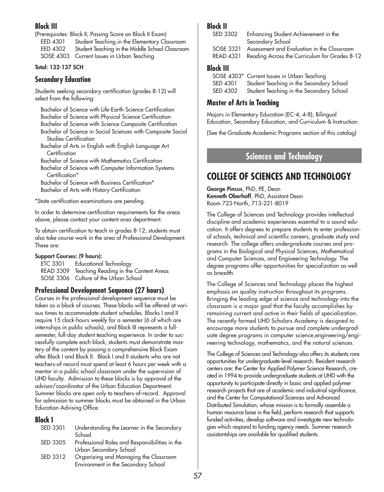## **Block III**

(Prerequisites: Block II, Passing Score on Block II Exam) EED 4301 Student Teaching in the Elementary Classroom EED 4302 Student Teaching in the Middle School Classroom SOSE 4303 Current Issues in Urban Teaching

## **Total: 132-137 SCH**

## **Secondary Education**

Students seeking secondary certification (grades 8-12) will select from the following:

Bachelor of Science with Life-Earth Science Certification Bachelor of Science with Physical Science Certification Bachelor of Science with Science Composite Certification Bachelor of Science in Social Sciences with Composite Social

Studies Certification Bachelor of Arts in English with English Language Art **Certification** 

Bachelor of Science with Mathematics Certification

Bachelor of Science with Computer Information Systems Certification\*

Bachelor of Science with Business Certification\* Bachelor of Arts with History Certification

\*State certification examinations are pending.

In order to determine certification requirements for the areas above, please contact your content area department.

To obtain certification to teach in grades 8-12, students must also take course work in the area of Professional Development. These are:

## **Support Courses: (9 hours):**

| .<br>ETC 3301 | Educational Technology                          |
|---------------|-------------------------------------------------|
|               | READ 3309 Teaching Reading in the Content Areas |
|               | SOSE 3306 Culture of the Urban School           |

## **Professional Development Sequence (27 hours)**

Courses in the professional development sequence must be taken as a block of courses. These blocks will be offered at various times to accommodate student schedules. Blocks I and II require 15 clock-hours weekly for a semester (6 of which are internships in public schools), and Block III represents a fullsemester, full-day student teaching experience. In order to successfully complete each block, students must demonstrate mastery of the content by passing a comprehensive Block Exam after Block I and Block II. Block I and II students who are not teachers-of-record must spend at least 6 hours per week with a mentor in a public school classroom under the supervision of UHD faculty. Admission to these blocks is by approval of the advisor/coordinator of the Urban Education Department. Summer blocks are open only to teachers-of-record. Approval for admission to summer blocks must be obtained in the Urban Education Advising Office.

## **Block I**

| SED 3301 | Understanding the Learner in the Secondary<br>School                         |
|----------|------------------------------------------------------------------------------|
| SED 3305 | Professional Roles and Responsibilities in the<br>Urban Secondary School     |
| SED 3312 | Organizing and Managing the Classroom<br>Environment in the Secondary School |

## **Block II**

| SED 3302         | Enhancing Student Achievement in the<br>Secondary School |
|------------------|----------------------------------------------------------|
| SOSE 3321        | Assessment and Evaluation in the Classroom               |
| <b>READ 4321</b> | Reading Across the Curriculum for Grades 8-12            |

## **Block III**

|          | SOSE 4303* Current Issues in Urban Teaching |
|----------|---------------------------------------------|
| SED 4301 | Student Teaching in the Secondary School    |
| SED 4302 | Student Teaching in the Secondary School    |

## **Master of Arts in Teaching**

Majors in Elementary Education (EC-4, 4-8), Bilingual Education, Secondary Education, and Curriculum & Instruction.

(See the Graduate Academic Programs section of this catalog)

# **Sciences and Technology**

# **COLLEGE OF SCIENCES AND TECHNOLOGY**

**George Pincus**, PhD, PE, Dean **Kenneth Oberhoff**, PhD, Assistant Dean Room 723-North, 713-221-8019

The College of Sciences and Technology provides intellectual discipline and academic experiences essential to a sound education. It offers degrees to prepare students to enter professional schools, technical and scientific careers, graduate study and research. The college offers undergraduate courses and programs in the Biological and Physical Sciences, Mathematical and Computer Sciences, and Engineering Technology. The degree programs offer opportunities for specialization as well as breadth.

The College of Sciences and Technology places the highest emphasis on quality instruction throughout its programs. Bringing the leading edge of science and technology into the classroom is a major goal that the faculty accomplishes by remaining current and active in their fields of specialization. The recently formed UHD Scholars Academy is designed to encourage more students to pursue and complete undergraduate degree programs in computer science,engineering/engineering technology, mathematics, and the natural sciences.

The College of Sciences and Technology also offers its students rare opportunities for undergraduate-level research. Resident research centers are: the Center for Applied Polymer Science Research, created in 1994 to provide undergraduate students at UHD with the opportunity to participate directly in basic and applied polymer research projects that are of academic and industrial significance, and the Center for Computational Sciences and Advanced Distributed Simulation, whose mission is to formally assemble a human resource base in the field, perform research that supports funded activities, develop software and investigate new technologies which respond to funding agency needs. Summer research assistantships are available for qualified students.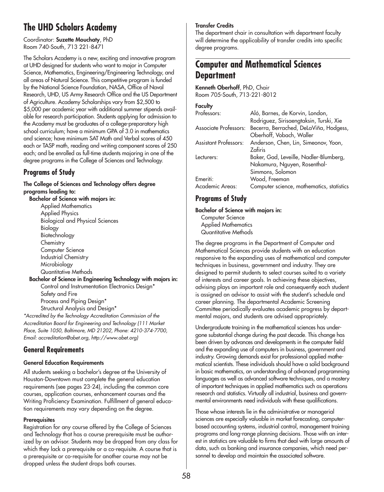# **The UHD Scholars Academy**

Coordinator: **Suzette Mouchaty**, PhD Room 740-South, 713 221-8471

The Scholars Academy is a new, exciting and innovative program at UHD designed for students who want to major in Computer Science, Mathematics, Engineering/Engineering Technology, and all areas of Natural Science. This competitive program is funded by the National Science Foundation, NASA, Office of Naval Research, UHD, US Army Research Office and the US Department of Agriculture. Academy Scholarships vary from \$2,500 to \$5,000 per academic year with additional summer stipends available for research participation. Students applying for admission to the Academy must be graduates of a college-preparatory high school curriculum; have a minimum GPA of 3.0 in mathematics and science; have minimum SAT Math and Verbal scores of 450 each or TASP math, reading and writing component scores of 250 each; and be enrolled as full-time students majoring in one of the degree programs in the College of Sciences and Technology.

# **Programs of Study**

**The College of Sciences and Technology offers degree programs leading to: Bachelor of Science with majors in:** Applied Mathematics Applied Physics Biological and Physical Sciences Biology Biotechnology **Chemistry** Computer Science Industrial Chemistry Microbiology Quantitative Methods **Bachelor of Science in Engineering Technology with majors in:** Control and Instrumentation Electronics Design\* Safety and Fire Process and Piping Design\* Structural Analysis and Design\*

*\*Accredited by the Technology Accreditation Commission of the Accreditation Board for Engineering and Technology (111 Market Place, Suite 1050, Baltimore, MD 21202, Phone: 4210-374-7700, Email: accreditation@abet.org, http://www.abet.org)* 

# **General Requirements**

## **General Education Requirements**

All students seeking a bachelor's degree at the University of Houston-Downtown must complete the general education requirements (see pages 23-24), including the common core courses, application courses, enhancement courses and the Writing Proficiency Examination. Fulfillment of general education requirements may vary depending on the degree.

## **Prerequisites**

Registration for any course offered by the College of Sciences and Technology that has a course prerequisite must be authorized by an advisor. Students may be dropped from any class for which they lack a prerequisite or a co-requisite. A course that is a prerequisite or co-requisite for another course may not be dropped unless the student drops both courses.

## **Transfer Credits**

The department chair in consultation with department faculty will determine the applicability of transfer credits into specific degree programs.

# **Computer and Mathematical Sciences Department**

**Kenneth Oberhoff**, PhD, Chair Room 705-South, 713-221-8012

## **Faculty**

| Professors:           | Aló, Barnes, de Korvin, London,           |
|-----------------------|-------------------------------------------|
|                       | Rodriguez, Sirisaengtaksin, Turski, Xie   |
| Associate Professors: | Becerra, Berrached, DeLaViña, Hodgess,    |
|                       | Oberhoff, Vobach, Waller                  |
| Assistant Professors: | Anderson, Chen, Lin, Simeonov, Yoon,      |
|                       | Zafiris                                   |
| Lecturers:            | Baker, Gad, Leveille, Nadler-Blumberg,    |
|                       | Nakamura, Nguyen, Rosenthal-              |
|                       | Simmons, Solomon                          |
| Emeriti:              | Wood, Freeman                             |
| Academic Areas:       | Computer science, mathematics, statistics |
|                       |                                           |

# **Programs of Study**

## **Bachelor of Science with majors in:**

Computer Science Applied Mathematics Quantitative Methods

The degree programs in the Department of Computer and Mathematical Sciences provide students with an education responsive to the expanding uses of mathematical and computer techniques in business, government and industry. They are designed to permit students to select courses suited to a variety of interests and career goals. In achieving these objectives, advising plays an important role and consequently each student is assigned an advisor to assist with the student's schedule and career planning. The departmental Academic Screening Committee periodically evaluates academic progress by departmental majors, and students are advised appropriately.

Undergraduate training in the mathematical sciences has undergone substantial change during the past decade. This change has been driven by advances and developments in the computer field and the expanding use of computers in business, government and industry. Growing demands exist for professional applied mathematical scientists. These individuals should have a solid background in basic mathematics, an understanding of advanced programming languages as well as advanced software techniques, and a mastery of important techniques in applied mathematics such as operations research and statistics. Virtually all industrial, business and governmental environments need individuals with these qualifications.

Those whose interests lie in the administrative or managerial sciences are especially valuable in market forecasting, computerbased accounting systems, industrial control, management training programs and long-range planning decisions. Those with an interest in statistics are valuable to firms that deal with large amounts of data, such as banking and insurance companies, which need personnel to develop and maintain the associated software.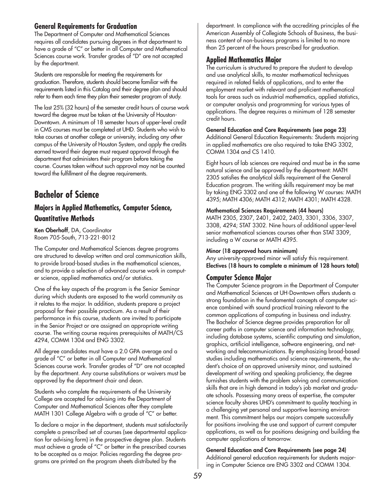## **General Requirements for Graduation**

The Department of Computer and Mathematical Sciences requires all candidates pursuing degrees in that department to have a grade of "C" or better in all Computer and Mathematical Sciences course work. Transfer grades of "D" are not accepted by the department.

Students are responsible for meeting the requirements for graduation. Therefore, students should become familiar with the requirements listed in this Catalog and their degree plan and should refer to them each time they plan their semester program of study.

The last 25% (32 hours) of the semester credit hours of course work toward the degree must be taken at the University of Houston-Downtown. A minimum of 18 semester hours of upper-level credit in CMS courses must be completed at UHD. Students who wish to take courses at another college or university, including any other campus of the University of Houston System, and apply the credits earned toward their degree must request approval through the department that administers their program before taking the course. Courses taken without such approval may not be counted toward the fulfillment of the degree requirements.

# **Bachelor of Science**

# **Majors in Applied Mathematics, Computer Science, Quantitative Methods**

**Ken Oberhoff**, DA, Coordinator Room 705-South, 713-221-8012

The Computer and Mathematical Sciences degree programs are structured to develop written and oral communication skills, to provide broad-based studies in the mathematical sciences, and to provide a selection of advanced course work in computer science, applied mathematics and/or statistics.

One of the key aspects of the program is the Senior Seminar during which students are exposed to the world community as it relates to the major. In addition, students prepare a project proposal for their possible practicum. As a result of their performance in this course, students are invited to participate in the Senior Project or are assigned an appropriate writing course. The writing course requires prerequisites of MATH/CS 4294, COMM 1304 and ENG 3302.

All degree candidates must have a 2.0 GPA average and a grade of "C" or better in all Computer and Mathematical Sciences course work. Transfer grades of "D" are not accepted by the department. Any course substitutions or waivers must be approved by the department chair and dean.

Students who complete the requirements of the University College are accepted for advising into the Department of Computer and Mathematical Sciences after they complete MATH 1301 College Algebra with a grade of "C" or better.

To declare a major in the department, students must satisfactorily complete a prescribed set of courses (see departmental application for advising form) in the prospective degree plan. Students must achieve a grade of "C" or better in the prescribed courses to be accepted as a major. Policies regarding the degree programs are printed on the program sheets distributed by the

department. In compliance with the accrediting principles of the American Assembly of Collegiate Schools of Business, the business content of non-business programs is limited to no more than 25 percent of the hours prescribed for graduation.

## **Applied Mathematics Major**

The curriculum is structured to prepare the student to develop and use analytical skills, to master mathematical techniques required in related fields of applications, and to enter the employment market with relevant and proficient mathematical tools for areas such as industrial mathematics, applied statistics, or computer analysis and programming for various types of applications. The degree requires a minimum of 128 semester credit hours.

**General Education and Core Requirements (see page 23)** Additional General Education Requirements: Students majoring in applied mathematics are also required to take ENG 3302, COMM 1304 and CS 1410.

Eight hours of lab sciences are required and must be in the same natural science and be approved by the department: MATH 2305 satisfies the analytical skills requirement of the General Education program. The writing skills requirement may be met by taking ENG 3302 and one of the following W courses: MATH 4395; MATH 4306; MATH 4312; MATH 4301; MATH 4328.

## **Mathematical Sciences Requirements (44 hours)**

MATH 2305, 2307, 2401, 2402, 2403, 3301, 3306, 3307, 3308, 4294; STAT 3302. Nine hours of additional upper-level senior mathematical sciences courses other than STAT 3309, including a W course or MATH 4395.

## **Minor (18 approved hours minimum)**

Any university-approved minor will satisfy this requirement. **Electives (18 hours to complete a minimum of 128 hours total)**

# **Computer Science Major**

The Computer Science program in the Department of Computer and Mathematical Sciences at UH-Downtown offers students a strong foundation in the fundamental concepts of computer science combined with sound practical training relevant to the common applications of computing in business and industry. The Bachelor of Science degree provides preparation for all career paths in computer science and information technology, including database systems, scientific computing and simulation, graphics, artificial intelligence, software engineering, and networking and telecommunications. By emphasizing broad-based studies including mathematics and science requirements, the student's choice of an approved university minor, and sustained development of writing and speaking proficiency, the degree furnishes students with the problem solving and communication skills that are in high demand in today's job market and graduate schools. Possessing many areas of expertise, the computer science faculty shares UHD's commitment to quality teaching in a challenging yet personal and supportive learning environment. This commitment helps our majors compete successfully for positions involving the use and support of current computer applications, as well as for positions designing and building the computer applications of tomorrow.

**General Education and Core Requirements (see page 24)** Additional general education requirements for students majoring in Computer Science are ENG 3302 and COMM 1304.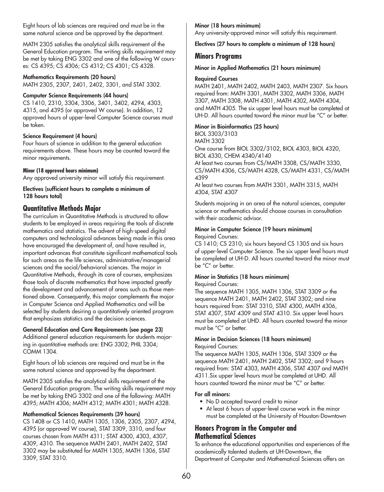Eight hours of lab sciences are required and must be in the same natural science and be approved by the department.

MATH 2305 satisfies the analytical skills requirement of the General Education program. The writing skills requirement may be met by taking ENG 3302 and one of the following W courses: CS 4395; CS 4306; CS 4312; CS 4301; CS 4328.

## **Mathematics Requirements (20 hours)**

MATH 2305, 2307, 2401, 2402, 3301, and STAT 3302.

## **Computer Science Requirements (44 hours)**

CS 1410, 2310, 3304, 3306, 3401, 3402, 4294, 4303, 4315, and 4395 (or approved W course). In addition, 12 approved hours of upper-level Computer Science courses must be taken.

## **Science Requirement (4 hours)**

Four hours of science in addition to the general education requirements above. These hours may be counted toward the minor requirements.

## **Minor (18 approved hours minimum)**

Any approved university minor will satisfy this requirement.

**Electives (sufficient hours to complete a minimum of 128 hours total)**

## **Quantitative Methods Major**

The curriculum in Quantitative Methods is structured to allow students to be employed in areas requiring the tools of discrete mathematics and statistics. The advent of high-speed digital computers and technological advances being made in this area have encouraged the development of, and have resulted in, important advances that constitute significant mathematical tools for such areas as the life sciences, administrative/managerial sciences and the social/behavioral sciences. The major in Quantitative Methods, through its core of courses, emphasizes those tools of discrete mathematics that have impacted greatly the development and advancement of areas such as those mentioned above. Consequently, this major complements the major in Computer Science and Applied Mathematics and will be selected by students desiring a quantitatively oriented program that emphasizes statistics and the decision sciences.

## **General Education and Core Requirements (see page 23)** Additional general education requirements for students major-

ing in quantitative methods are: ENG 3302; PHIL 3304; COMM 1304.

Eight hours of lab sciences are required and must be in the same natural science and approved by the department.

MATH 2305 satisfies the analytical skills requirement of the General Education program. The writing skills requirement may be met by taking ENG 3302 and one of the following: MATH 4395; MATH 4306; MATH 4312; MATH 4301; MATH 4328.

## **Mathematical Sciences Requirements (39 hours)**

CS 1408 or CS 1410, MATH 1305, 1306, 2305, 2307, 4294, 4395 (or approved W course), STAT 3309, 3310, and four courses chosen from MATH 4311; STAT 4300, 4303, 4307, 4309, 4310. The sequence MATH 2401, MATH 2402, STAT 3302 may be substituted for MATH 1305, MATH 1306, STAT 3309, STAT 3310.

## **Minor (18 hours minimum)**

Any university-approved minor will satisfy this requirement.

**Electives (27 hours to complete a minimum of 128 hours)**

## **Minors Programs**

## **Minor in Applied Mathematics (21 hours minimum)**

### **Required Courses**

MATH 2401, MATH 2402, MATH 2403, MATH 2307. Six hours required from: MATH 3301, MATH 3302, MATH 3306, MATH 3307, MATH 3308, MATH 4301, MATH 4302, MATH 4304, and MATH 4305. The six upper level hours must be completed at UH-D. All hours counted toward the minor must be "C" or better.

## **Minor in Bioinformatics (25 hours)**

BIOL 3303/3103

MATH 3302

One course from BIOL 3302/3102, BIOL 4303, BIOL 4320, BIOL 4330, CHEM 4340/4140

At least two courses from CS/MATH 3308, CS/MATH 3330, CS/MATH 4306, CS/MATH 4328, CS/MATH 4331, CS/MATH 4399

At least two courses from MATH 3301, MATH 3315, MATH 4304, STAT 4307

Students majoring in an area of the natural sciences, computer science or mathematics should choose courses in consultation with their academic advisor.

## **Minor in Computer Science (19 hours minimum)**

Required Courses:

CS 1410; CS 2310; six hours beyond CS 1305 and six hours of upper-level Computer Science. The six upper level hours must be completed at UH-D. All hours counted toward the minor must be "C" or better.

#### **Minor in Statistics (18 hours minimum)** Required Courses:

The sequence MATH 1305, MATH 1306, STAT 3309 or the sequence MATH 2401, MATH 2402, STAT 3302; and nine hours required from: STAT 3310, STAT 4300, MATH 4306, STAT 4307, STAT 4309 and STAT 4310. Six upper level hours must be completed at UHD. All hours counted toward the minor must be "C" or better.

### **Minor in Decision Sciences (18 hours minimum)** Required Courses:

The sequence MATH 1305, MATH 1306, STAT 3309 or the sequence MATH 2401, MATH 2402, STAT 3302; and 9 hours required from: STAT 4303, MATH 4306, STAT 4307 and MATH 4311.Six upper level hours must be completed at UHD. All hours counted toward the minor must be "C" or better.

## **For all minors:**

- No D accepted toward credit to minor
- At least 6 hours of upper-level course work in the minor must be completed at the University of Houston-Downtown

## **Honors Program in the Computer and Mathematical Sciences**

To enhance the educational opportunities and experiences of the academically talented students at UH-Downtown, the Department of Computer and Mathematical Sciences offers an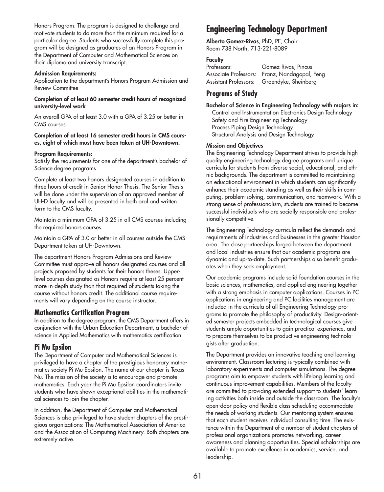Honors Program. The program is designed to challenge and motivate students to do more than the minimum required for a particular degree. Students who successfully complete this program will be designed as graduates of an Honors Program in the Department of Computer and Mathematical Sciences on their diploma and university transcript.

#### **Admission Requirements:**

Application to the department's Honors Program Admission and Review Committee

### **Completion of at least 60 semester credit hours of recognized university-level work**

An overall GPA of at least 3.0 with a GPA of 3.25 or better in CMS courses

### **Completion of at least 16 semester credit hours in CMS courses, eight of which must have been taken at UH-Downtown.**

#### **Program Requirements:**

Satisfy the requirements for one of the department's bachelor of Science degree programs

Complete at least two honors designated courses in addition to three hours of credit in Senior Honor Thesis. The Senior Thesis will be done under the supervision of an approved member of UH-D faculty and will be presented in both oral and written form to the CMS faculty.

Maintain a minimum GPA of 3.25 in all CMS courses including the required honors courses.

Maintain a GPA of 3.0 or better in all courses outside the CMS Department taken at UH-Downtown.

The department Honors Program Admissions and Review Committee must approve all honors designated courses and all projects proposed by students for their honors theses. Upperlevel courses designated as Honors require at least 25 percent more in-depth study than that required of students taking the course without honors credit. The additional course requirements will vary depending on the course instructor.

## **Mathematics Certification Program**

In addition to the degree program, the CMS Department offers in conjunction with the Urban Education Department, a bachelor of science in Applied Mathematics with mathematics certification.

## **Pi Mu Epsilon**

The Department of Computer and Mathematical Sciences is privileged to have a chapter of the prestigious honorary mathematics society Pi Mu Epsilon. The name of our chapter is Texas Nu. The mission of the society is to encourage and promote mathematics. Each year the Pi Mu Epsilon coordinators invite students who have shown exceptional abilities in the mathematical sciences to join the chapter.

In addition, the Department of Computer and Mathematical Sciences is also privileged to have student chapters of the prestigious organizations: The Mathematical Association of America and the Association of Computing Machinery. Both chapters are extremely active.

# **Engineering Technology Department**

**Alberto Gomez-Rivas**, PhD, PE, Chair Room 738 North, 713-221-8089

## **Faculty**

Professors: Gomez-Rivas, Pincus Associate Professors: Franz, Nandagopal, Feng

Assistant Professors: Groendyke, Sheinberg

## **Programs of Study**

**Bachelor of Science in Engineering Technology with majors in:**

Control and Instrumentation Electronics Design Technology Safety and Fire Engineering Technology Process Piping Design Technology Structural Analysis and Design Technology

### **Mission and Objectives**

The Engineering Technology Department strives to provide high quality engineering technology degree programs and unique curricula for students from diverse social, educational, and ethnic backgrounds. The department is committed to maintaining an educational environment in which students can significantly enhance their academic standing as well as their skills in computing, problem-solving, communication, and teamwork. With a strong sense of professionalism, students are trained to become successful individuals who are socially responsible and professionally competitive.

The Engineering Technology curricula reflect the demands and requirements of industries and businesses in the greater Houston area. The close partnerships forged between the department and local industries ensure that our academic programs are dynamic and up-to-date. Such partnerships also benefit graduates when they seek employment.

Our academic programs include solid foundation courses in the basic sciences, mathematics, and applied engineering together with a strong emphasis in computer applications. Courses in PC applications in engineering and PC facilities management are included in the curricula of all Engineering Technology programs to promote the philosophy of productivity. Design-oriented semester projects embedded in technological courses give students ample opportunities to gain practical experience, and to prepare themselves to be productive engineering technologists after graduation.

The Department provides an innovative teaching and learning environment. Classroom lecturing is typically combined with laboratory experiments and computer simulations. The degree programs aim to empower students with lifelong learning and continuous improvement capabilities. Members of the faculty are committed to providing extended support to students' learning activities both inside and outside the classroom. The faculty's open-door policy and flexible class scheduling accommodate the needs of working students. Our mentoring system ensures that each student receives individual consulting time. The existence within the Department of a number of student chapters of professional organizations promotes networking, career awareness and planning opportunities. Special scholarships are available to promote excellence in academics, service, and leadership.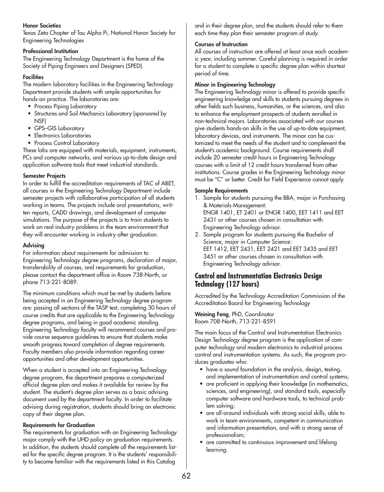## **Honor Societies**

Texas Zeta Chapter of Tau Alpha Pi, National Honor Society for Engineering Technologies

### **Professional Institution**

The Engineering Technology Department is the home of the Society of Piping Engineers and Designers (SPED).

### **Facilities**

The modern laboratory facilities in the Engineering Technology Department provide students with ample opportunities for hands-on practice. The laboratories are:

- Process Piping Laboratory
- Structures and Soil Mechanics Laboratory (sponsored by NSF)
- GPS–GIS Laboratory
- Electronics Laboratories
- Process Control Laboratory

These labs are equipped with materials, equipment, instruments, PCs and computer networks, and various up-to-date design and application software tools that meet industrial standards.

### **Semester Projects**

In order to fulfill the accreditation requirements of TAC of ABET, all courses in the Engineering Technology Department include semester projects with collaborative participation of all students working in teams. The projects include oral presentations, written reports, CADD drawings, and development of computer simulations. The purpose of the projects is to train students to work on real-industry problems in the team environment that they will encounter working in industry after graduation.

### **Advising**

For information about requirements for admission to Engineering Technology degree programs, declaration of major, transferability of courses, and requirements for graduation, please contact the department office in Room 738-North, or phone 713-221-8089.

The minimum conditions which must be met by students before being accepted in an Engineering Technology degree program are: passing all sections of the TASP test, completing 30 hours of course credits that are applicable to the Engineering Technology degree programs, and being in good academic standing. Engineering Technology faculty will recommend courses and provide course sequence guidelines to ensure that students make smooth progress toward completion of degree requirements. Faculty members also provide information regarding career opportunities and other development opportunities.

When a student is accepted into an Engineering Technology degree program, the department prepares a computerized official degree plan and makes it available for review by the student. The student's degree plan serves as a basic advising document used by the department faculty. In order to facilitate advising during registration, students should bring an electronic copy of their degree plan.

### **Requirements for Graduation**

The requirements for graduation with an Engineering Technology major comply with the UHD policy on graduation requirements. In addition, the students should complete all the requirements listed for the specific degree program. It is the students' responsibility to become familiar with the requirements listed in this Catalog

and in their degree plan, and the students should refer to them each time they plan their semester program of study.

## **Courses of Instruction**

All courses of instruction are offered at least once each academic year, including summer. Careful planning is required in order for a student to complete a specific degree plan within shortest period of time.

### **Minor in Engineering Technology**

The Engineering Technology minor is offered to provide specific engineering knowledge and skills to students pursuing degrees in other fields such business, humanities, or the sciences, and also to enhance the employment prospects of students enrolled in non-technical majors. Laboratories associated with our courses give students hands-on skills in the use of up-to-date equipment, laboratory devices, and instruments. The minor can be customized to meet the needs of the student and to complement the student's academic background. Course requirements shall include 20 semester credit hours in Engineering Technology courses with a limit of 12 credit hours transferred from other institutions. Course grades in the Engineering Technology minor must be "C" or better. Credit for Field Experience cannot apply.

### **Sample Requirements**

- 1. Sample for students pursuing the BBA, major in Purchasing & Materials Management: ENGR 1401, ET 2401 or ENGR 1400, EET 1411 and EET 2431 or other courses chosen in consultation with Engineering Technology advisor.
- 2. Sample program for students pursuing the Bachelor of Science, major in Computer Science: EET 1412, EET 2431, EET 2421 and EET 3435 and EET 3451 or other courses chosen in consultation with Engineering Technology advisor.

## **Control and Instrumentation Electronics Design Technology (127 hours)**

Accredited by the Technology Accreditation Commission of the Accreditation Board for Engineering Technology

**Weining Feng**, PhD, Coordinator Room 708-North, 713-221-8591

The main focus of the Control and Instrumentation Electronics Design Technology degree program is the application of computer technology and modern electronics to industrial process control and instrumentation systems. As such, the program produces graduates who:

- have a sound foundation in the analysis, design, testing, and implementation of instrumentation and control systems;
- are proficient in applying their knowledge (in mathematics, sciences, and engineering), and standard tools, especially computer software and hardware tools, to technical problem solving;
- are all-around individuals with strong social skills, able to work in team environments, competent in communication and information presentation, and with a strong sense of professionalism;
- are committed to continuous improvement and lifelong learning.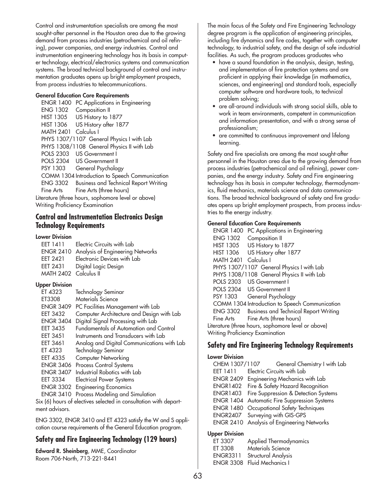Control and instrumentation specialists are among the most sought-after personnel in the Houston area due to the growing demand from process industries (petrochemical and oil refining), power companies, and energy industries. Control and instrumentation engineering technology has its basis in computer technology, electrical/electronics systems and communication systems. The broad technical background of control and instrumentation graduates opens up bright employment prospects, from process industries to telecommunications.

### **General Education Core Requirements**

ENGR 1400 PC Applications in Engineering ENG 1302 Composition II HIST 1305 US History to 1877 HIST 1306 US History after 1877 MATH 2401 Calculus I PHYS 1307/1107 General Physics I with Lab PHYS 1308/1108 General Physics II with Lab POLS 2303 US Government I POLS 2304 US Government II PSY 1303 General Psychology COMM 1304 Introduction to Speech Communication ENG 3302 Business and Technical Report Writing Fine Arts Fine Arts (three hours) Literature (three hours, sophomore level or above) Writing Proficiency Examination

## **Control and Instrumentation Electronics Design Technology Requirements**

### **Lower Division**

| FFT 1411              | Electric Circuits with Lab                 |
|-----------------------|--------------------------------------------|
|                       | ENGR 2410 Analysis of Engineering Networks |
| FFT 2421              | Electronic Devices with Lab                |
| EET 2431              | Digital Logic Design                       |
| MATH 2402 Calculus II |                                            |

## **Upper Division**

| ET 4323          | Technology Seminar                         |
|------------------|--------------------------------------------|
| ET3308           | Materials Science                          |
| <b>ENGR 3409</b> | PC Facilities Management with Lab          |
| <b>EET 3432</b>  | Computer Architecture and Design with Lab  |
| <b>ENGR 3404</b> | Digital Signal Processing with Lab         |
| <b>EET 3435</b>  | Fundamentals of Automation and Control     |
| <b>EET 3451</b>  | Instruments and Transducers with Lab       |
| EET 3461         | Analog and Digital Communications with Lab |
| ET 4323          | Technology Seminar                         |
| EET 4335         | Computer Networking                        |
| <b>ENGR 3406</b> | Process Control Systems                    |
| <b>ENGR 3407</b> | Industrial Robotics with Lab               |
| <b>EET 3334</b>  | <b>Electrical Power Systems</b>            |
| <b>ENGR 3302</b> | <b>Engineering Economics</b>               |
| <b>ENGR 3410</b> | Process Modeling and Simulation            |

Six (6) hours of electives selected in consultation with department advisors.

ENG 3302, ENGR 3410 and ET 4323 satisfy the W and S application course requirements of the General Education program.

# **Safety and Fire Engineering Technology (129 hours)**

**Edward R. Sheinberg**, MME, Coordinator Room 706-North, 713-221-8441

The main focus of the Safety and Fire Engineering Technology degree program is the application of engineering principles, including fire dynamics and fire codes, together with computer technology, to industrial safety, and the design of safe industrial facilities. As such, the program produces graduates who

- have a sound foundation in the analysis, design, testing, and implementation of fire protection systems and are proficient in applying their knowledge (in mathematics, sciences, and engineering) and standard tools, especially computer software and hardware tools, to technical problem solving;
- are all-around individuals with strong social skills, able to work in team environments, competent in communication and information presentation, and with a strong sense of professionalism;
- are committed to continuous improvement and lifelong learning.

Safety and fire specialists are among the most sought-after personnel in the Houston area due to the growing demand from process industries (petrochemical and oil refining), power companies, and the energy industry. Safety and Fire engineering technology has its basis in computer technology, thermodynamics, fluid mechanics, materials science and data communications. The broad technical background of safety and fire graduates opens up bright employment prospects, from process industries to the energy industry.

## **General Education Core Requirements**

ENGR 1400 PC Applications in Engineering ENG 1302 Composition II HIST 1305 US History to 1877 HIST 1306 US History after 1877 MATH 2401 Calculus I PHYS 1307/1107 General Physics I with Lab PHYS 1308/1108 General Physics II with Lab POLS 2303 US Government I POLS 2304 US Government II PSY 1303 General Psychology COMM 1304 Introduction to Speech Communication ENG 3302 Business and Technical Report Writing Fine Arts Fine Arts (three hours) Literature (three hours, sophomore level or above) Writing Proficiency Examination

## **Safety and Fire Engineering Technology Requirements**

### **Lower Division** CHEM 1307/1107 General Chemistry I with Lab EET 1411 Electric Circuits with Lab ENGR 2409 Engineering Mechanics with Lab ENGR1402 Fire & Safety Hazard Recognition ENGR1403 Fire Suppression & Detection Systems ENGR 1404 Automatic Fire Suppression Systems ENGR 1480 Occupational Safety Techniques

ENGR2407 Surveying with GIS-GPS ENGR 2410 Analysis of Engineering Networks

## **Upper Division**

| ET 3307         | Applied Thermodynamics      |
|-----------------|-----------------------------|
| ET 3308         | Materials Science           |
| <b>ENGR3311</b> | Structural Analysis         |
|                 | ENGR 3308 Fluid Mechanics I |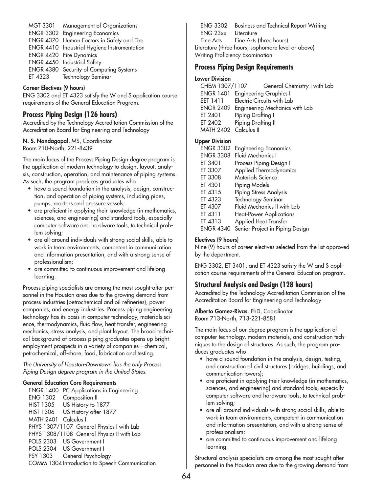| MGT 3301 | Management of Organizations                  |
|----------|----------------------------------------------|
|          | <b>ENGR 3302 Engineering Economics</b>       |
|          | ENGR 4370 Human Factors in Safety and Fire   |
|          | ENGR 4410 Industrial Hygiene Instrumentation |
|          | ENGR 4420 Fire Dynamics                      |
|          | ENGR 4450 Industrial Safety                  |
|          | ENGR 4380 Security of Computing Systems      |
| ET 4323  | Technology Seminar                           |

### **Career Electives (9 hours)**

ENG 3302 and ET 4323 satisfy the W and S application course requirements of the General Education Program.

## **Process Piping Design (126 hours)**

Accredited by the Technology Accreditation Commission of the Accreditation Board for Engineering and Technology

## **N. S. Nandagopal**, MS, Coordinator

Room 710-North, 221-8439

The main focus of the Process Piping Design degree program is the application of modern technology to design, layout, analysis, construction, operation, and maintenance of piping systems. As such, the program produces graduates who

- have a sound foundation in the analysis, design, construction, and operation of piping systems, including pipes, pumps, reactors and pressure vessels;
- are proficient in applying their knowledge (in mathematics, sciences, and engineering) and standard tools, especially computer software and hardware tools, to technical problem solving;
- are all-around individuals with strong social skills, able to work in team environments, competent in communication and information presentation, and with a strong sense of professionalism;
- are committed to continuous improvement and lifelong learning.

Process piping specialists are among the most sought-after personnel in the Houston area due to the growing demand from process industries (petrochemical and oil refineries), power companies, and energy industries. Process piping engineering technology has its basis in computer technology, materials science, thermodynamics, fluid flow, heat transfer, engineering mechanics, stress analysis, and plant layout. The broad technical background of process piping graduates opens up bright employment prospects in a variety of companies—chemical, petrochemical, off-shore, food, fabrication and testing.

*The University of Houston-Downtown has the only Process Piping Design degree program in the United States.*

## **General Education Core Requirements**

| <b>ENGR 1400</b>                               | PC Applications in Engineering             |  |
|------------------------------------------------|--------------------------------------------|--|
| <b>ENG 1302</b>                                | Composition II                             |  |
|                                                | HIST 1305 US History to 1877               |  |
|                                                | HIST 1306 US History after 1877            |  |
| MATH 2401 Calculus I                           |                                            |  |
| PHYS 1307/1107 General Physics I with Lab      |                                            |  |
|                                                | PHYS 1308/1108 General Physics II with Lab |  |
|                                                | POLS 2303 US Government I                  |  |
|                                                | POLS 2304 US Government I                  |  |
|                                                | PSY 1303 General Psychology                |  |
| COMM 1304 Introduction to Speech Communication |                                            |  |

ENG 3302 Business and Technical Report Writing ENG 23xx Literature Fine Arts Fine Arts (three hours) Literature (three hours, sophomore level or above) Writing Proficiency Examination

## **Process Piping Design Requirements**

### **Lower Division**

| CHEM 1307/1107        | General Chemistry I with Lab             |
|-----------------------|------------------------------------------|
|                       | ENGR 1401 Engineering Graphics I         |
| EET 1411              | Electric Circuits with Lab               |
|                       | ENGR 2409 Engineering Mechanics with Lab |
| ET 2401               | Piping Drafting I                        |
| ET 2402               | Piping Drafting II                       |
| MATH 2402 Calculus II |                                          |
|                       |                                          |

## **Upper Division**

| <b>ENGR 3302</b> | <b>Engineering Economics</b>    |
|------------------|---------------------------------|
| <b>ENGR 3308</b> | Fluid Mechanics I               |
| ET 3401          | Process Piping Design I         |
| ET 3307          | Applied Thermodynamics          |
| ET 3308          | <b>Materials Science</b>        |
| ET 4301          | Piping Models                   |
| ET 4315          | <b>Piping Stress Analysis</b>   |
| ET 4323          | Technology Seminar              |
| ET 4307          | Fluid Mechanics II with Lab     |
| ET 4311          | <b>Heat-Power Applications</b>  |
| ET 4313          | <b>Applied Heat Transfer</b>    |
| <b>ENGR 4340</b> | Senior Project in Piping Design |

## **Electives (9 hours)**

Nine (9) hours of career electives selected from the list approved by the department.

ENG 3302, ET 3401, and ET 4323 satisfy the W and S application course requirements of the General Education program.

## **Structural Analysis and Design (128 hours)**

Accredited by the Technology Accreditation Commission of the Accreditation Board for Engineering and Technology

#### **Alberto Gomez-Rivas**, PhD, Coordinator Room 713-North, 713-221-8581

The main focus of our degree program is the application of computer technology, modern materials, and construction techniques to the design of structures. As such, the program produces graduates who

- have a sound foundation in the analysis, design, testing, and construction of civil structures (bridges, buildings, and communication towers);
- are proficient in applying their knowledge (in mathematics, sciences, and engineering) and standard tools, especially computer software and hardware tools, to technical problem solving;
- are all-around individuals with strong social skills, able to work in team environments, competent in communication and information presentation, and with a strong sense of professionalism;
- are committed to continuous improvement and lifelong learning.

Structural analysis specialists are among the most sought-after personnel in the Houston area due to the growing demand from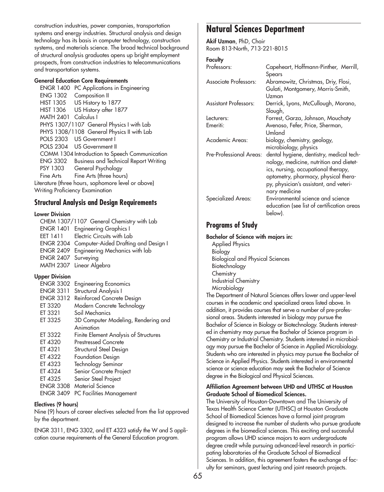construction industries, power companies, transportation systems and energy industries. Structural analysis and design technology has its basis in computer technology, construction systems, and materials science. The broad technical background of structural analysis graduates opens up bright employment prospects, from construction industries to telecommunications and transportation systems.

#### **General Education Core Requirements**

ENGR 1400 PC Applications in Engineering ENG 1302 Composition II HIST 1305 US History to 1877 HIST 1306 US History after 1877 MATH 2401 Calculus I PHYS 1307/1107 General Physics I with Lab PHYS 1308/1108 General Physics II with Lab POLS 2303 US Government I POLS 2304 US Government II COMM 1304 Introduction to Speech Communication ENG 3302 Business and Technical Report Writing PSY 1303 General Psychology Fine Arts Fine Arts (three hours) Literature (three hours, sophomore level or above) Writing Proficiency Examination

## **Structural Analysis and Design Requirements**

### **Lower Division**

| CHEM 1307/1107 General Chemistry with Lab |                                                |  |
|-------------------------------------------|------------------------------------------------|--|
|                                           | <b>ENGR 1401</b> Engineering Graphics I        |  |
| EET 1411                                  | Electric Circuits with Lab                     |  |
|                                           | ENGR 2304 Computer-Aided Drafting and Design I |  |
|                                           | ENGR 2409 Engineering Mechanics with lab       |  |
| ENGR 2407 Surveying                       |                                                |  |
|                                           | MATH 2307 Linear Algebra                       |  |

## **Upper Division**

| <b>ENGR 3302</b> | <b>Engineering Economics</b>                 |
|------------------|----------------------------------------------|
| <b>ENGR 3311</b> | Structural Analysis I                        |
| <b>ENGR 3312</b> | Reinforced Concrete Design                   |
| ET 3320          | Modern Concrete Technology                   |
| ET 3321          | Soil Mechanics                               |
| ET 3325          | 3D Computer Modeling, Rendering and          |
|                  | Animation                                    |
| ET 3322          | <b>Finite Element Analysis of Structures</b> |
| ET 4320          | <b>Prestressed Concrete</b>                  |
| ET 4321          | Structural Steel Design                      |
| ET 4322          | Foundation Design                            |
| ET 4323          | Technology Seminar                           |
| ET 4324          | Senior Concrete Project                      |
| ET 4325          | Senior Steel Project                         |
| <b>ENGR 3308</b> | Material Science                             |
| <b>ENGR 3409</b> | PC Facilities Management                     |
|                  |                                              |

## **Electives (9 hours)**

Nine (9) hours of career electives selected from the list approved by the department.

ENGR 3311, ENG 3302, and ET 4323 satisfy the W and S application course requirements of the General Education program.

# **Natural Sciences Department**

**Akif Uzman**, PhD, Chair Room 813-North, 713-221-8015

## **Faculty**

| Professors:                  | Capeheart, Hoffmann-Pinther, Merrill,<br>Spears                                                                                                                                                                               |
|------------------------------|-------------------------------------------------------------------------------------------------------------------------------------------------------------------------------------------------------------------------------|
| Associate Professors:        | Abramowitz, Christmas, Driy, Flosi,<br>Gulati, Montgomery, Morris-Smith,<br>Uzman                                                                                                                                             |
| <b>Assistant Professors:</b> | Derrick, Lyons, McCullough, Morano,<br>Slough,                                                                                                                                                                                |
| Lecturers:                   | Forrest, Garza, Johnson, Mouchaty                                                                                                                                                                                             |
| Emeriti:                     | Avenoso, Fefer, Price, Sherman,<br>Umland                                                                                                                                                                                     |
| Academic Areas:              | biology, chemistry, geology,<br>microbiology, physics                                                                                                                                                                         |
| Pre-Professional Areas:      | dental hygiene, dentistry, medical tech-<br>nology, medicine, nutrition and dietet-<br>ics, nursing, occupational therapy,<br>optometry, pharmacy, physical thera-<br>py, physician's assistant, and veteri-<br>nary medicine |
| <b>Specialized Areas:</b>    | Environmental science and science<br>education (see list of certification areas<br>below).                                                                                                                                    |

## **Programs of Study**

### **Bachelor of Science with majors in:**

Applied Physics Biology Biological and Physical Sciences Biotechnology **Chemistry** Industrial Chemistry Microbiology

The Department of Natural Sciences offers lower and upper-level courses in the academic and specialized areas listed above. In addition, it provides courses that serve a number of pre-professional areas. Students interested in biology may pursue the Bachelor of Science in Biology or Biotechnology. Students interested in chemistry may pursue the Bachelor of Science program in Chemistry or Industrial Chemistry. Students interested in microbiology may pursue the Bachelor of Science in Applied Microbiology. Students who are interested in physics may pursue the Bachelor of Science in Applied Physics. Students interested in environmental science or science education may seek the Bachelor of Science degree in the Biological and Physical Sciences.

### **Affiliation Agreement between UHD and UTHSC at Houston Graduate School of Biomedical Sciences.**

The University of Houston-Downtown and The University of Texas Health Science Center (UTHSC) at Houston Graduate School of Biomedical Sciences have a formal joint program designed to increase the number of students who pursue graduate degrees in the biomedical sciences. This exciting and successful program allows UHD science majors to earn undergraduate degree credit while pursuing advanced-level research in participating laboratories of the Graduate School of Biomedical Sciences. In addition, this agreement fosters the exchange of faculty for seminars, guest lecturing and joint research projects.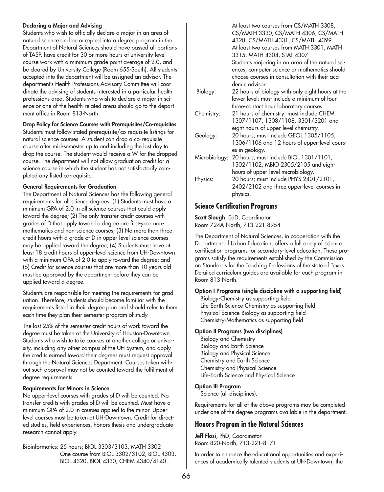## **Declaring a Major and Advising**

Students who wish to officially declare a major in an area of natural science and be accepted into a degree program in the Department of Natural Sciences should have passed all portions of TASP, have credit for 30 or more hours of university-level course work with a minimum grade point average of 2.0, and be cleared by University College (Room 655-South). All students accepted into the department will be assigned an advisor. The department's Health Professions Advisory Committee will coordinate the advising of students interested in a particular health professions area. Students who wish to declare a major in science or one of the health-related areas should go to the department office in Room 813-North.

## **Drop Policy for Science Courses with Prerequisites/Co-requisites**

Students must follow stated prerequisite/co-requisite listings for natural science courses. A student can drop a co-requisite course after mid-semester up to and including the last day to drop the course. The student would receive a W for the dropped course. The department will not allow graduation credit for a science course in which the student has not satisfactorily completed any listed co-requisite.

## **General Requirements for Graduation**

The Department of Natural Sciences has the following general requirements for all science degrees: (1) Students must have a minimum GPA of 2.0 in all science courses that could apply toward the degree; (2) The only transfer credit courses with grades of D that apply toward a degree are first-year nonmathematics and non-science courses; (3) No more than three credit hours with a grade of D in upper-level science courses may be applied toward the degree; (4) Students must have at least 18 credit hours of upper-level science from UH-Downtown with a minimum GPA of 2.0 to apply toward the degree; and (5) Credit for science courses that are more than 10 years old must be approved by the department before they can be applied toward a degree.

Students are responsible for meeting the requirements for graduation. Therefore, students should become familiar with the requirements listed in their degree plan and should refer to them each time they plan their semester program of study.

The last 25% of the semester credit hours of work toward the degree must be taken at the University of Houston-Downtown. Students who wish to take courses at another college or university, including any other campus of the UH System, and apply the credits earned toward their degrees must request approval through the Natural Sciences Department. Courses taken without such approval may not be counted toward the fulfillment of degree requirements.

## **Requirements for Minors in Science**

No upper-level courses with grades of D will be counted. No transfer credits with grades of D will be counted. Must have a minimum GPA of 2.0 in courses applied to the minor. Upperlevel courses must be taken at UH-Downtown. Credit for directed studies, field experiences, honors thesis and undergraduate research cannot apply.

Bioinformatics: 25 hours; BIOL 3303/3103, MATH 3302 One course from BIOL 3302/3102, BIOL 4303, BIOL 4320, BIOL 4330, CHEM 4340/4140

|               | At least two courses from CS/MATH 3308,                                                           |
|---------------|---------------------------------------------------------------------------------------------------|
|               | CS/MATH 3330, CS/MATH 4306, CS/MATH<br>4328, CS/MATH 4331, CS/MATH 4399                           |
|               | At least two courses from MATH 3301, MATH                                                         |
|               | 3315, MATH 4304, STAT 4307                                                                        |
|               | Students majoring in an area of the natural sci-<br>ences, computer science or mathematics should |
|               | choose courses in consultation with their aca-<br>demic advisor.                                  |
|               |                                                                                                   |
| Biology:      | 22 hours of biology with only eight hours at the<br>lower level; must include a minimum of four   |
|               | three-contact hour laboratory courses.                                                            |
| Chemistry:    | 21 hours of chemistry; must include CHEM                                                          |
|               | 1307/1107, 1308/1108, 3301/3201 and                                                               |
|               | eight hours of upper-level chemistry.                                                             |
| Geology:      | 20 hours; must include GEOL 1305/1105,                                                            |
|               | 1306/1106 and 12 hours of upper-level cours-                                                      |
|               | es in geology.                                                                                    |
| Microbiology: | 20 hours; must include BIOL 1301/1101,                                                            |
|               | 1302/1102, MBIO 2305/2105 and eight                                                               |
|               | hours of upper-level microbiology.                                                                |
| Physics:      | 20 hours; must include PHYS 2401/2101,                                                            |
|               | 2402/2102 and three upper-level courses in                                                        |
|               | physics.                                                                                          |

## **Science Certification Programs**

**Scott Slough**, EdD, Coordinator Room 724A-North, 713-221-8954

The Department of Natural Sciences, in cooperation with the Department of Urban Education, offers a full array of science certification programs for secondary-level education. These programs satisfy the requirements established by the Commission on Standards for the Teaching Professions of the state of Texas. Detailed curriculum guides are available for each program in Room 813-North.

## **Option I Programs (single discipline with a supporting field)**

Biology-Chemistry as supporting field Life-Earth Science-Chemistry as supporting field Physical Science-Biology as supporting field Chemistry-Mathematics as supporting field

## **Option II Programs (two disciplines)**

Biology and Chemistry Biology and Earth Science Biology and Physical Science Chemistry and Earth Science Chemistry and Physical Science Life-Earth Science and Physical Science

## **Option III Program**

Science (all disciplines).

Requirements for all of the above programs may be completed under one of the degree programs available in the department.

## **Honors Program in the Natural Sciences**

**Jeff Flosi**, PhD, Coordinator Room 820-North, 713-221-8171

In order to enhance the educational opportunities and experiences of academically talented students at UH-Downtown, the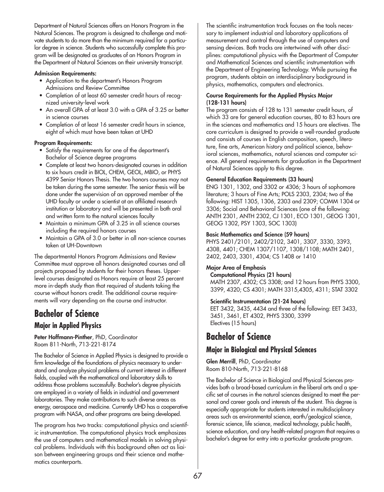Department of Natural Sciences offers an Honors Program in the Natural Sciences. The program is designed to challenge and motivate students to do more than the minimum required for a particular degree in science. Students who successfully complete this program will be designated as graduates of an Honors Program in the Department of Natural Sciences on their university transcript.

### **Admission Requirements:**

- Application to the department's Honors Program Admissions and Review Committee
- Completion of at least 60 semester credit hours of recognized university-level work
- An overall GPA of at least 3.0 with a GPA of 3.25 or better in science courses
- Completion of at least 16 semester credit hours in science, eight of which must have been taken at UHD

## **Program Requirements:**

- Satisfy the requirements for one of the department's Bachelor of Science degree programs
- Complete at least two honors-designated courses in addition to six hours credit in BIOL, CHEM, GEOL, MBIO, or PHYS 4399 Senior Honors Thesis. The two honors courses may not be taken during the same semester. The senior thesis will be done under the supervision of an approved member of the UHD faculty or under a scientist at an affiliated research institution or laboratory and will be presented in both oral and written form to the natural sciences faculty
- Maintain a minimum GPA of 3.25 in all science courses including the required honors courses
- Maintain a GPA of 3.0 or better in all non-science courses taken at UH-Downtown

The departmental Honors Program Admissions and Review Committee must approve all honors designated courses and all projects proposed by students for their honors theses. Upperlevel courses designated as Honors require at least 25 percent more in-depth study than that required of students taking the course without honors credit. The additional course requirements will vary depending on the course and instructor.

# **Bachelor of Science Major in Applied Physics**

**Peter Hoffmann-Pinther**, PhD, Coordinator Room 811-North, 713-221-8174

The Bachelor of Science in Applied Physics is designed to provide a firm knowledge of the foundations of physics necessary to understand and analyze physical problems of current interest in different fields, coupled with the mathematical and laboratory skills to address those problems successfully. Bachelor's degree physicists are employed in a variety of fields in industrial and government laboratories. They make contributions to such diverse areas as energy, aerospace and medicine. Currently UHD has a cooperative program with NASA, and other programs are being developed.

The program has two tracks: computational physics and scientific instrumentation. The computational physics track emphasizes the use of computers and mathematical models in solving physical problems. Individuals with this background often act as liaison between engineering groups and their science and mathematics counterparts.

The scientific instrumentation track focuses on the tools necessary to implement industrial and laboratory applications of measurement and control through the use of computers and sensing devices. Both tracks are intertwined with other disciplines: computational physics with the Department of Computer and Mathematical Sciences and scientific instrumentation with the Department of Engineering Technology. While pursuing the program, students obtain an interdisciplinary background in physics, mathematics, computers and electronics.

## **Course Requirements for the Applied Physics Major (128-131 hours)**

The program consists of 128 to 131 semester credit hours, of which 33 are for general education courses, 80 to 83 hours are in the sciences and mathematics and 15 hours are electives. The core curriculum is designed to provide a well-rounded graduate and consists of courses in English composition, speech, literature, fine arts, American history and political science, behavioral sciences, mathematics, natural sciences and computer science. All general requirements for graduation in the Department of Natural Sciences apply to this degree.

## **General Education Requirements (33 hours)**

ENG 1301, 1302, and 3302 or 4306; 3 hours of sophomore literature; 3 hours of Fine Arts; POLS 2303, 2304; two of the following: HIST 1305, 1306, 2303 and 2309; COMM 1304 or 3306; Social and Behavioral Sciences (one of the following: ANTH 2301, ANTH 2302, CJ 1301, ECO 1301, GEOG 1301, GEOG 1302, PSY 1303, SOC 1303)

## **Basic Mathematics and Science (59 hours)**

PHYS 2401/2101, 2402/2102, 3401, 3307, 3330, 3393, 4308, 4401; CHEM 1307/1107, 1308/1108; MATH 2401, 2402, 2403, 3301, 4304; CS 1408 or 1410

## **Major Area of Emphasis**

**Computational Physics (21 hours)** MATH 2307, 4302; CS 3308; and 12 hours from PHYS 3300, 3399, 4320; CS 4301; MATH 3315,4305, 4311; STAT 3302

## **Scientific Instrumentation (21-24 hours)**

EET 3432, 3435, 4434 and three of the following: EET 3433, 3451, 3461, ET 4302, PHYS 3300, 3399 Electives (15 hours)

# **Bachelor of Science**

## **Major in Biological and Physical Sciences**

**Glen Merrill**, PhD, Coordinator Room 810-North, 713-221-8168

The Bachelor of Science in Biological and Physical Sciences provides both a broad-based curriculum in the liberal arts and a specific set of courses in the natural sciences designed to meet the personal and career goals and interests of the student. This degree is especially appropriate for students interested in multidisciplinary areas such as environmental science, earth/geological science, forensic science, life science, medical technology, public health, science education, and any health-related program that requires a bachelor's degree for entry into a particular graduate program.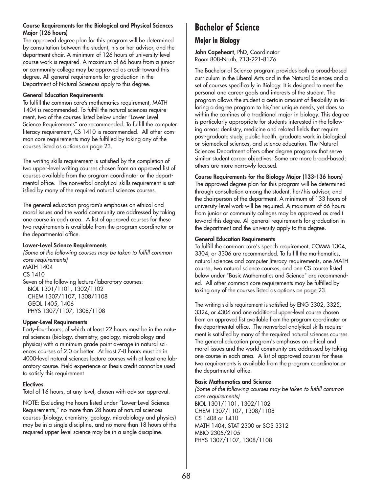## **Course Requirements for the Biological and Physical Sciences Major (126 hours)**

The approved degree plan for this program will be determined by consultation between the student, his or her advisor, and the department chair. A minimum of 126 hours of university-level course work is required. A maximum of 66 hours from a junior or community college may be approved as credit toward this degree. All general requirements for graduation in the Department of Natural Sciences apply to this degree.

### **General Education Requirements**

To fulfill the common core's mathematics requirement, MATH 1404 is recommended. To fulfill the natural sciences requirement, two of the courses listed below under "Lower Level Science Requirements" are recommended. To fulfill the computer literacy requirement, CS 1410 is recommended. All other common core requirements may be fulfilled by taking any of the courses listed as options on page 23.

The writing skills requirement is satisfied by the completion of two upper-level writing courses chosen from an approved list of courses available from the program coordinator or the departmental office. The nonverbal analytical skills requirement is satisfied by many of the required natural sciences courses.

The general education program's emphases on ethical and moral issues and the world community are addressed by taking one course in each area. A list of approved courses for these two requirements is available from the program coordinator or the departmental office.

### **Lower-Level Science Requirements**

*(Some of the following courses may be taken to fulfill common core requirements)* MATH 1404 CS 1410 Seven of the following lecture/laboratory courses: BIOL 1301/1101, 1302/1102 CHEM 1307/1107, 1308/1108 GEOL 1405, 1406 PHYS 1307/1107, 1308/1108

## **Upper-Level Requirements**

Forty-four hours, of which at least 22 hours must be in the natural sciences (biology, chemistry, geology, microbiology and physics) with a minimum grade point average in natural sciences courses of 2.0 or better. At least 7-8 hours must be in 4000-level natural sciences lecture courses with at least one laboratory course. Field experience or thesis credit cannot be used to satisfy this requirement

## **Electives**

Total of 16 hours, at any level, chosen with advisor approval.

NOTE: Excluding the hours listed under "Lower-Level Science Requirements," no more than 28 hours of natural sciences courses (biology, chemistry, geology, microbiology and physics) may be in a single discipline, and no more than 18 hours of the required upper-level science may be in a single discipline.

# **Bachelor of Science**

## **Major in Biology**

**John Capeheart**, PhD, Coordinator Room 808-North, 713-221-8176

The Bachelor of Science program provides both a broad-based curriculum in the Liberal Arts and in the Natural Sciences and a set of courses specifically in Biology. It is designed to meet the personal and career goals and interests of the student. The program allows the student a certain amount of flexibility in tailoring a degree program to his/her unique needs, yet does so within the confines of a traditional major in biology. This degree is particularly appropriate for students interested in the following areas: dentistry, medicine and related fields that require post-graduate study, public health, graduate work in biological or biomedical sciences, and science education. The Natural Sciences Department offers other degree programs that serve similar student career objectives. Some are more broad-based; others are more narrowly focused.

## **Course Requirements for the Biology Major (133-136 hours)**

The approved degree plan for this program will be determined through consultation among the student, her/his advisor, and the chairperson of the department. A minimum of 133 hours of university-level work will be required. A maximum of 66 hours from junior or community colleges may be approved as credit toward this degree. All general requirements for graduation in the department and the university apply to this degree.

## **General Education Requirements**

To fulfill the common core's speech requirement, COMM 1304, 3304, or 3306 are recommended. To fulfill the mathematics, natural sciences and computer literacy requirements, one MATH course, two natural science courses, and one CS course listed below under "Basic Mathematics and Science" are recommended. All other common core requirements may be fulfilled by taking any of the courses listed as options on page 23.

The writing skills requirement is satisfied by ENG 3302, 3325, 3324, or 4306 and one additional upper-level course chosen from an approved list available from the program coordinator or the departmental office. The nonverbal analytical skills requirement is satisfied by many of the required natural sciences courses. The general education program's emphases on ethical and moral issues and the world community are addressed by taking one course in each area. A list of approved courses for these two requirements is available from the program coordinator or the departmental office.

## **Basic Mathematics and Science**

*(Some of the following courses may be taken to fulfill common core requirements)* BIOL 1301/1101, 1302/1102 CHEM 1307/1107, 1308/1108 CS 1408 or 1410 MATH 1404, STAT 2300 or SOS 3312 MBIO 2305/2105 PHYS 1307/1107, 1308/1108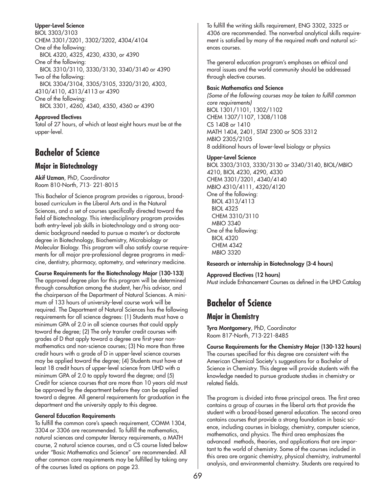#### **Upper-Level Science**

BIOL 3303/3103 CHEM 3301/3201, 3302/3202, 4304/4104 One of the following: BIOL 4320, 4325, 4230, 4330, or 4390 One of the following: BIOL 3310/3110, 3330/3130, 3340/3140 or 4390 Two of the following: BIOL 3304/3104, 3305/3105, 3320/3120, 4303, 4310/4110, 4313/4113 or 4390 One of the following: BIOL 3301, 4260, 4340, 4350, 4360 or 4390

**Approved Electives** Total of 27 hours, of which at least eight hours must be at the upper-level.

## **Bachelor of Science**

### **Major in Biotechnology**

**Akif Uzman**, PhD, Coordinator Room 810-North, 713- 221-8015

This Bachelor of Science program provides a rigorous, broadbased curriculum in the Liberal Arts and in the Natural Sciences, and a set of courses specifically directed toward the field of Biotechnology. This interdisciplinary program provides both entry-level job skills in biotechnology and a strong academic background needed to pursue a master's or doctorate degree in Biotechnology, Biochemistry, Microbiology or Molecular Biology. This program will also satisfy course requirements for all major pre-professional degree programs in medicine, dentistry, pharmacy, optometry, and veterinary medicine.

**Course Requirements for the Biotechnology Major (130-133)** The approved degree plan for this program will be determined through consultation among the student, her/his advisor, and the chairperson of the Department of Natural Sciences. A minimum of 133 hours of university-level course work will be required. The Department of Natural Sciences has the following requirements for all science degrees: (1) Students must have a minimum GPA of 2.0 in all science courses that could apply toward the degree; (2) The only transfer credit courses with grades of D that apply toward a degree are first-year nonmathematics and non-science courses; (3) No more than three credit hours with a grade of D in upper-level science courses may be applied toward the degree; (4) Students must have at least 18 credit hours of upper-level science from UHD with a minimum GPA of 2.0 to apply toward the degree; and (5) Credit for science courses that are more than 10 years old must be approved by the department before they can be applied toward a degree. All general requirements for graduation in the department and the university apply to this degree.

#### **General Education Requirements**

To fulfill the common core's speech requirement, COMM 1304, 3304 or 3306 are recommended. To fulfill the mathematics, natural sciences and computer literacy requirements, a MATH course, 2 natural science courses, and a CS course listed below under "Basic Mathematics and Science" are recommended. All other common core requirements may be fulfilled by taking any of the courses listed as options on page 23.

To fulfill the writing skills requirement, ENG 3302, 3325 or 4306 are recommended. The nonverbal analytical skills requirement is satisfied by many of the required math and natural sciences courses.

The general education program's emphases on ethical and moral issues and the world community should be addressed through elective courses.

#### **Basic Mathematics and Science**

*(Some of the following courses may be taken to fulfill common core requirements)* BIOL 1301/1101, 1302/1102 CHEM 1307/1107, 1308/1108 CS 1408 or 1410 MATH 1404, 2401, STAT 2300 or SOS 3312 MBIO 2305/2105 8 additional hours of lower-level biology or physics

#### **Upper-Level Science**

BIOL 3303/3103, 3330/3130 or 3340/3140, BIOL/MBIO 4210, BIOL 4230, 4290, 4330 CHEM 3301/3201, 4340/4140 MBIO 4310/4111, 4320/4120 One of the following: BIOL 4313/4113 BIOL 4325 CHEM 3310/3110 MBIO 3340 One of the following: BIOL 4320 CHEM 4342 MBIO 3320

#### **Research or internship in Biotechnology (3-4 hours)**

**Approved Electives (12 hours)** Must include Enhancement Courses as defined in the UHD Catalog

# **Bachelor of Science**

### **Major in Chemistry**

**Tyra Montgomery**, PhD, Coordinator Room 817-North, 713-221-8485

**Course Requirements for the Chemistry Major (130-132 hours)** The courses specified for this degree are consistent with the American Chemical Society's suggestions for a Bachelor of Science in Chemistry. This degree will provide students with the knowledge needed to pursue graduate studies in chemistry or related fields.

The program is divided into three principal areas. The first area contains a group of courses in the liberal arts that provide the student with a broad-based general education. The second area contains courses that provide a strong foundation in basic science, including courses in biology, chemistry, computer science, mathematics, and physics. The third area emphasizes the advanced methods, theories, and applications that are important to the world of chemistry. Some of the courses included in this area are organic chemistry, physical chemistry, instrumental analysis, and environmental chemistry. Students are required to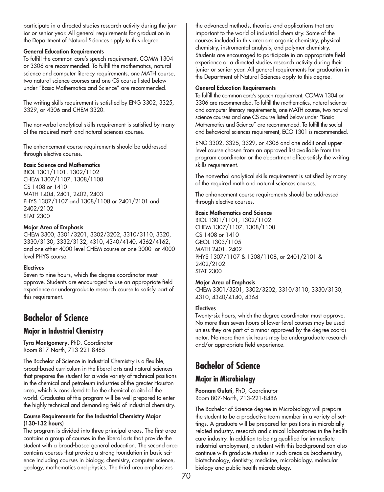participate in a directed studies research activity during the junior or senior year. All general requirements for graduation in the Department of Natural Sciences apply to this degree.

#### **General Education Requirements**

To fulfill the common core's speech requirement, COMM 1304 or 3306 are recommended. To fulfill the mathematics, natural science and computer literacy requirements, one MATH course, two natural science courses and one CS course listed below under "Basic Mathematics and Science" are recommended.

The writing skills requirement is satisfied by ENG 3302, 3325, 3329, or 4306 and CHEM 3320.

The nonverbal analytical skills requirement is satisfied by many of the required math and natural sciences courses.

The enhancement course requirements should be addressed through elective courses.

#### **Basic Science and Mathematics**

BIOL 1301/1101, 1302/1102 CHEM 1307/1107, 1308/1108 CS 1408 or 1410 MATH 1404, 2401, 2402, 2403 PHYS 1307/1107 and 1308/1108 or 2401/2101 and 2402/2102 STAT 2300

#### **Major Area of Emphasis**

CHEM 3300, 3301/3201, 3302/3202, 3310/3110, 3320, 3330/3130, 3332/3132, 4310, 4340/4140, 4362/4162, and one other 4000-level CHEM course or one 3000- or 4000 level PHYS course.

#### **Electives**

Seven to nine hours, which the degree coordinator must approve. Students are encouraged to use an appropriate field experience or undergraduate research course to satisfy part of this requirement.

# **Bachelor of Science**

### **Major in Industrial Chemistry**

**Tyra Montgomery**, PhD, Coordinator Room 817-North, 713-221-8485

The Bachelor of Science in Industrial Chemistry is a flexible, broad-based curriculum in the liberal arts and natural sciences that prepares the student for a wide variety of technical positions in the chemical and petroleum industries of the greater Houston area, which is considered to be the chemical capital of the world. Graduates of this program will be well prepared to enter the highly technical and demanding field of industrial chemistry.

#### **Course Requirements for the Industrial Chemistry Major (130-132 hours)**

The program is divided into three principal areas. The first area contains a group of courses in the liberal arts that provide the student with a broad-based general education. The second area contains courses that provide a strong foundation in basic science including courses in biology, chemistry, computer science, geology, mathematics and physics. The third area emphasizes

the advanced methods, theories and applications that are important to the world of industrial chemistry. Some of the courses included in this area are organic chemistry, physical chemistry, instrumental analysis, and polymer chemistry. Students are encouraged to participate in an appropriate field experience or a directed studies research activity during their junior or senior year. All general requirements for graduation in the Department of Natural Sciences apply to this degree.

#### **General Education Requirements**

To fulfill the common core's speech requirement, COMM 1304 or 3306 are recommended. To fulfill the mathematics, natural science and computer literacy requirements, one MATH course, two natural science courses and one CS course listed below under "Basic Mathematics and Science" are recommended. To fulfill the social and behavioral sciences requirement, ECO 1301 is recommended.

ENG 3302, 3325, 3329, or 4306 and one additional upperlevel course chosen from an approved list available from the program coordinator or the department office satisfy the writing skills requirement.

The nonverbal analytical skills requirement is satisfied by many of the required math and natural sciences courses.

The enhancement course requirements should be addressed through elective courses.

#### **Basic Mathematics and Science**

BIOL 1301/1101, 1302/1102 CHEM 1307/1107, 1308/1108 CS 1408 or 1410 GEOL 1303/1105 MATH 2401, 2402 PHYS 1307/1107 & 1308/1108, or 2401/2101 & 2402/2102 STAT 2300

#### **Major Area of Emphasis**

CHEM 3301/3201, 3302/3202, 3310/3110, 3330/3130, 4310, 4340/4140, 4364

#### **Electives**

Twenty-six hours, which the degree coordinator must approve. No more than seven hours of lower-level courses may be used unless they are part of a minor approved by the degree coordinator. No more than six hours may be undergraduate research and/or appropriate field experience.

# **Bachelor of Science**

### **Major in Microbiology**

**Poonam Gulati**, PhD, Coordinator Room 807-North, 713-221-8486

The Bachelor of Science degree in Microbiology will prepare the student to be a productive team member in a variety of settings. A graduate will be prepared for positions in microbially related industry, research and clinical laboratories in the health care industry. In addition to being qualified for immediate industrial employment, a student with this background can also continue with graduate studies in such areas as biochemistry, biotechnology, dentistry, medicine, microbiology, molecular biology and public health microbiology.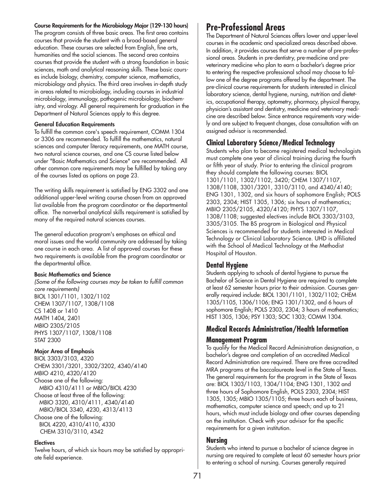#### **Course Requirements for the Microbiology Major (129-130 hours)**

The program consists of three basic areas. The first area contains courses that provide the student with a broad-based general education. These courses are selected from English, fine arts, humanities and the social sciences. The second area contains courses that provide the student with a strong foundation in basic sciences, math and analytical reasoning skills. These basic courses include biology, chemistry, computer science, mathematics, microbiology and physics. The third area involves in-depth study in areas related to microbiology, including courses in industrial microbiology, immunology, pathogenic microbiology, biochemistry, and virology. All general requirements for graduation in the Department of Natural Sciences apply to this degree.

#### **General Education Requirements**

To fulfill the common core's speech requirement, COMM 1304 or 3306 are recommended. To fulfill the mathematics, natural sciences and computer literacy requirements, one MATH course, two natural science courses, and one CS course listed below under "Basic Mathematics and Science" are recommended. All other common core requirements may be fulfilled by taking any of the courses listed as options on page 23.

The writing skills requirement is satisfied by ENG 3302 and one additional upper-level writing course chosen from an approved list available from the program coordinator or the departmental office. The nonverbal analytical skills requirement is satisfied by many of the required natural sciences courses.

The general education program's emphases on ethical and moral issues and the world community are addressed by taking one course in each area. A list of approved courses for these two requirements is available from the program coordinator or the departmental office.

#### **Basic Mathematics and Science**

*(Some of the following courses may be taken to fulfill common core requirements)* BIOL 1301/1101, 1302/1102 CHEM 1307/1107, 1308/1108 CS 1408 or 1410 MATH 1404, 2401 MBIO 2305/2105 PHYS 1307/1107, 1308/1108 STAT 2300

#### **Major Area of Emphasis**

BIOL 3303/3103, 4320 CHEM 3301/3201, 3302/3202, 4340/4140 MBIO 4210, 4320/4120 Choose one of the following: MBIO 4310/4111 or MBIO/BIOL 4230 Choose at least three of the following: MBIO 3320, 4310/4111, 4340/4140 MBIO/BIOL 3340, 4230, 4313/4113 Choose one of the following: BIOL 4220, 4310/4110, 4330 CHEM 3310/3110, 4342

#### **Electives**

Twelve hours, of which six hours may be satisfied by appropriate field experience.

## **Pre-Professional Areas**

The Department of Natural Sciences offers lower and upper-level courses in the academic and specialized areas described above. In addition, it provides courses that serve a number of pre-professional areas. Students in pre-dentistry, pre-medicine and preveterinary medicine who plan to earn a bachelor's degree prior to entering the respective professional school may choose to follow one of the degree programs offered by the department. The pre-clinical course requirements for students interested in clinical laboratory science, dental hygiene, nursing, nutrition and dietetics, occupational therapy, optometry, pharmacy, physical therapy, physician's assistant and dentistry, medicine and veterinary medicine are described below. Since entrance requirements vary widely and are subject to frequent changes, close consultation with an assigned advisor is recommended.

## **Clinical Laboratory Science/Medical Technology**

Students who plan to become registered medical technologists must complete one year of clinical training during the fourth or fifth year of study. Prior to entering the clinical program they should complete the following courses: BIOL 1301/1101, 1302/1102, 3420; CHEM 1307/1107, 1308/1108, 3301/3201, 3310/3110, and 4340/4140; ENG 1301, 1302, and six hours of sophomore English; POLS 2303, 2304; HIST 1305, 1306; six hours of mathematics; MBIO 2305/2105, 4320/4120; PHYS 1307/1107, 1308/1108; suggested electives include BIOL 3303/3103, 3305/3105. The BS program in Biological and Physical Sciences is recommended for students interested in Medical Technology or Clinical Laboratory Science. UHD is affiliated with the School of Medical Technology at the Methodist Hospital of Houston.

#### **Dental Hygiene**

Students applying to schools of dental hygiene to pursue the Bachelor of Science in Dental Hygiene are required to complete at least 62 semester hours prior to their admission. Courses generally required include: BIOL 1301/1101, 1302/1102; CHEM 1305/1105, 1306/1106; ENG 1301/1302, and 6 hours of sophomore English; POLS 2303, 2304; 3 hours of mathematics; HIST 1305, 1306; PSY 1303; SOC 1303; COMM 1304.

## **Medical Records Administration/Health Information**

#### **Management Program**

To qualify for the Medical Record Administration designation, a bachelor's degree and completion of an accredited Medical Record Administration are required. There are three accredited MRA programs at the baccalaureate level in the State of Texas. The general requirements for the program in the State of Texas are: BIOL 1303/1103, 1304/1104; ENG 1301, 1302 and three hours of Sophomore English, POLS 2303, 2304; HIST 1305, 1305; MBIO 1305/1105; three hours each of business, mathematics, computer science and speech; and up to 21 hours, which must include biology and other courses depending on the institution. Check with your advisor for the specific requirements for a given institution.

#### **Nursing**

Students who intend to pursue a bachelor of science degree in nursing are required to complete at least 60 semester hours prior to entering a school of nursing. Courses generally required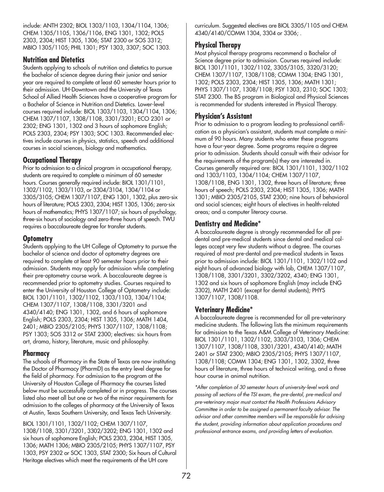include: ANTH 2302; BIOL 1303/1103, 1304/1104, 1306; CHEM 1305/1105, 1306/1106, ENG 1301, 1302; POLS 2303, 2304; HIST 1305, 1306; STAT 2300 or SOS 3312; MBIO 1305/1105; PHIL 1301; PSY 1303, 3307; SOC 1303.

### **Nutrition and Dietetics**

Students applying to schools of nutrition and dietetics to pursue the bachelor of science degree during their junior and senior year are required to complete at least 60 semester hours prior to their admission. UH-Downtown and the University of Texas School of Allied Health Sciences have a cooperative program for a Bachelor of Science in Nutrition and Dietetics. Lower-level courses required include: BIOL 1303/1103, 1304/1104, 1306; CHEM 1307/1107, 1308/1108, 3301/3201; ECO 2301 or 2302; ENG 1301, 1302 and 3 hours of sophomore English; POLS 2303, 2304; PSY 1303; SOC 1303. Recommended electives include courses in physics, statistics, speech and additional courses in social sciences, biology and mathematics.

## **Occupational Therapy**

Prior to admission to a clinical program in occupational therapy, students are required to complete a minimum of 60 semester hours. Courses generally required include: BIOL 1301/1101, 1302/1102, 1303/1103, or 3304/3104, 1304/1104 or 3305/3105; CHEM 1307/1107, ENG 1301, 1302, plus zero-six hours of literature; POLS 2303, 2304; HIST 1305, 1306; zero-six hours of mathematics; PHYS 1307/1107; six hours of psychology, three-six hours of sociology and zero-three hours of speech. TWU requires a baccalaureate degree for transfer students.

## **Optometry**

Students applying to the UH College of Optometry to pursue the bachelor of science and doctor of optometry degrees are required to complete at least 90 semester hours prior to their admission. Students may apply for admission while completing their pre-optometry course work. A baccalaureate degree is recommended prior to optometry studies. Courses required to enter the University of Houston College of Optometry include: BIOL 1301/1101, 1302/1102, 1303/1103, 1304/1104; CHEM 1307/1107, 1308/1108, 3301/3201 and 4340/4140; ENG 1301, 1302, and 6 hours of sophomore English; POLS 2303, 2304; HIST 1305, 1306; MATH 1404, 2401; MBIO 2305/2105; PHYS 1307/1107, 1308/1108; PSY 1303; SOS 3312 or STAT 2300; electives: six hours from art, drama, history, literature, music and philosophy.

## **Pharmacy**

The schools of Pharmacy in the State of Texas are now instituting the Doctor of Pharmacy (PharmD) as the entry level degree for the field of pharmacy. For admission to the program at the University of Houston College of Pharmacy the courses listed below must be successfully completed or in progress. The courses listed also meet all but one or two of the minor requirements for admission to the colleges of pharmacy at the University of Texas at Austin, Texas Southern University, and Texas Tech University.

BIOL 1301/1101, 1302/1102; CHEM 1307/1107, 1308/1108, 3301/3201, 3302/3202; ENG 1301, 1302 and six hours of sophomore English; POLS 2303, 2304, HIST 1305, 1306; MATH 1306; MBIO 2305/2105; PHYS 1307/1107, PSY 1303, PSY 2302 or SOC 1303, STAT 2300; Six hours of Cultural Heritage electives which meet the requirements of the UH core

curriculum. Suggested electives are BIOL 3305/1105 and CHEM 4340/4140/COMM 1304, 3304 or 3306; .

## **Physical Therapy**

Most physical therapy programs recommend a Bachelor of Science degree prior to admission. Courses required include: BIOL 1301/1101, 1302/1102, 3305/3105, 3320/3120; CHEM 1307/1107, 1308/1108; COMM 1304; ENG 1301, 1302; POLS 2303, 2304; HIST 1305, 1306; MATH 1301; PHYS 1307/1107, 1308/1108; PSY 1303, 2310; SOC 1303; STAT 2300. The BS program in Biological and Physical Sciences is recommended for students interested in Physical Therapy.

## **Physician's Assistant**

Prior to admission to a program leading to professional certification as a physician's assistant, students must complete a minimum of 90 hours. Many students who enter these programs have a four-year degree. Some programs require a degree prior to admission. Students should consult with their advisor for the requirements of the program(s) they are interested in. Courses generally required are: BIOL 1301/1101, 1302/1102 and 1303/1103, 1304/1104; CHEM 1307/1107, 1308/1108, ENG 1301, 1302, three hours of literature; three hours of speech; POLS 2303, 2304; HIST 1305, 1306; MATH 1301; MBIO 2305/2105, STAT 2300; nine hours of behavioral and social sciences; eight hours of electives in health-related areas; and a computer literacy course.

## **Dentistry and Medicine\***

A baccalaureate degree is strongly recommended for all predental and pre-medical students since dental and medical colleges accept very few students without a degree. The courses required of most pre-dental and pre-medical students in Texas prior to admission include: BIOL 1301/1101, 1302/1102 and eight hours of advanced biology with lab, CHEM 1307/1107, 1308/1108, 3301/3201, 3302/3202, 4340; ENG 1301, 1302 and six hours of sophomore English (may include ENG 3302), MATH 2401 (except for dental students); PHYS 1307/1107, 1308/1108.

## **Veterinary Medicine\***

A baccalaureate degree is recommended for all pre-veterinary medicine students. The following lists the minimum requirements for admission to the Texas A&M College of Veterinary Medicine: BIOL 1301/1101, 1302/1102, 3303/3103, 1306; CHEM 1307/1107, 1308/1108, 3301/3201, 4340/4140; MATH 2401 or STAT 2300; MBIO 2305/2105; PHYS 1307/1107, 1308/1108; COMM 1304; ENG 1301, 1302, 3302, three hours of literature, three hours of technical writing, and a three hour course in animal nutrition.

*\*After completion of 30 semester hours of university-level work and passing all sections of the TSI exam, the pre-dental, pre-medical and pre-veterinary major must contact the Health Professions Advisory Committee in order to be assigned a permanent faculty advisor. The advisor and other committee members will be responsible for advising the student, providing information about application procedures and professional entrance exams, and providing letters of evaluation.*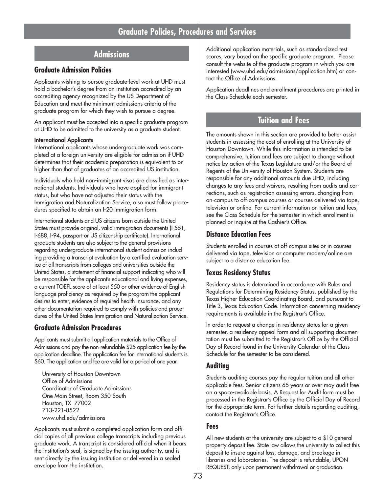## **Admissions**

## **Graduate Admission Policies**

Applicants wishing to pursue graduate-level work at UHD must hold a bachelor's degree from an institution accredited by an accrediting agency recognized by the US Department of Education and meet the minimum admissions criteria of the graduate program for which they wish to pursue a degree.

An applicant must be accepted into a specific graduate program at UHD to be admitted to the university as a graduate student.

#### **International Applicants**

International applicants whose undergraduate work was completed at a foreign university are eligible for admission if UHD determines that their academic preparation is equivalent to or higher than that of graduates of an accredited US institution.

Individuals who hold non-immigrant visas are classified as international students. Individuals who have applied for immigrant status, but who have not adjusted their status with the Immigration and Naturalization Service, also must follow procedures specified to obtain an I-20 immigration form.

International students and US citizens born outside the United States must provide original, valid immigration documents (I-551, I-688, I-94, passport or US citizenship certificate). International graduate students are also subject to the general provisions regarding undergraduate international student admission including providing a transcript evaluation by a certified evaluation service of all transcripts from colleges and universities outside the United States, a statement of financial support indicating who will be responsible for the applicant's educational and living expenses, a current TOEFL score of at least 550 or other evidence of English language proficiency as required by the program the applicant desires to enter, evidence of required health insurance, and any other documentation required to comply with policies and procedures of the United States Immigration and Naturalization Service.

#### **Graduate Admission Procedures**

Applicants must submit all application materials to the Office of Admissions and pay the non-refundable \$25 application fee by the application deadline. The application fee for international students is \$60. The application and fee are valid for a period of one year.

University of Houston-Downtown Office of Admissions Coordinator of Graduate Admissions One Main Street, Room 350-South Houston, TX 77002 713-221-8522 www.uhd.edu/admissions

Applicants must submit a completed application form and official copies of all previous college transcripts including previous graduate work. A transcript is considered official when it bears the institution's seal, is signed by the issuing authority, and is sent directly by the issuing institution or delivered in a sealed envelope from the institution.

Additional application materials, such as standardized test scores, vary based on the specific graduate program. Please consult the website of the graduate program in which you are interested (www.uhd.edu/admissions/application.htm) or contact the Office of Admissions.

Application deadlines and enrollment procedures are printed in the Class Schedule each semester.

## **Tuition and Fees**

The amounts shown in this section are provided to better assist students in assessing the cost of enrolling at the University of Houston-Downtown. While this information is intended to be comprehensive, tuition and fees are subject to change without notice by action of the Texas Legislature and/or the Board of Regents of the University of Houston System. Students are responsible for any additional amounts due UHD, including changes to any fees and waivers, resulting from audits and corrections, such as registration assessing errors, changing from on-campus to off-campus courses or courses delivered via tape, television or online. For current information on tuition and fees, see the Class Schedule for the semester in which enrollment is planned or inquire at the Cashier's Office.

## **Distance Education Fees**

Students enrolled in courses at off-campus sites or in courses delivered via tape, television or computer modem/online are subject to a distance education fee.

## **Texas Residency Status**

Residency status is determined in accordance with Rules and Regulations for Determining Residency Status, published by the Texas Higher Education Coordinating Board, and pursuant to Title 3, Texas Education Code. Information concerning residency requirements is available in the Registrar's Office.

In order to request a change in residency status for a given semester, a residency appeal form and all supporting documentation must be submitted to the Registrar's Office by the Official Day of Record found in the University Calendar of the Class Schedule for the semester to be considered.

## **Auditing**

Students auditing courses pay the regular tuition and all other applicable fees. Senior citizens 65 years or over may audit free on a space-available basis. A Request for Audit form must be processed in the Registrar's Office by the Official Day of Record for the appropriate term. For further details regarding auditing, contact the Registrar's Office.

### **Fees**

All new students at the university are subject to a \$10 general property deposit fee. State law allows the university to collect this deposit to insure against loss, damage, and breakage in libraries and laboratories. The deposit is refundable, UPON REQUEST, only upon permanent withdrawal or graduation.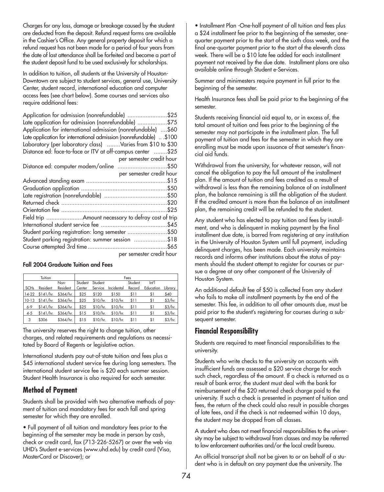Charges for any loss, damage or breakage caused by the student are deducted from the deposit. Refund request forms are available in the Cashier's Office. Any general property deposit for which a refund request has not been made for a period of four years from the date of last attendance shall be forfeited and become a part of the student deposit fund to be used exclusively for scholarships.

In addition to tuition, all students at the University of Houston-Downtown are subject to student services, general use, University Center, student record, international education and computer access fees (see chart below). Some courses and services also require additional fees:

| Application for admission (nonrefundable) \$25                     |
|--------------------------------------------------------------------|
| Late application for admission (nonrefundable) \$75                |
| Application for international admission (nonrefundable) \$60       |
| Late application for international admission (nonrefundable) \$100 |
| Laboratory (per laboratory class) Varies from \$10 to \$30         |
| Distance ed: face-to-face or ITV at off-campus center \$25         |
| per semester credit hour                                           |
| Distance ed: computer modem/online \$50                            |
| per semester credit hour                                           |
|                                                                    |
|                                                                    |
|                                                                    |
|                                                                    |
|                                                                    |
|                                                                    |
|                                                                    |
| Student parking registration: long semester \$50                   |
| Student parking registration: summer session \$18                  |
|                                                                    |
| per semester credit hour                                           |

#### **Fall 2004 Graduate Tuition and Fees**

|         | Tuition                   |                       |         |          |                     | Fees    |                     |         |
|---------|---------------------------|-----------------------|---------|----------|---------------------|---------|---------------------|---------|
|         |                           | Non-                  | Student | Student  |                     | Student | $\lfloor n \rfloor$ |         |
| SCHs    | Resident                  | Resident              | Center  | Service  | Incidental          | Record  | Education Library   |         |
|         | 14-22 \$141/hr. \$364/hr. |                       | \$25    | \$120    | \$150               | \$11    | \$1                 | \$40    |
| 10-13   | $$141/hr.$ $$364/hr.$     |                       | \$25    | \$10/hr. | \$10/hr.            | \$11    | \$1                 | \$3/hr. |
| $6 - 9$ |                           | $$141/hr.$ $$364/hr.$ | \$25    |          | $$10/hr.$ $$10/hr.$ | \$11    | \$1                 | \$3/hr. |
| $4 - 5$ |                           | $$141/hr.$ $$364/hr.$ | \$15    | \$10/hr. | \$10/hr.            | \$11    | \$1                 | \$3/hr. |
| 3       | \$306                     | \$364/hr.             | \$15    |          | $$10/hr.$ $$10/hr.$ | \$11    | \$1                 | \$3/hr. |

The university reserves the right to change tuition, other charges, and related requirements and regulations as necessitated by Board of Regents or legislative action.

International students pay out-of-state tuition and fees plus a \$45 international student service fee during long semesters. The international student service fee is \$20 each summer session. Student Health Insurance is also required for each semester.

## **Method of Payment**

Students shall be provided with two alternative methods of payment of tuition and mandatory fees for each fall and spring semester for which they are enrolled.

• Full payment of all tuition and mandatory fees prior to the beginning of the semester may be made in person by cash, check or credit card, fax (713-226-5267) or over the web via UHD's Student e-services (www.uhd.edu) by credit card (Visa, MasterCard or Discover); or

• Installment Plan -One-half payment of all tuition and fees plus a \$24 installment fee prior to the beginning of the semester, onequarter payment prior to the start of the sixth class week, and the final one-quarter payment prior to the start of the eleventh class week. There will be a \$10 late fee added for each installment payment not received by the due date. Installment plans are also available online through Student e-Services.

Summer and minimesters require payment in full prior to the beginning of the semester.

Health Insurance fees shall be paid prior to the beginning of the semester.

Students receiving financial aid equal to, or in excess of, the total amount of tuition and fees prior to the beginning of the semester may not participate in the installment plan. The full payment of tuition and fees for the semester in which they are enrolling must be made upon issuance of that semester's financial aid funds.

Withdrawal from the university, for whatever reason, will not cancel the obligation to pay the full amount of the installment plan. If the amount of tuition and fees credited as a result of withdrawal is less than the remaining balance of an installment plan, the balance remaining is still the obligation of the student. If the credited amount is more than the balance of an installment plan, the remaining credit will be refunded to the student.

Any student who has elected to pay tuition and fees by installment, and who is delinquent in making payment by the final installment due date, is barred from registering at any institution in the University of Houston System until full payment, including delinquent charges, has been made. Each university maintains records and informs other institutions about the status of payments should the student attempt to register for courses or pursue a degree at any other component of the University of Houston System.

An additional default fee of \$50 is collected from any student who fails to make all installment payments by the end of the semester. This fee, in addition to all other amounts due, must be paid prior to the student's registering for courses during a subsequent semester.

## **Financial Responsibility**

Students are required to meet financial responsibilities to the university.

Students who write checks to the university on accounts with insufficient funds are assessed a \$20 service charge for each such check, regardless of the amount. If a check is returned as a result of bank error, the student must deal with the bank for reimbursement of the \$20 returned check charge paid to the university. If such a check is presented in payment of tuition and fees, the return of the check could also result in possible charges of late fees, and if the check is not redeemed within 10 days, the student may be dropped from all classes.

A student who does not meet financial responsibilities to the university may be subject to withdrawal from classes and may be referred to law enforcement authorities and/or the local credit bureau.

An official transcript shall not be given to or on behalf of a student who is in default on any payment due the university. The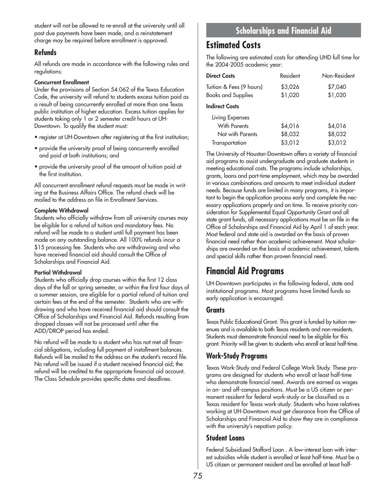student will not be allowed to re-enroll at the university until all past due payments have been made, and a reinstatement charge may be required before enrollment is approved.

## **Refunds**

All refunds are made in accordance with the following rules and regulations:

#### **Concurrent Enrollment**

Under the provisions of Section 54.062 of the Texas Education Code, the university will refund to students excess tuition paid as a result of being concurrently enrolled at more than one Texas public institution of higher education. Excess tuition applies for students taking only 1 or 2 semester credit hours at UH-Downtown. To qualify the student must:

- register at UH-Downtown after registering at the first institution;
- provide the university proof of being concurrently enrolled and paid at both institutions; and
- provide the university proof of the amount of tuition paid at the first institution.

All concurrent enrollment refund requests must be made in writing at the Business Affairs Office. The refund check will be mailed to the address on file in Enrollment Services.

#### **Complete Withdrawal**

Students who officially withdraw from all university courses may be eligible for a refund of tuition and mandatory fees. No refund will be made to a student until full payment has been made on any outstanding balance. All 100% refunds incur a \$15 processing fee. Students who are withdrawing and who have received financial aid should consult the Office of Scholarships and Financial Aid.

#### **Partial Withdrawal**

Students who officially drop courses within the first 12 class days of the fall or spring semester, or within the first four days of a summer session, are eligible for a partial refund of tuition and certain fees at the end of the semester. Students who are withdrawing and who have received financial aid should consult the Office of Scholarships and Financial Aid. Refunds resulting from dropped classes will not be processed until after the ADD/DROP period has ended.

No refund will be made to a student who has not met all financial obligations, including full payment of installment balances. Refunds will be mailed to the address on the student's record file. No refund will be issued if a student received financial aid; the refund will be credited to the appropriate financial aid account. The Class Schedule provides specific dates and deadlines.

# **Scholarships and Financial Aid**

## **Estimated Costs**

The following are estimated costs for attending UHD full time for the 2004-2005 academic year:

| <b>Direct Costs</b>       | Resident | Non-Resident |
|---------------------------|----------|--------------|
| Tuition & Fees (9 hours)  | \$3,026  | \$7,040      |
| <b>Books and Supplies</b> | \$1,020  | \$1,020      |
| <b>Indirect Costs</b>     |          |              |

**Indirect Co** 

| Living Expenses  |         |         |
|------------------|---------|---------|
| With Parents     | \$4,016 | \$4,016 |
| Not with Parents | \$8,032 | \$8,032 |
| Transportation   | \$3,012 | \$3,012 |

The University of Houston-Downtown offers a variety of financial aid programs to assist undergraduate and graduate students in meeting educational costs. The programs include scholarships, grants, loans and part-time employment, which may be awarded in various combinations and amounts to meet individual student needs. Because funds are limited in many programs, it is important to begin the application process early and complete the necessary applications properly and on time. To receive priority consideration for Supplemental Equal Opportunity Grant and all state grant funds, all necessary applications must be on file in the Office of Scholarships and Financial Aid by April 1 of each year. Most federal and state aid is awarded on the basis of proven financial need rather than academic achievement. Most scholarships are awarded on the basis of academic achievement, talents and special skills rather than proven financial need.

# **Financial Aid Programs**

UH-Downtown participates in the following federal, state and institutional programs. Most programs have limited funds so early application is encouraged.

### **Grants**

Texas Public Educational Grant. This grant is funded by tuition revenues and is available to both Texas residents and non-residents. Students must demonstrate financial need to be eligible for this grant. Priority will be given to students who enroll at least half-time.

## **Work-Study Programs**

Texas Work-Study and Federal College Work Study. These programs are designed for students who enroll at least half-time who demonstrate financial need. Awards are earned as wages in on- and off-campus positions. Must be a US citizen or permanent resident for federal work-study or be classified as a Texas resident for Texas work-study. Students who have relatives working at UH-Downtown must get clearance from the Office of Scholarships and Financial Aid to show they are in compliance with the university's nepotism policy.

## **Student Loans**

Federal Subsidized Stafford Loan . A low-interest loan with interest subsidies while student is enrolled at least half-time. Must be a US citizen or permanent resident and be enrolled at least half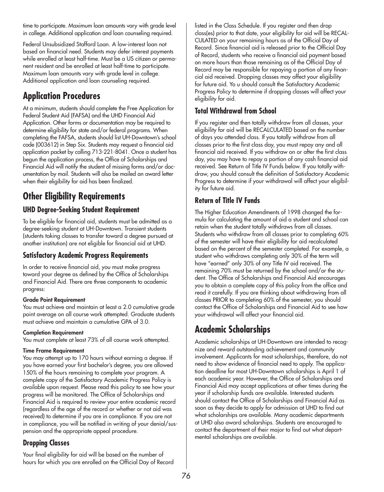time to participate. Maximum loan amounts vary with grade level in college. Additional application and loan counseling required.

Federal Unsubsidized Stafford Loan. A low-interest loan not based on financial need. Students may defer interest payments while enrolled at least half-time. Must be a US citizen or permanent resident and be enrolled at least half-time to participate. Maximum loan amounts vary with grade level in college. Additional application and loan counseling required.

# **Application Procedures**

At a minimum, students should complete the Free Application for Federal Student Aid (FAFSA) and the UHD Financial Aid Application. Other forms or documentation may be required to determine eligibility for state and/or federal programs. When completing the FAFSA, students should list UH-Downtown's school code (003612) in Step Six. Students may request a financial aid application packet by calling 713-221-8041. Once a student has begun the application process, the Office of Scholarships and Financial Aid will notify the student of missing forms and/or documentation by mail. Students will also be mailed an award letter when their eligibility for aid has been finalized.

# **Other Eligibility Requirements**

## **UHD Degree-Seeking Student Requirement**

To be eligible for financial aid, students must be admitted as a degree-seeking student at UH-Downtown. Transient students (students taking classes to transfer toward a degree pursued at another institution) are not eligible for financial aid at UHD.

## **Satisfactory Academic Progress Requirements**

In order to receive financial aid, you must make progress toward your degree as defined by the Office of Scholarships and Financial Aid. There are three components to academic progress:

#### **Grade Point Requirement**

You must achieve and maintain at least a 2.0 cumulative grade point average on all course work attempted. Graduate students must achieve and maintain a cumulative GPA of 3.0.

#### **Completion Requirement**

You must complete at least 73% of all course work attempted.

#### **Time Frame Requirement**

You may attempt up to 170 hours without earning a degree. If you have earned your first bachelor's degree, you are allowed 150% of the hours remaining to complete your program. A complete copy of the Satisfactory Academic Progress Policy is available upon request. Please read this policy to see how your progress will be monitored. The Office of Scholarships and Financial Aid is required to review your entire academic record (regardless of the age of the record or whether or not aid was received) to determine if you are in compliance. If you are not in compliance, you will be notified in writing of your denial/suspension and the appropriate appeal procedure.

## **Dropping Classes**

Your final eligibility for aid will be based on the number of hours for which you are enrolled on the Official Day of Record listed in the Class Schedule. If you register and then drop class(es) prior to that date, your eligibility for aid will be RECAL-CULATED on your remaining hours as of the Official Day of Record. Since financial aid is released prior to the Official Day of Record, students who receive a financial aid payment based on more hours than those remaining as of the Official Day of Record may be responsible for repaying a portion of any financial aid received. Dropping classes may affect your eligibility for future aid. Yo u should consult the Satisfactory Academic Progress Policy to determine if dropping classes will affect your eligibility for aid.

## **Total Withdrawal from School**

If you register and then totally withdraw from all classes, your eligibility for aid will be RECALCULATED based on the number of days you attended class. If you totally withdraw from all classes prior to the first class day, you must repay any and all financial aid received. If you withdraw on or after the first class day, you may have to repay a portion of any cash financial aid received. See Return of Title IV Funds below. If you totally withdraw, you should consult the definition of Satisfactory Academic Progress to determine if your withdrawal will affect your eligibility for future aid.

## **Return of Title IV Funds**

The Higher Education Amendments of 1998 changed the formula for calculating the amount of aid a student and school can retain when the student totally withdraws from all classes. Students who withdraw from all classes prior to completing 60% of the semester will have their eligibility for aid recalculated based on the percent of the semester completed. For example, a student who withdraws completing only 30% of the term will have "earned" only 30% of any Title IV aid received. The remaining 70% must be returned by the school and/or the student. The Office of Scholarships and Financial Aid encourages you to obtain a complete copy of this policy from the office and read it carefully. If you are thinking about withdrawing from all classes PRIOR to completing 60% of the semester, you should contact the Office of Scholarships and Financial Aid to see how your withdrawal will affect your financial aid.

# **Academic Scholarships**

Academic scholarships at UH-Downtown are intended to recognize and reward outstanding achievement and community involvement. Applicants for most scholarships, therefore, do not need to show evidence of financial need to apply. The application deadline for most UH-Downtown scholarships is April 1 of each academic year. However, the Office of Scholarships and Financial Aid may accept applications at other times during the year if scholarship funds are available. Interested students should contact the Office of Scholarships and Financial Aid as soon as they decide to apply for admission at UHD to find out what scholarships are available. Many academic departments at UHD also award scholarships. Students are encouraged to contact the department of their major to find out what departmental scholarships are available.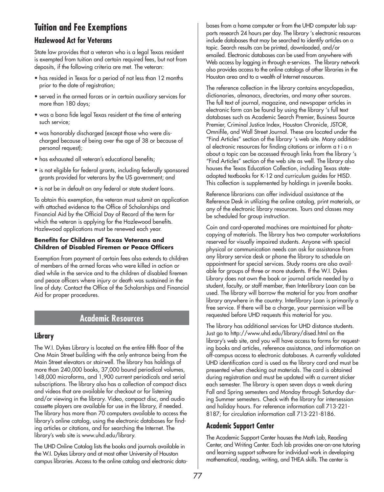# **Tuition and Fee Exemptions**

## **Hazlewood Act for Veterans**

State law provides that a veteran who is a legal Texas resident is exempted from tuition and certain required fees, but not from deposits, if the following criteria are met. The veteran:

- has resided in Texas for a period of not less than 12 months prior to the date of registration;
- served in the armed forces or in certain auxiliary services for more than 180 days;
- was a bona fide legal Texas resident at the time of entering such service;
- was honorably discharged (except those who were discharged because of being over the age of 38 or because of personal request);
- has exhausted all veteran's educational benefits;
- is not eligible for federal grants, including federally sponsored grants provided for veterans by the US government; and
- is not be in default on any federal or state student loans.

To obtain this exemption, the veteran must submit an application with attached evidence to the Office of Scholarships and Financial Aid by the Official Day of Record of the term for which the veteran is applying for the Hazlewood benefits. Hazlewood applications must be renewed each year.

#### **Benefits for Children of Texas Veterans and Children of Disabled Firemen or Peace Officers**

Exemption from payment of certain fees also extends to children of members of the armed forces who were killed in action or died while in the service and to the children of disabled firemen and peace officers where injury or death was sustained in the line of duty. Contact the Office of the Scholarships and Financial Aid for proper procedures.

## **Academic Resources**

## **Library**

The W.I. Dykes Library is located on the entire fifth floor of the One Main Street building with the only entrance being from the Main Street elevators or stairwell. The library has holdings of more than 240,000 books, 37,000 bound periodical volumes, 148,000 microforms, and 1,900 current periodicals and serial subscriptions. The library also has a collection of compact discs and videos that are available for checkout or for listening and/or viewing in the library. Video, compact disc, and audio cassette players are available for use in the library, if needed. The library has more than 70 computers available to access the library's online catalog, using the electronic databases for finding articles or citations, and for searching the Internet. The library's web site is www.uhd.edu/library.

The UHD Online Catalog lists the books and journals available in the W.I. Dykes Library and at most other University of Houston campus libraries. Access to the online catalog and electronic databases from a home computer or from the UHD computer lab supports research 24 hours per day. The library 's electronic resources include databases that may be searched to identify articles on a topic. Search results can be printed, downloaded, and/or emailed. Electronic databases can be used from anywhere with Web access by logging in through e-services. The library network also provides access to the online catalogs of other libraries in the Houston area and to a wealth of Internet resources.

The reference collection in the library contains encyclopedias, dictionaries, almanacs, directories, and many other sources. The full text of journal, magazine, and newspaper articles in electronic form can be found by using the library 's full text databases such as Academic Search Premier, Business Source Premier, Criminal Justice Index, Houston Chronicle, JSTOR, Omnifile, and Wall Street Journal. These are located under the "Find Articles" section of the library 's web site. Many additional electronic resources for finding citations or inform a t i o n about a topic can be accessed through links from the library 's "Find Articles" section of the web site as well. The library also houses the Texas Education Collection, including Texas stateadopted textbooks for K-12 and curriculum guides for HISD. This collection is supplemented by holdings in juvenile books.

Reference librarians can offer individual assistance at the Reference Desk in utilizing the online catalog, print materials, or any of the electronic library resources. Tours and classes may be scheduled for group instruction.

Coin and card-operated machines are maintained for photocopying of materials. The library has two computer workstations reserved for visually impaired students. Anyone with special physical or communication needs can ask for assistance from any library service desk or phone the library to schedule an appointment for special services. Study rooms are also available for groups of three or more students. If the W.I. Dykes Library does not own the book or journal article needed by a student, faculty, or staff member, then Interlibrary Loan can be used. The library will borrow the material for you from another library anywhere in the country. Interlibrary Loan is primarily a free service. If there will be a charge, your permission will be requested before UHD requests this material for you.

The library has additional services for UHD distance students. Just go to http://www.uhd.edu/library/dised.html on the library's web site, and you will have access to forms for requesting books and articles, reference assistance, and information on off-campus access to electronic databases. A currently validated UHD identification card is used as the library card and must be presented when checking out materials. The card is obtained during registration and must be updated with a current sticker each semester. The library is open seven days a week during Fall and Spring semesters and Monday through Saturday during Summer semesters. Check with the library for intersession and holiday hours. For reference information call 713-221- 8187; for circulation information call 713-221-8186.

## **Academic Support Center**

The Academic Support Center houses the Math Lab, Reading Center, and Writing Center. Each lab provides one-on-one tutoring and learning support software for individual work in developing mathematical, reading, writing, and THEA skills. The center is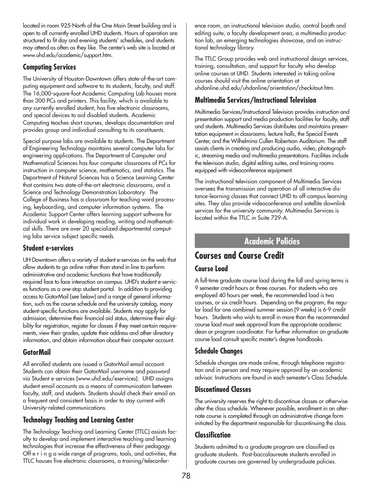located in room 925-North of the One Main Street building and is open to all currently enrolled UHD students. Hours of operation are structured to fit day and evening students' schedules, and students may attend as often as they like. The center's web site is located at www.uhd.edu/academic/support.htm.

## **Computing Services**

The University of Houston-Downtown offers state-of-the-art computing equipment and software to its students, faculty, and staff. The 16,000-square-foot Academic Computing Lab houses more than 300 PCs and printers. This facility, which is available to any currently enrolled student, has five electronic classrooms, and special devices to aid disabled students. Academic Computing teaches short courses, develops documentation and provides group and individual consulting to its constituents.

Special purpose labs are available to students. The Department of Engineering Technology maintains several computer labs for engineering applications. The Department of Computer and Mathematical Sciences has four computer classrooms of PCs for instruction in computer science, mathematics, and statistics. The Department of Natural Sciences has a Science Learning Center that contains two state-of-the-art electronic classrooms, and a Science and Technology Demonstration Laboratory. The College of Business has a classroom for teaching word processing, keyboarding, and computer information systems. The Academic Support Center offers learning support software for individual work in developing reading, writing and mathematical skills. There are over 20 specialized departmental computing labs service subject specific needs.

## **Student e-services**

UH-Downtown offers a variety of student e-services on the web that allow students to go online rather than stand in line to perform administrative and academic functions that have traditionally required face to face interaction on campus. UHD's student e-services functions as a one-stop student portal. In addition to providing access to GatorMail (see below) and a range of general information, such as the course schedule and the university catalog, many student-specific functions are available. Students may apply for admission, determine their financial aid status, determine their eligibility for registration, register for classes if they meet certain requirements, view their grades, update their address and other directory information, and obtain information about their computer account.

## **GatorMail**

All enrolled students are issued a GatorMail email account. Students can obtain their GatorMail username and password via Student e-services (www.uhd.edu/eservices). UHD assigns student email accounts as a means of communication between faculty, staff, and students. Students should check their email on a frequent and consistent basis in order to stay current with University-related communications.

## **Technology Teaching and Learning Center**

The Technology Teaching and Learning Center (TTLC) assists faculty to develop and implement interactive teaching and learning technologies that increase the effectiveness of their pedagogy. Off e r i n g a wide range of programs, tools, and activities, the TTLC houses five electronic classrooms, a training/teleconference room, an instructional television studio, control booth and editing suite, a faculty development area, a multimedia production lab, an emerging technologies showcase, and an instructional technology library.

The TTLC Group provides web and instructional design services, training, consultation, and support for faculty who develop online courses at UHD. Students interested in taking online courses should visit the online orientation at uhdonline.uhd.edu/uhdonline/orientation/checkitout.htm.

## **Multimedia Services/Instructional Television**

Multimedia Services/Instructional Television provides instruction and presentation support and media production facilities for faculty, staff and students. Multimedia Services distributes and maintains presentation equipment in classrooms, lecture halls, the Special Events Center, and the Wilhelmina Cullen Robertson Auditorium. The staff assists clients in creating and producing audio, video, photographic, streaming media and multimedia presentations. Facilities include the television studio, digital editing suites, and training rooms equipped with videoconference equipment.

The instructional television component of Multimedia Services oversees the transmission and operation of all interactive distance-learning classes that connect UHD to off-campus learning sites. They also provide videoconference and satellite downlink services for the university community. Multimedia Services is located within the TTLC in Suite 729-A.

## **Academic Policies**

# **Courses and Course Credit**

## **Course Load**

A full-time graduate course load during the fall and spring terms is 9 semester credit hours or three courses. For students who are employed 40 hours per week, the recommended load is two courses, or six credit hours. Depending on the program, the regular load for one combined summer session (9 weeks) is 6-9 credit hours. Students who wish to enroll in more than the recommended course load must seek approval from the appropriate academic dean or program coordinator. For further information on graduate course load consult specific master's degree handbooks.

## **Schedule Changes**

Schedule changes are made online, through telephone registration and in person and may require approval by an academic advisor. Instructions are found in each semester's Class Schedule.

## **Discontinued Classes**

The university reserves the right to discontinue classes or otherwise alter the class schedule. Whenever possible, enrollment in an alternate course is completed through an administrative change form initiated by the department responsible for discontinuing the class.

## **Classification**

Students admitted to a graduate program are classified as graduate students. Post-baccalaureate students enrolled in graduate courses are governed by undergraduate policies.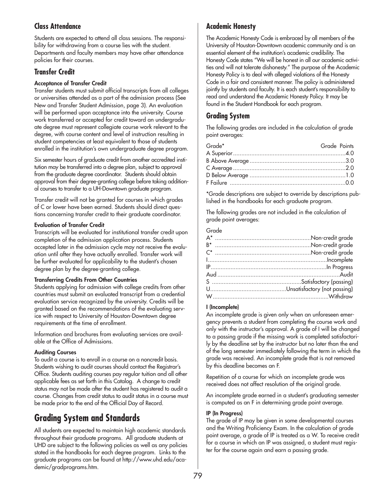## **Class Attendance**

Students are expected to attend all class sessions. The responsibility for withdrawing from a course lies with the student. Departments and faculty members may have other attendance policies for their courses.

## **Transfer Credit**

#### **Acceptance of Transfer Credit**

Transfer students must submit official transcripts from all colleges or universities attended as a part of the admission process (See New and Transfer Student Admission, page 3). An evaluation will be performed upon acceptance into the university. Course work transferred or accepted for credit toward an undergraduate degree must represent collegiate course work relevant to the degree, with course content and level of instruction resulting in student competencies at least equivalent to those of students enrolled in the institution's own undergraduate degree program.

Six semester hours of graduate credit from another accredited institution may be transferred into a degree plan, subject to approval from the graduate degree coordinator. Students should obtain approval from their degree-granting college before taking additional courses to transfer to a UH-Downtown graduate program.

Transfer credit will not be granted for courses in which grades of C or lower have been earned. Students should direct questions concerning transfer credit to their graduate coordinator.

#### **Evaluation of Transfer Credit**

Transcripts will be evaluated for institutional transfer credit upon completion of the admission application process. Students accepted later in the admission cycle may not receive the evaluation until after they have actually enrolled. Transfer work will be further evaluated for applicability to the student's chosen degree plan by the degree-granting college.

#### **Transferring Credits From Other Countries**

Students applying for admission with college credits from other countries must submit an evaluated transcript from a credential evaluation service recognized by the university. Credits will be granted based on the recommendations of the evaluating service with respect to University of Houston-Downtown degree requirements at the time of enrollment.

Information and brochures from evaluating services are available at the Office of Admissions.

#### **Auditing Courses**

To audit a course is to enroll in a course on a noncredit basis. Students wishing to audit courses should contact the Registrar's Office. Students auditing courses pay regular tuition and all other applicable fees as set forth in this Catalog. A change to credit status may not be made after the student has registered to audit a course. Changes from credit status to audit status in a course must be made prior to the end of the Official Day of Record.

# **Grading System and Standards**

All students are expected to maintain high academic standards throughout their graduate programs. All graduate students at UHD are subject to the following policies as well as any policies stated in the handbooks for each degree program. Links to the graduate programs can be found at http://www.uhd.edu/academic/gradprograms.htm.

## **Academic Honesty**

The Academic Honesty Code is embraced by all members of the University of Houston-Downtown academic community and is an essential element of the institution's academic credibility. The Honesty Code states "We will be honest in all our academic activities and will not tolerate dishonesty." The purpose of the Academic Honesty Policy is to deal with alleged violations of the Honesty Code in a fair and consistent manner. The policy is administered jointly by students and faculty. It is each student's responsibility to read and understand the Academic Honesty Policy. It may be found in the Student Handbook for each program.

## **Grading System**

The following grades are included in the calculation of grade point averages:

| Grade* | Grade Points |  |
|--------|--------------|--|
|        |              |  |
|        |              |  |
|        |              |  |
|        |              |  |
|        |              |  |

\*Grade descriptions are subject to override by descriptions published in the handbooks for each graduate program.

The following grades are not included in the calculation of grade point averages:

#### Grade

#### **I (Incomplete)**

An incomplete grade is given only when an unforeseen emergency prevents a student from completing the course work and only with the instructor's approval. A grade of I will be changed to a passing grade if the missing work is completed satisfactorily by the deadline set by the instructor but no later than the end of the long semester immediately following the term in which the grade was received. An incomplete grade that is not removed by this deadline becomes an F.

Repetition of a course for which an incomplete grade was received does not affect resolution of the original grade.

An incomplete grade earned in a student's graduating semester is computed as an F in determining grade point average.

#### **IP (In Progress)**

The grade of IP may be given in some developmental courses and the Writing Proficiency Exam. In the calculation of grade point average, a grade of IP is treated as a W. To receive credit for a course in which an IP was assigned, a student must register for the course again and earn a passing grade.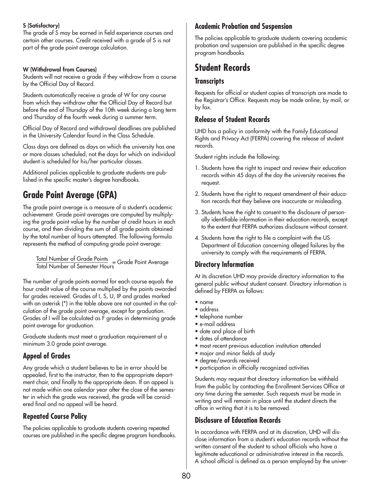#### **S (Satisfactory)**

The grade of S may be earned in field experience courses and certain other courses. Credit received with a grade of S is not part of the grade point average calculation.

#### **W (Withdrawal from Courses)**

Students will not receive a grade if they withdraw from a course by the Official Day of Record.

Students automatically receive a grade of W for any course from which they withdraw after the Official Day of Record but before the end of Thursday of the 10th week during a long term and Thursday of the fourth week during a summer term.

Official Day of Record and withdrawal deadlines are published in the University Calendar found in the Class Schedule.

Class days are defined as days on which the university has one or more classes scheduled, not the days for which an individual student is scheduled for his/her particular classes.

Additional policies applicable to graduate students are published in the specific master's degree handbooks.

# **Grade Point Average (GPA)**

The grade point average is a measure of a student's academic achievement. Grade point averages are computed by multiplying the grade point value by the number of credit hours in each course, and then dividing the sum of all grade points obtained by the total number of hours attempted. The following formula represents the method of computing grade point average:

Total Number of Grade Points<br>Total Number of Semester Hours

The number of grade points earned for each course equals the hour credit value of the course multiplied by the points awarded for grades received. Grades of I, S, U, IP and grades marked with an asterisk (\*) in the table above are not counted in the calculation of the grade point average, except for graduation. Grades of I will be calculated as F grades in determining grade point average for graduation.

Graduate students must meet a graduation requirement of a minimum 3.0 grade point average.

## **Appeal of Grades**

Any grade which a student believes to be in error should be appealed, first to the instructor, then to the appropriate department chair, and finally to the appropriate dean. If an appeal is not made within one calendar year after the close of the semester in which the grade was received, the grade will be considered final and no appeal will be heard.

## **Repeated Course Policy**

The policies applicable to graduate students covering repeated courses are published in the specific degree program handbooks.

## **Academic Probation and Suspension**

The policies applicable to graduate students covering academic probation and suspension are published in the specific degree program handbooks

# **Student Records**

## **Transcripts**

Requests for official or student copies of transcripts are made to the Registrar's Office. Requests may be made online, by mail, or by fax.

## **Release of Student Records**

UHD has a policy in conformity with the Family Educational Rights and Privacy Act (FERPA) covering the release of student records.

Student rights include the following:

- 1. Students have the right to inspect and review their education records within 45 days of the day the university receives the request.
- 2. Students have the right to request amendment of their education records that they believe are inaccurate or misleading.
- 3. Students have the right to consent to the disclosure of personally identifiable information in their education records, except to the extent that FERPA authorizes disclosure without consent.
- 4. Students have the right to file a complaint with the US Department of Education concerning alleged failures by the university to comply with the requirements of FERPA.

## **Directory Information**

At its discretion UHD may provide directory information to the general public without student consent. Directory information is defined by FERPA as follows:

- name
- address
- telephone number
- e-mail address
- date and place of birth
- dates of attendance
- most recent previous education institution attended
- major and minor fields of study
- degree/awards received
- participation in officially recognized activities

Students may request that directory information be withheld from the public by contacting the Enrollment Services Office at any time during the semester. Such requests must be made in writing and will remain in place until the student directs the office in writing that it is to be removed.

## **Disclosure of Education Records**

In accordance with FERPA and at its discretion, UHD will disclose information from a student's education records without the written consent of the student to school officials who have a legitimate educational or administrative interest in the records. A school official is defined as a person employed by the univer-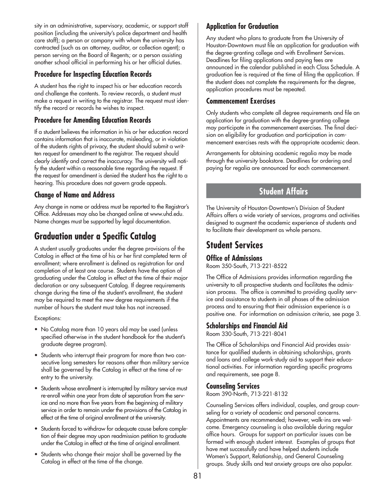sity in an administrative, supervisory, academic, or support staff position (including the university's police department and health care staff); a person or company with whom the university has contracted (such as an attorney, auditor, or collection agent); a person serving on the Board of Regents; or a person assisting another school official in performing his or her official duties.

## **Procedure for Inspecting Education Records**

A student has the right to inspect his or her education records and challenge the contents. To review records, a student must make a request in writing to the registrar. The request must identify the record or records he wishes to inspect.

## **Procedure for Amending Education Records**

If a student believes the information in his or her education record contains information that is inaccurate, misleading, or in violation of the students rights of privacy, the student should submit a written request for amendment to the registrar. The request should clearly identify and correct the inaccuracy. The university will notify the student within a reasonable time regarding the request. If the request for amendment is denied the student has the right to a hearing. This procedure does not govern grade appeals.

## **Change of Name and Address**

Any change in name or address must be reported to the Registrar's Office. Addresses may also be changed online at www.uhd.edu. Name changes must be supported by legal documentation.

# **Graduation under a Specific Catalog**

A student usually graduates under the degree provisions of the Catalog in effect at the time of his or her first completed term of enrollment; where enrollment is defined as registration for and completion of at least one course. Students have the option of graduating under the Catalog in effect at the time of their major declaration or any subsequent Catalog. If degree requirements change during the time of the student's enrollment, the student may be required to meet the new degree requirements if the number of hours the student must take has not increased.

Exceptions:

- No Catalog more than 10 years old may be used (unless specified otherwise in the student handbook for the student's graduate degree program).
- Students who interrupt their program for more than two consecutive long semesters for reasons other than military service shall be governed by the Catalog in effect at the time of reentry to the university.
- Students whose enrollment is interrupted by military service must re-enroll within one year from date of separation from the service and no more than five years from the beginning of military service in order to remain under the provisions of the Catalog in effect at the time of original enrollment at the university.
- Students forced to withdraw for adequate cause before completion of their degree may upon readmission petition to graduate under the Catalog in effect at the time of original enrollment.
- Students who change their major shall be governed by the Catalog in effect at the time of the change.

## **Application for Graduation**

Any student who plans to graduate from the University of Houston-Downtown must file an application for graduation with the degree-granting college and with Enrollment Services. Deadlines for filing applications and paying fees are announced in the calendar published in each Class Schedule. A graduation fee is required at the time of filing the application. If the student does not complete the requirements for the degree, application procedures must be repeated.

## **Commencement Exercises**

Only students who complete all degree requirements and file an application for graduation with the degree-granting college may participate in the commencement exercises. The final decision on eligibility for graduation and participation in commencement exercises rests with the appropriate academic dean.

Arrangements for obtaining academic regalia may be made through the university bookstore. Deadlines for ordering and paying for regalia are announced for each commencement.

## **Student Affairs**

The University of Houston-Downtown's Division of Student Affairs offers a wide variety of services, programs and activities designed to augment the academic experience of students and to facilitate their development as whole persons.

## **Student Services**

### **Office of Admissions**

Room 350-South, 713-221-8522

The Office of Admissions provides information regarding the university to all prospective students and facilitates the admission process. The office is committed to providing quality service and assistance to students in all phases of the admission process and to ensuring that their admission experience is a positive one. For information on admission criteria, see page 3.

## **Scholarships and Financial Aid**

Room 330-South, 713-221-8041

The Office of Scholarships and Financial Aid provides assistance for qualified students in obtaining scholarships, grants and loans and college work-study aid to support their educational activities. For information regarding specific programs and requirements, see page 8.

### **Counseling Services**

Room 390-North, 713-221-8132

Counseling Services offers individual, couples, and group counseling for a variety of academic and personal concerns. Appointments are recommended; however, walk-ins are welcome. Emergency counseling is also available during regular office hours. Groups for support on particular issues can be formed with enough student interest. Examples of groups that have met successfully and have helped students include Women's Support, Relationship, and General Counseling groups. Study skills and test anxiety groups are also popular.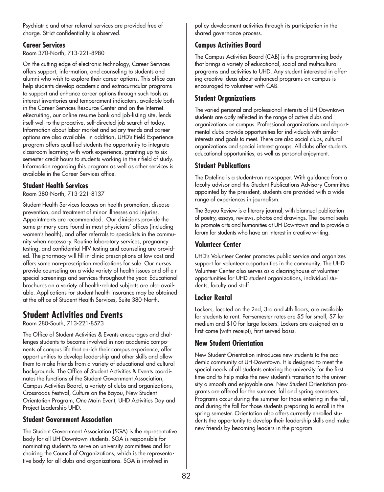Psychiatric and other referral services are provided free of charge. Strict confidentiality is observed.

## **Career Services**

Room 370-North, 713-221-8980

On the cutting edge of electronic technology, Career Services offers support, information, and counseling to students and alumni who wish to explore their career options. This office can help students develop academic and extracurricular programs to support and enhance career options through such tools as interest inventories and temperament indicators, available both in the Career Services Resource Center and on the Internet. eRecruiting, our online resume bank and job-listing site, lends itself well to the proactive, self-directed job search of today. Information about labor market and salary trends and career options are also available. In addition, UHD's Field Experience program offers qualified students the opportunity to integrate classroom learning with work experience, granting up to six semester credit hours to students working in their field of study. Information regarding this program as well as other services is available in the Career Services office.

## **Student Health Services**

Room 380-North, 713-221-8137

Student Health Services focuses on health promotion, disease prevention, and treatment of minor illnesses and injuries. Appointments are recommended. Our clinicians provide the same primary care found in most physicians' offices (including women's health), and offer referrals to specialists in the community when necessary. Routine laboratory services, pregnancy testing, and confidential HIV testing and counseling are provided. The pharmacy will fill in-clinic prescriptions at low cost and offers some non-prescription medications for sale. Our nurses provide counseling on a wide variety of health issues and off e r special screenings and services throughout the year. Educational brochures on a variety of health-related subjects are also available. Applications for student health insurance may be obtained at the office of Student Health Services, Suite 380-North.

# **Student Activities and Events**

Room 280-South, 713-221-8573

The Office of Student Activities & Events encourages and challenges students to become involved in non-academic components of campus life that enrich their campus experience, offer opport unities to develop leadership and other skills and allow them to make friends from a variety of educational and cultural backgrounds. The Office of Student Activities & Events coordinates the functions of the Student Government Association, Campus Activities Board, a variety of clubs and organizations, Crossroads Festival, Culture on the Bayou, New Student Orientation Program, One Main Event, UHD Activities Day and Project Leadership UHD.

## **Student Government Association**

The Student Government Association (SGA) is the representative body for all UH-Downtown students. SGA is responsible for nominating students to serve on university committees and for chairing the Council of Organizations, which is the representative body for all clubs and organizations. SGA is involved in

policy development activities through its participation in the shared governance process.

## **Campus Activities Board**

The Campus Activities Board (CAB) is the programming body that brings a variety of educational, social and multicultural programs and activities to UHD. Any student interested in offering creative ideas about enhanced programs on campus is encouraged to volunteer with CAB.

## **Student Organizations**

The varied personal and professional interests of UH-Downtown students are aptly reflected in the range of active clubs and organizations on campus. Professional organizations and departmental clubs provide opportunities for individuals with similar interests and goals to meet. There are also social clubs, cultural organizations and special interest groups. All clubs offer students educational opportunities, as well as personal enjoyment.

## **Student Publications**

The Dateline is a student-run newspaper. With guidance from a faculty advisor and the Student Publications Advisory Committee appointed by the president, students are provided with a wide range of experiences in journalism.

The Bayou Review is a literary journal, with biannual publication of poetry, essays, reviews, photos and drawings. The journal seeks to promote arts and humanities at UH-Downtown and to provide a forum for students who have an interest in creative writing.

## **Volunteer Center**

UHD's Volunteer Center promotes public service and organizes support for volunteer opportunities in the community. The UHD Volunteer Center also serves as a clearinghouse of volunteer opportunities for UHD student organizations, individual students, faculty and staff.

## **Locker Rental**

Lockers, located on the 2nd, 3rd and 4th floors, are available for students to rent. Per-semester rates are \$5 for small, \$7 for medium and \$10 for large lockers. Lockers are assigned on a first-come (with receipt), first-served basis.

## **New Student Orientation**

New Student Orientation introduces new students to the academic community at UH-Downtown. It is designed to meet the special needs of all students entering the university for the first time and to help make the new student's transition to the university a smooth and enjoyable one. New Student Orientation programs are offered for the summer, fall and spring semesters. Programs occur during the summer for those entering in the fall, and during the fall for those students preparing to enroll in the spring semester. Orientation also offers currently enrolled students the opportunity to develop their leadership skills and make new friends by becoming leaders in the program.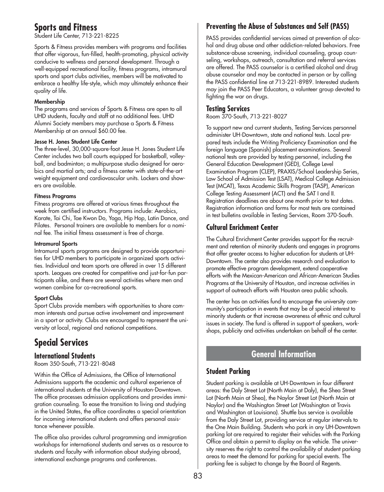## **Sports and Fitness**

Student Life Center, 713-221-8225

Sports & Fitness provides members with programs and facilities that offer vigorous, fun-filled, health-promoting, physical activity conducive to wellness and personal development. Through a well-equipped recreational facility, fitness programs, intramural sports and sport clubs activities, members will be motivated to embrace a healthy life-style, which may ultimately enhance their quality of life.

#### **Membership**

The programs and services of Sports & Fitness are open to all UHD students, faculty and staff at no additional fees. UHD Alumni Society members may purchase a Sports & Fitness Membership at an annual \$60.00 fee.

#### **Jesse H. Jones Student Life Center**

The three-level, 30,000-square-foot Jesse H. Jones Student Life Center includes two ball courts equipped for basketball, volleyball, and badminton; a multipurpose studio designed for aerobics and martial arts; and a fitness center with state-of-the-art weight equipment and cardiovascular units. Lockers and showers are available.

#### **Fitness Programs**

Fitness programs are offered at various times throughout the week from certified instructors. Programs include: Aerobics, Karate, Tai Chi, Tae Kwon Do, Yoga, Hip Hop, Latin Dance, and Pilates. Personal trainers are available to members for a nominal fee. The initial fitness assessment is free of charge.

#### **Intramural Sports**

Intramural sports programs are designed to provide opportunities for UHD members to participate in organized sports activities. Individual and team sports are offered in over 15 different sports. Leagues are created for competitive and just-for-fun participants alike, and there are several activities where men and women combine for co-recreational sports.

#### **Sport Clubs**

Sport Clubs provide members with opportunities to share common interests and pursue active involvement and improvement in a sport or activity. Clubs are encouraged to represent the university at local, regional and national competitions.

# **Special Services**

### **International Students**

Room 350-South, 713-221-8048

Within the Office of Admissions, the Office of International Admissions supports the academic and cultural experience of international students at the University of Houston-Downtown. The office processes admission applications and provides immigration counseling. To ease the transition to living and studying in the United States, the office coordinates a special orientation for incoming international students and offers personal assistance whenever possible.

The office also provides cultural programming and immigration workshops for international students and serves as a resource to students and faculty with information about studying abroad, international exchange programs and conferences.

## **Preventing the Abuse of Substances and Self (PASS)**

PASS provides confidential services aimed at prevention of alcohol and drug abuse and other addiction-related behaviors. Free substance-abuse screening, individual counseling, group counseling, workshops, outreach, consultation and referral services are offered. The PASS counselor is a certified alcohol and drug abuse counselor and may be contacted in person or by calling the PASS confidential line at 713-221-8989. Interested students may join the PASS Peer Educators, a volunteer group devoted to fighting the war on drugs.

### **Testing Services**

Room 370-South, 713-221-8027

To support new and current students, Testing Services personnel administer UH-Downtown, state and national tests. Local prepared tests include the Writing Proficiency Examination and the foreign language (Spanish) placement examinations. Several national tests are provided by testing personnel, including the General Education Development (GED), College Level Examination Program (CLEP), PRAXIS/School Leadership Series, Law School of Admission Test (LSAT), Medical College Admission Test (MCAT), Texas Academic Skills Program (TASP), American College Testing Assessment (ACT) and the SAT I and II. Registration deadlines are about one month prior to test dates. Registration information and forms for most tests are contained in test bulletins available in Testing Services, Room 370-South.

## **Cultural Enrichment Center**

The Cultural Enrichment Center provides support for the recruitment and retention of minority students and engages in programs that offer greater access to higher education for students at UH-Downtown. The center also provides research and evaluation to promote effective program development, extend cooperative efforts with the Mexican-American and African-American Studies Programs at the University of Houston, and increase activities in support of outreach efforts with Houston area public schools.

The center has an activities fund to encourage the university community's participation in events that may be of special interest to minority students or that increase awareness of ethnic and cultural issues in society. The fund is offered in support of speakers, workshops, publicity and activities undertaken on behalf of the center.

## **General Information**

### **Student Parking**

Student parking is available at UH-Downtown in four different areas: the Daly Street Lot (North Main at Daly), the Shea Street Lot (North Main at Shea), the Naylor Street Lot (North Main at Naylor) and the Washington Street Lot (Washington at Travis and Washington at Louisiana). Shuttle bus service is available from the Daly Street Lot, providing service at regular intervals to the One Main Building. Students who park in any UH-Downtown parking lot are required to register their vehicles with the Parking Office and obtain a permit to display on the vehicle. The university reserves the right to control the availability of student parking areas to meet the demand for parking for special events. The parking fee is subject to change by the Board of Regents.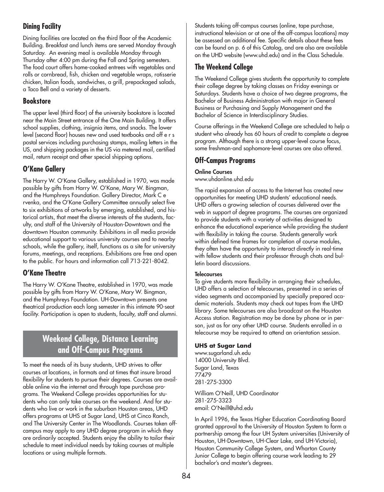## **Dining Facility**

Dining facilities are located on the third floor of the Academic Building. Breakfast and lunch items are served Monday through Saturday. An evening meal is available Monday through Thursday after 4:00 pm during the Fall and Spring semesters. The food court offers home-cooked entrees with vegetables and rolls or cornbread, fish, chicken and vegetable wraps, rotisserie chicken, Italian foods, sandwiches, a grill, prepackaged salads, a Taco Bell and a variety of desserts.

## **Bookstore**

The upper level (third floor) of the university bookstore is located near the Main Street entrance of the One Main Building. It offers school supplies, clothing, insignia items, and snacks. The lower level (second floor) houses new and used textbooks and off e r s postal services including purchasing stamps, mailing letters in the US, and shipping packages in the US via metered mail, certified mail, return receipt and other special shipping options.

## **O'Kane Gallery**

The Harry W. O'Kane Gallery, established in 1970, was made possible by gifts from Harry W. O'Kane, Mary W. Bingman, and the Humphreys Foundation. Gallery Director, Mark C e rvenka, and the O'Kane Gallery Committee annually select five to six exhibitions of artworks by emerging, established, and historical artists, that meet the diverse interests of the students, faculty, and staff of the University of Houston-Downtown and the downtown Houston community. Exhibitions in all media provide educational support to various university courses and to nearby schools, while the gallery, itself, functions as a site for university forums, meetings, and receptions. Exhibitions are free and open to the public. For hours and information call 713-221-8042.

## **O'Kane Theatre**

The Harry W. O'Kane Theatre, established in 1970, was made possible by gifts from Harry W. O'Kane, Mary W. Bingman, and the Humphreys Foundation. UH-Downtown presents one theatrical production each long semester in this intimate 90-seat facility. Participation is open to students, faculty, staff and alumni.

## **Weekend College, Distance Learning and Off-Campus Programs**

To meet the needs of its busy students, UHD strives to offer courses at locations, in formats and at times that insure broad flexibility for students to pursue their degrees. Courses are available online via the internet and through tape purchase programs. The Weekend College provides opportunities for students who can only take courses on the weekend. And for students who live or work in the suburban Houston areas, UHD offers programs at UHS at Sugar Land, UHS at Cinco Ranch, and The University Center in The Woodlands. Courses taken offcampus may apply to any UHD degree program in which they are ordinarily accepted. Students enjoy the ability to tailor their schedule to meet individual needs by taking courses at multiple locations or using multiple formats.

Students taking off-campus courses (online, tape purchase, instructional television or at one of the off-campus locations) may be assessed an additional fee. Specific details about these fees can be found on p. 6 of this Catalog, and are also are available on the UHD website (www.uhd.edu) and in the Class Schedule.

## **The Weekend College**

The Weekend College gives students the opportunity to complete their college degree by taking classes on Friday evenings or Saturdays. Students have a choice of two degree programs, the Bachelor of Business Administration with major in General Business or Purchasing and Supply Management and the Bachelor of Science in Interdisciplinary Studies.

Course offerings in the Weekend College are scheduled to help a student who already has 60 hours of credit to complete a degree program. Although there is a strong upper-level course focus, some freshman-and sophomore-level courses are also offered.

## **Off-Campus Programs**

#### **Online Courses**

www.uhdonline.uhd.edu

The rapid expansion of access to the Internet has created new opportunities for meeting UHD students' educational needs. UHD offers a growing selection of courses delivered over the web in support of degree programs. The courses are organized to provide students with a variety of activities designed to enhance the educational experience while providing the student with flexibility in taking the course. Students generally work within defined time frames for completion of course modules, they often have the opportunity to interact directly in real-time with fellow students and their professor through chats and bulletin board discussions.

#### **Telecourses**

To give students more flexibility in arranging their schedules, UHD offers a selection of telecourses, presented in a series of video segments and accompanied by specially prepared academic materials. Students may check out tapes from the UHD library. Some telecourses are also broadcast on the Houston Access station. Registration may be done by phone or in person, just as for any other UHD course. Students enrolled in a telecourse may be required to attend an orientation session.

### **UHS at Sugar Land**

www.sugarland.uh.edu 14000 University Blvd. Sugar Land, Texas 77479 281-275-3300

William O'Neill, UHD Coordinator 281-275-3323 email: O'Neill@uhd.edu

In April 1996, the Texas Higher Education Coordinating Board granted approval to the University of Houston System to form a partnership among the four UH System universities (University of Houston, UH-Downtown, UH-Clear Lake, and UH-Victoria), Houston Community College System, and Wharton County Junior College to begin offering course work leading to 29 bachelor's and master's degrees.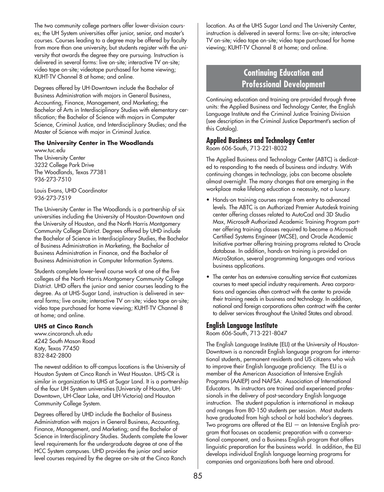The two community college partners offer lower-division courses; the UH System universities offer junior, senior, and master's courses. Courses leading to a degree may be offered by faculty from more than one university, but students register with the university that awards the degree they are pursuing. Instruction is delivered in several forms: live on-site; interactive TV on-site; video tape on-site; videotape purchased for home viewing; KUHT-TV Channel 8 at home; and online.

Degrees offered by UH-Downtown include the Bachelor of Business Administration with majors in General Business, Accounting, Finance, Management, and Marketing; the Bachelor of Arts in Interdisciplinary Studies with elementary certification; the Bachelor of Science with majors in Computer Science, Criminal Justice, and Interdisciplinary Studies; and the Master of Science with major in Criminal Justice.

#### **The University Center in The Woodlands**

www.tuc.edu The University Center 3232 College Park Drive The Woodlands, Texas 77381 936-273-7510

Louis Evans, UHD Coordinator 936-273-7519

The University Center in The Woodlands is a partnership of six universities including the University of Houston-Downtown and the University of Houston, and the North Harris Montgomery Community College District. Degrees offered by UHD include the Bachelor of Science in Interdisciplinary Studies, the Bachelor of Business Administration in Marketing, the Bachelor of Business Administration in Finance, and the Bachelor of Business Administration in Computer Information Systems.

Students complete lower-level course work at one of the five colleges of the North Harris Montgomery Community College District. UHD offers the junior and senior courses leading to the degree. As at UHS-Sugar Land, instruction is delivered in several forms; live onsite; interactive TV on-site; video tape on-site; video tape purchased for home viewing; KUHT-TV Channel 8 at home; and online.

#### **UHS at Cinco Ranch**

www.cincoranch.uh.edu 4242 South Mason Road Katy, Texas 77450 832-842-2800

The newest addition to off-campus locations is the University of Houston System at Cinco Ranch in West Houston. UHS-CR is similar in organization to UHS at Sugar Land. It is a partnership of the four UH System universities (University of Houston, UH-Downtown, UH-Clear Lake, and UH-Victoria) and Houston Community College System.

Degrees offered by UHD include the Bachelor of Business Administration with majors in General Business, Accounting, Finance, Management, and Marketing; and the Bachelor of Science in Interdisciplinary Studies. Students complete the lower level requirements for the undergraduate degree at one of the HCC System campuses. UHD provides the junior and senior level courses required by the degree on-site at the Cinco Ranch

location. As at the UHS Sugar Land and The University Center, instruction is delivered in several forms: live on-site; interactive TV on-site; video tape on-site; video tape purchased for home viewing; KUHT-TV Channel 8 at home; and online.

## **Continuing Education and Professional Development**

Continuing education and training are provided through three units: the Applied Business and Technology Center, the English Language Institute and the Criminal Justice Training Division (see description in the Criminal Justice Department's section of this Catalog).

### **Applied Business and Technology Center**

Room 606-South, 713-221-8032

The Applied Business and Technology Center (ABTC) is dedicated to responding to the needs of business and industry. With continuing changes in technology, jobs can become obsolete almost overnight. The many changes that are emerging in the workplace make lifelong education a necessity, not a luxury.

- Hands-on training courses range from entry to advanced levels. The ABTC is an Authorized Premier Autodesk training center offering classes related to AutoCad and 3D Studio Max, Microsoft Authorized Academic Training Program partner offering training classes required to become a Microsoft Certified Systems Engineer (MCSE), and Oracle Academic Initiative partner offering training programs related to Oracle database. In addition, hands-on training is provided on MicroStation, several programming languages and various business applications.
- The center has an extensive consulting service that customizes courses to meet special industry requirements. Area corporations and agencies often contract with the center to provide their training needs in business and technology. In addition, national and foreign corporations often contract with the center to deliver services throughout the United States and abroad.

### **English Language Institute**

Room 606-South, 713-221-8047

The English Language Institute (ELI) at the University of Houston-Downtown is a noncredit English language program for international students, permanent residents and US citizens who wish to improve their English language proficiency. The ELI is a member of the American Association of Intensive English Programs (AAIEP) and NAFSA: Association of International Educators. Its instructors are trained and experienced professionals in the delivery of post-secondary English language instruction. The student population is international in makeup and ranges from 80-150 students per session. Most students have graduated from high school or hold bachelor's degrees. Two programs are offered at the ELI  $-$  an Intensive English program that focuses on academic preparation with a conversational component, and a Business English program that offers linguistic preparation for the business world. In addition, the ELI develops individual English language learning programs for companies and organizations both here and abroad.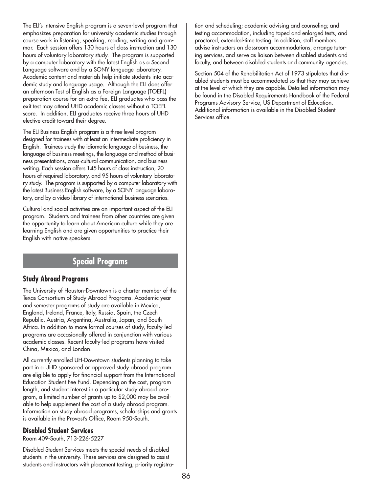The ELI's Intensive English program is a seven-level program that emphasizes preparation for university academic studies through course work in listening, speaking, reading, writing and grammar. Each session offers 130 hours of class instruction and 130 hours of voluntary laboratory study. The program is supported by a computer laboratory with the latest English as a Second Language software and by a SONY language laboratory. Academic content and materials help initiate students into academic study and language usage. Although the ELI does offer an afternoon Test of English as a Foreign Language (TOEFL) preparation course for an extra fee, ELI graduates who pass the exit test may attend UHD academic classes without a TOEFL score. In addition, ELI graduates receive three hours of UHD elective credit toward their degree.

The ELI Business English program is a three-level program designed for trainees with at least an intermediate proficiency in English. Trainees study the idiomatic language of business, the language of business meetings, the language and method of business presentations, cross-cultural communication, and business writing. Each session offers 145 hours of class instruction, 20 hours of required laboratory, and 95 hours of voluntary laboratory study. The program is supported by a computer laboratory with the latest Business English software, by a SONY language laboratory, and by a video library of international business scenarios.

Cultural and social activities are an important aspect of the ELI program. Students and trainees from other countries are given the opportunity to learn about American culture while they are learning English and are given opportunities to practice their English with native speakers.

## **Special Programs**

## **Study Abroad Programs**

The University of Houston-Downtown is a charter member of the Texas Consortium of Study Abroad Programs. Academic year and semester programs of study are available in Mexico, England, Ireland, France, Italy, Russia, Spain, the Czech Republic, Austria, Argentina, Australia, Japan, and South Africa. In addition to more formal courses of study, faculty-led programs are occasionally offered in conjunction with various academic classes. Recent faculty-led programs have visited China, Mexico, and London.

All currently enrolled UH-Downtown students planning to take part in a UHD sponsored or approved study abroad program are eligible to apply for financial support from the International Education Student Fee Fund. Depending on the cost, program length, and student interest in a particular study abroad program, a limited number of grants up to \$2,000 may be available to help supplement the cost of a study abroad program. Information on study abroad programs, scholarships and grants is available in the Provost's Office, Room 950-South.

#### **Disabled Student Services**

Room 409-South, 713-226-5227

Disabled Student Services meets the special needs of disabled students in the university. These services are designed to assist students and instructors with placement testing; priority registration and scheduling; academic advising and counseling; and testing accommodation, including taped and enlarged tests, and proctored, extended-time testing. In addition, staff members advise instructors on classroom accommodations, arrange tutoring services, and serve as liaison between disabled students and faculty, and between disabled students and community agencies.

Section 504 of the Rehabilitation Act of 1973 stipulates that disabled students must be accommodated so that they may achieve at the level of which they are capable. Detailed information may be found in the Disabled Requirements Handbook of the Federal Programs Advisory Service, US Department of Education. Additional information is available in the Disabled Student Services office.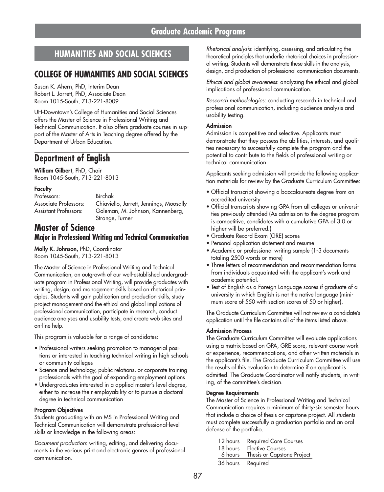## **HUMANITIES AND SOCIAL SCIENCES**

## **COLLEGE OF HUMANITIES AND SOCIAL SCIENCES**

Susan K. Ahern, PhD, Interim Dean Robert L. Jarrett, PhD, Associate Dean Room 1015-South, 713-221-8009

UH-Downtown's College of Humanities and Social Sciences offers the Master of Science in Professional Writing and Technical Communication. It also offers graduate courses in support of the Master of Arts in Teaching degree offered by the Department of Urban Education.

## **Department of English**

**William Gilbert**, PhD, Chair Room 1045-South, 713-221-8013

#### **Faculty**

Professors: Birchak

Associate Professors: Chiaviello, Jarrett, Jennings, Moosally Assistant Professors: Goleman, M. Johnson, Kannenberg, Strange, Turner

## **Master of Science Major in Professional Writing and Technical Communication**

**Molly K. Johnson,** PhD, Coordinator Room 1045-South, 713-221-8013

The Master of Science in Professional Writing and Technical Communication, an outgrowth of our well-established undergraduate program in Professional Writing, will provide graduates with writing, design, and management skills based on rhetorical principles. Students will gain publication and production skills, study project management and the ethical and global implications of professional communication, participate in research, conduct audience analyses and usability tests, and create web sites and on-line help.

This program is valuable for a range of candidates:

- Professional writers seeking promotion to managerial positions or interested in teaching technical writing in high schools or community colleges
- Science and technology, public relations, or corporate training professionals with the goal of expanding employment options
- Undergraduates interested in a applied master's level degree, either to increase their employability or to pursue a doctoral degree in technical communication

#### **Program Objectives**

Students graduating with an MS in Professional Writing and Technical Communication will demonstrate professional-level skills or knowledge in the following areas:

*Document production*: writing, editing, and delivering documents in the various print and electronic genres of professional communication.

*Rhetorical analysis*: identifying, assessing, and articulating the theoretical principles that underlie rhetorical choices in professional writing. Students will demonstrate these skills in the analysis, design, and production of professional communication documents.

*Ethical and global awareness*: analyzing the ethical and global implications of professional communication.

*Research methodologies*: conducting research in technical and professional communication, including audience analysis and usability testing.

#### **Admission**

Admission is competitive and selective. Applicants must demonstrate that they possess the abilities, interests, and qualities necessary to successfully complete the program and the potential to contribute to the fields of professional writing or technical communication.

Applicants seeking admission will provide the following application materials for review by the Graduate Curriculum Committee:

- Official transcript showing a baccalaureate degree from an accredited university
- Official transcripts showing GPA from all colleges or universities previously attended (As admission to the degree program is competitive, candidates with a cumulative GPA of 3.0 or higher will be preferred.)
- Graduate Record Exam (GRE) scores
- Personal application statement and resume
- Academic or professional writing sample (1-3 documents totaling 2500 words or more)
- Three letters of recommendation and recommendation forms from individuals acquainted with the applicant's work and academic potential.
- Test of English as a Foreign Language scores if graduate of a university in which English is not the native language (minimum score of 550 with section scores of 50 or higher).

The Graduate Curriculum Committee will not review a candidate's application until the file contains all of the items listed above.

#### **Admission Process**

The Graduate Curriculum Committee will evaluate applications using a matrix based on GPA, GRE score, relevant course work or experience, recommendations, and other written materials in the applicant's file. The Graduate Curriculum Committee will use the results of this evaluation to determine if an applicant is admitted. The Graduate Coordinator will notify students, in writing, of the committee's decision.

#### **Degree Requirements**

The Master of Science in Professional Writing and Technical Communication requires a minimum of thirty-six semester hours that include a choice of thesis or capstone project. All students must complete successfully a graduation portfolio and an oral defense of the portfolio.

|          | 12 hours Required Core Courses     |
|----------|------------------------------------|
| 18 hours | <b>Elective Courses</b>            |
|          | 6 hours Thesis or Capstone Project |
|          | 36 hours Required                  |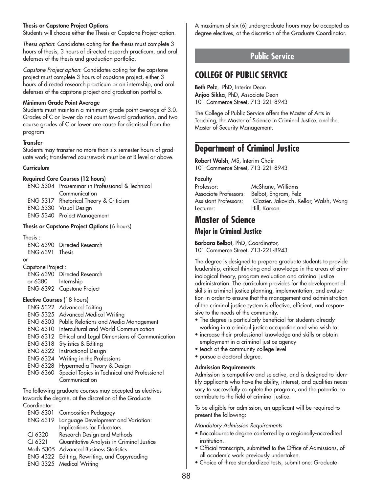#### **Thesis or Capstone Project Options**

Students will choose either the Thesis or Capstone Project option.

*Thesis option*: Candidates opting for the thesis must complete 3 hours of thesis, 3 hours of directed research practicum, and oral defenses of the thesis and graduation portfolio.

*Capstone Project option*: Candidates opting for the capstone project must complete 3 hours of capstone project, either 3 hours of directed research practicum or an internship, and oral defenses of the capstone project and graduation portfolio.

#### **Minimum Grade Point Average**

Students must maintain a minimum grade point average of 3.0. Grades of C or lower do not count toward graduation, and two course grades of C or lower are cause for dismissal from the program.

### **Transfer**

Students may transfer no more than six semester hours of graduate work; transferred coursework must be at B level or above.

#### **Curriculum**

#### **Required Core Courses (12 hours)**

| ENG 5304 Proseminar in Professional & Technical |
|-------------------------------------------------|
| Communication                                   |
| ENG 5317 Rhetorical Theory & Criticism          |
| ENG 5330 Visual Design                          |
| ENG 5340 Project Management                     |

#### **Thesis or Capstone Project Options** (6 hours)

Thesis :

|                 | ENG 6390 Directed Research |
|-----------------|----------------------------|
| ENG 6391 Thesis |                            |
| or              |                            |

Capstone Project :

|                           | <b>ENG 6390</b> Directed Research |
|---------------------------|-----------------------------------|
| or 6380<br>$\sim 10^{-1}$ | Internship                        |
|                           | ENG 6392 Capstone Project         |

#### **Elective Courses** (18 hours)

| ENG 5322 Advanced Editing                              |
|--------------------------------------------------------|
| ENG 5325 Advanced Medical Writing                      |
| ENG 6303 Public Relations and Media Management         |
| <b>ENG 6310</b> Intercultural and World Communication  |
| ENG 6312 Ethical and Legal Dimensions of Communication |
| ENG 6318 Stylistics & Editing                          |
| ENG 6322 Instructional Design                          |
| ENG 6324 Writing in the Professions                    |
| ENG 6328 Hypermedia Theory & Design                    |
| ENG 6360 Special Topics in Technical and Professional  |
| Communication                                          |
|                                                        |

The following graduate courses may accepted as electives towards the degree, at the discretion of the Graduate Coordinator:

| <b>ENG 6301</b> | Composition Pedagogy |  |
|-----------------|----------------------|--|
|-----------------|----------------------|--|

|         | ENG 6319 Language Development and Variation: |
|---------|----------------------------------------------|
|         | Implications for Educators                   |
| CJ 6320 | Research Design and Methods                  |
| CI 6321 | Quantitative Analysis in Criminal Justice    |
|         | Math 5305 Advanced Business Statistics       |
|         | ENG 4322 Editing, Rewriting, and Copyreading |
|         | ENIO 220F M F INJUST                         |

ENG 3325 Medical Writing

A maximum of six (6) undergraduate hours may be accepted as degree electives, at the discretion of the Graduate Coordinator.

## **Public Service**

## **COLLEGE OF PUBLIC SERVICE**

**Beth Pelz**, PhD, Interim Dean **Anjoo Sikka**, PhD, Associate Dean 101 Commerce Street, 713-221-8943

The College of Public Service offers the Master of Arts in Teaching, the Master of Science in Criminal Justice, and the Master of Security Management.

## **Department of Criminal Justice**

**Robert Walsh**, MS, Interim Chair 101 Commerce Street, 713-221-8943

#### **Faculty**

| Professor:            | McShane, Williams                      |
|-----------------------|----------------------------------------|
| Associate Professors: | Belbot, Engram, Pelz                   |
| Assistant Professors: | Glazier, Jakovich, Kellar, Walsh, Wang |
| Lecturer:             | Hill, Karson                           |

## **Master of Science**

### **Major in Criminal Justice**

**Barbara Belbot**, PhD, Coordinator, 101 Commerce Street, 713-221-8943

The degree is designed to prepare graduate students to provide leadership, critical thinking and knowledge in the areas of criminological theory, program evaluation and criminal justice administration. The curriculum provides for the development of skills in criminal justice planning, implementation, and evaluation in order to ensure that the management and administration of the criminal justice system is effective, efficient, and responsive to the needs of the community.

- The degree is particularly beneficial for students already working in a criminal justice occupation and who wish to:
- increase their professional knowledge and skills or obtain employment in a criminal justice agency
- teach at the community college level
- pursue a doctoral degree.

#### **Admission Requirements**

Admission is competitive and selective, and is designed to identify applicants who have the ability, interest, and qualities necessary to successfully complete the program, and the potential to contribute to the field of criminal justice.

To be eligible for admission, an applicant will be required to present the following:

#### *Mandatory Admission Requirements*

- Baccalaureate degree conferred by a regionally-accredited institution.
- Official transcripts, submitted to the Office of Admissions, of all academic work previously undertaken.
- Choice of three standardized tests, submit one: Graduate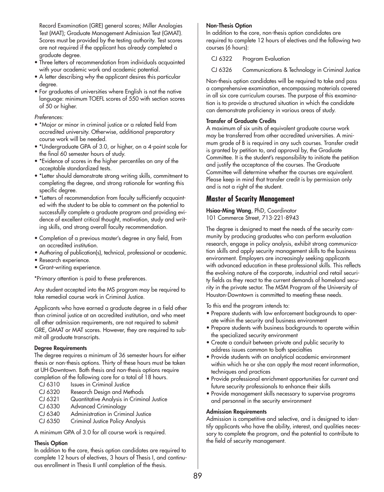Record Examination (GRE) general scores; Miller Analogies Test (MAT); Graduate Management Admission Test (GMAT). Scores must be provided by the testing authority. Test scores are not required if the applicant has already completed a graduate degree.

- Three letters of recommendation from individuals acquainted with your academic work and academic potential.
- A letter describing why the applicant desires this particular degree.
- For graduates of universities where English is not the native language: minimum TOEFL scores of 550 with section scores of 50 or higher.

#### *Preferences:*

- \*Major or minor in criminal justice or a related field from accredited university. Otherwise, additional preparatory course work will be needed.
- \*Undergraduate GPA of 3.0, or higher, on a 4-point scale for the final 60 semester hours of study.
- \*Evidence of scores in the higher percentiles on any of the acceptable standardized tests.
- \*Letter should demonstrate strong writing skills, commitment to completing the degree, and strong rationale for wanting this specific degree.
- \*Letters of recommendation from faculty sufficiently acquainted with the student to be able to comment on the potential to successfully complete a graduate program and providing evidence of excellent critical thought, motivation, study and writing skills, and strong overall faculty recommendation.
- Completion of a previous master's degree in any field, from an accredited institution.
- Authoring of publication(s), technical, professional or academic.
- Research experience.
- Grant-writing experience.

\*Primary attention is paid to these preferences.

Any student accepted into the MS program may be required to take remedial course work in Criminal Justice.

Applicants who have earned a graduate degree in a field other than criminal justice at an accredited institution, and who meet all other admission requirements, are not required to submit GRE, GMAT or MAT scores. However, they are required to submit all graduate transcripts.

#### **Degree Requirements**

The degree requires a minimum of 36 semester hours for either thesis or non-thesis options. Thirty of these hours must be taken at UH-Downtown. Both thesis and non-thesis options require completion of the following core for a total of 18 hours.

- CJ 6310 Issues in Criminal Justice
- CJ 6320 Research Design and Methods
- CJ 6321 Quantitative Analysis in Criminal Justice
- CJ 6330 Advanced Criminology
- CJ 6340 Administration in Criminal Justice
- CJ 6350 Criminal Justice Policy Analysis

A minimum GPA of 3.0 for all course work is required.

#### **Thesis Option**

In addition to the core, thesis option candidates are required to complete 12 hours of electives, 3 hours of Thesis I, and continuous enrollment in Thesis II until completion of the thesis.

#### **Non-Thesis Option**

In addition to the core, non-thesis option candidates are required to complete 12 hours of electives and the following two courses (6 hours):

CJ 6322 Program Evaluation

CJ 6326 Communications & Technology in Criminal Justice

Non-thesis option candidates will be required to take and pass a comprehensive examination, encompassing materials covered in all six core curriculum courses. The purpose of this examination is to provide a structured situation in which the candidate can demonstrate proficiency in various areas of study.

#### **Transfer of Graduate Credits**

A maximum of six units of equivalent graduate course work may be transferred from other accredited universities. A minimum grade of B is required in any such courses. Transfer credit is granted by petition to, and approval by, the Graduate Committee. It is the student's responsibility to initiate the petition and justify the acceptance of the courses. The Graduate Committee will determine whether the courses are equivalent. Please keep in mind that transfer credit is by permission only and is not a right of the student.

## **Master of Security Management**

**Hsiao-Ming Wang**, PhD, Coordinator 101 Commerce Street, 713-221-8943

The degree is designed to meet the needs of the security community by producing graduates who can perform evaluation research, engage in policy analysis, exhibit strong communication skills and apply security management skills to the business environment. Employers are increasingly seeking applicants with advanced education in these professional skills. This reflects the evolving nature of the corporate, industrial and retail security fields as they react to the current demands of homeland security in the private sector. The MSM Program of the University of Houston-Downtown is committed to meeting these needs.

To this end the program intends to:

- Prepare students with law enforcement backgrounds to operate within the security and business environment
- Prepare students with business backgrounds to operate within the specialized security environment
- Create a conduit between private and public security to address issues common to both specialties
- Provide students with an analytical academic environment within which he or she can apply the most recent information, techniques and practices
- Provide professional enrichment opportunities for current and future security professionals to enhance their skills
- Provide management skills necessary to supervise programs and personnel in the security environment

#### **Admission Requirements**

Admission is competitive and selective, and is designed to identify applicants who have the ability, interest, and qualities necessary to complete the program, and the potential to contribute to the field of security management.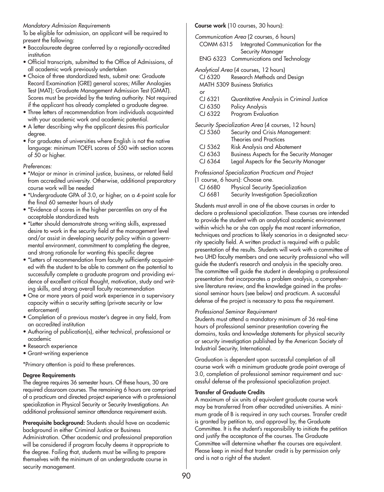#### *Mandatory Admission Requirements*

To be eligible for admission, an applicant will be required to present the following:

- Baccalaureate degree conferred by a regionally-accredited institution
- Official transcripts, submitted to the Office of Admissions, of all academic work previously undertaken
- Choice of three standardized tests, submit one: Graduate Record Examination (GRE) general scores; Miller Analogies Test (MAT); Graduate Management Admission Test (GMAT). Scores must be provided by the testing authority. Not required if the applicant has already completed a graduate degree.
- Three letters of recommendation from individuals acquainted with your academic work and academic potential.
- A letter describing why the applicant desires this particular degree.
- For graduates of universities where English is not the native language: minimum TOEFL scores of 550 with section scores of 50 or higher.

*Preferences:*

- \*Major or minor in criminal justice, business, or related field from accredited university. Otherwise, additional preparatory course work will be needed
- \*Undergraduate GPA of 3.0, or higher, on a 4-point scale for the final 60 semester hours of study
- \*Evidence of scores in the higher percentiles on any of the acceptable standardized tests
- \*Letter should demonstrate strong writing skills, expressed desire to work in the security field at the management level and/or assist in developing security policy within a governmental environment, commitment to completing the degree, and strong rationale for wanting this specific degree
- \*Letters of recommendation from faculty sufficiently acquainted with the student to be able to comment on the potential to successfully complete a graduate program and providing evidence of excellent critical thought, motivation, study and writing skills, and strong overall faculty recommendation
- One or more years of paid work experience in a supervisory capacity within a security setting (private security or law enforcement)
- Completion of a previous master's degree in any field, from an accredited institution
- Authoring of publication(s), either technical, professional or academic
- Research experience
- Grant-writing experience

\*Primary attention is paid to these preferences.

#### **Degree Requirements**

The degree requires 36 semester hours. Of these hours, 30 are required classroom courses. The remaining 6 hours are comprised of a practicum and directed project experience with a professional specialization in Physical Security or Security Investigations. An additional professional seminar attendance requirement exists.

**Prerequisite background:** Students should have an academic background in either Criminal Justice or Business

Administration. Other academic and professional preparation will be considered if program faculty deems it appropriate to the degree. Failing that, students must be willing to prepare themselves with the minimum of an undergraduate course in security management.

**Course work** (10 courses, 30 hours):

*Communication Area* (2 courses, 6 hours) COMM 6315 Integrated Communication for the Security Manager

ENG 6323 Communications and Technology

*Analytical Area* (4 courses, 12 hours) CJ 6320 Research Methods and Design MATH 5309 Business Statistics

- or CJ 6321 Quantitative Analysis in Criminal Justice
- CJ 6350 Policy Analysis
- CJ 6322 Program Evaluation

*Security Specialization Area* (4 courses, 12 hours)

| CJ 5360   | Security and Crisis Management:                  |
|-----------|--------------------------------------------------|
|           | Theories and Practices                           |
| $CI$ 5362 | <b>Risk Analysis and Abatement</b>               |
| CJ 6363   | <b>Business Aspects for the Security Manager</b> |
| CJ 6364   | Legal Aspects for the Security Manager           |
|           |                                                  |

P*rofessional Specialization Practicum and Project* 

(1 course, 6 hours): Choose one.

- CJ 6680 Physical Security Specialization
- CJ 6681 Security Investigation Specialization

Students must enroll in one of the above courses in order to declare a professional specialization. These courses are intended to provide the student with an analytical academic environment within which he or she can apply the most recent information, techniques and practices to likely scenarios in a designated security specialty field. A written product is required with a public presentation of the results. Students will work with a committee of two UHD faculty members and one security professional who will guide the student's research and analysis in the specialty area. The committee will guide the student in developing a professional presentation that incorporates a problem analysis, a comprehensive literature review, and the knowledge gained in the professional seminar hours (see below) and practicum. A successful defense of the project is necessary to pass the requirement.

#### *Professional Seminar Requirement*

Students must attend a mandatory minimum of 36 real-time hours of professional seminar presentation covering the domains, tasks and knowledge statements for physical security or security investigation published by the American Society of Industrial Security, International.

Graduation is dependent upon successful completion of all course work with a minimum graduate grade point average of 3.0, completion of professional seminar requirement and successful defense of the professional specialization project.

#### **Transfer of Graduate Credits**

A maximum of six units of equivalent graduate course work may be transferred from other accredited universities. A minimum grade of B is required in any such courses. Transfer credit is granted by petition to, and approval by, the Graduate Committee. It is the student's responsibility to initiate the petition and justify the acceptance of the courses. The Graduate Committee will determine whether the courses are equivalent. Please keep in mind that transfer credit is by permission only and is not a right of the student.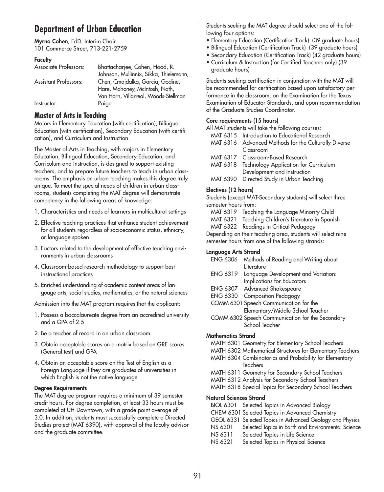## **Department of Urban Education**

**Myrna Cohen**, EdD, Interim Chair 101 Commerce Street, 713-221-2759

#### **Faculty**

| Bhattacharjee, Cohen, Hood, R.         |
|----------------------------------------|
| Johnson, Mullinnix, Sikka, Thielemann, |
| Chen, Cmajdalka, Garcia, Godine,       |
| Hare, Mahoney, McIntosh, Nath,         |
| Van Horn, Villarreal, Woods-Stellman   |
| Paige                                  |
|                                        |

### **Master of Arts in Teaching**

Majors in Elementary Education (with certification), Bilingual Education (with certification), Secondary Education (with certification), and Curriculum and Instruction.

The Master of Arts in Teaching, with majors in Elementary Education, Bilingual Education, Secondary Education, and Curriculum and Instruction, is designed to support existing teachers, and to prepare future teachers to teach in urban classrooms. The emphasis on urban teaching makes this degree truly unique. To meet the special needs of children in urban classrooms, students completing the MAT degree will demonstrate competency in the following areas of knowledge:

- 1. Characteristics and needs of learners in multicultural settings
- 2. Effective teaching practices that enhance student achievement for all students regardless of socioeconomic status, ethnicity, or language spoken
- 3. Factors related to the development of effective teaching environments in urban classrooms
- 4. Classroom-based research methodology to support best instructional practices
- 5. Enriched understanding of academic content areas of language arts, social studies, mathematics, or the natural sciences

Admission into the MAT program requires that the applicant:

- 1. Possess a baccalaureate degree from an accredited university and a GPA of 2.5
- 2. Be a teacher of record in an urban classroom
- 3. Obtain acceptable scores on a matrix based on GRE scores (General test) and GPA
- 4. Obtain an acceptable score on the Test of English as a Foreign Language if they are graduates of universities in which English is not the native language

#### **Degree Requirements**

The MAT degree program requires a minimum of 39 semester credit hours. For degree completion, at least 33 hours must be completed at UH-Downtown, with a grade point average of 3.0. In addition, students must successfully complete a Directed Studies project (MAT 6390), with approval of the faculty advisor and the graduate committee.

Students seeking the MAT degree should select one of the following four options:

- Elementary Education (Certification Track) (39 graduate hours)
- Bilingual Education (Certification Track) (39 graduate hours)
- Secondary Education (Certification Track) (42 graduate hours)
- Curriculum & Instruction (for Certified Teachers only) (39 graduate hours)

Students seeking certification in conjunction with the MAT will be recommended for certification based upon satisfactory performance in the classroom, on the Examination for the Texas Examination of Educator Standards, and upon recommendation of the Graduate Studies Coordinator.

#### **Core requirements (15 hours)**

| All MAT students will take the following courses: |                                                      |  |  |  |  |  |
|---------------------------------------------------|------------------------------------------------------|--|--|--|--|--|
|                                                   | MAT 6315 Introduction to Educational Research        |  |  |  |  |  |
|                                                   | MAT 6316 Advanced Methods for the Culturally Diverse |  |  |  |  |  |
|                                                   | Classroom                                            |  |  |  |  |  |
|                                                   | MAT 6317 Classroom-Based Research                    |  |  |  |  |  |
| MAT 6318                                          | Technology Application for Curriculum                |  |  |  |  |  |
|                                                   | Development and Instruction                          |  |  |  |  |  |
|                                                   | MAT 6390 Directed Study in Urban Teaching            |  |  |  |  |  |

#### **Electives (12 hours)**

Students (except MAT-Secondary students) will select three semester hours from:

- MAT 6319 Teaching the Language Minority Child
- MAT 6321 Teaching Children's Literature in Spanish

MAT 6322 Readings in Critical Pedagogy

Depending on their teaching area, students will select nine semester hours from one of the following strands:

#### **Language Arts Strand**

|                 | ENG 6306 Methods of Reading and Writing about |
|-----------------|-----------------------------------------------|
|                 | Literature                                    |
| <b>ENG 6319</b> | Language Development and Variation:           |
|                 | Implications for Educators                    |
| <b>ENG 6307</b> | Advanced Shakespeare                          |
|                 |                                               |

- ENG 6330 Composition Pedagogy
- COMM 6301 Speech Communication for the Elementary/Middle School Teacher
- COMM 6302 Speech Communication for the Secondary School Teacher

#### **Mathematics Strand**

MATH 6301 Geometry for Elementary School Teachers

- MATH 6302 Mathematical Structures for Elementary Teachers
- MATH 6304 Combinatorics and Probability for Elementary **Teachers**
- MATH 6311 Geometry for Secondary School Teachers
- MATH 6312 Analysis for Secondary School Teachers
- MATH 6318 Special Topics for Secondary School Teachers

#### **Natural Sciences Strand**

|                | BIOL 6301 Selected Topics in Advanced Biology             |
|----------------|-----------------------------------------------------------|
|                | CHEM 6301 Selected Topics in Advanced Chemistry           |
|                | GEOL 6331 Selected Topics in Advanced Geology and Physics |
| NS 6301        | Selected Topics in Earth and Environmental Science        |
| NS 6311        | Selected Topics in Life Science                           |
| <b>NS 6321</b> | Selected Topics in Physical Science                       |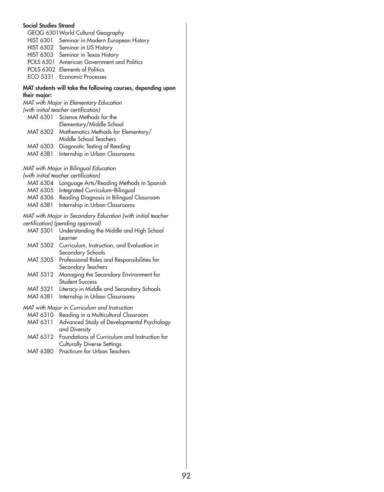#### **Social Studies Strand**

| GEOG 6301 World Cultural Geography |                                              |  |  |  |  |
|------------------------------------|----------------------------------------------|--|--|--|--|
|                                    | HIST 6301 Seminar in Modern European History |  |  |  |  |
|                                    | HIST 6302 Seminar in US History              |  |  |  |  |
|                                    | HIST 6303 Seminar in Texas History           |  |  |  |  |
|                                    | POLS 6301 American Government and Politics   |  |  |  |  |
|                                    | POLS 6302 Elements of Politics               |  |  |  |  |
|                                    | ECO 5331 Economic Processes                  |  |  |  |  |

#### **MAT students will take the following courses, depending upon their major:**

| MAT with Major in Elementary Education |                                              |  |  |  |  |  |
|----------------------------------------|----------------------------------------------|--|--|--|--|--|
| (with initial teacher certification)   |                                              |  |  |  |  |  |
|                                        | MAT 6301 Science Methods for the             |  |  |  |  |  |
|                                        | Elementary/Middle School                     |  |  |  |  |  |
|                                        | MAT 6302 Mathematics Methods for Elementary/ |  |  |  |  |  |
|                                        | Middle School Teachers                       |  |  |  |  |  |
| MAT 6303                               | Diagnostic Testing of Reading                |  |  |  |  |  |
| MAT 6381                               | Internship in Urban Classrooms               |  |  |  |  |  |

*MAT with Major in Bilingual Education* 

*(with initial teacher certification)*

- MAT 6304 Language Arts/Reading Methods in Spanish
- MAT 6305 Integrated Curriculum–Bilingual
- MAT 6306 Reading Diagnosis in Bilingual Classroom
- MAT 6381 Internship in Urban Classrooms

*MAT with Major in Secondary Education (with initial teacher certification) (pending approval)*

- MAT 5301 Understanding the Middle and High School Learner
- MAT 5302 Curriculum, Instruction, and Evaluation in Secondary Schools
- MAT 5305 Professional Roles and Responsibilities for Secondary Teachers
- MAT 5312 Managing the Secondary Environment for Student Success
- MAT 5321 Literacy in Middle and Secondary Schools
- MAT 6381 Internship in Urban Classrooms

#### *MAT with Major in Curriculum and Instruction*

- MAT 6310 Reading in a Multicultural Classroom
- MAT 6311 Advanced Study of Developmental Psychology and Diversity
- MAT 6312 Foundations of Curriculum and Instruction for Culturally Diverse Settings
- MAT 6380 Practicum for Urban Teachers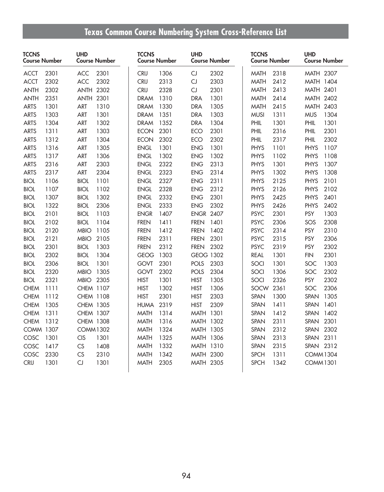# **Texas Common Course Numbering System Cross-Reference List**

| <b>TCCNS</b><br><b>Course Number</b> |      | <b>UHD</b><br><b>Course Number</b> |      | <b>TCCNS</b><br><b>Course Number</b> |      | <b>UHD</b><br><b>Course Number</b> |      | <b>TCCNS</b><br><b>Course Number</b> |      | <b>UHD</b><br>Course Number |      |
|--------------------------------------|------|------------------------------------|------|--------------------------------------|------|------------------------------------|------|--------------------------------------|------|-----------------------------|------|
| <b>ACCT</b>                          | 2301 | <b>ACC</b>                         | 2301 | <b>CRIJ</b>                          | 1306 | CJ                                 | 2302 | <b>MATH</b>                          | 2318 | MATH 2307                   |      |
| <b>ACCT</b>                          | 2302 | <b>ACC</b>                         | 2302 | <b>CRIJ</b>                          | 2313 | CJ                                 | 2303 | <b>MATH</b>                          | 2412 | MATH 1404                   |      |
| <b>ANTH</b>                          | 2302 | <b>ANTH 2302</b>                   |      | <b>CRIJ</b>                          | 2328 | CJ                                 | 2301 | <b>MATH</b>                          | 2413 | <b>MATH 2401</b>            |      |
| <b>ANTH</b>                          | 2351 | <b>ANTH 2301</b>                   |      | <b>DRAM</b>                          | 1310 | <b>DRA</b>                         | 1301 | <b>MATH</b>                          | 2414 | <b>MATH 2402</b>            |      |
| <b>ARTS</b>                          | 1301 | <b>ART</b>                         | 1310 | <b>DRAM</b>                          | 1330 | <b>DRA</b>                         | 1305 | <b>MATH</b>                          | 2415 | MATH 2403                   |      |
| <b>ARTS</b>                          | 1303 | <b>ART</b>                         | 1301 | <b>DRAM</b>                          | 1351 | <b>DRA</b>                         | 1303 | <b>MUSI</b>                          | 1311 | <b>MUS</b>                  | 1304 |
| <b>ARTS</b>                          | 1304 | <b>ART</b>                         | 1302 | <b>DRAM</b>                          | 1352 | <b>DRA</b>                         | 1304 | PHIL                                 | 1301 | PHIL                        | 1301 |
| <b>ARTS</b>                          | 1311 | <b>ART</b>                         | 1303 | <b>ECON</b>                          | 2301 | <b>ECO</b>                         | 2301 | PHIL                                 | 2316 | PHIL                        | 2301 |
| <b>ARTS</b>                          | 1312 | ART                                | 1304 | <b>ECON</b>                          | 2302 | <b>ECO</b>                         | 2302 | PHIL                                 | 2317 | PHIL                        | 2302 |
| <b>ARTS</b>                          | 1316 | <b>ART</b>                         | 1305 | <b>ENGL</b>                          | 1301 | <b>ENG</b>                         | 1301 | PHYS                                 | 1101 | <b>PHYS</b>                 | 1107 |
| <b>ARTS</b>                          | 1317 | <b>ART</b>                         | 1306 | <b>ENGL</b>                          | 1302 | <b>ENG</b>                         | 1302 | PHYS                                 | 1102 | PHYS                        | 1108 |
| <b>ARTS</b>                          | 2316 | <b>ART</b>                         | 2303 | <b>ENGL</b>                          | 2322 | <b>ENG</b>                         | 2313 | <b>PHYS</b>                          | 1301 | <b>PHYS</b>                 | 1307 |
| <b>ARTS</b>                          | 2317 | <b>ART</b>                         | 2304 | <b>ENGL</b>                          | 2323 | <b>ENG</b>                         | 2314 | PHYS                                 | 1302 | <b>PHYS</b>                 | 1308 |
| <b>BIOL</b>                          | 1106 | <b>BIOL</b>                        | 1101 | <b>ENGL</b>                          | 2327 | <b>ENG</b>                         | 2311 | <b>PHYS</b>                          | 2125 | <b>PHYS</b>                 | 2101 |
| <b>BIOL</b>                          | 1107 | <b>BIOL</b>                        | 1102 | <b>ENGL</b>                          | 2328 | <b>ENG</b>                         | 2312 | <b>PHYS</b>                          | 2126 | <b>PHYS</b>                 | 2102 |
| <b>BIOL</b>                          | 1307 | <b>BIOL</b>                        | 1302 | <b>ENGL</b>                          | 2332 | <b>ENG</b>                         | 2301 | <b>PHYS</b>                          | 2425 | <b>PHYS</b>                 | 2401 |
| <b>BIOL</b>                          | 1322 | <b>BIOL</b>                        | 2306 | <b>ENGL</b>                          | 2333 | <b>ENG</b>                         | 2302 | PHYS                                 | 2426 | <b>PHYS</b>                 | 2402 |
| <b>BIOL</b>                          | 2101 | <b>BIOL</b>                        | 1103 | <b>ENGR</b>                          | 1407 | <b>ENGR 2407</b>                   |      | <b>PSYC</b>                          | 2301 | <b>PSY</b>                  | 1303 |
| <b>BIOL</b>                          | 2102 | <b>BIOL</b>                        | 1104 | <b>FREN</b>                          | 1411 | <b>FREN</b>                        | 1401 | <b>PSYC</b>                          | 2306 | SOS                         | 2308 |
| <b>BIOL</b>                          | 2120 | <b>MBIO</b>                        | 1105 | <b>FREN</b>                          | 1412 | <b>FREN</b>                        | 1402 | <b>PSYC</b>                          | 2314 | <b>PSY</b>                  | 2310 |
| <b>BIOL</b>                          | 2121 | <b>MBIO</b>                        | 2105 | <b>FREN</b>                          | 2311 | <b>FREN</b>                        | 2301 | <b>PSYC</b>                          | 2315 | <b>PSY</b>                  | 2306 |
| <b>BIOL</b>                          | 2301 | <b>BIOL</b>                        | 1303 | <b>FREN</b>                          | 2312 | <b>FREN</b>                        | 2302 | <b>PSYC</b>                          | 2319 | PSY                         | 2302 |
| <b>BIOL</b>                          | 2302 | <b>BIOL</b>                        | 1304 | <b>GEOG</b>                          | 1303 | <b>GEOG 1302</b>                   |      | <b>REAL</b>                          | 1301 | <b>FIN</b>                  | 2301 |
| <b>BIOL</b>                          | 2306 | <b>BIOL</b>                        | 1301 | <b>GOVT</b>                          | 2301 | <b>POLS</b>                        | 2303 | SOCI                                 | 1301 | SOC                         | 1303 |
| <b>BIOL</b>                          | 2320 | <b>MBIO</b>                        | 1305 | <b>GOVT</b>                          | 2302 | <b>POLS</b>                        | 2304 | SOCI                                 | 1306 | SOC                         | 2302 |
| <b>BIOL</b>                          | 2321 | <b>MBIO</b>                        | 2305 | <b>HIST</b>                          | 1301 | <b>HIST</b>                        | 1305 | SOCI                                 | 2326 | <b>PSY</b>                  | 2302 |
| <b>CHEM</b>                          | 1111 | CHEM 1107                          |      | <b>HIST</b>                          | 1302 | <b>HIST</b>                        | 1306 | SOCW                                 | 2361 | SOC                         | 2306 |
| <b>CHEM</b>                          | 1112 | CHEM 1108                          |      | <b>HIST</b>                          | 2301 | <b>HIST</b>                        | 2303 | SPAN                                 | 1300 | SPAN                        | 1305 |
| <b>CHEM</b>                          | 1305 | CHEM 1305                          |      | <b>HUMA</b>                          | 2319 | <b>HIST</b>                        | 2309 | SPAN                                 | 1411 | SPAN                        | 1401 |
| <b>CHEM</b>                          | 1311 | CHEM 1307                          |      | <b>MATH</b>                          | 1314 | <b>MATH 1301</b>                   |      | <b>SPAN</b>                          | 1412 | SPAN                        | 1402 |
| <b>CHEM</b>                          | 1312 | <b>CHEM 1308</b>                   |      | <b>MATH</b>                          | 1316 | MATH 1302                          |      | SPAN                                 | 2311 | SPAN                        | 2301 |
| <b>COMM 1307</b>                     |      | <b>COMM1302</b>                    |      | <b>MATH</b>                          | 1324 | MATH 1305                          |      | <b>SPAN</b>                          | 2312 | <b>SPAN</b>                 | 2302 |
| COSC                                 | 1301 | <b>CIS</b>                         | 1301 | <b>MATH</b>                          | 1325 | <b>MATH 1306</b>                   |      | <b>SPAN</b>                          | 2313 | SPAN                        | 2311 |
| COSC                                 | 1417 | CS                                 | 1408 | <b>MATH</b>                          | 1332 | MATH 1310                          |      | <b>SPAN</b>                          | 2315 | SPAN 2312                   |      |
| COSC                                 | 2330 | CS                                 | 2310 | <b>MATH</b>                          | 1342 | MATH 2300                          |      | <b>SPCH</b>                          | 1311 | <b>COMM1304</b>             |      |
| <b>CRIJ</b>                          | 1301 | CJ                                 | 1301 | MATH                                 | 2305 | <b>MATH 2305</b>                   |      | <b>SPCH</b>                          | 1342 | COMM1301                    |      |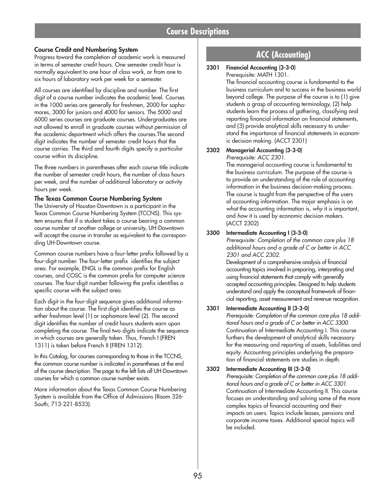#### **Course Credit and Numbering System**

Progress toward the completion of academic work is measured in terms of semester credit hours. One semester credit hour is normally equivalent to one hour of class work, or from one to six hours of laboratory work per week for a semester.

All courses are identified by discipline and number. The first digit of a course number indicates the academic level. Courses in the 1000 series are generally for freshmen, 2000 for sophomores, 3000 for juniors and 4000 for seniors. The 5000 and 6000 series courses are graduate courses. Undergraduates are not allowed to enroll in graduate courses without permission of the academic department which offers the courses.The second digit indicates the number of semester credit hours that the course carries. The third and fourth digits specify a particular course within its discipline.

The three numbers in parentheses after each course title indicate the number of semester credit hours, the number of class hours per week, and the number of additional laboratory or activity hours per week.

#### **The Texas Common Course Numbering System**

The University of Houston-Downtown is a participant in the Texas Common Course Numbering System (TCCNS). This system ensures that if a student takes a course bearing a common course number at another college or university, UH-Downtown will accept the course in transfer as equivalent to the corresponding UH-Downtown course.

Common course numbers have a four-letter prefix followed by a four-digit number. The four-letter prefix identifies the subject area. For example, ENGL is the common prefix for English courses, and COSC is the common prefix for computer science courses. The four-digit number following the prefix identifies a specific course with the subject area.

Each digit in the four-digit sequence gives additional information about the course. The first digit identifies the course as either freshman level (1) or sophomore level (2). The second digit identifies the number of credit hours students earn upon completing the course. The final two digits indicate the sequence in which courses are generally taken. Thus, French I (FREN 1311) is taken before French II (FREN 1312).

In this Catalog, for courses corresponding to those in the TCCNS, the common course number is indicated in parentheses at the end of the course description. The page to the left lists all UH-Downtown courses for which a common course number exists.

More information about the Texas Common Course Numbering System is available from the Office of Admissions (Room 326- South; 713-221-8533).

## **ACC (Accounting)**

#### **2301 Financial Accounting (3-3-0)** Prerequisite: MATH 1301.

The financial accounting course is fundamental to the business curriculum and to success in the business world beyond college. The purpose of the course is to (1) give students a grasp of accounting terminology, (2) help students learn the process of gathering, classifying and reporting financial information on financial statements, and (3) provide analytical skills necessary to understand the importance of financial statements in economic decision making. (ACCT 2301)

#### **2302 Managerial Accounting (3-3-0)**

*Prerequisite: ACC 2301.*

The managerial accounting course is fundamental to the business curriculum. The purpose of the course is to provide an understanding of the role of accounting information in the business decision-making process. The course is taught from the perspective of the users of accounting information. The major emphasis is on *what* the accounting information is, *why* it is important, and *how* it is used by economic decision makers. (ACCT 2302)

#### **3300 Intermediate Accounting I (3-3-0)**

*Prerequisite: Completion of the common core plus 18 additional hours and a grade of C or better in ACC 2301 and ACC 2302.*

Development of a comprehensive analysis of financial accounting topics involved in preparing, interpreting and using financial statements that comply with generally accepted accounting principles. Designed to help students understand and apply the conceptual framework of financial reporting, asset measurement and revenue recognition.

#### **3301 Intermediate Accounting II (3-3-0)**

*Prerequisite: Completion of the common core plus 18 additional hours and a grade of C or better in ACC 3300.* Continuation of Intermediate Accounting I. This course furthers the development of analytical skills necessary for the measuring and reporting of assets, liabilities and equity. Accounting principles underlying the preparation of financial statements are studies in depth.

#### **3302 Intermediate Accounting III (3-3-0)**

*Prerequisite: Completion of the common core plus 18 additional hours and a grade of C or better in ACC 3301.* Continuation of Intermediate Accounting II. This course focuses on understanding and solving some of the more complex topics of financial accounting and their impacts on users. Topics include leases, pensions and corporate income taxes. Additional special topics will be included.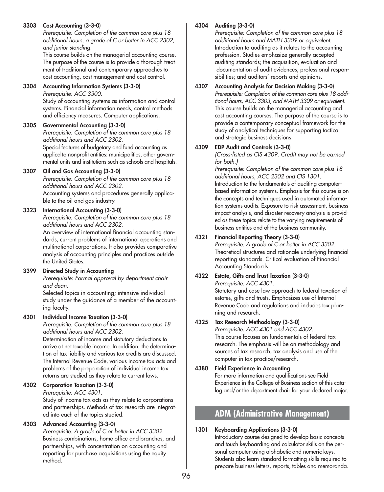#### **3303 Cost Accounting (3-3-0)**

*Prerequisite: Completion of the common core plus 18 additional hours, a grade of C or better in ACC 2302, and junior standing.*

This course builds on the managerial accounting course. The purpose of the course is to provide a thorough treatment of traditional and contemporary approaches to cost accounting, cost management and cost control.

#### **3304 Accounting Information Systems (3-3-0)**

*Prerequisite: ACC 3300.*

Study of accounting systems as information and control systems. Financial information needs, control methods and efficiency measures. Computer applications.

#### **3305 Governmental Accounting (3-3-0)**

*Prerequisite: Completion of the common core plus 18 additional hours and ACC 2302.* Special features of budgetary and fund accounting as applied to nonprofit entities: municipalities, other governmental units and institutions such as schools and hospitals.

#### **3307 Oil and Gas Accounting (3-3-0)**

*Prerequisite: Completion of the common core plus 18 additional hours and ACC 2302.* Accounting systems and procedures generally applicable to the oil and gas industry.

#### **3323 International Accounting (3-3-0)**

*Prerequisite: Completion of the common core plus 18 additional hours and ACC 2302.*

An overview of international financial accounting standards, current problems of international operations and multinational corporations. It also provides comparative analysis of accounting principles and practices outside the United States.

#### **3399 Directed Study in Accounting**

*Prerequisite: Formal approval by department chair and dean.*

Selected topics in accounting; intensive individual study under the guidance of a member of the accounting faculty.

#### **4301 Individual Income Taxation (3-3-0)**

*Prerequisite: Completion of the common core plus 18 additional hours and ACC 2302.*

Determination of income and statutory deductions to arrive at net taxable income. In addition, the determination of tax liability and various tax credits are discussed. The Internal Revenue Code, various income tax acts and problems of the preparation of individual income tax returns are studied as they relate to current laws.

#### **4302 Corporation Taxation (3-3-0)**

*Prerequisite: ACC 4301.*

Study of income tax acts as they relate to corporations and partnerships. Methods of tax research are integrated into each of the topics studied.

#### **4303 Advanced Accounting (3-3-0)**

*Prerequisite: A grade of C or better in ACC 3302.* Business combinations, home office and branches, and partnerships, with concentration on accounting and reporting for purchase acquisitions using the equity method.

#### **4304 Auditing (3-3-0)**

*Prerequisite: Completion of the common core plus 18 additional hours and MATH 3309 or equivalent.* Introduction to auditing as it relates to the accounting profession. Studies emphasize generally accepted auditing standards; the acquisition, evaluation and documentation of audit evidences; professional responsibilities; and auditors' reports and opinions.

#### **4307 Accounting Analysis for Decision Making (3-3-0)** *Prerequisite: Completion of the common core plus 18 additional hours, ACC 3303, and MATH 3309 or equivalent.* This course builds on the managerial accounting and cost accounting courses. The purpose of the course is to provide a contemporary conceptual framework for the study of analytical techniques for supporting tactical and strategic business decisions.

#### **4309 EDP Audit and Controls (3-3-0)**

*(Cross-listed as CIS 4309. Credit may not be earned for both.)*

*Prerequisite: Completion of the common core plus 18 additional hours, ACC 2302 and CIS 1301.* Introduction to the fundamentals of auditing computerbased information systems. Emphasis for this course is on the concepts and techniques used in automated information systems audits. Exposure to risk assessment, business impact analysis, and disaster recovery analysis is provided as these topics relate to the varying requirements of business entities and of the business community.

#### **4321 Financial Reporting Theory (3-3-0)**

*Prerequisite: A grade of C or better in ACC 3302.* Theoretical structures and rationale underlying financial reporting standards. Critical evaluation of Financial Accounting Standards.

### **4322 Estate, Gifts and Trust Taxation (3-3-0)** *Prerequisite: ACC 4301.* Statutory and case law approach to federal taxation of estates, gifts and trusts. Emphasizes use of Internal

Revenue Code and regulations and includes tax planning and research.

#### **4325 Tax Research Methodology (3-3-0)**

*Prerequisite: ACC 4301 and ACC 4302.* This course focuses on fundamentals of federal tax research. The emphasis will be on methodology and sources of tax research, tax analysis and use of the computer in tax practice/research.

#### **4380 Field Experience in Accounting** For more information and qualifications see Field

Experience in the College of Business section of this catalog and/or the department chair for your declared major.

## **ADM (Administrative Management)**

#### **1301 Keyboarding Applications (3-3-0)**

Introductory course designed to develop basic concepts and touch keyboarding and calculator skills on the personal computer using alphabetic and numeric keys. Students also learn standard formatting skills required to prepare business letters, reports, tables and memoranda.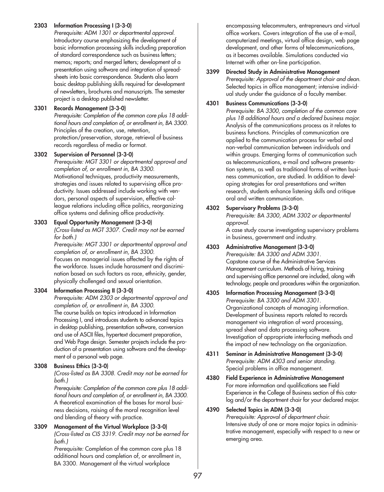#### **2303 Information Processing I (3-3-0)**

*Prerequisite: ADM 1301 or departmental approval.* Introductory course emphasizing the development of basic information processing skills including preparation of standard correspondence such as business letters; memos; reports; and merged letters; development of a presentation using software and integration of spreadsheets into basic correspondence. Students also learn basic desktop publishing skills required for development of newsletters, brochures and manuscripts. The semester project is a desktop published newsletter.

#### **3301 Records Management (3-3-0)**

*Prerequisite: Completion of the common core plus 18 additional hours and completion of, or enrollment in, BA 3300.* Principles of the creation, use, retention, protection/preservation, storage, retrieval of business records regardless of media or format.

#### **3302 Supervision of Personnel (3-3-0)**

*Prerequisite: MGT 3301 or departmental approval and completion of, or enrollment in, BA 3300.* Motivational techniques, productivity measurements, strategies and issues related to supervising office productivity. Issues addressed include working with vendors, personal aspects of supervision, effective colleague relations including office politics, reorganizing office systems and defining office productivity.

#### **3303 Equal Opportunity Management (3-3-0)**

*(Cross-listed as MGT 3307. Credit may not be earned for both.)*

*Prerequisite: MGT 3301 or departmental approval and completion of, or enrollment in, BA 3300.* Focuses on managerial issues affected by the rights of the workforce. Issues include harassment and discrimination based on such factors as race, ethnicity, gender, physically challenged and sexual orientation.

#### **3304 Information Processing II (3-3-0)**

*Prerequisite: ADM 2303 or departmental approval and completion of, or enrollment in, BA 3300.* The course builds on topics introduced in Information Processing I, and introduces students to advanced topics in desktop publishing, presentation software, conversion and use of ASCII files, hypertext document preparation, and Web Page design. Semester projects include the production of a presentation using software and the development of a personal web page.

#### **3308 Business Ethics (3-3-0)**

*(Cross-listed as BA 3308. Credit may not be earned for both.)*

*Prerequisite: Completion of the common core plus 18 additional hours and completion of, or enrollment in, BA 3300.* A theoretical examination of the bases for moral business decisions, raising of the moral recognition level and blending of theory with practice.

#### **3309 Management of the Virtual Workplace (3-3-0)** *(Cross-listed as CIS 3319. Credit may not be earned for both.)*

*Prerequisite:* Completion of the common core plus 18 additional hours and completion of, or enrollment in, BA 3300. Management of the virtual workplace

encompassing telecommuters, entrepreneurs and virtual office workers. Covers integration of the use of e-mail, computerized meetings, virtual office design, web page development, and other forms of telecommunications, as it becomes available. Simulations conducted via Internet with other on-line participation.

#### **3399 Directed Study in Administrative Management** *Prerequisite: Approval of the department chair and dean.* Selected topics in office management; intensive individual study under the guidance of a faculty member.

#### **4301 Business Communications (3-3-0)**

*Prerequisite: BA 3300, completion of the common core plus 18 additional hours and a declared business major.* Analysis of the communications process as it relates to business functions. Principles of communication are applied to the communication process for verbal and non-verbal communication between individuals and within groups. Emerging forms of communication such as telecommunications, e-mail and software presentation systems, as well as traditional forms of written business communication, are studied. In addition to developing strategies for oral presentations and written research, students enhance listening skills and critique oral and written communication.

#### **4302 Supervisory Problems (3-3-0)**

*Prerequisite: BA 3300, ADM 3302 or departmental approval.*

A case study course investigating supervisory problems in business, government and industry.

- **4303 Administrative Management (3-3-0)** *Prerequisite: BA 3300 and ADM 3301.* Capstone course of the Administrative Services Management curriculum. Methods of hiring, training and supervising office personnel are included, along with technology, people and procedures within the organization.
- **4305 Information Processing Management (3-3-0)** *Prerequisite: BA 3300 and ADM 3301.* Organizational concepts of managing information. Development of business reports related to records management via integration of word processing, spread sheet and data processing software. Investigation of appropriate interfacing methods and the impact of new technology on the organization.
- **4311 Seminar in Administrative Management (3-3-0)** *Prerequisite: ADM 4303 and senior standing.* Special problems in office management.
- **4380 Field Experience in Administrative Management** For more information and qualifications see Field Experience in the College of Business section of this catalog and/or the department chair for your declared major.

#### **4390 Selected Topics in ADM (3-3-0)**

*Prerequisite: Approval of department chair.* Intensive study of one or more major topics in administrative management, especially with respect to a new or emerging area.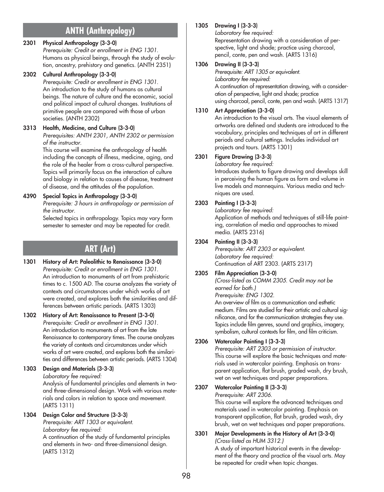# **ANTH (Anthropology)**

### **2301 Physical Anthropology (3-3-0)**

*Prerequisite: Credit or enrollment in ENG 1301.* Humans as physical beings, through the study of evolution, ancestry, prehistory and genetics. (ANTH 2351)

#### **2302 Cultural Anthropology (3-3-0)**

*Prerequisite: Credit or enrollment in ENG 1301.* An introduction to the study of humans as cultural beings. The nature of culture and the economic, social and political impact of cultural changes. Institutions of primitive people are compared with those of urban societies. (ANTH 2302)

### **3313 Health, Medicine, and Culture (3-3-0)**

*Prerequisites: ANTH 2301, ANTH 2302 or permission of the instructor.*

This course will examine the anthropology of health including the concepts of illness, medicine, aging, and the role of the healer from a cross-cultural perspective. Topics will primarily focus on the interaction of culture and biology in relation to causes of disease, treatment of disease, and the attitudes of the population.

### **4390 Special Topics in Anthropology (3-3-0)**

*Prerequisite: 3 hours in anthropology or permission of the instructor.*

Selected topics in anthropology. Topics may vary form semester to semester and may be repeated for credit.

# **ART (Art)**

- **1301 History of Art: Paleolithic to Renaissance (3-3-0)** *Prerequisite: Credit or enrollment in ENG 1301.* An introduction to monuments of art from prehistoric times to c. 1500 AD. The course analyzes the variety of contexts and circumstances under which works of art were created, and explores both the similarities and differences between artistic periods. (ARTS 1303)
- **1302 History of Art: Renaissance to Present (3-3-0)** *Prerequisite: Credit or enrollment in ENG 1301.* An introduction to monuments of art from the late Renaissance to contemporary times. The course analyzes the variety of contexts and circumstances under which works of art were created, and explores both the similarities and differences between artistic periods. (ARTS 1304)

**1303 Design and Materials (3-3-3)** *Laboratory fee required:*  Analysis of fundamental principles and elements in twoand three-dimensional design. Work with various materials and colors in relation to space and movement. (ARTS 1311)

### **1304 Design Color and Structure (3-3-3)**

*Prerequisite: ART 1303 or equivalent. Laboratory fee required:* A continuation of the study of fundamental principles

and elements in two- and three-dimensional design. (ARTS 1312)

## **1305 Drawing I (3-3-3)**

*Laboratory fee required:*  Representation drawing with a consideration of perspective, light and shade; practice using charcoal, pencil, conte, pen and wash. (ARTS 1316)

### **1306 Drawing II (3-3-3)**

*Prerequisite: ART 1305 or equivalent. Laboratory fee required:* 

A continuation of representation drawing, with a consideration of perspective, light and shade; practice using charcoal, pencil, conte, pen and wash. (ARTS 1317)

### **1310 Art Appreciation (3-3-0)**

An introduction to the visual arts. The visual elements of artworks are defined and students are introduced to the vocabulary, principles and techniques of art in different periods and cultural settings. Includes individual art projects and tours. (ARTS 1301)

### **2301 Figure Drawing (3-3-3)**

*Laboratory fee required:* Introduces students to figure drawing and develops skill

in perceiving the human figure as form and volume in live models and mannequins. Various media and techniques are used.

### **2303 Painting I (3-3-3)**

*Laboratory fee required:* Application of methods and techniques of still-life painting, correlation of media and approaches to mixed media. (ARTS 2316)

#### **2304 Painting II (3-3-3)**

*Prerequisite: ART 2303 or equivalent. Laboratory fee required:*  Continuation of ART 2303. (ARTS 2317)

### **2305 Film Appreciation (3-3-0)**

*(Cross-listed as COMM 2305. Credit may not be earned for both.)* 

*Prerequisite: ENG 1302.*

An overview of film as a communication and esthetic medium. Films are studied for their artistic and cultural significance, and for the communication strategies they use. Topics include film genres, sound and graphics, imagery, symbolism, cultural contexts for film, and film criticism.

### **2306 Watercolor Painting I (3-3-3)**

*Prerequisite: ART 2303 or permission of instructor.* This course will explore the basic techniques and materials used in watercolor painting. Emphasis on transparent application, flat brush, graded wash, dry brush, wet on wet techniques and paper preparations.

#### **2307 Watercolor Painting II (3-3-3)**  *Prerequisite: ART 2306.*

This course will explore the advanced techniques and materials used in watercolor painting. Emphasis on transparent application, flat brush, graded wash, dry brush, wet on wet techniques and paper preparations*.*

### **3301 Major Developments in the History of Art (3-3-0)** *(Cross-listed as HUM 3312.)*

A study of important historical events in the development of the theory and practice of the visual arts. May be repeated for credit when topic changes.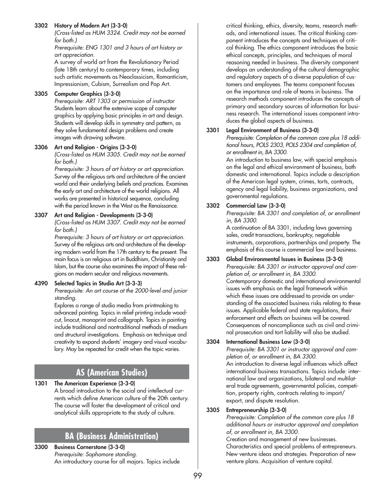#### **3302 History of Modern Art (3-3-0)**

*(Cross-listed as HUM 3324. Credit may not be earned for both.)*

*Prerequisite: ENG 1301 and 3 hours of art history or art appreciation.*

A survey of world art from the Revolutionary Period (late 18th century) to contemporary times, including such artistic movements as Neoclassicism, Romanticism, Impressionism, Cubism, Surrealism and Pop Art.

#### **3305 Computer Graphics (3-3-0)**

*Prerequisite: ART 1303 or permission of instructor* Students learn about the extensive scope of computer graphics by applying basic principles in art and design. Students will develop skills in symmetry and pattern, as they solve fundamental design problems and create images with drawing software.

#### **3306 Art and Religion - Origins (3-3-0)**

*(Cross-listed as HUM 3305. Credit may not be earned for both.)*

*Prerequisite: 3 hours of art history or art appreciation.* Survey of the religious arts and architecture of the ancient world and their underlying beliefs and practices. Examines the early art and architecture of the world religions. All works are presented in historical sequence, concluding with the period known in the West as the Renaissance.

#### **3307 Art and Religion - Developments (3-3-0)**

*(Cross-listed as HUM 3307. Credit may not be earned for both.)*

*Prerequisite: 3 hours of art history or art appreciation.* Survey of the religious arts and architecture of the developing modern world from the 17th century to the present. The main focus is on religious art in Buddhism, Christianity and Islam, but the course also examines the impact of these religions on modern secular and religious movements.

#### **4390 Selected Topics in Studio Art (3-3-3)**

*Prerequisite: An art course at the 2000-level and junior standing.*

Explores a range of studio media from printmaking to advanced painting. Topics in relief printing include woodcut, linocut, monoprint and collograph. Topics in painting include traditional and nontraditional methods of medium and structural investigations. Emphasis on technique and creativity to expand students' imagery and visual vocabulary. May be repeated for credit when the topic varies.

## **AS (American Studies)**

#### **1301 The American Experience (3-3-0)**

A broad introduction to the social and intellectual currents which define American culture of the 20th century. The course will foster the development of critical and analytical skills appropriate to the study of culture.

## **BA (Business Administration)**

#### **3300 Business Cornerstone (3-3-0)** *Prerequisite: Sophomore standing.* An introductory course for all majors. Topics include

critical thinking, ethics, diversity, teams, research methods, and international issues. The critical thinking component introduces the concepts and techniques of critical thinking. The ethics component introduces the basic ethical concepts, principles, and techniques of moral reasoning needed in business. The diversity component develops an understanding of the cultural demographic and regulatory aspects of a diverse population of customers and employees. The teams component focuses on the importance and role of teams in business. The research methods component introduces the concepts of primary and secondary sources of information for business research. The international issues component introduces the global aspects of business.

#### **3301 Legal Environment of Business (3-3-0)**

*Prerequisite: Completion of the common core plus 18 additional hours, POLS 2303, POLS 2304 and completion of, or enrollment in, BA 3300.*

An introduction to business law, with special emphasis on the legal and ethical environment of business, both domestic and international. Topics include a description of the American legal system, crimes, torts, contracts, agency and legal liability, business organizations, and governmental regulations.

#### **3302 Commercial Law (3-3-0)**

*Prerequisite: BA 3301 and completion of, or enrollment in, BA 3300.*

A continuation of BA 3301, including laws governing sales, credit transactions, bankruptcy, negotiable instruments, corporations, partnerships and property. The emphasis of this course is commercial law and business.

#### **3303 Global Environmental Issues in Business (3-3-0)** *Prerequisite: BA 3301 or instructor approval and completion of, or enrollment in, BA 3300.* Contemporary domestic and international environmental issues with emphasis on the legal framework within which these issues are addressed to provide an understanding of the associated business risks relating to these issues. Applicable federal and state regulations, their enforcement and effects on business will be covered. Consequences of noncompliance such as civil and criminal prosecution and tort liability will also be studied.

#### **3304 International Business Law (3-3-0)**

*Prerequisite: BA 3301 or instructor approval and completion of, or enrollment in, BA 3300.* An introduction to diverse legal influences which affect international business transactions. Topics include: international law and organizations, bilateral and multilateral trade agreements, governmental policies, competition, property rights, contracts relating to import/ export, and dispute resolution.

#### **3305 Entrepreneurship (3-3-0)**

*Prerequisite: Completion of the common core plus 18 additional hours or instructor approval and completion of, or enrollment in, BA 3300.*

Creation and management of new businesses. Characteristics and special problems of entrepreneurs. New venture ideas and strategies. Preparation of new venture plans. Acquisition of venture capital.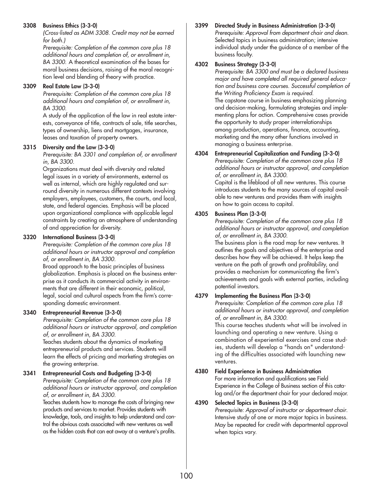#### **3308 Business Ethics (3-3-0)**

*(Cross-listed as ADM 3308. Credit may not be earned for both.)*

*Prerequisite: Completion of the common core plus 18 additional hours and completion of, or enrollment in, BA 3300.* A theoretical examination of the bases for moral business decisions, raising of the moral recognition level and blending of theory with practice.

#### **3309 Real Estate Law (3-3-0)**

*Prerequisite: Completion of the common core plus 18 additional hours and completion of, or enrollment in, BA 3300.*

A study of the application of the law in real estate interests, conveyance of title, contracts of sale, title searches, types of ownership, liens and mortgages, insurance, leases and taxation of property owners.

#### **3315 Diversity and the Law (3-3-0)**

*Prerequisite: BA 3301 and completion of, or enrollment in, BA 3300.*

Organizations must deal with diversity and related legal issues in a variety of environments, external as well as internal, which are highly regulated and surround diversity in numerous different contexts involving employers, employees, customers, the courts, and local, state, and federal agencies. Emphasis will be placed upon organizational compliance with applicable legal constraints by creating an atmosphere of understanding of and appreciation for diversity.

#### **3320 International Business (3-3-0)**

*Prerequisite: Completion of the common core plus 18 additional hours or instructor approval and completion of, or enrollment in, BA 3300.*

Broad approach to the basic principles of business globalization. Emphasis is placed on the business enterprise as it conducts its commercial activity in environments that are different in their economic, political, legal, social and cultural aspects from the firm's corresponding domestic environment.

#### **3340 Entrepreneurial Revenue (3-3-0)**

*Prerequisite: Completion of the common core plus 18 additional hours or instructor approval, and completion of, or enrollment in, BA 3300.*

Teaches students about the dynamics of marketing entrepreneurial products and services. Students will learn the effects of pricing and marketing strategies on the growing enterprise.

#### **3341 Entrepreneurial Costs and Budgeting (3-3-0)**

*Prerequisite: Completion of the common core plus 18 additional hours or instructor approval, and completion of, or enrollment in, BA 3300.*

Teaches students how to manage the costs of bringing new products and services to market. Provides students with knowledge, tools, and insights to help understand and control the obvious costs associated with new ventures as well as the hidden costs that can eat away at a venture's profits.

#### **3399 Directed Study in Business Administration (3-3-0)** *Prerequisite: Approval from department chair and dean.* Selected topics in business administration; intensive individual study under the guidance of a member of the business faculty.

#### **4302 Business Strategy (3-3-0)**

*Prerequisite: BA 3300 and must be a declared business major and have completed all required general education and business core courses. Successful completion of the Writing Proficiency Exam is required.* The capstone course in business emphasizing planning and decision-making, formulating strategies and implementing plans for action. Comprehensive cases provide the opportunity to study proper interrelationships among production, operations, finance, accounting, marketing and the many other functions involved in managing a business enterprise.

#### **4304 Entrepreneurial Capitalization and Funding (3-3-0)**

*Prerequisite: Completion of the common core plus 18 additional hours or instructor approval, and completion of, or enrollment in, BA 3300.*

Capital is the lifeblood of all new ventures. This course introduces students to the many sources of capital available to new ventures and provides them with insights on how to gain access to capital.

#### **4305 Business Plan (3-3-0)**

*Prerequisite: Completion of the common core plus 18 additional hours or instructor approval, and completion of, or enrollment in, BA 3300.*

The business plan is the road map for new ventures. It outlines the goals and objectives of the enterprise and describes how they will be achieved. It helps keep the venture on the path of growth and profitability, and provides a mechanism for communicating the firm's achievements and goals with external parties, including potential investors.

#### **4379 Implementing the Business Plan (3-3-0)**

*Prerequisite: Completion of the common core plus 18 additional hours or instructor approval, and completion of, or enrollment in, BA 3300.*

This course teaches students what will be involved in launching and operating a new venture. Using a combination of experiential exercises and case studies, students will develop a "hands on" understanding of the difficulties associated with launching new ventures.

#### **4380 Field Experience in Business Administration** For more information and qualifications see Field Experience in the College of Business section of this catalog and/or the department chair for your declared major.

#### **4390 Selected Topics in Business (3-3-0)**

*Prerequisite: Approval of instructor or department chair.* Intensive study of one or more major topics in business. May be repeated for credit with departmental approval when topics vary.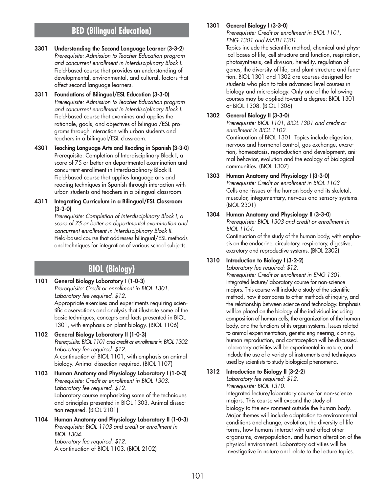## **BED (Bilingual Education)**

- **3301 Understanding the Second Language Learner (3-3-2)** *Prerequisite: Admission to Teacher Education program and concurrent enrollment in Interdisciplinary Block I.* Field-based course that provides an understanding of developmental, environmental, and cultural, factors that affect second language learners.
- **3311 Foundations of Bilingual/ESL Education (3-3-0)** *Prerequisite: Admission to Teacher Education program and concurrent enrollment in Interdisciplinary Block I.* Field-based course that examines and applies the rationale, goals, and objectives of bilingual/ESL programs through interaction with urban students and teachers in a bilingual/ESL classroom.
- **4301 Teaching Language Arts and Reading in Spanish (3-3-0)** Prerequisite: Completion of Interdisciplinary Block I, a score of 75 or better on departmental examination and concurrent enrollment in Interdisciplinary Block II. Field-based course that applies language arts and reading techniques in Spanish through interaction with urban students and teachers in a bilingual classroom.
- **4311 Integrating Curriculum in a Bilingual/ESL Classroom (3-3-0)**

*Prerequisite: Completion of Interdisciplinary Block I, a score of 75 or better on departmental examination and concurrent enrollment in Interdisciplinary Block II.* Field-based course that addresses bilingual/ESL methods and techniques for integration of various school subjects.

## **BIOL (Biology)**

**1101 General Biology Laboratory I (1-0-3)** *Prerequisite: Credit or enrollment in BIOL 1301. Laboratory fee required. \$12.* Appropriate exercises and experiments requiring scientific observations and analysis that illustrate some of the

basic techniques, concepts and facts presented in BIOL 1301, with emphasis on plant biology. (BIOL 1106)

- **1102 General Biology Laboratory II (1-0-3)** *Prerequisite: BIOL 1101 and credit or enrollment in BIOL 1302. Laboratory fee required. \$12.* A continuation of BIOL 1101, with emphasis on animal biology. Animal dissection required. (BIOL 1107)
- **1103 Human Anatomy and Physiology Laboratory I (1-0-3)** *Prerequisite: Credit or enrollment in BIOL 1303. Laboratory fee required. \$12.* Laboratory course emphasizing some of the techniques and principles presented in BIOL 1303. Animal dissection required. (BIOL 2101)
- **1104 Human Anatomy and Physiology Laboratory II (1-0-3)** *Prerequisite: BIOL 1103 and credit or enrollment in BIOL 1304. Laboratory fee required. \$12.* A continuation of BIOL 1103. (BIOL 2102)

#### **1301 General Biology I (3-3-0)**

*Prerequisite: Credit or enrollment in BIOL 1101, ENG 1301 and MATH 1301.*

Topics include the scientific method, chemical and physical bases of life, cell structure and function, respiration, photosynthesis, cell division, heredity, regulation of genes, the diversity of life, and plant structure and function. BIOL 1301 and 1302 are courses designed for students who plan to take advanced level courses in biology and microbiology. Only one of the following courses may be applied toward a degree: BIOL 1301 or BIOL 1308. (BIOL 1306)

#### **1302 General Biology II (3-3-0)**

*Prerequisite: BIOL 1101, BIOL 1301 and credit or enrollment in BIOL 1102.*

Continuation of BIOL 1301. Topics include digestion, nervous and hormonal control, gas exchange, excretion, homeostasis, reproduction and development, animal behavior, evolution and the ecology of biological communities. (BIOL 1307)

**1303 Human Anatomy and Physiology I (3-3-0)** *Prerequisite: Credit or enrollment in BIOL 1103* Cells and tissues of the human body and its skeletal, muscular, integumentary, nervous and sensory systems. (BIOL 2301)

**1304 Human Anatomy and Physiology II (3-3-0)** *Prerequisite: BIOL 1303 and credit or enrollment in BIOL 1104.*

Continuation of the study of the human body, with emphasis on the endocrine, circulatory, respiratory, digestive, excretory and reproductive systems. (BIOL 2302)

#### **1310 Introduction to Biology I (3-2-2)**

*Laboratory fee required: \$12. Prerequisite: Credit or enrollment in ENG 1301.* Integrated lecture/laboratory course for non-science majors. This course will include a study of the scientific method, how it compares to other methods of inquiry, and the relationship between science and technology. Emphasis will be placed on the biology of the individual including composition of human cells, the organization of the human body, and the functions of its organ systems. Issues related to animal experimentation, genetic engineering, cloning, human reproduction, and contraception will be discussed. Laboratory activities will be experimental in nature, and include the use of a variety of instruments and techniques used by scientists to study biological phenomena.

#### **1312 Introduction to Biology II (3-2-2)**

*Laboratory fee required: \$12.*

*Prerequisite: BIOL 1310.*

Integrated lecture/laboratory course for non-science majors. This course will expand the study of biology to the environment outside the human body. Major themes will include adaptation to environmental conditions and change, evolution, the diversity of life forms, how humans interact with and affect other organisms, overpopulation, and human alteration of the physical environment. Laboratory activities will be investigative in nature and relate to the lecture topics.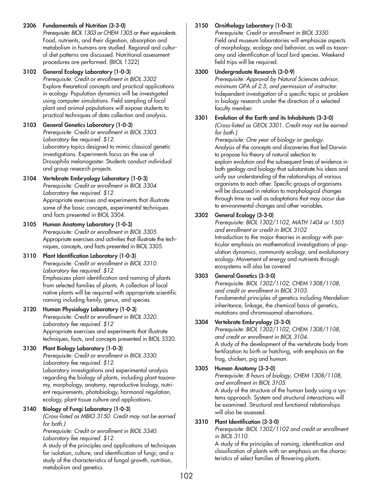**2306 Fundamentals of Nutrition (3-3-0)**

*Prerequisite: BIOL 1303 or CHEM 1305 or their equivalents.* Food, nutrients, and their digestion, absorption and metabolism in humans are studied. Regional and cultural diet patterns are discussed. Nutritional assessment procedures are performed. (BIOL 1322)

#### **3102 General Ecology Laboratory (1-0-3)** *Prerequisite: Credit or enrollment in BIOL 3302* Explore theoretical concepts and practical applications in ecology. Population dynamics will be investigated using computer simulations. Field sampling of local plant and animal populations will expose students to practical techniques of data collection and analysis.

**3103 General Genetics Laboratory (1-0-3)** *Prerequisite: Credit or enrollment in BIOL 3303. Laboratory fee required. \$12.* Laboratory topics designed to mimic classical genetic investigations. Experiments focus on the use of Drosophila melanogaster. Students conduct individual and group research projects.

## **3104 Vertebrate Embryology Laboratory (1-0-3)**

*Prerequisite: Credit or enrollment in BIOL 3304. Laboratory fee required. \$12.* Appropriate exercises and experiments that illustrate some of the basic concepts, experimental techniques and facts presented in BIOL 3304.

#### **3105 Human Anatomy Laboratory (1-0-3)** *Prerequisite: Credit or enrollment in BIOL 3305.* Appropriate exercises and activities that illustrate the techniques, concepts, and facts presented in BIOL 3305.

### **3110 Plant Identification Laboratory (1-0-3)**

*Prerequisite: Credit or enrollment in BIOL 3310. Laboratory fee required. \$12.* Emphasizes plant identification and naming of plants from selected families of plants. A collection of local native plants will be required with appropriate scientific naming including family, genus, and species.

### **3120 Human Physiology Laboratory (1-0-3)**

*Prerequisite: Credit or enrollment in BIOL 3320. Laboratory fee required. \$12* Appropriate exercises and experiments that illustrate techniques, facts, and concepts presented in BIOL 3320.

## **3130 Plant Biology Laboratory (1-0-3)**

*Prerequisite: Credit or enrollment in BIOL 3330. Laboratory fee required. \$12.* Laboratory investigations and experimental analysis regarding the biology of plants, including plant taxonomy, morphology, anatomy, reproductive biology, nutrient requirements, photobiology, hormonal regulation, ecology, plant tissue culture and applications.

### **3140 Biology of Fungi Laboratory (1-0-3)**

*(Cross-listed as MBIO 3150. Credit may not be earned for both.)*

*Prerequisite: Credit or enrollment in BIOL 3340. Laboratory fee required. \$12.*

A study of the principles and applications of techniques for isolation, culture, and identification of fungi; and a study of the characteristics of fungal growth, nutrition, metabolism and genetics.

## **3150 Ornithology Laboratory (1-0-3)**

*Prerequisite: Credit or enrollment in BIOL 3350.* Field and museum laboratories will emphasize aspects of morphology, ecology and behavior, as well as taxonomy and identification of local bird species. Weekend field trips will be required.

### **3300 Undergraduate Research (3-0-9)**

*Prerequisite: Approval by Natural Sciences advisor, minimum GPA of 2.5, and permission of instructor.* Independent investigation of a specific topic or problem in biology research under the direction of a selected faculty member.

#### **3301 Evolution of the Earth and its Inhabitants (3-3-0)** *(Cross-listed as GEOL 3301. Credit may not be earned for both.)*

*Prerequisite: One year of biology or geology.* Analysis of the concepts and discoveries that led Darwin to propose his theory of natural selection to explain evolution and the subsequent lines of evidence in both geology and biology that substantiate his ideas and unify our understanding of the relationships of various organisms to each other. Specific groups of organisms will be discussed in relation to morphological changes through time as well as adaptations that may occur due to environmental changes and other variables.

## **3302 General Ecology (3-3-0)**

*Prerequisite: BIOL 1302/1102, MATH 1404 or 1505 and enrollment or credit in BIOL 3102* Introduction to the major theories in ecology with particular emphasis on mathematical investigations of population dynamics, community ecology, and evolutionary ecology. Movement of energy and nutrients through ecosystems will also be covered

## **3303 General Genetics (3-3-0)**

*Prerequisite: BIOL 1302/1102, CHEM 1308/1108, and credit or enrollment in BIOL 3103.* Fundamental principles of genetics including Mendelian inheritance, linkage, the chemical basis of genetics, mutations and chromosomal aberrations.

## **3304 Vertebrate Embryology (3-3-0)**

*Prerequisite: BIOL 1302/1102, CHEM 1308/1108, and credit or enrollment in BIOL 3104.* A study of the development of the vertebrate body from fertilization to birth or hatching, with emphasis on the frog, chicken, pig and human.

## **3305 Human Anatomy (3-3-0)**

*Prerequisite: 8 hours of biology, CHEM 1308/1108, and enrollment in BIOL 3105.* A study of the structure of the human body using a systems approach. System and structural interactions will be examined. Structural and functional relationships will also be assessed.

### **3310 Plant Identification (3-3-0)**

*Prerequisite: BIOL 1302/1102 and credit or enrollment in BIOL 3110.*

A study of the principles of naming, identification and classification of plants with an emphasis on the characteristics of select families of flowering plants.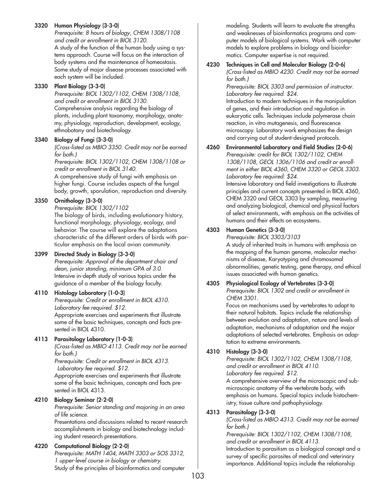#### **3320 Human Physiology (3-3-0)**

*Prerequisite: 8 hours of biology, CHEM 1308/1108 and credit or enrollment in BIOL 3120.* A study of the function of the human body using a systems approach. Course will focus on the interaction of body systems and the maintenance of homeostasis. Some study of major disease processes associated with each system will be included.

#### **3330 Plant Biology (3-3-0)**

*Prerequisite: BIOL 1302/1102, CHEM 1308/1108, and credit or enrollment in BIOL 3130.* Comprehensive analysis regarding the biology of plants, including plant taxonomy, morphology, anatomy, physiology, reproduction, development, ecology, ethnobotany and biotechnology.

#### **3340 Biology of Fungi (3-3-0)**

*(Cross-listed as MBIO 3350. Credit may not be earned for both.)*

*Prerequisite: BIOL 1302/1102, CHEM 1308/1108 or credit or enrollment in BIOL 3140.*

A comprehensive study of fungi with emphasis on higher fungi. Course includes aspects of the fungal body, growth, sporulation, reproduction and diversity.

#### **3350 Ornithology (3-3-0)**

*Prerequisite: BIOL 1302/1102* The biology of birds, including evolutionary history, functional morphology, physiology, ecology, and behavior. The course will explore the adaptations characteristic of the different orders of birds with particular emphasis on the local avian community.

#### **3399 Directed Study in Biology (3-3-0)**

*Prerequisite: Approval of the department chair and dean, junior standing, minimum GPA of 3.0.* Intensive in-depth study of various topics under the guidance of a member of the biology faculty.

#### **4110 Histology Laboratory (1-0-3)**

*Prerequisite: Credit or enrollment in BIOL 4310. Laboratory fee required. \$12.* Appropriate exercises and experiments that illustrate some of the basic techniques, concepts and facts presented in BIOL 4310.

#### **4113 Parasitology Laboratory (1-0-3)**

*(Cross-listed as MBIO 4113. Credit may not be earned for both.)*

*Prerequisite: Credit or enrollment in BIOL 4313. Laboratory fee required. \$12.*

Appropriate exercises and experiments that illustrate some of the basic techniques, concepts and facts presented in BIOL 4313.

#### **4210 Biology Seminar (2-2-0)**

*Prerequisite: Senior standing and majoring in an area of life science.*

Presentations and discussions related to recent research accomplishments in biology and biotechnology including student research presentations.

#### **4220 Computational Biology (2-2-0)**

*Prerequisite: MATH 1404, MATH 3303 or SOS 3312, 1 upper-level course in biology or chemistry.* Study of the principles of bioinformatics and computer

modeling. Students will learn to evaluate the strengths and weaknesses of bioinformatics programs and computer models of biological systems. Work with computer models to explore problems in biology and bioinformatics. Computer expertise is not required.

#### **4230 Techniques in Cell and Molecular Biology (2-0-6)** *(Cross-listed as MBIO 4230. Credit may not be earned*

*for both.)*

*Prerequisite: BIOL 3303 and permission of instructor. Laboratory fee required. \$24.*

Introduction to modern techniques in the manipulation of genes, and their introduction and regulation in eukaryotic cells. Techniques include polymerase chain reaction, in vitro mutagenesis, and fluorescence microscopy. Laboratory work emphasizes the design and carrying out of student-designed protocols.

### **4260 Environmental Laboratory and Field Studies (2-0-6)** *Prerequisite: credit for BIOL 1302/1102, CHEM 1308/1108, GEOL 1306/1106 and credit or enroll-*

*ment in either BIOL 4360, CHEM 3320 or GEOL 3303. Laboratory fee required: \$24.*

Intensive laboratory and field investigations to illustrate principles and current concepts presented in BIOL 4360, CHEM 3320 and GEOL 3303 by sampling, measuring and analyzing biological, chemical and physical factors of select environments, with emphasis on the activities of humans and their effects on ecosystems.

#### **4303 Human Genetics (3-3-0)**

*Prerequisite: BIOL 3303/3103*

A study of inherited traits in humans with emphasis on the mapping of the human genome, molecular mechanisms of disease, Karyotyping and chromosomal abnormalities, genetic testing, gene therapy, and ethical issues associated with human genetics.

#### **4305 Physiological Ecology of Vertebrates (3-3-0)**

*Prerequisite: BIOL 1302 and credit or enrollment in CHEM 3301.*

Focus on mechanisms used by vertebrates to adapt to their natural habitats. Topics include the relationship between evolution and adaptation, nature and levels of adaptation, mechanisms of adaptation and the major adaptations of selected vertebrates. Emphasis on adaptation to extreme environments.

#### **4310 Histology (3-3-0)**

*Prerequisite: BIOL 1302/1102, CHEM 1308/1108, and credit or enrollment in BIOL 4110. Laboratory fee required. \$12.*

A comprehensive overview of the microscopic and submicroscopic anatomy of the vertebrate body, with emphasis on humans. Special topics include histochemistry, tissue culture and pathophysiology.

#### **4313 Parasitology (3-3-0)**

*(Cross-listed as MBIO 4313. Credit may not be earned for both.)*

*Prerequisite: BIOL 1302/1102, CHEM 1308/1108, and credit or enrollment in BIOL 4113.* Introduction to parasitism as a biological concept and a survey of specific parasites of medical and veterinary importance. Additional topics include the relationship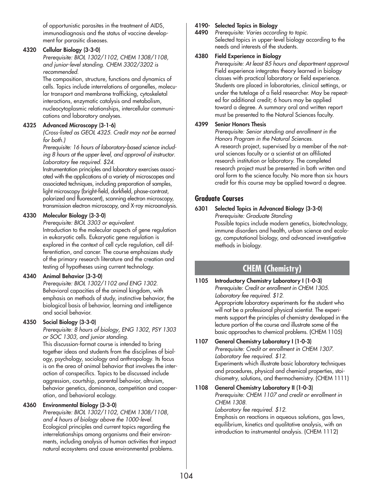of opportunistic parasites in the treatment of AIDS, immunodiagnosis and the status of vaccine development for parasitic diseases.

#### **4320 Cellular Biology (3-3-0)**

*Prerequisite: BIOL 1302/1102, CHEM 1308/1108, and junior-level standing. CHEM 3302/3202 is recommended.*

The composition, structure, functions and dynamics of cells. Topics include interrelations of organelles, molecular transport and membrane trafficking, cytoskeletal interactions, enzymatic catalysis and metabolism, nucleocytoplasmic relationships, intercellular communications and laboratory analyses.

#### **4325 Advanced Microscopy (3-1-6)**

*(Cross-listed as GEOL 4325. Credit may not be earned for both.)*

*Prerequisite: 16 hours of laboratory-based science including 8 hours at the upper level, and approval of instructor. Laboratory fee required. \$24.*

Instrumentation principles and laboratory exercises associated with the applications of a variety of microscopes and associated techniques, including preparation of samples, light microscopy (bright-field, darkfield, phase-contrast, polarized and fluorescent), scanning electron microscopy, transmission electron microscopy, and X-ray microanalysis.

#### **4330 Molecular Biology (3-3-0)**

*Prerequisite: BIOL 3303 or equivalent.*

Introduction to the molecular aspects of gene regulation in eukaryotic cells. Eukaryotic gene regulation is explored in the context of cell cycle regulation, cell differentiation, and cancer. The course emphasizes study of the primary research literature and the creation and testing of hypotheses using current technology.

#### **4340 Animal Behavior (3-3-0)**

*Prerequisite: BIOL 1302/1102 and ENG 1302.* Behavioral capacities of the animal kingdom, with emphasis on methods of study, instinctive behavior, the biological basis of behavior, learning and intelligence and social behavior.

#### **4350 Social Biology (3-3-0)**

*Prerequisite: 8 hours of biology, ENG 1302, PSY 1303 or SOC 1303, and junior standing.*

This discussion-format course is intended to bring together ideas and students from the disciplines of biology, psychology, sociology and anthropology. Its focus is on the area of animal behavior that involves the interaction of conspecifics. Topics to be discussed include aggression, courtship, parental behavior, altruism, behavior genetics, dominance, competition and cooperation, and behavioral ecology.

#### **4360 Environmental Biology (3-3-0)**

*Prerequisite: BIOL 1302/1102, CHEM 1308/1108, and 4 hours of biology above the 1000-level.* Ecological principles and current topics regarding the interrelationships among organisms and their environments, including analysis of human activities that impact natural ecosystems and cause environmental problems.

#### **4190- Selected Topics in Biology**

**4490** *Prerequisite: Varies according to topic.* Selected topics in upper-level biology according to the needs and interests of the students.

#### **4380 Field Experience in Biology**

*Prerequisite: At least 85 hours and department approval* Field experience integrates theory learned in biology classes with practical laboratory or field experience. Students are placed in laboratories, clinical settings, or under the tutelage of a field researcher. May be repeated for additional credit; 6 hours may be applied toward a degree. A summary oral and written report must be presented to the Natural Sciences faculty.

#### **4399 Senior Honors Thesis**

*Prerequisite: Senior standing and enrollment in the Honors Program in the Natural Sciences.* A research project, supervised by a member of the natural sciences faculty or a scientist at an affiliated research institution or laboratory. The completed research project must be presented in both written and oral form to the science faculty. No more than six hours

credit for this course may be applied toward a degree.

### **Graduate Courses**

**6301 Selected Topics in Advanced Biology (3-3-0)**

*Prerequisite: Graduate Standing* Possible topics include modern genetics, biotechnology, immune disorders and health, urban science and ecology, computational biology, and advanced investigative methods in biology.

## **CHEM (Chemistry)**

**1105 Introductory Chemistry Laboratory I (1-0-3)** *Prerequisite: Credit or enrollment in CHEM 1305. Laboratory fee required. \$12.* Appropriate laboratory experiments for the student who will not be a professional physical scientist. The experiments support the principles of chemistry developed in the lecture portion of the course and illustrate some of the basic approaches to chemical problems. (CHEM 1105)

## **1107 General Chemistry Laboratory I (1-0-3)**

*Prerequisite: Credit or enrollment in CHEM 1307. Laboratory fee required. \$12.* Experiments which illustrate basic laboratory techniques and procedures, physical and chemical properties, stoichiometry, solutions, and thermochemistry. (CHEM 1111)

#### **1108 General Chemistry Laboratory II (1-0-3)** *Prerequisite: CHEM 1107 and credit or enrollment in CHEM 1308.*

*Laboratory fee required. \$12.*

Emphasis on reactions in aqueous solutions, gas laws, equilibrium, kinetics and qualitative analysis, with an introduction to instrumental analysis. (CHEM 1112)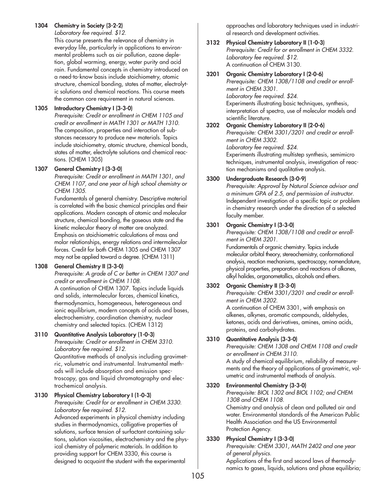#### **1304 Chemistry in Society (3-2-2)**

*Laboratory fee required. \$12.*

This course presents the relevance of chemistry in everyday life, particularly in applications to environmental problems such as air pollution, ozone depletion, global warming, energy, water purity and acid rain. Fundamental concepts in chemistry introduced on a need-to-know basis include stoichiometry, atomic structure, chemical bonding, states of matter, electrolytic solutions and chemical reactions. This course meets the common core requirement in natural sciences.

#### **1305 Introductory Chemistry I (3-3-0)**

*Prerequisite: Credit or enrollment in CHEM 1105 and credit or enrollment in MATH 1301 or MATH 1310.* The composition, properties and interaction of substances necessary to produce new materials. Topics include stoichiometry, atomic structure, chemical bonds, states of matter, electrolyte solutions and chemical reactions. (CHEM 1305)

#### **1307 General Chemistry I (3-3-0)**

*Prerequisite: Credit or enrollment in MATH 1301, and CHEM 1107, and one year of high school chemistry or CHEM 1305.*

Fundamentals of general chemistry. Descriptive material is correlated with the basic chemical principles and their applications. Modern concepts of atomic and molecular structure, chemical bonding, the gaseous state and the kinetic molecular theory of matter are analyzed. Emphasis on stoichiometric calculations of mass and molar relationships, energy relations and intermolecular forces. Credit for both CHEM 1305 and CHEM 1307 may not be applied toward a degree. (CHEM 1311)

#### **1308 General Chemistry II (3-3-0)**

*Prerequisite: A grade of C or better in CHEM 1307 and credit or enrollment in CHEM 1108.*

A continuation of CHEM 1307. Topics include liquids and solids, intermolecular forces, chemical kinetics, thermodynamics, homogeneous, heterogeneous and ionic equilibrium, modern concepts of acids and bases, electrochemistry, coordination chemistry, nuclear chemistry and selected topics. (CHEM 1312)

#### **3110 Quantitative Analysis Laboratory (1-0-3)**

*Prerequisite: Credit or enrollment in CHEM 3310. Laboratory fee required. \$12.* Quantitative methods of analysis including gravimetric, volumetric and instrumental. Instrumental methods will include absorption and emission spectroscopy, gas and liquid chromatography and elec-

#### **3130 Physical Chemistry Laboratory I (1-0-3)**

trochemical analysis.

*Prerequisite: Credit for or enrollment in CHEM 3330. Laboratory fee required. \$12.*

Advanced experiments in physical chemistry including studies in thermodynamics, colligative properties of solutions, surface tension of surfactant containing solutions, solution viscosities, electrochemistry and the physical chemistry of polymeric materials. In addition to providing support for CHEM 3330, this course is designed to acquaint the student with the experimental

approaches and laboratory techniques used in industrial research and development activities.

#### **3132 Physical Chemistry Laboratory II (1-0-3)** *Prerequisite: Credit for or enrollment in CHEM 3332. Laboratory fee required. \$12.* A continuation of CHEM 3130.

#### **3201 Organic Chemistry Laboratory I (2-0-6)**

*Prerequisite: CHEM 1308/1108 and credit or enrollment in CHEM 3301. Laboratory fee required. \$24.* Experiments illustrating basic techniques, synthesis, interpretation of spectra, use of molecular models and scientific literature.

#### **3202 Organic Chemistry Laboratory II (2-0-6)**

*Prerequisite: CHEM 3301/3201 and credit or enrollment in CHEM 3302. Laboratory fee required. \$24.* Experiments illustrating multistep synthesis, semimicro techniques, instrumental analysis, investigation of reaction mechanisms and qualitative analysis.

#### **3300 Undergraduate Research (3-0-9)**

*Prerequisite: Approval by Natural Science advisor and a minimum GPA of 2.5, and permission of instructor.* Independent investigation of a specific topic or problem in chemistry research under the direction of a selected faculty member.

#### **3301 Organic Chemistry I (3-3-0)**

*Prerequisite: CHEM 1308/1108 and credit or enrollment in CHEM 3201.*

Fundamentals of organic chemistry. Topics include molecular orbital theory, stereochemistry, conformational analysis, reaction mechanisms, spectroscopy, nomenclature, physical properties, preparation and reactions of alkanes, alkyl halides, organometallics, alcohols and ethers.

#### **3302 Organic Chemistry II (3-3-0)**

*Prerequisite: CHEM 3301/3201 and credit or enrollment in CHEM 3202.*

A continuation of CHEM 3301, with emphasis on alkenes, alkynes, aromatic compounds, aldehydes, ketones, acids and derivatives, amines, amino acids, proteins, and carbohydrates.

#### **3310 Quantitative Analysis (3-3-0)**

*Prerequisite: CHEM 1308 and CHEM 1108 and credit or enrollment in CHEM 3110.* A study of chemical equilibrium, reliability of measurements and the theory of applications of gravimetric, volumetric and instrumental methods of analysis.

#### **3320 Environmental Chemistry (3-3-0)**

*Prerequisite: BIOL 1302 and BIOL 1102; and CHEM 1308 and CHEM 1108.*

Chemistry and analysis of clean and polluted air and water. Environmental standards of the American Public Health Association and the US Environmental Protection Agency.

#### **3330 Physical Chemistry I (3-3-0)**

*Prerequisite: CHEM 3301, MATH 2402 and one year of general physics.*

Applications of the first and second laws of thermodynamics to gases, liquids, solutions and phase equilibria;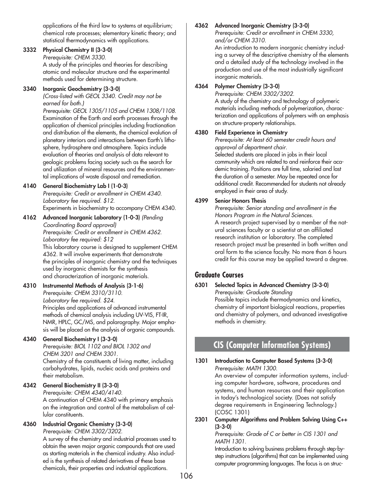applications of the third law to systems at equilibrium; chemical rate processes; elementary kinetic theory; and statistical thermodynamics with applications.

## **3332 Physical Chemistry II (3-3-0)**

*Prerequisite: CHEM 3330.*

A study of the principles and theories for describing atomic and molecular structure and the experimental methods used for determining structure.

## **3340 Inorganic Geochemistry (3-3-0)**

*(Cross-listed with GEOL 3340. Credit may not be earned for both.)*

*Prerequisite: GEOL 1305/1105 and CHEM 1308/1108.* Examination of the Earth and earth processes through the application of chemical principles including fractionation and distribution of the elements, the chemical evolution of planetary interiors and interactions between Earth's lithosphere, hydrosphere and atmosphere. Topics include evaluation of theories and analysis of data relevant to geologic problems facing society such as the search for and utilization of mineral resources and the environmental implications of waste disposal and remediation.

## **4140 General Biochemistry Lab I (1-0-3)**

*Prerequisite: Credit or enrollment in CHEM 4340. Laboratory fee required. \$12.* Experiments in biochemistry to accompany CHEM 4340.

**4162 Advanced Inorganic Laboratory (1-0-3)** *(Pending Coordinating Board approval) Prerequisite: Credit or enrollment in CHEM 4362. Laboratory fee required: \$12* This laboratory course is designed to supplement CHEM 4362. It will involve experiments that demonstrate the principles of inorganic chemistry and the techniques used by inorganic chemists for the synthesis and characterization of inorganic materials.

#### **4310 Instrumental Methods of Analysis (3-1-6)** *Prerequisite: CHEM 3310/3110. Laboratory fee required. \$24.* Principles and applications of advanced instrumental methods of chemical analysis including UV-VIS, FT-IR, NMR, HPLC, GC/MS, and polarography. Major emphasis will be placed on the analysis of organic compounds.

## **4340 General Biochemistry I (3-3-0)**

*Prerequisite: BIOL 1102 and BIOL 1302 and CHEM 3201 and CHEM 3301.* Chemistry of the constituents of living matter, including carbohydrates, lipids, nucleic acids and proteins and their metabolism.

## **4342 General Biochemistry II (3-3-0)**

*Prerequisite: CHEM 4340/4140.* A continuation of CHEM 4340 with primary emphasis on the integration and control of the metabolism of cellular constituents.

# **4360 Industrial Organic Chemistry (3-3-0)**

*Prerequisite: CHEM 3302/3202.*

A survey of the chemistry and industrial processes used to obtain the seven major organic compounds that are used as starting materials in the chemical industry. Also included is the synthesis of related derivatives of these base chemicals, their properties and industrial applications.

# **4362 Advanced Inorganic Chemistry (3-3-0)**

*Prerequisite: Credit or enrollment in CHEM 3330, and/or CHEM 3310.*

An introduction to modern inorganic chemistry including a survey of the descriptive chemistry of the elements and a detailed study of the technology involved in the production and use of the most industrially significant inorganic materials.

# **4364 Polymer Chemistry (3-3-0)**

*Prerequisite: CHEM 3302/3202.*

A study of the chemistry and technology of polymeric materials including methods of polymerization, characterization and applications of polymers with an emphasis on structure-property relationships.

# **4380 Field Experience in Chemistry**

*Prerequisite: At least 60 semester credit hours and approval of department chair.* Selected students are placed in jobs in their local community which are related to and reinforce their academic training. Positions are full time, salaried and last the duration of a semester. May be repeated once for additional credit. Recommended for students not already employed in their area of study.

## **4399 Senior Honors Thesis**

*Prerequisite: Senior standing and enrollment in the Honors Program in the Natural Sciences.* A research project supervised by a member of the natural sciences faculty or a scientist at an affiliated research institution or laboratory. The completed research project must be presented in both written and oral form to the science faculty. No more than 6 hours credit for this course may be applied toward a degree.

# **Graduate Courses**

**6301 Selected Topics in Advanced Chemistry (3-3-0)** *Prerequisite: Graduate Standing* Possible topics include thermodynamics and kinetics, chemistry of important biological reactions, properties and chemistry of polymers, and advanced investigative methods in chemistry.

# **CIS (Computer Information Systems)**

**1301 Introduction to Computer Based Systems (3-3-0)** *Prerequisite: MATH 1300.* An overview of computer information systems, includ-

ing computer hardware, software, procedures and systems, and human resources and their application in today's technological society. (Does not satisfy degree requirements in Engineering Technology.) (COSC 1301)

## **2301 Computer Algorithms and Problem Solving Using C++ (3-3-0)**

*Prerequisite: Grade of C or better in CIS 1301 and MATH 1301.*

Introduction to solving business problems through step-bystep instructions (algorithms) that can be implemented using computer programming languages. The focus is on struc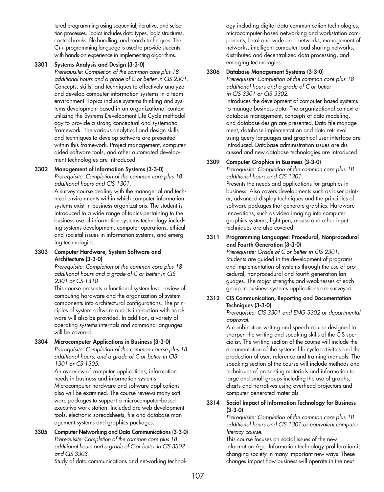tured programming using sequential, iterative, and selection processes. Topics includes data types, logic structures, control breaks, file handling, and search techniques. The C++ programming language is used to provide students with hands-on experience in implementing algorithms.

#### **3301 Systems Analysis and Design (3-3-0)**

*Prerequisite: Completion of the common core plus 18 additional hours and a grade of C or better in CIS 2301.* Concepts, skills, and techniques to effectively analyze and develop computer information systems in a team environment. Topics include systems thinking and systems development based in an organizational context utilizing the Systems Development Life Cycle methodology to provide a strong conceptual and systematic framework. The various analytical and design skills and techniques to develop software are presented within this framework. Project management, computeraided software tools, and other automated development technologies are introduced.

## **3302 Management of Information Systems (3-3-0)**

*Prerequisite: Completion of the common core plus 18 additional hours and CIS 1301.*

A survey course dealing with the managerial and technical environments within which computer information systems exist in business organizations. The student is introduced to a wide range of topics pertaining to the business use of information systems technology including systems development, computer operations, ethical and societal issues in information systems, and emerging technologies.

#### **3303 Computer Hardware, System Software and Architecture (3-3-0)**

*Prerequisite: Completion of the common core plus 18 additional hours and a grade of C or better in CIS 2301 or CS 1410.*

This course presents a functional system level review of computing hardware and the organization of system components into architectural configurations. The principles of system software and its interaction with hardware will also be provided. In addition, a variety of operating systems internals and command languages will be covered.

#### **3304 Microcomputer Applications in Business (3-3-0)** *Prerequisite: Completion of the common course plus 18 additional hours, and a grade of C or better in CIS 1301 or CS 1305.*

An overview of computer applications, information needs in business and information systems. Microcomputer hardware and software applications also will be examined. The course reviews many software packages to support a microcomputer-based executive work station. Included are web development tools, electronic spreadsheets, file and database management systems and graphics packages.

**3305 Computer Networking and Data Communications (3-3-0)** *Prerequisite: Completion of the common core plus 18 additional hours and a grade of C or better in CIS 3302 and CIS 3303.*

Study of data communications and networking technol-

ogy including digital data communication technologies, microcomputer-based networking and workstation components, local and wide area networks, management of networks, intelligent computer load sharing networks, distributed and decentralized data processing, and emerging technologies.

#### **3306 Database Management Systems (3-3-0)**

*Prerequisite: Completion of the common core plus 18 additional hours and a grade of C or better in CIS 3301 or CIS 3302.*

Introduces the development of computer-based systems to manage business data. The organizational context of database management, concepts of data modeling, and database design are presented. Data file management, database implementation and data retrieval using query languages and graphical user interface are introduced. Database administration issues are discussed and new database technologies are introduced.

#### **3309 Computer Graphics in Business (3-3-0)**

*Prerequisite: Completion of the common core plus 18 additional hours and CIS 1301.*

Presents the needs and applications for graphics in business. Also covers developments such as laser printer, advanced display techniques and the principles of software packages that generate graphics. Hardware innovations, such as video imaging into computer graphics systems, light pen, mouse and other input techniques are also covered.

#### **3311 Programming Languages: Procedural, Nonprocedural and Fourth Generation (3-3-0)**

*Prerequisite: Grade of C or better in CIS 2301.* Students are guided in the development of programs and implementation of systems through the use of procedural, nonprocedural and fourth generation languages. The major strengths and weaknesses of each group in business systems applications are surveyed.

## **3312 CIS Communication, Reporting and Documentation Techniques (3-3-0)**

*Prerequisite: CIS 3301 and ENG 3302 or departmental approval.*

A combination writing and speech course designed to sharpen the writing and speaking skills of the CIS specialist. The writing section of the course will include the documentation of the systems life cycle activities and the production of user, reference and training manuals. The speaking section of the course will include methods and techniques of presenting materials and information to large and small groups including the use of graphs, charts and narratives using overhead projectors and computer-generated materials.

#### **3314 Social Impact of Information Technology for Business (3-3-0)**

*Prerequisite: Completion of the common core plus 18 additional hours and CIS 1301 or equivalent computer literacy course.*

This course focuses on social issues of the new Information Age. Information technology proliferation is changing society in many important new ways. These changes impact how business will operate in the next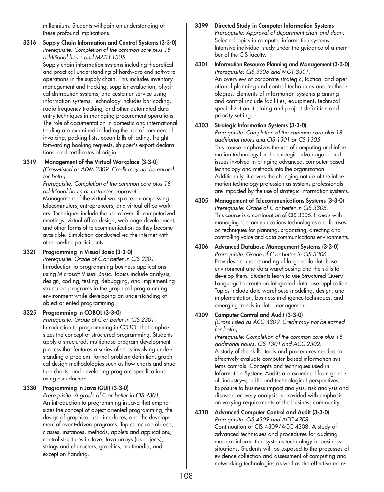millennium. Students will gain an understanding of these profound implications.

**3316 Supply Chain Information and Control Systems (3-3-0)**  *Prerequisite: Completion of the common core plus 18 additional hours and MATH 1305.* Supply chain information systems including theoretical and practical understanding of hardware and software operations in the supply chain. This includes inventory management and tracking, supplier evaluation, physical distribution systems, and customer service using information systems. Technology includes bar coding, radio frequency tracking, and other automated data entry techniques in managing procurement operations. The role of documentation in domestic and international trading are examined including the use of commercial invoicing, packing lists, ocean bills of lading, freight forwarding booking requests, shipper's export declarations, and certificates of origin.

## **3319 Management of the Virtual Workplace (3-3-0)**

*(Cross-listed as ADM 3309. Credit may not be earned for both.)*

*Prerequisite: Completion of the common core plus 18 additional hours or instructor approval.*

Management of the virtual workplace encompassing telecommuters, entrepreneurs, and virtual office workers. Techniques include the use of e-mail, computerized meetings, virtual office design, web page development, and other forms of telecommunication as they become available. Simulation conducted via the Internet with other on-line participants.

## **3321 Programming in Visual Basic (3-3-0)**

*Prerequisite: Grade of C or better in CIS 2301.* Introduction to programming business applications using Microsoft Visual Basic. Topics include analysis, design, coding, testing, debugging, and implementing structured programs in the graphical programming environment while developing an understanding of object oriented programming.

## **3325 Programming in COBOL (3-3-0)**

*Prerequisite: Grade of C or better in CIS 2301.* Introduction to programming in COBOL that emphasizes the concept of structured programming. Students apply a structured, multiphase program development process that features a series of steps involving understanding a problem, formal problem definition, graphical design methodologies such as flow charts and structure charts, and developing program specifications using pseudocode.

## **3330 Programming in Java (GUI) (3-3-0)**

*Prerequisite: A grade of C or better in CIS 2301.* An introduction to programming in Java that emphasizes the concept of object oriented programming, the design of graphical user interfaces, and the development of event-driven programs. Topics include objects, classes, instances, methods, applets and applications, control structures in Jave, Java arrays (as objects), strings and characters, graphics, multimedia, and exception handing.

- **3399 Directed Study in Computer Information Systems** *Prerequisite: Approval of department chair and dean.* Selected topics in computer information systems. Intensive individual study under the guidance of a member of the CIS faculty.
- **4301 Information Resource Planning and Management (3-3-0)** *Prerequisite: CIS 3306 and MGT 3301.* An overview of corporate strategic, tactical and operational planning and control techniques and methodologies. Elements of information systems planning and control include facilities, equipment, technical specialization, training and project definition and priority setting.
- **4303 Strategic Information Systems (3-3-0)** *Prerequisite: Completion of the common core plus 18 additional hours and CIS 1301 or CS 1305.* This course emphasizes the use of computing and information technology for the strategic advantage of and issues involved in bringing advanced, computer-based technology and methods into the organization. Additionally, it covers the changing nature of the information technology profession as systems professionals are impacted by the use of strategic information systems.
- **4305 Management of Telecommunications Systems (3-3-0)** *Prerequisite: Grade of C or better in CIS 3305.* This course is a continuation of CIS 3305. It deals with managing telecommunications technologies and focuses on techniques for planning, organizing, directing and controlling voice and data communications environments.
- **4306 Advanced Database Management Systems (3-3-0)**  *Prerequisite: Grade of C or better in CIS 3306.* Provides an understanding of large scale database environment and data warehousing and the skills to develop them. Students learn to use Structured Query Language to create an integrated database application. Topics include data warehouse modeling, design, and implementation; business intelligence techniques, and emerging trends in data management.

# **4309 Computer Control and Audit (3-3-0)**

*(Cross-listed as ACC 4309. Credit may not be earned for both.)*

*Prerequisite: Completion of the common core plus 18 additional hours, CIS 1301 and ACC 2302.* A study of the skills, tools and procedures needed to effectively evaluate computer-based information systems controls. Concepts and techniques used in Information Systems Audits are examined from general, industry-specific and technological perspectives. Exposure to business impact analysis, risk analysis and disaster recovery analysis is provided with emphasis on varying requirements of the business community.

**4310 Advanced Computer Control and Audit (3-3-0)** *Prerequisite: CIS 4309 and ACC 4308.* Continuation of CIS 4309/ACC 4308. A study of advanced techniques and procedures for auditing modern information systems technology in business situations. Students will be exposed to the processes of evidence collection and assessment of computing and networking technologies as well as the effective man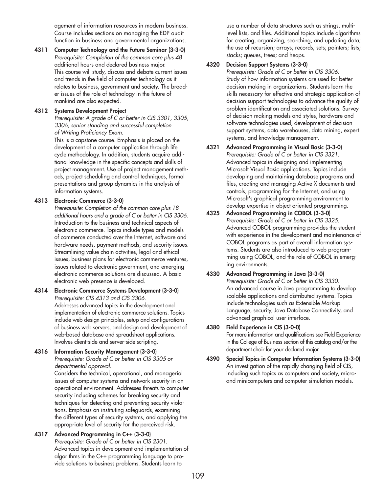agement of information resources in modern business. Course includes sections on managing the EDP audit function in business and governmental organizations.

**4311 Computer Technology and the Future Seminar (3-3-0)** *Prerequisite: Completion of the common core plus 48* additional hours and declared business major. This course will study, discuss and debate current issues and trends in the field of computer technology as it relates to business, government and society. The broader issues of the role of technology in the future of mankind are also expected.

#### **4312 Systems Development Project**

*Prerequisite: A grade of C or better in CIS 3301, 3305, 3306, senior standing and successful completion of Writing Proficiency Exam.*

This is a capstone course. Emphasis is placed on the development of a computer application through life cycle methodology. In addition, students acquire additional knowledge in the specific concepts and skills of project management. Use of project management methods, project scheduling and control techniques, formal presentations and group dynamics in the analysis of information systems.

## **4313 Electronic Commerce (3-3-0)**

*Prerequisite: Completion of the common core plus 18 additional hours and a grade of C or better in CIS 3306.* Introduction to the business and technical aspects of electronic commerce. Topics include types and models of commerce conducted over the Internet, software and hardware needs, payment methods, and security issues. Streamlining value chain activities, legal and ethical issues, business plans for electronic commerce ventures, issues related to electronic government, and emerging electronic commerce solutions are discussed. A basic electronic web presence is developed.

- **4314 Electronic Commerce Systems Development (3-3-0)** *Prerequisite: CIS 4313 and CIS 3306.* Addresses advanced topics in the development and implementation of electronic commerce solutions. Topics include web design principles, setup and configurations of business web servers, and design and development of web-based database and spreadsheet applications. Involves client-side and server-side scripting.
- **4316 Information Security Management (3-3-0)** *Prerequisite: Grade of C or better in CIS 3305 or departmental approval.*

Considers the technical, operational, and managerial issues of computer systems and network security in an operational environment. Addresses threats to computer security including schemes for breaking security and techniques for detecting and preventing security violations. Emphasis on instituting safeguards, examining the different types of security systems, and applying the appropriate level of security for the perceived risk.

#### **4317 Advanced Programming in C++ (3-3-0)**  *Prerequisite: Grade of C or better in CIS 2301.* Advanced topics in development and implementation of algorithms in the C++ programming language to provide solutions to business problems. Students learn to

use a number of data structures such as strings, multilevel lists, and files. Additional topics include algorithms for creating, organizing, searching, and updating data; the use of recursion; arrays; records; sets; pointers; lists; stacks; queues, trees; and heaps.

## **4320 Decision Support Systems (3-3-0)**

*Prerequisite: Grade of C or better in CIS 3306.* Study of how information systems are used for better decision making in organizations. Students learn the skills necessary for effective and strategic application of decision support technologies to advance the quality of problem identification and associated solutions. Survey of decision making models and styles, hardware and software technologies used, development of decision support systems, data warehouses, data mining, expert systems, and knowledge management.

- **4321 Advanced Programming in Visual Basic (3-3-0)**  *Prerequisite: Grade of C or better in CIS 3321.* Advanced topics in designing and implementing Microsoft Visual Basic applications. Topics include developing and maintaining database programs and files, creating and managing Active X documents and controls, programming for the Internet, and using Microsoft's graphical programming environment to develop expertise in object oriented programming.
- **4325 Advanced Programming in COBOL (3-3-0)**  *Prerequisite: Grade of C or better in CIS 3325.* Advanced COBOL programming provides the student with experience in the development and maintenance of COBOL programs as part of overall information systems. Students are also introduced to web programming using COBOL, and the role of COBOL in emerging environments.
- **4330 Advanced Programming in Java (3-3-0)**  *Prerequisite: Grade of C or better in CIS 3330.* An advanced course in Java programming to develop scalable applications and distributed systems. Topics include technologies such as Extensible Markup Language, security, Java Database Connectivity, and advanced graphical user interface.
- **4380 Field Experience in CIS (3-0-0)** For more information and qualifications see Field Experience in the College of Business section of this catalog and/or the department chair for your declared major.
- **4390 Special Topics in Computer Information Systems (3-3-0)** An investigation of the rapidly changing field of CIS, including such topics as computers and society, microand minicomputers and computer simulation models.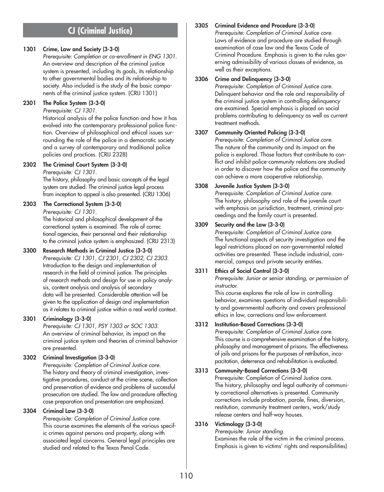# **CJ (Criminal Justice)**

## **1301 Crime, Law and Society (3-3-0)**

*Prerequisite: Completion or co-enrollment in ENG 1301.* An overview and description of the criminal justice system is presented, including its goals, its relationship to other governmental bodies and its relationship to society. Also included is the study of the basic components of the criminal justice system. (CRIJ 1301)

**2301 The Police System (3-3-0)**

*Prerequisite: CJ 1301.*

Historical analysis of the police function and how it has evolved into the contemporary professional police function. Overview of philosophical and ethical issues surrounding the role of the police in a democratic society and a survey of contemporary and traditional police policies and practices. (CRIJ 2328)

## **2302 The Criminal Court System (3-3-0)**

*Prerequisite: CJ 1301.*

The history, philosophy and basic concepts of the legal system are studied. The criminal justice legal process from inception to appeal is also presented. (CRIJ 1306)

## **2303 The Correctional System (3-3-0)**

*Prerequisite: CJ 1301.*

The historical and philosophical development of the correctional system is examined. The role of correc tional agencies, their personnel and their relationship to the criminal justice system is emphasized. (CRIJ 2313)

## **3300 Research Methods in Criminal Justice (3-3-0)**

*Prerequisite: CJ 1301, CJ 2301, CJ 2302, CJ 2303.* Introduction to the design and implementation of research in the field of criminal justice. The principles of research methods and design for use in policy analysis, content analysis and analysis of secondary data will be presented. Considerable attention will be given to the application of design and implementation as it relates to criminal justice within a real world context.

## **3301 Criminology (3-3-0)**

*Prerequisite: CJ 1301, PSY 1303 or SOC 1303.* An overview of criminal behavior, its impact on the criminal justice system and theories of criminal behavior are presented.

## **3302 Criminal Investigation (3-3-0)**

*Prerequisite: Completion of Criminal Justice core.* The history and theory of criminal investigation, investigative procedures, conduct at the crime scene, collection and preservation of evidence and problems of successful prosecution are studied. The law and procedure affecting case preparation and presentation are emphasized.

## **3304 Criminal Law (3-3-0)**

*Prerequisite: Completion of Criminal Justice core.* This course examines the elements of the various specific crimes against persons and property, along with associated legal concerns. General legal principles are studied and related to the Texas Penal Code.

## **3305 Criminal Evidence and Procedure (3-3-0)**

*Prerequisite: Completion of Criminal Justice core.* Laws of evidence and procedure are studied through examination of case law and the Texas Code of Criminal Procedure. Emphasis is given to the rules governing admissibility of various classes of evidence, as well as their exceptions.

## **3306 Crime and Delinquency (3-3-0)**

*Prerequisite: Completion of Criminal Justice core.* Delinquent behavior and the role and responsibility of the criminal justice system in controlling delinquency are examined. Special emphasis is placed on social problems contributing to delinquency as well as current treatment methods.

## **3307 Community Oriented Policing (3-3-0)**

*Prerequisite: Completion of Criminal Justice core.* The nature of the community and its impact on the police is explored. Those factors that contribute to conflict and inhibit police-community relations are studied in order to discover how the police and the community can achieve a more cooperative relationship.

## **3308 Juvenile Justice System (3-3-0)**

*Prerequisite: Completion of Criminal Justice core.* The history, philosophy and role of the juvenile court with emphasis on jurisdiction, treatment, criminal proceedings and the family court is presented.

## **3309 Security and the Law (3-3-0)**

*Prerequisite: Completion of Criminal Justice core.* The functional aspects of security investigation and the legal restrictions placed on non-governmental related activities are presented. These include industrial, commercial, campus and private security entities.

## **3311 Ethics of Social Control (3-3-0)**

*Prerequisite: Junior or senior standing, or permission of instructor.*

This course explores the role of law in controlling behavior, examines questions of individual responsibility and governmental authority and covers professional ethics in law, corrections and law enforcement.

## **3312 Institution-Based Corrections (3-3-0)**

*Prerequisite: Completion of Criminal Justice core.* This course is a comprehensive examination of the history, philosophy and management of prisons. The effectiveness of jails and prisons for the purposes of retribution, incapacitation, deterrence and rehabilitation is evaluated.

## **3313 Community-Based Corrections (3-3-0)**

Prerequisite: Completion of Criminal Justice core. The history, philosophy and legal authority of community correctional alternatives is presented. Community corrections include probation, parole, fines, diversion, restitution, community treatment centers, work/study release centers and half-way houses.

## **3316 Victimology (3-3-0)**

*Prerequisite: Junior standing.*

Examines the role of the victim in the criminal process. Emphasis is given to victims' rights and responsibilities)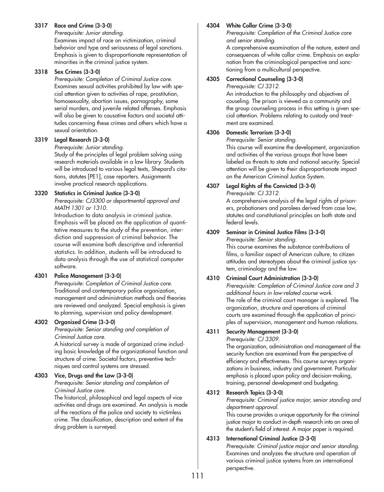#### **3317 Race and Crime (3-3-0)**

*Prerequisite: Junior standing.*

Examines impact of race on victimization, criminal behavior and type and seriousness of legal sanctions. Emphasis is given to disproportionate representation of minorities in the criminal justice system.

#### **3318 Sex Crimes (3-3-0)**

*Prerequisite: Completion of Criminal Justice core.* Examines sexual activities prohibited by law with special attention given to activities of rape, prostitution, homosexuality, abortion issues, pornography, some serial murders, and juvenile related offenses. Emphasis will also be given to causative factors and societal attitudes concerning these crimes and others which have a sexual orientation.

## **3319 Legal Research (3-3-0)**

*Prerequisite: Junior standing.*

Study of the principles of legal problem solving using research materials available in a law library. Students will be introduced to various legal texts, Shepard's citations, statutes [PE1], case reporters. Assignments involve practical research applications.

#### **3320 Statistics in Criminal Justice (3-3-0)**

*Prerequisite: CJ3300 or departmental approval and MATH 1301 or 1310.*

Introduction to data analysis in criminal justice. Emphasis will be placed on the application of quantitative measures to the study of the prevention, interdiction and suppression of criminal behavior. The course will examine both descriptive and inferential statistics. In addition, students will be introduced to data analysis through the use of statistical computer software.

## **4301 Police Management (3-3-0)**

*Prerequisite: Completion of Criminal Justice core.* Traditional and contemporary police organization, management and administration methods and theories are reviewed and analyzed. Special emphasis is given to planning, supervision and policy development.

#### **4302 Organized Crime (3-3-0)**

*Prerequisite: Senior standing and completion of Criminal Justice core.*

A historical survey is made of organized crime including basic knowledge of the organizational function and structure of crime. Societal factors, preventive techniques and control systems are stressed.

## **4303 Vice, Drugs and the Law (3-3-0)**

*Prerequisite: Senior standing and completion of Criminal Justice core.*

The historical, philosophical and legal aspects of vice activities and drugs are examined. An analysis is made of the reactions of the police and society to victimless crime. The classification, description and extent of the drug problem is surveyed.

#### **4304 White Collar Crime (3-3-0)**

*Prerequisite: Completion of the Criminal Justice core and senior standing.*

A comprehensive examination of the nature, extent and consequences of white collar crime. Emphasis on explanation from the criminological perspective and sanctioning from a multicultural perspective.

## **4305 Correctional Counseling (3-3-0)**

*Prerequisite: CJ 3312.*

An introduction to the philosophy and objectives of couseling. The prison is viewed as a community and the group counseling process in this setting is given special attention. Problems relating to custody and treatment are examined.

## **4306 Domestic Terrorism (3-3-0)**

*Prerequisite: Senior standing.*

This course will examine the development, organization and activities of the various groups that have been labeled as threats to state and national security. Special attention will be given to their disproportionate impact on the American Criminal Justice System.

#### **4307 Legal Rights of the Convicted (3-3-0)**

*Prerequisite: CJ 3312.*

A comprehensive analysis of the legal rights of prisoners, probationers and parolees derived from case law, statutes and constitutional principles on both state and federal levels.

### **4309 Seminar in Criminal Justice Films (3-3-0)**

*Prerequisite: Senior standing.*

This course examines the substance contributions of films, a familiar aspect of American culture, to citizen attitudes and stereotypes about the criminal justice system, criminology and the law.

### **4310 Criminal Court Administration (3-3-0)**

*Prerequisite: Completion of Criminal Justice core and 3 additional hours in law-related course work.* The role of the criminal court manager is explored. The organization, structure and operations of criminal courts are examined through the application of principles of supervision, management and human relations.

## **4311 Security Management (3-3-0)**

*Prerequisite: CJ 3309.*

The organization, administration and management of the security function are examined from the perspective of efficiency and effectiveness. This course surveys organizations in business, industry and government. Particular emphasis is placed upon policy and decision-making, training, personnel development and budgeting.

## **4312 Research Topics (3-3-0)**

*Prerequisite: Criminal justice major, senior standing and department approval.*

This course provides a unique opportunity for the criminal justice major to conduct in-depth research into an area of the student's field of interest. A major paper is required.

#### **4313 International Criminal Justice (3-3-0)**

*Prerequisite: Criminal justice major and senior standing.* Examines and analyzes the structure and operation of various criminal justice systems from an international perspective.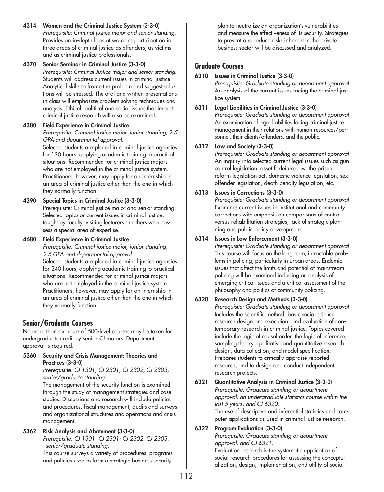- **4314 Women and the Criminal Justice System (3-3-0)** *Prerequisite: Criminal justice major and senior standing.* Provides an in-depth look at women's participation in three areas of criminal justice-as offenders, as victims and as criminal justice professionals.
- **4370 Senior Seminar in Criminal Justice (3-3-0)** *Prerequisite: Criminal Justice major and senior standing.* Students will address current issues in criminal justice. Analytical skills to frame the problem and suggest solutions will be stressed. The oral and written presentations in class will emphasize problem solving techniques and analysis. Ethical, political and social issues that impact criminal justice research will also be examined.

## **4380 Field Experience in Criminal Justice**

*Prerequisite: Criminal justice major, junior standing, 2.5 GPA and departmental approval.*

Selected students are placed in criminal justice agencies for 120 hours, applying academic training to practical situations. Recommended for criminal justice majors who are not employed in the criminal justice system. Practitioners, however, may apply for an internship in an area of criminal justice other than the one in which they normally function.

**4390 Special Topics in Criminal Justice (3-3-0)**

Prerequisite: Criminal justice major and senior standing. Selected topics or current issues in criminal justice, taught by faculty, visiting lecturers or others who possess a special area of expertise.

## **4680 Field Experience in Criminal Justice**

*Prerequisite: Criminal justice major, junior standing, 2.5 GPA and departmental approval.* Selected students are placed in criminal justice agencies for 240 hours, applying academic training to practical situations. Recommended for criminal justice majors who are not employed in the criminal justice system. Practitioners, however, may apply for an internship in an area of criminal justice other than the one in which they normally function.

# **Senior/Graduate Courses**

No more than six hours of 500-level courses may be taken for undergraduate credit by senior CJ majors. Department approval is required.

## **5360 Security and Crisis Management: Theories and Practices (3-3-0)**

*Prerequisite: CJ 1301, CJ 2301, CJ 2302, CJ 2303, senior/graduate standing.*

The management of the security function is examined through the study of management strategies and case studies. Discussions and research will include policies and procedures, fiscal management, audits and surveys and organizational structures and operations and crisis management.

## **5362 Risk Analysis and Abatement (3-3-0)**

*Prerequisite: CJ 1301, CJ 2301; CJ 2302, CJ 2303, senior/graduate standing.*

This course surveys a variety of procedures, programs and policies used to form a strategic business security

plan to neutralize an organization's vulnerabilities and measure the effectiveness of its security. Strategies to prevent and reduce risks inherent in the private business sector will be discussed and analyzed.

## **Graduate Courses**

## **6310 Issues in Criminal Justice (3-3-0)**

*Prerequisite: Graduate standing or department approval* An analysis of the current issues facing the criminal justice system.

**6311 Legal Liabilities in Criminal Justice (3-3-0)**

*Prerequisite: Graduate standing or department approval* An examination of legal liabilities facing criminal justice management in their relations with human resources/personnel, their clients/offenders, and the public.

## **6312 Law and Society (3-3-0)**

*Prerequisite: Graduate standing or department approval* An inquiry into selected current legal issues such as gun control legislation, asset forfeiture law, the prison reform legislation act, domestic violence legislation, sex offender legislation, death penalty legislation, etc.

## **6313 Issues in Corrections (3-3-0)**

*Prerequisite: Graduate standing or department approval* Examines current issues in institutional and community corrections with emphasis on comparisons of control versus rehabilitation strategies, lack of strategic planning and public policy development.

## **6314 Issues in Law Enforcement (3-3-0)**

*Prerequisite: Graduate standing or department approval* This course will focus on the long term, intractable problems in policing, particularly in urban areas. Endemic issues that affect the limits and potential of mainstream policing will be examined including an analysis of emerging critical issues and a critical assessment of the philosophy and politics of community policing.

## **6320 Research Design and Methods (3-3-0)**

*Prerequisite: Graduate standing or department approval* Includes the scientific method, basic social science research design and execution, and evaluation of contemporary research in criminal justice. Topics covered include the logic of causal order, the logic of inference, sampling theory, qualitative and quantitative research design, data collection, and model specification. Prepares students to critically appraise reported research, and to design and conduct independent research projects.

**6321 Quantitative Analysis in Criminal Justice (3-3-0)** *Prerequisite: Graduate standing or department approval, an undergraduate statistics course within the last 5 years, and CJ 6320.* The use of descriptive and inferential statistics and computer applications as used in criminal justice research.

## **6322 Program Evaluation (3-3-0)**

*Prerequisite: Graduate standing or department approval, and CJ 6321.*

Evaluation research is the systematic application of social research procedures for assessing the conceptualization, design, implementation, and utility of social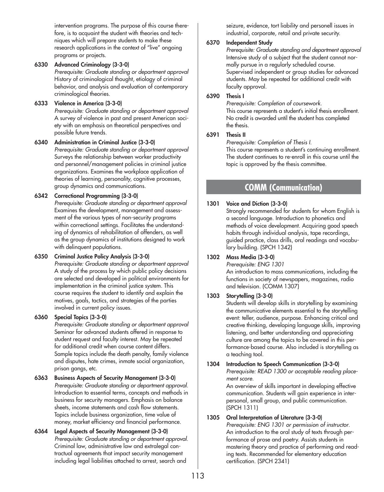intervention programs. The purpose of this course therefore, is to acquaint the student with theories and techniques which will prepare students to make these research applications in the context of "live" ongoing programs or projects.

**6330 Advanced Criminology (3-3-0)** *Prerequisite: Graduate standing or department approval* History of criminological thought, etiology of criminal behavior, and analysis and evaluation of contemporary criminological theories.

#### **6333 Violence in America (3-3-0)**

*Prerequisite: Graduate standing or department approval* A survey of violence in past and present American society with an emphasis on theoretical perspectives and possible future trends.

**6340 Administration in Criminal Justice (3-3-0)** *Prerequisite: Graduate standing or department approval* Surveys the relationship between worker productivity and personnel/management policies in criminal justice organizations. Examines the workplace application of theories of learning, personality, cognitive processes, group dynamics and communications.

## **6342 Correctional Programming (3-3-0)**

*Prerequisite: Graduate standing or department approval* Examines the development, management and assessment of the various types of non-security programs within correctional settings. Facilitates the understanding of dynamics of rehabilitation of offenders, as well as the group dynamics of institutions designed to work with delinquent populations.

## **6350 Criminal Justice Policy Analysis (3-3-0)**

*Prerequisite: Graduate standing or department approval* A study of the process by which public policy decisions are selected and developed in political environments for implementation in the criminal justice system. This course requires the student to identify and explain the motives, goals, tactics, and strategies of the parties involved in current policy issues.

## **6360 Special Topics (3-3-0)**

*Prerequisite: Graduate standing or department approval* Seminar for advanced students offered in response to student request and faculty interest. May be repeated for additional credit when course content differs. Sample topics include the death penalty, family violence and disputes, hate crimes, inmate social organization, prison gangs, etc.

- **6363 Business Aspects of Security Management (3-3-0)** *Prerequisite: Graduate standing or department approval.* Introduction to essential terms, concepts and methods in business for security managers. Emphasis on balance sheets, income statements and cash flow statements. Topics include business organization, time value of money, market efficiency and financial performance.
- **6364 Legal Aspects of Security Management (3-3-0)** *Prerequisite: Graduate standing or department approval.* Criminal law, administrative law and extralegal contractual agreements that impact security management including legal liabilities attached to arrest, search and

seizure, evidence, tort liability and personell issues in industrial, corporate, retail and private security.

## **6370 Independent Study**

*Prerequisite: Graduate standing and department approval* Intensive study of a subject that the student cannot normally pursue in a regularly scheduled course. Supervised independent or group studies for advanced students. May be repeated for additional credit with faculty approval.

## **6390 Thesis I**

*Prerequisite: Completion of coursework.* This course represents a student's initial thesis enrollment. No credit is awarded until the student has completed the thesis.

## **6391 Thesis II**

*Prerequisite: Completion of Thesis I.* This course represents a student's continuing enrollment. The student continues to re-enroll in this course until the topic is approved by the thesis committee.

# **COMM (Communication)**

## **1301 Voice and Diction (3-3-0)**

Strongly recommended for students for whom English is a second language. Introduction to phonetics and methods of voice development. Acquiring good speech habits through individual analysis, tape recordings, guided practice, class drills, oral readings and vocabulary building. (SPCH 1342)

## **1302 Mass Media (3-3-0)**

*Prerequisite: ENG 1301* An introduction to mass communications, including the functions in society of newspapers, magazines, radio and television. (COMM 1307)

## **1303 Storytelling (3-3-0)**

Students will develop skills in storytelling by examining the communicative elements essential to the storytelling event: teller, audience, purpose. Enhancing critical and creative thinking, developing language skills, improving listening, and better understanding and appreciating culture are among the topics to be covered in this performance-based course. Also included is storytelling as a teaching tool.

**1304 Introduction to Speech Communication (3-3-0)** *Prerequisite: READ 1300 or acceptable reading placement score.*

An overview of skills important in developing effective communication. Students will gain experience in interpersonal, small group, and public communication. (SPCH 1311)

## **1305 Oral Interpretation of Literature (3-3-0)**

*Prerequisite: ENG 1301 or permission of instructor.* An introduction to the oral study of texts through performance of prose and poetry. Assists students in mastering theory and practice of performing and reading texts. Recommended for elementary education certification. (SPCH 2341)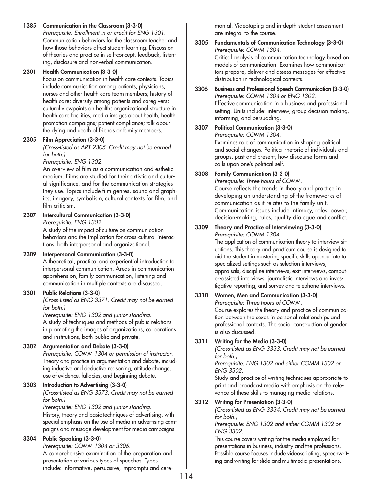## **1385 Communication in the Classroom (3-3-0)**

*Prerequisite: Enrollment in or credit for ENG 1301.* Communication behaviors for the classroom teacher and how those behaviors affect student learning. Discussion of theories and practice in self-concept, feedback, listening, disclosure and nonverbal communication.

## **2301 Health Communication (3-3-0)**

Focus on communication in health care contexts. Topics include communication among patients, physicians, nurses and other health care team members; history of health care; diversity among patients and caregivers; cultural viewpoints on health; organizational structure in health care facilities; media images about health; health promotion campaigns; patient compliance; talk about the dying and death of friends or family members.

## **2305 Film Appreciation (3-3-0)**

*(Cross-listed as ART 2305. Credit may not be earned for both.)* 

#### *Prerequisite: ENG 1302.*

An overview of film as a communication and esthetic medium. Films are studied for their artistic and cultural significance, and for the communication strategies they use. Topics include film genres, sound and graphics, imagery, symbolism, cultural contexts for film, and film criticism.

## **2307 Intercultural Communication (3-3-0)**

*Prerequisite: ENG 1302.*

A study of the impact of culture on communication behaviors and the implication for cross-cultural interactions, both interpersonal and organizational.

## **2309 Interpersonal Communication (3-3-0)**

A theoretical, practical and experiential introduction to interpersonal communication. Areas in communication apprehension, family communication, listening and communication in multiple contexts are discussed.

## **3301 Public Relations (3-3-0)**

*(Cross-listed as ENG 3371. Credit may not be earned for both.)*

*Prerequisite: ENG 1302 and junior standing.* A study of techniques and methods of public relations in promoting the images of organizations, corporations and institutions, both public and private.

## **3302 Argumentation and Debate (3-3-0)**

*Prerequisite: COMM 1304 or permission of instructor.* Theory and practice in argumentation and debate, including inductive and deductive reasoning, attitude change, use of evidence, fallacies, and beginning debate.

## **3303 Introduction to Advertising (3-3-0)**

*(Cross-listed as ENG 3373. Credit may not be earned for both.)*

*Prerequisite: ENG 1302 and junior standing.* History, theory and basic techniques of advertising, with special emphasis on the use of media in advertising campaigns and message development for media campaigns.

## **3304 Public Speaking (3-3-0)**

*Prerequisite: COMM 1304 or 3306.* A comprehensive examination of the preparation and presentation of various types of speeches. Types include: informative, persuasive, impromptu and ceremonial. Videotaping and in-depth student assessment are integral to the course.

#### **3305 Fundamentals of Communication Technology (3-3-0)**  *Prerequisite: COMM 1304.* Critical analysis of communication technology based on

models of communication. Examines how communicators prepare, deliver and assess messages for effective distribution in technological contexts.

**3306 Business and Professional Speech Communication (3-3-0)** *Prerequisite: COMM 1304 or ENG 1302.* Effective communication in a business and professional setting. Units include: interview, group decision making, informing, and persuading.

## **3307 Political Communication (3-3-0)**

*Prerequisite: COMM 1304.* Examines role of communication in shaping political and social changes. Political rhetoric of individuals and groups, past and present; how discourse forms and calls upon one's political self.

## **3308 Family Communication (3-3-0)**

*Prerequisite: Three hours of COMM.* Course reflects the trends in theory and practice in developing an understanding of the frameworks of communication as it relates to the family unit. Communication issues include intimacy, roles, power, decision-making, rules, quality dialogue and conflict.

## **3309 Theory and Practice of Interviewing (3-3-0)**

*Prerequisite: COMM 1304.*

The application of communication theory to interview situations. This theory and practicum course is designed to aid the student in mastering specific skills appropriate to specialized settings such as selection interviews, appraisals, discipline interviews, exit interviews, computer-assisted interviews, journalistic interviews and investigative reporting, and survey and telephone interviews.

**3310 Women, Men and Communication (3-3-0)** *Prerequisite: Three hours of COMM.* Course explores the theory and practice of communication between the sexes in personal relationships and professional contexts. The social construction of gender is also discussed.

## **3311 Writing for the Media (3-3-0)**

*(Cross-listed as ENG 3333. Credit may not be earned for both.)*

*Prerequisite: ENG 1302 and either COMM 1302 or ENG 3302.*

Study and practice of writing techniques appropriate to print and broadcast media with emphasis on the relevance of these skills to managing media relations.

## **3312 Writing for Presentation (3-3-0)**

*(Cross-listed as ENG 3334. Credit may not be earned for both.)*

*Prerequisite: ENG 1302 and either COMM 1302 or ENG 3302.*

This course covers writing for the media employed for presentations in business, industry and the professions. Possible course focuses include videoscripting, speechwriting and writing for slide and multimedia presentations.

114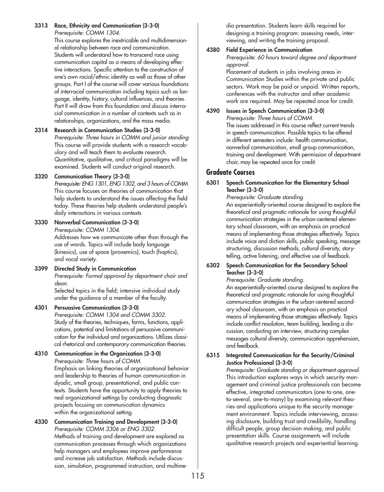**3313 Race, Ethnicity and Communication (3-3-0)** *Prerequisite: COMM 1304.*

This course explores the inextricable and multidimensional relationship between race and communication. Students will understand how to transcend race using communication capital as a means of developing effective interactions. Specific attention to the construction of one's own racial/ethnic identity as well as those of other groups. Part I of the course will cover various foundations of interracial communication including topics such as language, identity, history, cultural influences, and theories. Part II will draw from this foundation and discuss interracial communication in a number of contexts such as in relationships, organizations, and the mass media.

#### **3314 Research in Communication Studies (3-3-0)**

*Prerequisite: Three hours in COMM and junior standing* This course will provide students with a research vocabulary and will teach them to evaluate research. Quantitative, qualitative, and critical paradigms will be examined. Students will conduct original research.

#### **3320 Communication Theory (3-3-0)**

*Prerequisite: ENG 1301, ENG 1302, and 3 hours of COMM.* This course focuses on theories of communication that help students to understand the issues affecting the field today. These theories help students understand people's daily interactions in various contexts

**3330 Nonverbal Communication (3-3-0)** *Prerequisite: COMM 1304.* Addresses how we communicate other than through the

use of words. Topics will include body language (kinesics), use of space (proxemics), touch (haptics), and vocal variety.

**3399 Directed Study in Communication** *Prerequisite: Formal approval by department chair and dean.* Selected topics in the field; intensive individual study

under the guidance of a member of the faculty.

## **4301 Persuasive Communication (3-3-0)**

*Prerequisite: COMM 1304 and COMM 3302.* Study of the theories, techniques, forms, functions, applications, potential and limitations of persuasive communication for the individual and organizations. Utilizes classical rhetorical and contemporary communication theories.

#### **4310 Communication in the Organization (3-3-0)** *Prerequisite: Three hours of COMM.*

Emphasis on linking theories of organizational behavior and leadership to theories of human communication in dyadic, small group, presentational, and public contexts. Students have the opportunity to apply theories to real organizational settings by conducting diagnostic projects focusing on communication dynamics within the organizational setting.

**4330 Communication Training and Development (3-3-0)** *Prerequisite: COMM 3306 or ENG 3302.* Methods of training and development are explored as communication processes through which organizations help managers and employees improve performance and increase job satisfaction. Methods include discussion, simulation, programmed instruction, and multime-

dia presentation. Students learn skills required for designing a training program: assessing needs, interviewing, and writing the training proposal.

## **4380 Field Experience in Communication**

*Prerequisite: 60 hours toward degree and department approval.*

Placement of students in jobs involving areas in Communication Studies within the private and public sectors. Work may be paid or unpaid. Written reports, conferences with the instructor and other academic work are required. May be repeated once for credit.

#### **4390 Issues in Speech Communication (3-3-0)** *Prerequisite: Three hours of COMM.* The issues addressed in this course reflect current trends in speech communication. Possible topics to be offered in different semesters include: health communication, nonverbal communication, small group communication, training and development. With permission of department chair, may be repeated once for credit.

# **Graduate Courses**

## **6301 Speech Communication for the Elementary School Teacher (3-3-0)**

*Prerequisite: Graduate standing.*

An experientially-oriented course designed to explore the theoretical and pragmatic rationale for using thoughtful communication strategies in the urban-centered elementary school classroom, with an emphasis on practical means of implementing those strategies effectively. Topics include voice and diction skills, public speaking, message structuring, discussion methods, cultural diversity, storytelling, active listening, and effective use of feedback.

#### **6302 Speech Communication for the Secondary School Teacher (3-3-0)**

*Prerequisite: Graduate standing.*

An experientially-oriented course designed to explore the theoretical and pragmatic rationale for using thoughtful communication strategies in the urban-centered secondary school classroom, with an emphasis on practical means of implementing those strategies effectively. Topics include conflict resolution, team building, leading a discussion, conducting an interview, structuring complex messages cultural diversity, communication apprehension, and feedback.

## **6315 Integrated Communication for the Security/Criminal Justice Professional (3-3-0)**

*Prerequisite: Graduate standing or department approval.* This introduction explores ways in which security management and criminal justice professionals can become effective, integrated communicators (one-to-one, oneto-several, one-to-many) by examining relevant theories and applications unique to the security management environment. Topics include interviewing, accessing disclosure, building trust and credibility, handling difficult people, group decision making, and public presentation skills. Course assignments will include qualitative research projects and experiential learning.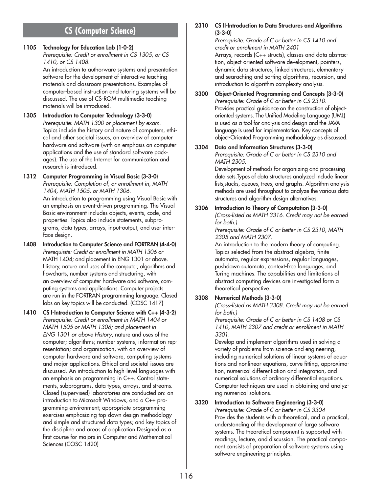# **CS (Computer Science)**

## **1105 Technology for Education Lab (1-0-2)**

*Prerequisite: Credit or enrollment in CS 1305, or CS 1410, or CS 1408.*

An introduction to authorware systems and presentation software for the development of interactive teaching materials and classroom presentations. Examples of computer-based instruction and tutoring systems will be discussed. The use of CS-ROM multimedia teaching materials will be introduced.

**1305 Introduction to Computer Technology (3-3-0)** *Prerequisite: MATH 1300 or placement by exam.* Topics include the history and nature of computers, ethical and other societal issues, an overview of computer hardware and software (with an emphasis on computer applications and the use of standard software packages). The use of the Internet for communication and research is introduced.

#### **1312 Computer Programming in Visual Basic (3-3-0)**  *Prerequisite: Completion of, or enrollment in, MATH*

*1404, MATH 1505, or MATH 1306.*

An introduction to programming using Visual Basic with an emphasis on event-driven programming. The Visual Basic environment includes objects, events, code, and properties. Topics also include statements, subprograms, data types, arrays, input-output, and user interface design.

- **1408 Introduction to Computer Science and FORTRAN (4-4-0)** *Prerequisite: Credit or enrollment in MATH 1306 or* MATH 1404; and placement in ENG 1301 or above. History, nature and uses of the computer, algorithms and flowcharts, number systems and structuring, with an overview of computer hardware and software, computing systems and applications. Computer projects are run in the FORTRAN programming language. Closed labs on key topics will be conducted. (COSC 1417)
- **1410 CS I-Introduction to Computer Science with C++ (4-3-2)** *Prerequisite: Credit or enrollment in MATH 1404 or MATH 1505 or MATH 1306; and placement in ENG 1301 or above History*, nature and uses of the computer; algorithms; number systems; information representation; and organization, with an overview of computer hardware and software, computing systems and major applications. Ethical and societal issues are discussed. An introduction to high-level languages with an emphasis on programming in C++. Control statements, subprograms, data types, arrays, and streams. Closed (supervised) laboratories are conducted on: an introduction to Microsoft Windows, and a C++ programming environment; appropriate programming exercises emphasizing top-down design methodology and simple and structured data types; and key topics of the discipline and areas of application Designed as a first course for majors in Computer and Mathematical Sciences (COSC 1420)

**2310 CS II-Introduction to Data Structures and Algorithms (3-3-0)**

*Prerequisite: Grade of C or better in CS 1410 and credit or enrollment in MATH 2401* Arrays, records (C++ structs), classes and data abstraction, object-oriented software development, pointers, dynamic data structures, linked structures, elementary and searaching and sorting algorithms, recursion, and

**3300 Object-Oriented Programming and Concepts (3-3-0)** *Prerequisite: Grade of C or better in CS 2310.* Provides practical guidance on the construction of objectoriented systems. The Unified Modeling Language (UML) is used as a tool for analysis and design and the JAVA language is used for implementation. Key concepts of object-Oriented Programming methodology as discussed.

introduction to algorithm complexity analysis.

# **3304 Data and Information Structures (3-3-0)**

*Prerequisite: Grade of C or better in CS 2310 and MATH 2305.*

Development of methods for organizing and processing data sets.Types of data structures analyzed include linear lists,stacks, queues, trees, and graphs. Algorithm analysis methods are used throughout to analyze the various data structures and algorithm design alternatives.

**3306 Introduction to Theory of Computation (3-3-0)** *(Cross-listed as MATH 3316. Credit may not be earned for both.)*

*Prerequisite: Grade of C or better in CS 2310, MATH 2305 and MATH 2307.*

An introduction to the modern theory of computing. Topics selected from the abstract algebra, finite automata, regular expressions, regular languages, pushdown automata, context-free languages, and Turing machines. The capabilities and limitations of abstract computing devices are investigated form a theoretical perspective.

## **3308 Numerical Methods (3-3-0)**

*(Cross-listed as MATH 3308. Credit may not be earned for both.)*

*Prerequisite: Grade of C or better in CS 1408 or CS 1410, MATH 2307 and credit or enrollment in MATH 3301.*

Develop and implement algorithms used in solving a variety of problems from science and engineering, including numerical solutions of linear systems of equations and nonlinear equations, curve fitting, approximation, numerical differentiation and integration, and numerical solutions of ordinary differential equations. Computer techniques are used in obtaining and analyzing numerical solutions.

## **3320 Introduction to Software Engineering (3-3-0)**

*Prerequisite: Grade of C or better in CS 3304* Provides the students with a theoretical, and a practical, understanding of the development of large software systems. The theoretical component is supported with readings, lecture, and discussion. The practical component consists of preparation of software systems using software engineering principles.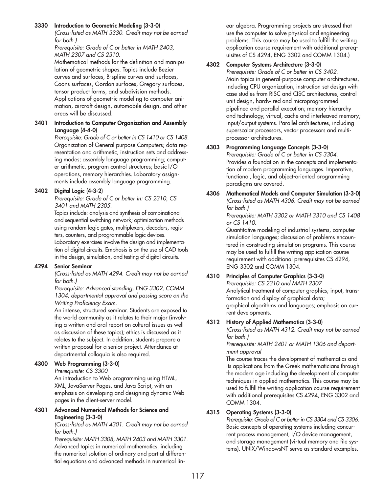### **3330 Introduction to Geometric Modeling (3-3-0)**

*(Cross-listed as MATH 3330. Credit may not be earned for both.)*

*Prerequisite: Grade of C or better in MATH 2403, MATH 2307 and CS 2310.*

Mathematical methods for the definition and manipulation of geometric shapes. Topics include Bezier curves and surfaces, B-spline curves and surfaces, Coons surfaces, Gordon surfaces, Gregory surfaces, tensor product forms, and subdivision methods. Applications of geometric modeling to computer animation, aircraft design, automobile design, and other areas will be discussed.

## **3401 Introduction to Computer Organization and Assembly Language (4-4-0)**

*Prerequisite: Grade of C or better in CS 1410 or CS 1408.* Organization of General purpose Computers; data representation and arithmetic, instruction sets and addressing modes; assembly language programming; computer arithmetic, program control structures; basic I/O operations, memory hierarchies. Laboratory assignments include assembly language programming.

## **3402 Digital Logic (4-3-2)**

*Prerequisite: Grade of C or better in: CS 2310, CS 3401 and MATH 2305.*

Topics include: analysis and synthesis of combinational and sequential switching network; optimization methods using random logic gates, multiplexers, decoders, registers, counters, and programmable logic devices. Laboratory exercises involve the design and implementation of digital circuits. Emphasis is on the use of CAD tools in the design, simulation, and testing of digital circuits.

## **4294 Senior Seminar**

*(Cross-listed as MATH 4294. Credit may not be earned for both.)*

*Prerequisite: Advanced standing, ENG 3302, COMM 1304, departmental approval and passing score on the Writing Proficiency Exam.*

An intense, structured seminar. Students are exposed to the world community as it relates to their major (involving a written and oral report on cultural issues as well as discussion of these topics); ethics is discussed as it relates to the subject. In addition, students prepare a written proposal for a senior project. Attendance at departmental colloquia is also required.

## **4300 Web Programming (3-3-0)**

*Prerequisite: CS 3300*

An introduction to Web programming using HTML, XML, JavaServer Pages, and Java Script, with an emphasis on developing and designing dynamic Web pages in the client-server model.

#### **4301 Advanced Numerical Methods for Science and Engineering (3-3-0)**

*(Cross-listed as MATH 4301. Credit may not be earned for both.)*

*Prerequisite: MATH 3308, MATH 2403 and MATH 3301.* Advanced topics in numerical mathematics, including the numerical solution of ordinary and partial differential equations and advanced methods in numerical lin-

ear algebra. Programming projects are stressed that use the computer to solve physical and engineering problems. This course may be used to fulfill the writing application course requirement with additional prerequisites of CS 4294, ENG 3302 and COMM 1304.)

## **4302 Computer Systems Architecture (3-3-0)**

*Prerequisite: Grade of C or better in CS 3402.* Main topics in general-purpose computer architectures, including CPU organization, instruction set design with case studies from RISC and CISC architectures, control unit design, hardwired and microprogrammed pipelined and parallel execution; memory hierarchy and technology, virtual, cache and interleaved memory; input/output systems. Parallel architectures, including superscalar processors, vector processors and multiprocessor architectures.

## **4303 Programming Language Concepts (3-3-0)**

*Prerequisite: Grade of C or better in CS 3304.* Provides a foundation in the concepts and implementation of modern programming languages. Imperative, functional, logic, and object-oriented programming paradigms are covered.

**4306 Mathematical Models and Computer Simulation (3-3-0)** *(Cross-listed as MATH 4306. Credit may not be earned for both.)*

*Prerequisite: MATH 3302 or MATH 3310 and CS 1408 or CS 1410.*

Quantitative modeling of industrial systems, computer simulation languages; discussion of problems encountered in constructing simulation programs. This course may be used to fulfill the writing application course requirement with additional prerequisites CS 4294, ENG 3302 and COMM 1304.

# **4310 Principles of Computer Graphics (3-3-0)**

*Prerequisite: CS 2310 and MATH 2307* Analytical treatment of computer graphics; input, transformation and display of graphical data; graphical algorithms and languages; emphasis on current developments.

## **4312 History of Applied Mathematics (3-3-0)**

*(Cross-listed as MATH 4312. Credit may not be earned for both.)*

*Prerequisite: MATH 2401 or MATH 1306 and department approval*

The course traces the development of mathematics and its applications from the Greek mathematicians through the modern age including the development of computer techniques in applied mathematics. This course may be used to fulfill the writing application course requirement with additional prerequisites CS 4294, ENG 3302 and COMM 1304.

## **4315 Operating Systems (3-3-0)**

*Prerequisite: Grade of C or better in CS 3304 and CS 3306.* Basic concepts of operating systems including concurrent process management, I/O device management, and storage management (virtual memory and file systems). UNIX/WindowsNT serve as standard examples.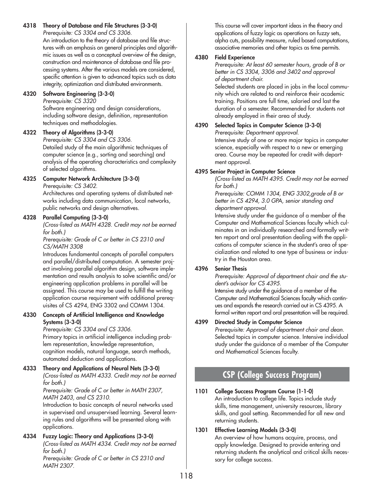#### **4318 Theory of Database and File Structures (3-3-0)** *Prerequisite: CS 3304 and CS 3306.*

An introduction to the theory of database and file structures with an emphasis on general principles and algorithmic issues as well as a conceptual overview of the design, construction and maintenance of database and file processing systems. After the various models are considered, specific attention is given to advanced topics such as data integrity, optimization and distributed environments.

## **4320 Software Engineering (3-3-0)**

#### *Prerequisite: CS 3320*

Software engineering and design considerations, including software design, definition, representation techniques and methodologies.

## **4322 Theory of Algorithms (3-3-0)**

*Prerequisite: CS 3304 and CS 3306.* Detailed study of the main algorithmic techniques of computer science (e.g., sorting and searching) and analysis of the operating characteristics and complexity of selected algorithms.

## **4325 Computer Network Architecture (3-3-0)**

*Prerequisite: CS 3402.*

Architectures and operating systems of distributed networks including data communication, local networks, public networks and design alternatives.

## **4328 Parallel Computing (3-3-0)**

*(Cross-listed as MATH 4328. Credit may not be earned for both.)*

*Prerequisite: Grade of C or better in CS 2310 and CS/MATH 3308*

Introduces fundamental concepts of parallel computers and parallel/distributed computation. A semester project involving parallel algorithm design, software implementation and results analysis to solve scientific and/or engineering application problems in parallel will be assigned. This course may be used to fulfill the writing application course requirement with additional prerequisites of CS 4294, ENG 3302 and COMM 1304.

## **4330 Concepts of Artificial Intelligence and Knowledge Systems (3-3-0)**

#### *Prerequisite: CS 3304 and CS 3306.*

Primary topics in artificial intelligence including problem representation, knowledge representation, cognition models, natural language, search methods, automated deduction and applications.

## **4333 Theory and Applications of Neural Nets (3-3-0)**

*(Cross-listed as MATH 4333. Credit may not be earned for both.)*

*Prerequisite: Grade of C or better in MATH 2307, MATH 2403, and CS 2310.*

Introduction to basic concepts of neural networks used in supervised and unsupervised learning. Several learning rules and algorithms will be presented along with applications.

# **4334 Fuzzy Logic: Theory and Applications (3-3-0)**

*(Cross-listed as MATH 4334. Credit may not be earned for both.)*

*Prerequisite: Grade of C or better in CS 2310 and MATH 2307.*

This course will cover important ideas in the theory and applications of fuzzy logic as operations on fuzzy sets, alpha cuts, possibility measure, ruled based computations, associative memories and other topics as time permits.

# **4380 Field Experience**

*Prerequisite: At least 60 semester hours, grade of B or better in CS 3304, 3306 and 3402 and approval of department chair.*

Selected students are placed in jobs in the local community which are related to and reinforce their academic training. Positions are full time, salaried and last the duration of a semester. Recommended for students not already employed in their area of study.

# **4390 Selected Topics in Computer Science (3-3-0)**

*Prerequisite: Department approval.* Intensive study of one or more major topics in computer science, especially with respect to a new or emerging area. Course may be repeated for credit with department approval.

# **4395 Senior Project in Computer Science**

*(Cross-listed as MATH 4395. Credit may not be earned for both.)*

*Prerequisite: COMM 1304, ENG 3302,grade of B or better in CS 4294, 3.0 GPA, senior standing and department approval.*

Intensive study under the guidance of a member of the Computer and Mathematical Sciences faculty which culminates in an individually researched and formally written report and oral presentation dealing with the applications of computer science in the student's area of specialization and related to one type of business or industry in the Houston area.

## **4396 Senior Thesis**

*Prerequisite: Approval of department chair and the student's advisor for CS 4395.*

Intensive study under the guidance of a member of the Computer and Mathematical Sciences faculty which continues and expands the research carried out in CS 4395. A formal written report and oral presentation will be required.

## **4399 Directed Study in Computer Science**

*Prerequisite: Approval of department chair and dean.* Selected topics in computer science. Intensive individual study under the guidance of a member of the Computer and Mathematical Sciences faculty.

# **CSP (College Success Program)**

#### **1101 College Success Program Course (1-1-0)** An introduction to college life. Topics include study skills, time management, university resources, library skills, and goal setting. Recommended for all new and returning students.

## **1301 Effective Learning Models (3-3-0)**

An overview of how humans acquire, process, and apply knowledge. Designed to provide entering and returning students the analytical and critical skills necessary for college success.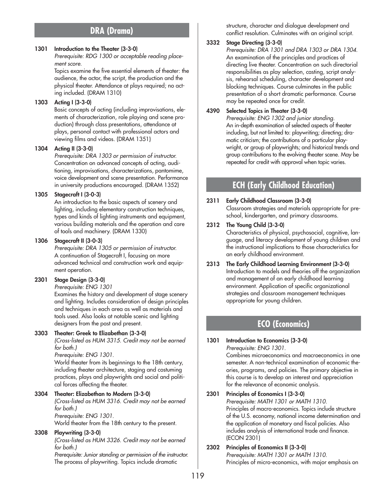# **DRA (Drama)**

#### **1301 Introduction to the Theater (3-3-0)**

*Prerequisite: RDG 1300 or acceptable reading placement score.*

Topics examine the five essential elements of theater: the audience, the actor, the script, the production and the physical theater. Attendance at plays required; no acting included. (DRAM 1310)

#### **1303 Acting I (3-3-0)**

Basic concepts of acting (including improvisations, elements of characterization, role playing and scene production) through class presentations, attendance at plays, personal contact with professional actors and viewing films and videos. (DRAM 1351)

#### **1304 Acting II (3-3-0)**

*Prerequisite: DRA 1303 or permission of instructor.* Concentration on advanced concepts of acting, auditioning, improvisations, characterizations, pantomime, voice development and scene presentation. Performance in university productions encouraged. (DRAM 1352)

#### **1305 Stagecraft I (3-0-3)**

An introduction to the basic aspects of scenery and lighting, including elementary construction techniques, types and kinds of lighting instruments and equipment, various building materials and the operation and care of tools and machinery. (DRAM 1330)

#### **1306 Stagecraft II (3-0-3)**

*Prerequisite: DRA 1305 or permission of instructor.* A continuation of Stagecraft I, focusing on more advanced technical and construction work and equipment operation.

#### **2301 Stage Design (3-3-0)**

*Prerequisite: ENG 1301*

Examines the history and development of stage scenery and lighting. Includes consideration of design principles and techniques in each area as well as materials and tools used. Also looks at notable scenic and lighting designers from the past and present.

#### **3303 Theater: Greek to Elizabethan (3-3-0)**

*(Cross-listed as HUM 3315. Credit may not be earned for both.)*

*Prerequisite: ENG 1301.*

World theater from its beginnings to the 18th century, including theater architecture, staging and costuming practices, plays and playwrights and social and political forces affecting the theater.

### **3304 Theater: Elizabethan to Modern (3-3-0)**

*(Cross-listed as HUM 3316. Credit may not be earned for both.)*

*Prerequisite: ENG 1301.*

World theater from the 18th century to the present.

#### **3308 Playwriting (3-3-0)**

*(Cross-listed as HUM 3326. Credit may not be earned for both.)*

*Prerequisite: Junior standing or permission of the instructor.* The process of playwriting. Topics include dramatic

structure, character and dialogue development and conflict resolution. Culminates with an original script.

#### **3332 Stage Directing (3-3-0)**

*Prerequisite: DRA 1301 and DRA 1303 or DRA 1304.* An examination of the principles and practices of directing live theater. Concentration on such directorial responsibilities as play selection, casting, script analysis, rehearsal scheduling, character development and blocking techniques. Course culminates in the public presentation of a short dramatic performance. Course may be repeated once for credit.

#### **4390 Selected Topics in Theater (3-3-0)**

*Prerequisite: ENG 1302 and junior standing.* An in-depth examination of selected aspects of theater including, but not limited to: playwriting; directing; dramatic criticism; the contributions of a particular playwright, or group of playwrights; and historical trends and group contributions to the evolving theater scene. May be repeated for credit with approval when topic varies.

# **ECH (Early Childhood Education)**

## **2311 Early Childhood Classroom (3-3-0)**

Classroom strategies and materials appropriate for preschool, kindergarten, and primary classrooms.

## **2312 The Young Child (3-3-0)**

Characteristics of physical, psychosocial, cognitive, language, and literacy development of young children and the instructional implications to those characteristics for an early childhood environment.

**2313 The Early Childhood Learning Environment (3-3-0)** Introduction to models and theories off the organization and management of an early childhood learning environment. Application of specific organizational strategies and classroom management techniques appropriate for young children.

# **ECO (Economics)**

#### **1301 Introduction to Economics (3-3-0)** *Prerequisite: ENG 1301.*

Combines microeconomics and macroeconomics in one semester. A non-technical examination of economic theories, programs, and policies. The primary objective in this course is to develop an interest and appreciation for the relevance of economic analysis.

# **2301 Principles of Economics I (3-3-0)**

*Prerequisite: MATH 1301 or MATH 1310.* Principles of macro-economics. Topics include structure of the U.S. economy, national income determination and the application of monetary and fiscal policies. Also includes analysis of international trade and finance. (ECON 2301)

**2302 Principles of Economics II (3-3-0)** *Prerequisite: MATH 1301 or MATH 1310.* Principles of micro-economics, with major emphasis on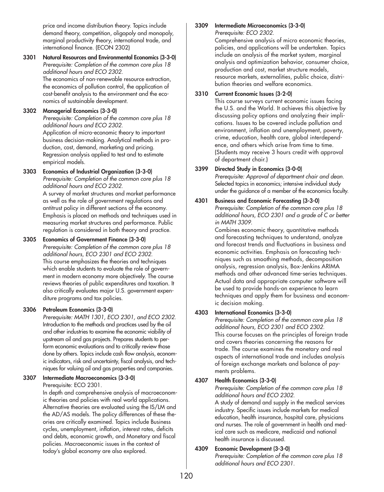price and income distribution theory. Topics include demand theory, competition, oligopoly and monopoly, marginal productivity theory, international trade, and international finance. (ECON 2302)

#### **3301 Natural Resources and Environmental Economics (3-3-0)** *Prerequisite: Completion of the common core plus 18 additional hours and ECO 2302.*

The economics of non-renewable resource extraction, the economics of pollution control, the application of cost-benefit analysis to the environment and the economics of sustainable development.

## **3302 Managerial Economics (3-3-0)**

*Prerequisite: Completion of the common core plus 18 additional hours and ECO 2302.*

Application of micro-economic theory to important business decision-making. Analytical methods in production, cost, demand, marketing and pricing. Regression analysis applied to test and to estimate empirical models.

## **3303 Economics of Industrial Organization (3-3-0)**

*Prerequisite: Completion of the common core plus 18 additional hours and ECO 2302.*

A survey of market structures and market performance as well as the role of government regulations and antitrust policy in different sections of the economy. Emphasis is placed on methods and techniques used in measuring market structures and performance. Public regulation is considered in both theory and practice.

## **3305 Economics of Government Finance (3-3-0)**

*Prerequisite: Completion of the common core plus 18 additional hours, ECO 2301 and ECO 2302.* This course emphasizes the theories and techniques which enable students to evaluate the role of government in modern economy more objectively. The course reviews theories of public expenditures and taxation. It also critically evaluates major U.S. government expenditure programs and tax policies.

## **3306 Petroleum Economics (3-3-0)**

*Prerequisite: MATH 1301, ECO 2301, and ECO 2302.* Introduction to the methods and practices used by the oil and other industries to examine the economic viability of upstream oil and gas projects. Prepares students to perform economic evaluations and to critically review those done by others. Topics include cash flow analysis, economic indicators, risk and uncertainty, fiscal analysis, and techniques for valuing oil and gas properties and companies.

#### **3307 Intermediate Macroeconomics (3-3-0)** Prerequisite: ECO 2301.

In depth and comprehensive analysis of macroeconomic theories and policies with real world applications. Alternative theories are evaluated using the IS/LM and the AD/AS models. The policy differences of these theories are critically examined. Topics include Business cycles, unemployment, inflation, interest rates, deficits and debts, economic growth, and Monetary and fiscal policies. Macroeconomic issues in the context of today's global economy are also explored.

#### **3309 Intermediate Microeconomics (3-3-0)** *Prerequisite: ECO 2302.*

Comprehensive analysis of micro economic theories, policies, and applications will be undertaken. Topics include an analysis of the market system, marginal analysis and optimization behavior, consumer choice, production and cost, market structure models, resource markets, externalities, public choice, distribution theories and welfare economics.

## **3310 Current Economic Issues (3-2-0)**

This course surveys current economic issues facing the U.S. and the World. It achieves this objective by discussing policy options and analyzing their implications. Issues to be covered include pollution and environment, inflation and unemployment, poverty, crime, education, health care, global interdependence, and others which arise from time to time. (Students may receive 3 hours credit with approval of department chair.)

## **3399 Directed Study in Economics (3-0-0)**

*Prerequisite: Approval of department chair and dean.* Selected topics in economics; intensive individual study under the guidance of a member of the economics faculty.

# **4301 Business and Economic Forecasting (3-3-0)**

*Prerequisite: Completion of the common core plus 18 additional hours, ECO 2301 and a grade of C or better in MATH 3309.*

Combines economic theory, quantitative methods and forecasting techniques to understand, analyze and forecast trends and fluctuations in business and economic activities. Emphasis on forecasting techniques such as smoothing methods, decomposition analysis, regression analysis, Box-Jenkins ARIMA methods and other advanced time-series techniques. Actual data and appropriate computer software will be used to provide hands-on experience to learn techniques and apply them for business and economic decision making.

## **4303 International Economics (3-3-0)**

*Prerequisite: Completion of the common core plus 18 additional hours, ECO 2301 and ECO 2302.* This course focuses on the principles of foreign trade and covers theories concerning the reasons for trade. The course examines the monetary and real aspects of international trade and includes analysis of foreign exchange markets and balance of payments problems.

## **4307 Health Economics (3-3-0)**

*Prerequisite: Completion of the common core plus 18 additional hours and ECO 2302.* A study of demand and supply in the medical services industry. Specific issues include markets for medical education, health insurance, hospital care, physicians and nurses. The role of government in health and medical care such as medicare, medicaid and national health insurance is discussed.

## **4309 Economic Development (3-3-0)**

*Prerequisite: Completion of the common core plus 18 additional hours and ECO 2301.*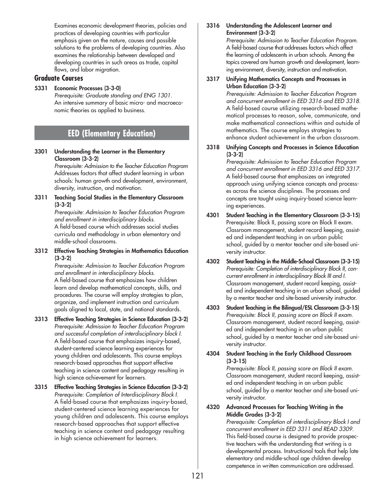Examines economic development theories, policies and practices of developing countries with particular emphasis given on the nature, causes and possible solutions to the problems of developing countries. Also examines the relationship between developed and developing countries in such areas as trade, capital flows, and labor migration.

## **Graduate Courses**

**5331 Economic Processes (3-3-0)** *Prerequisite: Graduate standing and ENG 1301.* An intensive summary of basic micro- and macroeconomic theories as applied to business.

# **EED (Elementary Education)**

**3301 Understanding the Learner in the Elementary Classroom (3-3-2)**

> *Prerequisite: Admission to the Teacher Education Program* Addresses factors that affect student learning in urban schools: human growth and development, environment, diversity, instruction, and motivation.

**3311 Teaching Social Studies in the Elementary Classroom (3-3-2)**

*Prerequisite: Admission to Teacher Education Program and enrollment in interdisciplinary blocks.* A field-based course which addresses social studies curricula and methodology in urban elementary and middle-school classrooms.

**3312 Effective Teaching Strategies in Mathematics Education (3-3-2)**

*Prerequisite: Admission to Teacher Education Program and enrollment in interdisciplinary blocks.* A field-based course that emphasizes how children learn and develop mathematical concepts, skills, and procedures. The course will employ strategies to plan, organize, and implement instruction and curriculum goals aligned to local, state, and national standards.

- **3313 Effective Teaching Strategies in Science Education (3-3-2)** *Prerequisite: Admission to Teacher Education Program and successful completion of interdisciplinary block I.* A field-based course that emphasizes inquiry-based, student-centered science learning experiences for young children and adolescents. This course employs research-based approaches that support effective teaching in science content and pedagogy resulting in high science achievement for learners.
- **3315 Effective Teaching Strategies in Science Education (3-3-2)** *Prerequisite: Completion of Interdisciplinary Block I.* A field-based course that emphasizes inquiry-based, student-centered science learning experiences for young children and adolescents. This course employs research-based approaches that support effective teaching in science content and pedagogy resulting in high science achievement for learners.

#### **3316 Understanding the Adolescent Learner and Environment (3-3-2)**

*Prerequisite: Admission to Teacher Education Program.* A field-based course that addresses factors which affect the learning of adolescents in urban schools. Among the topics covered are human growth and development, learning environment, diversity, instruction and motivation.

#### **3317 Unifying Mathematics Concepts and Processes in Urban Education (3-3-2)**

*Prerequisite: Admission to Teacher Education Program and concurrent enrollment in EED 3316 and EED 3318.* A field-based course utilizing research-based mathematical processes to reason, solve, communicate, and make mathematical connections within and outside of mathematics. The course employs strategies to enhance student achievement in the urban classroom.

**3318 Unifying Concepts and Processes in Science Education (3-3-2)**

> *Prerequisite: Admission to Teacher Education Program and concurrent enrollment in EED 3316 and EED 3317.* A field-based course that emphasizes an integrated approach using unifying science concepts and processes across the science disciplines. The processes and concepts are taught using inquiry-based science learning experiences.

- **4301 Student Teaching in the Elementary Classroom (3-3-15)** Prerequisite: Block II, passing score on Block II exam. Classroom management, student record keeping, assisted and independent teaching in an urban public school, guided by a mentor teacher and site-based university instructor.
- **4302 Student Teaching in the Middle-School Classroom (3-3-15)** *Prerequisite: Completion of interdisciplinary Block II, concurrent enrollment in interdisciplinary Block III and I.* Classroom management, student record keeping, assisted and independent teaching in an urban school, guided by a mentor teacher and site-based university instructor.
- **4303 Student Teaching in the Bilingual/ESL Classroom (3-3-15)** *Prerequisite: Block II, passing score on Block II exam.* Classroom management, student record keeping, assisted and independent teaching in an urban public school, guided by a mentor teacher and site-based university instructor.
- **4304 Student Teaching in the Early Childhood Classroom (3-3-15)**

*Prerequisite: Block II, passing score on Block II exam.* Classroom management, student record keeping, assisted and independent teaching in an urban public school, guided by a mentor teacher and site-based university instructor.

**4320 Advanced Processes for Teaching Writing in the Middle Grades (3-3-2)**

*Prerequisite: Completion of interdisciplinary Block I and concurrent enrollment in EED 3311 and READ 3309.* This field-based course is designed to provide prospective teachers with the understanding that writing is a developmental process. Instructional tools that help late elementary and middle-school age children develop competence in written communication are addressed.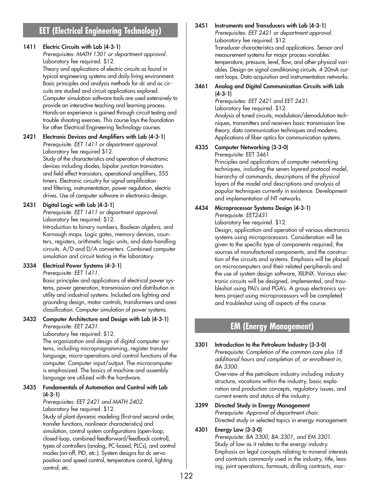# **EET (Electrical Engineering Technology)**

## **1411 Electric Circuits with Lab (4-3-1)**

*Prerequisites: MATH 1301 or department approval.* Laboratory fee required. \$12.

Theory and applications of electric circuits as found in typical engineering systems and daily living environment. Basic principles and analysis methods for dc and ac circuits are studied and circuit applications explored. Computer simulation software tools are used extensively to provide an interactive teaching and learning process. Hands-on experience is gained through circuit testing and trouble shooting exercies. This course lays the foundation for other Electrical Engineering Technology courses.

#### **2421 Electronic Devices and Amplifiers with Lab (4-3-1)** *Prerequisite: EET 1411 or department approval.*

Laboratory fee required \$12. Study of the characteristics and operation of electronic devices including diodes, bipolar junction transistors and field effect transistors, operational amplifiers, 555 timers. Electronic circuitry for signal amplification and filtering, instrumentation, power regulation, electric drives. Use of computer software in electronics design.

## **2431 Digital Logic with Lab (4-3-1)**

*Prerequisite: EET 1411 or department approval.* Laboratory fee required: \$12. Introduction to binary numbers, Boolean algebra, and Karnaugh maps. Logic gates, memory devices, counters, registers, arithmetic logic units, and data-handling circuits. A/D and D/A converters. Combined computer simulation and circuit testing in the laboratory.

# **3334 Electrical Power Systems (4-3-1)**

*Prerequisite: EET 1411.*

Basic principles and applications of electrical power systems, power generation, transmission and distribution in utility and industrial systems. Included are lighting and grounding design, motor controls, transformers and area classification. Computer simulation of power systems.

## **3432 Computer Architecture and Design with Lab (4-3-1)** *Prerequisite: EET 2431.*

Laboratory fee required: \$12.

The organization and design of digital computer systems, including microprogramming, register transfer language, micro-operations and control functions of the computer. Computer input/output. The microcomputer is emphasized. The basics of machine and assembly language are utilized with the hardware.

#### **3435 Fundamentals of Automation and Control with Lab (4-3-1)**

*Prerequisites: EET 2421 and MATH 2402.* Laboratory fee required. \$12.

Study of plant dynamic modeling (first-and second order, transfer functions, nonlinear characteristics) and simulation, control system configurations (open-loop, closed-loop, combined feedforward/feedback control), types of controllers (analog, PC-based, PLCs), and control modes (on-off, PID, etc.). System designs for dc servo position and speed control, temperature control, lighting control, etc.

## **3451 Instruments and Transducers with Lab (4-3-1)** *Prerequisites: EET 2421 or department approval.* Laboratory fee required: \$12. Transducer characteristics and applications. Sensor and measurement systems for major process variables: temperature, pressure, level, flow, and other physical variables. Design on signal conditioning circuits. 4-20mA current loops. Data acquisition and instrumentation networks.

## **3461 Analog and Digital Communication Circuits with Lab (4-3-1)**

*Prerequisites: EET 2421 and EET 2431.* Laboratory fee required. \$12. Analysis of tuned circuits, modulation/demodulation techniques, transmitters and receivers basic transmission line theory, data communication techniques and modems. Applications of fiber optics for communication systems.

## **4335 Computer Networking (3-3-0)**

Prerequisite: EET 3461 Principles and applications of computer networking techniques, including the seven layered protocol model, hierarchy of commands, descriptions of the physical layers of the model and descriptions and analysis of popular techniques currently in existence. Development and implementation of NT networks.

# **4434 Microprocessor Systems Design (4-3-1)**

*Prerequisite: EET2431* Laboratory fee required. \$12.

Design, application and operation of various electronics systems using microprocessors. Consideration will be given to the specific type of components required, the sources of manufactured components, and the construction of the circuits and systems. Emphasis will be placed on microcomputers and their related peripherals and the use of system design software, XILINX. Various electronic circuits will be designed, implemented, and troubleshot using PAL's and PGA's. A group electronics systems project using microprocessors will be completed and troubleshot using all aspects of the course.

# **EM (Energy Management)**

**3301 Introduction to the Petroleum Industry (3-3-0)**  *Prerequisite: Completion of the common core plus 18 additional hours and completion of, or enrollment in, BA 3300.*

> Overview of the petroleum industry including industry structure, vocations within the industry, basic exploration and production concepts, regulatory issues, and current events and status of the industry.

**3399 Directed Study in Energy Management** *Prerequisite: Approval of department chair.* Directed study in selected topics in energy management.

#### **4301 Energy Law (3-3-0)**  *Prerequisite: BA 3300, BA 3301, and EM 3301.*

Study of law as it relates to the energy industry. Emphasis on legal concepts relating to mineral interests and contracts commonly used in the industry, title, leasing, joint operations, farmouts, drilling contracts, mar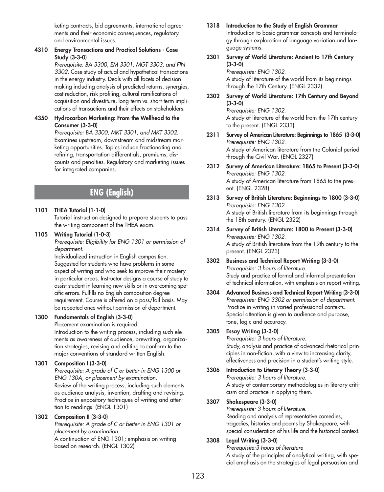keting contracts, bid agreements, international agreements and their economic consequences, regulatory and environmental issues.

## **4310 Energy Transactions and Practical Solutions - Case Study (3-3-0)**

*Prerequisite: BA 3300, EM 3301, MGT 3303, and FIN 3302.* Case study of actual and hypothetical transactions in the energy industry. Deals with all facets of decision making including analysis of predicted returns, synergies, cost reduction, risk profiling, cultural ramifications of acquisition and divestiture, long-term vs. short-term implications of transactions and their effects on stakeholders.

#### **4350 Hydrocarbon Marketing: From the Wellhead to the Consumer (3-3-0)**

*Prerequisite: BA 3300, MKT 3301, and MKT 3302.* Examines upstream, downstream and midstream marketing opportunities. Topics include fractionating and refining, transportation differentials, premiums, discounts and penalties. Regulatory and marketing issues for integrated companies.

# **ENG (English)**

## **1101 THEA Tutorial (1-1-0)**

Tutorial instruction designed to prepare students to pass the writing component of the THEA exam.

## **1105 Writing Tutorial (1-0-3)**

*Prerequisite: Eligibility for ENG 1301 or permission of department.*

Individualized instruction in English composition. Suggested for students who have problems in some aspect of writing and who seek to improve their mastery in particular areas. Instructor designs a course of study to assist student in learning new skills or in overcoming specific errors. Fulfills no English composition degree requirement. Course is offered on a pass/fail basis. May be repeated once without permission of department.

## **1300 Fundamentals of English (3-3-0)**

Placement examination is required. Introduction to the writing process, including such elements as awareness of audience, prewriting, organization strategies, revising and editing to conform to the major conventions of standard written English.

## **1301 Composition I (3-3-0)**

*Prerequisite: A grade of C or better in ENG 1300 or ENG 130A, or placement by examination.* Review of the writing process, including such elements as audience analysis, invention, drafting and revising. Practice in expository techniques of writing and attention to readings. (ENGL 1301)

## **1302 Composition II (3-3-0)**

*Prerequisite: A grade of C or better in ENG 1301 or placement by examination.*

A continuation of ENG 1301; emphasis on writing based on research. (ENGL 1302)

#### **1318 Introduction to the Study of English Grammar** Introduction to basic grammar concepts and terminology through exploration of language variation and lan-

#### guage systems. **2301 Survey of World Literature: Ancient to 17th Century (3-3-0)**

*Prerequisite: ENG 1302.* A study of literature of the world from its beginnings through the 17th Century. (ENGL 2332)

**2302 Survey of World Literature: 17th Century and Beyond (3-3-0)**

*Prerequisite: ENG 1302.* A study of literature of the world from the 17th century to the present. (ENGL 2333)

- **2311 Survey of American Literature: Beginnings to 1865 (3-3-0)** *Prerequisite: ENG 1302.* A study of American literature from the Colonial period through the Civil War. (ENGL 2327)
- **2312 Survey of American Literature: 1865 to Present (3-3-0)** *Prerequisite: ENG 1302.* A study of American literature from 1865 to the present. (ENGL 2328)
- **2313 Survey of British Literature: Beginnings to 1800 (3-3-0)** *Prerequisite: ENG 1302.* A study of British literature from its beginnings through the 18th century. (ENGL 2322)
- **2314 Survey of British Literature: 1800 to Present (3-3-0)** *Prerequisite: ENG 1302.* A study of British literature from the 19th century to the present. (ENGL 2323)
- **3302 Business and Technical Report Writing (3-3-0)** *Prerequisite: 3 hours of literature.* Study and practice of formal and informal presentation of technical information, with emphasis on report writing.
- **3304 Advanced Business and Technical Report Writing (3-3-0)** *Prerequisite: ENG 3302 or permission of department.* Practice in writing in varied professional contexts. Special attention is given to audience and purpose, tone, logic and accuracy.

## **3305 Essay Writing (3-3-0)**

*Prerequisite: 3 hours of literature.* Study, analysis and practice of advanced rhetorical principles in non-fiction, with a view to increasing clarity, effectiveness and precision in a student's writing style.

**3306 Introduction to Literary Theory (3-3-0)** *Prerequisite: 3 hours of literature.* A study of contemporary methodologies in literary criticism and practice in applying them.

## **3307 Shakespeare (3-3-0)**

*Prerequisite: 3 hours of literature.* Reading and analysis of representative comedies, tragedies, histories and poems by Shakespeare, with special consideration of his life and the historical context.

## **3308 Legal Writing (3-3-0)**

*Prerequisite:3 hours of literature* A study of the principles of analytical writing, with special emphasis on the strategies of legal persuasion and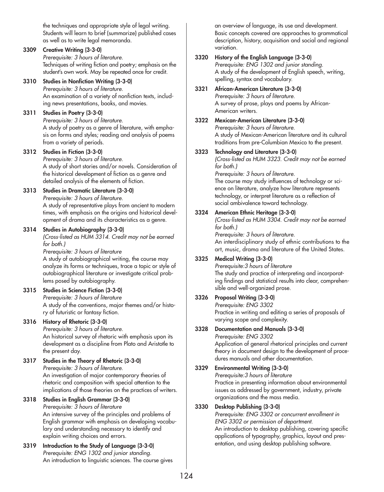the techniques and appropriate style of legal writing. Students will learn to brief (summarize) published cases as well as to write legal memoranda.

## **3309 Creative Writing (3-3-0)**

*Prerequisite: 3 hours of literature.* Techniques of writing fiction and poetry; emphasis on the student's own work. May be repeated once for credit.

## **3310 Studies in Nonfiction Writing (3-3-0)**

*Prerequisite: 3 hours of literature.* An examination of a variety of nonfiction texts, including news presentations, books, and movies.

## **3311 Studies in Poetry (3-3-0)**

*Prerequisite: 3 hours of literature.* A study of poetry as a genre of literature, with emphasis on forms and styles; reading and analysis of poems from a variety of periods.

## **3312 Studies in Fiction (3-3-0)**

*Prerequisite: 3 hours of literature.* A study of short stories and/or novels. Consideration of the historical development of fiction as a genre and detailed analysis of the elements of fiction.

#### **3313 Studies in Dramatic Literature (3-3-0)**

*Prerequisite: 3 hours of literature.* A study of representative plays from ancient to modern times, with emphasis on the origins and historical development of drama and its characteristics as a genre.

## **3314 Studies in Autobiography (3-3-0)**

*(Cross-listed as HUM 3314. Credit may not be earned for both.)*

*Prerequisite: 3 hours of literature*

A study of autobiographical writing, the course may analyze its forms or techniques, trace a topic or style of autobiographical literature or investigate critical problems posed by autobiography.

## **3315 Studies in Science Fiction (3-3-0)**

*Prerequisite: 3 hours of literature* A study of the conventions, major themes and/or history of futuristic or fantasy fiction.

## **3316 History of Rhetoric (3-3-0)**

*Prerequisite: 3 hours of literature.* An historical survey of rhetoric with emphasis upon its development as a discipline from Plato and Aristotle to the present day.

#### **3317 Studies in the Theory of Rhetoric (3-3-0)** *Prerequisite: 3 hours of literature.*

An investigation of major contemporary theories of rhetoric and composition with special attention to the implications of those theories on the practices of writers.

## **3318 Studies in English Grammar (3-3-0)**

*Prerequisite: 3 hours of literature* An intensive survey of the principles and problems of English grammar with emphasis on developing vocabulary and understanding necessary to identify and explain writing choices and errors.

**3319 Introduction to the Study of Language (3-3-0)** *Prerequisite: ENG 1302 and junior standing.* An introduction to linguistic sciences. The course gives an overview of language, its use and development. Basic concepts covered are approaches to grammatical description, history, acquisition and social and regional variation.

#### **3320 History of the English Language (3-3-0)**

*Prerequisite: ENG 1302 and junior standing.* A study of the development of English speech, writing, spelling, syntax and vocabulary.

#### **3321 African-American Literature (3-3-0)** *Prerequisite: 3 hours of literature.*

A survey of prose, plays and poems by African-American writers.

**3322 Mexican-American Literature (3-3-0)**

*Prerequisite: 3 hours of literature.* A study of Mexican-American literature and its cultural traditions from pre-Columbian Mexico to the present.

#### **3323 Technology and Literature (3-3-0)**

*(Cross-listed as HUM 3323. Credit may not be earned for both.)*

*Prerequisite: 3 hours of literature.* The course may study influences of technology or science on literature, analyze how literature represents technology, or interpret literature as a reflection of social ambivalence toward technology.

## **3324 American Ethnic Heritage (3-3-0)**

*(Cross-listed as HUM 3304. Credit may not be earned for both.) Prerequisite: 3 hours of literature.* An interdisciplinary study of ethnic contributions to the art, music, drama and literature of the United States.

## **3325 Medical Writing (3-3-0)**

*Prerequisite:3 hours of literature* The study and practice of interpreting and incorporating findings and statistical results into clear, comprehensible and well-organized prose.

## **3326 Proposal Writing (3-3-0)**

*Prerequisite: ENG 3302* Practice in writing and editing a series of proposals of varying scope and complexity.

#### **3328 Documentation and Manuals (3-3-0)**

*Prerequisite: ENG 3302* Application of general rhetorical principles and current theory in document design to the development of procedures manuals and other documentation.

## **3329 Environmental Writing (3-3-0)**

*Prerequisite:3 hours of literature* Practice in presenting information about environmental issues as addressed by government, industry, private organizations and the mass media.

## **3330 Desktop Publishing (3-3-0)**

*Prerequisite: ENG 3302 or concurrent enrollment in ENG 3302 or permission of department.* An introduction to desktop publishing, covering specific applications of typography, graphics, layout and presentation, and using desktop publishing software.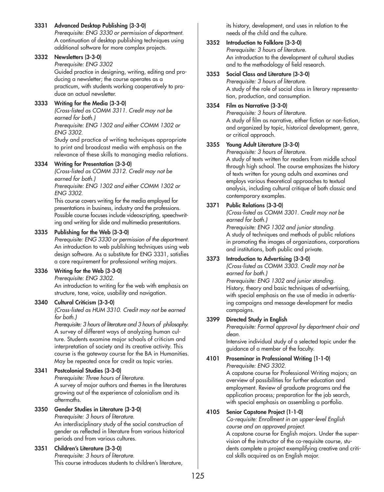## **3331 Advanced Desktop Publishing (3-3-0)**

*Prerequisite: ENG 3330 or permission of department.* A continuation of desktop publishing techniques using additional software for more complex projects.

## **3332 Newsletters (3-3-0)**

*Prerequisite: ENG 3302*

Guided practice in designing, writing, editing and producing a newsletter; the course operates as a practicum, with students working cooperatively to produce an actual newsletter.

## **3333 Writing for the Media (3-3-0)**

*(Cross-listed as COMM 3311. Credit may not be earned for both.)*

*Prerequisite: ENG 1302 and either COMM 1302 or ENG 3302.*

Study and practice of writing techniques appropriate to print and broadcast media with emphasis on the relevance of these skills to managing media relations.

## **3334 Writing for Presentation (3-3-0)**

*(Cross-listed as COMM 3312. Credit may not be earned for both.)*

*Prerequisite: ENG 1302 and either COMM 1302 or ENG 3302.*

This course covers writing for the media employed for presentations in business, industry and the professions. Possible course focuses include videoscripting, speechwriting and writing for slide and multimedia presentations.

## **3335 Publishing for the Web (3-3-0)**

*Prerequisite: ENG 3330 or permission of the department.* An introduction to web publishing techniques using web design software. As a substitute for ENG 3331, satisfies a core requirement for professional writing majors.

## **3336 Writing for the Web (3-3-0)**

*Prerequisite: ENG 3302.*

An introduction to writing for the web with emphasis on structure, tone, voice, usability and navigation.

## **3340 Cultural Criticism (3-3-0)**

*(Cross-listed as HUM 3310. Credit may not be earned for both.)*

*Prerequisite: 3 hours of literature and 3 hours of philosophy.*  A survey of different ways of analyzing human culture. Students examine major schools of criticism and interpretation of society and its creative activity. This course is the gateway course for the BA in Humanities. May be repeated once for credit as topic varies.

## **3341 Postcolonial Studies (3-3-0)**

*Prerequisite: Three hours of literature.* A survey of major authors and themes in the literatures growing out of the experience of colonialism and its aftermaths.

## **3350 Gender Studies in Literature (3-3-0)**

*Prerequisite: 3 hours of literature.* An interdisciplinary study of the social construction of gender as reflected in literature from various historical periods and from various cultures.

#### **3351 Children's Literature (3-3-0)** *Prerequisite: 3 hours of literature.* This course introduces students to children's literature,

its history, development, and uses in relation to the needs of the child and the culture.

## **3352 Introduction to Folklore (3-3-0)**

*Prerequisite: 3 hours of literature.* An introduction to the development of cultural studies and to the methodology of field research.

## **3353 Social Class and Literature (3-3-0)**

*Prerequisite: 3 hours of literature.* A study of the role of social class in literary representation, production, and consumption.

## **3354 Film as Narrative (3-3-0)**

*Prerequisite: 3 hours of literature.* A study of film as narrative, either fiction or non-fiction, and organized by topic, historical development, genre, or critical approach.

## **3355 Young Adult Literature (3-3-0)**

*Prerequisite: 3 hours of literature.* A study of texts written for readers from middle school through high school. The course emphasizes the history of texts written for young adults and examines and employs various theoretical approaches to textual analysis, including cultural critique of both classic and contemporary examples.

## **3371 Public Relations (3-3-0)**

*(Cross-listed as COMM 3301. Credit may not be earned for both.) Prerequisite: ENG 1302 and junior standing.* A study of techniques and methods of public relations in promoting the images of organizations, corporations and institutions, both public and private.

## **3373 Introduction to Advertising (3-3-0)**

*(Cross-listed as COMM 3303. Credit may not be earned for both.)*

*Prerequisite: ENG 1302 and junior standing.* History, theory and basic techniques of advertising, with special emphasis on the use of media in advertising campaigns and message development for media campaigns.

## **3399 Directed Study in English**

*Prerequisite: Formal approval by department chair and dean.*

Intensive individual study of a selected topic under the guidance of a member of the faculty.

#### **4101 Proseminar in Professional Writing (1-1-0)** *Prerequisite: ENG 3302.*

A capstone course for Professional Writing majors; an overview of possibilities for further education and employment. Review of graduate programs and the application process; preparation for the job search, with special emphasis on assembling a portfolio.

## **4105 Senior Capstone Project (1-1-0)**

*Co-requisite: Enrollment in an upper-level English course and an approved project.*

A capstone course for English majors. Under the supervision of the instructor of the co-requisite course, students complete a project exemplifying creative and critical skills acquired as an English major.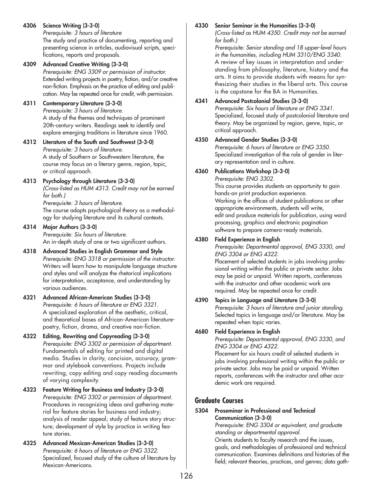**4306 Science Writing (3-3-0)**

*Prerequisite: 3 hours of literature* The study and practice of documenting, reporting and presenting science in articles, audiovisual scripts, specifications, reports and proposals.

**4309 Advanced Creative Writing (3-3-0)** *Prerequisite: ENG 3309 or permission of instructor.* Extended writing projects in poetry, fiction, and/or creative non-fiction. Emphasis on the practice of editing and publication. May be repeated once for credit, with permission.

# **4311 Contemporary Literature (3-3-0)**

*Prerequisite: 3 hours of literature.* A study of the themes and techniques of prominent 20th-century writers. Readings seek to identify and explore emerging traditions in literature since 1960.

**4312 Literature of the South and Southwest (3-3-0)** *Prerequisite: 3 hours of literature.* A study of Southern or Southwestern literature, the course may focus on a literary genre, region, topic, or critical approach.

# **4313 Psychology through Literature (3-3-0)**

*(Cross-listed as HUM 4313. Credit may not be earned for both.)*

*Prerequisite: 3 hours of literature.* The course adopts psychological theory as a methodology for studying literature and its cultural contexts.

## **4314 Major Authors (3-3-0)**

*Prerequisite: Six hours of literature.* An in-depth study of one or two significant authors.

- **4318 Advanced Studies in English Grammar and Style** *Prerequisite: ENG 3318 or permission of the instructor.* Writers will learn how to manipulate language structure and styles and will analyze the rhetorical implications for interpretation, acceptance, and understanding by various audiences.
- **4321 Advanced African-American Studies (3-3-0)** *Prerequisite: 6 hours of literature or ENG 3321.* A specialized exploration of the aesthetic, critical, and theoretical bases of African-American literaturepoetry, fiction, drama, and creative non-fiction.
- **4322 Editing, Rewriting and Copyreading (3-3-0)** *Prerequisite: ENG 3302 or permission of department.* Fundamentals of editing for printed and digital media. Studies in clarity, concision, accuracy, grammar and stylebook conventions. Projects include rewriting, copy editing and copy reading documents of varying complexity.
- **4323 Feature Writing for Business and Industry (3-3-0)** *Prerequisite: ENG 3302 or permission of department.* Procedures in recognizing ideas and gathering material for feature stories for business and industry; analysis of reader appeal; study of feature story structure; development of style by practice in writing feature stories.
- **4325 Advanced Mexican-American Studies (3-3-0)** *Prerequisite: 6 hours of literature or ENG 3322.* Specialized, focused study of the culture of literature by Mexican-Americans.

# **4330 Senior Seminar in the Humanities (3-3-0)**

*(Cross-listed as HUM 4350. Credit may not be earned for both.)*

*Prerequisite: Senior standing and 18 upper-level hours in the humanities, including HUM 3310/ENG 3340.* A review of key issues in interpretation and understanding from philosophy, literature, history and the arts. It aims to provide students with means for synthesizing their studies in the liberal arts. This course is the capstone for the BA in Humanities.

## **4341 Advanced Postcolonial Studies (3-3-0)**

*Prerequisite: Six hours of literature or ENG 3341.* Specialized, focused study of postcolonial literature and theory. May be organized by region, genre, topic, or critical approach.

## **4350 Advanced Gender Studies (3-3-0)**

*Prerequisite: 6 hours of literature or ENG 3350.* Specialized investigation of the role of gender in literary representation and in culture.

# **4360 Publications Workshop (3-3-0)**

*Prerequisite: ENG 3302.* This course provides students an opportunity to gain hands-on print production experience. Working in the offices of student publications or other appropriate environments, students will write, edit and produce materials for publication, using word processing, graphics and electronic pagination software to prepare camera-ready materials.

# **4380 Field Experience in English**

*Prerequisite: Departmental approval, ENG 3330, and ENG 3304 or ENG 4322.*

Placement of selected students in jobs involving professional writing within the public or private sector. Jobs may be paid or unpaid. Written reports, conferences with the instructor and other academic work are required. May be repeated once for credit.

# **4390 Topics in Language and Literature (3-3-0)**

*Prerequisite: 3 hours of literature and junior standing.* Selected topics in language and/or literature. May be repeated when topic varies.

# **4680 Field Experience in English**

*Prerequisite: Departmental approval, ENG 3330, and ENG 3304 or ENG 4322.*

Placement for six hours credit of selected students in jobs involving professional writing within the public or private sector. Jobs may be paid or unpaid. Written reports, conferences with the instructor and other academic work are required.

# **Graduate Courses**

## **5304 Proseminar in Professional and Technical Communication (3-3-0)**

*Prerequisite: ENG 3304 or equivalent, and graduate standing or departmental approval.*

Orients students to faculty research and the issues, goals, and methodologies of professional and technical communication. Examines definitions and histories of the field; relevant theories, practices, and genres; data gath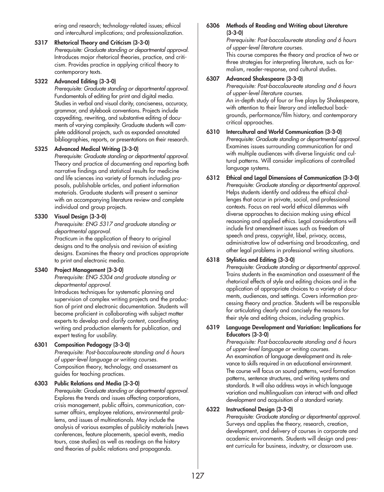ering and research; technology-related issues; ethical and intercultural implications; and professionalization.

## **5317 Rhetorical Theory and Criticism (3-3-0)**

*Prerequisite: Graduate standing or departmental approval.* Introduces major rhetorical theories, practice, and criticism. Provides practice in applying critical theory to contemporary texts.

## **5322 Advanced Editing (3-3-0)**

*Prerequisite: Graduate standing or departmental approval.* Fundamentals of editing for print and digital media. Studies in verbal and visual clarity, conciseness, accuracy, grammar, and stylebook conventions. Projects include copyediting, rewriting, and substantive editing of documents of varying complexity. Graduate students will complete additional projects, such as expanded annotated bibliographies, reports, or presentations on their research.

## **5325 Advanced Medical Writing (3-3-0)**

*Prerequisite: Graduate standing or departmental approval.* Theory and practice of documenting and reporting both narrative findings and statistical results for medicine and life sciences ina variety of formats including proposals, publishable articles, and patient information materials. Graduate students will present a seminar with an accompanying literature review and complete individual and group projects.

## **5330 Visual Design (3-3-0)**

*Prerequisite: ENG 5317 and graduate standing or departmental approval.*

Practicum in the application of theory to original designs and to the analysis and revision of existing designs. Examines the theory and practices appropriate to print and electronic media.

## **5340 Project Management (3-3-0)**

*Prerequisite: ENG 5304 and graduate standing or departmental approval.*

Introduces techniques for systematic planning and supervision of complex writing projects and the production of print and electronic documentation. Students will become proficient in collaborating with subject matter experts to develop and clarify content, coordinating writing and production elements for publication, and expert testing for usability.

## **6301 Composition Pedagogy (3-3-0)**

*Prerequisite: Post-baccalaureate standing and 6 hours of upper-level language or writing courses.* Composition theory, technology, and assessment as guides for teaching practices.

## **6303 Public Relations and Media (3-3-0)**

*Prerequisite: Graduate standing or departmental approval.* Explores the trends and issues affecting corporations, crisis management, public affairs, communication, consumer affairs, employee relations, environmental problems, and issues of multinationals. May include the analysis of various examples of publicity materials (news conferences, feature placements, special events, media tours, case studies) as well as readings on the history and theories of public relations and propaganda.

#### **6306 Methods of Reading and Writing about Literature (3-3-0)**

*Prerequisite: Post-baccalaureate standing and 6 hours of upper-level literature courses.*

This course compares the theory and practice of two or three strategies for interpreting literature, such as formalism, reader-response, and cultural studies.

## **6307 Advanced Shakespeare (3-3-0)**

*Prerequisite: Post-baccalaureate standing and 6 hours of upper-level literature courses.* An in-depth study of four or five plays by Shakespeare, with attention to their literary and intellectual backgrounds, performance/film history, and contemporary critical approaches.

#### **6310 Intercultural and World Communication (3-3-0)**  *Prerequisite: Graduate standing or departmental approval.* Examines issues surrounding communication for and with multiple audiences with diverse linguistic and cultural patterns. Will consider implications of controlled language systems.

**6312 Ethical and Legal Dimensions of Communication (3-3-0)** *Prerequisite: Graduate standing or departmental approval.* Helps students identify and address the ethical challenges that occur in private, social, and professional contexts. Focus on real world ethical dilemmas with diverse approaches to decision making using ethical reasoning and applied ethics. Legal considerations will include first amendment issues such as freedom of speech and press, copyright, libel, privacy, access, administrative law of advertising and broadcasting, and other legal problems in professional writing situations.

## **6318 Stylistics and Editing (3-3-0)**

*Prerequisite: Graduate standing or departmental approval.* Trains students in the examination and assessment of the rhetorical effects of style and editing choices and in the application of appropriate choices to a variety of documents, audiences, and settings. Covers information processing theory and practice. Students will be responsible for articulating clearly and concisely the reasons for their style and editing choices, including graphics.

#### **6319 Language Development and Variation: Implications for Educators (3-3-0)**

*Prerequisite: Post-baccalaureate standing and 6 hours of upper-level language or writing courses.* An examination of language development and its relevance to skills required in an educational environment. The course will focus on sound patterns, word formation patterns, sentence structures, and writing systems and standards. It will also address ways in which language variation and multilingualism can interact with and affect development and acquisition of a standard variety.

## **6322 Instructional Design (3-3-0)**

*Prerequisite: Graduate standing or departmental approval.* Surveys and applies the theory, research, creation, development, and delivery of courses in corporate and academic environments. Students will design and present curricula for business, industry, or classroom use.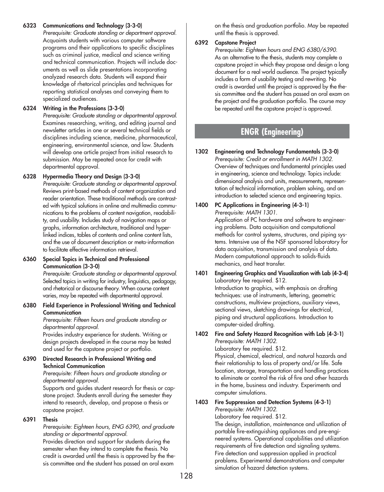## **6323 Communications and Technology (3-3-0)**

*Prerequisite: Graduate standing or department approval.* Acquaints students with various computer software programs and their applications to specific disciplines such as criminal justice, medical and science writing and technical communication. Projects will include documents as well as slide presentations incorporating analyzed research data. Students will expand their knowledge of rhetorical principles and techniques for reporting statistical analyses and conveying them to specialized audiences.

## **6324 Writing in the Professions (3-3-0)**

*Prerequisite: Graduate standing or departmental approval.* Examines researching, writing, and editing journal and newsletter articles in one or several technical fields or disciplines including science, medicine, pharmaceutical, engineering, environmental science, and law. Students will develop one article project from initial research to submission. May be repeated once for credit with departmental approval.

## **6328 Hypermedia Theory and Design (3-3-0)**

*Prerequisite: Graduate standing or departmental approval.* Reviews print-based methods of content organization and reader orientation. These traditional methods are contrasted with typical solutions in online and multimedia communications to the problems of content navigation, readability, and usability. Includes study of navigation maps or graphs, information architecture, traditional and hyperlinked indices, tables of contents and online content lists, and the use of document description or meta-information to facilitate effective information retrieval.

## **6360 Special Topics in Technical and Professional Communication (3-3-0)**

*Prerequisite: Graduate standing or departmental approval.* Selected topics in writing for industry, linguistics, pedagogy, and rhetorical or discourse theory. When course content varies, may be repeated with departmental approval.

**6380 Field Experience in Professional Writing and Technical Communication** 

*Prerequisite: Fifteen hours and graduate standing or departmental approval.*

Provides industry experience for students. Writing or design projects developed in the course may be tested and used for the capstone project or portfolio.

## **6390 Directed Research in Professional Writing and Technical Communication**

*Prerequisite: Fifteen hours and graduate standing or departmental approval.*

Supports and guides student research for thesis or capstone project. Students enroll during the semester they intend to research, develop, and propose a thesis or capstone project.

# **6391 Thesis**

*Prerequisite: Eighteen hours, ENG 6390, and graduate standing or departmental approval.*

Provides direction and support for students during the semester when they intend to complete the thesis. No credit is awarded until the thesis is approved by the thesis committee and the student has passed an oral exam

on the thesis and graduation portfolio. May be repeated until the thesis is approved.

# **6392 Capstone Project**

*Prerequisite: Eighteen hours and ENG 6380/6390.* As an alternative to the thesis, students may complete a capstone project in which they propose and design a long document for a real world audience. The project typically includes a form of usability testing and rewriting. No credit is awarded until the project is approved by the thesis committee and the student has passed an oral exam on the project and the graduation portfolio. The course may be repeated until the capstone project is approved.

# **ENGR (Engineering)**

## **1302 Engineering and Technology Fundamentals (3-3-0)** *Prerequisite: Credit or enrollment in MATH 1302.* Overview of techniques and fundamental principles used in engineering, science and technology. Topics include: dimensional analysis and units, measurements, representation of technical information, problem solving, and an introduction to selected science and engineering topics.

**1400 PC Applications in Engineering (4-3-1)** *Prerequisite: MATH 1301.*

Application of PC hardware and software to engineering problems. Data acquisition and computational methods for control systems, structures, and piping systems. Intensive use of the NSF sponsored laboratory for data acquisition, transmission and analysis of data. Modern computational approach to solids-fluids mechanics, and heat transfer.

**1401 Engineering Graphics and Visualization with Lab (4-3-4)** Laboratory fee required. \$12. Introduction to graphics, with emphasis on drafting techniques: use of instruments, lettering, geometric constructions, multiview projections, auxiliary views, sectional views, sketching drawings for electrical, piping and structural applications. Introduction to computer-aided drafting.

## **1402 Fire and Safety Hazard Recognition with Lab (4-3-1)** *Prerequisite: MATH 1302.*

Laboratory fee required. \$12.

Physical, chemical, electrical, and natural hazards and their relationship to loss of property and/or life. Safe location, storage, transportation and handling practices to eliminate or control the risk of fire and other hazards in the home, business and industry. Experiments and computer simulations.

#### **1403 Fire Suppression and Detection Systems (4-3-1)** *Prerequisite: MATH 1302.*

Laboratory fee required. \$12.

The design, installation, maintenance and utilization of portable fire-extinguishing appliances and pre-engineered systems. Operational capabilities and utilization requirements of fire detection and signaling systems. Fire detection and suppression applied in practical problems. Experimental demonstrations and computer simulation of hazard detection systems.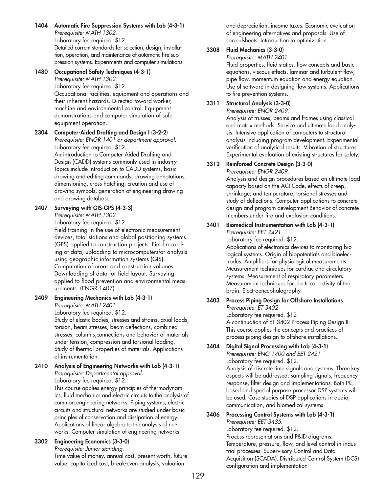**1404 Automatic Fire Suppression Systems with Lab (4-3-1)** *Prerequisite: MATH 1302.* Laboratory fee required. \$12. Detailed current standards for selection, design, installation, operation, and maintenance of automatic fire suppression systems. Experiments and computer simulations.

#### **1480 Occupational Safety Techniques (4-3-1)** *Prerequisite: MATH 1302.* Laboratory fee required. \$12. Occupational facilities, equipment and operations and their inherent hazards. Directed toward worker, machine and environmental control. Equipment demonstrations and computer simulation of safe equipment operation.

**2304 Computer-Aided Drafting and Design I (3-2-2)** *Prerequisite: ENGR 1401 or department approval.* Laboratory fee required. \$12. An introduction to Computer Aided Drafting and Design (CADD) systems commonly used in industry. Topics include introduction to CADD systems, basic drawing and editing commands, drawing annotations, dimensioning, cross hatching, creation and use of drawing symbols, generation of engineering drawing and drawing database.

#### **2407 Surveying with GIS-GPS (4-3-3)** *Prerequisite: MATH 1302.*

Laboratory fee required. \$12.

Field training in the use of electronic measurement devices, total stations and global positioning systems (GPS) applied to construction projects. Field recording of data, uploading to microcomputersfor analysis using geographic information systems (GIS). Computation of areas and construction volumes. Downloading of data for field layout. Surveying applied to flood prevention and environmental measurements. (ENGR 1407)

#### **2409 Engineering Mechanics with Lab (4-3-1)** *Prerequisite: MATH 2401.*

Laboratory fee required. \$12. Study of elastic bodies, stresses and strains, axial loads, torsion, beam stresses, beam deflections, combined stresses, columns,connections and behavior of materials under tension, compression and torsional loading. Study of thermal properties of materials. Applications of instrumentation.

#### **2410 Analysis of Engineering Networks with Lab (4-3-1)** *Prerequisite: Departmental approval.* Laboratory fee required. \$12.

This course applies energy principles of thermodynamics, fluid mechanics and electric circuits to the analysis of common engineering networks. Piping systems, electric circuits and structural networks are studied under basic principles of conservation and dissipation of energy. Applications of linear algebra to the analysis of networks. Computer simulation of engineering networks.

# **3302 Engineering Economics (3-3-0)**

*Prerequisite: Junior standing.* Time value of money, annual cost, present worth, future value, capitalized cost, break-even analysis, valuation

and depreciation, income taxes. Economic evaluation of engineering alternatives and proposals. Use of spreadsheets. Introduction to optimization.

## **3308 Fluid Mechanics (3-3-0)**

### *Prerequisite: MATH 2401.*

Fluid properties, fluid statics, flow concepts and basic equations, viscous effects, laminar and turbulent flow, pipe flow, momentum equation and energy equation. Use of software in designing flow systems. Applications to fire prevention systems.

## **3311 Structural Analysis (3-3-0)**

*Prerequisite: ENGR 2409.* Analysis of trusses, beams and frames using classical and matrix methods. Service and ultimate load analysis. Intensive application of computers to structural analysis including program development. Experimental verification of analytical results. Vibration of structures. Experimental evaluation of existing structures for safety.

#### **3312 Reinforced Concrete Design (3-3-0)** *Prerequisite: ENGR 2409.*

Analysis and design procedures based on ultimate load capacity based on the ACI Code, effects of creep, shrinkage, and temperature, torsional stresses and study of deflections. Computer applications to concrete design and program development Behavior of concrete members under fire and explosion conditions.

## **3401 Biomedical Instrumentation with Lab (4-3-1)**

*Prerequisite: EET 2421*

Laboratory fee required. \$12. Applications of electronics devices to monitoring biological systems. Origin of biopotentials and bioelectrodes. Amplifiers for physiological measurements. Measurement techniques for cardiac and circulatory systems. Measurement of respiratory parameters. Measurement techniques for electrical activity of the brain. Electroencephalography.

# **3403 Process Piping Design for Offshore Installations**

*Prerequisite: ET 3402* Laboratory fee required. \$12 A continuation of ET 3402 Process Piping Design II. This course applies the concepts and practices of process piping design to offshore installations.

## **3404 Digital Signal Processing with Lab (4-3-1)** *Prerequisite: ENG 1400 and EET 2421* Laboratory fee required. \$12. Analysis of discrete time signals and systems. Three key aspects will be addressed: sampling signals, frequency response, filter design and implementations. Both PC

based and special purpose processor DSP systems will be used. Case studies of DSP applications in audio, communication, and biomedical systems.

## **3406 Processing Control Systems with Lab (4-3-1)** *Prerequisite: EET 3435.*

Laboratory fee required. \$12. Process representations and P&ID diagrams. Temperature, pressure, flow, and level control in industrial processes. Supervisory Control and Data Acquisition (SCADA). Distributed Control System (DCS) configuration and implementation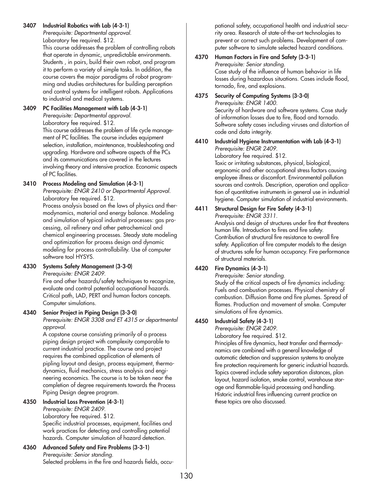## **3407 Industrial Robotics with Lab (4-3-1)**

*Prerequisite: Departmental approval.* Laboratory fee required. \$12.

This course addresses the problem of controlling robots that operate in dynamic, unpredictable environments. Students , in pairs, build their own robot, and program it to perform a variety of simple tasks. In addition, the course covers the major paradigms of robot programming and studies architectures for building perception and control systems for intelligent robots. Applications to industrial and medical systems.

#### **3409 PC Facilities Management with Lab (4-3-1)** *Prerequisite: Departmental approval.*

Laboratory fee required. \$12.

This course addresses the problem of life cycle management of PC facilities. The course includes equipment selection, installation, maintenance, troubleshooting and upgrading. Hardware and software aspects of the PCs and its communications are covered in the lectures involving theory and intensive practice. Economic aspects of PC facilities.

## **3410 Process Modeling and Simulation (4-3-1)**

*Prerequisite: ENGR 2410 or Departmental Approval.* Laboratory fee required. \$12.

Process analysis based on the laws of physics and thermodynamics, material and energy balance. Modeling and simulation of typical industrial processes: gas processing, oil refinery and other petrochemical and chemical engineering processes. Steady state modeling and optimization for process design and dynamic modeling for process controllability. Use of computer software tool HYSYS.

## **4330 Systems Safety Management (3-3-0)**

*Prerequisite: ENGR 2409.*

Fire and other hazards/safety techniques to recognize, evaluate and control potential occupational hazards. Critical path, LAD, PERT and human factors concepts. Computer simulations.

## **4340 Senior Project in Piping Design (3-3-0)**

*Prerequisite: ENGR 3308 and ET 4315 or departmental approval.*

A capstone course consisting primarily of a process piping design project with complexity comparable to current industrial practice. The course and project requires the combined application of elements of pipling layout and design, process equipment, thermodynamics, fluid mechanics, stress analysis and engineering economics. The course is to be taken near the completion of degree requirements towards the Process Piping Design degree program.

# **4350 Industrial Loss Prevention (4-3-1)**

*Prerequisite: ENGR 2409.* Laboratory fee required. \$12. Specific industrial processes, equipment, facilities and work practices for detecting and controlling potential hazards. Computer simulation of hazard detection.

**4360 Advanced Safety and Fire Problems (3-3-1)** *Prerequisite: Senior standing.* Selected problems in the fire and hazards fields, occu-

pational safety, occupational health and industrial security area. Research of state-of-the-art technologies to prevent or correct such problems. Development of computer software to simulate selected hazard conditions.

#### **4370 Human Factors in Fire and Safety (3-3-1)** *Prerequisite: Senior standing.* Case study of the influence of human behavior in life losses during hazardous situations. Cases include flood, tornado, fire, and explosions.

#### **4375 Security of Computing Systems (3-3-0)** *Prerequisite: ENGR 1400.*

Security of hardware and software systems. Case study of information losses due to fire, flood and tornado. Software safety cases including viruses and distortion of code and data integrity.

## **4410 Industrial Hygiene Instrumentation with Lab (4-3-1)** *Prerequisite: ENGR 2409.*

Laboratory fee required. \$12.

Toxic or irritating substances, physical, biological, ergonomic and other occupational stress factors causing employee illness or discomfort. Environmental pollution sources and controls. Description, operation and application of quantitative instruments in general use in industrial hygiene. Computer simulation of industrial environments.

# **4411 Structural Design for Fire Safety (4-3-1)**

*Prerequisite: ENGR 3311.*

Analysis and design of structures under fire that threatens human life. Introduction to fires and fire safety. Contribution of structural fire resistance to overall fire safety. Application of fire computer models to the design of structures safe for human occupancy. Fire performance of structural materials.

# **4420 Fire Dynamics (4-3-1)**

*Prerequisite: Senior standing.*

Study of the critical aspects of fire dynamics including: Fuels and combustion processes. Physical chemistry of combustion. Diffusion flame and fire plumes. Spread of flames. Production and movement of smoke. Computer simulations of fire dynamics.

## **4450 Industrial Safety (4-3-1)**

*Prerequisite: ENGR 2409.*

Laboratory fee required. \$12.

Principles of fire dynamics, heat transfer and thermodynamics are combined with a general knowledge of automatic detection and suppression systems to analyze fire protection requirements for generic industrial hazards. Topics covered include safety separation distances, plan layout, hazard isolation, smoke control, warehouse storage and flammable-liquid processing and handling. Historic industrial fires influencing current practice on these topics are also discussed.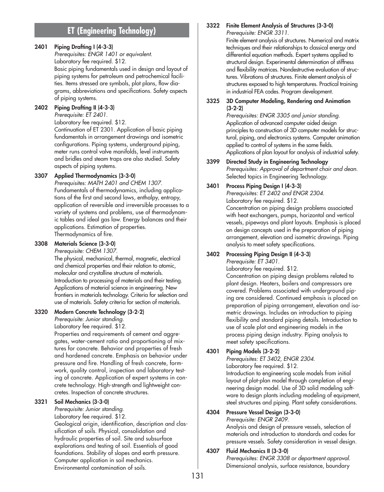# **ET (Engineering Technology)**

## **2401 Piping Drafting I (4-3-3)**

*Prerequisites: ENGR 1401 or equivalent.* Laboratory fee required. \$12. Basic piping fundamentals used in design and layout of piping systems for petroleum and petrochemical facilities. Items stressed are symbols, plot plans, flow diagrams, abbreviations and specifications. Safety aspects of piping systems.

## **2402 Piping Drafting II (4-3-3)**

*Prerequisite: ET 2401.*

Laboratory fee required. \$12. Continuation of ET 2301. Application of basic piping fundamentals in arrangement drawings and isometric configurations. Piping systems, underground piping, meter runs control valve manifolds, level instruments and bridles and steam traps are also studied. Safety aspects of piping systems.

## **3307 Applied Thermodynamics (3-3-0)**

*Prerequisites: MATH 2401 and CHEM 1307.* Fundamentals of thermodynamics, including applications of the first and second laws, enthalpy, entropy, application of reversible and irreversible processes to a variety of systems and problems, use of thermodynamic tables and ideal gas law. Energy balances and their applications. Estimation of properties. Thermodynamics of fire.

## **3308 Materials Science (3-3-0)**

*Prerequisite: CHEM 1307.*

The physical, mechanical, thermal, magnetic, electrical and chemical properties and their relation to atomic, molecular and crystalline structure of materials. Introduction to processing of materials and their testing. Applications of material science in engineering. New frontiers in materials technology. Criteria for selection and use of materials. Safety criteria for section of materials.

## **3320 Modern Concrete Technology (3-2-2)**

*Prerequisite: Junior standing.*

Laboratory fee required. \$12.

Properties and requirements of cement and aggregates, water-cement ratio and proportioning of mixtures for concrete. Behavior and properties of fresh and hardened concrete. Emphasis on behavior under pressure and fire. Handling of fresh concrete, formwork, quality control, inspection and laboratory testing of concrete. Application of expert systems in concrete technology. High-strength and lightweight concretes. Inspection of concrete structures.

## **3321 Soil Mechanics (3-3-0)**

*Prerequisite: Junior standing.* Laboratory fee required. \$12. Geological origin, identification, description and classification of soils. Physical, consolidation and hydraulic properties of soil. Site and subsurface explorations and testing of soil. Essentials of good foundations. Stability of slopes and earth pressure. Computer application in soil mechanics. Environmental contamination of soils.

## **3322 Finite Element Analysis of Structures (3-3-0)**

*Prerequisite: ENGR 3311.*

Finite element analysis of structures. Numerical and matrix techniques and their relationships to classical energy and differential equation methods. Expert systems applied to structural design. Experimental determination of stiffness and flexibility matrices. Nondestructive evaluation of structures. Vibrations of structures. Finite element analysis of structures exposed to high temperatures. Practical training in industrial FEA codes. Program development.

### **3325 3D Computer Modeling, Rendering and Animation (3-2-2)**

*Prerequisites: ENGR 3305 and junior standing.* Application of advanced computer aided design principles to construction of 3D computer models for structural, piping, and electronics systems. Computer animation applied to control of systems in the same fields. Applications of plan layout for analysis of industrial safety.

## **3399 Directed Study in Engineering Technology**

*Prerequisites: Approval of department chair and dean.* Selected topics in Engineering Technology.

## **3401 Process Piping Design I (4-3-3)**

*Prerequisites: ET 2402 and ENGR 2304.* Laboratory fee required. \$12.

Concentration on piping design problems associated with heat exchangers, pumps, horizontal and vertical vessels, pipeways and plant layouts. Emphasis is placed on design concepts used in the preparation of piping arrangement, elevation and isometric drawings. Piping analysis to meet safety specifications.

#### **3402 Processing Piping Design II (4-3-3)** *Prerequisite: ET 3401.*

Laboratory fee required. \$12.

Concentration on piping design problems related to plant design. Heaters, boilers and compressors are covered. Problems associated with underground piping are considered. Continued emphasis is placed on preparation of piping arrangement, elevation and isometric drawings. Includes an introduction to piping flexibility and standard piping details. Introduction to use of scale plot and engineering models in the process piping design industry. Piping analysis to meet safety specifications.

# **4301 Piping Models (3-2-2)**

*Prerequisites: ET 3402, ENGR 2304.*

Laboratory fee required. \$12. Introduction to engineering scale models from initial layout of plot-plan model through completion of engineering design model. Use of 3D solid modeling software to design plants including modeling of equipment, steel structures and piping. Plant safety considerations.

## **4304 Pressure Vessel Design (3-3-0)**

*Prerequisite: ENGR 2409.*

Analysis and design of pressure vessels, selection of materials and introduction to standards and codes for pressure vessels. Safety consideration in vessel design.

## **4307 Fluid Mechanics II (3-3-0)**

*Prerequisites: ENGR 3308 or department approval.* Dimensional analysis, surface resistance, boundary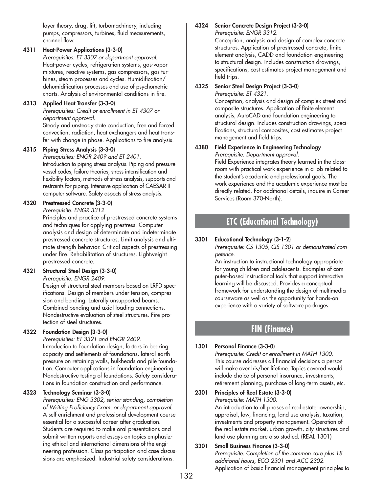layer theory, drag, lift, turbomachinery, including pumps, compressors, turbines, fluid measurements, channel flow.

## **4311 Heat-Power Applications (3-3-0)**

*Prerequisites: ET 3307 or department approval.* Heat-power cycles, refrigeration systems, gas-vapor mixtures, reactive systems, gas compressors, gas turbines, steam processes and cycles. Humidification/ dehumidification processes and use of psychometric charts. Analysis of environmental conditions in fire.

## **4313 Applied Heat Transfer (3-3-0)**

*Prerequisites: Credit or enrollment in ET 4307 or department approval.* Steady and unsteady state conduction, free and forced convection, radiation, heat exchangers and heat trans-

fer with change in phase. Applications to fire analysis.

## **4315 Piping Stress Analysis (3-3-0)**

*Prerequisites: ENGR 2409 and ET 2401.* Introduction to piping stress analysis. Piping and pressure vessel codes, failure theories, stress intensification and flexibility factors, methods of stress analysis, supports and restraints for piping. Intensive application of CAESAR II computer software. Safety aspects of stress analysis.

## **4320 Prestressed Concrete (3-3-0)**

*Prerequisite: ENGR 3312.*

Principles and practice of prestressed concrete systems and techniques for applying prestress. Computer analysis and design of determinate and indeterminate prestressed concrete structures. Limit analysis and ultimate strength behavior. Critical aspects of prestressing under fire. Rehabilitation of structures. Lightweight prestressed concrete.

## **4321 Structural Steel Design (3-3-0)**

*Prerequisite: ENGR 2409.*

Design of structural steel members based on LRFD specifications. Design of members under tension, compression and bending. Laterally unsupported beams. Combined bending and axial loading connections. Nondestructive evaluation of steel structures. Fire protection of steel structures.

## **4322 Foundation Design (3-3-0)**

*Prerequisites: ET 3321 and ENGR 2409.* Introduction to foundation design, factors in bearing capacity and settlements of foundations, lateral earth pressure on retaining walls, bulkheads and pile foundation. Computer applications in foundation engineering. Nondestructive testing of foundations. Safety considerations in foundation construction and performance.

## **4323 Technology Seminar (3-3-0)**

*Prerequisites: ENG 3302, senior standing, completion of Writing Proficiency Exam, or department approval.* A self enrichment and professional development course essential for a successful career after graduation. Students are required to make oral presentations and submit written reports and essays on topics emphasizing ethical and international dimensions of the engineering profession. Class participation and case discussions are emphasized. Industrial safety considerations.

#### **4324 Senior Concrete Design Project (3-3-0)** *Prerequisite: ENGR 3312.*

Conception, analysis and design of complex concrete structures. Application of prestressed concrete, finite element analysis, CADD and foundation engineering to structural design. Includes construction drawings, specifications, cost estimates project management and field trips.

#### **4325 Senior Steel Design Project (3-3-0)** *Prerequisite: ET 4321.*

Conception, analysis and design of complex street and composite structures. Application of finite element analysis, AutoCAD and foundation engineering to structural design. Includes construction drawings, specifications, structural composites, cost estimates project management and field trips.

#### **4380 Field Experience in Engineering Technology** *Prerequisite: Department approval.*

Field Experience integrates theory learned in the classroom with practical work experience in a job related to the student's academic and professional goals. The work experience and the academic experience must be directly related. For additional details, inquire in Career Services (Room 370-North).

# **ETC (Educational Technology)**

## **3301 Educational Technology (3-1-2)**

*Prerequisite: CS 1305, CIS 1301 or demonstrated competence.*

An instruction to instructional technology appropriate for young children and adolescents. Examples of computer-based instructional tools that support interactive learning will be discussed. Provides a conceptual framework for understanding the design of multimedia courseware as well as the opportunity for hands-on experience with a variety of software packages.

# **FIN (Finance)**

## **1301 Personal Finance (3-3-0)**

*Prerequisite: Credit or enrollment in MATH 1300.* This course addresses all financial decisions a person will make over his/her lifetime. Topics covered would include choice of personal insurance, investments, retirement planning, purchase of long-term assets, etc.

**2301 Principles of Real Estate (3-3-0)** *Prerequisite: MATH 1300.*

An introduction to all phases of real estate: ownership, appraisal, law, financing, land use analysis, taxation, investments and property management. Operation of the real estate market, urban growth, city structures and land use planning are also studied. (REAL 1301)

## **3301 Small Business Finance (3-3-0)** *Prerequisite: Completion of the common core plus 18 additional hours, ECO 2301 and ACC 2302.* Application of basic financial management principles to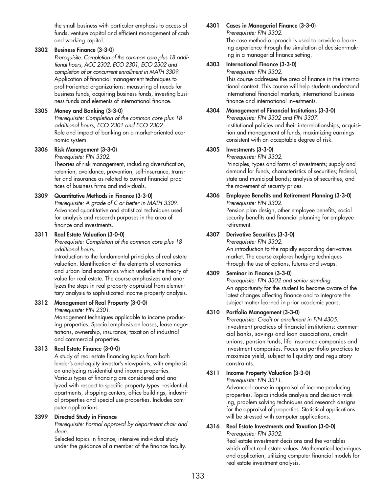the small business with particular emphasis to access of funds, venture capital and efficient management of cash and working capital.

#### **3302 Business Finance (3-3-0)**

*Prerequisite: Completion of the common core plus 18 additional hours, ACC 2302, ECO 2301, ECO 2302 and completion of or concurrent enrollment in MATH 3309.* Application of financial management techniques to profit-oriented organizations: measuring of needs for business funds, acquiring business funds, investing business funds and elements of international finance.

#### **3305 Money and Banking (3-3-0)**

*Prerequisite: Completion of the common core plus 18 additional hours, ECO 2301 and ECO 2302.* Role and impact of banking on a market-oriented economic system.

#### **3306 Risk Management (3-3-0)** *Prerequisite: FIN 3302.*

Theories of risk management, including diversification, retention, avoidance, prevention, self-insurance, transfer and insurance as related to current financial practices of business firms and individuals.

## **3309 Quantitative Methods in Finance (3-3-0)**

*Prerequisite: A grade of C or better in MATH 3309.* Advanced quantitative and statistical techniques used for analysis and research purposes in the area of finance and investments.

#### **3311 Real Estate Valuation (3-0-0)**

*Prerequisite: Completion of the common core plus 18 additional hours.*

Introduction to the fundamental principles of real estate valuation. Identification of the elements of economics and urban land economics which underlie the theory of value for real estate. The course emphasizes and analyzes the steps in real property appraisal from elementary analysis to sophisticated income property analysis.

## **3312 Management of Real Property (3-0-0)**

*Prerequisite: FIN 2301.*

Management techniques applicable to income producing properties. Special emphasis on leases, lease negotiations, ownership, insurance, taxation of industrial and commercial properties.

## **3313 Real Estate Finance (3-0-0)**

A study of real estate financing topics from both lender's and equity investor's viewpoints, with emphasis on analyzing residential and income properties. Various types of financing are considered and analyzed with respect to specific property types: residential, apartments, shopping centers, office buildings, industrial properties and special use properties. Includes computer applications.

## **3399 Directed Study in Finance**

*Prerequisite: Formal approval by department chair and dean.*

Selected topics in finance; intensive individual study under the guidance of a member of the finance faculty.

#### **4301 Cases in Managerial Finance (3-3-0)**

*Prerequisite: FIN 3302.*

The case method approach is used to provide a learning experience through the simulation of decision-making in a managerial finance setting.

#### **4303 International Finance (3-3-0)**

*Prerequisite: FIN 3302.*

This course addresses the area of finance in the international context. This course will help students understand international financial markets, international business finance and international investments.

#### **4304 Management of Financial Institutions (3-3-0)** *Prerequisite: FIN 3302 and FIN 3307.* Institutional policies and their interrelationships; acquisition and management of funds, maximizing earnings consistent with an acceptable degree of risk.

#### **4305 Investments (3-3-0)**

*Prerequisite: FIN 3302.*

Principles, types and forms of investments; supply and demand for funds; characteristics of securities; federal, state and municipal bonds; analysis of securities; and the movement of security prices.

#### **4306 Employee Benefits and Retirement Planning (3-3-0)** *Prerequisite: FIN 3302.*

Pension plan design, other employee benefits, social security benefits and financial planning for employee retirement.

## **4307 Derivative Securities (3-3-0)**

*Prerequisite: FIN 3302.* An introduction to the rapidly expanding derivatives market. The course explores hedging techniques through the use of options, futures and swaps.

## **4309 Seminar in Finance (3-3-0)**

*Prerequisite: FIN 3302 and senior standing.* An opportunity for the student to become aware of the latest changes affecting finance and to integrate the subject matter learned in prior academic years.

## **4310 Portfolio Management (3-3-0)**

*Prerequisite: Credit or enrollment in FIN 4305.* Investment practices of financial institutions: commercial banks, savings and loan associations, credit unions, pension funds, life insurance companies and investment companies. Focus on portfolio practices to maximize yield, subject to liquidity and regulatory constraints.

## **4311 Income Property Valuation (3-3-0)**

*Prerequisite: FIN 3311.*

Advanced course in appraisal of income producing properties. Topics include analysis and decision-making, problem solving techniques and research designs for the appraisal of properties. Statistical applications will be stressed with computer applications.

#### **4316 Real Estate Investments and Taxation (3-0-0)** *Prerequisite: FIN 3302.*

Real estate investment decisions and the variables which affect real estate values. Mathematical techniques and application, utilizing computer financial models for real estate investment analysis.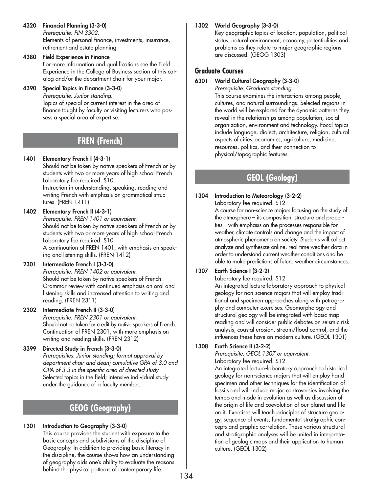- **4320 Financial Planning (3-3-0)** *Prerequisite: FIN 3302.* Elements of personal finance, investments, insurance, retirement and estate planning.
- **4380 Field Experience in Finance** For more information and qualifications see the Field Experience in the College of Business section of this catalog and/or the department chair for your major.

## **4390 Special Topics in Finance (3-3-0)**

*Prerequisite: Junior standing.* Topics of special or current interest in the area of finance taught by faculty or visiting lecturers who possess a special area of expertise.

# **FREN (French)**

## **1401 Elementary French I (4-3-1)**

Should not be taken by native speakers of French or by students with two or more years of high school French. Laboratory fee required. \$10. Instruction in understanding, speaking, reading and writing French with emphasis on grammatical structures. (FREN 1411)

## **1402 Elementary French II (4-3-1)**

*Prerequisite: FREN 1401 or equivalent.*  Should not be taken by native speakers of French or by students with two or more years of high school French. Laboratory fee required. \$10. A continuation of FREN 1401, with emphasis on speaking and listening skills. (FREN 1412)

## **2301 Intermediate French I (3-3-0)**

*Prerequisite: FREN 1402 or equivalent.*  Should not be taken by native speakers of French. Grammar review with continued emphasis on oral and listening skills and increased attention to writing and reading. (FREN 2311)

## **2302 Intermediate French II (3-3-0)**

*Prerequisite: FREN 2301 or equivalent.*  Should not be taken for credit by native speakers of French. Continuation of FREN 2301, with more emphasis on writing and reading skills. (FREN 2312)

## **3399 Directed Study in French (3-3-0)**

*Prerequisites: Junior standing; formal approval by department chair and dean; cumulative GPA of 3.0 and GPA of 3.3 in the specific area of directed study.* Selected topics in the field; intensive individual study under the guidance of a faculty member.

# **GEOG (Geography)**

# **1301 Introduction to Geography (3-3-0)**

This course provides the student with exposure to the basic concepts and subdivisions of the discipline of Geography. In addition to providing basic literacy in the discipline, the course shows how an understanding of geography aids one's ability to evaluate the reasons behind the physical patterns of contemporary life.

# **1302 World Geography (3-3-0)**

Key geographic topics of location, population, political status, natural environment, economy, potentialities and problems as they relate to major geographic regions are discussed. (GEOG 1303)

# **Graduate Courses**

## **6301 World Cultural Geography (3-3-0)**

*Prerequisite: Graduate standing.* This course examines the interactions among people, cultures, and natural surroundings. Selected regions in the world will be explored for the dynamic patterns they reveal in the relationships among population, social organization, environment and technology. Focal topics include language, dialect, architecture, religion, cultural aspects of cities, economics, agriculture, medicine, resources, politics, and their connection to physical/topographic features.

# **GEOL (Geology)**

## **1304 Introduction to Meteorology (3-2-2)**

Laboratory fee required. \$12.

A course for non-science majors focusing on the study of the atmosphere – its composition, structure and properties – with emphasis on the processes responsible for weather, climate controls and change and the impact of atmospheric phenomena on society. Students will collect, analyze and synthesize online, real-time weather data in order to understand current weather conditions and be able to make predictions of future weather circumstances.

# **1307 Earth Science I (3-2-2)**

Laboratory fee required. \$12.

An integrated lecture-laboratory approach to physical geology for non-science majors that will employ traditional and specimen approaches along with petrography and computer exercises. Geomorphology and structural geology will be integrated with basic map reading and will consider public debates on seismic risk analysis, coastal erosion, stream/flood control, and the influences these have on modern culture. (GEOL 1301)

## **1308 Earth Science II (3-2-2)**

*Prerequisite: GEOL 1307 or equivalent.* Laboratory fee required. \$12.

An integrated lecture-laboratory approach to historical geology for non-science majors that will employ hand specimen and other techniques for the identification of fossils and will include major controversies involving the tempo and mode in evolution as well as discussion of the origin of life and coevolution of our planet and life on it. Exercises will teach principles of structure geology, sequence of events, fundamental stratigraphic concepts and graphic correlation. These various structural and stratigraphic analyses will be united in interpretation of geologic maps and their application to human culture. (GEOL 1302)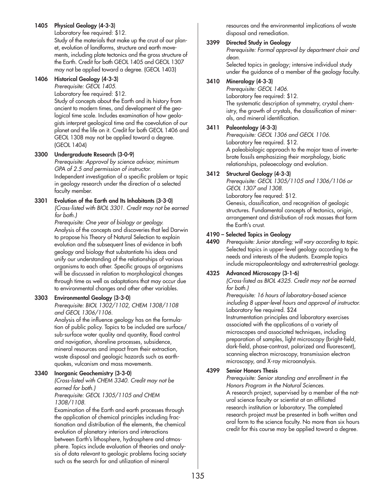## **1405 Physical Geology (4-3-3)**

Laboratory fee required: \$12.

Study of the materials that make up the crust of our planet, evolution of landforms, structure and earth movements, including plate tectonics and the gross structure of the Earth. Credit for both GEOL 1405 and GEOL 1307 may not be applied toward a degree. (GEOL 1403)

#### **1406 Historical Geology (4-3-3)**

*Prerequisite: GEOL 1405.*

Laboratory fee required: \$12. Study of concepts about the Earth and its history from ancient to modern times, and development of the geological time scale. Includes examination of how geologists interpret geological time and the coevolution of our planet and the life on it. Credit for both GEOL 1406 and GEOL 1308 may not be applied toward a degree. (GEOL 1404)

## **3300 Undergraduate Research (3-0-9)**

*Prerequisite: Approval by science advisor, minimum GPA of 2.5 and permission of instructor.* Independent investigation of a specific problem or topic in geology research under the direction of a selected faculty member.

#### **3301 Evolution of the Earth and Its Inhabitants (3-3-0)** *(Cross-listed with BIOL 3301. Credit may not be earned for both.)*

*Prerequisite: One year of biology or geology.* Analysis of the concepts and discoveries that led Darwin to propose his Theory of Natural Selection to explain evolution and the subsequent lines of evidence in both geology and biology that substantiate his ideas and unify our understanding of the relationships of various organisms to each other. Specific groups of organisms will be discussed in relation to morphological changes through time as well as adaptations that may occur due to environmental changes and other other variables.

## **3303 Environmental Geology (3-3-0)**

*Prerequisite: BIOL 1302/1102, CHEM 1308/1108 and GEOL 1306/1106.*

Analysis of the influence geology has on the formulation of public policy. Topics to be included are surface/ sub-surface water quality and quantity, flood control and navigation, shoreline processes, subsidence, mineral resources and impact from their extraction, waste disposal and geologic hazards such as earthquakes, vulcanism and mass movements.

## **3340 Inorganic Geochemistry (3-3-0)**

*(Cross-listed with CHEM 3340. Credit may not be earned for both.)*

*Prerequisite: GEOL 1305/1105 and CHEM 1308/1108.*

Examination of the Earth and earth processes through the application of chemical principles including fractionation and distribution of the elements, the chemical evolution of planetary interiors and interactions between Earth's lithosphere, hydrosphere and atmosphere. Topics include evaluation of theories and analysis of data relevant to geologic problems facing society such as the search for and utilization of mineral

resources and the environmental implications of waste disposal and remediation.

## **3399 Directed Study in Geology**

*Prerequisite: Formal approval by department chair and dean.*

Selected topics in geology; intensive individual study under the guidance of a member of the geology faculty.

#### **3410 Mineralogy (4-3-3)**

*Prerequisite: GEOL 1406.* Laboratory fee required: \$12. The systematic description of symmetry, crystal chemistry, the growth of crystals, the classification of minerals, and mineral identification.

## **3411 Paleontology (4-3-3)**

*Prerequisite: GEOL 1306 and GEOL 1106.* Laboratory fee required. \$12. A paleobiologic approach to the major taxa of invertebrate fossils emphasizing their morphology, biotic relationships, paleoecology and evolution.

## **3412 Structural Geology (4-3-3)**

*Prerequisite: GEOL 1305/1105 and 1306/1106 or GEOL 1307 and 1308.* Laboratory fee requred: \$12. Genesis, classification, and recognition of geologic structures. Fundamental concepts of tectonics, origin, arrangement and distribution of rock masses that form the Earth's crust.

## **4190 – Selected Topics in Geology**

**4490** *Prerequisite: Junior standing; will vary according to topic.* Selected topics in upper-level geology according to the needs and interests of the students. Example topics include micropaleontology and extraterrestrial geology.

## **4325 Advanced Microscopy (3-1-6)**

*(Cross-listed as BIOL 4325. Credit may not be earned for both.)*

*Prerequisite: 16 hours of laboratory-based science including 8 upper-level hours and approval of instructor.*  Laboratory fee required. \$24

Instrumentation principles and laboratory exercises associated with the applications of a variety of microscopes and associated techniques, including preparation of samples, light microscopy (bright-field, dark-field, phase-contrast, polarized and fluorescent), scanning electron microscopy, transmission electron microscopy, and X-ray microanalysis.

## **4399 Senior Honors Thesis**

*Prerequisite: Senior standing and enrollment in the Honors Program in the Natural Sciences.* A research project, supervised by a member of the natural science faculty or scientist at an affiliated research institution or laboratory. The completed research project must be presented in both written and oral form to the science faculty. No more than six hours credit for this course may be applied toward a degree.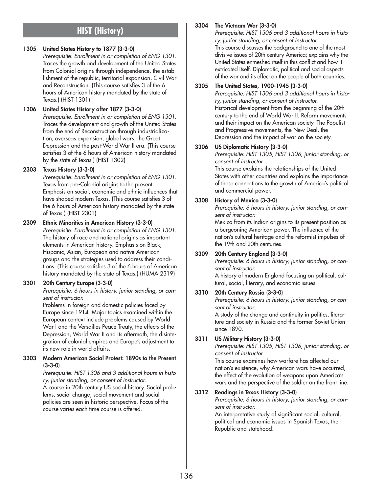# **HIST (History)**

## **1305 United States History to 1877 (3-3-0)**

*Prerequisite: Enrollment in or completion of ENG 1301.* Traces the growth and development of the United States from Colonial origins through independence, the establishment of the republic, territorial expansion, Civil War and Reconstruction. (This course satisfies 3 of the 6 hours of American history mandated by the state of Texas.) (HIST 1301)

## **1306 United States History after 1877 (3-3-0)**

*Prerequisite: Enrollment in or completion of ENG 1301.* Traces the development and growth of the United States from the end of Reconstruction through industrialization, overseas expansion, global wars, the Great Depression and the post-World War II era. (This course satisfies 3 of the 6 hours of American history mandated by the state of Texas.) (HIST 1302)

## **2303 Texas History (3-3-0)**

*Prerequisite: Enrollment in or completion of ENG 1301.* Texas from pre-Colonial origins to the present. Emphasis on social, economic and ethnic influences that have shaped modern Texas. (This course satisfies 3 of the 6 hours of American history mandated by the state of Texas.) (HIST 2301)

## **2309 Ethnic Minorities in American History (3-3-0)**

*Prerequisite: Enrollment in or completion of ENG 1301.* The history of race and national origins as important elements in American history. Emphasis on Black, Hispanic, Asian, European and native American groups and the strategies used to address their conditions. (This course satisfies 3 of the 6 hours of American history mandated by the state of Texas.) (HUMA 2319)

## **3301 20th Century Europe (3-3-0)**

*Prerequisite: 6 hours in history, junior standing, or consent of instructor.*

Problems in foreign and domestic policies faced by Europe since 1914. Major topics examined within the European context include problems caused by World War I and the Versailles Peace Treaty, the effects of the Depression, World War II and its aftermath, the disintegration of colonial empires and Europe's adjustment to its new role in world affairs.

#### **3303 Modern American Social Protest: 1890s to the Present (3-3-0)**

*Prerequisite: HIST 1306 and 3 additional hours in history, junior standing, or consent of instructor.*

A course in 20th century US social history. Social problems, social change, social movement and social policies are seen in historic perspective. Focus of the course varies each time course is offered.

## **3304 The Vietnam War (3-3-0)**

*Prerequisite: HIST 1306 and 3 additional hours in history, junior standing, or consent of instructor.* This course discusses the background to one of the most divisive issues of 20th century America; explains why the United States enmeshed itself in this conflict and how it extricated itself. Diplomatic, political and social aspects of the war and its effect on the people of both countries.

## **3305 The United States, 1900-1945 (3-3-0)**

*Prerequisite: HIST 1306 and 3 additional hours in history, junior standing, or consent of instructor.* Historical development from the beginning of the 20th century to the end of World War II. Reform movements and their impact on the American society. The Populist and Progressive movements, the New Deal, the Depression and the impact of war on the society.

## **3306 US Diplomatic History (3-3-0)**

*Prerequisite: HIST 1305, HIST 1306, junior standing, or consent of instructor.*

This course explains the relationships of the United States with other countries and explains the importance of these connections to the growth of America's political and commercial power.

## **3308 History of Mexico (3-3-0)**

*Prerequisite: 6 hours in history, junior standing, or consent of instructor.*

Mexico from its Indian origins to its present position as a burgeoning American power. The influence of the nation's cultural heritage and the reformist impulses of the 19th and 20th centuries.

## **3309 20th Century England (3-3-0)**

*Prerequisite: 6 hours in history, junior standing, or consent of instructor.*

A history of modern England focusing on political, cultural, social, literary, and economic issues.

## **3310 20th Century Russia (3-3-0)**

*Prerequisite: 6 hours in history, junior standing, or consent of instructor.*

A study of the change and continuity in politics, literature and society in Russia and the former Soviet Union since 1890.

## **3311 US Military History (3-3-0)**

*Prerequisite: HIST 1305, HIST 1306, junior standing, or consent of instructor.*

This course examines how warfare has affected our nation's existence, why American wars have occurred, the effect of the evolution of weapons upon America's wars and the perspective of the soldier on the front line.

## **3312 Readings in Texas History (3-3-0)**

*Prerequisite: 6 hours in history, junior standing, or consent of instructor.*

An interpretative study of significant social, cultural, political and economic issues in Spanish Texas, the Republic and statehood.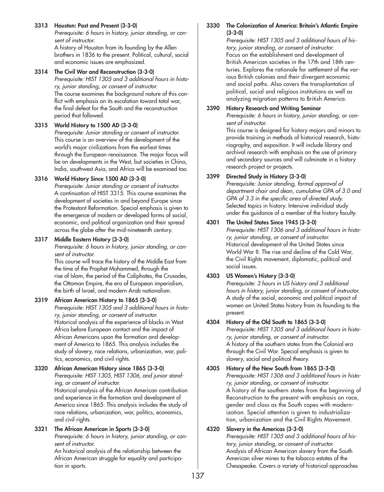## **3313 Houston: Past and Present (3-3-0)**

*Prerequisite: 6 hours in history, junior standing, or consent of instructor.*

A history of Houston from its founding by the Allen brothers in 1836 to the present. Political, cultural, social and economic issues are emphasized.

## **3314 The Civil War and Reconstruction (3-3-0)**

*Prerequisite: HIST 1305 and 3 additional hours in history, junior standing, or consent of instructor.* The course examines the background nature of this conflict with emphasis on its escalation toward total war, the final defeat for the South and the reconstruction period that followed.

## **3315 World History to 1500 AD (3-3-0)**

*Prerequisite: Junior standing or consent of instructor.* This course is an overview of the development of the world's major civilizations from the earliest times through the European renaissance. The major focus will be on developments in the West, but societies in China, India, southwest Asia, and Africa will be examined too.

## **3316 World History Since 1500 AD (3-3-0)**

*Prerequisite: Junior standing or consent of instructor.* A continuation of HIST 3315. This course examines the development of societies in and beyond Europe since the Protestant Reformation. Special emphasis is given to the emergence of modern or developed forms of social, economic, and political organization and their spread across the globe after the mid-nineteenth century.

## **3317 Middle Eastern History (3-3-0)**

*Prerequisite: 6 hours in history, junior standing, or consent of instructor.*

This course will trace the history of the Middle East from the time of the Prophet Mohammed, through the rise of Islam, the period of the Caliphates, the Crusades, the Ottoman Empire, the era of European imperialism, the birth of Israel, and modern Arab nationalism.

## **3319 African American History to 1865 (3-3-0)**

*Prerequisite: HIST 1305 and 3 additional hours in history, junior standing, or consent of instructor.* Historical analysis of the experience of blacks in West Africa before European contact and the impact of African Americans upon the formation and development of America to 1865. This analysis includes the study of slavery, race relations, urbanization, war, politics, economics, and civil rights.

#### **3320 African American History since 1865 (3-3-0)** *Prerequisite: HIST 1305, HIST 1306, and junior standing, or consent of instructor.* Historical analysis of the African American contribution and experience in the formation and development of America since 1865: This analysis includes the study of race relations, urbanization, war, politics, economics, and civil rights.

## **3321 The African American in Sports (3-3-0)**

*Prerequisite: 6 hours in history, junior standing, or consent of instructor.*

An historical analysis of the relationship between the African American struggle for equality and participation in sports.

#### **3330 The Colonization of America: Britain's Atlantic Empire (3-3-0)**

*Prerequisite: HIST 1305 and 3 additional hours of history, junior standing, or consent of instructor.* Focus on the establishment and development of British American societies in the 17th and 18th centuries. Explores the rationale for settlement of the various British colonies and their divergent economic and social paths. Also covers the transplantation of political, social and religious institutions as well as analyzing migration patterns to British America.

## **3390 History Research and Writing Seminar**

*Prerequisite: 6 hours in history, junior standing, or consent of instructor.*

This course is designed for history majors and minors to provide training in methods of historical research, historiography, and exposition. It will include library and archival research with emphasis on the use of primary and secondary sources and will culminate in a history research project or projects.

## **3399 Directed Study in History (3-3-0)**

*Prerequisite: Junior standing, formal approval of department chair and dean, cumulative GPA of 3.0 and GPA of 3.3 in the specific area of directed study.* Selected topics in history. Intensive individual study under the guidance of a member of the history faculty.

## **4301 The United States Since 1945 (3-3-0)**

*Prerequisite: HIST 1306 and 3 additional hours in history, junior standing, or consent of instructor.* Historical development of the United States since World War II. The rise and decline of the Cold War, the Civil Rights movement, diplomatic, political and social issues.

## **4303 US Women's History (3-3-0)**

*Prerequisite: 3 hours in US history and 3 additional hours in history, junior standing, or consent of instructor.* A study of the social, economic and political impact of women on United States history from its founding to the present.

## **4304 History of the Old South to 1865 (3-3-0)**

*Prerequisite: HIST 1305 and 3 additional hours in history, junior standing, or consent of instructor.* A history of the southern states from the Colonial era through the Civil War. Special emphasis is given to slavery, social and political theory.

#### **4305 History of the New South from 1865 (3-3-0)** *Prerequisite: HIST 1306 and 3 additional hours in histo-*

*ry, junior standing, or consent of instructor.* A history of the southern states from the beginning of Reconstruction to the present with emphasis on race, gender and class as the South copes with modernization. Special attention is given to industrialization, urbanization and the Civil Rights Movement.

## **4320 Slavery in the Americas (3-3-0)**

*Prerequisite: HIST 1305 and 3 additional hours of history, junior standing, or consent of instructor.* Analysis of African American slavery from the South American silver mines to the tobacco estates of the Chesapeake. Covers a variety of historical approaches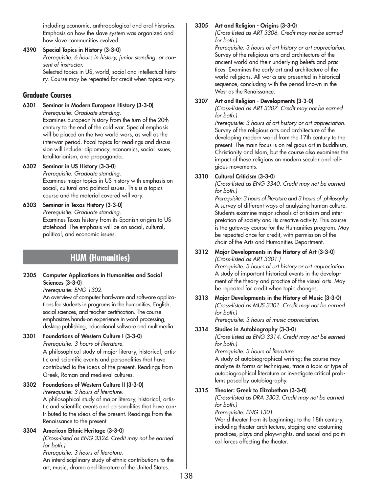including economic, anthropological and oral histories. Emphasis on how the slave system was organized and how slave communities evolved.

**4390 Special Topics in History (3-3-0)** *Prerequisite: 6 hours in history, junior standing, or consent of instructor.* Selected topics in US, world, social and intellectual history. Course may be repeated for credit when topics vary.

# **Graduate Courses**

**6301 Seminar in Modern European History (3-3-0)** *Prerequisite: Graduate standing.*

Examines European history from the turn of the 20th century to the end of the cold war. Special emphasis will be placed on the two world wars, as well as the interwar period. Focal topics for readings and discussion will include: diplomacy, economics, social issues, totalitarianism, and propaganda.

**6302 Seminar in US History (3-3-0)**

*Prerequisite: Graduate standing.* Examines major topics in US history with emphasis on social, cultural and political issues. This is a topics course and the material covered will vary.

**6303 Seminar in Texas History (3-3-0)** *Prerequisite: Graduate standing.* Examines Texas history from its Spanish origins to US statehood. The emphasis will be on social, cultural, political, and economic issues.

# **HUM (Humanities)**

**2305 Computer Applications in Humanities and Social Sciences (3-3-0)**

*Prerequisite: ENG 1302.*

An overview of computer hardware and software applications for students in programs in the humanities, English, social sciences, and teacher certification. The course emphasizes hands-on experience in word processing, desktop publishing, educational software and multimedia.

## **3301 Foundations of Western Culture I (3-3-0)**

*Prerequisite: 3 hours of literature.*

A philosophical study of major literary, historical, artistic and scientific events and personalities that have contributed to the ideas of the present. Readings from Greek, Roman and medieval cultures.

## **3302 Foundations of Western Culture II (3-3-0)**

*Prerequisite: 3 hours of literature.*

A philosophical study of major literary, historical, artistic and scientific events and personalities that have contributed to the ideas of the present. Readings from the Renaissance to the present.

## **3304 American Ethnic Heritage (3-3-0)**

*(Cross-listed as ENG 3324. Credit may not be earned for both.)*

*Prerequisite: 3 hours of literature.* An interdisciplinary study of ethnic contributions to the art, music, drama and literature of the United States.

## **3305 Art and Religion - Origins (3-3-0)**

*(Cross-listed as ART 3306. Credit may not be earned for both.)*

*Prerequisite: 3 hours of art history or art appreciation.* Survey of the religious arts and architecture of the ancient world and their underlying beliefs and practices. Examines the early art and architecture of the world religions. All works are presented in historical sequence, concluding with the period known in the West as the Renaissance.

## **3307 Art and Religion - Developments (3-3-0)**

*(Cross-listed as ART 3307. Credit may not be earned for both.)*

*Prerequisite: 3 hours of art history or art appreciation.* Survey of the religious arts and architecture of the developing modern world from the 17th century to the present. The main focus is on religious art in Buddhism, Christianity and Islam, but the course also examines the impact of these religions on modern secular and religious movements.

## **3310 Cultural Criticism (3-3-0)**

*(Cross-listed as ENG 3340. Credit may not be earned for both.)*

*Prerequisite: 3 hours of literature and 3 hours of philosophy.* A survey of different ways of analyzing human culture. Students examine major schools of criticism and interpretation of society and its creative activity. This course is the gateway course for the Humanities program. May be repeated once for credit, with permission of the chair of the Arts and Humanities Department.

**3312 Major Developments in the History of Art (3-3-0)** *(Cross-listed as ART 3301.)* 

*Prerequisite: 3 hours of art history or art appreciation.* A study of important historical events in the development of the theory and practice of the visual arts. May be repeated for credit when topic changes.

**3313 Major Developments in the History of Music (3-3-0)** *(Cross-listed as MUS 3301. Credit may not be earned for both.)*

*Prerequisite: 3 hours of music appreciation.*

## **3314 Studies in Autobiography (3-3-0)**

*(Cross-listed as ENG 3314. Credit may not be earned for both.)*

*Prerequisite: 3 hours of literature.*

A study of autobiographical writing; the course may analyze its forms or techniques, trace a topic or type of autobiographical literature or investigate critical problems posed by autobiography.

## **3315 Theater: Greek to Elizabethan (3-3-0)**

*(Cross-listed as DRA 3303. Credit may not be earned for both.)*

*Prerequisite: ENG 1301.*

World theater from its beginnings to the 18th century, including theater architecture, staging and costuming practices, plays and playwrights, and social and political forces affecting the theater.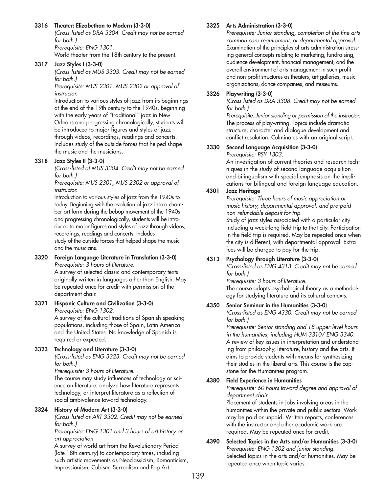## **3316 Theater: Elizabethan to Modern (3-3-0)**

*(Cross-listed as DRA 3304. Credit may not be earned for both.) Prerequisite: ENG 1301.*

World theater from the 18th century to the present.

#### **3317 Jazz Styles I (3-3-0)**

*(Cross-listed as MUS 3303. Credit may not be earned for both.)*

*Prerequisite: MUS 2301, MUS 2302 or approval of instructor.*

Introduction to various styles of jazz from its beginnings at the end of the 19th century to the 1940s. Beginning with the early years of "traditional" jazz in New Orleans and progressing chronologically, students will be introduced to major figures and styles of jazz through videos, recordings, readings and concerts. Includes study of the outside forces that helped shape the music and the musicians.

#### **3318 Jazz Styles II (3-3-0)**

*(Cross-listed at MUS 3304. Credit may not be earned for both.)*

*Prerequisite: MUS 2301, MUS 2302 or approval of instructor.*

Introduction to various styles of jazz from the 1940s to today. Beginning with the evolution of jazz into a chamber art form during the bebop movement of the 1940s and progressing chronologically, students will be introduced to major figures and styles of jazz through videos, recordings, readings and concerts. Includes study of the outside forces that helped shape the music and the musicians.

**3320 Foreign Language Literature in Translation (3-3-0)** *Prerequisite: 3 hours of literature.* A survey of selected classic and contemporary texts originally written in languages other than English. May

be repeated once for credit with permission of the department chair.

#### **3321 Hispanic Culture and Civilization (3-3-0)** *Prerequisite: ENG 1302.*

A survey of the cultural traditions of Spanish-speaking populations, including those of Spain, Latin America and the United States. No knowledge of Spanish is required or expected.

#### **3323 Technology and Literature (3-3-0)**

*(Cross-listed as ENG 3323. Credit may not be earned for both.)*

*Prerequisite: 3 hours of literature.*

The course may study influences of technology or science on literature, analyze how literature represents technology, or interpret literature as a reflection of social ambivalence toward technology.

#### **3324 History of Modern Art (3-3-0)**

*(Cross-listed as ART 3302. Credit may not be earned for both.)*

*Prerequisite: ENG 1301 and 3 hours of art history or art appreciation.*

A survey of world art from the Revolutionary Period (late 18th century) to contemporary times, including such artistic movements as Neoclassicism, Romanticism, Impressionism, Cubism, Surrealism and Pop Art.

#### **3325 Arts Administration (3-3-0)**

*Prerequisite: Junior standing, completion of the fine arts common core requirement, or departmental approval.* Examination of the principles of arts administration stressing general concepts relating to marketing, fundraising, audience development, financial management, and the overall environment of arts management in such profit and non-profit structures as theaters, art galleries, music organizations, dance companies, and museums.

### **3326 Playwriting (3-3-0)**

*(Cross-listed as DRA 3308. Credit may not be earned for both.)*

*Prerequisite: Junior standing or permission of the instructor.* The process of playwriting. Topics include dramatic structure, character and dialogue development and conflict resolution. Culminates with an original script.

## **3330 Second Language Acquisition (3-3-0)**

*Prerequisite: PSY 1303.*

An investigation of current theories and research techniques in the study of second language acquisition and bilingualism with special emphasis on the implications for bilingual and foreign language education.

## **4301 Jazz Heritage**

*Prerequisite: Three hours of music appreciation or music history, departmental approval, and pre-paid non-refundable deposit for trip.*

Study of jazz styles associated with a particular city including a week-long field trip to that city. Participation in the field trip is required. May be repeated once when the city is different, with departmental approval. Extra fees will be charged to pay for the trip.

## **4313 Psychology through Literature (3-3-0)**

*(Cross-listed as ENG 4313. Credit may not be earned for both.)*

*Prerequisite: 3 hours of literature.* The course adopts psychological theory as a methodology for studying literature and its cultural contexts.

## **4350 Senior Seminar in the Humanities (3-3-0)**

*(Cross-listed as ENG 4330. Credit may not be earned for both.)*

*Prerequisite: Senior standing and 18 upper-level hours in the humanities, including HUM 3310/ ENG 3340.* A review of key issues in interpretation and understanding from philosophy, literature, history and the arts. It aims to provide students with means for synthesizing their studies in the liberal arts. This course is the capstone for the Humanities program.

## **4380 Field Experience in Humanities**

*Prerequisite: 60 hours toward degree and approval of department chair.*

Placement of students in jobs involving areas in the humanities within the private and public sectors. Work may be paid or unpaid. Written reports, conferences with the instructor and other academic work are required. May be repeated once for credit.

**4390 Selected Topics in the Arts and/or Humanities (3-3-0)** *Prerequisite: ENG 1302 and junior standing.* Selected topics in the arts and/or humanities. May be repeated once when topic varies.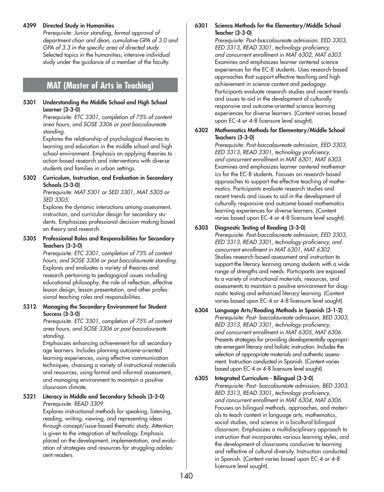#### **4399 Directed Study in Humanities**

*Prerequisite: Junior standing, formal approval of department chair and dean, cumulative GPA of 3.0 and GPA of 3.3 in the specific area of directed study.* Selected topics in the humanities; intensive individual study under the guidance of a member of the faculty.

# **MAT (Master of Arts in Teaching)**

#### **5301 Understanding the Middle School and High School Learner (3-3-0)**

*Prerequisite: ETC 3301, completion of 75% of content area hours, and SOSE 3306 or post baccalaureate standing.*

Explores the relationship of psychological theories to learning and education in the middle school and high school environment. Emphasis on applying theories to action-based research and interventions with diverse students and families in urban settings.

**5302 Curriculum, Instruction, and Evaluation in Secondary Schools (3-3-0)** 

*Prerequisite: MAT 5301 or SED 3301, MAT 5305 or SED 3305.*

Explores the dynamic interactions among assessment, instruction, and curricular design for secondary students. Emphasizes professional decision-making based on theory and research.

**5305 Professional Roles and Responsibilities for Secondary Teachers (3-3-0)** 

*Prerequisite: ETC 3301, completion of 75% of content hours, and SOSE 3306 or post baccalaureate standing.* Explores and evaluates a variety of theories and research pertaining to pedagogical issues including educational philosophy, the role of reflection, effective lesson design, lesson presentation, and other professional teaching roles and responsibilities.

**5312 Managing the Secondary Environment for Student Success (3-3-0)**

> *Prerequisite: ETC 3301, completion of 75% of content area hours, and SOSE 3306 or post baccalaureate standing.*

Emphasizes enhancing achievement for all secondary age learners. Includes planning outcome-oriented learning experiences, using effective communication techniques, choosing a variety of instructional materials and resources, using formal and informal assessment, and managing environment to maintain a positive classroom climate.

#### **5321 Literacy in Middle and Secondary Schools (3-3-0)** *Prerequisite: READ 3309.*

Explores instructional methods for speaking, listening, reading, writing, viewing, and representing ideas through concept/issue-based thematic study. Attention is given to the integration of technology. Emphasis placed on the development, implementation, and evaluation of strategies and resources for struggling adolescent readers.

## **6301 Science Methods for the Elementary/Middle School Teacher (3-3-0)**

*Prerequisite: Post-baccalaureate admission. EED 3303, EED 3313, READ 3301, technology proficiency, and concurrent enrollment in MAT 6302, MAT 6303.* Examines and emphasizes learner centered science experiences for the EC-8 students. Uses research-based approaches that support effective teaching and high achievement in science content and pedagogy. Participants evaluate research studies and recent trends and issues to aid in the development of culturally responsive and outcome-oriented science learning experiences for diverse learners. (Content varies based upon EC-4 or 4-8 licensure level sought).

**6302 Mathematics Methods for Elementary/Middle School Teachers (3-3-0)**

*Prerequisite: Post-baccalaureate admission, EED 3303, EED 3313, READ 3301, technology proficiency, and concurrent enrollment in MAT 6301, MAT 6303.* Examines and emphasizes learner centered mathematics for the EC-8 students. Focuses on research-based approaches to support the effective teaching of mathematics. Participants evaluate research studies and recent trends and issues to aid in the development of culturally responsive and outcome-based mathematics learning experiences for diverse learners. (Content varies based upon EC-4 or 4-8 licensure level sought).

## **6303 Diagnostic Testing of Reading (3-3-0)**

*Prerequisite: Post-baccalaureate admission, EED 3303, EED 3313, READ 3301, technology proficiency, and concurrent enrollment in MAT 6301, MAT 6302.* Studies research-based assessment and instruction to support the literacy learning among students with a wide range of strengths and needs. Participants are exposed to a variety of instructional materials, resources, and assessments to maintain a positive environment for diagnostic testing and enhanced literacy learning. (Content varies based upon EC-4 or 4-8 licensure level sought).

- **6304 Language Arts/Reading Methods in Spanish (3-1-2)** *Prerequisite: Post- baccalaureate admission, BED 3303, BED 3313, READ 3301, technology proficiency, and concurrent enrollment in MAT 6305, MAT 6306.* Presents strategies for providing developmentally appropriate emergent literacy and holistic instruction. Includes the selection of appropriate materials and authentic assessment. Instruction conducted in Spanish. (Content varies based upon EC-4 or 4-8 licensure level sought).
- **6305 Integrated Curriculum Bilingual (3-3-0)** *Prerequisite: Post- baccalaureate admission, BED 3303, BED 3313, READ 3301, technology proficiency, and concurrent enrollment in MAT 6304, MAT 6306.* Focuses on bilingual methods, approaches, and materials to teach content in language arts, mathematics, social studies, and science in a bicultural bilingual classroom. Emphasizes a multidisciplinary approach to instruction that incorporates various learning styles, and the development of classrooms conducive to learning and reflective of cultural diversity. Instruction conducted in Spanish. (Content varies based upon EC-4 or 4-8 licensure level sought).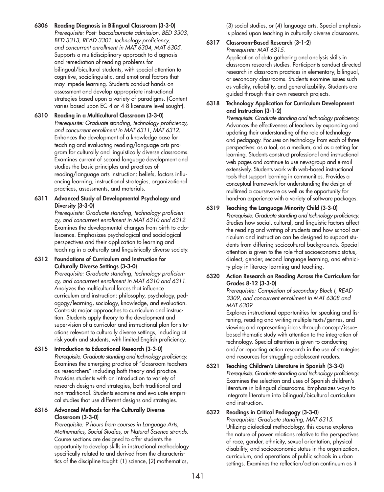- **6306 Reading Diagnosis in Bilingual Classroom (3-3-0)** *Prerequisite: Post- baccalaureate admission, BED 3303, BED 3313, READ 3301, technology proficiency, and concurrent enrollment in MAT 6304, MAT 6305.* Supports a multidisciplinary approach to diagnosis and remediation of reading problems for bilingual/bicultural students, with special attention to cognitive, sociolinguistic, and emotional factors that may impede learning. Students conduct hands-on assessment and develop appropriate instructional strategies based upon a variety of paradigms. (Content varies based upon EC-4 or 4-8 licensure level sought).
- **6310 Reading in a Multicultural Classroom (3-3-0)** *Prerequisite: Graduate standing, technology proficiency, and concurrent enrollment in MAT 6311, MAT 6312.* Enhances the development of a knowledge base for teaching and evaluating reading/language arts program for culturally and linguistically diverse classrooms. Examines current of second language development and studies the basic principles and practices of reading/language arts instruction: beliefs, factors influencing learning, instructional strategies, organizational practices, assessments, and materials.
- **6311 Advanced Study of Developmental Psychology and Diversity (3-3-0)**

*Prerequisite: Graduate standing, technology proficiency, and concurrent enrollment in MAT 6310 and 6312.* Examines the developmental changes from birth to adolescence. Emphasizes psychological and sociological perspectives and their application to learning and teaching in a culturally and linguistically diverse society.

**6312 Foundations of Curriculum and Instruction for Culturally Diverse Settings (3-3-0)**

> *Prerequisite: Graduate standing, technology proficiency, and concurrent enrollment in MAT 6310 and 6311.* Analyzes the multicultural forces that influence curriculum and instruction: philosophy, psychology, pedagogy/learning, sociology, knowledge, and evaluation. Contrasts major approaches to curriculum and instruction. Students apply theory to the development and supervision of a curricular and instructional plan for situations relevant to culturally diverse settings, including at risk youth and students, with limited English proficiency.

**6315 Introduction to Educational Research (3-3-0)** *Prerequisite: Graduate standing and technology proficiency.* Examines the emerging practice of "classroom teachers as researchers" including both theory and practice. Provides students with an introduction to variety of research designs and strategies, both traditional and non-traditional. Students examine and evaluate empirical studies that use different designs and strategies.

## **6316 Advanced Methods for the Culturally Diverse Classroom (3-3-0)**

*Prerequisite: 9 hours from courses in Language Arts, Mathematics, Social Studies, or Natural Science strands.* Course sections are designed to offer students the opportunity to develop skills in instructional methodology specifically related to and derived from the characteristics of the discipline taught: (1) science, (2) mathematics,

(3) social studies, or (4) language arts. Special emphasis is placed upon teaching in culturally diverse classrooms.

#### **6317 Classroom-Based Research (3-1-2)** *Prerequisite: MAT 6315.*

Application of data gathering and analysis skills in classroom research studies. Participants conduct directed research in classroom practices in elementary, bilingual, or secondary classrooms. Students examine issues such as validity, reliability, and generalizability. Students are

## **6318 Technology Application for Curriculum Development and Instruction (3-1-2)**

guided through their own research projects.

*Prerequisite: Graduate standing and technology proficiency.* Advances the effectiveness of teachers by expanding and updating their understanding of the role of technology and pedagogy. Focuses on technology from each of three perspectives: as a tool, as a medium, and as a setting for learning. Students construct professional and instructional web pages and continue to use newsgroup and e-mail extensively. Students work with web-based instructional tools that support learning in communities. Provides a conceptual framework for understanding the design of multimedia courseware as well as the opportunity for hand-on experience with a variety of software packages.

**6319 Teaching the Language Minority Child (3-3-0)** *Prerequisite: Graduate standing and technology proficiency.* Studies how social, cultural, and linguistic factors affect the reading and writing of students and how school curriculum and instruction can be designed to support students from differing sociocultural backgrounds. Special attention is given to the role that socioeconomic status, dialect, gender, second language learning, and ethnicity play in literacy learning and teaching.

#### **6320 Action Research on Reading Across the Curriculum for Grades 8-12 (3-3-0)** *Prerequisite: Completion of secondary Block I, READ*

*3309, and concurrent enrollment in MAT 6308 and MAT 6309.*

Explores instructional opportunities for speaking and listening, reading and writing multiple texts/genres, and viewing and representing ideas through concept/issuebased thematic study with attention to the integration of technology. Special attention is given to conducting and/or reporting action research in the use of strategies and resources for struggling adolescent readers.

**6321 Teaching Children's Literature in Spanish (3-3-0)** *Prerequisite: Graduate standing and technology proficiency.* Examines the selection and uses of Spanish children's literature in bilingual classrooms. Emphasizes ways to integrate literature into bilingual/bicultural curriculum and instruction.

## **6322 Readings in Critical Pedagogy (3-3-0)**

*Prerequisite: Graduate standing, MAT 6315.* Utilizing dialectical methodology, this course explores the nature of power relations relative to the perspectives of race, gender, ethnicity, sexual orientation, physical disability, and socioeconomic status in the organization, curriculum, and operations of public schools in urban settings. Examines the reflection/action continuum as it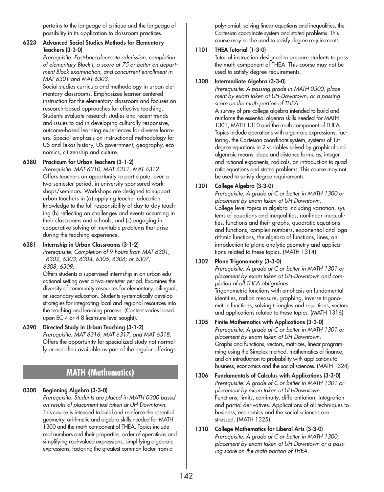pertains to the language of critique and the language of possibility in its application to classroom practices.

#### **6323 Advanced Social Studies Methods for Elementary Teachers (3-3-0)**

*Prerequisite: Post-baccalaureate admission, completion of elementary Block I, a score of 75 or better on department Block examination, and concurrent enrollment in MAT 6301 and MAT 6303.*

Social studies curricula and methodology in urban elementary classrooms. Emphasizes learner-centered instruction for the elementary classroom and focuses on research-based approaches for effective teaching. Students evaluate research studies and recent trends and issues to aid in developing culturally responsive, outcome-based learning experiences for diverse learners. Special emphasis on instructional methodology for US and Texas history, US government, geography, economics, citizenship and culture.

## **6380 Practicum for Urban Teachers (3-1-2)**

*Prerequisite: MAT 6310, MAT 6311, MAT 6312.* Offers teachers an opportunity to participate, over a two-semester period, in university-sponsored workshops/seminars. Workshops are designed to support urban teachers in (a) applying teacher education knowledge to the full responsibility of day-to-day teaching (b) reflecting on challenges and events occurring in their classrooms and schools, and (c) engaging in cooperative solving of inevitable problems that arise during the teaching experience.

## **6381 Internship in Urban Classrooms (3-1-2)**

*Prerequisite: Completion of 9 hours from MAT 6301, 6302, 6303; 6304, 6305, 6306; or 6307, 6308, 6309.*

Offers students a supervised internship in an urban educational setting over a two-semester period. Examines the diversity of community resources for elementary, bilingual, or secondary education. Students systematically develop strategies for integrating local and regional resources into the teaching and learning process. (Content varies based upon EC-4 or 4-8 licensure level sought).

# **6390 Directed Study in Urban Teaching (3-1-2)**

*Prerequisite: MAT 6316, MAT 6317, and MAT 6318.* Offers the opportunity for specialized study not normally or not often available as part of the regular offerings.

# **MATH (Mathematics)**

# **0300 Beginning Algebra (3-3-0)**

*Prerequisite: Students are placed in MATH 0300 based on results of placement test taken at UH-Downtown.* This course is intended to build and reinforce the essential geometry, arithmetic and algebra skills needed for MATH 1300 and the math component of THEA. Topics include real numbers and their properties, order of operations and simplifying real-valued expressions, simplifying algebraic expressions, factoring the greatest common factor from a

polynomial, solving linear equations and inequalities, the Cartesian coordinate system and stated problems. This course may not be used to satisfy degree requirements.

## **1101 THEA Tutorial (1-3-0)**

Tutorial instruction designed to prepare students to pass the math component of THEA. This course may not be used to satisfy degree requirements.

### **1300 Intermediate Algebra (3-3-0)**

*Prerequisite: A passing grade in MATH 0300, placement by exam taken at UH-Downtown, or a passing score on the math portion of THEA.*

A survey of pre-college algebra intended to build and reinforce the essential algenra skills needed for MATH 1301, MATH 1310 and the math component of THEA. Topics include operations with algenraic expressions, factoring, the Cartesian coordinate system, systems of 1stdegree equations in 2 variables solved by graphical and algenraic means, slope and distance formulas, integer and rational exponents, radicals, an introduction to quadratic equations and stated problems. This course may not be used to satisfy degree requirements.

# **1301 College Algebra (3-3-0)**

*Prerequisite: A grade of C or better in MATH 1300 or placement by exam taken at UH-Downtown.* College-level topics in algebra including variation, systems of equations and inequalities, nonlinear inequalities, functions and their graphs, quadratic equations and functions, complex numbers, exponential and logarithmic functions, the algebra of functions, lines, an introduction to plane analytic geometry and applications related to these topics. (MATH 1314)

# **1302 Plane Trigonometry (3-3-0)**

*Prerequisite: A grade of C or better in MATH 1301 or placement by exam taken at UH-Downtown and completion of all THEA obligations.*

Trigonometric functions with emphasis on fundamental identities, radian measure, graphing, inverse trigonometric functions, solving triangles and equations, vectors and applications related to these topics. (MATH 1316)

- **1305 Finite Mathematics with Applications (3-3-0)** *Prerequisite: A grade of C or better in MATH 1301 or placement by exam taken at UH-Downtown.* Graphs and functions, vectors, matrices, linear programming using the Simplex method, mathematics of finance, and an introduction to probability with applications to business, economics and the social sciences. (MATH 1324)
- **1306 Fundamentals of Calculus with Applications (3-3-0)** *Prerequisite: A grade of C or better in MATH 1301 or placement by exam taken at UH-Downtown.* Functions, limits, continuity, differentiation, integration and partial derivatives. Applications of all techniques to business, economics and the social sciences are stressed. (MATH 1325)
- **1310 College Mathematics for Liberal Arts (3-3-0)** *Prerequisite: A grade of C or better in MATH 1300, placement by exam taken at UH-Downtown or a passing score on the math portion of THEA.*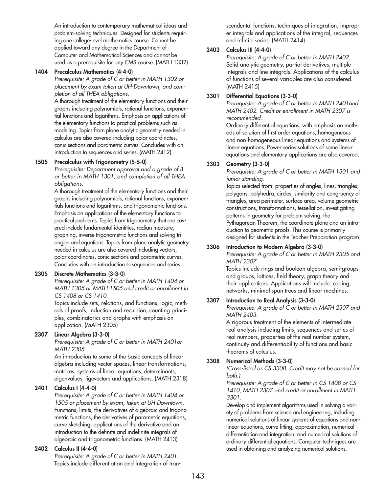An introduction to contemporary mathematical ideas and problem-solving techniques. Designed for students requiring one college-level mathematics course. Cannot be applied toward any degree in the Department of Computer and Mathematical Sciences and cannot be used as a prerequisite for any CMS course. (MATH 1332)

#### **1404 Precalculus Mathematics (4-4-0)**

*Prerequisite: A grade of C or better in MATH 1302 or placement by exam taken at UH-Downtown, and completion of all THEA obligations.*

A thorough treatment of the elementary functions and their graphs including polynomials, rational functions, exponential functions and logarithms. Emphasis on applications of the elementary functions to practical problems such as modeling. Topics from plane analytic geometry needed in calculus are also covered including polar coordinates, conic sections and parametric curves. Concludes with an introduction to sequences and series. (MATH 2412)

#### **1505 Precalculus with Trigonometry (5-5-0)**

*Prerequisite: Department approval and a grade of B or better in MATH 1301, and completion of all THEA obligations.*

A thorough treatment of the elementary functions and their graphs including polynomials, rational functions, exponentials functions and logarithms, and trigonometric functions. Emphasis on applications of the elementary functions to practical problems. Topics from trigonometry that are covered include fundamental identities, radian measure, graphing, inverse trigonometric functions and solving triangles and equations. Topics from plane analytic geometry needed in calculus are also covered including vectors, polar coordinates, conic sections and parametric curves. Concludes with an introduction to sequences and series.

#### **2305 Discrete Mathematics (3-3-0)**

*Prerequisite: A grade of C or better in MATH 1404 or MATH 1305 or MATH 1505 and credit or enrollment in CS 1408 or CS 1410.*

Topics include sets, relations, and functions, logic, methods of proofs, induction and recursion, counting principles, combinatorics and graphs with emphasis on application. (MATH 2305)

#### **2307 Linear Algebra (3-3-0)**

*Prerequisite: A grade of C or better in MATH 2401or MATH 2305.*

An introduction to some of the basic concepts of linear algebra including vector spaces, linear transformations, matrices, systems of linear equations, determinants, eigenvalues, ligevectors and applications. (MATH 2318)

#### **2401 Calculus I (4-4-0)**

*Prerequisite: A grade of C or better in MATH 1404 or 1505 or placement by exam, taken at UH-Downtown.* Functions, limits, the derivatives of algebraic and trigonometric functions, the derivatives of parametric equations, curve sketching, applications of the derivative and an introduction to the definite and indefinite integrals of algebraic and trigonometric functions. (MATH 2413)

#### **2402 Calculus II (4-4-0)**

*Prerequisite: A grade of C or better in MATH 2401.* Topics include differentiation and integration of transcendental functions, techniques of integration, improper integrals and applications of the integral, sequences and infinite series. (MATH 2414)

## **2403 Calculus III (4-4-0)**

*Prerequisite: A grade of C or better in MATH 2402.* Solid analytic geometry, partial derivatives, multiple integrals and line integrals. Applications of the calculus of functions of several variables are also considered. (MATH 2415)

#### **3301 Differential Equations (3-3-0)**

*Prerequisite: A grade of C or better in MATH 2401and MATH 2402. Credit or enrollment in MATH 2307 is recommended.*

Ordinary differential equations, with emphasis on methods of solution of first order equations, homogeneous and non-homogeneous linear equations and systems of linear equations. Power series solutions of some linear equations and elementary applications are also covered.

#### **3303 Geometry (3-3-0)**

*Prerequisite: A grade of C or better in MATH 1301 and junior standing.*

Topics selected from: properties of angles, lines, triangles, polygons, polyhedra, circles, similarity and congruency of triangles, area perimeter, surface area, volume geometric constructions, transformations, tessellation, investigating patterns in geometry for problem solving, the Pythagorean Theorem, the coordinate plane and an introduction to geometric proofs. This course is primarily designed for students in the Teacher Preparation program.

#### **3306 Introduction to Modern Algebra (3-3-0)**

*Prerequisite: A grade of C or better in MATH 2305 and MATH 2307.*

Topics include rings and boolean algebra, semi-groups and groups, lattices, field theory, graph theory and their applications. Applications will include: coding, networks, minimal span trees and linear machines.

#### **3307 Introduction to Real Analysis (3-3-0)**

*Prerequisite: A grade of C or better in MATH 2307 and MATH 2403.*

A rigorous treatment of the elements of intermediate real analysis including limits, sequences and series of real numbers, properties of the real number system, continuity and differentiability of functions and basic theorems of calculus.

#### **3308 Numerical Methods (3-3-0)**

*(Cross-listed as CS 3308. Credit may not be earned for both.)*

*Prerequisite: A grade of C or better in CS 1408 or CS 1410, MATH 2307 and credit or enrollment in MATH 3301.*

Develop and implement algorithms used in solving a variety of problems from science and engineering, including numerical solutions of linear systems of equations and nonlinear equations, curve fitting, approximation, numerical differentiation and integration, and numerical solutions of ordinary differential equations. Computer techniques are used in obtaining and analyzing numerical solutions.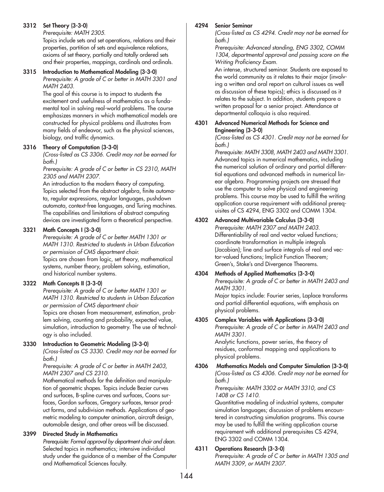## **3312 Set Theory (3-3-0)**

*Prerequisite: MATH 2305.*

Topics include sets and set operations, relations and their properties, partition of sets and equivalence relations, axioms of set theory, partially and totally ordered sets and their properties, mappings, cardinals and ordinals.

## **3315 Introduction to Mathematical Modeling (3-3-0)**

*Prerequisite: A grade of C or better in MATH 3301 and MATH 2403.*

The goal of this course is to impact to students the excitement and usefulness of mathematics as a fundamental tool in solving real-world problems. The course emphasizes manners in which mathematical models are constructed for physical problems and illustrates from many fields of endeavor, such as the physical sciences, biology, and traffic dynamics.

#### **3316 Theory of Computation (3-3-0)**

*(Cross-listed as CS 3306. Credit may not be earned for both.)*

*Prerequisite: A grade of C or better in CS 2310, MATH 2305 and MATH 2307.*

An introduction to the modern theory of computing. Topics selected from the abstract algebra, finite automata, regular expressions, regular languages, pushdown automata, context-free languages, and Turing machines. The capabilities and limitations of abstract computing devices are investigated form a theoretical perspective.

## **3321 Math Concepts I (3-3-0)**

*Prerequisite: A grade of C or better MATH 1301 or MATH 1310. Restricted to students in Urban Education or permission of CMS department chair.*

Topics are chosen from logic, set theory, mathematical systems, number theory, problem solving, estimation, and historical number systems.

# **3322 Math Concepts II (3-3-0)**

*Prerequisite: A grade of C or better MATH 1301 or MATH 1310. Restricted to students in Urban Education or permission of CMS department chair*

Topics are chosen from measurement, estimation, problem solving, counting and probability, expected value, simulation, introduction to geometry. The use of technology is also included.

#### **3330 Introduction to Geometric Modeling (3-3-0)**

*(Cross-listed as CS 3330. Credit may not be earned for both.)*

*Prerequisite: A grade of C or better in MATH 2403, MATH 2307 and CS 2310.*

Mathematical methods for the definition and manipulation of geometric shapes. Topics include Bezier curves and surfaces, B-spline curves and surfaces, Coons surfaces, Gordon surfaces, Gregory surfaces, tensor product forms, and subdivision methods. Applications of geometric modeling to computer animation, aircraft design, automobile design, and other areas will be discussed.

#### **3399 Directed Study in Mathematics**

*Prerequisite: Formal approval by department chair and dean.* Selected topics in mathematics; intensive individual study under the guidance of a member of the Computer and Mathematical Sciences faculty.

#### **4294 Senior Seminar**

*(Cross-listed as CS 4294. Credit may not be earned for both.)*

*Prerequisite: Advanced standing, ENG 3302, COMM 1304, departmental approval and passing score on the Writing Proficiency Exam.*

An intense, structured seminar. Students are exposed to the world community as it relates to their major (involving a written and oral report on cultural issues as well as discussion of these topics); ethics is discussed as it relates to the subject. In addition, students prepare a written proposal for a senior project. Attendance at departmental colloquia is also required.

#### **4301 Advanced Numerical Methods for Science and Engineering (3-3-0)**

*(Cross-listed as CS 4301. Credit may not be earned for both.)*

*Prerequisite: MATH 3308, MATH 2403 and MATH 3301.* Advanced topics in numerical mathematics, including the numerical solution of ordinary and partial differential equations and advanced methods in numerical linear algebra. Programming projects are stressed that use the computer to solve physical and engineering problems. This course may be used to fulfill the writing application course requirement with additional prerequisites of CS 4294, ENG 3302 and COMM 1304.

# **4302 Advanced Multivariable Calculus (3-3-0)**

*Prerequisite: MATH 2307 and MATH 2403.* Differentiability of real and vector valued functions; coordinate transformation in multiple integrals (Jacobian); line and surface integrals of real and vector-valued functions; Implicit Function Theorem; Green's, Stoke's and Divergence Theorems.

#### **4304 Methods of Applied Mathematics (3-3-0)** *Prerequisite: A grade of C or better in MATH 2403 and MATH 3301.*

Major topics include: Fourier series, Laplace transforms and partial differential equations, with emphasis on physical problems.

#### **4305 Complex Variables with Applications (3-3-0)**

*Prerequisite: A grade of C or better in MATH 2403 and MATH 3301.*

Analytic functions, power series, the theory of residues, conformal mapping and applications to physical problems.

#### **4306 Mathematics Models and Computer Simulation (3-3-0)** *(Cross-listed as CS 4306. Credit may not be earned for both.)*

*Prerequisite: MATH 3302 or MATH 3310, and CS 1408 or CS 1410.*

Quantitative modeling of industrial systems, computer simulation languages; discussion of problems encountered in constructing simulation programs. This course may be used to fulfill the writing application course requirement with additional prerequisites CS 4294, ENG 3302 and COMM 1304.

# **4311 Operations Research (3-3-0)**

*Prerequisite: A grade of C or better in MATH 1305 and MATH 3309, or MATH 2307.*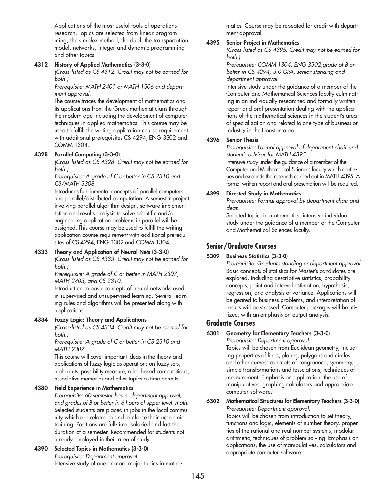Applications of the most useful tools of operations research. Topics are selected from linear programming, the simplex method, the dual, the transportation model, networks, integer and dynamic programming and other topics.

## **4312 History of Applied Mathematics (3-3-0)**

*(Cross-listed as CS 4312. Credit may not be earned for both.)*

*Prerequisite: MATH 2401 or MATH 1306 and department approval.*

The course traces the development of mathematics and its applications from the Greek mathematicians through the modern age including the development of computer techniques in applied mathematics. This course may be used to fulfill the writing application course requirement with additional prerequisites CS 4294, ENG 3302 and COMM 1304.

# **4328 Parallel Computing (3-3-0)**

*(Cross-listed as CS 4328. Credit may not be earned for both.)*

*Prerequisite: A grade of C or better in CS 2310 and CS/MATH 3308*

Introduces fundamental concepts of parallel computers and parallel/distributed computation. A semester project involving parallel algorithm design, software implementation and results analysis to solve scientific and/or engineering application problems in parallel will be assigned. This course may be used to fulfill the writing application course requirement with additional prerequisites of CS 4294, ENG 3302 and COMM 1304.

# **4333 Theory and Application of Neural Nets (3-3-0)**

*(Cross-listed as CS 4333. Credit may not be earned for both.)*

*Prerequisite: A grade of C or better in MATH 2307, MATH 2403, and CS 2310.*

Introduction to basic concepts of neural networks used in supervised and unsupervised learning. Several learning rules and algorithms will be presented along with applications.

#### **4334 Fuzzy Logic: Theory and Applications**

*(Cross-listed as CS 4334. Credit may not be earned for both.)*

*Prerequisite: A grade of C or better in CS 2310 and MATH 2307.*

This course will cover important ideas in the theory and applications of fuzzy logic as operations on fuzzy sets, alpha cuts, possibility measure, ruled based computations, associative memories and other topics as time permits.

#### **4380 Field Experience in Mathematics**

*Prerequisite: 60 semester hours, department approval, and grades of B or better in 6 hours of upper level math.* Selected students are placed in jobs in the local community which are related to and reinforce their academic training. Positions are full-time, salaried and last the duration of a semester. Recommended for students not already employed in their area of study.

**4390 Selected Topics in Mathematics (3-3-0)** *Prerequisite: Department approval.* Intensive study of one or more major topics in mathematics. Course may be repeated for credit with department approval.

# **4395 Senior Project in Mathematics**

*(Cross-listed as CS 4395. Credit may not be earned for both.)*

*Prerequisite: COMM 1304, ENG 3302,grade of B or better in CS 4294, 3.0 GPA, senior standing and department approval.*

Intensive study under the guidance of a member of the Computer and Mathematical Sciences faculty culminating in an individually researched and formally written report and oral presentation dealing with the applications of the mathematical sciences in the student's area of specialization and related to one type of business or industry in the Houston area.

#### **4396 Senior Thesis**

*Prerequisite: Formal approval of department chair and student's advisor for MATH 4395.*

Intensive study under the guidance of a member of the Computer and Mathematical Sciences faculty which continues and expands the research carried out in MATH 4395. A formal written report and oral presentation will be required.

#### **4399 Directed Study in Mathematics**

*Prerequisite: Formal approval by department chair and dean.*

Selected topics in mathematics; intensive individual study under the guidance of a member of the Computer and Mathematical Sciences faculty.

# **Senior/Graduate Courses**

#### **5309 Business Statistics (3-3-0)**

*Prerequisite: Graduate standing or department approval* Basic concepts of statistics for Master's candidates are explored, including descriptive statistics, probability concepts, point and interval estimation, hypothesis, regression, and analysis of variance. Applications will be geared to business problems, and interpretation of results will be stressed. Computer packages will be utilized, with an emphasis on output analysis.

# **Graduate Courses**

**6301 Geometry for Elementary Teachers (3-3-0)**

*Prerequisite: Department approval.* Topics will be chosen from Euclidean geometry, including properties of lines, planes, polygons and circles and other curves; concepts of congruence, symmetry, simple transformations and tesselations; techniques of measurement. Emphasis on application, the use of manipulatives, graphing calculators and appropriate computer software.

# **6302 Mathematical Structures for Elementary Teachers (3-3-0)**

*Prerequisite: Department approval.* Topics will be chosen from introduction to set theory, functions and logic, elements of number theory, properties of the rational and real number systems, modular arithmetic, techniques of problem-solving. Emphasis on applications, the use of manipulatives, calculators and appropriate computer software.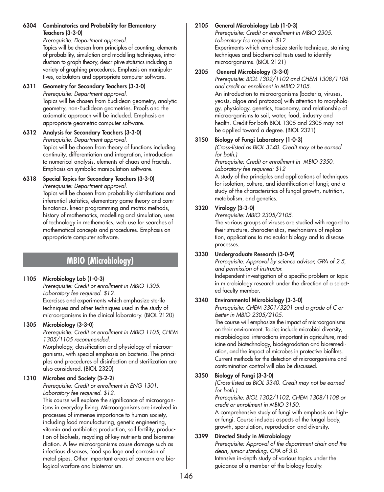**6304 Combinatorics and Probability for Elementary Teachers (3-3-0)**

*Prerequisite: Department approval.*

Topics will be chosen from principles of counting, elements of probability, simulation and modelling techniques, introduction to graph theory, descriptive statistics including a variety of graphing procedures. Emphasis on manipulatives, calculators and appropriate computer software.

### **6311 Geometry for Secondary Teachers (3-3-0)**

*Prerequisite: Department approval.* Topics will be chosen from Euclidean geometry, analytic geometry, non-Euclidean geometries. Proofs and the axiomatic approach will be included. Emphasis on appropriate geometric computer software.

**6312 Analysis for Secondary Teachers (3-3-0)** *Prerequisite: Department approval.* Topics will be chosen from theory of functions including continuity, differentiation and integration, introduction to numerical analysis, elements of chaos and fractals. Emphasis on symbolic manipulation software.

#### **6318 Special Topics for Secondary Teachers (3-3-0)** *Prerequisite: Department approval.*

Topics will be chosen from probability distributions and inferential statistics, elementary game theory and combinatorics, linear programming and matrix methods, history of mathematics, modelling and simulation, uses of technology in mathematics, web use for searches of mathematical concepts and procedures. Emphasis on appropriate computer software.

# **MBIO (Microbiology)**

# **1105 Microbiology Lab (1-0-3)**

*Prerequisite: Credit or enrollment in MBIO 1305. Laboratory fee required. \$12.* Exercises and experiments which emphasize sterile techniques and other techniques used in the study of microorganisms in the clinical laboratory. (BIOL 2120)

#### **1305 Microbiology (3-3-0)**

*Prerequisite: Credit or enrollment in MBIO 1105, CHEM 1305/1105 recommended.*

Morphology, classification and physiology of microorganisms, with special emphasis on bacteria. The principles and procedures of disinfection and sterilization are also considered. (BIOL 2320)

# **1310 Microbes and Society (3-2-2)**

*Prerequisite: Credit or enrollment in ENG 1301. Laboratory fee required. \$12.*

This course will explore the significance of microorganisms in everyday living. Microorganisms are involved in processes of immense importance to human society, including food manufacturing, genetic engineering, vitamin and antibiotics production, soil fertility, production of biofuels, recycling of key nutrients and bioremediation. A few microorganisms cause damage such as infectious diseases, food spoilage and corrosion of metal pipes. Other important areas of concern are biological warfare and bioterrorism.

# **2105 General Microbiology Lab (1-0-3)**

*Prerequisite: Credit or enrollment in MBIO 2305. Laboratory fee required. \$12.* Experiments which emphasize sterile technique, staining techniques and biochemical tests used to identify microorganisms. (BIOL 2121)

## **2305 General Microbiology (3-3-0)**

*Prerequisite: BIOL 1302/1102 and CHEM 1308/1108 and credit or enrollment in MBIO 2105.* An introduction to microorganisms (bacteria, viruses, yeasts, algae and protozoa) with attention to morphology, physiology, genetics, taxonomy, and relationship of microorganisms to soil, water, food, industry and health. Credit for both BIOL 1305 and 2305 may not be applied toward a degree. (BIOL 2321)

# **3150 Biology of Fungi Laboratory (1-0-3)**

*(Cross-listed as BIOL 3140. Credit may ot be earned for both.)*

*Prerequisite: Credit or enrollment in MBIO 3350. Laboratory fee required: \$12*

A study of the principles and applications of techniques for isolation, culture, and identification of fungi; and a study of the characteristics of fungal growth, nutrition, metabolism, and genetics.

# **3320 Virology (3-3-0)**

*Prerequisite: MBIO 2305/2105.*

The various groups of viruses are studied with regard to their structure, characteristics, mechanisms of replication, applications to molecular biology and to disease processes.

# **3330 Undergraduate Research (3-0-9)**

*Prerequisite: Approval by science advisor, GPA of 2.5, and permission of instructor.*

Independent investigation of a specific problem or topic in microbiology research under the direction of a selected faculty member.

# **3340 Environmental Microbiology (3-3-0)**

*Prerequisite: CHEM 3301/3201 and a grade of C or better in MBIO 2305/2105.*

The course will emphasize the impact of microorganisms on their environment. Topics include microbial diversity, microbiological interactions important in agriculture, medicine and biotechnology, biodegradation and bioremediation, and the impact of microbes in protective biofilms. Current methods for the detection of microorganisms and contamination control will also be discussed.

# **3350 Biology of Fungi (3-3-0)**

*(Cross-listed as BIOL 3340. Credit may not be earned for both.)*

*Prerequisite: BIOL 1302/1102, CHEM 1308/1108 or credit or enrollment in MBIO 3150.*

A comprehensive study of fungi with emphasis on higher fungi. Course includes aspects of the fungal body, growth, sporulation, reproduction and diversity.

# **3399 Directed Study in Microbiology**

*Prerequisite: Approval of the department chair and the dean, junior standing, GPA of 3.0.*

Intensive in-depth study of various topics under the guidance of a member of the biology faculty.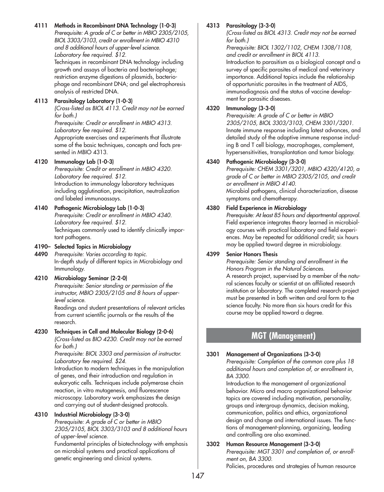# **4111 Methods in Recombinant DNA Technology (1-0-3)**

*Prerequisite: A grade of C or better in MBIO 2305/2105, BIOL 3303/3103, credit or enrollment in MBIO 4310 and 8 additional hours of upper-level science. Laboratory fee required. \$12.* Techniques in recombinant DNA technology including growth and assays of bacteria and bacteriophage; restriction enzyme digestions of plasmids, bacteriophage and recombinant DNA; and gel electrophoresis analysis of restricted DNA.

## **4113 Parasitology Laboratory (1-0-3)**

*(Cross-listed as BIOL 4113. Credit may not be earned for both.)*

*Prerequisite: Credit or enrollment in MBIO 4313. Laboratory fee required. \$12.* Appropriate exercises and experiments that illustrate some of the basic techniques, concepts and facts pre-

# **4120 Immunology Lab (1-0-3)**

sented in MBIO 4313.

*Prerequisite: Credit or enrollment in MBIO 4320. Laboratory fee required. \$12.* Introduction to immunology laboratory techniques including agglutination, precipitation, neutralization and labeled immunoassays.

#### **4140 Pathogenic Microbiology Lab (1-0-3)**

*Prerequisite: Credit or enrollment in MBIO 4340. Laboratory fee required. \$12.* Techniques commonly used to identify clinically important pathogens.

#### **4190– Selected Topics in Microbiology**

**4490** *Prerequisite: Varies according to topic.* In-depth study of different topics in Microbiology and Immunology.

#### **4210 Microbiology Seminar (2-2-0)**

*Prerequisite: Senior standing or permission of the instructor, MBIO 2305/2105 and 8 hours of upperlevel science.*

Readings and student presentations of relevant articles from current scientific journals or the results of the research.

### **4230 Techniques in Cell and Molecular Biology (2-0-6)**

*(Cross-listed as BIO 4230. Credit may not be earned for both.)*

*Prerequisite: BIOL 3303 and permission of instructor. Laboratory fee required. \$24.*

Introduction to modern techniques in the manipulation of genes, and their introduction and regulation in eukaryotic cells. Techniques include polymerase chain reaction, in vitro mutagenesis, and fluorescence microscopy. Laboratory work emphasizes the design and carrying out of student-designed protocols.

#### **4310 Industrial Microbiology (3-3-0)**

*Prerequisite: A grade of C or better in MBIO 2305/2105, BIOL 3303/3103 and 8 additional hours of upper-level science.*

Fundamental principles of biotechnology with emphasis on microbial systems and practical applications of genetic engineering and clinical systems.

#### **4313 Parasitology (3-3-0)**

*(Cross-listed as BIOL 4313. Credit may not be earned for both.)*

*Prerequisite: BIOL 1302/1102, CHEM 1308/1108, and credit or enrollment in BIOL 4113.* Introduction to parasitism as a biological concept and a survey of specific parasites of medical and veterinary importance. Additional topics include the relationship of opportunistic parasites in the treatment of AIDS, immunodiagnosis and the status of vaccine development for parasitic diseases.

#### **4320 Immunology (3-3-0)**

*Prerequisite: A grade of C or better in MBIO 2305/2105, BIOL 3303/3103, CHEM 3301/3201.* Innate immune response including latest advances, and detailed study of the adaptive immune response including B and T cell biology, macrophages, complement, hypersensitivities, transplantation and tumor biology.

#### **4340 Pathogenic Microbiology (3-3-0)**

*Prerequisite: CHEM 3301/3201, MBIO 4320/4120, a grade of C or better in MBIO 2305/2105, and credit or enrollment in MBIO 4140.* Microbial pathogens, clinical characterization, disease symptoms and chemotherapy.

#### **4380 Field Experience in Microbiology**

*Prerequisite: At least 85 hours and departmental approval.* Field experience integrates theory learned in microbiology courses with practical laboratory and field experiences. May be repeated for additional credit; six hours may be applied toward degree in microbiology.

#### **4399 Senior Honors Thesis**

*Prerequisite: Senior standing and enrollment in the Honors Program in the Natural Sciences.* A research project, supervised by a member of the natural sciences faculty or scientist at an affiliated research institution or laboratory. The completed research project must be presented in both written and oral form to the

science faculty. No more than six hours credit for this course may be applied toward a degree.

# **MGT (Management)**

#### **3301 Management of Organizations (3-3-0)**

*Prerequisite: Completion of the common core plus 18 additional hours and completion of, or enrollment in, BA 3300.*

Introduction to the management of organizational behavior. Micro and macro organizational behavior topics are covered including motivation, personality, groups and intergroup dynamics, decision making, communication, politics and ethics, organizational design and change and international issues. The functions of management-planning, organizing, leading and controlling are also examined.

#### **3302 Human Resource Management (3-3-0)**

*Prerequisite: MGT 3301 and completion of, or enrollment on, BA 3300.*

Policies, procedures and strategies of human resource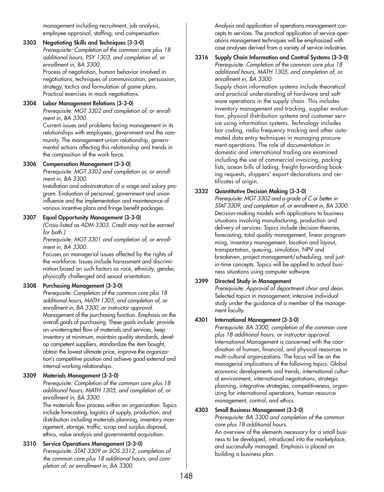management including recruitment, job analysis, employee appraisal, staffing, and compensation.

## **3303 Negotiating Skills and Techniques (3-3-0)**

*Prerequisite: Completion of the common core plus 18 additional hours, PSY 1303, and completion of, or enrollment in, BA 3300.*

Process of negotiation, human behavior involved in negotiations, techniques of communication, persuasion, strategy, tactics and formulation of game plans. Practical exercises in mock negotiations.

## **3304 Labor Management Relations (3-3-0)**

*Prerequisite: MGT 3302 and completion of, or enrollment in, BA 3300.*

Current issues and problems facing management in its relationships with employees, government and the community. The management-union relationship, governmental actions affecting this relationship and trends in the composition of the work force.

#### **3306 Compensation Management (3-3-0)**

*Prerequisite: MGT 3302 and completion or, or enrollment in, BA 3300.*

Installation and administration of a wage and salary program. Evaluation of personnel, government and union influence and the implementation and maintenance of various incentive plans and fringe benefit packages.

#### **3307 Equal Opportunity Management (3-3-0)**

*(Cross-listed as ADM 3303. Credit may not be earned for both.)*

*Prerequisite: MGT 3301 and completion of, or enrollment in, BA 3300.*

Focuses on managerial issues affected by the rights of the workforce. Issues include harassment and discrimination based on such factors as race, ethnicity, gender, physically challenged and sexual orientation.

# **3308 Purchasing Management (3-3-0)**

*Prerequisite: Completion of the common core plus 18 additional hours, MATH 1305, and completion of, or enrollment in, BA 3300, or instructor approval.* Management of the purchasing function. Emphasis on the overall goals of purchasing. These goals include: provide an uninterrupted flow of materials and services, keep inventory at minimum, maintain quality standards, develop competent suppliers, standardize the item bought, obtain the lowest ultimate price, improve the organization's competitive position and achieve good external and internal working relationships.

# **3309 Materials Management (3-3-0)**

*Prerequisite: Completion of the common core plus 18 additional hours, MATH 1305, and completion of, or enrollment in, BA 3300.*

The materials flow process within an organization. Topics include forecasting, logistics of supply, production, and distribution including materials planning, inventory management, storage, traffic, scrap and surplus disposal, ethics, value analysis and governmental acquisition.

# **3310 Service Operations Management (3-3-0)**

*Prerequisite: STAT 3309 or SOS 3312, completion of the common core plus 18 additional hours, and completion of, or enrollment in, BA 3300.*

Analysis and application of operations management concepts to services. The practical application of service operations management techniques will be emphasized with case analyses derived from a variety of service industries.

#### **3316 Supply Chain Information and Control Systems (3-3-0)**  *Prerequisite: Completion of the common core plus 18 additional hours, MATH 1305, and completion of, or enrollment in, BA 3300.*

Supply chain information systems include theoretical and practical understanding of hardware and software operations in the supply chain. This includes inventory management and tracking, supplier evaluation, physical distribution systems and customer service using information systems. Technology includes bar coding, radio frequency tracking and other automated data entry techniques in managing procurement operations. The role of documentation in domestic and international trading are examined including the use of commercial invoicing, packing lists, ocean bills of lading, freight forwarding booking requests, shippers' export declarations and certificates of origin.

# **3332 Quantitative Decision Making (3-3-0)**

*Prerequisite: MGT 3302 and a grade of C or better in STAT 3309, and completion of, or enrollment in, BA 3300.* Decision-making models with applications to business situations involving manufacturing, production and delivery of services. Topics include decision theories, forecasting, total quality management, linear programming, inventory management, location and layout, transportation, queuing, simulation, NPV and breakeven, project management/scheduling, and justin-time concepts. Topics will be applied to actual business situations using computer software.

# **3399 Directed Study in Management**

*Prerequisite: Approval of department chair and dean.* Selected topics in management; intensive individual study under the guidance of a member of the management faculty.

# **4301 International Management (3-3-0)**

*Prerequisite: BA 3300, completion of the common core plus 18 additional hours, or instructor approval.* International Management is concerned with the coordination of human, financial, and physical resources in multi-cultural organizations. The focus will be on the managerial implications of the following topics: Global economic developments and trends, international cultural environment, international negotiations, strategic planning, integrative strategies, competitiveness, organizing for international operations, human resource management, control, and ethics.

# **4303 Small Business Management (3-3-0)**

*Prerequisite: BA 3300 and completion of the common core plus 18 additional hours.*

An overview of the elements necessary for a small business to be developed, introduced into the marketplace, and successfully managed. Emphasis is placed on building a business plan.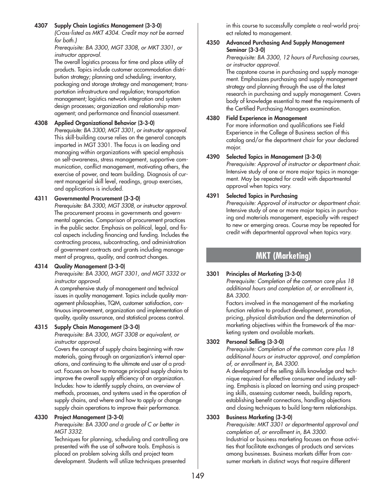#### **4307 Supply Chain Logistics Management (3-3-0)**

*(Cross-listed as MKT 4304. Credit may not be earned for both.)*

*Prerequisite: BA 3300, MGT 3308, or MKT 3301, or instructor approval.*

The overall logistics process for time and place utility of products. Topics include customer accommodation distribution strategy; planning and scheduling; inventory, packaging and storage strategy and management; transportation infrastructure and regulation; transportation management; logistics network integration and system design processes; organization and relationship management; and performance and financial assessment.

#### **4308 Applied Organizational Behavior (3-3-0)**

*Prerequisite: BA 3300, MGT 3301, or instructor approval.* This skill-building course relies on the general concepts imparted in MGT 3301. The focus is on leading and managing within organizations with special emphasis on self-awareness, stress management, supportive communication, conflict management, motivating others, the exercise of power, and team building. Diagnosis of current managerial skill level, readings, group exercises, and applications is included.

## **4311 Governmental Procurement (3-3-0)**

*Prerequisite: BA 3300, MGT 3308, or instructor approval.* The procurement process in governments and governmental agencies. Comparison of procurement practices in the public sector. Emphasis on political, legal, and fiscal aspects including financing and funding. Includes the contracting process, subcontracting, and administration of government contracts and grants including management of progress, quality, and contract changes.

#### **4314 Quality Management (3-3-0)**

*Prerequisite: BA 3300, MGT 3301, and MGT 3332 or instructor approval.*

A comprehensive study of management and technical issues in quality management. Topics include quality management philosophies, TQM, customer satisfaction, continuous improvement, organization and implementation of quality, quality assurance, and statistical process control.

# **4315 Supply Chain Management (3-3-0)**

*Prerequisite: BA 3300, MGT 3308 or equivalent, or instructor approval.*

Covers the concept of supply chains beginning with raw materials, going through an organization's internal operations, and continuing to the ultimate end user of a product. Focuses on how to manage principal supply chains to improve the overall supply efficiency of an organization. Includes: how to identify supply chains, an overview of methods, processes, and systems used in the operation of supply chains, and where and how to apply or change supply chain operations to improve their performance.

# **4330 Project Management (3-3-0)**

*Prerequisite: BA 3300 and a grade of C or better in MGT 3332.*

Techniques for planning, scheduling and controlling are presented with the use of software tools. Emphasis is placed on problem solving skills and project team development. Students will utilize techniques presented

in this course to successfully complete a real-world project related to management.

#### **4350 Advanced Purchasing And Supply Management Seminar (3-3-0)**

*Prerequisite: BA 3300, 12 hours of Purchasing courses, or instructor approval.*

The capstone course in purchasing and supply management. Emphasizes purchasing and supply management strategy and planning through the use of the latest research in purchasing and supply management. Covers body of knowledge essential to meet the requirements of the Certified Purchasing Managers examination.

## **4380 Field Experience in Management**

For more information and qualifications see Field Experience in the College of Business section of this catalog and/or the department chair for your declared major.

# **4390 Selected Topics in Management (3-3-0)**

*Prerequisite: Approval of instructor or department chair.* Intensive study of one or more major topics in management. May be repeated for credit with departmental approval when topics vary.

## **4391 Selected Topics in Purchasing**

*Prerequisite: Approval of instructor or department chair.* Intensive study of one or more major topics in purchasing and materials management, especially with respect to new or emerging areas. Course may be repeated for credit with departmental approval when topics vary.

# **MKT (Marketing)**

# **3301 Principles of Marketing (3-3-0)**

*Prerequisite: Completion of the common core plus 18 additional hours and completion of, or enrollment in, BA 3300.*

Factors involved in the management of the marketing function relative to product development, promotion, pricing, physical distribution and the determination of marketing objectives within the framework of the marketing system and available markets.

# **3302 Personal Selling (3-3-0)**

*Prerequisite: Completion of the common core plus 18 additional hours or instructor approval, and completion of, or enrollment in, BA 3300.*

A development of the selling skills knowledge and technique required for effective consumer and industry selling. Emphasis is placed on learning and using prospecting skills, assessing customer needs, building reports, establishing benefit connections, handling objections and closing techniques to build long-term relationships.

# **3303 Business Marketing (3-3-0)**

*Prerequisite: MKT 3301 or departmental approval and completion of, or enrollment in, BA 3300.* Industrial or business marketing focuses on those activities that facilitate exchanges of products and services among businesses. Business markets differ from consumer markets in distinct ways that require different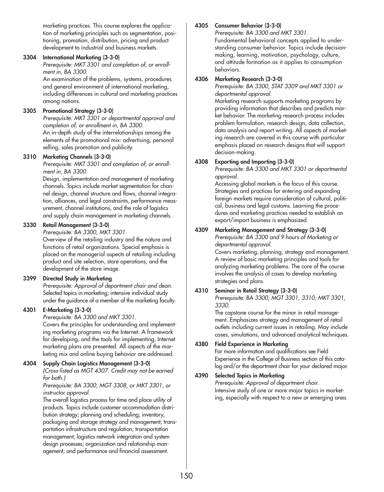marketing practices. This course explores the application of marketing principles such as segmentation, positioning, promotion, distribution, pricing and product development to industrial and business markets.

#### **3304 International Marketing (3-3-0)**

*Prerequisite: MKT 3301 and completion of, or enrollment in, BA 3300.*

An examination of the problems, systems, procedures and general environment of international marketing, including differences in cultural and marketing practices among nations.

### **3305 Promotional Strategy (3-3-0)**

*Prerequisite: MKT 3301 or departmental approval and completion of, or enrollment in, BA 3300.* An in-depth study of the interrelationships among the elements of the promotional mix: advertising, personal selling, sales promotion and publicity.

#### **3310 Marketing Channels (3-3-0)**

*Prerequisite: MKT 3301 and completion of, or enrollment in, BA 3300.*

Design, implementation and management of marketing channels. Topics include market segmentation for channel design, channel structure and flows, channel integration, alliances, and legal constraints, performance measurement, channel institutions, and the role of logistics and supply chain management in marketing channels.

#### **3330 Retail Management (3-3-0)**

*Prerequisite: BA 3300, MKT 3301.*

Overview of the retailing industry and the nature and functions of retail organizations. Special emphasis is placed on the managerial aspects of retailing including product and site selection, store operations, and the development of the store image.

#### **3399 Directed Study in Marketing**

*Prerequisite: Approval of department chair and dean.* Selected topics in marketing; intensive individual study under the guidance of a member of the marketing faculty.

#### **4301 E-Marketing (3-3-0)**

*Prerequisite: BA 3300 and MKT 3301.*

Covers the principles for understanding and implementing marketing programs via the Internet. A framework for developing, and the tools for implementing, Internet marketing plans are presented. All aspects of the marketing mix and online buying behavior are addressed.

#### **4304 Supply Chain Logistics Management (3-3-0)**

*(Cross-listed as MGT 4307. Credit may not be earned for both.)*

*Prerequisite: BA 3300, MGT 3308, or MKT 3301, or instructor approval.*

The overall logistics process for time and place utility of products. Topics include customer accommodation distribution strategy; planning and scheduling; inventory, packaging and storage strategy and management; transportation infrastructure and regulation; transportation management; logistics network integration and system design processes; organization and relationship management; and performance and financial assessment.

## **4305 Consumer Behavior (3-3-0)**

*Prerequisite: BA 3300 and MKT 3301.* Fundamental behavioral concepts applied to under-

standing consumer behavior. Topics include decisionmaking, learning, motivation, psychology, culture, and attitude formation as it applies to consumption behaviors.

#### **4306 Marketing Research (3-3-0)**

*Prerequisite: BA 3300, STAT 3309 and MKT 3301 or departmental approval.*

Marketing research supports marketing programs by providing information that describes and predicts market behavior. The marketing research process includes problem formulation, research design, data collection, data analysis and report writing. All aspects of marketing research are covered in this course with particular emphasis placed on research designs that will support decision-making.

#### **4308 Exporting and Importing (3-3-0)**

*Prerequisite: BA 3300 and MKT 3301 or departmental approval.*

Accessing global markets is the focus of this course. Strategies and practices for entering and expanding foreign markets require consideration of cultural, political, business and legal customs. Learning the procedures and marketing practices needed to establish an export/import business is emphasized.

# **4309 Marketing Management and Strategy (3-3-0)**

*Prerequisite: BA 3300 and 9 hours of Marketing or departmental approval.*

Covers marketing, planning, strategy and management. A review of basic marketing principles and tools for analyzing marketing problems. The core of the course involves the analysis of cases to develop marketing strategies and plans.

#### **4310 Seminar in Retail Strategy (3-3-0)**

*Prerequisite: BA 3300; MGT 3301, 3310; MKT 3301, 3330.*

The capstone course for the minor in retail management. Emphasizes strategy and management of retail outlets including current issues in retailing. May include cases, simulations, and advanced analytical techniques.

#### **4380 Field Experience in Marketing**

For more information and qualifications see Field Experience in the College of Business section of this catalog and/or the department chair for your declared major.

#### **4390 Selected Topics in Marketing**

*Prerequisite: Approval of department chair.* Intensive study of one or more major topics in marketing, especially with respect to a new or emerging area.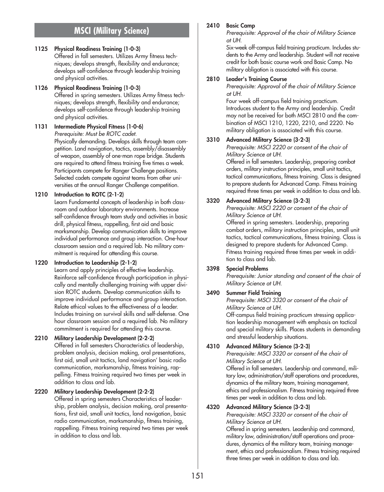# **MSCI (Military Science)**

#### **1125 Physical Readiness Training (1-0-3)**

Offered in fall semesters. Utilizes Army fitness techniques; develops strength, flexibility and endurance; develops self-confidence through leadership training and physical activities.

**1126 Physical Readiness Training (1-0-3)** Offered in spring semesters. Utilizes Army fitness techniques; develops strength, flexibility and endurance; develops self-confidence through leadership training and physical activities.

#### **1131 Intermediate Physical Fitness (1-0-6)** *Prerequisite: Must be ROTC cadet.* Physically demanding. Develops skills through team com-

petition. Land navigation, tactics, assembly/disassembly of weapon, assembly of one-man rope bridge. Students are required to attend fitness training five times a week. Participants compete for Ranger Challenge positions. Selected cadets compete against teams from other universities at the annual Ranger Challenge competition.

## **1210 Introduction to ROTC (2-1-2)**

Learn Fundamental concepts of leadership in both classroom and outdoor laboratory environments. Increase self-confidence through team study and activities in basic drill, physical fitness, rappelling, first aid and basic marksmanship. Develop communication skills to improve individual performance and group interaction. One-hour classroom session and a required lab. No military commitment is required for attending this course.

# **1220 Introduction to Leadership (2-1-2)**

Learn and apply principles of effective leadership. Reinforce self-confidence through participation in physically and mentally challenging training with upper division ROTC students. Develop communication skills to improve individual performance and group interaction. Relate ethical values to the effectiveness of a leader. Includes training on survival skills and self-defense. One hour classroom session and a required lab. No military commitment is required for attending this course.

# **2210 Military Leadership Development (2-2-2)**

Offered in fall semesters Characteristics of leadership, problem analysis, decision making, oral presentations, first aid, small unit tactics, land navigation' basic radio communication, marksmanship, fitness training, rappelling. Fitness training required two times per week in addition to class and lab.

#### **2220 Military Leadership Development (2-2-2)**

Offered in spring semesters Characteristics of leadership, problem analysis, decision making, oral presentations, first aid, small unit tactics, land navigation, basic radio communication, marksmanship, fitness training, rappelling. Fitness training required two times per week in addition to class and lab.

#### **2410 Basic Camp**

*Prerequisite: Approval of the chair of Military Science at UH.*

Six-week off-campus field training practicum. Includes students to the Army and leadership. Student will not receive credit for both basic course work and Basic Camp. No military obligation is associated with this course.

#### **2810 Leader's Training Course**

*Prerequisite: Approval of the chair of Military Science at UH.*

Four week off-campus field training practicum. Introduces student to the Army and leadership. Credit may not be received for both MSCI 2810 and the combination of MSCI 1210, 1220, 2210, and 2220. No military obligation is associated with this course.

#### **3310 Advanced Military Science (3-2-3)**

*Prerequisite: MSCI 2220 or consent of the chair of Military Science at UH.*

Offered in fall semesters. Leadership, preparing combat orders, military instruction principles, small unit tactics, tactical communications, fitness training. Class is designed to prepare students for Advanced Camp. Fitness training required three times per week in addition to class and lab.

## **3320 Advanced Military Science (3-2-3)**

*Prerequisite: MSCI 2220 or consent of the chair of Military Science at UH.*

Offered in spring semesters. Leadership, preparing combat orders, military instruction principles, small unit tactics, tactical communications, fitness training. Class is designed to prepare students for Advanced Camp. Fitness training required three times per week in addition to class and lab.

# **3398 Special Problems**

*Prerequisite: Junior standing and consent of the chair of Military Science at UH.*

#### **3490 Summer Field Training**

*Prerequisite: MSCI 3320 or consent of the chair of Military Science at UH.*

Off-campus field training practicum stressing application leadership management with emphasis on tactical and special military skills. Places students in demanding and stressful leadership situations.

## **4310 Advanced Military Science (3-2-3)**

*Prerequisite: MSCI 3320 or consent of the chair of Military Science at UH.*

Offered in fall semesters. Leadership and command, military law, administration/staff operations and procedures, dynamics of the military team, training management, ethics and professionalism. Fitness training required three times per week in addition to class and lab.

#### **4320 Advanced Military Science (3-2-3)**

*Prerequisite: MSCI 3320 or consent of the chair of Military Science at UH.*

Offered in spring semesters. Leadership and command, military law, administration/staff operations and procedures, dynamics of the military team, training management, ethics and professionalism. Fitness training required three times per week in addition to class and lab.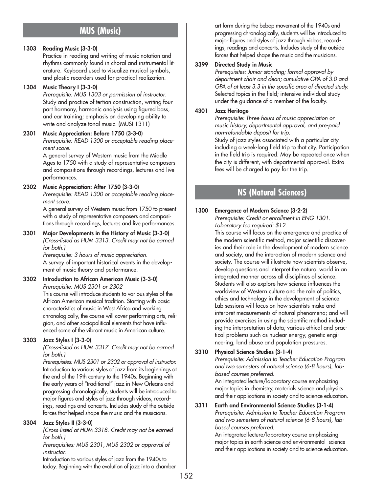# **MUS (Music)**

## **1303 Reading Music (3-3-0)**

Practice in reading and writing of music notation and rhythms commonly found in choral and instrumental literature. Keyboard used to visualize musical symbols, and plastic recorders used for practical realization.

### **1304 Music Theory I (3-3-0)**

*Prerequisite: MUS 1303 or permission of instructor.* Study and practice of tertian construction, writing four part harmony, harmonic analysis using figured bass, and ear training; emphasis on developing ability to write and analyze tonal music. (MUSI 1311)

## **2301 Music Appreciation: Before 1750 (3-3-0)**

*Prerequisite: READ 1300 or acceptable reading placement score.*

A general survey of Western music from the Middle Ages to 1750 with a study of representative composers and compositions through recordings, lectures and live performances.

## **2302 Music Appreciation: After 1750 (3-3-0)**

*Prerequisite: READ 1300 or acceptable reading placement score.*

A general survey of Western music from 1750 to present with a study of representative composers and compositions through recordings, lectures and live performances.

#### **3301 Major Developments in the History of Music (3-3-0)** *(Cross-listed as HUM 3313. Credit may not be earned*

*for both.) Prerequisite: 3 hours of music appreciation.*

A survey of important historical events in the development of music theory and performance.

#### **3302 Introduction to African American Music (3-3-0)** *Prerequisite: MUS 2301 or 2302*

This course will introduce students to various styles of the African American musical tradition. Starting with basic characteristics of music in West Africa and working chronologically, the course will cover performing arts, religion, and other sociopolitical elements that have influenced some of the vibrant music in American culture.

# **3303 Jazz Styles I (3-3-0)**

*(Cross-listed as HUM 3317. Credit may not be earned for both.)*

*Prerequisites: MUS 2301 or 2302 or approval of instructor.* Introduction to various styles of jazz from its beginnings at the end of the 19th century to the 1940s. Beginning with the early years of "traditional" jazz in New Orleans and progressing chronologically, students will be introduced to major figures and styles of jazz through videos, recordings, readings and concerts. Includes study of the outside forces that helped shape the music and the musicians.

#### **3304 Jazz Styles II (3-3-0)**

*(Cross-listed at HUM 3318. Credit may not be earned for both.)*

*Prerequisites: MUS 2301, MUS 2302 or approval of instructor.*

Introduction to various styles of jazz from the 1940s to today. Beginning with the evolution of jazz into a chamber art form during the bebop movement of the 1940s and progressing chronologically, students will be introduced to major figures and styles of jazz through videos, recordings, readings and concerts. Includes study of the outside forces that helped shape the music and the musicians.

## **3399 Directed Study in Music**

*Prerequisites: Junior standing; formal approval by department chair and dean; cumulative GPA of 3.0 and GPA of at least 3.3 in the specific area of directed study.* Selected topics in the field; intensive individual study under the guidance of a member of the faculty.

### **4301 Jazz Heritage**

*Prerequisite: Three hours of music appreciation or music history, departmental approval, and pre-paid non-refundable deposit for trip.*

Study of jazz styles associated with a particular city including a week-long field trip to that city. Participation in the field trip is required. May be repeated once when the city is different, with departmental approval. Extra fees will be charged to pay for the trip.

# **NS (Natural Sciences)**

# **1300 Emergence of Modern Science (3-2-2)**

*Prerequisite: Credit or enrollment in ENG 1301. Laboratory fee required: \$12.*

This course will focus on the emergence and practice of the modern scientific method, major scientific discoveries and their role in the development of modern science and society, and the interaction of modern science and society. The course will illustrate how scientists observe, develop questions and interpret the natural world in an integrated manner across all disciplines of science. Students will also explore how science influences the worldview of Western culture and the role of politics, ethics and technology in the development of science. Lab sessions will focus on how scientists make and interpret measurements of natural phenomena; and will provide exercises in using the scientific method including the interpretation of data; various ethical and practical problems such as nuclear energy, genetic engineering, land abuse and population pressures.

# **3310 Physical Science Studies (3-1-4)**

*Prerequisite: Admission to Teacher Education Program and two semesters of natural science (6-8 hours), labbased courses preferred.*

An integrated lecture/laboratory course emphasizing major topics in chemistry, materials science and physics and their applications in society and to science education.

#### **3311 Earth and Environmental Science Studies (3-1-4)** *Prerequisite: Admission to Teacher Education Program and two semesters of natural science (6-8 hours), labbased courses preferred.*

An integrated lecture/laboratory course emphasizing major topics in earth science and environmental science and their applications in society and to science education.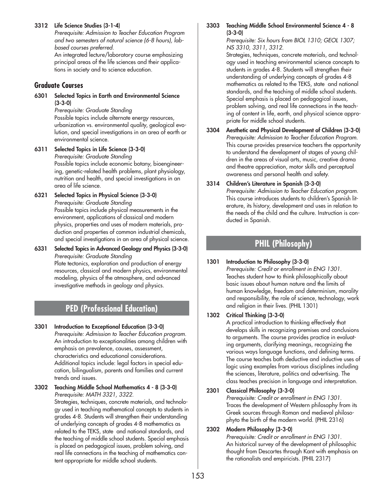## **3312 Life Science Studies (3-1-4)**

*Prerequisite: Admission to Teacher Education Program and two semesters of natural science (6-8 hours), labbased courses preferred.*

An integrated lecture/laboratory course emphasizing principal areas of the life sciences and their applications in society and to science education.

# **Graduate Courses**

**6301 Selected Topics in Earth and Environmental Science (3-3-0)**

*Prerequisite: Graduate Standing* Possible topics include alternate energy resources, urbanization vs. environmental quality, geological evolution, and special investigations in an area of earth or environmental science.

- **6311 Selected Topics in Life Science (3-3-0)** *Prerequisite: Graduate Standing* Possible topics include economic botany, bioengineering, genetic-related health problems, plant physiology, nutrition and health, and special investigations in an area of life science.
- **6321 Selected Topics in Physical Science (3-3-0)** *Prerequisite: Graduate Standing* Possible topics include physical measurements in the environment, applications of classical and modern physics, properties and uses of modern materials, production and properties of common industrial chemicals, and special investigations in an area of physical science.
- **6331 Selected Topics in Advanced Geology and Physics (3-3-0)** *Prerequisite: Graduate Standing* Plate tectonics, exploration and production of energy resources, classical and modern physics, environmental modeling, physics of the atmosphere, and advanced investigative methods in geology and physics.

# **PED (Professional Education)**

- **3301 Introduction to Exceptional Education (3-3-0)** *Prerequisite: Admission to Teacher Education program.* An introduction to exceptionalities among children with emphasis on prevalence, causes, assessment, characteristics and educational considerations. Additional topics include: legal factors in special education, bilingualism, parents and families and current trends and issues.
- **3302 Teaching Middle School Mathematics 4 8 (3-3-0)** *Prerequisite: MATH 3321, 3322.*

Strategies, techniques, concrete materials, and technology used in teaching mathematical concepts to students in grades 4-8. Students will strengthen their understanding of underlying concepts of grades 4-8 mathematics as related to the TEKS, state and national standards, and the teaching of middle school students. Special emphasis is placed on pedagogical issues, problem solving, and real life connections in the teaching of mathematics content appropriate for middle school students.

### **3303 Teaching Middle School Environmental Science 4 - 8 (3-3-0)**

*Prerequisite: Six hours from BIOL 1310; GEOL 1307; NS 3310, 3311, 3312.*

Strategies, techniques, concrete materials, and technology used in teaching environmental science concepts to students in grades 4-8. Students will strengthen their understanding of underlying concepts of grades 4-8 mathematics as related to the TEKS, state and national standards, and the teaching of middle school students. Special emphasis is placed on pedagogical issues, problem solving, and real life connections in the teaching of content in life, earth, and physical science appropriate for middle school students.

**3304 Aesthetic and Physical Development of Children (3-3-0)** *Prerequisite: Admission to Teacher Education Program.* This course provides preservice teachers the opportunity to understand the development of stages of young children in the areas of visual arts, music, creative drama and theatre appreciation, motor skills and perceptual awareness and personal health and safety.

# **3314 Children's Literature in Spanish (3-3-0)**

*Prerequisite: Admission to Teacher Education program.* This course introduces students to children's Spanish literature, its history, development and uses in relation to the needs of the child and the culture. Instruction is conducted in Spanish.

# **PHIL (Philosophy)**

# **1301 Introduction to Philosophy (3-3-0)**

*Prerequisite: Credit or enrollment in ENG 1301.* Teaches student how to think philosophically about basic issues about human nature and the limits of human knowledge, freedom and determinism, morality and responsibility, the role of science, technology, work and religion in their lives. (PHIL 1301)

# **1302 Critical Thinking (3-3-0)**

A practical introduction to thinking effectively that develops skills in recognizing premises and conclusions to arguments. The course provides practice in evaluating arguments, clarifying meanings, recognizing the various ways language functions, and defining terms. The course teaches both deductive and inductive uses of logic using examples from various disciplines including the sciences, literature, politics and advertising. The class teaches precision in language and interpretation.

# **2301 Classical Philosophy (3-3-0)**

*Prerequisite: Credit or enrollment in ENG 1301.* Traces the development of Western philosophy from its Greek sources through Roman and medieval philosophyto the birth of the modern world. (PHIL 2316)

# **2302 Modern Philosophy (3-3-0)**

*Prerequisite: Credit or enrollment in ENG 1301.* An historical survey of the development of philosophic thought from Descartes through Kant with emphasis on the rationalists and empiricists. (PHIL 2317)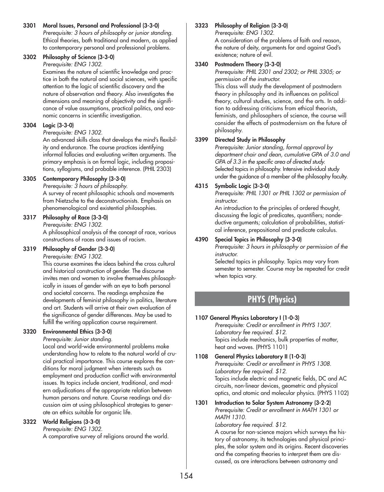**3301 Moral Issues, Personal and Professional (3-3-0)** *Prerequisite: 3 hours of philosophy or junior standing.* Ethical theories, both traditional and modern, as applied to contemporary personal and professional problems.

## **3302 Philosophy of Science (3-3-0)**

*Prerequisite: ENG 1302.*

Examines the nature of scientific knowledge and practice in both the natural and social sciences, with specific attention to the logic of scientific discovery and the nature of observation and theory. Also investigates the dimensions and meaning of objectivity and the significance of value assumptions, practical politics, and economic concerns in scientific investigation.

# **3304 Logic (3-3-0)**

#### *Prerequisite: ENG 1302.*

An advanced skills class that develops the mind's flexibility and endurance. The course practices identifying informal fallacies and evaluating written arguments. The primary emphasis is on formal logic, including propositions, syllogisms, and probable inference. (PHIL 2303)

# **3305 Contemporary Philosophy (3-3-0)**

*Prerequisite: 3 hours of philosophy.*

A survey of recent philosophic schools and movements from Nietzsche to the deconstructionists. Emphasis on phenomenological and existential philosophies.

## **3317 Philosophy of Race (3-3-0)**

*Prerequisite: ENG 1302.* A philosophical analysis of the concept of race, various constructions of races and issues of racism.

# **3319 Philosophy of Gender (3-3-0)**

*Prerequisite: ENG 1302.*

This course examines the ideas behind the cross cultural and historical construction of gender. The discourse invites men and women to involve themselves philosophically in issues of gender with an eye to both personal and societal concerns. The readings emphasize the developments of feminist philosophy in politics, literature and art. Students will arrive at their own evaluation of the significance of gender differences. May be used to fulfill the writing application course requirement.

# **3320 Environmental Ethics (3-3-0)**

*Prerequisite: Junior standing.*

Local and world-wide environmental problems make understanding how to relate to the natural world of crucial practical importance. This course explores the conditions for moral judgment when interests such as employment and production conflict with environmental issues. Its topics include ancient, traditional, and modern adjudications of the appropriate relation between human persons and nature. Course readings and discussion aim at using philosophical strategies to generate an ethics suitable for organic life.

# **3322 World Religions (3-3-0)**

*Prerequisite: ENG 1302.*

A comparative survey of religions around the world.

# **3323 Philosophy of Religion (3-3-0)**

*Prerequisite: ENG 1302.*

A consideration of the problems of faith and reason, the nature of deity, arguments for and against God's existence; nature of evil.

# **3340 Postmodern Theory (3-3-0)**

*Prerequisite: PHIL 2301 and 2302; or PHIL 3305; or permission of the instructor.*

This class will study the development of postmodern theory in philosophy and its influences on political theory, cultural studies, science, and the arts. In addition to addressing criticisms from ethical theorists, feminists, and philosophers of science, the course will consider the effects of postmodernism on the future of philosophy.

## **3399 Directed Study in Philosophy**

*Prerequisite: Junior standing, formal approval by department chair and dean, cumulative GPA of 3.0 and GPA of 3.3 in the specific area of directed study.* Selected topics in philosophy. Intensive individual study under the guidance of a member of the philosophy faculty.

## **4315 Symbolic Logic (3-3-0)**

*Prerequisite: PHIL 1301 or PHIL 1302 or permission of instructor.*

An introduction to the principles of ordered thought, discussing the logic of predicates, quantifiers; nondeductive arguments; calculation of probabilities, statistical inference, prepositional and predicate calculus.

# **4390 Special Topics in Philosophy (3-3-0)**

*Prerequisite: 3 hours in philosophy or permission of the instructor.*

Selected topics in philosophy. Topics may vary from semester to semester. Course may be repeated for credit when topics vary.

# **PHYS (Physics)**

#### **1107 General Physics Laboratory I (1-0-3)**

*Prerequisite: Credit or enrollment in PHYS 1307. Laboratory fee required. \$12.* Topics include mechanics, bulk properties of matter, heat and waves. (PHYS 1101)

**1108 General Physics Laboratory II (1-0-3)** *Prerequisite: Credit or enrollment in PHYS 1308. Laboratory fee required. \$12.* Topics include electric and magnetic fields, DC and AC circuits, non-linear devices, geometric and physical optics, and atomic and molecular physics. (PHYS 1102)

# **1301 Introduction to Solar System Astronomy (3-2-2)** *Prerequisite: Credit or enrollment in MATH 1301 or MATH 1310.*

*Laboratory fee required. \$12.* A course for non-science majors which surveys the history of astronomy, its technologies and physical principles, the solar system and its origins. Recent discoveries and the competing theories to interpret them are dis-

cussed, as are interactions between astronomy and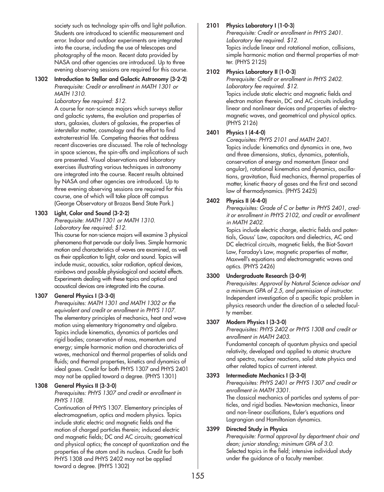society such as technology spin-offs and light pollution. Students are introduced to scientific measurement and error. Indoor and outdoor experiments are integrated into the course, including the use of telescopes and photography of the moon. Recent data provided by NASA and other agencies are introduced. Up to three evening observing sessions are required for this course.

#### **1302 Introduction to Stellar and Galactic Astronomy (3-2-2)** *Prerequisite: Credit or enrollment in MATH 1301 or MATH 1310.*

*Laboratory fee required: \$12.*

A course for non-science majors which surveys stellar and galactic systems, the evolution and properties of stars, galaxies, clusters of galaxies, the properties of interstellar matter, cosmology and the effort to find extraterrestrial life. Competing theories that address recent discoveries are discussed. The role of technology in space sciences, the spin-offs and implications of such are presented. Visual observations and laboratory exercises illustrating various techniques in astronomy are integrated into the course. Recent results obtained by NASA and other agencies are introduced. Up to three evening observing sessions are required for this course, one of which will take place off campus (George Observatory at Brazos Bend State Park.)

# **1303 Light, Color and Sound (3-2-2)**

*Prerequisite: MATH 1301 or MATH 1310. Laboratory fee required: \$12.*

This course for non-science majors will examine 3 physical phenomena that pervade our daily lives. Simple harmonic motion and characteristics of waves are examined, as well as their application to light, color and sound. Topics will include music, acoustics, solar radiation, optical devices, rainbows and possible physiological and societal effects. Experiments dealing with these topics and optical and acoustical devices are integrated into the course.

#### **1307 General Physics I (3-3-0)**

*Prerequisites: MATH 1301 and MATH 1302 or the equivalent and credit or enrollment in PHYS 1107.* The elementary principles of mechanics, heat and wave motion using elementary trigonometry and algebra. Topics include kinematics, dynamics of particles and rigid bodies; conservation of mass, momentum and energy; simple harmonic motion and characteristics of waves, mechanical and thermal properties of solids and fluids; and thermal properties, kinetics and dynamics of ideal gases. Credit for both PHYS 1307 and PHYS 2401 may not be applied toward a degree. (PHYS 1301)

#### **1308 General Physics II (3-3-0)**

*Prerequisites: PHYS 1307 and credit or enrollment in PHYS 1108.*

Continuation of PHYS 1307. Elementary principles of electromagnetism, optics and modern physics. Topics include static electric and magnetic fields and the motion of charged particles therein; induced electric and magnetic fields; DC and AC circuits; geometrical and physical optics; the concept of quantization and the properties of the atom and its nucleus. Credit for both PHYS 1308 and PHYS 2402 may not be applied toward a degree. (PHYS 1302)

#### **2101 Physics Laboratory I (1-0-3)**

*Prerequisite: Credit or enrollment in PHYS 2401. Laboratory fee required. \$12.* Topics include linear and rotational motion, collisions, simple harmonic motion and thermal properties of matter. (PHYS 2125)

#### **2102 Physics Laboratory II (1-0-3)**

*Prerequisite: Credit or enrollment in PHYS 2402. Laboratory fee required. \$12.* Topics include static electric and magnetic fields and electron motion therein, DC and AC circuits including linear and nonlinear devices and properties of electromagnetic waves, and geometrical and physical optics. (PHYS 2126)

## **2401 Physics I (4-4-0)**

*Corequisites: PHYS 2101 and MATH 2401.* Topics include: kinematics and dynamics in one, two and three dimensions, statics, dynamics, potentials, conservation of energy and momentum (linear and angular), rotational kinematics and dynamics, oscillations, gravitation, fluid mechanics, thermal properties of matter, kinetic theory of gases and the first and second law of thermodynamics. (PHYS 2425)

## **2402 Physics II (4-4-0)**

*Prerequisites: Grade of C or better in PHYS 2401, credit or enrollment in PHYS 2102, and credit or enrollment in MATH 2402.*

Topics include electric charge, electric fields and potentials, Gauss' Law, capacitors and dielectrics, AC and DC electrical circuits, magnetic fields, the Biot-Savart Law, Faraday's Law, magnetic properties of matter, Maxwell's equations and electromagnetic waves and optics. (PHYS 2426)

#### **3300 Undergraduate Research (3-0-9)**

*Prerequisites: Approval by Natural Science advisor and a minimum GPA of 2.5, and permission of instructor.* Independent investigation of a specific topic problem in physics research under the direction of a selected faculty member.

#### **3307 Modern Physics I (3-3-0)**

*Prerequisites: PHYS 2402 or PHYS 1308 and credit or enrollment in MATH 2403.*

Fundamental concepts of quantum physics and special relativity, developed and applied to atomic structure and spectra, nuclear reactions, solid state physics and other related topics of current interest.

#### **3393 Intermediate Mechanics I (3-3-0)**

*Prerequisites: PHYS 2401 or PHYS 1307 and credit or enrollment in MATH 3301.*

The classical mechanics of particles and systems of particles, and rigid bodies. Newtonian mechanics, linear and non-linear oscillations, Euler's equations and Lagrangian and Hamiltonian dynamics.

#### **3399 Directed Study in Physics**

*Prerequisite: Formal approval by department chair and dean; junior standing; minimum GPA of 3.0.* Selected topics in the field; intensive individual study under the guidance of a faculty member.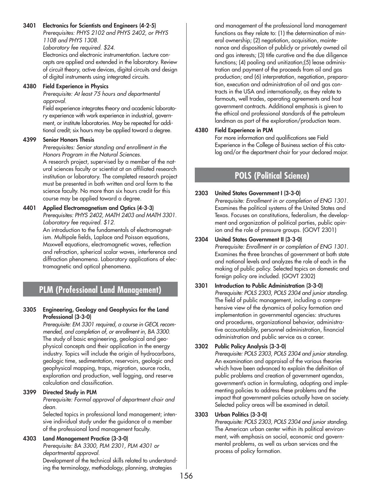#### **3401 Electronics for Scientists and Engineers (4-2-5)**

*Prerequisites: PHYS 2102 and PHYS 2402, or PHYS 1108 and PHYS 1308.*

*Laboratory fee required. \$24.*

Electronics and electronic instrumentation. Lecture concepts are applied and extended in the laboratory. Review of circuit theory, active devices, digital circuits and design of digital instruments using integrated circuits.

#### **4380 Field Experience in Physics**

*Prerequisite: At least 75 hours and departmental approval.*

Field experience integrates theory and academic laboratory experience with work experience in industrial, government, or institute laboratories. May be repeated for additional credit; six hours may be applied toward a degree.

#### **4399 Senior Honors Thesis**

*Prerequisites: Senior standing and enrollment in the Honors Program in the Natural Sciences.*

A research project, supervised by a member of the natural sciences faculty or scientist at an affiliated research institution or laboratory. The completed research project must be presented in both written and oral form to the science faculty. No more than six hours credit for this course may be applied toward a degree.

## **4401 Applied Electromagnetism and Optics (4-3-3)**

*Prerequisites: PHYS 2402, MATH 2403 and MATH 3301. Laboratory fee required. \$12.*

An introduction to the fundamentals of electromagnetism. Multipole fields, Laplace and Poisson equations, Maxwell equations, electromagnetic waves, reflection and refraction, spherical scalar waves, interference and diffraction phenomena. Laboratory applications of electromagnetic and optical phenomena.

# **PLM (Professional Land Management)**

#### **3305 Engineering, Geology and Geophysics for the Land Professional (3-3-0)**

*Prerequisite: EM 3301 required, a course in GEOL recommended, and completion of, or enrollment in, BA 3300.* The study of basic engineering, geological and geophysical concepts and their application in the energy industry. Topics will include the origin of hydrocarbons, geologic time, sedimentation, reservoirs, geologic and geophysical mapping, traps, migration, source rocks, exploration and production, well logging, and reserve calculation and classification.

#### **3399 Directed Study in PLM**

*Prerequisite: Formal approval of department chair and dean.*

Selected topics in professional land management; intensive individual study under the guidance of a member of the professional land management faculty.

#### **4303 Land Management Practice (3-3-0)**

*Prerequisite: BA 3300, PLM 2301, PLM 4301 or departmental approval.* Development of the technical skills related to understanding the terminology, methodology, planning, strategies

and management of the professional land management functions as they relate to: (1) the determination of mineral ownership; (2) negotiation, acquisition, maintenance and disposition of publicly or privately owned oil and gas interests; (3) title curative and the due diligence functions; (4) pooling and unitization;(5) lease administration and payment of the proceeds from oil and gas production; and (6) interpretation, negotiation, preparation, execution and administration of oil and gas contracts in the USA and internationally, as they relate to farmouts, well trades, operating agreements and host government contracts. Additional emphasis is given to the ethical and professional standards of the petroleum landman as part of the exploration/production team.

#### **4380 Field Experience in PLM**

For more information and qualifications see Field Experience in the College of Business section of this catalog and/or the department chair for your declared major.

# **POLS (Political Science)**

#### **2303 United States Government I (3-3-0)**

*Prerequisite: Enrollment in or completion of ENG 1301.* Examines the political systems of the United States and Texas. Focuses on constitutions, federalism, the development and organization of political parties, public opinion and the role of pressure groups. (GOVT 2301)

**2304 United States Government II (3-3-0)**

*Prerequisite: Enrollment in or completion of ENG 1301.* Examines the three branches of government at both state and national levels and analyzes the role of each in the making of public policy. Selected topics on domestic and foreign policy are included. (GOVT 2302)

#### **3301 Introduction to Public Administration (3-3-0)** *Prerequisite: POLS 2303, POLS 2304 and junior standing.* The field of public management, including a comprehensive view of the dynamics of policy formation and implementation in governmental agencies: structures and procedures, organizational behavior, administrative accountability, personnel administration, financial administration and public service as a career.

#### **3302 Public Policy Analysis (3-3-0)**

*Prerequisite: POLS 2303, POLS 2304 and junior standing.* An examination and appraisal of the various theories which have been advanced to explain the definition of public problems and creation of government agendas, government's action in formulating, adopting and implementing policies to address these problems and the impact that government policies actually have on society. Selected policy areas will be examined in detail.

# **3303 Urban Politics (3-3-0)**

*Prerequisite: POLS 2303, POLS 2304 and junior standing.* The American urban center within its political environment, with emphasis on social, economic and governmental problems, as well as urban services and the process of policy formation.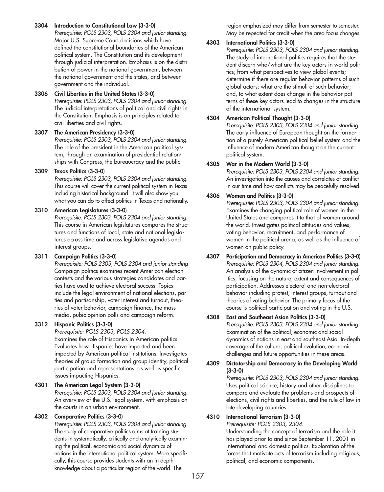**3304 Introduction to Constitutional Law (3-3-0)** *Prerequisite: POLS 2303, POLS 2304 and junior standing.* Major U.S. Supreme Court decisions which have defined the constitutional boundaries of the American political system. The Constitution and its development through judicial interpretation. Emphasis is on the distribution of power in the national government, between the national government and the states, and between government and the individual.

# **3306 Civil Liberties in the United States (3-3-0)** *Prerequisite: POLS 2303, POLS 2304 and junior standing.*

The judicial interpretations of political and civil rights in the Constitution. Emphasis is on principles related to civil liberties and civil rights.

**3307 The American Presidency (3-3-0)** *Prerequisite: POLS 2303, POLS 2304 and junior standing.*

The role of the president in the American political system, through an examination of presidential relationships with Congress, the bureaucracy and the public.

# **3309 Texas Politics (3-3-0)**

*Prerequisite: POLS 2303, POLS 2304 and junior standing.* This course will cover the current political system in Texas including historical background. It will also show you what you can do to affect politics in Texas and nationally.

# **3310 American Legislatures (3-3-0)**

*Prerequisite: POLS 2303, POLS 2304 and junior standing.* This course in American legislatures compares the structures and functions of local, state and national legislatures across time and across legislative agendas and interest groups.

# **3311 Campaign Politics (3-3-0)**

*Prerequisite: POLS 2303, POLS 2304 and junior standing* Campaign politics examines recent American election contests and the various strategies candidates and parties have used to achieve electoral success. Topics include the legal environment of national elections, parties and partisanship, voter interest and turnout, theories of voter behavior, campaign finance, the mass media, pubic opinion polls and campaign reform.

# **3312 Hispanic Politics (3-3-0)**

*Prerequisite: POLS 2303, POLS 2304.* Examines the role of Hispanics in American politics. Evaluates how Hispanics have impacted and been impacted by American political institutions. Investigates theories of group formation and group identity, political participation and representations, as well as specific issues impacting Hispanics.

**4301 The American Legal System (3-3-0)** *Prerequisite: POLS 2303, POLS 2304 and junior standing.* An overview of the U.S. legal system, with emphasis on the courts in an urban environment.

# **4302 Comparative Politics (3-3-0)**

*Prerequisite: POLS 2303, POLS 2304 and junior standing.* The study of comparative politics aims at training students in systematically, critically and analytically examining the political, economic and social dynamics of nations in the international political system. More specifically, this course provides students with an in depth knowledge about a particular region of the world. The

region emphasized may differ from semester to semester. May be repeated for credit when the area focus changes.

# **4303 International Politics (3-3-0)**

*Prerequisite: POLS 2303, POLS 2304 and junior standing.* The study of international politics requires that the student discern who/what are the key actors in world politics; from what perspectives to view global events; determine if there are regular behavior patterns of such global actors; what are the stimuli of such behavior; and, to what extent does change in the behavior patterns of these key actors lead to changes in the structure of the international system.

# **4304 American Political Thought (3-3-0)**

*Prerequisite: POLS 2303, POLS 2304 and junior standing.* The early influence of European thought on the formation of a purely American political belief system and the influence of modern American thought on the current political system.

# **4305 War in the Modern World (3-3-0)**

*Prerequisite: POLS 2303, POLS 2304 and junior standing.* An investigation into the causes and correlates of conflict in our time and how conflicts may be peacefully resolved.

# **4306 Women and Politics (3-3-0)**

*Prerequisite: POLS 2303, POLS 2304 and junior standing.* Examines the changing political role of women in the United States and compares it to that of women around the world. Investigates political attitudes and values, voting behavior, recruitment, and performance of women in the political arena, as well as the influence of women on public policy.

**4307 Participation and Democracy in American Politics (3-3-0)** *Prerequisite: POLS 2304, POLS 2304 and junior standing.* An analysis of the dynamic of citizen involvement in politics, focusing on the nature, extent and consequences of participation. Addresses electoral and non-electoral behavior including protest, interest groups, turnout and theories of voting behavior. The primary focus of the course is political participation and voting in the U.S.

# **4308 East and Southeast Asian Politics (3-3-0)**

*Prerequisite: POLS 2303, POLS 2304 and junior standing.* Examination of the political, economic and social dynamics of nations in east and southeast Asia. In-depth coverage of the culture, political evolution, economic challenges and future opportunities in these areas.

## **4309 Dictatorship and Democracy in the Developing World (3-3-0)**

*Prerequisite: POLS 2303, POLS 2304 and junior standing.* Uses political science, history and other disciplines to compare and evaluate the problems and prospects of elections, civil rights and liberties, and the rule of law in late developing countries.

# **4310 International Terrorism (3-3-0)**

*Prerequisite: POLS 2303, 2304.*

Understanding the concept of terrorism and the role it has played prior to and since September 11, 2001 in international and domestic politics. Exploration of the forces that motivate acts of terrorism including religious, political, and economic components.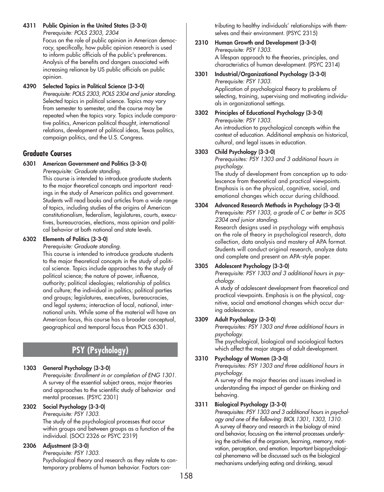**4311 Public Opinion in the United States (3-3-0)**  *Prerequisite: POLS 2303, 2304*

Focus on the role of public opinion in American democracy, specifically, how public opinion research is used to inform public officials of the public's preferences. Analysis of the benefits and dangers associated with increasing reliance by US public officials on public opinion.

**4390 Selected Topics in Political Science (3-3-0)** *Prerequisite: POLS 2303, POLS 2304 and junior standing.* Selected topics in political science. Topics may vary from semester to semester, and the course may be repeated when the topics vary. Topics include comparative politics, American political thought, international relations, development of political ideas, Texas politics, campaign politics, and the U.S. Congress.

# **Graduate Courses**

#### **6301 American Government and Politics (3-3-0)** *Prerequisite: Graduate standing.*

This course is intended to introduce graduate students to the major theoretical concepts and important readings in the study of American politics and government. Students will read books and articles from a wide range of topics, including studies of the origins of American constitutionalism, federalism, legislatures, courts, executives, bureaucracies, elections, mass opinion and political behavior at both national and state levels.

# **6302 Elements of Politics (3-3-0)**

*Prerequisite: Graduate standing.*

This course is intended to introduce graduate students to the major theoretical concepts in the study of political science. Topics include approaches to the study of political science; the nature of power, influence, authority; political ideologies; relationship of politics and culture; the individual in politics; political parties and groups; legislatures, executives, bureaucracies, and legal systems; interaction of local, national, international units. While some of the material will have an American focus, this course has a broader conceptual, geographical and temporal focus than POLS 6301.

# **PSY (Psychology)**

# **1303 General Psychology (3-3-0)**

*Prerequisite: Enrollment in or completion of ENG 1301.* A survey of the essential subject areas, major theories and approaches to the scientific study of behavior and mental processes. (PSYC 2301)

# **2302 Social Psychology (3-3-0)**

*Prerequisite: PSY 1303.* The study of the psychological processes that occur within groups and between groups as a function of the individual. (SOCI 2326 or PSYC 2319)

# **2306 Adjustment (3-3-0)**

*Prerequisite: PSY 1303.* Psychological theory and research as they relate to contemporary problems of human behavior. Factors contributing to healthy individuals' relationships with themselves and their environment. (PSYC 2315)

#### **2310 Human Growth and Development (3-3-0)** *Prerequisite: PSY 1303.* A lifespan approach to the theories, principles, and characteristics of human development. (PSYC 2314)

# **3301 Industrial/Organizational Psychology (3-3-0)** *Prerequisite: PSY 1303.*

Application of psychological theory to problems of selecting, training, supervising and motivating individuals in organizational settings.

**3302 Principles of Educational Psychology (3-3-0)** *Prerequisite: PSY 1303.* An introduction to psychological concepts within the context of education. Additional emphasis on historical, cultural, and legal issues in education.

## **3303 Child Psychology (3-3-0)**

*Prerequisites: PSY 1303 and 3 additional hours in psychology.*

The study of development from conception up to adolescence from theoretical and practical viewpoints. Emphasis is on the physical, cognitive, social, and emotional changes which occur during childhood.

#### **3304 Advanced Research Methods in Psychology (3-3-0)**  *Prerequisite: PSY 1303, a grade of C or better in SOS 2304 and junior standing.* Research designs used in psychology with emphasis on the role of theory in psychological research, data collection, data analysis and mastery of APA format. Students will conduct original research, analyze data and complete and present an APA-style paper.

# **3305 Adolescent Psychology (3-3-0)**

*Prerequisite: PSY 1303 and 3 additional hours in psychology.*

A study of adolescent development from theoretical and practical viewpoints. Emphasis is on the physical, cognitive, social and emotional changes which occur during adolescence.

# **3309 Adult Psychology (3-3-0)**

*Prerequisites: PSY 1303 and three additional hours in psychology.*

The psychological, biological and sociological factors which affect the major stages of adult development.

#### **3310 Psychology of Women (3-3-0)**

*Prerequisites: PSY 1303 and three additional hours in psychology.*

A survey of the major theories and issues involved in understanding the impact of gender on thinking and behaving.

# **3311 Biological Psychology (3-3-0)**

*Prerequisites: PSY 1303 and 3 additional hours in psychology and one of the following: BIOL 1301, 1303, 1310.* A survey of theory and research in the biology of mind and behavior, focusing on the internal processes underlying the activities of the organism, learning, memory, motivation, perception, and emotion. Important biopsychological phenomena will be discussed such as the biological mechanisms underlying eating and drinking, sexual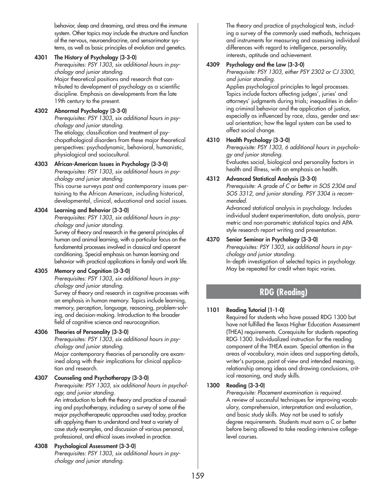behavior, sleep and dreaming, and stress and the immune system. Other topics may include the structure and function of the nervous, neuroendrocrine, and sensorimotor systems, as well as basic principles of evolution and genetics.

## **4301 The History of Psychology (3-3-0)**

*Prerequisites: PSY 1303, six additional hours in psychology and junior standing.*

Major theoretical positions and research that contributed to development of psychology as a scientific discipline. Emphasis on developments from the late 19th century to the present.

# **4302 Abnormal Psychology (3-3-0)**

*Prerequisites: PSY 1303, six additional hours in psychology and junior standing.* The etiology, classification and treatment of psychopathological disorders from these major theoretical perspectives: psychodynamic, behavioral, humanistic,

## physiological and sociocultural. **4303 African-American Issues in Psychology (3-3-0)**

*Prerequisites: PSY 1303, six additional hours in psychology and junior standing.* This course surveys past and contemporary issues per-

taining to the African American, including historical, developmental, clinical, educational and social issues.

# **4304 Learning and Behavior (3-3-0)**

*Prerequisites: PSY 1303, six additional hours in psychology and junior standing.*

Survey of theory and research in the general principles of human and animal learning, with a particular focus on the fundamental processes involved in classical and operant conditioning. Special emphasis on human learning and behavior with practical applications in family and work life.

# **4305 Memory and Cognition (3-3-0)**

*Prerequisites: PSY 1303, six additional hours in psychology and junior standing.*

Survey of theory and research in cognitive processes with an emphasis in human memory. Topics include learning, memory, perception, language, reasoning, problem-solving, and decision-making. Introduction to the broader field of cognitive science and neurocognition.

# **4306 Theories of Personality (3-3-0)**

*Prerequisites: PSY 1303, six additional hours in psychology and junior standing.*

Major contemporary theories of personality are examined along with their implications for clinical application and research.

# **4307 Counseling and Psychotherapy (3-3-0)**

*Prerequisite: PSY 1303, six additional hours in psychology, and junior standing.*

An introduction to both the theory and practice of counseling and psychotherapy, including a survey of some of the major psychotherapeutic approaches used today, practice sith applying them to understand and treat a variety of case study examples, and discussion of various personal, professional, and ethical issues involved in practice.

# **4308 Psychological Assessment (3-3-0)**

*Prerequisites: PSY 1303, six additional hours in psychology and junior standing.*

The theory and practice of psychological tests, including a survey of the commonly used methods, techniques and instruments for measuring and assessing individual differences with regard to intelligence, personality, interests, aptitude and achievement.

# **4309 Psychology and the Law (3-3-0)**

*Prerequisite: PSY 1303, either PSY 2302 or CJ 3300, and junior standing.*

Applies psychological principles to legal processes. Topics include factors affecting judges', juries' and attorneys' judgments during trials; inequalities in defining criminal behavior and the application of justice, especially as influenced by race, class, gender and sexual orientation; how the legal system can be used to affect social change.

# **4310 Health Psychology (3-3-0)**

*Prerequisite: PSY 1303, 6 additional hours in psychology and junior standing.*

Evaluates social, biological and personality factors in health and illness, with an emphasis on health.

# **4312 Advanced Statistical Analysis (3-3-0)**

*Prerequisite: A grade of C or better in SOS 2304 and SOS 3312, and junior standing. PSY 3304 is recommended.*

Advanced statistical analysis in psychology. Includes individual student experimentation, data analysis, parametric and non-parametric statistical topics and APA style research report writing and presentation.

# **4370 Senior Seminar in Psychology (3-3-0)**

*Prerequisites: PSY 1303, six additional hours in psychology and junior standing.*

In-depth investigation of selected topics in psychology. May be repeated for credit when topic varies.

# **RDG (Reading)**

# **1101 Reading Tutorial (1-1-0)**

Required for students who have passed RDG 1300 but have not fulfilled the Texas Higher Education Assessment (THEA) requirements. Corequisite for students repeating RDG 1300. Individualized instruction for the reading component of the THEA exam. Special attention in the areas of vocabulary, main ideas and supporting details, writer's purpose, point of view and intended meaning, relationship among ideas and drawing conclusions, critical reasoning, and study skills.

# **1300 Reading (3-3-0)**

*Prerequisite: Placement examination is required.* A review of successful techniques for improving vocabulary, comprehension, interpretation and evaluation, and basic study skills. May not be used to satisfy degree requirements. Students must earn a C or better before being allowed to take reading-intensive collegelevel courses.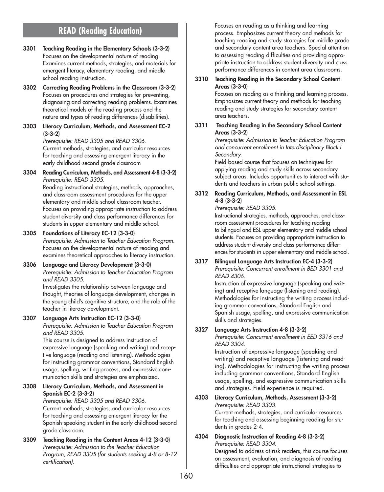# **READ (Reading Education)**

- **3301 Teaching Reading in the Elementary Schools (3-3-2)** Focuses on the developmental nature of reading. Examines current methods, strategies, and materials for emergent literacy, elementary reading, and middle school reading instruction.
- **3302 Correcting Reading Problems in the Classroom (3-3-2)** Focuses on procedures and strategies for preventing, diagnosing and correcting reading problems. Examines theoretical models of the reading process and the nature and types of reading differences (disabilities).
- **3303 Literacy Curriculum, Methods, and Assessment EC-2 (3-3-2)**

*Prerequisite: READ 3305 and READ 3306.* Current methods, strategies, and curricular resources for teaching and assessing emergent literacy in the early childhood-second grade classroom

**3304 Reading Curriculum, Methods, and Assessment 4-8 (3-3-2)** *Prerequisite: READ 3305.* Reading instructional strategies, methods, approaches, and classroom assessment procedures for the upper

elementary and middle school classroom teacher. Focuses on providing appropriate instruction to address student diversity and class performance differences for students in upper elementary and middle school.

#### **3305 Foundations of Literacy EC-12 (3-3-0)**

*Prerequisite: Admission to Teacher Education Program.* Focuses on the developmental nature of reading and examines theoretical approaches to literacy instruction.

#### **3306 Language and Literacy Development (3-3-0)** *Prerequisite: Admission to Teacher Education Program and READ 3305.*

Investigates the relationship between language and thought, theories of language development, changes in the young child's cognitive structure, and the role of the teacher in literacy development.

#### **3307 Language Arts Instruction EC-12 (3-3-0)**

*Prerequisite: Admission to Teacher Education Program and READ 3305.*

This course is designed to address instruction of expressive language (speaking and writing) and receptive language (reading and listening). Methodologies for instructing grammar conventions, Standard English usage, spelling, writing process, and expressive communication skills and strategies are emphasized.

#### **3308 Literacy Curriculum, Methods, and Assessment in Spanish EC-2 (3-3-2)**

*Prerequisite: READ 3305 and READ 3306.* Current methods, strategies, and curricular resources for teaching and assessing emergent literacy for the Spanish-speaking student in the early childhood-second grade classroom.

**3309 Teaching Reading in the Content Areas 4-12 (3-3-0)** *Prerequisite: Admission to the Teacher Education Program, READ 3305 (for students seeking 4-8 or 8-12 certification).*

Focuses on reading as a thinking and learning process. Emphasizes current theory and methods for teaching reading and study strategies for middle grade and secondary content area teachers. Special attention to assessing reading difficulties and providing appropriate instruction to address student diversity and class performance differences in content area classrooms.

#### **3310 Teaching Reading in the Secondary School Content Areas (3-3-0)**

Focuses on reading as a thinking and learning process. Emphasizes current theory and methods for teaching reading and study strategies for secondary content area teachers.

**3311 Teaching Reading in the Secondary School Content Areas (3-3-2)**

> *Prerequisite: Admission to Teacher Education Program and concurrent enrollment in Interdisciplinary Block I Secondary.*

Field-based course that focuses on techniques for applying reading and study skills across secondary subject areas. Includes opportunities to interact with students and teachers in urban public school settings.

#### **3312 Reading Curriculum, Methods, and Assessment in ESL 4-8 (3-3-2)**

#### *Prerequisite: READ 3305.*

Instructional strategies, methods, approaches, and classroom assessment procedures for teaching reading to bilingual and ESL upper elementary and middle school students. Focuses on providing appropriate instruction to address student diversity and class performance differences for students in upper elementary and middle school.

**3317 Bilingual Language Arts Instruction EC-4 (3-3-2)**  *Prerequisite: Concurrent enrollment in BED 3301 and READ 4306.*

Instruction of expressive language (speaking and writing) and receptive language (listening and reading). Methodologies for instructing the writing process including grammar conventions, Standard English and Spanish usage, spelling, and expressive communication skills and strategies.

# **3327 Language Arts Instruction 4-8 (3-3-2)**

*Prerequisite: Concurrent enrollment in EED 3316 and READ 3304.*

Instruction of expressive language (speaking and writing) and receptive language (listening and reading). Methodologies for instructing the writing process including grammar conventions, Standard English usage, spelling, and expressive communication skills and strategies. Field experience is required.

- **4303 Literacy Curriculum, Methods, Assessment (3-3-2)** *Prerequisite: READ 3303.* Current methods, strategies, and curricular resources for teaching and assessing beginning reading for students in grades 2-4.
- **4304 Diagnostic Instruction of Reading 4-8 (3-3-2)** *Prerequisite: READ 3304.* Designed to address at-risk readers, this course focuses

on assessment, evaluation, and diagnosis of reading difficulties and appropriate instructional strategies to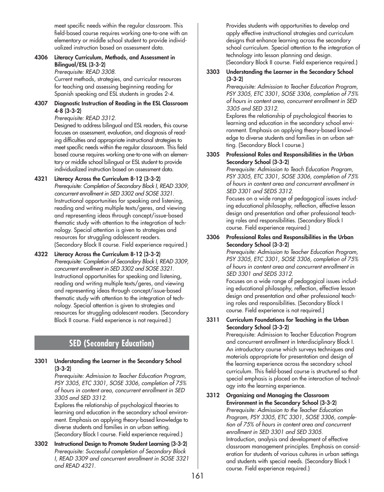meet specific needs within the regular classroom. This field-based course requires working one-to-one with an elementary or middle school student to provide individualized instruction based on assessment data.

# **4306 Literacy Curriculum, Methods, and Assessment in Bilingual/ESL (3-3-2)**

*Prerequisite: READ 3308.*

Current methods, strategies, and curricular resources for teaching and assessing beginning reading for Spanish speaking and ESL students in grades 2-4.

#### **4307 Diagnostic Instruction of Reading in the ESL Classroom 4-8 (3-3-2)**

*Prerequisite: READ 3312.*

Designed to address bilingual and ESL readers, this course focuses on assessment, evaluation, and diagnosis of reading difficulties and appropriate instructional strategies to meet specific needs within the regular classroom. This field based course requires working one-to-one with an elementary or middle school bilingual or ESL student to provide individualized instruction based on assessment data.

- **4321 Literacy Across the Curriculum 8-12 (3-3-2)**  *Prerequisite: Completion of Secondary Block I, READ 3309, concurrent enrollment in SED 3302 and SOSE 3321.* Instructional opportunities for speaking and listening, reading and writing multiple texts/geres, and viewing and representing ideas through concept/issue-based thematic study with attention to the integration of technology. Special attention is given to strategies and resources for struggling adolescent readers. (Secondary Block II course. Field experience required.)
- **4322 Literacy Across the Curriculum 8-12 (3-3-2)** *Prerequisite: Completion of Secondary Block I, READ 3309, concurrent enrollment in SED 3302 and SOSE 3321.* Instructional opportunities for speaking and listening, reading and writing multiple texts/geres, and viewing and representing ideas through concept/issue-based thematic study with attention to the integration of technology. Special attention is given to strategies and resources for struggling adolescent readers. (Secondary Block II course. Field experience is not required.)

# **SED (Secondary Education)**

**3301 Understanding the Learner in the Secondary School (3-3-2)**

> *Prerequisite: Admission to Teacher Education Program, PSY 3305, ETC 3301, SOSE 3306, completion of 75% of hours in content area, concurrent enrollment in SED 3305 and SED 3312.*

Explores the relationship of psychological theories to learning and education in the secondary school environment. Emphasis on applying theory-based knowledge to diverse students and families in an urban setting. (Secondary Block I course. Field experience required.)

**3302 Instructional Design to Promote Student Learning (3-3-2)** *Prerequisite: Successful completion of Secondary Block I, READ 3309 and concurrent enrollment in SOSE 3321 and READ 4321.*

Provides students with opportunities to develop and apply effective instructional strategies and curriculum designs that enhance learning across the secondary school curriculum. Special attention to the integration of technology into lesson planning and design. (Secondary Block II course. Field experience required.)

## **3303 Understanding the Learner in the Secondary School (3-3-2)**

*Prerequisite: Admission to Teacher Education Program, PSY 3305, ETC 3301, SOSE 3306, completion of 75% of hours in content area, concurrent enrollment in SED 3305 and SED 3312.*

Explores the relationship of psychological theories to learning and education in the secondary school environment. Emphasis on applying theory-based knowledge to diverse students and families in an urban setting. (Secondary Block I course.)

#### **3305 Professional Roles and Responsibilities in the Urban Secondary School (3-3-2)**

*Prerequisite: Admission to Teach Education Program, PSY 3305, ETC 3301, SOSE 3306, completion of 75% of hours in content area and concurrent enrollment in SED 3301 and SEDS 3312.*

Focuses on a wide range of pedagogical issues including educational philosophy, reflection, effective lesson design and presentation and other professional teaching roles and responsibilities. (Secondary Block I course. Field experience required.)

#### **3306 Professional Roles and Responsibilities in the Urban Secondary School (3-3-2)**

*Prerequisite: Admission to Teacher Education Program, PSY 3305, ETC 3301, SOSE 3306, completion of 75% of hours in content area and concurrent enrollment in SED 3301 and SEDS 3312.*

Focuses on a wide range of pedagogical issues including educational philosophy, reflection, effective lesson design and presentation and other professional teaching roles and responsibilities. (Secondary Block I course. Field experience is not required.)

#### **3311 Curriculum Foundations for Teaching in the Urban Secondary School (3-3-2)**

Prerequisite: Admission to Teacher Education Program and concurrent enrollment in Interdisciplinary Block I. An introductory course which surveys techniques and materials appropriate for presentation and design of the learning experience across the secondary school curriculum. This field-based course is structured so that special emphasis is placed on the interaction of technology into the learning experience.

**3312 Organizing and Managing the Classroom Environment in the Secondary School (3-3-2)** *Prerequisite: Admission to the Teacher Education Program, PSY 3305, ETC 3301, SOSE 3306, completion of 75% of hours in content area and concurrent enrollment in SED 3301 and SED 3305.* Introduction, analysis and development of effective classroom management principles. Emphasis on consideration for students of various cultures in urban settings and students with special needs. (Secondary Block I course. Field experience required.)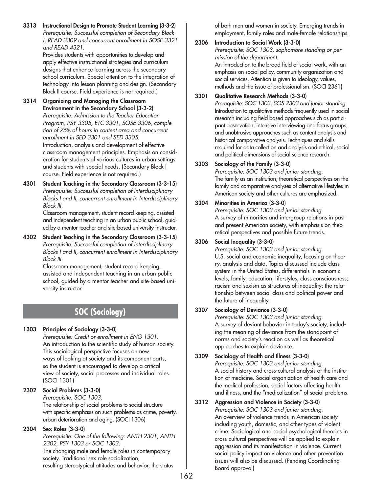**3313 Instructional Design to Promote Student Learning (3-3-2)** *Prerequisite: Successful completion of Secondary Block I, READ 3309 and concurrent enrollment in SOSE 3321 and READ 4321.*

> Provides students with opportunities to develop and apply effective instructional strategies and curriculum designs that enhance learning across the secondary school curriculum. Special attention to the integration of technology into lesson planning and design. (Secondary Block II course. Field experience is not required.)

- **3314 Organizing and Managing the Classroom Environment in the Secondary School (3-3-2)** *Prerequisite: Admission to the Teacher Education Program, PSY 3305, ETC 3301, SOSE 3306, completion of 75% of hours in content area and concurrent enrollment in SED 3301 and SED 3305.* Introduction, analysis and development of effective classroom management principles. Emphasis on consideration for students of various cultures in urban settings and students with special needs. (Secondary Block I course. Field experience is not required.)
- **4301 Student Teaching in the Secondary Classroom (3-3-15)** *Prerequisite: Successful completion of Interdisciplinary Blocks I and II, concurrent enrollment in Interdisciplinary Block III.*

Classroom management, student record keeping, assisted and independent teaching in an urban public school, guided by a mentor teacher and site-based university instructor.

**4302 Student Teaching in the Secondary Classroom (3-3-15)** *Prerequisite: Successful completion of Interdisciplinary Blocks I and II, concurrent enrollment in Interdisciplinary Block III.*

Classroom management, student record keeping, assisted and independent teaching in an urban public school, guided by a mentor teacher and site-based university instructor.

# **SOC (Sociology)**

# **1303 Principles of Sociology (3-3-0)**

*Prerequisite: Credit or enrollment in ENG 1301.* An introduction to the scientific study of human society. This sociological perspective focuses on new ways of looking at society and its component parts, so the student is encouraged to develop a critical view of society, social processes and individual roles. (SOCI 1301)

# **2302 Social Problems (3-3-0)**

*Prerequisite: SOC 1303.* The relationship of social problems to social structure with specific emphasis on such problems as crime, poverty, urban deterioration and aging. (SOCI 1306)

# **2304 Sex Roles (3-3-0)**

*Prerequisite: One of the following: ANTH 2301, ANTH 2302, PSY 1303 or SOC 1303.* The changing male and female roles in contemporary society. Traditional sex role socialization,

resulting stereotypical attitudes and behavior, the status

of both men and women in society. Emerging trends in employment, family roles and male-female relationships.

# **2306 Introduction to Social Work (3-3-0)**

*Prerequisite: SOC 1303, sophomore standing or permission of the department.* An introduction to the broad field of social work, with an emphasis on social policy, community organization and social services. Attention is given to ideology, values, methods and the issue of professionalism. (SOCI 2361)

# **3301 Qualitative Research Methods (3-3-0)**

*Prerequisite: SOC 1303, SOS 2303 and junior standing.* Introduction to qualitative methods frequently used in social research including field based approaches sich as participant observation, intensive interviewing and focus groups, and unobtrusive approaches such as content analysis and historical comparative analysis. Techniques and skills required for data collection and analysis and ethical, social and political dimensions of social science research.

# **3303 Sociology of the Family (3-3-0)**

*Prerequisite: SOC 1303 and junior standing.* The family as an institution; theoretical perspectives on the family and comparative analyses of alternative lifestyles in American society and other cultures are emphasized.

# **3304 Minorities in America (3-3-0)**

*Prerequisite: SOC 1303 and junior standing.* A survey of minorities and intergroup relations in past and present American society, with emphasis on theoretical perspectives and possible future trends.

# **3306 Social Inequality (3-3-0)**

*Prerequisite: SOC 1303 and junior standing.* U.S. social and economic inequality, focusing on theory, analysis and data. Topics discussed include class system in the United States, differentials in economic levels, family, education, life-styles, class consciousness; racism and sexism as structures of inequality; the relationship between social class and political power and the future of inequality.

# **3307 Sociology of Deviance (3-3-0)**

*Prerequisite: SOC 1303 and junior standing.* A survey of deviant behavior in today's society, including the meaning of deviance from the standpoint of norms and society's reaction as well as theoretical approaches to explain deviance.

# **3309 Sociology of Health and Illness (3-3-0)**

*Prerequisite: SOC 1303 and junior standing.* A social history and cross-cultural analysis of the institution of medicine. Social organization of health care and the medical profession, social factors affecting health and illness, and the "medicalization" of social problems.

# **3312 Aggression and Violence in Society (3-3-0)**

*Prerequisite: SOC 1303 and junior standing.* An overview of violence trends in American society including youth, domestic, and other types of violent crime. Sociological and social psychological theories in cross-cultural perspectives will be applied to explain aggression and its manifestation in violence. Current social policy impact on violence and other prevention issues will also be discussed. (Pending Coordinating Board approval)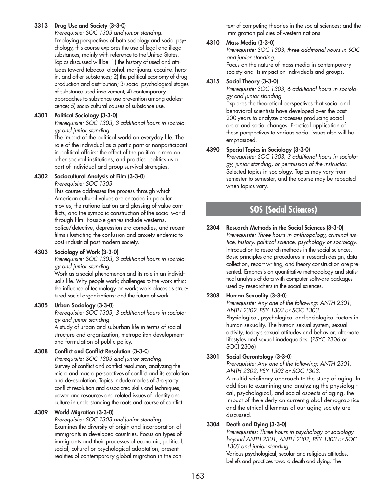## **3313 Drug Use and Society (3-3-0)**

*Prerequisite: SOC 1303 and junior standing.* Employing perspectives of both sociology and social psychology, this course explores the use of legal and illegal substances, mainly with reference to the United States. Topics discussed will be: 1) the history of used and attitudes toward tobacco, alcohol, marijuana, cocaine, heroin, and other substances; 2) the political economy of drug production and distribution; 3) social psychological stages of substance used involvement; 4) contemporary approaches to substance use prevention among adolescence; 5) socio-cultural causes of substance use.

### **4301 Political Sociology (3-3-0)**

*Prerequisite: SOC 1303, 3 additional hours in sociology and junior standing.*

The impact of the political world on everyday life. The role of the individual as a participant or nonparticipant in political affairs; the effect of the political arena on other societal institutions; and practical politics as a part of individual and group survival strategies.

## **4302 Sociocultural Analysis of Film (3-3-0)**

*Prerequisite: SOC 1303*

This course addresses the process through which American cultural values are encoded in popular movies, the rationalization and glossing of value conflicts, and the symbolic construction of the social world through film. Possible genres include westerns, police/detective, depression era comedies, and recent films illustrating the confusion and anxiety endemic to post-industrial post-modern society.

# **4303 Sociology of Work (3-3-0)**

*Prerequisite: SOC 1303, 3 additional hours in sociology and junior standing.*

Work as a social phenomenon and its role in an individual's life. Why people work; challenges to the work ethic; the influence of technology on work; work places as structured social organizations; and the future of work.

#### **4305 Urban Sociology (3-3-0)**

*Prerequisite: SOC 1303, 3 additional hours in sociology and junior standing.*

A study of urban and suburban life in terms of social structure and organization, metropolitan development and formulation of public policy.

# **4308 Conflict and Conflict Resolution (3-3-0)**

*Prerequisite: SOC 1303 and junior standing.* Survey of conflict and conflict resolution, analyzing the micro and macro perspectives of conflict and its escalation and de-escalation. Topics include models of 3rd-party conflict resolution and associated skills and techniques, power and resources and related issues of identity and culture in understanding the roots and course of conflict.

#### **4309 World Migration (3-3-0)**

*Prerequisite: SOC 1303 and junior standing.* Examines the diversity of origin and incorporation of immigrants in developed countries. Focus on types of immigrants and their processes of economic, political, social, cultural or psychological adaptation; present realities of contemporary global migration in the con-

text of competing theories in the social sciences; and the immigration policies of western nations.

## **4310 Mass Media (3-3-0)**

*Prerequisite: SOC 1303, three additional hours in SOC and junior standing.* Focus on the nature of mass media in contemporary

society and its impact on individuals and groups.

#### **4315 Social Theory (3-3-0)**

*Prerequisite: SOC 1303, 6 additional hours in sociology and junior standing.*

Explores the theoretical perspectives that social and behavioral scientists have developed over the past 200 years to analyze processes producing social order and social changes. Practical application of these perspectives to various social issues also will be emphasized.

## **4390 Special Topics in Sociology (3-3-0)**

*Prerequisite: SOC 1303, 3 additional hours in sociology, junior standing, or permission of the instructor.* Selected topics in sociology. Topics may vary from semester to semester, and the course may be repeated when topics vary.

# **SOS (Social Sciences)**

## **2304 Research Methods in the Social Sciences (3-3-0)**

*Prerequisite: Three hours in anthropology, criminal justice, history, political science, psychology or sociology.* Introduction to research methods in the social sciences. Basic principles and procedures in research design, data collection, report writing, and theory construction are presented. Emphasis on quantitative methodology and statistical analysis of data with computer software packages used by researchers in the social sciences.

# **2308 Human Sexuality (3-3-0)**

*Prerequisite: Any one of the following: ANTH 2301, ANTH 2302, PSY 1303 or SOC 1303.* Physiological, psychological and sociological factors in human sexuality. The human sexual system, sexual activity, today's sexual attitudes and behavior, alternate lifestyles and sexual inadequacies. (PSYC 2306 or SOCI 2306)

# **3301 Social Gerontology (3-3-0)**

*Prerequisite: Any one of the following: ANTH 2301, ANTH 2302, PSY 1303 or SOC 1303.* A multidisciplinary approach to the study of aging. In addition to examining and analyzing the physiologi-

cal, psychological, and social aspects of aging, the impact of the elderly on current global demographics and the ethical dilemmas of our aging society are discussed.

# **3304 Death and Dying (3-3-0)**

*Prerequisites: Three hours in psychology or sociology beyond ANTH 2301, ANTH 2302, PSY 1303 or SOC 1303 and junior standing.* Various psychological, secular and religious attitudes,

beliefs and practices toward death and dying. The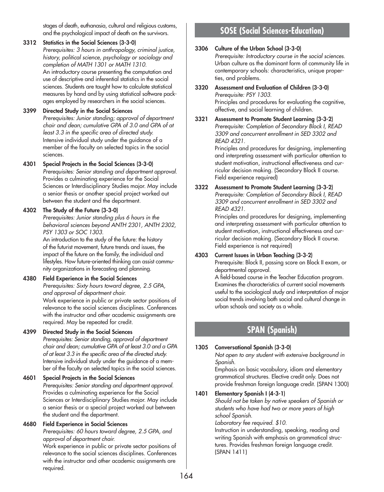stages of death, euthanasia, cultural and religious customs, and the psychological impact of death on the survivors.

## **3312 Statistics in the Social Sciences (3-3-0)**

*Prerequisites: 3 hours in anthropology, criminal justice, history, political science, psychology or sociology and completion of MATH 1301 or MATH 1310.* An introductory course presenting the computation and use of descriptive and inferential statistics in the social sciences. Students are taught how to calculate statistical measures by hand and by using statistical software packages employed by researchers in the social sciences.

## **3399 Directed Study in the Social Sciences**

*Prerequisites: Junior standing; approval of department chair and dean; cumulative GPA of 3.0 and GPA of at least 3.3 in the specific area of directed study.* Intensive individual study under the guidance of a member of the faculty on selected topics in the social sciences.

## **4301 Special Projects in the Social Sciences (3-3-0)**

*Prerequisites: Senior standing and department approval.* Provides a culminating experience for the Social Sciences or Interdisciplinary Studies major. May include a senior thesis or another special project worked out between the student and the department.

# **4302 The Study of the Future (3-3-0)**

*Prerequisites: Junior standing plus 6 hours in the behavioral sciences beyond ANTH 2301, ANTH 2302, PSY 1303 or SOC 1303.*

An introduction to the study of the future: the history of the futurist movement, future trends and issues, the impact of the future on the family, the individual and lifestyles. How future-oriented thinking can assist community organizations in forecasting and planning.

# **4380 Field Experience in the Social Sciences**

*Prerequisites: Sixty hours toward degree, 2.5 GPA, and approval of department chair.* Work experience in public or private sector positions of

relevance to the social sciences disciplines. Conferences with the instructor and other academic assignments are required. May be repeated for credit.

# **4399 Directed Study in the Social Sciences**

*Prerequisites: Senior standing, approval of department chair and dean; cumulative GPA of at least 3.0 and a GPA of at least 3.3 in the specific area of the directed study.* Intensive individual study under the guidance of a member of the faculty on selected topics in the social sciences.

# **4601 Special Projects in the Social Sciences**

*Prerequisites: Senior standing and department approval.* Provides a culminating experience for the Social Sciences or Interdisciplinary Studies major. May include a senior thesis or a special project worked out between the student and the department.

#### **4680 Field Experience in Social Sciences**

*Prerequisites: 60 hours toward degree, 2.5 GPA, and approval of department chair.*

Work experience in public or private sector positions of relevance to the social sciences disciplines. Conferences with the instructor and other academic assignments are required.**(**

# **SOSE (Social Sciences-Education)**

#### **3306 Culture of the Urban School (3-3-0)**

*Prerequisite: Introductory course in the social sciences.* Urban culture as the dominant form of community life in contemporary schools: characteristics, unique properties, and problems.

- **3320 Assessment and Evaluation of Children (3-3-0)** *Prerequisite: PSY 1303.* Principles and procedures for evaluating the cognitive, affective, and social learning of children.
- **3321 Assessment to Promote Student Learning (3-3-2)** *Prerequisite: Completion of Secondary Block I, READ 3309 and concurrent enrollment in SED 3302 and READ 4321.*

Principles and procedures for designing, implementing and interpreting assessment with particular attention to student motivation, instructional effectiveness and curricular decision making. (Secondary Block II course. Field experience required)

**3322 Assessment to Promote Student Learning (3-3-2)** *Prerequisite: Completion of Secondary Block I, READ 3309 and concurrent enrollment in SED 3302 and READ 4321.*

Principles and procedures for designing, implementing and interpreting assessment with particular attention to student motivation, instructional effectiveness and curricular decision making. (Secondary Block II course. Field experience is not required)

#### **4303 Current Issues in Urban Teaching (3-3-2)**

Prerequisite: Block II, passing score on Block II exam, or departmental approval.

A field-based course in the Teacher Education program. Examines the characteristics of current social movements useful to the sociological study and interpretation of major social trends involving both social and cultural change in urban schools and society as a whole.

# **SPAN (Spanish)**

# **1305 Conversational Spanish (3-3-0)**

*Not open to any student with extensive background in Spanish.*

Emphasis on basic vocabulary, idiom and elementary grammatical structures. Elective credit only. Does not provide freshman foreign language credit. (SPAN 1300)

# **1401 Elementary Spanish I (4-3-1)**

*Should not be taken by native speakers of Spanish or students who have had two or more years of high school Spanish.*

#### *Laboratory fee required. \$10.*

Instruction in understanding, speaking, reading and writing Spanish with emphasis on grammatical structures. Provides freshman foreign language credit. (SPAN 1411)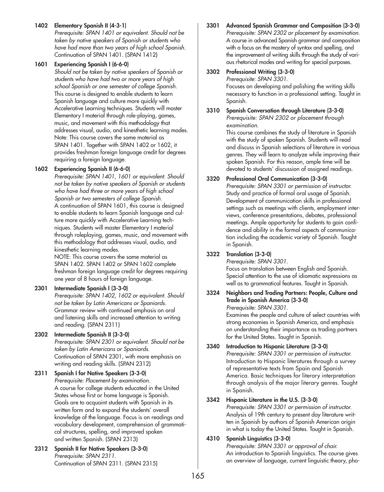## **1402 Elementary Spanish II (4-3-1)**

*Prerequisite: SPAN 1401 or equivalent. Should not be taken by native speakers of Spanish or students who have had more than two years of high school Spanish.* Continuation of SPAN 1401. (SPAN 1412)

#### **1601 Experiencing Spanish I (6-6-0)**

*Should not be taken by native speakers of Spanish or students who have had two or more years of high school Spanish or one semester of college Spanish.* This course is designed to enable students to learn Spanish language and culture more quickly with Accelerative Learning techniques. Students will master Elementary I material through role-playing, games, music, and movement with this methodology that addresses visual, audio, and kinesthetic learning modes. Note: This course covers the same material as SPAN 1401. Together with SPAN 1402 or 1602, it provides freshman foreign language credit for degrees requiring a foreign language.

#### **1602 Experiencing Spanish II (6-6-0)**

*Prerequisite: SPAN 1401, 1601 or equivalent. Should not be taken by native speakers of Spanish or students who have had three or more years of high school Spanish or two semesters of college Spanish.* A continuation of SPAN 1601, this course is designed to enable students to learn Spanish language and culture more quickly with Accelerative Learning techniques. Students will master Elementary I material through roleplaying, games, music, and movement with this methodology that addresses visual, audio, and kinesthetic learning modes.

NOTE: This course covers the same material as SPAN 1402. SPAN 1402 or SPAN 1602 complete freshman foreign language credit for degrees requiring one year of 8 hours of foreign language.

#### **2301 Intermediate Spanish I (3-3-0)**

*Prerequisite: SPAN 1402, 1602 or equivalent. Should not be taken by Latin Americans or Spaniards.* Grammar review with continued emphasis on oral and listening skills and increased attention to writing and reading. (SPAN 2311)

# **2302 Intermediate Spanish II (3-3-0)**

*Prerequisite: SPAN 2301 or equivalent. Should not be taken by Latin Americans or Spaniards.* Continuation of SPAN 2301, with more emphasis on writing and reading skills. (SPAN 2312)

#### **2311 Spanish I for Native Speakers (3-3-0)** *Prerequisite: Placement by examination.* A course for college students educated in the United States whose first or home language is Spanish. Goals are to acquaint students with Spanish in its written form and to expand the students' overall knowledge of the language. Focus is on readings and vocabulary development, comprehension of grammatical structures, spelling, and improved spoken and written Spanish. (SPAN 2313)

**2312 Spanish II for Native Speakers (3-3-0)** *Prerequisite: SPAN 2311.* Continuation of SPAN 2311. (SPAN 2315) **3301 Advanced Spanish Grammar and Composition (3-3-0)** *Prerequisite: SPAN 2302 or placement by examination.* A course in advanced Spanish grammar and composition with a focus on the mastery of syntax and spelling, and the improvement of writing skills through the study of various rhetorical modes and writing for special purposes.

# **3302 Professional Writing (3-3-0)**

*Prerequisite: SPAN 3301.* Focuses on developing and polishing the writing skills necessary to function in a professional setting. Taught in Spanish.

#### **3310 Spanish Conversation through Literature (3-3-0)** *Prerequisite: SPAN 2302 or placement through*

*examination.* This course combines the study of literature in Spanish with the study of spoken Spanish. Students will read and discuss in Spanish selections of literature in various genres. They will learn to analyze while improving their spoken Spanish. For this reason, ample time will be devoted to students' discussion of assigned readings.

## **3320 Professional Oral Communication (3-3-0)**

*Prerequisite: SPAN 3301 or permission of instructor.* Study and practice of formal oral usage of Spanish. Development of communication skills in professional settings such as meetings with clients, employment interviews, conference presentations, debates, professional meetings. Ample opportunity for students to gain confidence and ability in the formal aspects of communication including the academic variety of Spanish. Taught in Spanish.

#### **3322 Translation (3-3-0)**

*Prerequisite: SPAN 3301.* Focus on translation between English and Spanish. Special attention to the use of idiomatic expressions as well as to grammatical features. Taught in Spanish.

#### **3324 Neighbors and Trading Partners: People, Culture and Trade in Spanish America (3-3-0)**  *Prerequisite: SPAN 3301.*

Examines the people and culture of select countries with strong economies in Spanish America, and emphasis on understanding their importance as trading partners for the United States. Taught in Spanish.

#### **3340 Introduction to Hispanic Literature (3-3-0)** *Prerequisite: SPAN 3301 or permission of instructor.* Introduction to Hispanic literatures through a survey of representative texts from Spain and Spanish America. Basic techniques for literary interpretation through analysis of the major literary genres. Taught in Spanish.

#### **3342 Hispanic Literature in the U.S. (3-3-0)**

*Prerequisite: SPAN 3301 or permission of instructor.* Analysis of 19th century to present day literature written in Spanish by authors of Spanish American origin in what is today the United States. Taught in Spanish.

# **4310 Spanish Linguistics (3-3-0)**

*Prerequisite: SPAN 3301 or approval of chair.* An introduction to Spanish linguistics. The course gives an overview of language, current linguistic theory, pho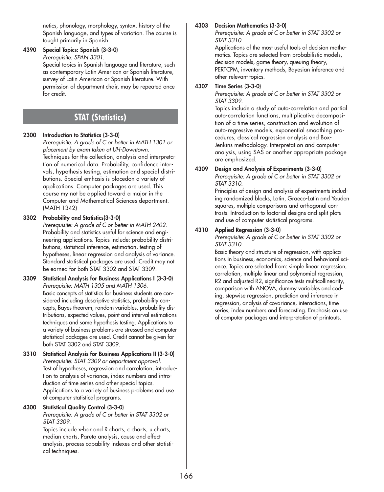netics, phonology, morphology, syntax, history of the Spanish language, and types of variation. The course is taught primarily in Spanish.

# **4390 Special Topics: Spanish (3-3-0)**

*Prerequisite: SPAN 3301.*

Special topics in Spanish language and literature, such as contemporary Latin American or Spanish literature, survey of Latin American or Spanish literature. With permission of department chair, may be repeated once for credit.

# **STAT (Statistics)**

# **2300 Introduction to Statistics (3-3-0)**

*Prerequisite: A grade of C or better in MATH 1301 or placement by exam taken at UH-Downtown.*  Techniques for the collection, analysis and interpretation of numerical data. Probability, confidence intervals, hypothesis testing, estimation and special distributions. Special emhasis is placedon a variety of applications. Computer packages are used. This course my not be applied toward a major in the Computer and Mathematical Sciences department. (MATH 1342)

## **3302 Probability and Statistics(3-3-0)**

*Prerequisite: A grade of C or better in MATH 2402.* Probability and statistics useful for science and engineering applications. Topics include: probability distributions, statistical inference, estimation, testing of hypotheses, linear regression and analysis of variance. Standard statistical packages are used. Credit may not be earned for both STAT 3302 and STAT 3309.

- **3309 Statistical Analysis for Business Applications I (3-3-0)** *Prerequisite: MATH 1305 and MATH 1306.* Basic concepts of statistics for business students are considered including descriptive statistics, probability concepts, Bayes theorem, random variables, probability distributions, expected values, point and interval estimations techniques and some hypothesis testing. Applications to a variety of business problems are stressed and computer statistical packages are used. Credit cannot be given for both STAT 3302 and STAT 3309.
- **3310 Statistical Analysis for Business Applications II (3-3-0)** *Prerequisite: STAT 3309 or department approval.* Test of hypotheses, regression and correlation, introduction to analysis of variance, index numbers and introduction of time series and other special topics. Applications to a variety of business problems and use of computer statistical programs.

# **4300 Statistical Quality Control (3-3-0)**

*Prerequisite: A grade of C or better in STAT 3302 or STAT 3309.*

Topics include x-bar and R charts, c charts, u charts, median charts, Pareto analysis, cause and effect analysis, process capability indexes and other statistical techniques.

# **4303 Decision Mathematics (3-3-0)**

*Prerequisite: A grade of C or better in STAT 3302 or STAT 3310*

Applications of the most useful tools of decision mathematics. Topics are selected from probabilistic models, decision models, game theory, queuing theory, PERTCPM, inventory methods, Bayesian inference and other relevant topics.

# **4307 Time Series (3-3-0)**

*Prerequisite: A grade of C or better in STAT 3302 or STAT 3309.*

Topics include a study of auto-correlation and partial auto-correlation functions, multiplicative decomposition of a time series, construction and evolution of auto-regressive models, exponential smoothing procedures, classical regression analysis and Box-Jenkins methodology. Interpretation and computer analysis, using SAS or another appropriate package are emphasized.

# **4309 Design and Analysis of Experiments (3-3-0)**

*Prerequisite: A grade of C or better in STAT 3302 or STAT 3310.*

Principles of design and analysis of experiments including randomized blocks, Latin, Graeco-Latin and Youden squares, multiple comparisons and orthogonal contrasts. Introduction to factorial designs and split plots and use of computer statistical programs.

# **4310 Applied Regression (3-3-0)**

*Prerequisite: A grade of C or better in STAT 3302 or STAT 3310.*

Basic theory and structure of regression, with applications in business, economics, science and behavioral science. Topics are selected from: simple linear regression, correlation, multiple linear and polynomial regression, R2 and adjusted R2, significance tests multicollinearity, comparison with ANOVA, dummy variables and coding, stepwise regression, prediction and inference in regression, analysis of covariance, interactions, time series, index numbers and forecasting. Emphasis on use of computer packages and interpretation of printouts.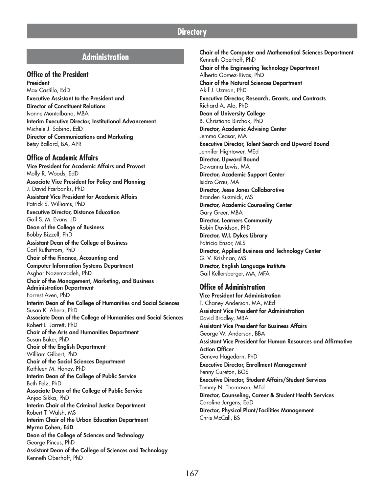# **Directory**

# **Administration**

# **Office of the President**

**President** Max Castillo, EdD **Executive Assistant to the President and Director of Constituent Relations** Ivonne Montalbano, MBA **Interim Executive Director, Institutional Advancement** Michele J. Sabino, EdD **Director of Communications and Marketing** Betsy Ballard, BA, APR

#### **Office of Academic Affairs**

**Vice President for Academic Affairs and Provost** Molly R. Woods, EdD **Associate Vice President for Policy and Planning** J. David Fairbanks, PhD **Assistant Vice President for Academic Affairs** Patrick S. Williams, PhD **Executive Director, Distance Education** Gail S. M. Evans, JD **Dean of the College of Business** Bobby Bizzell, PhD **Assistant Dean of the College of Business** Carl Ruthstrom, PhD **Chair of the Finance, Accounting and Computer Information Systems Department** Asghar Nazemzadeh, PhD **Chair of the Management, Marketing, and Business Administration Department** Forrest Aven, PhD **Interim Dean of the College of Humanities and Social Sciences** Susan K. Ahern, PhD **Associate Dean of the College of Humanities and Social Sciences** Robert L. Jarrett, PhD **Chair of the Arts and Humanities Department** Susan Baker, PhD **Chair of the English Department** William Gilbert, PhD **Chair of the Social Sciences Department** Kathleen M. Haney, PhD **Interim Dean of the College of Public Service** Beth Pelz, PhD **Associate Dean of the College of Public Service** Anjoo Sikka, PhD **Interim Chair of the Criminal Justice Department** Robert T. Walsh, MS **Interim Chair of the Urban Education Department Myrna Cohen, EdD Dean of the College of Sciences and Technology** George Pincus, PhD **Assistant Dean of the College of Sciences and Technology** Kenneth Oberhoff, PhD

**Chair of the Computer and Mathematical Sciences Department** Kenneth Oberhoff, PhD **Chair of the Engineering Technology Department** Alberto Gomez-Rivas, PhD **Chair of the Natural Sciences Department** Akif J. Uzman, PhD **Executive Director, Research, Grants, and Contracts** Richard A. Alo, PhD **Dean of University College** B. Christiana Birchak, PhD **Director, Academic Advising Center** Jemma Ceasar, MA **Executive Director, Talent Search and Upward Bound** Jennifer Hightower, MEd **Director, Upward Bound** Dawanna Lewis, MA **Director, Academic Support Center** Isidro Grau, MA **Director, Jesse Jones Collaborative** Branden Kuzmick, MS **Director, Academic Counseling Center** Gary Greer, MBA **Director, Learners Community** Robin Davidson, PhD **Director, W.I. Dykes Library** Patricia Ensor, MLS **Director, Applied Business and Technology Center** G. V. Krishnan, MS **Director, English Language Institute** Gail Kellersberger, MA, MFA **Office of Administration Vice President for Administration** T. Chaney Anderson, MA, MEd

**Assistant Vice President for Administration** David Bradley, MBA **Assistant Vice President for Business Affairs** George W. Anderson, BBA **Assistant Vice President for Human Resources and Affirmative Action Officer** Geneva Hagedorn, PhD **Executive Director, Enrollment Management** Penny Cureton, BGS **Executive Director, Student Affairs/Student Services** Tommy N. Thomason, MEd **Director, Counseling, Career & Student Health Services** Caroline Jurgens, EdD **Director, Physical Plant/Facilities Management** Chris McCall, BS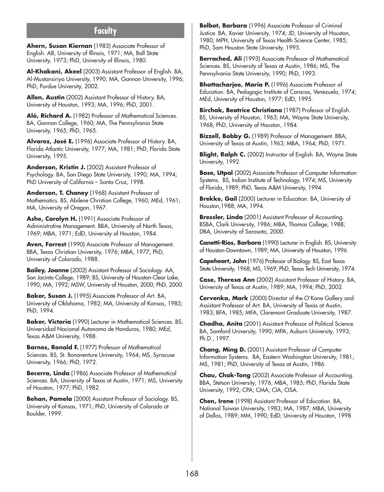# **Faculty**

**Ahern, Susan Kiernan** (1983) Associate Professor of English. AB, University of Illinois, 1971; MA, Ball State University, 1973; PhD, University of Illinois, 1980.

**Al-Khakani, Akeel** (2003) Assistant Professor of English. BA, Al-Mustansiriya University, 1990; MA, Gannon University, 1996; PhD, Purdue University, 2002.

**Allen, Austin** (2002) Assistant Professor of History. BA, University of Houston, 1993; MA, 1996; PhD, 2001.

Aló, Richard A. (1982) Professor of Mathematical Sciences. BA, Gannon College, 1960; MA, The Pennsylvania State University, 1965; PhD, 1965.

**Alvarez, José E.** (1996) Associate Professor of History. BA, Florida Atlantic University, 1977; MA, 1981; PhD, Florida State University, 1995.

**Anderson, Kristin J.** (2002) Assistant Professor of Psychology. BA, San Diego State University, 1990; MA, 1994; PhD University of California – Santa Cruz, 1998.

**Anderson, T. Chaney** (1968) Assistant Professor of Mathematics. BS, Abilene Christian College, 1960; MEd, 1961; MA, University of Oregon, 1967.

Ashe, Carolyn H. (1991) Associate Professor of Administrative Management. BBA, University of North Texas, 1969; MBA, 1971; EdD, University of Houston, 1984.

**Aven, Forrest** (1990) Associate Professor of Management. BBA, Texas Christian University, 1976; MBA, 1977; PhD, University of Colorado, 1988.

**Bailey, Joanne** (2002) Assistant Professor of Sociology. AA, San Jacinto College, 1989; BS, University of Houston-Clear Lake, 1990; MA, 1992; MSW, University of Houston, 2000; PhD, 2000.

**Baker, Susan J.** (1995) Associate Professor of Art. BA, University of Oklahoma, 1982; MA, University of Kansas, 1985; PhD, 1994.

**Baker, Victoria** (1990) Lecturer in Mathematical Sciences. BS, Universidad Nacional Autonoma de Honduras, 1980; MEd, Texas A&M University, 1988.

**Barnes, Ronald F.** (1977) Professor of Mathematical Sciences. BS, St. Bonaventure University, 1964; MS, Syracuse University, 1966; PhD, 1972.

**Becerra, Linda** (1986) Associate Professor of Mathematical Sciences. BA, University of Texas at Austin, 1971; MS, University of Houston, 1977; PhD, 1982.

**Behan, Pamela** (2000) Assistant Professor of Sociology. BS, University of Kansas, 1971; PhD, University of Colorado at Boulder, 1999.

**Belbot, Barbara** (1996) Associate Professor of Criminal Justice. BA, Xavier University, 1974; JD, University of Houston, 1980; MPH, University of Texas Health Science Center, 1985; PhD, Sam Houston State University, 1995.

**Berrached, Ali** (1993) Associate Professor of Mathematical Sciences. BS, University of Texas at Austin, 1986; MS, The Pennsylvania State University, 1990; PhD, 1993.

**Bhattacharjee, Maria P.** (1996) Associate Professor of Education. BA, Pedagogic Institute of Caracas, Venezuela, 1974; MEd, University of Houston, 1977; EdD, 1995.

**Birchak, Beatrice Christiana** (1987) Professor of English. BS, University of Houston, 1963; MA, Wayne State University, 1968; PhD, University of Houston, 1984.

**Bizzell, Bobby G.** (1989) Professor of Management. BBA, University of Texas at Austin, 1963; MBA, 1964; PhD, 1971.

**Blight, Ralph C.** (2002) Instructor of English. BA, Wayne State University, 1992.

**Bose, Utpal** (2002) Associate Professor of Computer Information Systems. BS, Indian Institute of Technology, 1974; MS, University of Florida, 1989; PhD, Texas A&M University, 1994.

**Brekke, Gail** (2000) Lecturer in Education. BA, University of Houston,1988; MA, 1994.

**Bressler, Linda** (2001) Assistant Professor of Accounting. BSBA, Clark University, 1986; MBA, Thomas College, 1988; DBA, University of Sarasota, 2000.

**Canetti-Rios, Barbara** (1990) Lecturer in English. BS, University of Houston-Downtown, 1989; MA, University of Houston, 1996.

**Capeheart, John** (1976) Professor of Biology. BS, East Texas State University, 1968; MS, 1969; PhD, Texas Tech University, 1974.

**Case, Theresa Ann** (2002) Assistant Professor of History. BA, University of Texas at Austin, 1989; MA, 1994; PhD, 2002.

**Cervenka, Mark** (2000) Director of the O'Kane Gallery and Assistant Professor of Art. BA, University of Texas at Austin, 1983; BFA, 1985; MFA, Claremont Graduate University, 1987.

**Chadha, Anita** (2001) Assistant Professor of Political Science. BA, Samford University, 1990; MPA, Auburn University, 1993; Ph.D., 1997.

**Chang, Ming D.** (2001) Assistant Professor of Computer Information Systems. BA, Eastern Washington University, 1981; MS, 1981; PhD, University of Texas at Austin, 1986.

**Chau, Chak-Tong** (2002) Associate Professor of Accounting. BBA, Stetson University, 1976; MBA, 1985; PhD, Florida State University, 1992; CPA; CMA; CIA; CISA.

**Chen, Irene** (1998) Assistant Professor of Education. BA, National Taiwan University, 1983; MA, 1987; MBA, University of Dallas, 1989; MM, 1990; EdD, University of Houston, 1998.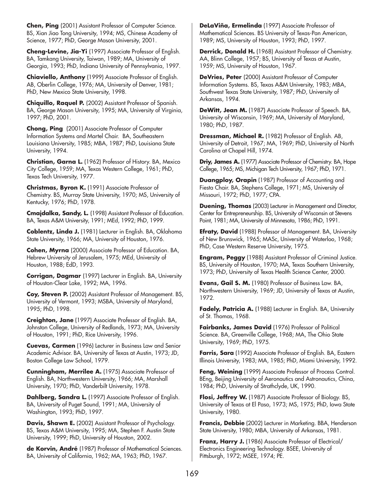**Chen, Ping** (2001) Assistant Professor of Computer Science. BS, Xian Jiao Tong University, 1994; MS, Chinese Academy of Science, 1977; PhD, George Mason University, 2001.

**Cheng-Levine, Jia-Yi** (1997) Associate Professor of English. BA, Tamkang University, Taiwan, 1989; MA, University of Georgia, 1993; PhD, Indiana University of Pennsylvania, 1997.

**Chiaviello, Anthony** (1999) Associate Professor of English. AB, Oberlin College, 1976; MA, University of Denver, 1981; PhD, New Mexico State University, 1998.

**Chiquillo, Raquel P.** (2002) Assistant Professor of Spanish. BA, George Mason University, 1995; MA, University of Virginia, 1997; PhD, 2001.

**Chong, Ping** (2001) Associate Professor of Computer Information Systems and Martel Chair. BA, Southeastern Louisiana University, 1985; MBA, 1987; PhD, Louisiana State University, 1994.

**Christian, Garna L.** (1962) Professor of History. BA, Mexico City College, 1959; MA, Texas Western College, 1961; PhD, Texas Tech University, 1977.

**Christmas, Byron K.** (1991) Associate Professor of Chemistry. BS, Murray State University, 1970; MS, University of Kentucky, 1976; PhD, 1978.

**Cmajdalka, Sandy, L.** (1998) Assistant Professor of Education. BA, Texas A&M University, 1991; MEd, 1992; PhD, 1999.

**Coblentz, Linda J.** (1981) Lecturer in English. BA, Oklahoma State University, 1966; MA, University of Houston, 1976.

**Cohen, Myrna** (2000) Associate Professor of Education. BA, Hebrew University of Jerusalem, 1975; MEd, University of Houston, 1988; EdD, 1993.

**Corrigan, Dagmar** (1997) Lecturer in English. BA, University of Houston-Clear Lake, 1992; MA, 1996.

**Coy, Steven P.** (2002) Assistant Professor of Management. BS, University of Vermont, 1993; MSBA, University of Maryland, 1995; PhD, 1998.

**Creighton, Jane** (1997) Associate Professor of English. BA, Johnston College, University of Redlands, 1973; MA, University of Houston, 1991; PhD, Rice University, 1996.

**Cuevas, Carmen** (1996) Lecturer in Business Law and Senior Academic Advisor. BA, University of Texas at Austin, 1973; JD, Boston College Law School, 1979.

**Cunningham, Merrilee A.** (1975) Associate Professor of English. BA, Northwestern University, 1966; MA, Marshall University, 1970; PhD, Vanderbilt University, 1978.

**Dahlberg, Sandra L.** (1997) Associate Professor of English. BA, University of Puget Sound, 1991; MA, University of Washington, 1993; PhD, 1997.

**Davis, Shawn E.** (2002) Assistant Professor of Psychology. BS, Texas A&M University, 1995; MA, Stephen F. Austin State University, 1999; PhD, University of Houston, 2002.

**de Korvin, André** (1987) Professor of Mathematical Sciences. BA, University of California, 1962; MA, 1963; PhD, 1967.

**DeLaViña, Ermelinda** (1997) Associate Professor of Mathematical Sciences. BS University of Texas-Pan American, 1989; MS, University of Houston, 1993; PhD, 1997.

**Derrick, Donald H.** (1968) Assistant Professor of Chemistry. AA, Blinn College, 1957; BS, University of Texas at Austin, 1959; MS, University of Houston, 1967.

**DeVries, Peter** (2000) Assistant Professor of Computer Information Systems. BS, Texas A&M University, 1983; MBA, Southwest Texas State University, 1987; PhD, University of Arkansas, 1994.

**DeWitt, Jean M.** (1987) Associate Professor of Speech. BA, University of Wisconsin, 1969; MA, University of Maryland, 1980; PhD, 1987.

**Dressman, Michael R.** (1982) Professor of English. AB, University of Detroit, 1967; MA, 1969; PhD, University of North Carolina at Chapel Hill, 1974.

**Driy, James A.** (1977) Associate Professor of Chemistry. BA, Hope College, 1965; MS, Michigan Tech University, 1967; PhD, 1971.

**Duangploy, Orapin** (1987) Professor of Accounting and Fiesta Chair. BA, Stephens College, 1971; MS, University of Missouri, 1972; PhD, 1977; CPA.

**Duening, Thomas** (2003) Lecturer in Management and Director, Center for Entrepreneurship. BS, University of Wisconsin at Stevens Point, 1981; MA, University of Minnesota, 1986; PhD, 1991.

**Efraty, David** (1988) Professor of Management. BA, University of New Brunswick, 1965; MASc, University of Waterloo, 1968; PhD, Case Western Reserve University, 1975.

**Engram, Peggy** (1988) Assistant Professor of Criminal Justice. BS, University of Houston, 1970; MA, Texas Southern University, 1973; PhD, University of Texas Health Science Center, 2000.

**Evans, Gail S. M.** (1980) Professor of Business Law. BA, Northwestern University, 1969; JD, University of Texas at Austin, 1972.

Fadely, Patricia A. (1988) Lecturer in English. BA, University of St. Thomas, 1968.

**Fairbanks, James David** (1976) Professor of Political Science. BA, Greenville College, 1968; MA, The Ohio State University, 1969; PhD, 1975.

**Farris, Sara** (1992) Associate Professor of English. BA, Eastern Illinois University, 1983; MA, 1985; PhD, Miami University, 1992.

**Feng, Weining** (1999) Associate Professor of Process Control. BEng, Beijing University of Aeronautics and Astronautics, China, 1984; PhD, University of Strathclyde, UK, 1990.

**Flosi, Jeffrey W.** (1987) Associate Professor of Biology. BS, University of Texas at El Paso, 1973; MS, 1975; PhD, Iowa State University, 1980.

**Francis, Debbie** (2002) Lecturer in Marketing. BBA, Henderson State University, 1980; MBA, University of Arkansas, 1981.

**Franz, Harry J.** (1986) Associate Professor of Electrical/ Electronics Engineering Technology. BSEE, University of Pittsburgh, 1972; MSEE, 1974; PE.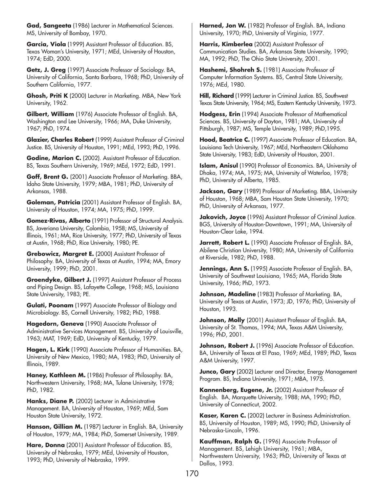**Gad, Sangeeta** (1986) Lecturer in Mathematical Sciences. MS, University of Bombay, 1970.

**Garcia, Viola** (1999) Assistant Professor of Education. BS, Texas Woman's University, 1971; MEd, University of Houston, 1974; EdD, 2000.

**Getz, J. Greg** (1997) Associate Professor of Sociology. BA, University of California, Santa Barbara, 1968; PhD, University of Southern California, 1977.

**Ghosh, Priti K** (2000) Lecturer in Marketing. MBA, New York University, 1962.

**Gilbert, William** (1976) Associate Professor of English. BA, Washington and Lee University, 1966; MA, Duke University, 1967; PhD, 1974.

**Glazier, Charles Robert** (1999) Assistant Professor of Criminal Justice. BS, University of Houston, 1991; MEd, 1993; PhD, 1996.

**Godine, Marion C.** (2002). Assistant Professor of Education. BS, Texas Southern University, 1969; MEd, 1972; EdD, 1991.

**Goff, Brent G.** (2001) Associate Professor of Marketing. BBA, Idaho State University, 1979; MBA, 1981; PhD, University of Arkansas, 1988.

**Goleman, Patricia** (2001) Assistant Professor of English. BA, University of Houston, 1974; MA, 1975; PhD, 1999.

**Gomez-Rivas, Alberto** (1991) Professor of Structural Analysis. BS, Javeriana University, Colombia, 1958; MS, University of Illinois, 1961; MA, Rice University, 1977; PhD, University of Texas at Austin, 1968; PhD, Rice University, 1980; PE.

**Grebowicz, Margret E.** (2000) Assistant Professor of Philosophy. BA, University of Texas at Austin, 1994; MA, Emory University, 1999; PhD, 2001.

**Groendyke, Gilbert J.** (1997) Assistant Professor of Process and Piping Design. BS, Lafayette College, 1968; MS, Louisiana State University, 1983; PE.

**Gulati, Poonam** (1997) Associate Professor of Biology and Microbiology. BS, Cornell University, 1982; PhD, 1988.

**Hagedorn, Geneva** (1990) Associate Professor of Administrative Services Management. BS, University of Louisville, 1963; MAT, 1969; EdD, University of Kentucky, 1979.

**Hagen, L. Kirk** (1990) Associate Professor of Humanities. BA, University of New Mexico, 1980; MA, 1983; PhD, University of Illinois, 1989.

**Haney, Kathleen M.** (1986) Professor of Philosophy. BA, Northwestern University, 1968; MA, Tulane University, 1978; PhD, 1982.

Hanks, Diane P. (2002) Lecturer in Administrative Management. BA, University of Houston, 1969; MEd, Sam Houston State University, 1972.

**Hanson, Gillian M.** (1987) Lecturer in English. BA, University of Houston, 1979; MA, 1984; PhD, Somerset University, 1989.

**Hare, Donna** (2001) Assistant Professor of Education. BS, University of Nebraska, 1979; MEd, University of Houston, 1993; PhD, University of Nebraska, 1999.

**Harned, Jon W.** (1982) Professor of English. BA, Indiana University, 1970; PhD, University of Virginia, 1977.

**Harris, Kimberlea** (2002) Assistant Professor of Communication Studies. BA, Arkansas State University, 1990; MA, 1992; PhD, The Ohio State University, 2001.

Hashemi, Shohreh S. (1981) Associate Professor of Computer Information Systems. BS, Central State University, 1976; MEd, 1980.

**Hill, Richard** (1999) Lecturer in Criminal Justice. BS, Southwest Texas State University, 1964; MS, Eastern Kentucky University, 1973.

**Hodgess, Erin** (1994) Associate Professor of Mathematical Sciences. BS, University of Dayton, 1981; MA, University of Pittsburgh, 1987; MS, Temple University, 1989; PhD,1995.

**Hood, Beatrice C.** (1997) Associate Professor of Education. BA, Louisiana Tech University, 1967; MEd, Northeastern Oklahoma State University, 1983; EdD, University of Houston, 2001.

**Islam, Anisul** (1990) Professor of Economics. BA, University of Dhaka, 1974; MA, 1975; MA, University of Waterloo, 1978; PhD, University of Alberta, 1985.

**Jackson, Gary** (1989) Professor of Marketing. BBA, University of Houston, 1968; MBA, Sam Houston State University, 1970; PhD, University of Arkansas, 1977.

**Jakovich, Joyce** (1996) Assistant Professor of Criminal Justice. BGS, University of Houston-Downtown, 1991; MA, University of Houston-Clear Lake, 1994.

Jarrett, Robert L. (1990) Associate Professor of English. BA, Abilene Christian University, 1980; MA, University of California at Riverside, 1982; PhD, 1988.

**Jennings, Ann S.** (1995) Associate Professor of English. BA, University of Southwest Louisiana, 1965; MA, Florida State University, 1966; PhD, 1973.

**Johnson, Madeline** (1983) Professor of Marketing. BA, University of Texas at Austin, 1973; JD, 1976; PhD, University of Houston, 1993.

**Johnson, Molly** (2001) Assistant Professor of English. BA, University of St. Thomas, 1994; MA, Texas A&M University, 1996; PhD, 2001.

**Johnson, Robert J.** (1996) Associate Professor of Education. BA, University of Texas at El Paso, 1969; MEd, 1989; PhD, Texas A&M University, 1997.

**Junco, Gary** (2002) Lecturer and Director, Energy Management Program. BS, Indiana University, 1971; MBA, 1975.

**Kannenberg, Eugene, Jr.** (2002) Assistant Professor of English. BA, Marquette University, 1988; MA, 1990; PhD, University of Connecticut, 2002.

**Kaser, Karen C.** (2002) Lecturer in Business Administration. BS, University of Houston, 1989; MS, 1990; PhD, University of Nebraska-Lincoln, 1996.

**Kauffman, Ralph G.** (1996) Associate Professor of Management. BS, Lehigh University, 1961; MBA, Northwestern University, 1963; PhD, University of Texas at Dallas, 1993.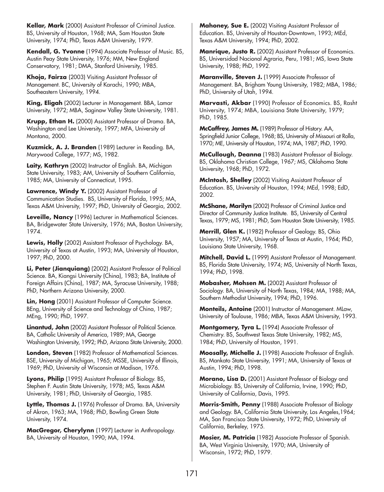**Kellar, Mark** (2000) Assistant Professor of Criminal Justice. BS, University of Houston, 1968; MA, Sam Houston State University, 1974; PhD, Texas A&M University, 1979.

**Kendall, G. Yvonne** (1994) Associate Professor of Music. BS, Austin Peay State University, 1976; MM, New England Conservatory, 1981; DMA, Stanford University, 1985.

**Khoja, Fairza** (2003) Visiting Assistant Professor of Management. BC, University of Karachi, 1990; MBA, Southeastern University, 1994.

**King, Eligah** (2002) Lecturer in Management. BBA, Lamar University, 1972; MBA, Saginaw Valley State University, 1981.

**Krupp, Ethan H.** (2000) Assistant Professor of Drama. BA, Washington and Lee University, 1997; MFA, University of Montana, 2000.

**Kuzmick, A. J. Branden** (1989) Lecturer in Reading. BA, Marywood College, 1977; MS, 1982.

**Laity, Kathryn** (2002) Instructor of English. BA, Michigan State University, 1983; AM, University of Southern California, 1985; MA, University of Connecticut, 1995.

**Lawrence, Windy Y.** (2002) Assistant Professor of Communication Studies. BS, University of Florida, 1995; MA, Texas A&M University, 1997; PhD, University of Georgia, 2002.

**Leveille, Nancy** (1996) Lecturer in Mathematical Sciences. BA, Bridgewater State University, 1976; MA, Boston University, 1974.

**Lewis, Holly** (2002) Assistant Professor of Psychology. BA, University of Texas at Austin, 1993; MA, University of Houston, 1997; PhD, 2000.

**Li, Peter (Jianquiang)** (2002) Assistant Professor of Political Science. BA, Kiangsi University (China), 1983; BA, Institute of Foreign Affairs (China), 1987; MA, Syracuse University, 1988; PhD, Northern Arizona University, 2000.

**Lin, Hong** (2001) Assistant Professor of Computer Science. BEng, University of Science and Technology of China, 1987; MEng, 1990; PhD, 1997.

**Linantud, John** (2002) Assistant Professor of Political Science. BA, Catholic University of America, 1989; MA, George Washington University, 1992; PhD, Arizona State University, 2000.

**London, Steven** (1982) Professor of Mathematical Sciences. BSE, University of Michigan, 1965; MSSE, University of Illinois, 1969; PhD, University of Wisconsin at Madison, 1976.

**Lyons, Philip** (1995) Assistant Professor of Biology. BS, Stephen F. Austin State University, 1978; MS, Texas A&M University, 1981; PhD, University of Georgia, 1985.

Lyttle, Thomas J. (1976) Professor of Drama. BA, University of Akron, 1963; MA, 1968; PhD, Bowling Green State University, 1974.

**MacGregor, Cherylynn** (1997) Lecturer in Anthropology. BA, University of Houston, 1990; MA, 1994.

**Mahoney, Sue E.** (2002) Visiting Assistant Professor of Education. BS, University of Houston-Downtown, 1993; MEd, Texas A&M University, 1994; PhD, 2002.

**Manrique, Justo R.** (2002) Assistant Professor of Economics. BS, Universidad Nacional Agraria, Peru, 1981; MS, Iowa State University, 1988; PhD, 1992.

**Maranville, Steven J.** (1999) Associate Professor of Management. BA, Brigham Young University, 1982; MBA, 1986; PhD, University of Utah, 1994.

**Marvasti, Akbar** (1990) Professor of Economics. BS, Rasht University, 1974; MBA, Louisiana State University, 1979; PhD, 1985.

**McCaffrey, James M.** (1989) Professor of History. AA, Springfield Junior College, 1968; BS, University of Missouri at Rolla, 1970; ME, University of Houston, 1974; MA, 1987; PhD, 1990.

**McCullough, Deanna** (1983) Assistant Professor of Biology. BS, Oklahoma Christian College, 1967; MS, Oklahoma State University, 1968; PhD, 1972.

**McIntosh, Shelley** (2002) Visiting Assistant Professor of Education. BS, University of Houston, 1994; MEd, 1998; EdD, 2002.

**McShane, Marilyn** (2002) Professor of Criminal Justice and Director of Community Justice Institute. BS, University of Central Texas, 1979; MS, 1981; PhD, Sam Houston State University, 1985.

**Merrill, Glen K.** (1982) Professor of Geology. BS, Ohio University, 1957; MA, University of Texas at Austin, 1964; PhD, Louisiana State University, 1968.

**Mitchell, David L.** (1999) Assistant Professor of Management. BS, Florida State University, 1974; MS, University of North Texas, 1994; PhD, 1998.

**Mobasher, Mohsen M.** (2002) Assistant Professor of Sociology. BA, University of North Texas, 1984; MA, 1988; MA, Southern Methodist University, 1994; PhD, 1996.

**Monteils, Antoine** (2001) Instructor of Management. MLaw, University of Toulouse, 1986; MBA, Texas A&M University, 1993.

**Montgomery, Tyra L.** (1994) Associate Professor of Chemistry. BS, Southwest Texas State University, 1982; MS, 1984; PhD, University of Houston, 1991.

**Moosally, Michelle J.** (1998) Associate Professor of English. BS, Mankato State University, 1991; MA, University of Texas at Austin, 1994; PhD, 1998.

**Morano, Lisa D.** (2001) Assistant Professor of Biology and Microbiology. BS, University of California, Irvine, 1990; PhD, University of California, Davis, 1995.

**Morris-Smith, Penny** (1988) Associate Professor of Biology and Geology. BA, California State University, Los Angeles,1964; MA, San Francisco State University, 1972; PhD, University of California, Berkeley, 1975.

**Mosier, M. Patricia** (1982) Associate Professor of Spanish. BA, West Virginia University, 1970; MA, University of Wisconsin, 1972; PhD, 1979.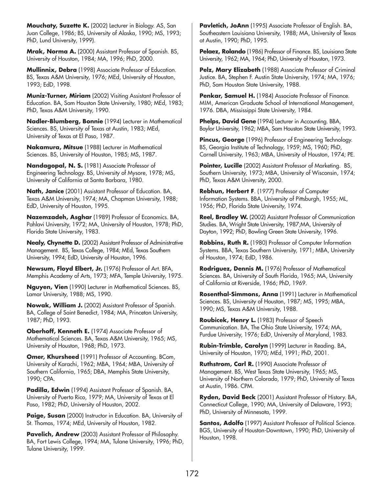**Mouchaty, Suzette K.** (2002) Lecturer in Biology. AS, San Juan College, 1986; BS, University of Alaska, 1990; MS, 1993; PhD, Lund University, 1999).

**Mrak, Norma A.** (2000) Assistant Professor of Spanish. BS, University of Houston, 1984; MA, 1996; PhD, 2000.

**Mullinnix, Debra** (1998) Associate Professor of Education. BS, Texas A&M University, 1976; MEd, University of Houston, 1993; EdD, 1998.

**Muniz-Turner, Miriam** (2002) Visiting Assistant Professor of Education. BA, Sam Houston State University, 1980; MEd, 1983; PhD, Texas A&M University, 1990.

**Nadler-Blumberg, Bonnie** (1994) Lecturer in Mathematical Sciences. BS, University of Texas at Austin, 1983; MEd, University of Texas at El Paso, 1987.

**Nakamura, Mitsue** (1988) Lecturer in Mathematical Sciences. BS, University of Houston, 1985; MS, 1987.

**Nandagopal, N. S.** (1981) Associate Professor of Engineering Technology. BS, University of Mysore, 1978; MS, University of California at Santa Barbara, 1980.

**Nath, Janice** (2001) Assistant Professor of Education. BA, Texas A&M University, 1974; MA, Chapman University, 1988; EdD, University of Houston, 1995.

**Nazemzadeh, Asghar** (1989) Professor of Economics. BA, Pahlavi University, 1972; MA, University of Houston, 1978; PhD, Florida State University, 1983.

**Nealy, Chynette D.** (2002) Assistant Professor of Administrative Management. BS, Texas College, 1984; MEd, Texas Southern University, 1994; EdD, University of Houston, 1996.

**Newsum, Floyd Elbert, Jr.** (1976) Professor of Art. BFA, Memphis Academy of Arts, 1973; MFA, Temple University, 1975.

**Nguyen, Vien** (1990) Lecturer in Mathematical Sciences. BS, Lamar University, 1988; MS, 1990.

**Nowak, William J.** (2002) Assistant Professor of Spanish. BA, College of Saint Benedict, 1984; MA, Princeton University, 1987; PhD, 1993.

**Oberhoff, Kenneth E.** (1974) Associate Professor of Mathematical Sciences. BA, Texas A&M University, 1965; MS, University of Houston, 1968; PhD, 1973.

**Omer, Khursheed** (1991) Professor of Accounting. BCom, University of Karachi, 1962; MBA, 1964; MBA, University of Southern California, 1965; DBA, Memphis State University, 1990; CPA.

**Padilla, Edwin** (1994) Assistant Professor of Spanish. BA, University of Puerto Rico, 1979; MA, University of Texas at El Paso, 1982; PhD, University of Houston, 2002.

Paige, Susan (2000) Instructor in Education. BA, University of St. Thomas, 1974; MEd, University of Houston, 1982.

**Pavelich, Andrew** (2003) Assistant Professor of Philosophy. BA, Fort Lewis College, 1994; MA, Tulane University, 1996; PhD, Tulane University, 1999.

**Pavletich, JoAnn** (1995) Associate Professor of English. BA, Southeastern Louisiana University, 1988; MA, University of Texas at Austin, 1990; PhD, 1995.

Pelaez, Rolando (1986) Professor of Finance. BS, Louisiana State University, 1962; MA, 1964; PhD, University of Houston, 1973.

**Pelz, Mary Elizabeth** (1988) Associate Professor of Criminal Justice. BA, Stephen F. Austin State University, 1974; MA, 1976; PhD, Sam Houston State University, 1988.

Penkar, Samuel H. (1984) Associate Professor of Finance. MIM, American Graduate School of International Management, 1976. DBA, Mississippi State University, 1984.

**Phelps, David Gene** (1994) Lecturer in Accounting. BBA, Baylor University, 1962; MBA, Sam Houston State University, 1993.

**Pincus, George** (1996) Professor of Engineering Technology. BS, Georgia Institute of Technology, 1959; MS, 1960; PhD, Cornell University, 1963; MBA, University of Houston, 1974; PE.

**Pointer, Lucille** (2002) Assistant Professor of Marketing. BS, Southern University, 1973; MBA, University of Wisconsin, 1974; PhD, Texas A&M University, 2000.

**Rebhun, Herbert F**. (1977) Professor of Computer Information Systems. BBA, University of Pittsburgh, 1955; ML, 1956; PhD, Florida State University, 1974.

**Reel, Bradley W.** (2002) Assistant Professor of Communication Studies. BA, Wright State University, 1987;MA, University of Dayton, 1992; PhD, Bowling Green State University, 1996.

**Robbins, Ruth R.** (1980) Professor of Computer Information Systems. BBA, Texas Southern University, 1971; MBA, University of Houston, 1974; EdD, 1986.

**Rodriguez, Dennis M.** (1976) Professor of Mathematical Sciences. BA, University of South Florida, 1965; MA, University of California at Riverside, 1966; PhD, 1969.

**Rosenthal-Simmons, Anna** (1991) Lecturer in Mathematical Sciences. BS, University of Houston, 1987; MS, 1995; MBA, 1990; MS, Texas A&M University, 1988.

**Roubicek, Henry L.** (1983) Professor of Speech Communication. BA, The Ohio State University, 1974; MA, Purdue University, 1976; EdD, University of Maryland, 1983.

**Rubin-Trimble, Carolyn** (1999) Lecturer in Reading. BA, University of Houston, 1970; MEd, 1991; PhD, 2001.

**Ruthstrom, Carl R.** (1990) Associate Professor of Management. BS, West Texas State University, 1965; MS, University of Northern Colorado, 1979; PhD, University of Texas at Austin, 1986. CPM.

**Ryden, David Beck** (2001) Assistant Professor of History. BA, Connecticut College, 1990; MA, University of Delaware, 1993; PhD, University of Minnesota, 1999.

**Santos, Adolfo** (1997) Assistant Professor of Political Science. BGS, University of Houston-Downtown, 1990; PhD, University of Houston, 1998.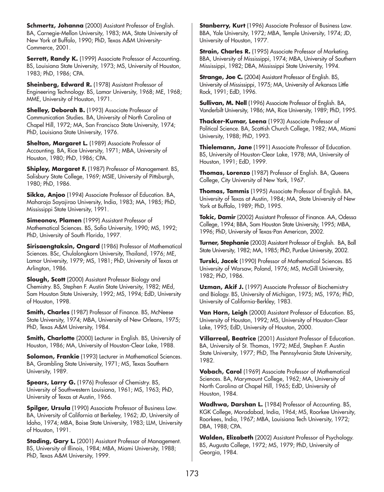**Schmertz, Johanna** (2000) Assistant Professor of English. BA, Carnegie-Mellon University, 1983; MA, State University of New York at Buffalo, 1990; PhD, Texas A&M University-Commerce, 2001.

**Serrett, Randy K.** (1999) Associate Professor of Accounting. BS, Louisiana State University, 1973; MS, University of Houston, 1983; PhD, 1986; CPA.

**Sheinberg, Edward R.** (1978) Assistant Professor of Engineering Technology. BS, Lamar University, 1968; ME, 1968; MME, University of Houston, 1971.

**Shelley, Deborah B.** (1993) Associate Professor of Communication Studies. BA, University of North Carolina at Chapel Hill, 1972; MA, San Francisco State University, 1974; PhD, Louisiana State University, 1976.

**Shelton, Margaret L.** (1989) Associate Professor of Accounting. BA, Rice University, 1971; MBA, University of Houston, 1980; PhD, 1986; CPA.

**Shipley, Margaret F.** (1987) Professor of Management. BS, Salisbury State College, 1969; MSIE, University of Pittsburgh, 1980; PhD, 1986.

**Sikka, Anjoo** (1994) Associate Professor of Education. BA, Maharaja Sayajirao University, India, 1983; MA, 1985; PhD, Mississippi State University, 1991.

**Simeonov, Plamen** (1999) Assistant Professor of Mathematical Sciences. BS, Sofia University, 1990; MS, 1992; PhD, University of South Florida, 1997.

**Sirisaengtaksin, Ongard** (1986) Professor of Mathematical Sciences. BSc, Chulalongkorn University, Thailand, 1976; ME, Lamar University, 1979; MS, 1981; PhD, University of Texas at Arlington, 1986.

**Slough, Scott** (2000) Assistant Professor Biology and Chemistry. BS, Stephen F. Austin State University, 1982; MEd, Sam Houston State University, 1992; MS, 1994; EdD, University of Houston, 1998.

**Smith, Charles** (1987) Professor of Finance. BS, McNeese State University, 1974; MBA, University of New Orleans, 1975; PhD, Texas A&M University, 1984.

**Smith, Charlotte** (2000) Lecturer in English. BS, University of Houston, 1986; MA, University of Houston-Clear Lake, 1988.

**Solomon, Frankie** (1993) Lecturer in Mathematical Sciences. BA, Grambling State University, 1971; MS, Texas Southern University, 1989.

**Spears, Larry G.** (1976) Professor of Chemistry. BS, University of Southwestern Louisiana, 1961; MS, 1963; PhD, University of Texas at Austin, 1966.

**Spilger, Ursula** (1990) Associate Professor of Business Law. BA, University of California at Berkeley, 1962; JD, University of Idaho, 1974; MBA, Boise State University, 1983; LLM, University of Houston, 1991.

**Stading, Gary L.** (2001) Assistant Professor of Management. BS, University of Illinois, 1984; MBA, Miami University, 1988; PhD, Texas A&M University, 1999.

**Stanberry, Kurt** (1996) Associate Professor of Business Law. BBA, Yale University, 1972; MBA, Temple University, 1974; JD, University of Houston, 1977.

**Strain, Charles R.** (1995) Associate Professor of Marketing. BBA, University of Mississippi, 1974; MBA, University of Southern Mississippi, 1982; DBA, Mississippi State University, 1994.

**Strange, Joe C.** (2004) Assistant Professor of English. BS, University of Mississippi, 1975; MA, University of Arkansas Little Rock, 1991; EdD, 1996.

**Sullivan, M. Nell** (1996) Associate Professor of English. BA, Vanderbilt University, 1986; MA, Rice University, 1989; PhD, 1995.

**Thacker-Kumar, Leena** (1993) Associate Professor of Political Science. BA, Scottish Church College, 1982; MA, Miami University, 1988; PhD, 1993.

**Thielemann, Jane** (1991) Associate Professor of Education. BS, University of Houston-Clear Lake, 1978; MA, University of Houston, 1991; EdD, 1999.

**Thomas, Lorenzo** (1987) Professor of English. BA, Queens College, City University of New York, 1967.

**Thomas, Tammis** (1995) Associate Professor of English. BA, University of Texas at Austin, 1984; MA, State University of New York at Buffalo, 1989; PhD, 1995.

**Tokic, Damir** (2002) Assistant Professor of Finance. AA, Odessa College, 1994; BBA, Sam Houston State University, 1995; MBA, 1996; PhD, University of Texas-Pan American, 2002.

**Turner, Stephanie** (2003) Assistant Professor of English. BA, Ball State University, 1982; MA, 1985; PhD, Purdue University, 2002.

**Turski, Jacek** (1990) Professor of Mathematical Sciences. BS University of Warsaw, Poland, 1976; MS, McGill University, 1982; PhD, 1986.

**Uzman, Akif J.** (1997) Associate Professor of Biochemistry and Biology. BS, University of Michigan, 1975; MS, 1976; PhD, University of California-Berkley, 1983.

**Van Horn, Leigh** (2000) Assistant Professor of Education. BS, University of Houston, 1992; MS, University of Houston-Clear Lake, 1995; EdD, University of Houston, 2000.

**Villarreal, Beatrice** (2001) Assistant Professor of Education. BA, University of St. Thomas, 1972; MEd, Stephen F. Austin State University, 1977; PhD, The Pennsylvania State University, 1982.

**Vobach, Carol** (1969) Associate Professor of Mathematical Sciences. BA, Marymount College, 1962; MA, University of North Carolina at Chapel Hill, 1965; EdD, University of Houston, 1984.

**Wadhwa, Darshan L.** (1984) Professor of Accounting. BS, KGK College, Moradabad, India, 1964; MS, Roorkee University, Roorkees, India, 1967; MBA, Louisiana Tech University, 1972; DBA, 1988; CPA.

**Walden, Elizabeth** (2002) Assistant Professor of Psychology. BS, Augusta College, 1972; MS, 1979; PhD, University of Georgia, 1984.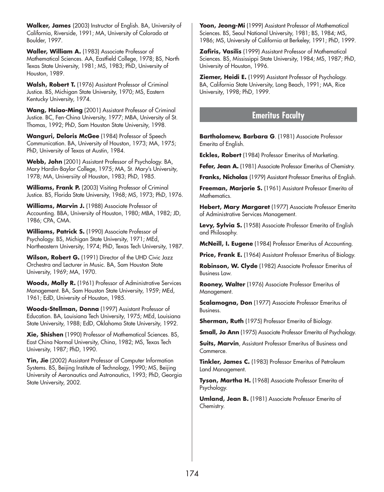**Walker, James** (2003) Instructor of English. BA, University of California, Riverside, 1991; MA, University of Colorado at Boulder, 1997.

**Waller, William A.** (1983) Associate Professor of Mathematical Sciences. AA, Eastfield College, 1978; BS, North Texas State University, 1981; MS, 1983; PhD, University of Houston, 1989.

**Walsh, Robert T.** (1976) Assistant Professor of Criminal Justice. BS, Michigan State University, 1970; MS, Eastern Kentucky University, 1974.

**Wang, Hsiao-Ming** (2001) Assistant Professor of Criminal Justice. BC, Fen-China University, 1977; MBA, University of St. Thomas, 1992; PhD, Sam Houston State University, 1998.

**Wanguri, Deloris McGee** (1984) Professor of Speech Communication. BA, University of Houston, 1973; MA, 1975; PhD, University of Texas at Austin, 1984.

**Webb, John** (2001) Assistant Professor of Psychology. BA, Mary Hardin-Baylor College, 1975; MA, St. Mary's University, 1978; MA, Universiity of Houston, 1983; PhD, 1985.

**Williams, Frank P.** (2003) Visiting Professor of Criminal Justice. BS, Florida State University, 1968; MS, 1973; PhD, 1976.

**Williams, Marvin J.** (1988) Associate Professor of Accounting. BBA, University of Houston, 1980; MBA, 1982; JD, 1986; CPA, CMA.

**Williams, Patrick S.** (1990) Associate Professor of Psychology. BS, Michigan State University, 1971; MEd, Northeastern University, 1974; PhD, Texas Tech University, 1987.

**Wilson, Robert G.** (1991) Director of the UHD Civic Jazz Orchestra and Lecturer in Music. BA, Sam Houston State University, 1969; MA, 1970.

**Woods, Molly R.** (1961) Professor of Administrative Services Management. BA, Sam Houston State University, 1959; MEd, 1961; EdD, University of Houston, 1985.

**Woods-Stellman, Donna** (1997) Assistant Professor of Education. BA, Louisiana Tech University, 1975; MEd, Louisiana State University, 1988; EdD, Oklahoma State University, 1992.

**Xie, Shishen** (1990) Professor of Mathematical Sciences. BS, East China Normal University, China, 1982; MS, Texas Tech University, 1987; PhD, 1990.

**Yin, Jie** (2002) Assistant Professor of Computer Information Systems. BS, Beijing Institute of Technology, 1990; MS, Beijing University of Aeronautics and Astronautics, 1993; PhD, Georgia State University, 2002.

**Yoon, Jeong-Mi** (1999) Assistant Professor of Mathematical Sciences. BS, Seoul National University, 1981; BS, 1984; MS, 1986; MS, University of California at Berkeley, 1991; PhD, 1999.

**Zafiris, Vasilis** (1999) Assistant Professor of Mathematical Sciences. BS, Mississippi State University, 1984; MS, 1987; PhD, University of Houston, 1996.

**Ziemer, Heidi E.** (1999) Assistant Professor of Psychology. BA, California State University, Long Beach, 1991; MA, Rice University, 1998; PhD, 1999.

# **Emeritus Faculty**

**Bartholomew, Barbara G**. (1981) Associate Professor Emerita of English.

**Eckles, Robert** (1984) Professor Emeritus of Marketing.

Fefer, Jean A. (1981) Associate Professor Emeritus of Chemistry.

**Franks, Nicholas** (1979) Assistant Professor Emeritus of English.

**Freeman, Marjorie S.** (1961) Assistant Professor Emerita of Mathematics.

**Hebert, Mary Margaret** (1977) Associate Professor Emerita of Administrative Services Management.

Levy, Sylvia S. (1958) Associate Professor Emerita of English and Philosophy.

**McNeill, I. Eugene** (1984) Professor Emeritus of Accounting.

**Price, Frank E.** (1964) Assistant Professor Emeritus of Biology.

**Robinson, W. Clyde** (1982) Associate Professor Emeritus of Business Law.

**Rooney, Walter** (1976) Associate Professor Emeritus of Management.

**Scalamogna, Don** (1977) Associate Professor Emeritus of Business.

**Sherman, Ruth** (1975) Professor Emerita of Biology.

**Small, Jo Ann** (1975) Associate Professor Emerita of Psychology.

**Suits, Marvin**, Assistant Professor Emeritus of Business and Commerce.

**Tinkler, James C.** (1983) Professor Emeritus of Petroleum Land Management.

**Tyson, Martha H.** (1968) Associate Professor Emerita of Psychology.

**Umland, Jean B.** (1981) Associate Professor Emerita of Chemistry.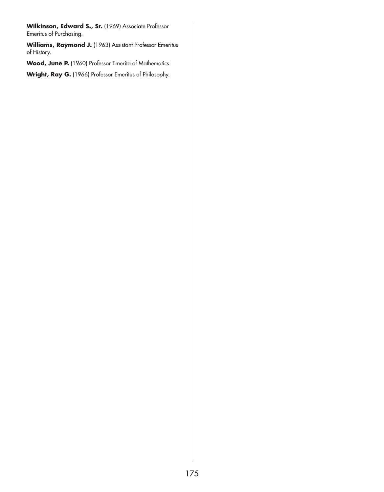Wilkinson, Edward S., Sr. (1969) Associate Professor Emeritus of Purchasing.

**Williams, Raymond J.** (1963) Assistant Professor Emeritus of History.

Wood, June P. (1960) Professor Emerita of Mathematics.

**Wright, Ray G.** (1966) Professor Emeritus of Philosophy.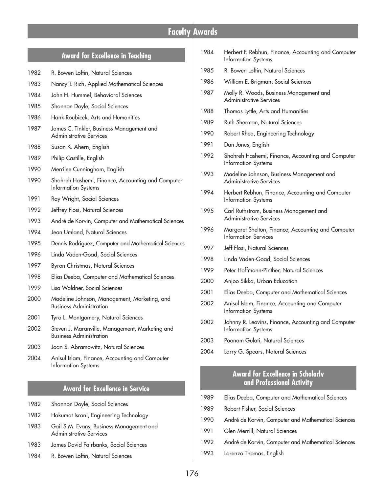# **Faculty Awards**

## **Award for Excellence in Teaching**

- 1982 R. Bowen Loftin, Natural Sciences
- 1983 Nancy T. Rich, Applied Mathematical Sciences
- 1984 John H. Hummel, Behavioral Sciences
- 1985 Shannon Doyle, Social Sciences
- 1986 Hank Roubicek, Arts and Humanities
- 1987 James C. Tinkler, Business Management and Administrative Services
- 1988 Susan K. Ahern, English
- 1989 Philip Castille, English
- 1990 Merrilee Cunningham, English
- 1990 Shohreh Hashemi, Finance, Accounting and Computer Information Systems
- 1991 Ray Wright, Social Sciences
- 1992 Jeffrey Flosi, Natural Sciences
- 1993 André de Korvin, Computer and Mathematical Sciences
- 1994 Jean Umland, Natural Sciences
- 1995 Dennis Rodriguez, Computer and Mathematical Sciences
- 1996 Linda Vaden-Goad, Social Sciences
- 1997 Byron Christmas, Natural Sciences
- 1998 Elias Deeba, Computer and Mathematical Sciences
- 1999 Lisa Waldner, Social Sciences
- 2000 Madeline Johnson, Management, Marketing, and Business Administration
- 2001 Tyra L. Montgomery, Natural Sciences
- 2002 Steven J. Maranville, Management, Marketing and Business Administration
- 2003 Joan S. Abramowitz, Natural Sciences
- 2004 Anisul Islam, Finance, Accounting and Computer Information Systems

## **Award for Excellence in Service**

- 1982 Shannon Doyle, Social Sciences
- 1982 Hakumat Israni, Engineering Technology
- 1983 Gail S.M. Evans, Business Management and Administrative Services
- 1983 James David Fairbanks, Social Sciences
- 1984 R. Bowen Loftin, Natural Sciences

| 1984 | Herbert F. Rebhun, Finance, Accounting and Computer<br>Information Systems        |
|------|-----------------------------------------------------------------------------------|
| 1985 | R. Bowen Loftin, Natural Sciences                                                 |
| 1986 | William E. Brigman, Social Sciences                                               |
| 1987 | Molly R. Woods, Business Management and<br><b>Administrative Services</b>         |
| 1988 | Thomas Lyttle, Arts and Humanities                                                |
| 1989 | Ruth Sherman, Natural Sciences                                                    |
| 1990 | Robert Rhea, Engineering Technology                                               |
| 1991 | Dan Jones, English                                                                |
| 1992 | Shohreh Hashemi, Finance, Accounting and Computer<br>Information Systems          |
| 1993 | Madeline Johnson, Business Management and<br><b>Administrative Services</b>       |
| 1994 | Herbert Rebhun, Finance, Accounting and Computer<br>Information Systems           |
| 1995 | Carl Ruthstrom, Business Management and<br>Administrative Services                |
| 1996 | Margaret Shelton, Finance, Accounting and Computer<br><b>Information Services</b> |
| 1997 | Jeff Flosi, Natural Sciences                                                      |
| 1998 | Linda Vaden-Goad, Social Sciences                                                 |
| 1999 | Peter Hoffmann-Pinther, Natural Sciences                                          |
| 2000 | Anjoo Sikka, Urban Education                                                      |
| 2001 | Elias Deeba, Computer and Mathematical Sciences                                   |
| 2002 | Anisul Islam, Finance, Accounting and Computer<br>Information Systems             |
| 2002 | Johnny R. Leavins, Finance, Accounting and Computer<br>Information Systems        |
| 2003 | Poonam Gulati Natural Sciences                                                    |

2004 Larry G. Spears, Natural Sciences

# **Award for Excellence in Scholarly and Professional Activity**

- 1989 Elias Deeba, Computer and Mathematical Sciences
- 1989 Robert Fisher, Social Sciences
- 1990 André de Korvin, Computer and Mathematical Sciences
- 1991 Glen Merrill, Natural Sciences
- 1992 André de Korvin, Computer and Mathematical Sciences
- 1993 Lorenzo Thomas, English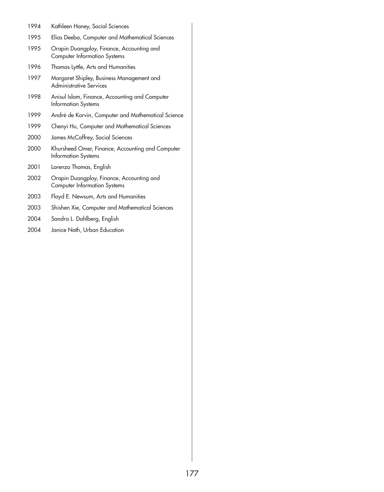- 1994 Kathleen Haney, Social Sciences
- 1995 Elias Deeba, Computer and Mathematical Sciences
- 1995 Orapin Duangploy, Finance, Accounting and Computer Information Systems
- 1996 Thomas Lyttle, Arts and Humanities
- 1997 Margaret Shipley, Business Management and Administrative Services
- 1998 Anisul Islam, Finance, Accounting and Computer Information Systems
- 1999 André de Korvin, Computer and Mathematical Science
- 1999 Chenyi Hu, Computer and Mathematical Sciences
- 2000 James McCaffrey, Social Sciences
- 2000 Khursheed Omer, Finance, Accounting and Computer Information Systems
- 2001 Lorenzo Thomas, English
- 2002 Orapin Duangploy, Finance, Accounting and Computer Information Systems
- 2003 Floyd E. Newsum, Arts and Humanities
- 2003 Shishen Xie, Computer and Mathematical Sciences
- 2004 Sandra L. Dahlberg, English
- 2004 Janice Nath, Urban Education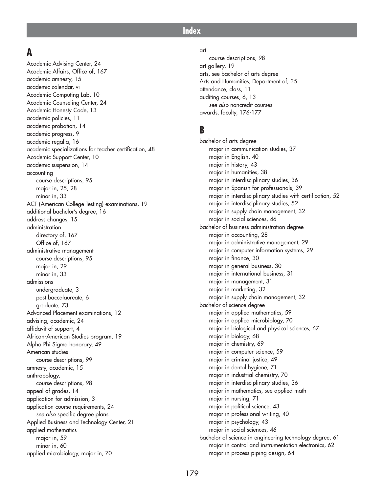#### **Index**

#### **A**

Academic Advising Center, 24 Academic Affairs, Office of, 167 academic amnesty, 15 academic calendar, vi Academic Computing Lab, 10 Academic Counseling Center, 24 Academic Honesty Code, 13 academic policies, 11 academic probation, 14 academic progress, 9 academic regalia, 16 academic specializations for teacher certification, 48 Academic Support Center, 10 academic suspension, 14 accounting course descriptions, 95 major in, 25, 28 minor in, 33 ACT (American College Testing) examinations, 19 additional bachelor's degree, 16 address changes, 15 administration directory of, 167 Office of, 167 administrative management course descriptions, 95 major in, 29 minor in, 33 admissions undergraduate, 3 post baccalaureate, 6 graduate, 73 Advanced Placement examinations, 12 advising, academic, 24 affidavit of support, 4 African-American Studies program, 19 Alpha Phi Sigma honorary, 49 American studies course descriptions, 99 amnesty, academic, 15 anthropology, course descriptions, 98 appeal of grades, 14 application for admission, 3 application course requirements, 24 *see also* specific degree plans Applied Business and Technology Center, 21 applied mathematics major in, 59 minor in, 60 applied microbiology, major in, 70

#### art

course descriptions, 98 art gallery, 19 arts, see bachelor of arts degree Arts and Humanities, Department of, 35 attendance, class, 11 auditing courses, 6, 13 *see also* noncredit courses awards, faculty, 176-177

#### **B**

bachelor of arts degree major in communication studies, 37 major in English, 40 major in history, 43 major in humanities, 38 major in interdisciplinary studies, 36 major in Spanish for professionals, 39 major in interdisciplinary studies with certification, 52 major in interdisciplinary studies, 52 major in supply chain management, 32 major in social sciences, 46 bachelor of business administration degree major in accounting, 28 major in administrative management, 29 major in computer information systems, 29 major in finance, 30 major in general business, 30 major in international business, 31 major in management, 31 major in marketing, 32 major in supply chain management, 32 bachelor of science degree major in applied mathematics, 59 major in applied microbiology, 70 major in biological and physical sciences, 67 major in biology, 68 major in chemistry, 69 major in computer science, 59 major in criminal justice, 49 major in dental hygiene, 71 major in industrial chemistry, 70 major in interdisciplinary studies, 36 major in mathematics, see applied math major in nursing, 71 major in political science, 43 major in professional writing, 40 major in psychology, 43 major in social sciences, 46 bachelor of science in engineering technology degree, 61 major in control and instrumentation electronics, 62 major in process piping design, 64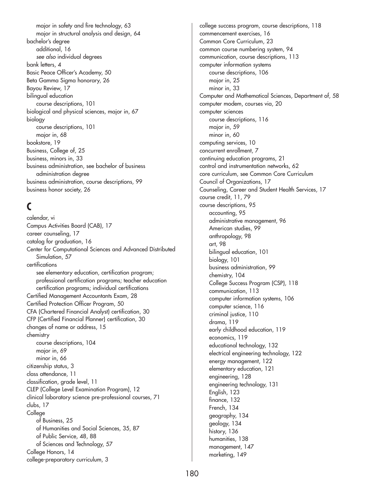major in safety and fire technology, 63 major in structural analysis and design, 64 bachelor's degree additional, 16 *see also* individual degrees bank letters, 4 Basic Peace Officer's Academy, 50 Beta Gamma Sigma honorary, 26 Bayou Review, 17 bilingual education course descriptions, 101 biological and physical sciences, major in, 67 biology course descriptions, 101 major in, 68 bookstore, 19 Business, College of, 25 business, minors in, 33 business administration, see bachelor of business administration degree business administration, course descriptions, 99 business honor society, 26

## **C**

calendar, vi Campus Activities Board (CAB), 17 career counseling, 17 catalog for graduation, 16 Center for Computational Sciences and Advanced Distributed Simulation, 57 certifications see elementary education, certification program; professional certification programs; teacher education certification programs; individual certifications Certified Management Accountants Exam, 28 Certified Protection Officer Program, 50 CFA (Chartered Financial Analyst) certification, 30 CFP (Certified Financial Planner) certification, 30 changes of name or address, 15 chemistry course descriptions, 104 major in, 69 minor in, 66 citizenship status, 3 class attendance, 11 classification, grade level, 11 CLEP (College Level Examination Program), 12 clinical laboratory science pre-professional courses, 71 clubs, 17 College of Business, 25 of Humanities and Social Sciences, 35, 87 of Public Service, 48, 88 of Sciences and Technology, 57 College Honors, 14 college-preparatory curriculum, 3

college success program, course descriptions, 118 commencement exercises, 16 Common Core Curriculum, 23 common course numbering system, 94 communication, course descriptions, 113 computer information systems course descriptions, 106 major in, 25 minor in, 33 Computer and Mathematical Sciences, Department of, 58 computer modem, courses via, 20 computer sciences course descriptions, 116 major in, 59 minor in, 60 computing services, 10 concurrent enrollment, 7 continuing education programs, 21 control and instrumentation networks, 62 core curriculum, see Common Core Curriculum Council of Organizations, 17 Counseling, Career and Student Health Services, 17 course credit, 11, 79 course descriptions, 95 accounting, 95 administrative management, 96 American studies, 99 anthropology, 98 art, 98 bilingual education, 101 biology, 101 business administration, 99 chemistry, 104 College Success Program (CSP), 118 communication, 113 computer information systems, 106 computer science, 116 criminal justice, 110 drama, 119 early childhood education, 119 economics, 119 educational technology, 132 electrical engineering technology, 122 energy management, 122 elementary education, 121 engineering, 128 engineering technology, 131 English, 123 finance, 132 French, 134 geography, 134 geology, 134 history, 136 humanities, 138 management, 147 marketing, 149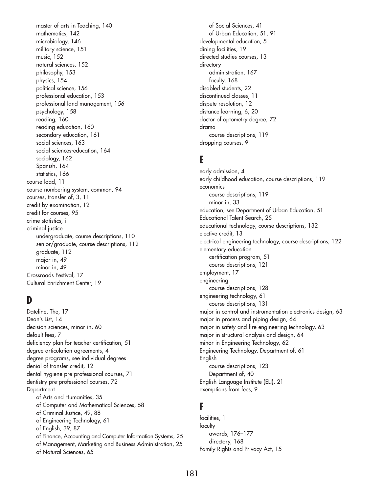master of arts in Teaching, 140 mathematics, 142 microbiology, 146 military science, 151 music, 152 natural sciences, 152 philosophy, 153 physics, 154 political science, 156 professional education, 153 professional land management, 156 psychology, 158 reading, 160 reading education, 160 secondary education, 161 social sciences, 163 social sciences-education, 164 sociology, 162 Spanish, 164 statistics, 166 course load, 11 course numbering system, common, 94 courses, transfer of, 3, 11 credit by examination, 12 credit for courses, 95 crime statistics, i criminal justice undergraduate, course descriptions, 110 senior/graduate, course descriptions, 112 graduate, 112 major in, 49 minor in, 49 Crossroads Festival, 17 Cultural Enrichment Center, 19

## **D**

Dateline, The, 17 Dean's List, 14 decision sciences, minor in, 60 default fees, 7 deficiency plan for teacher certification, 51 degree articulation agreements, 4 degree programs, see individual degrees denial of transfer credit, 12 dental hygiene pre-professional courses, 71 dentistry pre-professional courses, 72 **Department** of Arts and Humanities, 35 of Computer and Mathematical Sciences, 58 of Criminal Justice, 49, 88 of Engineering Technology, 61 of English, 39, 87 of Finance, Accounting and Computer Information Systems, 25 of Management, Marketing and Business Administration, 25 of Natural Sciences, 65

of Social Sciences, 41 of Urban Education, 51, 91 developmental education, 5 dining facilities, 19 directed studies courses, 13 directory administration, 167 faculty, 168 disabled students, 22 discontinued classes, 11 dispute resolution, 12 distance learning, 6, 20 doctor of optometry degree, 72 drama course descriptions, 119 dropping courses, 9

## **E**

early admission, 4 early childhood education, course descriptions, 119 economics course descriptions, 119 minor in, 33 education, see Department of Urban Education, 51 Educational Talent Search, 25 educational technology, course descriptions, 132 elective credit, 13 electrical engineering technology, course descriptions, 122 elementary education certification program, 51 course descriptions, 121 employment, 17 engineering course descriptions, 128 engineering technology, 61 course descriptions, 131 major in control and instrumentation electronics design, 63 major in process and piping design, 64 major in safety and fire engineering technology, 63 major in structural analysis and design, 64 minor in Engineering Technology, 62 Engineering Technology, Department of, 61 English course descriptions, 123 Department of, 40 English Language Institute (ELI), 21 exemptions from fees, 9

#### **F**

facilities, 1 faculty awards, 176–177 directory, 168 Family Rights and Privacy Act, 15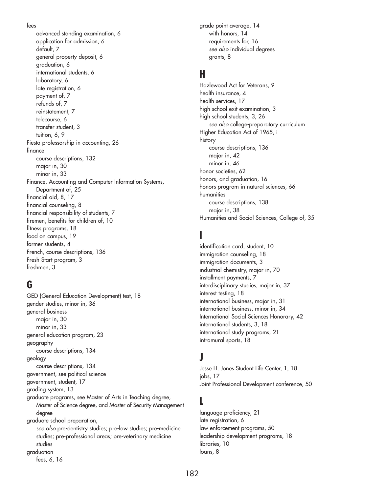```
fees
```
advanced standing examination, 6 application for admission, 6 default, 7 general property deposit, 6 graduation, 6 international students, 6 laboratory, 6 late registration, 6 payment of, 7 refunds of, 7 reinstatement, 7 telecourse, 6 transfer student, 3 tuition, 6, 9 Fiesta professorship in accounting, 26 finance course descriptions, 132 major in, 30 minor in, 33 Finance, Accounting and Computer Information Systems, Department of, 25 financial aid, 8, 17 financial counseling, 8 financial responsibility of students, 7 firemen, benefits for children of, 10 fitness programs, 18 food on campus, 19 former students, 4 French, course descriptions, 136 Fresh Start program, 3 freshmen, 3

# **G**

GED (General Education Development) test, 18 gender studies, minor in, 36 general business major in, 30 minor in, 33 general education program, 23 geography course descriptions, 134 geology course descriptions, 134 government, see political science government, student, 17 grading system, 13 graduate programs, see Master of Arts in Teaching degree, Master of Science degree, and Master of Security Management degree graduate school preparation, *see also* pre-dentistry studies; pre-law studies; pre-medicine studies; pre-professional areas; pre-veterinary medicine studies graduation fees, 6, 16

grade point average, 14 with honors, 14 requirements for, 16 *see also* individual degrees grants, 8

# **H**

Hazlewood Act for Veterans, 9 health insurance, 4 health services, 17 high school exit examination, 3 high school students, 3, 26 *see also* college-preparatory curriculum Higher Education Act of 1965, i history course descriptions, 136 major in, 42 minor in, 46 honor societies, 62 honors, and graduation, 16 honors program in natural sciences, 66 humanities course descriptions, 138 major in, 38 Humanities and Social Sciences, College of, 35

# **I**

identification card, student, 10 immigration counseling, 18 immigration documents, 3 industrial chemistry, major in, 70 installment payments, 7 interdisciplinary studies, major in, 37 interest testing, 18 international business, major in, 31 international business, minor in, 34 International Social Sciences Honorary, 42 international students, 3, 18 international study programs, 21 intramural sports, 18

## **J**

Jesse H. Jones Student Life Center, 1, 18 jobs, 17 Joint Professional Development conference, 50

## **L**

language proficiency, 21 late registration, 6 law enforcement programs, 50 leadership development programs, 18 libraries, 10 loans, 8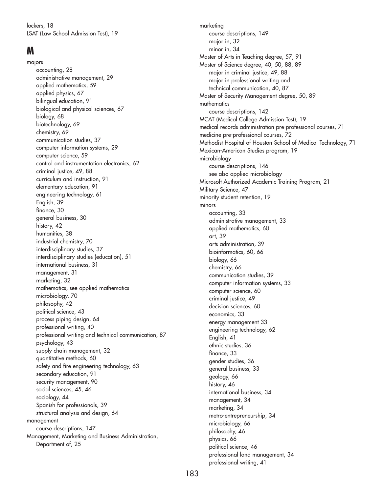lockers, 18 LSAT (Law School Admission Test), 19

# **M**

majors accounting, 28 administrative management, 29 applied mathematics, 59 applied physics, 67 bilingual education, 91 biological and physical sciences, 67 biology, 68 biotechnology, 69 chemistry, 69 communication studies, 37 computer information systems, 29 computer science, 59 control and instrumentation electronics, 62 criminal justice, 49, 88 curriculum and instruction, 91 elementary education, 91 engineering technology, 61 English, 39 finance, 30 general business, 30 history, 42 humanities, 38 industrial chemistry, 70 interdisciplinary studies, 37 interdisciplinary studies (education), 51 international business, 31 management, 31 marketing, 32 mathematics, see applied mathematics microbiology, 70 philosophy, 42 political science, 43 process piping design, 64 professional writing, 40 professional writing and technical communication, 87 psychology, 43 supply chain management, 32 quantitative methods, 60 safety and fire engineering technology, 63 secondary education, 91 security management, 90 social sciences, 45, 46 sociology, 44 Spanish for professionals, 39 structural analysis and design, 64 management course descriptions, 147 Management, Marketing and Business Administration, Department of, 25

marketing course descriptions, 149 major in, 32 minor in, 34 Master of Arts in Teaching degree, 57, 91 Master of Science degree, 40, 50, 88, 89 major in criminal justice, 49, 88 major in professional writing and technical communication, 40, 87 Master of Security Management degree, 50, 89 mathematics course descriptions, 142 MCAT (Medical College Admission Test), 19 medical records administration pre-professional courses, 71 medicine pre-professional courses, 72 Methodist Hospital of Houston School of Medical Technology, 71 Mexican-American Studies program, 19 microbiology course descriptions, 146 see also applied microbiology Microsoft Authorized Academic Training Program, 21 Military Science, 47 minority student retention, 19 minors accounting, 33 administrative management, 33 applied mathematics, 60 art, 39 arts administration, 39 bioinformatics, 60, 66 biology, 66 chemistry, 66 communication studies, 39 computer information systems, 33 computer science, 60 criminal justice, 49 decision sciences, 60 economics, 33 energy management 33 engineering technology, 62 English, 41 ethnic studies, 36 finance, 33 gender studies, 36 general business, 33 geology, 66 history, 46 international business, 34 management, 34 marketing, 34 metro-entrepreneurship, 34 microbiology, 66 philosophy, 46 physics, 66 political science, 46 professional land management, 34 professional writing, 41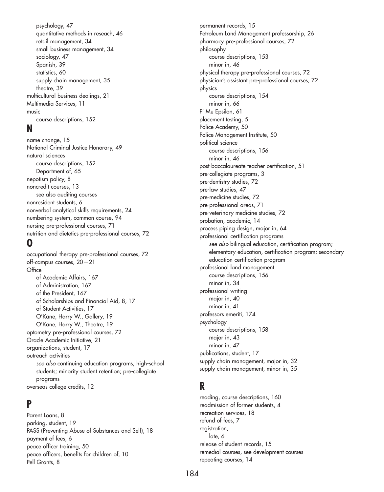psychology, 47 quantitative methods in reseach, 46 retail management, 34 small business management, 34 sociology, 47 Spanish, 39 statistics, 60 supply chain management, 35 theatre, 39 multicultural business dealings, 21 Multimedia Services, 11 music course descriptions, 152

#### **N**

name change, 15 National Criminal Justice Honorary, 49 natural sciences course descriptions, 152 Department of, 65 nepotism policy, 8 noncredit courses, 13 see also auditing courses nonresident students, 6 nonverbal analytical skills requirements, 24 numbering system, common course, 94 nursing pre-professional courses, 71 nutrition and dietetics pre-professional courses, 72

#### **O**

occupational therapy pre-professional courses, 72 off-campus courses, 20—21 **Office** of Academic Affairs, 167 of Administration, 167 of the President, 167 of Scholarships and Financial Aid, 8, 17 of Student Activities, 17 O'Kane, Harry W., Gallery, 19 O'Kane, Harry W., Theatre, 19 optometry pre-professional courses, 72 Oracle Academic Initiative, 21 organizations, student, 17 outreach activities *see also* continuing education programs; high-school students; minority student retention; pre-collegiate programs overseas college credits, 12

#### **P**

Parent Loans, 8 parking, student, 19 PASS (Preventing Abuse of Substances and Self), 18 payment of fees, 6 peace officer training, 50 peace officers, benefits for children of, 10 Pell Grants, 8

permanent records, 15 Petroleum Land Management professorship, 26 pharmacy pre-professional courses, 72 philosophy course descriptions, 153 minor in, 46 physical therapy pre-professional courses, 72 physician's assistant pre-professional courses, 72 physics course descriptions, 154 minor in, 66 Pi Mu Epsilon, 61 placement testing, 5 Police Academy, 50 Police Management Institute, 50 political science course descriptions, 156 minor in, 46 post-baccalaureate teacher certification, 51 pre-collegiate programs, 3 pre-dentistry studies, 72 pre-law studies, 47 pre-medicine studies, 72 pre-professional areas, 71 pre-veterinary medicine studies, 72 probation, academic, 14 process piping design, major in, 64 professional certification programs *see also* bilingual education, certification program; elementary education, certification program; secondary education certification program professional land management course descriptions, 156 minor in, 34 professional writing major in, 40 minor in, 41 professors emeriti, 174 psychology course descriptions, 158 major in, 43 minor in, 47 publications, student, 17 supply chain management, major in, 32 supply chain management, minor in, 35

# **R**

reading, course descriptions, 160 readmission of former students, 4 recreation services, 18 refund of fees, 7 registration, late, 6 release of student records, 15 remedial courses, see development courses repeating courses, 14